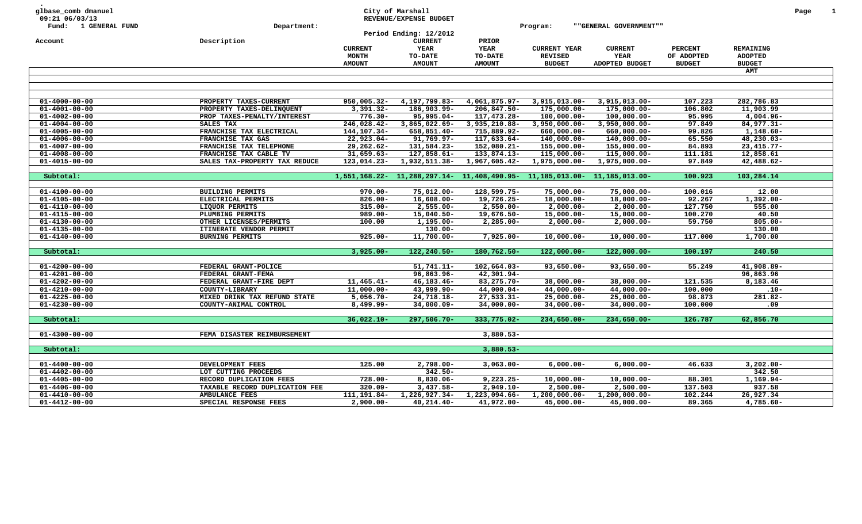| glbase_comb dmanuel<br>09:21 06/03/13<br>Fund: 1 GENERAL FUND | Department:                                      |                             | City of Marshall<br>REVENUE/EXPENSE BUDGET<br>Period Ending: 12/2012 |                                                                           | Program:                         | ""GENERAL GOVERNMENT""          |                    |                            | Page | $\mathbf{1}$ |
|---------------------------------------------------------------|--------------------------------------------------|-----------------------------|----------------------------------------------------------------------|---------------------------------------------------------------------------|----------------------------------|---------------------------------|--------------------|----------------------------|------|--------------|
| Account                                                       | Description                                      |                             | <b>CURRENT</b>                                                       | PRIOR                                                                     |                                  |                                 |                    |                            |      |              |
|                                                               |                                                  | <b>CURRENT</b>              | YEAR                                                                 | <b>YEAR</b>                                                               | <b>CURRENT YEAR</b>              | <b>CURRENT</b>                  | <b>PERCENT</b>     | REMAINING                  |      |              |
|                                                               |                                                  | <b>MONTH</b>                | TO-DATE                                                              | TO-DATE                                                                   | <b>REVISED</b>                   | YEAR                            | OF ADOPTED         | <b>ADOPTED</b>             |      |              |
|                                                               |                                                  | <b>AMOUNT</b>               | <b>AMOUNT</b>                                                        | <b>AMOUNT</b>                                                             | <b>BUDGET</b>                    | ADOPTED BUDGET                  | <b>BUDGET</b>      | <b>BUDGET</b>              |      |              |
|                                                               |                                                  |                             |                                                                      |                                                                           |                                  |                                 |                    | AMT                        |      |              |
|                                                               |                                                  |                             |                                                                      |                                                                           |                                  |                                 |                    |                            |      |              |
|                                                               |                                                  |                             |                                                                      |                                                                           |                                  |                                 |                    |                            |      |              |
|                                                               |                                                  |                             |                                                                      |                                                                           |                                  |                                 |                    |                            |      |              |
| $01 - 4000 - 00 - 00$<br>$01 - 4001 - 00 - 00$                | PROPERTY TAXES-CURRENT                           | 950,005.32-<br>$3,391.32 -$ | 4,197,799.83-<br>186,903.99-                                         | 4,061,875.97-<br>206,847.50-                                              | 3,915,013.00-<br>175,000.00-     | 3,915,013.00-                   | 107.223<br>106.802 | 282,786.83<br>11,903.99    |      |              |
|                                                               | PROPERTY TAXES-DELINQUENT                        |                             |                                                                      |                                                                           |                                  | 175,000.00-                     |                    |                            |      |              |
| $01 - 4002 - 00 - 00$                                         | PROP TAXES-PENALTY/INTEREST                      | $776.30 -$                  | 95,995.04-                                                           | 117,473.28-                                                               | $100,000.00 -$                   | $100,000.00 -$                  | 95.995             | $4,004.96 -$               |      |              |
| $01 - 4004 - 00 - 00$<br>$01 - 4005 - 00 - 00$                | SALES TAX<br>FRANCHISE TAX ELECTRICAL            | 246,028.42-<br>144,107.34-  | 3,865,022.69-<br>658,851.40-                                         | 3,935,210.88-<br>715,889.92-                                              | $3,950,000.00 -$<br>660,000.00-  | $3,950,000.00 -$<br>660,000.00- | 97.849<br>99.826   | 84,977.31-<br>$1,148.60 -$ |      |              |
|                                                               |                                                  |                             |                                                                      |                                                                           |                                  |                                 |                    |                            |      |              |
| $01 - 4006 - 00 - 00$                                         | FRANCHISE TAX GAS                                | $22,923.04-$                | 91,769.97-                                                           | 117,633.64-                                                               | 140,000.00-                      | 140,000.00-                     | 65.550             | 48,230.03-                 |      |              |
| $01 - 4007 - 00 - 00$                                         | FRANCHISE TAX TELEPHONE                          | 29,262.62-                  | 131,584.23-                                                          | 152,080.21-                                                               | 155,000.00-                      | 155,000.00-                     | 84.893             | $23,415.77-$               |      |              |
| $01 - 4008 - 00 - 00$                                         | FRANCHISE TAX CABLE TV                           | $31,659.63-$                | 127,858.61-                                                          | 133,874.13-                                                               | 115,000.00-                      | 115,000.00-                     | 111.181            | 12,858.61                  |      |              |
| $01 - 4015 - 00 - 00$                                         | SALES TAX-PROPERTY TAX REDUCE                    | 123,014.23-                 | 1,932,511.38-                                                        | 1,967,605.42-                                                             | 1,975,000.00-                    | $1,975,000.00-$                 | 97.849             | 42,488.62-                 |      |              |
|                                                               |                                                  |                             |                                                                      | 1,551,168.22- 11,288,297.14- 11,408,490.95- 11,185,013.00- 11,185,013.00- |                                  |                                 | 100.923            | 103,284.14                 |      |              |
| Subtotal:                                                     |                                                  |                             |                                                                      |                                                                           |                                  |                                 |                    |                            |      |              |
| $01 - 4100 - 00 - 00$                                         | BUILDING PERMITS                                 | $970.00 -$                  | $75,012.00 -$                                                        | 128,599.75-                                                               | $75,000.00 -$                    | $75,000.00 -$                   | 100.016            | 12.00                      |      |              |
| $01 - 4105 - 00 - 00$                                         | ELECTRICAL PERMITS                               | $826.00 -$                  | $16,608.00 -$                                                        | 19,726.25-                                                                | $18,000.00 -$                    | $18,000.00-$                    | 92.267             | $1,392.00 -$               |      |              |
| $01 - 4110 - 00 - 00$                                         | LIQUOR PERMITS                                   | $315.00 -$                  | $2,555.00 -$                                                         | $2,550.00 -$                                                              | $2,000.00 -$                     | $2,000.00-$                     | 127.750            | 555.00                     |      |              |
| $01 - 4115 - 00 - 00$                                         | PLUMBING PERMITS                                 | $989.00 -$                  | $15,040.50 -$                                                        | 19,676.50-                                                                | $15,000.00 -$                    | $15,000.00-$                    | 100.270            | 40.50                      |      |              |
| $01 - 4130 - 00 - 00$                                         | OTHER LICENSES/PERMITS                           | 100.00                      | $1,195.00 -$                                                         | $2,285.00 -$                                                              | $2,000.00 -$                     | $2,000.00 -$                    | 59.750             | $805.00 -$                 |      |              |
| $01 - 4135 - 00 - 00$                                         | ITINERATE VENDOR PERMIT                          |                             | $130.00 -$                                                           |                                                                           |                                  |                                 |                    | 130.00                     |      |              |
| $01 - 4140 - 00 - 00$                                         | <b>BURNING PERMITS</b>                           | $925.00 -$                  | 11,700.00-                                                           | $7,925.00 -$                                                              | $10,000.00 -$                    | $10,000.00 -$                   | 117.000            | 1,700.00                   |      |              |
|                                                               |                                                  |                             |                                                                      |                                                                           |                                  |                                 |                    |                            |      |              |
| Subtotal:                                                     |                                                  | $3,925.00 -$                | 122,240.50-                                                          | 180,762.50-                                                               | $122,000.00 -$                   | $122,000.00 -$                  | 100.197            | 240.50                     |      |              |
|                                                               |                                                  |                             |                                                                      |                                                                           |                                  |                                 |                    |                            |      |              |
| $01 - 4200 - 00 - 00$                                         | FEDERAL GRANT-POLICE                             |                             | $51,741.11-$                                                         | 102,664.03-                                                               | $93,650.00 -$                    | $93,650.00 -$                   | 55.249             | 41,908.89-                 |      |              |
| $01 - 4201 - 00 - 00$                                         | FEDERAL GRANT-FEMA                               |                             | 96,863.96-                                                           | 42,301.94-                                                                |                                  |                                 |                    | 96,863.96                  |      |              |
| $01 - 4202 - 00 - 00$                                         | FEDERAL GRANT-FIRE DEPT                          | $11,465.41-$                | $46, 183.46 -$                                                       | 83,275.70-                                                                | $38,000.00 -$                    | $38,000.00 -$                   | 121.535            | 8,183.46                   |      |              |
| $01 - 4210 - 00 - 00$                                         | COUNTY-LIBRARY                                   | $11,000.00-$                | 43,999.90-                                                           | 44,000.04-                                                                | 44,000.00-                       | 44,000.00-                      | 100.000            | $.10 -$                    |      |              |
| $01 - 4225 - 00 - 00$                                         | MIXED DRINK TAX REFUND STATE                     | $5,056.70 -$                | 24,718.18-                                                           | $27,533.31-$                                                              | $25,000.00 -$                    | $25,000.00 -$                   | 98.873             | 281.82-                    |      |              |
| $01 - 4230 - 00 - 00$                                         | COUNTY-ANIMAL CONTROL                            | 8,499.99-                   | $34,000.09 -$                                                        | $34,000.00 -$                                                             | $34,000.00 -$                    | $34,000.00 -$                   | 100.000            | .09                        |      |              |
|                                                               |                                                  |                             |                                                                      |                                                                           |                                  |                                 |                    |                            |      |              |
| Subtotal:                                                     |                                                  | $36,022.10 -$               | 297,506.70-                                                          | 333,775.02-                                                               | $234,650.00 -$                   | $234,650.00 -$                  | 126.787            | 62,856.70                  |      |              |
| $01 - 4300 - 00 - 00$                                         | FEMA DISASTER REIMBURSEMENT                      |                             |                                                                      | $3,880.53-$                                                               |                                  |                                 |                    |                            |      |              |
|                                                               |                                                  |                             |                                                                      |                                                                           |                                  |                                 |                    |                            |      |              |
| Subtotal:                                                     |                                                  |                             |                                                                      | $3,880.53-$                                                               |                                  |                                 |                    |                            |      |              |
|                                                               |                                                  |                             |                                                                      |                                                                           |                                  |                                 |                    |                            |      |              |
| $01 - 4400 - 00 - 00$                                         | DEVELOPMENT FEES                                 | 125.00                      | $2,798.00 -$                                                         | $3,063.00 -$                                                              | $6,000.00-$                      | $6,000.00 -$                    | 46.633             | $3,202.00 -$               |      |              |
| $01 - 4402 - 00 - 00$                                         | LOT CUTTING PROCEEDS                             |                             | $342.50 -$                                                           |                                                                           |                                  |                                 |                    | 342.50                     |      |              |
| $01 - 4405 - 00 - 00$                                         | RECORD DUPLICATION FEES                          | $728.00 -$                  | $8,830.06 -$<br>3,437.58-                                            | $9,223.25 -$                                                              | $10,000.00 -$                    | 10,000.00-                      | 88.301             | 1,169.94-                  |      |              |
| $01 - 4406 - 00 - 00$<br>$01 - 4410 - 00 - 00$                | TAXABLE RECORD DUPLICATION FEE<br>AMBULANCE FEES | $320.09 -$<br>111, 191.84-  | 1,226,927.34-                                                        | $2,949.10 -$<br>1,223,094.66-                                             | $2,500.00 -$<br>$1,200,000.00 -$ | $2,500.00 -$<br>1,200,000.00-   | 137.503<br>102.244 | 937.58<br>26,927.34        |      |              |
| $01 - 4412 - 00 - 00$                                         | SPECIAL RESPONSE FEES                            | $2,900.00 -$                | 40,214.40-                                                           | 41,972.00-                                                                | 45,000.00-                       | $45,000.00 -$                   | 89.365             | $4,785.60 -$               |      |              |
|                                                               |                                                  |                             |                                                                      |                                                                           |                                  |                                 |                    |                            |      |              |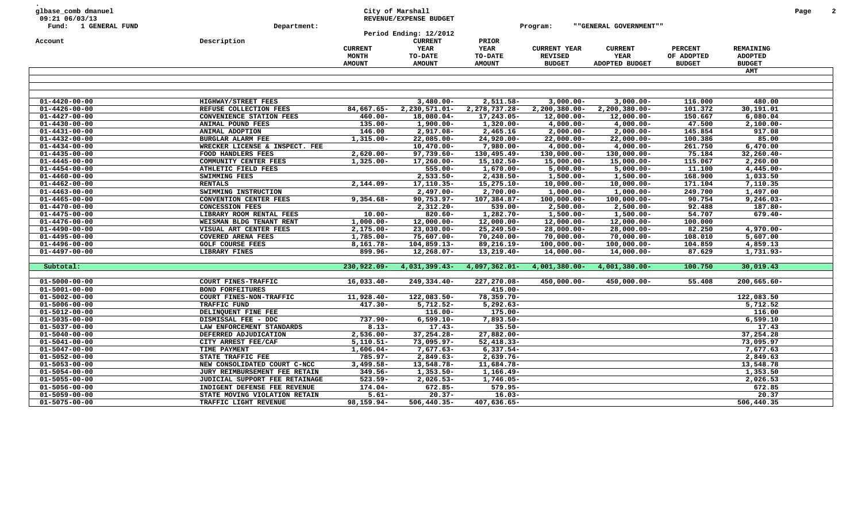| Fund: 1 GENERAL FUND<br>""GENERAL GOVERNMENT""<br>Department:<br>Program:<br>Period Ending: 12/2012<br><b>CURRENT</b><br>Description<br><b>PRIOR</b><br>Account<br>YEAR<br>YEAR<br><b>CURRENT</b><br><b>CURRENT YEAR</b><br><b>CURRENT</b><br><b>PERCENT</b><br>MONTH<br>TO-DATE<br>TO-DATE<br><b>REVISED</b><br>YEAR<br>OF ADOPTED<br><b>AMOUNT</b><br><b>AMOUNT</b><br><b>AMOUNT</b><br><b>BUDGET</b><br>ADOPTED BUDGET<br><b>BUDGET</b><br>$01 - 4420 - 00 - 00$<br>HIGHWAY/STREET FEES<br>$3,480.00 -$<br>2,511.58-<br>$3,000.00 -$<br>$3,000.00 -$<br>116.000<br>$01 - 4426 - 00 - 00$<br>84,667.65-<br>2,230,571.01-<br>2,278,737.28-<br>$2,200,380.00 -$<br>2,200,380.00-<br>101.372<br>REFUSE COLLECTION FEES | REMAINING<br><b>ADOPTED</b><br><b>BUDGET</b><br>AMT<br>480.00 |
|-----------------------------------------------------------------------------------------------------------------------------------------------------------------------------------------------------------------------------------------------------------------------------------------------------------------------------------------------------------------------------------------------------------------------------------------------------------------------------------------------------------------------------------------------------------------------------------------------------------------------------------------------------------------------------------------------------------------------|---------------------------------------------------------------|
|                                                                                                                                                                                                                                                                                                                                                                                                                                                                                                                                                                                                                                                                                                                       |                                                               |
|                                                                                                                                                                                                                                                                                                                                                                                                                                                                                                                                                                                                                                                                                                                       |                                                               |
|                                                                                                                                                                                                                                                                                                                                                                                                                                                                                                                                                                                                                                                                                                                       |                                                               |
|                                                                                                                                                                                                                                                                                                                                                                                                                                                                                                                                                                                                                                                                                                                       |                                                               |
|                                                                                                                                                                                                                                                                                                                                                                                                                                                                                                                                                                                                                                                                                                                       |                                                               |
|                                                                                                                                                                                                                                                                                                                                                                                                                                                                                                                                                                                                                                                                                                                       |                                                               |
|                                                                                                                                                                                                                                                                                                                                                                                                                                                                                                                                                                                                                                                                                                                       |                                                               |
|                                                                                                                                                                                                                                                                                                                                                                                                                                                                                                                                                                                                                                                                                                                       |                                                               |
|                                                                                                                                                                                                                                                                                                                                                                                                                                                                                                                                                                                                                                                                                                                       |                                                               |
|                                                                                                                                                                                                                                                                                                                                                                                                                                                                                                                                                                                                                                                                                                                       |                                                               |
|                                                                                                                                                                                                                                                                                                                                                                                                                                                                                                                                                                                                                                                                                                                       | 30,191.01                                                     |
| 18,080.04-<br>150.667<br>$01 - 4427 - 00 - 00$<br>CONVENIENCE STATION FEES<br>$460.00 -$<br>17,243.05-<br>$12,000.00 -$<br>$12,000.00 -$                                                                                                                                                                                                                                                                                                                                                                                                                                                                                                                                                                              | 6,080.04                                                      |
| $135.00 -$<br>$1,900.00-$<br>$1,320.00 -$<br>$4,000.00 -$<br>47.500<br>$01 - 4430 - 00 - 00$<br>ANIMAL POUND FEES<br>$4,000.00-$                                                                                                                                                                                                                                                                                                                                                                                                                                                                                                                                                                                      | $2,100.00 -$                                                  |
| 146.00<br>$01 - 4431 - 00 - 00$<br>ANIMAL ADOPTION<br>2,917.08-<br>2,465.16<br>$2,000.00 -$<br>$2,000.00 -$<br>145.854                                                                                                                                                                                                                                                                                                                                                                                                                                                                                                                                                                                                | 917.08                                                        |
| $01 - 4432 - 00 - 00$<br>$1,315.00 -$<br>22,085.00-<br>24,920.00-<br>$22,000.00 -$<br>100.386<br><b>BURGLAR ALARM FEE</b><br>$22,000.00-$                                                                                                                                                                                                                                                                                                                                                                                                                                                                                                                                                                             | 85.00                                                         |
| $10,470.00 -$<br>7,980.00-<br>$4,000.00 -$<br>$4,000.00-$<br>261.750<br>$01 - 4434 - 00 - 00$<br>WRECKER LICENSE & INSPECT. FEE                                                                                                                                                                                                                                                                                                                                                                                                                                                                                                                                                                                       | 6,470.00                                                      |
| 97,739.60-<br>130,495.49-<br>130,000.00-<br>130,000.00-<br>75.184<br>$01 - 4435 - 00 - 00$<br>FOOD HANDLERS FEES<br>$2,620.00 -$                                                                                                                                                                                                                                                                                                                                                                                                                                                                                                                                                                                      | $32, 260.40 -$                                                |
| $15,102.50-$<br>115.067<br>$01 - 4445 - 00 - 00$<br>COMMUNITY CENTER FEES<br>$1,325.00 -$<br>$17,260.00 -$<br>$15,000.00 -$<br>$15,000.00-$                                                                                                                                                                                                                                                                                                                                                                                                                                                                                                                                                                           | 2, 260.00                                                     |
| $555.00 -$<br>$1,670.00 -$<br>11.100<br>$01 - 4454 - 00 - 00$<br>ATHLETIC FIELD FEES<br>$5,000.00 -$<br>$5,000.00-$                                                                                                                                                                                                                                                                                                                                                                                                                                                                                                                                                                                                   | $4,445.00 -$                                                  |
| $2,533.50 -$<br>$2,438.50-$<br>168.900<br>$01 - 4460 - 00 - 00$<br>SWIMMING FEES<br>$1,500.00 -$<br>$1,500.00 -$                                                                                                                                                                                                                                                                                                                                                                                                                                                                                                                                                                                                      | 1,033.50                                                      |
| 17,110.35-<br>$15, 275.10 -$<br>171.104<br>$01 - 4462 - 00 - 00$<br><b>RENTALS</b><br>$2,144.09-$<br>$10,000.00 -$<br>$10,000.00-$                                                                                                                                                                                                                                                                                                                                                                                                                                                                                                                                                                                    | 7,110.35                                                      |
| $2,497.00 -$<br>$2,700.00 -$<br>249.700<br>$01 - 4463 - 00 - 00$<br>SWIMMING INSTRUCTION<br>$1,000.00-$<br>$1,000.00-$                                                                                                                                                                                                                                                                                                                                                                                                                                                                                                                                                                                                | 1,497.00                                                      |
| $01 - 4465 - 00 - 00$<br>$9,354.68 -$<br>90,753.97-<br>107,384.87-<br>$100,000.00 -$<br>90.754<br>CONVENTION CENTER FEES<br>$100,000.00 -$                                                                                                                                                                                                                                                                                                                                                                                                                                                                                                                                                                            | $9,246.03 -$                                                  |
| $2,312.20 -$<br>$2,500.00 -$<br>92.488<br>$01 - 4470 - 00 - 00$<br><b>CONCESSION FEES</b><br>$539.00 -$<br>$2,500.00 -$                                                                                                                                                                                                                                                                                                                                                                                                                                                                                                                                                                                               | 187.80-                                                       |
| $820.60 -$<br>$1,282.70-$<br>$1,500.00 -$<br>54.707<br>$01 - 4475 - 00 - 00$<br>LIBRARY ROOM RENTAL FEES<br>$10.00 -$<br>$1,500.00 -$                                                                                                                                                                                                                                                                                                                                                                                                                                                                                                                                                                                 | $679.40 -$                                                    |
| $12,000.00 -$<br>$12,000.00 -$<br>100.000<br>$01 - 4476 - 00 - 00$<br>$1,000.00-$<br>$12,000.00 -$<br>$12,000.00-$<br>WEISMAN BLDG TENANT RENT                                                                                                                                                                                                                                                                                                                                                                                                                                                                                                                                                                        |                                                               |
| $2,175.00 -$<br>$01 - 4490 - 00 - 00$<br>VISUAL ART CENTER FEES<br>$23,030.00 -$<br>$25, 249.50 -$<br>$28,000.00 -$<br>$28,000.00 -$<br>82.250                                                                                                                                                                                                                                                                                                                                                                                                                                                                                                                                                                        | $4,970.00 -$                                                  |
| <b>COVERED ARENA FEES</b><br>1,785.00-<br>75,607.00-<br>$70, 240.00 -$<br>$70,000.00 -$<br>108.010<br>$01 - 4495 - 00 - 00$<br>$70,000.00-$                                                                                                                                                                                                                                                                                                                                                                                                                                                                                                                                                                           | 5,607.00                                                      |
| $01 - 4496 - 00 - 00$<br><b>GOLF COURSE FEES</b><br>$8,161.78-$<br>104,859.13-<br>89,216.19-<br>$100,000.00 -$<br>$100,000.00 -$<br>104.859                                                                                                                                                                                                                                                                                                                                                                                                                                                                                                                                                                           | 4,859.13                                                      |
| 87.629<br>$01 - 4497 - 00 - 00$<br>LIBRARY FINES<br>899.96-<br>12,268.07-<br>13,219.40-<br>$14,000.00 -$<br>$14,000.00-$                                                                                                                                                                                                                                                                                                                                                                                                                                                                                                                                                                                              | 1,731.93-                                                     |
| 230,922.09-<br>4,031,399.43-<br>4,097,362.01-<br>$4,001,380.00 -$<br>100.750                                                                                                                                                                                                                                                                                                                                                                                                                                                                                                                                                                                                                                          | 30,019.43                                                     |
| $4,001,380.00 -$<br>Subtotal:                                                                                                                                                                                                                                                                                                                                                                                                                                                                                                                                                                                                                                                                                         |                                                               |
| $16,033.40-$<br>249,334.40-<br>227,270.08-<br>450,000.00-<br>55.408<br>$01 - 5000 - 00 - 00$<br>COURT FINES-TRAFFIC<br>450,000.00-                                                                                                                                                                                                                                                                                                                                                                                                                                                                                                                                                                                    | $200,665.60 -$                                                |
| $415.00 -$<br>$01 - 5001 - 00 - 00$<br><b>BOND FORFEITURES</b>                                                                                                                                                                                                                                                                                                                                                                                                                                                                                                                                                                                                                                                        |                                                               |
| 11,928.40-<br>78,359.70-<br>$01 - 5002 - 00 - 00$<br>COURT FINES-NON-TRAFFIC<br>122,083.50-                                                                                                                                                                                                                                                                                                                                                                                                                                                                                                                                                                                                                           | 122,083.50                                                    |
| $417.30 -$<br>$5,712.52-$<br>$5,292.63-$<br>$01 - 5006 - 00 - 00$<br>TRAFFIC FUND                                                                                                                                                                                                                                                                                                                                                                                                                                                                                                                                                                                                                                     | 5,712.52                                                      |
| $116.00 -$<br>$175.00 -$<br>$01 - 5012 - 00 - 00$<br>DELINQUENT FINE FEE                                                                                                                                                                                                                                                                                                                                                                                                                                                                                                                                                                                                                                              | 116.00                                                        |
| $737.90 -$<br>$6,599.10 -$<br>7,893.50-<br>$01 - 5035 - 00 - 00$<br>DISMISSAL FEE - DDC                                                                                                                                                                                                                                                                                                                                                                                                                                                                                                                                                                                                                               | 6,599.10                                                      |
| $01 - 5037 - 00 - 00$<br>LAW ENFORCEMENT STANDARDS<br>$8.13 -$<br>$17.43-$<br>$35.50 -$                                                                                                                                                                                                                                                                                                                                                                                                                                                                                                                                                                                                                               | 17.43                                                         |
| 37, 254. 28-<br>DEFERRED ADJUDICATION<br>$2,536.00 -$<br>27,882.00-<br>$01 - 5040 - 00 - 00$                                                                                                                                                                                                                                                                                                                                                                                                                                                                                                                                                                                                                          | 37,254.28                                                     |
| $01 - 5041 - 00 - 00$<br>CITY ARREST FEE/CAF<br>$5,110.51-$<br>73,095.97-<br>$52,418.33-$                                                                                                                                                                                                                                                                                                                                                                                                                                                                                                                                                                                                                             | 73,095.97                                                     |
| $01 - 5047 - 00 - 00$<br>TIME PAYMENT<br>$1,606.04-$<br>7,677.63-<br>$6,337.54-$                                                                                                                                                                                                                                                                                                                                                                                                                                                                                                                                                                                                                                      | 7,677.63                                                      |
| $785.97 -$<br>$01 - 5052 - 00 - 00$<br>STATE TRAFFIC FEE<br>$2,849.63-$<br>2,639.76-                                                                                                                                                                                                                                                                                                                                                                                                                                                                                                                                                                                                                                  | 2,849.63                                                      |
| NEW CONSOLIDATED COURT C-NCC<br>$3,499.58-$<br>13,548.78-<br>11,684.78-<br>$01 - 5053 - 00 - 00$                                                                                                                                                                                                                                                                                                                                                                                                                                                                                                                                                                                                                      | 13,548.78                                                     |
| $01 - 5054 - 00 - 00$<br>JURY REIMBURSEMENT FEE RETAIN<br>349.56-<br>$1,353.50 -$<br>$1,166.49-$                                                                                                                                                                                                                                                                                                                                                                                                                                                                                                                                                                                                                      | 1,353.50                                                      |
| $523.59 -$<br>$2,026.53-$<br>1,746.05-<br>$01 - 5055 - 00 - 00$<br>JUDICIAL SUPPORT FEE RETAINAGE                                                                                                                                                                                                                                                                                                                                                                                                                                                                                                                                                                                                                     | 2,026.53                                                      |
| INDIGENT DEFENSE FEE REVENUE<br>$174.04-$<br>672.85-<br>579.95-<br>$01 - 5056 - 00 - 00$                                                                                                                                                                                                                                                                                                                                                                                                                                                                                                                                                                                                                              | 672.85                                                        |
| $20.37 -$<br>$16.03 -$<br>$01 - 5059 - 00 - 00$<br>STATE MOVING VIOLATION RETAIN<br>$5.61 -$                                                                                                                                                                                                                                                                                                                                                                                                                                                                                                                                                                                                                          | 20.37                                                         |
| 98,159.94-<br>$506, 440.35 -$<br>407,636.65-<br>$01 - 5075 - 00 - 00$<br>TRAFFIC LIGHT REVENUE                                                                                                                                                                                                                                                                                                                                                                                                                                                                                                                                                                                                                        | 506,440.35                                                    |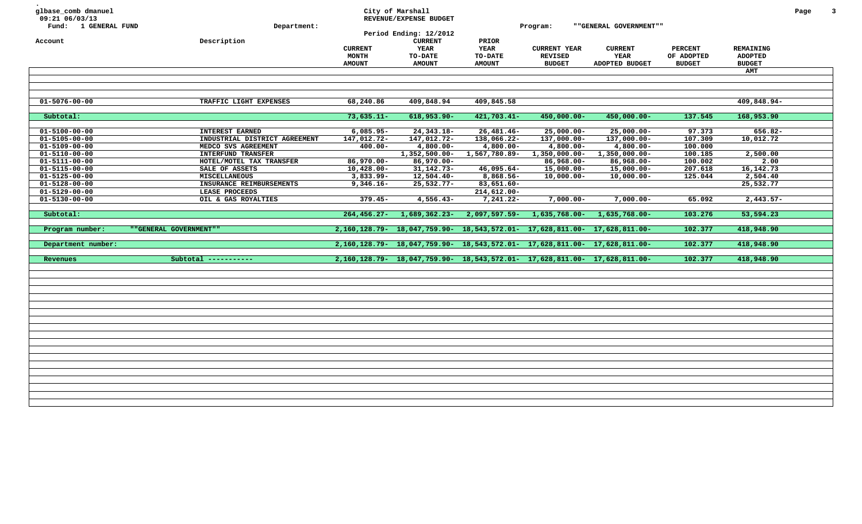| glbase_comb dmanuel<br>09:21 06/03/13<br>Fund: 1 GENERAL FUND<br>Account | Department:<br>Description    | <b>CURRENT</b><br><b>MONTH</b><br><b>AMOUNT</b> | City of Marshall<br>REVENUE/EXPENSE BUDGET<br>Period Ending: 12/2012<br><b>CURRENT</b><br>YEAR<br>TO-DATE<br><b>AMOUNT</b> | PRIOR<br><b>YEAR</b><br>TO-DATE<br><b>AMOUNT</b>                          | Program:<br><b>CURRENT YEAR</b><br><b>REVISED</b><br><b>BUDGET</b> | " "GENERAL GOVERNMENT""<br><b>CURRENT</b><br>YEAR<br>ADOPTED BUDGET | <b>PERCENT</b><br>OF ADOPTED<br><b>BUDGET</b> | REMAINING<br><b>ADOPTED</b><br><b>BUDGET</b><br>AMT | Page | $\overline{\mathbf{3}}$ |
|--------------------------------------------------------------------------|-------------------------------|-------------------------------------------------|----------------------------------------------------------------------------------------------------------------------------|---------------------------------------------------------------------------|--------------------------------------------------------------------|---------------------------------------------------------------------|-----------------------------------------------|-----------------------------------------------------|------|-------------------------|
|                                                                          |                               |                                                 |                                                                                                                            |                                                                           |                                                                    |                                                                     |                                               |                                                     |      |                         |
|                                                                          |                               |                                                 |                                                                                                                            |                                                                           |                                                                    |                                                                     |                                               |                                                     |      |                         |
| $01 - 5076 - 00 - 00$                                                    | TRAFFIC LIGHT EXPENSES        | 68,240.86                                       | 409,848.94                                                                                                                 | 409,845.58                                                                |                                                                    |                                                                     |                                               | 409,848.94-                                         |      |                         |
| Subtotal:                                                                |                               | $73,635.11 -$                                   | $618, 953.90 -$                                                                                                            | $421,703.41-$                                                             | 450,000.00-                                                        | 450,000.00-                                                         | 137.545                                       | 168,953.90                                          |      |                         |
| $01 - 5100 - 00 - 00$                                                    | <b>INTEREST EARNED</b>        | $6,085.95 -$                                    | 24, 343. 18-                                                                                                               | $26,481.46 -$                                                             | $25,000.00 -$                                                      | $25,000.00 -$                                                       | 97.373                                        | 656.82-                                             |      |                         |
| $01 - 5105 - 00 - 00$                                                    | INDUSTRIAL DISTRICT AGREEMENT | 147,012.72-                                     | 147,012.72-                                                                                                                | 138,066.22-                                                               | 137,000.00-                                                        | 137,000.00-                                                         | 107.309                                       | 10,012.72                                           |      |                         |
| $01 - 5109 - 00 - 00$                                                    | MEDCO SVS AGREEMENT           | $400.00 -$                                      | $4,800.00-$                                                                                                                | $4,800.00-$                                                               | $4,800.00 -$                                                       | $4,800.00-$                                                         | 100.000                                       |                                                     |      |                         |
| $01 - 5110 - 00 - 00$                                                    | <b>INTERFUND TRANSFER</b>     |                                                 | $1,352,500.00 -$                                                                                                           | 1,567,780.89-                                                             | 1,350,000.00-                                                      | 1,350,000.00-                                                       | 100.185                                       | 2,500.00                                            |      |                         |
| $01 - 5111 - 00 - 00$                                                    | HOTEL/MOTEL TAX TRANSFER      | $86,970.00 -$                                   | $86,970.00 -$                                                                                                              |                                                                           | 86,968.00-                                                         | 86,968.00-                                                          | 100.002                                       | 2.00                                                |      |                         |
| $01 - 5115 - 00 - 00$                                                    | SALE OF ASSETS                | $10,428.00 -$                                   | $31, 142.73-$                                                                                                              | $46,095.64-$                                                              | 15,000.00-                                                         | $15,000.00-$                                                        | 207.618                                       | 16, 142. 73                                         |      |                         |
| $01 - 5125 - 00 - 00$                                                    | <b>MISCELLANEOUS</b>          | $3,833.99 -$                                    | 12,504.40-                                                                                                                 | 8,868.56-                                                                 | $10,000.00 -$                                                      | $10,000.00-$                                                        | 125.044                                       | 2,504.40                                            |      |                         |
| $01 - 5128 - 00 - 00$                                                    | INSURANCE REIMBURSEMENTS      | $9,346.16 -$                                    | 25,532.77-                                                                                                                 | 83,651.60-                                                                |                                                                    |                                                                     |                                               | 25,532.77                                           |      |                         |
| $01 - 5129 - 00 - 00$                                                    | LEASE PROCEEDS                |                                                 |                                                                                                                            | $214,612.00 -$                                                            |                                                                    |                                                                     |                                               |                                                     |      |                         |
| $01 - 5130 - 00 - 00$                                                    | OIL & GAS ROYALTIES           | $379.45 -$                                      | $4,556.43-$                                                                                                                | $7,241.22-$                                                               | $7,000.00 -$                                                       | $7,000.00-$                                                         | 65.092                                        | $2,443.57-$                                         |      |                         |
| Subtotal:                                                                |                               | $264, 456.27 -$                                 | 1,689,362.23-                                                                                                              | 2,097,597.59-                                                             | 1,635,768.00-                                                      | 1,635,768.00-                                                       | 103.276                                       | 53,594.23                                           |      |                         |
| Program number:                                                          | ""GENERAL GOVERNMENT""        |                                                 |                                                                                                                            | 2,160,128.79- 18,047,759.90- 18,543,572.01- 17,628,811.00-                |                                                                    | 17,628,811.00-                                                      | 102.377                                       | 418,948.90                                          |      |                         |
| Department number:                                                       |                               |                                                 |                                                                                                                            | 2,160,128.79- 18,047,759.90- 18,543,572.01- 17,628,811.00- 17,628,811.00- |                                                                    |                                                                     | 102.377                                       | 418,948.90                                          |      |                         |
| Revenues                                                                 | Subtotal $------$             |                                                 |                                                                                                                            | 2,160,128.79- 18,047,759.90- 18,543,572.01- 17,628,811.00- 17,628,811.00- |                                                                    |                                                                     | 102.377                                       | 418,948.90                                          |      |                         |
|                                                                          |                               |                                                 |                                                                                                                            |                                                                           |                                                                    |                                                                     |                                               |                                                     |      |                         |
|                                                                          |                               |                                                 |                                                                                                                            |                                                                           |                                                                    |                                                                     |                                               |                                                     |      |                         |
|                                                                          |                               |                                                 |                                                                                                                            |                                                                           |                                                                    |                                                                     |                                               |                                                     |      |                         |
|                                                                          |                               |                                                 |                                                                                                                            |                                                                           |                                                                    |                                                                     |                                               |                                                     |      |                         |
|                                                                          |                               |                                                 |                                                                                                                            |                                                                           |                                                                    |                                                                     |                                               |                                                     |      |                         |
|                                                                          |                               |                                                 |                                                                                                                            |                                                                           |                                                                    |                                                                     |                                               |                                                     |      |                         |
|                                                                          |                               |                                                 |                                                                                                                            |                                                                           |                                                                    |                                                                     |                                               |                                                     |      |                         |
|                                                                          |                               |                                                 |                                                                                                                            |                                                                           |                                                                    |                                                                     |                                               |                                                     |      |                         |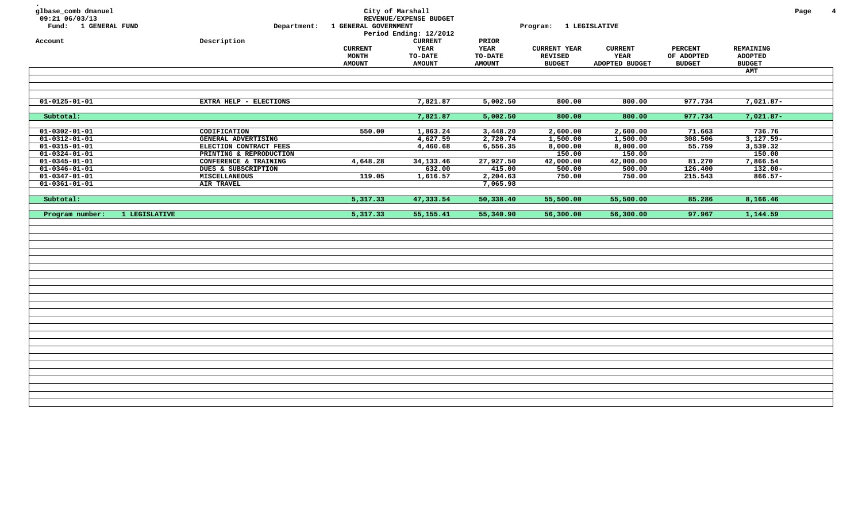| glbase_comb dmanuel<br>09:21 06/03/13<br>Fund: 1 GENERAL FUND           | Department:                                                                | 1 GENERAL GOVERNMENT                            | City of Marshall<br>REVENUE/EXPENSE BUDGET<br>Period Ending: 12/2012 |                                                  | Program: 1 LEGISLATIVE                                 |                                          |                                               |                                                     | Page | $\overline{4}$ |
|-------------------------------------------------------------------------|----------------------------------------------------------------------------|-------------------------------------------------|----------------------------------------------------------------------|--------------------------------------------------|--------------------------------------------------------|------------------------------------------|-----------------------------------------------|-----------------------------------------------------|------|----------------|
| Account                                                                 | Description                                                                | <b>CURRENT</b><br><b>MONTH</b><br><b>AMOUNT</b> | <b>CURRENT</b><br>YEAR<br>TO-DATE<br><b>AMOUNT</b>                   | PRIOR<br><b>YEAR</b><br>TO-DATE<br><b>AMOUNT</b> | <b>CURRENT YEAR</b><br><b>REVISED</b><br><b>BUDGET</b> | <b>CURRENT</b><br>YEAR<br>ADOPTED BUDGET | <b>PERCENT</b><br>OF ADOPTED<br><b>BUDGET</b> | REMAINING<br><b>ADOPTED</b><br><b>BUDGET</b><br>AMT |      |                |
|                                                                         |                                                                            |                                                 |                                                                      |                                                  |                                                        |                                          |                                               |                                                     |      |                |
| $01 - 0125 - 01 - 01$                                                   | EXTRA HELP - ELECTIONS                                                     |                                                 | 7,821.87                                                             | 5,002.50                                         | 800.00                                                 | 800.00                                   | 977.734                                       | 7,021.87-                                           |      |                |
| Subtotal:                                                               |                                                                            |                                                 | 7,821.87                                                             | 5,002.50                                         | 800.00                                                 | 800.00                                   | 977.734                                       | $7,021.87-$                                         |      |                |
| $01 - 0302 - 01 - 01$<br>$01 - 0312 - 01 - 01$                          | CODIFICATION<br>GENERAL ADVERTISING                                        | 550.00                                          | 1,863.24<br>4,627.59                                                 | 3,448.20<br>2,720.74                             | 2,600.00<br>1,500.00                                   | 2,600.00<br>1,500.00                     | 71.663<br>308.506                             | 736.76<br>$3,127.59-$                               |      |                |
| $01 - 0315 - 01 - 01$<br>$01 - 0324 - 01 - 01$<br>$01 - 0345 - 01 - 01$ | ELECTION CONTRACT FEES<br>PRINTING & REPRODUCTION<br>CONFERENCE & TRAINING | 4,648.28                                        | 4,460.68<br>34,133.46                                                | 6, 556.35<br>27,927.50                           | 8,000.00<br>150.00<br>42,000.00                        | 8,000.00<br>150.00<br>42,000.00          | 55.759<br>81.270                              | 3,539.32<br>150.00<br>7,866.54                      |      |                |
| $01 - 0346 - 01 - 01$<br>$01 - 0347 - 01 - 01$<br>$01 - 0361 - 01 - 01$ | DUES & SUBSCRIPTION<br>MISCELLANEOUS<br><b>AIR TRAVEL</b>                  | 119.05                                          | 632.00<br>1,616.57                                                   | 415.00<br>2,204.63<br>7,065.98                   | 500.00<br>750.00                                       | 500.00<br>750.00                         | 126.400<br>215.543                            | $132.00 -$<br>$866.57-$                             |      |                |
| Subtotal:                                                               |                                                                            | 5,317.33                                        | 47,333.54                                                            | 50,338.40                                        | 55,500.00                                              | 55,500.00                                | 85.286                                        | 8,166.46                                            |      |                |
| Program number:<br>1 LEGISLATIVE                                        |                                                                            | 5,317.33                                        | 55, 155. 41                                                          | 55,340.90                                        | 56,300.00                                              | 56,300.00                                | 97.967                                        | 1,144.59                                            |      |                |
|                                                                         |                                                                            |                                                 |                                                                      |                                                  |                                                        |                                          |                                               |                                                     |      |                |
|                                                                         |                                                                            |                                                 |                                                                      |                                                  |                                                        |                                          |                                               |                                                     |      |                |
|                                                                         |                                                                            |                                                 |                                                                      |                                                  |                                                        |                                          |                                               |                                                     |      |                |
|                                                                         |                                                                            |                                                 |                                                                      |                                                  |                                                        |                                          |                                               |                                                     |      |                |
|                                                                         |                                                                            |                                                 |                                                                      |                                                  |                                                        |                                          |                                               |                                                     |      |                |
|                                                                         |                                                                            |                                                 |                                                                      |                                                  |                                                        |                                          |                                               |                                                     |      |                |
|                                                                         |                                                                            |                                                 |                                                                      |                                                  |                                                        |                                          |                                               |                                                     |      |                |
|                                                                         |                                                                            |                                                 |                                                                      |                                                  |                                                        |                                          |                                               |                                                     |      |                |
|                                                                         |                                                                            |                                                 |                                                                      |                                                  |                                                        |                                          |                                               |                                                     |      |                |
|                                                                         |                                                                            |                                                 |                                                                      |                                                  |                                                        |                                          |                                               |                                                     |      |                |
|                                                                         |                                                                            |                                                 |                                                                      |                                                  |                                                        |                                          |                                               |                                                     |      |                |
|                                                                         |                                                                            |                                                 |                                                                      |                                                  |                                                        |                                          |                                               |                                                     |      |                |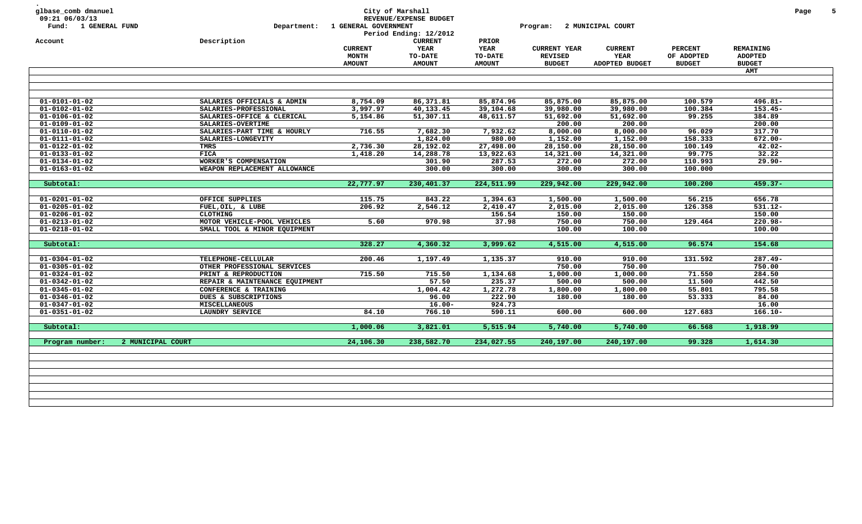| Fund: 1 GENERAL FUND                           | Department:                                     | 1 GENERAL GOVERNMENT                            | City of Marshall<br>REVENUE/EXPENSE BUDGET<br>Period Ending: 12/2012 |                                           | Program:                                               | 2 MUNICIPAL COURT                        |                                               |                                                     | Page |
|------------------------------------------------|-------------------------------------------------|-------------------------------------------------|----------------------------------------------------------------------|-------------------------------------------|--------------------------------------------------------|------------------------------------------|-----------------------------------------------|-----------------------------------------------------|------|
| Account                                        | Description                                     | <b>CURRENT</b><br><b>MONTH</b><br><b>AMOUNT</b> | <b>CURRENT</b><br>YEAR<br><b>TO-DATE</b><br><b>AMOUNT</b>            | PRIOR<br>YEAR<br>TO-DATE<br><b>AMOUNT</b> | <b>CURRENT YEAR</b><br><b>REVISED</b><br><b>BUDGET</b> | <b>CURRENT</b><br>YEAR<br>ADOPTED BUDGET | <b>PERCENT</b><br>OF ADOPTED<br><b>BUDGET</b> | <b>REMAINING</b><br><b>ADOPTED</b><br><b>BUDGET</b> |      |
|                                                |                                                 |                                                 |                                                                      |                                           |                                                        |                                          |                                               | <b>AMT</b>                                          |      |
| $01 - 0101 - 01 - 02$                          | SALARIES OFFICIALS & ADMIN                      | 8,754.09                                        | 86,371.81                                                            | 85,874.96                                 | 85,875.00                                              | 85,875.00                                | 100.579                                       | $496.81 -$                                          |      |
|                                                |                                                 |                                                 |                                                                      |                                           |                                                        |                                          |                                               |                                                     |      |
| $01 - 0102 - 01 - 02$                          | SALARIES-PROFESSIONAL                           | 3,997.97                                        | 40,133.45                                                            | 39,104.68                                 | 39,980.00                                              | 39,980.00                                | 100.384                                       | $153.45-$<br>384.89                                 |      |
| $01 - 0106 - 01 - 02$                          | SALARIES-OFFICE & CLERICAL<br>SALARIES-OVERTIME | 5,154.86                                        | 51,307.11                                                            | 48,611.57                                 | 51,692.00<br>200.00                                    | 51,692.00<br>200.00                      | 99.255                                        | 200.00                                              |      |
| $01 - 0109 - 01 - 02$<br>$01 - 0110 - 01 - 02$ | SALARIES-PART TIME & HOURLY                     | 716.55                                          | 7,682.30                                                             | 7,932.62                                  | 8,000.00                                               | 8,000.00                                 | 96.029                                        | 317.70                                              |      |
| $01 - 0111 - 01 - 02$                          | SALARIES-LONGEVITY                              |                                                 | 1,824.00                                                             | 980.00                                    | 1,152.00                                               | 1,152.00                                 | 158.333                                       | $672.00 -$                                          |      |
| $01 - 0122 - 01 - 02$                          | TMRS                                            | 2,736.30                                        | 28,192.02                                                            | 27,498.00                                 | 28,150.00                                              | 28,150.00                                | 100.149                                       | $42.02 -$                                           |      |
| $01 - 0133 - 01 - 02$                          | <b>FICA</b>                                     | 1,418.20                                        | 14,288.78                                                            | 13,922.63                                 | 14,321.00                                              | 14,321.00                                | 99.775                                        | 32.22                                               |      |
| $01 - 0134 - 01 - 02$                          | WORKER'S COMPENSATION                           |                                                 | 301.90                                                               | 287.53                                    | 272.00                                                 | 272.00                                   | 110.993                                       | $29.90 -$                                           |      |
| $01 - 0163 - 01 - 02$                          | WEAPON REPLACEMENT ALLOWANCE                    |                                                 | 300.00                                                               | 300.00                                    | 300.00                                                 | 300.00                                   | 100.000                                       |                                                     |      |
|                                                |                                                 |                                                 |                                                                      |                                           |                                                        |                                          |                                               |                                                     |      |
| Subtotal:                                      |                                                 | 22,777.97                                       | 230,401.37                                                           | 224,511.99                                | 229,942.00                                             | 229,942.00                               | 100.200                                       | $459.37 -$                                          |      |
|                                                |                                                 |                                                 |                                                                      |                                           |                                                        |                                          |                                               | 656.78                                              |      |
| $01 - 0201 - 01 - 02$                          | OFFICE SUPPLIES                                 | 115.75                                          | 843.22                                                               | 1,394.63                                  | 1,500.00                                               | 1,500.00                                 | 56.215                                        |                                                     |      |
| $01 - 0205 - 01 - 02$                          | FUEL, OIL, & LUBE                               | 206.92                                          | 2,546.12                                                             | 2,410.47                                  | 2,015.00                                               | 2,015.00                                 | 126.358                                       | $531.12 -$<br>150.00                                |      |
| $01 - 0206 - 01 - 02$                          | <b>CLOTHING</b>                                 | 5.60                                            |                                                                      | 156.54                                    | 150.00                                                 | 150.00                                   |                                               | $220.98 -$                                          |      |
| $01 - 0213 - 01 - 02$<br>$01 - 0218 - 01 - 02$ | MOTOR VEHICLE-POOL VEHICLES                     |                                                 | 970.98                                                               | 37.98                                     | 750.00<br>100.00                                       | 750.00<br>100.00                         | 129.464                                       | 100.00                                              |      |
|                                                | SMALL TOOL & MINOR EQUIPMENT                    |                                                 |                                                                      |                                           |                                                        |                                          |                                               |                                                     |      |
| Subtotal:                                      |                                                 | 328.27                                          | 4,360.32                                                             | 3,999.62                                  | 4,515.00                                               | 4,515.00                                 | 96.574                                        | 154.68                                              |      |
| $01 - 0304 - 01 - 02$                          | TELEPHONE-CELLULAR                              | 200.46                                          | 1,197.49                                                             | 1,135.37                                  | 910.00                                                 | 910.00                                   | 131.592                                       | $287.49 -$                                          |      |
| $01 - 0305 - 01 - 02$                          | OTHER PROFESSIONAL SERVICES                     |                                                 |                                                                      |                                           | 750.00                                                 | 750.00                                   |                                               | 750.00                                              |      |
| $01 - 0324 - 01 - 02$                          | PRINT & REPRODUCTION                            | 715.50                                          | 715.50                                                               | 1,134.68                                  | 1,000.00                                               | 1,000.00                                 | 71.550                                        | 284.50                                              |      |
| $01 - 0342 - 01 - 02$                          | REPAIR & MAINTENANCE EQUIPMENT                  |                                                 | 57.50                                                                | 235.37                                    | 500.00                                                 | 500.00                                   | 11.500                                        | 442.50                                              |      |
|                                                | CONFERENCE & TRAINING                           |                                                 | 1,004.42                                                             | 1,272.78                                  | 1,800.00                                               | 1,800.00                                 | 55.801                                        | 795.58                                              |      |
|                                                |                                                 |                                                 | 96.00                                                                | 222.90                                    | 180.00                                                 | 180.00                                   | 53.333                                        | 84.00                                               |      |
| $01 - 0345 - 01 - 02$                          |                                                 |                                                 |                                                                      |                                           |                                                        |                                          |                                               | 16.00                                               |      |
| $01 - 0346 - 01 - 02$<br>$01 - 0347 - 01 - 02$ | DUES & SUBSCRIPTIONS<br><b>MISCELLANEOUS</b>    |                                                 | $16.00 -$                                                            | 924.73                                    |                                                        |                                          |                                               |                                                     |      |
| $01 - 0351 - 01 - 02$                          | LAUNDRY SERVICE                                 | 84.10                                           | 766.10                                                               | 590.11                                    | 600.00                                                 | 600.00                                   | 127.683                                       | $166.10 -$                                          |      |
| Subtotal:                                      |                                                 | 1,000.06                                        | 3,821.01                                                             | 5,515.94                                  | 5,740.00                                               | 5,740.00                                 | 66.568                                        | 1,918.99                                            |      |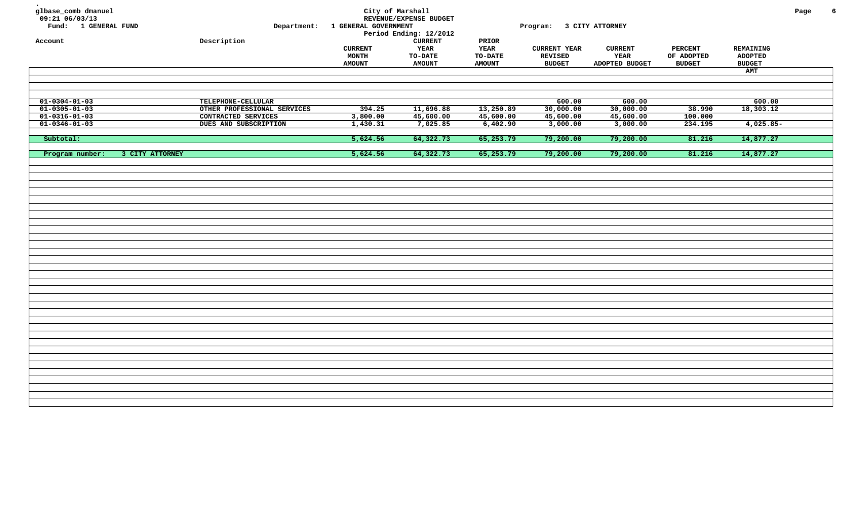| glbase_comb dmanuel<br>$09:21$ 06/03/13<br>Fund: 1 GENERAL FUND<br>Account | Description                 | Department: 1 GENERAL GOVERNMENT         | City of Marshall<br>REVENUE/EXPENSE BUDGET<br>Period Ending: 12/2012<br><b>CURRENT</b> | PRIOR                                   | Program: 3 CITY ATTORNEY                        |                                          |                                               |                                                     | Page | 6 |
|----------------------------------------------------------------------------|-----------------------------|------------------------------------------|----------------------------------------------------------------------------------------|-----------------------------------------|-------------------------------------------------|------------------------------------------|-----------------------------------------------|-----------------------------------------------------|------|---|
|                                                                            |                             | <b>CURRENT</b><br>MONTH<br><b>AMOUNT</b> | YEAR<br>TO-DATE<br><b>AMOUNT</b>                                                       | YEAR<br><b>TO-DATE</b><br><b>AMOUNT</b> | <b>CURRENT YEAR</b><br>REVISED<br><b>BUDGET</b> | <b>CURRENT</b><br>YEAR<br>ADOPTED BUDGET | <b>PERCENT</b><br>OF ADOPTED<br><b>BUDGET</b> | REMAINING<br><b>ADOPTED</b><br><b>BUDGET</b><br>AMT |      |   |
|                                                                            |                             |                                          |                                                                                        |                                         |                                                 |                                          |                                               |                                                     |      |   |
|                                                                            |                             |                                          |                                                                                        |                                         |                                                 |                                          |                                               |                                                     |      |   |
| $01 - 0304 - 01 - 03$                                                      | TELEPHONE-CELLULAR          |                                          |                                                                                        |                                         | 600.00                                          | 600.00                                   |                                               | 600.00                                              |      |   |
| $01 - 0305 - 01 - 03$                                                      | OTHER PROFESSIONAL SERVICES | 394.25                                   | 11,696.88                                                                              | 13,250.89                               | 30,000.00                                       | 30,000.00                                | 38.990                                        | 18,303.12                                           |      |   |
| $01 - 0316 - 01 - 03$                                                      | CONTRACTED SERVICES         | 3,800.00                                 | 45,600.00                                                                              | 45,600.00                               | 45,600.00                                       | 45,600.00                                | 100.000                                       |                                                     |      |   |
| $01 - 0346 - 01 - 03$                                                      | DUES AND SUBSCRIPTION       | 1,430.31                                 | 7,025.85                                                                               | 6,402.90                                | 3,000.00                                        | 3,000.00                                 | 234.195                                       | $4,025.85-$                                         |      |   |
| Subtotal:                                                                  |                             | 5,624.56                                 | 64,322.73                                                                              | 65,253.79                               | 79,200.00                                       | 79,200.00                                | 81.216                                        | 14,877.27                                           |      |   |
| Program number:<br>3 CITY ATTORNEY                                         |                             | 5,624.56                                 | 64,322.73                                                                              | 65,253.79                               | 79,200.00                                       | 79,200.00                                | 81.216                                        | 14,877.27                                           |      |   |
|                                                                            |                             |                                          |                                                                                        |                                         |                                                 |                                          |                                               |                                                     |      |   |
|                                                                            |                             |                                          |                                                                                        |                                         |                                                 |                                          |                                               |                                                     |      |   |
|                                                                            |                             |                                          |                                                                                        |                                         |                                                 |                                          |                                               |                                                     |      |   |
|                                                                            |                             |                                          |                                                                                        |                                         |                                                 |                                          |                                               |                                                     |      |   |
|                                                                            |                             |                                          |                                                                                        |                                         |                                                 |                                          |                                               |                                                     |      |   |
|                                                                            |                             |                                          |                                                                                        |                                         |                                                 |                                          |                                               |                                                     |      |   |
|                                                                            |                             |                                          |                                                                                        |                                         |                                                 |                                          |                                               |                                                     |      |   |
|                                                                            |                             |                                          |                                                                                        |                                         |                                                 |                                          |                                               |                                                     |      |   |
|                                                                            |                             |                                          |                                                                                        |                                         |                                                 |                                          |                                               |                                                     |      |   |
|                                                                            |                             |                                          |                                                                                        |                                         |                                                 |                                          |                                               |                                                     |      |   |
|                                                                            |                             |                                          |                                                                                        |                                         |                                                 |                                          |                                               |                                                     |      |   |
|                                                                            |                             |                                          |                                                                                        |                                         |                                                 |                                          |                                               |                                                     |      |   |
|                                                                            |                             |                                          |                                                                                        |                                         |                                                 |                                          |                                               |                                                     |      |   |
|                                                                            |                             |                                          |                                                                                        |                                         |                                                 |                                          |                                               |                                                     |      |   |
|                                                                            |                             |                                          |                                                                                        |                                         |                                                 |                                          |                                               |                                                     |      |   |
|                                                                            |                             |                                          |                                                                                        |                                         |                                                 |                                          |                                               |                                                     |      |   |
|                                                                            |                             |                                          |                                                                                        |                                         |                                                 |                                          |                                               |                                                     |      |   |
|                                                                            |                             |                                          |                                                                                        |                                         |                                                 |                                          |                                               |                                                     |      |   |
|                                                                            |                             |                                          |                                                                                        |                                         |                                                 |                                          |                                               |                                                     |      |   |
|                                                                            |                             |                                          |                                                                                        |                                         |                                                 |                                          |                                               |                                                     |      |   |
|                                                                            |                             |                                          |                                                                                        |                                         |                                                 |                                          |                                               |                                                     |      |   |
|                                                                            |                             |                                          |                                                                                        |                                         |                                                 |                                          |                                               |                                                     |      |   |
|                                                                            |                             |                                          |                                                                                        |                                         |                                                 |                                          |                                               |                                                     |      |   |
|                                                                            |                             |                                          |                                                                                        |                                         |                                                 |                                          |                                               |                                                     |      |   |
|                                                                            |                             |                                          |                                                                                        |                                         |                                                 |                                          |                                               |                                                     |      |   |
|                                                                            |                             |                                          |                                                                                        |                                         |                                                 |                                          |                                               |                                                     |      |   |
|                                                                            |                             |                                          |                                                                                        |                                         |                                                 |                                          |                                               |                                                     |      |   |
|                                                                            |                             |                                          |                                                                                        |                                         |                                                 |                                          |                                               |                                                     |      |   |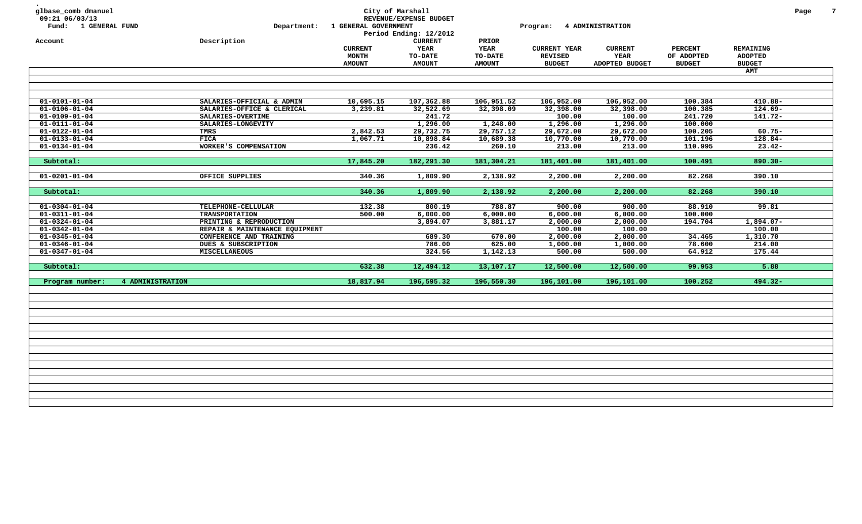| glbase_comb dmanuel<br>09:21 06/03/13<br>Fund: 1 GENERAL FUND<br>Account |                         | Department:<br>Description     | 1 GENERAL GOVERNMENT | City of Marshall<br>REVENUE/EXPENSE BUDGET<br>Period Ending: 12/2012<br><b>CURRENT</b> | PRIOR         | Program:            | <b>4 ADMINISTRATION</b> |                |                | Page | $7\phantom{.0}$ |
|--------------------------------------------------------------------------|-------------------------|--------------------------------|----------------------|----------------------------------------------------------------------------------------|---------------|---------------------|-------------------------|----------------|----------------|------|-----------------|
|                                                                          |                         |                                | <b>CURRENT</b>       | <b>YEAR</b>                                                                            | <b>YEAR</b>   | <b>CURRENT YEAR</b> | <b>CURRENT</b>          | <b>PERCENT</b> | REMAINING      |      |                 |
|                                                                          |                         |                                | MONTH                | <b>TO-DATE</b>                                                                         | TO-DATE       | <b>REVISED</b>      | YEAR                    | OF ADOPTED     | <b>ADOPTED</b> |      |                 |
|                                                                          |                         |                                | <b>AMOUNT</b>        | <b>AMOUNT</b>                                                                          | <b>AMOUNT</b> | <b>BUDGET</b>       | ADOPTED BUDGET          | <b>BUDGET</b>  | <b>BUDGET</b>  |      |                 |
|                                                                          |                         |                                |                      |                                                                                        |               |                     |                         |                | <b>AMT</b>     |      |                 |
|                                                                          |                         |                                |                      |                                                                                        |               |                     |                         |                |                |      |                 |
|                                                                          |                         |                                |                      |                                                                                        |               |                     |                         |                |                |      |                 |
| $01 - 0101 - 01 - 04$                                                    |                         | SALARIES-OFFICIAL & ADMIN      | 10,695.15            | 107,362.88                                                                             | 106,951.52    | 106,952.00          | 106,952.00              | 100.384        | $410.88 -$     |      |                 |
| $01 - 0106 - 01 - 04$                                                    |                         | SALARIES-OFFICE & CLERICAL     | 3,239.81             | 32,522.69                                                                              | 32,398.09     | 32,398.00           | 32,398.00               | 100.385        | $124.69 -$     |      |                 |
| $01 - 0109 - 01 - 04$                                                    |                         | SALARIES-OVERTIME              |                      | 241.72                                                                                 |               | 100.00              | 100.00                  | 241.720        | $141.72-$      |      |                 |
| $01 - 0111 - 01 - 04$                                                    |                         | SALARIES-LONGEVITY             |                      | 1,296.00                                                                               | 1,248.00      | 1,296.00            | 1,296.00                | 100.000        |                |      |                 |
| $01 - 0122 - 01 - 04$                                                    |                         | TMRS                           | 2,842.53             | 29,732.75                                                                              | 29,757.12     | 29,672.00           | 29,672.00               | 100.205        | $60.75 -$      |      |                 |
| $01 - 0133 - 01 - 04$                                                    |                         | <b>FICA</b>                    | 1,067.71             | 10,898.84                                                                              | 10,689.38     | 10,770.00           | 10,770.00               | 101.196        | $128.84-$      |      |                 |
| $01 - 0134 - 01 - 04$                                                    |                         | WORKER'S COMPENSATION          |                      | 236.42                                                                                 | 260.10        | 213.00              | 213.00                  | 110.995        | $23.42 -$      |      |                 |
| Subtotal:                                                                |                         |                                | 17,845.20            | 182,291.30                                                                             | 181,304.21    | 181,401.00          | 181,401.00              | 100.491        | $890.30 -$     |      |                 |
| $\overline{01-0201-01-04}$                                               |                         | OFFICE SUPPLIES                | 340.36               | 1,809.90                                                                               | 2,138.92      | 2,200.00            | 2,200.00                | 82.268         | 390.10         |      |                 |
|                                                                          |                         |                                |                      |                                                                                        |               |                     |                         |                |                |      |                 |
| Subtotal:                                                                |                         |                                | 340.36               | 1,809.90                                                                               | 2,138.92      | 2,200.00            | 2,200.00                | 82.268         | 390.10         |      |                 |
| $01 - 0304 - 01 - 04$                                                    |                         | TELEPHONE-CELLULAR             | 132.38               | 800.19                                                                                 | 788.87        | 900.00              | 900.00                  | 88.910         | 99.81          |      |                 |
| $01 - 0311 - 01 - 04$                                                    |                         | <b>TRANSPORTATION</b>          | 500.00               | 6,000.00                                                                               | 6,000.00      | 6,000.00            | 6,000.00                | 100.000        |                |      |                 |
| $01 - 0324 - 01 - 04$                                                    |                         | PRINTING & REPRODUCTION        |                      | 3,894.07                                                                               | 3,881.17      | 2,000.00            | 2,000.00                | 194.704        | $1,894.07-$    |      |                 |
| $01 - 0342 - 01 - 04$                                                    |                         | REPAIR & MAINTENANCE EQUIPMENT |                      |                                                                                        |               | 100.00              | 100.00                  |                | 100.00         |      |                 |
| $01 - 0345 - 01 - 04$                                                    |                         | CONFERENCE AND TRAINING        |                      | 689.30                                                                                 | 670.00        | 2,000.00            | 2,000.00                | 34.465         | 1,310.70       |      |                 |
| $01 - 0346 - 01 - 04$                                                    |                         | DUES & SUBSCRIPTION            |                      | 786.00                                                                                 | 625.00        | 1,000.00            | 1,000.00                | 78.600         | 214.00         |      |                 |
| $01 - 0347 - 01 - 04$                                                    |                         | <b>MISCELLANEOUS</b>           |                      | 324.56                                                                                 | 1,142.13      | 500.00              | 500.00                  | 64.912         | 175.44         |      |                 |
| Subtotal:                                                                |                         |                                | 632.38               | 12,494.12                                                                              | 13,107.17     | 12,500.00           | 12,500.00               | 99.953         | 5.88           |      |                 |
| Program number:                                                          | <b>4 ADMINISTRATION</b> |                                | 18,817.94            | 196,595.32                                                                             | 196,550.30    | 196,101.00          | 196,101.00              | 100.252        | 494.32-        |      |                 |
|                                                                          |                         |                                |                      |                                                                                        |               |                     |                         |                |                |      |                 |
|                                                                          |                         |                                |                      |                                                                                        |               |                     |                         |                |                |      |                 |
|                                                                          |                         |                                |                      |                                                                                        |               |                     |                         |                |                |      |                 |
|                                                                          |                         |                                |                      |                                                                                        |               |                     |                         |                |                |      |                 |
|                                                                          |                         |                                |                      |                                                                                        |               |                     |                         |                |                |      |                 |
|                                                                          |                         |                                |                      |                                                                                        |               |                     |                         |                |                |      |                 |
|                                                                          |                         |                                |                      |                                                                                        |               |                     |                         |                |                |      |                 |
|                                                                          |                         |                                |                      |                                                                                        |               |                     |                         |                |                |      |                 |
|                                                                          |                         |                                |                      |                                                                                        |               |                     |                         |                |                |      |                 |
|                                                                          |                         |                                |                      |                                                                                        |               |                     |                         |                |                |      |                 |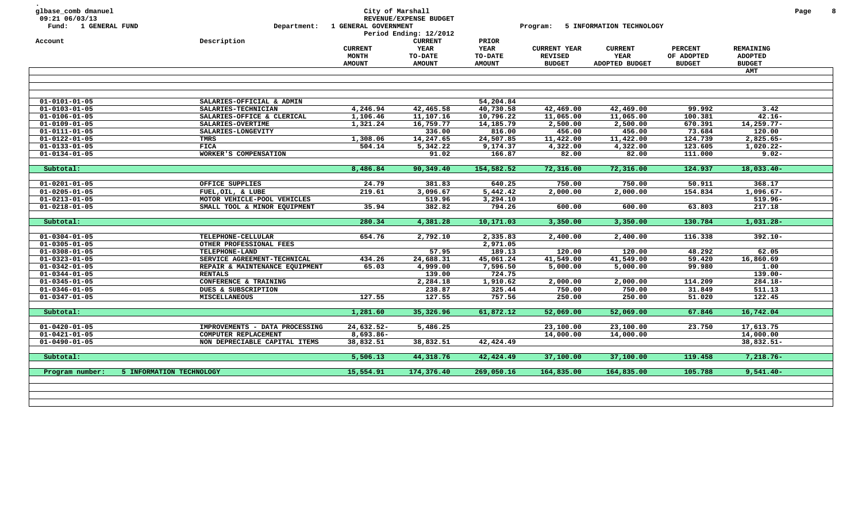| 09:21 06/03/13<br>Fund: 1 GENERAL FUND         | Department:                                   | 1 GENERAL GOVERNMENT | City of Marshall<br>REVENUE/EXPENSE BUDGET |                      | Program:            | 5 INFORMATION TECHNOLOGY |                |                | Page |
|------------------------------------------------|-----------------------------------------------|----------------------|--------------------------------------------|----------------------|---------------------|--------------------------|----------------|----------------|------|
|                                                |                                               |                      | Period Ending: 12/2012                     |                      |                     |                          |                |                |      |
| Account                                        | Description                                   |                      | <b>CURRENT</b>                             | PRIOR                |                     |                          |                |                |      |
|                                                |                                               | <b>CURRENT</b>       | <b>YEAR</b>                                | <b>YEAR</b>          | <b>CURRENT YEAR</b> | <b>CURRENT</b>           | <b>PERCENT</b> | REMAINING      |      |
|                                                |                                               | <b>MONTH</b>         | TO-DATE                                    | <b>TO-DATE</b>       | <b>REVISED</b>      | YEAR                     | OF ADOPTED     | <b>ADOPTED</b> |      |
|                                                |                                               | <b>AMOUNT</b>        | <b>AMOUNT</b>                              | <b>AMOUNT</b>        | <b>BUDGET</b>       | ADOPTED BUDGET           | <b>BUDGET</b>  | <b>BUDGET</b>  |      |
|                                                |                                               |                      |                                            |                      |                     |                          |                | AMT            |      |
|                                                |                                               |                      |                                            |                      |                     |                          |                |                |      |
| $01 - 0101 - 01 - 05$                          | SALARIES-OFFICIAL & ADMIN                     |                      |                                            | 54,204.84            |                     |                          |                |                |      |
| $01 - 0103 - 01 - 05$                          | SALARIES-TECHNICIAN                           | 4,246.94             | 42,465.58                                  | 40,730.58            | 42,469.00           | 42,469.00                | 99.992         | 3.42           |      |
| $01 - 0106 - 01 - 05$                          | SALARIES-OFFICE & CLERICAL                    | 1,106.46             | 11,107.16                                  | 10,796.22            | 11,065.00           | 11,065.00                | 100.381        | $42.16 -$      |      |
| $01 - 0109 - 01 - 05$                          | SALARIES-OVERTIME                             | 1,321.24             | 16,759.77                                  | 14,185.79            | 2,500.00            | 2,500.00                 | 670.391        | $14,259.77-$   |      |
| $01 - 0111 - 01 - 05$                          | SALARIES-LONGEVITY                            |                      | 336.00                                     | 816.00               | 456.00              | 456.00                   | 73.684         | 120.00         |      |
| $01 - 0122 - 01 - 05$                          | TMRS                                          | 1,308.06             | 14,247.65                                  | 24,507.85            | 11,422.00           | 11,422.00                | 124.739        | $2,825.65-$    |      |
| $01 - 0133 - 01 - 05$                          | <b>FICA</b>                                   | 504.14               | 5,342.22                                   | 9,174.37             | 4,322.00            | 4,322.00                 | 123.605        | 1,020.22-      |      |
| $01 - 0134 - 01 - 05$                          | WORKER'S COMPENSATION                         |                      | 91.02                                      | 166.87               | 82.00               | 82.00                    | 111.000        | $9.02 -$       |      |
| Subtotal:                                      |                                               | 8,486.84             | 90,349.40                                  | 154,582.52           | 72,316.00           | 72,316.00                | 124.937        | $18,033.40-$   |      |
|                                                |                                               |                      |                                            |                      |                     |                          |                |                |      |
| $01 - 0201 - 01 - 05$                          | OFFICE SUPPLIES                               | 24.79                | 381.83                                     | 640.25               | 750.00              | 750.00                   | 50.911         | 368.17         |      |
| $01 - 0205 - 01 - 05$                          | FUEL, OIL, & LUBE                             | 219.61               | 3,096.67                                   | 5,442.42             | 2,000.00            | 2,000.00                 | 154.834        | $1,096.67-$    |      |
| $01 - 0213 - 01 - 05$                          | MOTOR VEHICLE-POOL VEHICLES                   |                      | 519.96                                     | 3,294.10             |                     |                          |                | $519.96 -$     |      |
| $01 - 0218 - 01 - 05$                          | SMALL TOOL & MINOR EQUIPMENT                  | 35.94                | 382.82                                     | 794.26               | 600.00              | 600.00                   | 63.803         | 217.18         |      |
| Subtotal:                                      |                                               | 280.34               | 4,381.28                                   | 10,171.03            | 3,350.00            | 3,350.00                 | 130.784        | $1,031.28 -$   |      |
|                                                |                                               |                      | 2,792.10                                   |                      |                     |                          | 116.338        |                |      |
| $01 - 0304 - 01 - 05$<br>$01 - 0305 - 01 - 05$ | TELEPHONE-CELLULAR<br>OTHER PROFESSIONAL FEES | 654.76               |                                            | 2,335.83<br>2,971.05 | 2,400.00            | 2,400.00                 |                | $392.10 -$     |      |
| $01 - 0308 - 01 - 05$                          | TELEPHONE-LAND                                |                      | 57.95                                      | 189.13               | 120.00              | 120.00                   | 48.292         | 62.05          |      |
| $01 - 0323 - 01 - 05$                          | SERVICE AGREEMENT-TECHNICAL                   | 434.26               | 24,688.31                                  | 45,061.24            | 41,549.00           | 41,549.00                | 59.420         | 16,860.69      |      |
| $01 - 0342 - 01 - 05$                          | REPAIR & MAINTENANCE EQUIPMENT                | 65.03                | 4,999.00                                   | 7,596.50             | 5,000.00            | 5,000.00                 | 99.980         | 1.00           |      |
| $01 - 0344 - 01 - 05$                          | <b>RENTALS</b>                                |                      | 139.00                                     | 724.75               |                     |                          |                | $139.00 -$     |      |
| $01 - 0345 - 01 - 05$                          | CONFERENCE & TRAINING                         |                      |                                            |                      | 2,000.00            | 2,000.00                 | 114.209        | $284.18 -$     |      |
| $01 - 0346 - 01 - 05$                          | DUES & SUBSCRIPTION                           |                      | 2,284.18<br>238.87                         | 1,910.62<br>325.44   | 750.00              | 750.00                   | 31.849         | 511.13         |      |
| $01 - 0347 - 01 - 05$                          | <b>MISCELLANEOUS</b>                          | 127.55               | 127.55                                     | 757.56               | 250.00              | 250.00                   | 51.020         | 122.45         |      |
|                                                |                                               |                      |                                            |                      |                     |                          |                |                |      |
| Subtotal:                                      |                                               | 1,281.60             | 35,326.96                                  | 61,872.12            | 52,069.00           | 52,069.00                | 67.846         | 16,742.04      |      |
| $01 - 0420 - 01 - 05$                          | IMPROVEMENTS - DATA PROCESSING                | 24,632.52-           | 5,486.25                                   |                      | 23,100.00           | 23,100.00                | 23.750         | 17,613.75      |      |
| $01 - 0421 - 01 - 05$                          | COMPUTER REPLACEMENT                          | 8,693.86-            |                                            |                      | 14,000.00           | 14,000.00                |                | 14,000.00      |      |
| $01 - 0490 - 01 - 05$                          | NON DEPRECIABLE CAPITAL ITEMS                 | 38,832.51            | 38,832.51                                  | 42,424.49            |                     |                          |                | 38,832.51-     |      |
| Subtotal:                                      |                                               | 5,506.13             | 44,318.76                                  | 42,424.49            | 37,100.00           | 37,100.00                | 119.458        | $7,218.76-$    |      |
|                                                | 5 INFORMATION TECHNOLOGY                      | 15,554.91            | 174,376.40                                 | 269,050.16           | 164,835.00          | 164,835.00               | 105.788        | $9,541.40 -$   |      |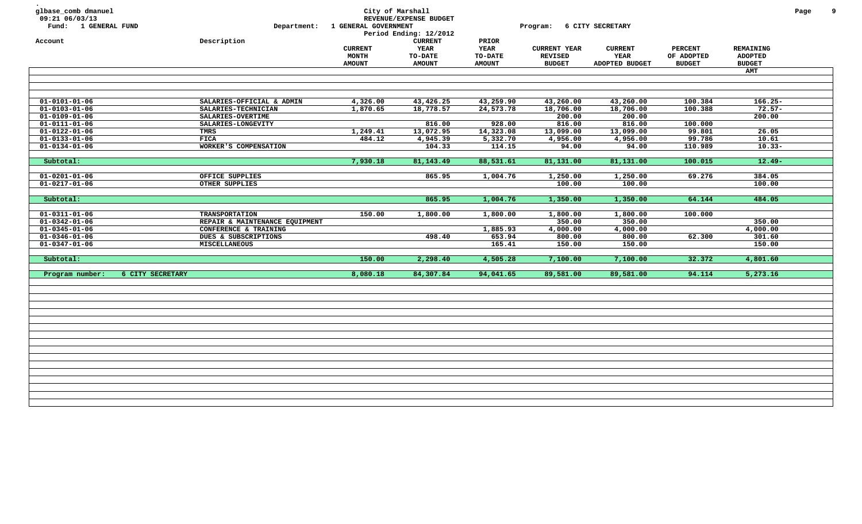| glbase_comb dmanuel<br>09:21 06/03/13<br>Fund: 1 GENERAL FUND<br>Account |                  | Department:<br>Description     | 1 GENERAL GOVERNMENT                     | City of Marshall<br>REVENUE/EXPENSE BUDGET<br>Period Ending: 12/2012<br><b>CURRENT</b> | PRIOR                                   | Program:                                               | 6 CITY SECRETARY                         |                                               |                                              | Page | 9 |
|--------------------------------------------------------------------------|------------------|--------------------------------|------------------------------------------|----------------------------------------------------------------------------------------|-----------------------------------------|--------------------------------------------------------|------------------------------------------|-----------------------------------------------|----------------------------------------------|------|---|
|                                                                          |                  |                                | <b>CURRENT</b><br>MONTH<br><b>AMOUNT</b> | <b>YEAR</b><br>TO-DATE<br><b>AMOUNT</b>                                                | <b>YEAR</b><br>TO-DATE<br><b>AMOUNT</b> | <b>CURRENT YEAR</b><br><b>REVISED</b><br><b>BUDGET</b> | <b>CURRENT</b><br>YEAR<br>ADOPTED BUDGET | <b>PERCENT</b><br>OF ADOPTED<br><b>BUDGET</b> | REMAINING<br><b>ADOPTED</b><br><b>BUDGET</b> |      |   |
|                                                                          |                  |                                |                                          |                                                                                        |                                         |                                                        |                                          |                                               | <b>AMT</b>                                   |      |   |
|                                                                          |                  |                                |                                          |                                                                                        |                                         |                                                        |                                          |                                               |                                              |      |   |
|                                                                          |                  |                                |                                          |                                                                                        |                                         |                                                        |                                          |                                               |                                              |      |   |
| $01 - 0101 - 01 - 06$                                                    |                  | SALARIES-OFFICIAL & ADMIN      | 4,326.00                                 |                                                                                        | 43,259.90                               | 43,260.00                                              | 43,260.00                                | 100.384                                       | $166.25 -$                                   |      |   |
| $\overline{01-0103-01-06}$                                               |                  | SALARIES-TECHNICIAN            | 1,870.65                                 | 43,426.25<br>18,778.57                                                                 | 24,573.78                               | 18,706.00                                              | 18,706.00                                | 100.388                                       | $72.57 -$                                    |      |   |
| $01 - 0109 - 01 - 06$                                                    |                  | SALARIES-OVERTIME              |                                          |                                                                                        |                                         | 200.00                                                 | 200.00                                   |                                               | 200.00                                       |      |   |
| $01 - 0111 - 01 - 06$                                                    |                  | SALARIES-LONGEVITY             |                                          | 816.00                                                                                 | 928.00                                  | 816.00                                                 | 816.00                                   | 100.000                                       |                                              |      |   |
| $01 - 0122 - 01 - 06$                                                    |                  | TMRS                           | 1,249.41                                 | 13,072.95                                                                              | 14,323.08                               | 13,099.00                                              | 13,099.00                                | 99.801                                        | 26.05                                        |      |   |
| $01 - 0133 - 01 - 06$                                                    |                  | <b>FICA</b>                    | 484.12                                   | 4,945.39                                                                               | 5,332.70                                | 4,956.00                                               | 4,956.00                                 | 99.786                                        | 10.61                                        |      |   |
| $01 - 0134 - 01 - 06$                                                    |                  | WORKER'S COMPENSATION          |                                          | 104.33                                                                                 | 114.15                                  | 94.00                                                  | 94.00                                    | 110.989                                       | $10.33 -$                                    |      |   |
|                                                                          |                  |                                |                                          |                                                                                        |                                         |                                                        |                                          |                                               |                                              |      |   |
| Subtotal:                                                                |                  |                                | 7,930.18                                 | 81,143.49                                                                              | 88,531.61                               | 81,131.00                                              | 81,131.00                                | 100.015                                       | $12.49 -$                                    |      |   |
|                                                                          |                  |                                |                                          |                                                                                        |                                         |                                                        |                                          |                                               |                                              |      |   |
| $01 - 0201 - 01 - 06$                                                    |                  | OFFICE SUPPLIES                |                                          | 865.95                                                                                 | 1,004.76                                | 1,250.00                                               | 1,250.00                                 | 69.276                                        | 384.05                                       |      |   |
| $01 - 0217 - 01 - 06$                                                    |                  | OTHER SUPPLIES                 |                                          |                                                                                        |                                         | 100.00                                                 | 100.00                                   |                                               | 100.00                                       |      |   |
| Subtotal:                                                                |                  |                                |                                          | 865.95                                                                                 | 1,004.76                                | 1,350.00                                               | 1,350.00                                 | 64.144                                        | 484.05                                       |      |   |
|                                                                          |                  |                                |                                          |                                                                                        |                                         |                                                        |                                          |                                               |                                              |      |   |
| $01 - 0311 - 01 - 06$                                                    |                  | <b>TRANSPORTATION</b>          | 150.00                                   | 1,800.00                                                                               | 1,800.00                                | 1,800.00                                               | 1,800.00                                 | 100.000                                       |                                              |      |   |
| $01 - 0342 - 01 - 06$                                                    |                  | REPAIR & MAINTENANCE EQUIPMENT |                                          |                                                                                        |                                         | 350.00                                                 | 350.00                                   |                                               | 350.00                                       |      |   |
| $01 - 0345 - 01 - 06$                                                    |                  | CONFERENCE & TRAINING          |                                          |                                                                                        | 1,885.93                                | 4,000.00                                               | 4,000.00                                 |                                               | 4,000.00                                     |      |   |
| $01 - 0346 - 01 - 06$                                                    |                  | DUES & SUBSCRIPTIONS           |                                          | 498.40                                                                                 | 653.94                                  | 800.00                                                 | 800.00                                   | 62.300                                        | 301.60                                       |      |   |
| $01 - 0347 - 01 - 06$                                                    |                  | <b>MISCELLANEOUS</b>           |                                          |                                                                                        | 165.41                                  | 150.00                                                 | 150.00                                   |                                               | 150.00                                       |      |   |
|                                                                          |                  |                                |                                          |                                                                                        |                                         |                                                        |                                          |                                               |                                              |      |   |
| Subtotal:                                                                |                  |                                | 150.00                                   | 2,298.40                                                                               | 4,505.28                                | 7,100.00                                               | 7,100.00                                 | 32.372                                        | 4,801.60                                     |      |   |
| Program number:                                                          | 6 CITY SECRETARY |                                | 8,080.18                                 | 84,307.84                                                                              | 94,041.65                               | 89,581.00                                              | 89,581.00                                | 94.114                                        | 5,273.16                                     |      |   |
|                                                                          |                  |                                |                                          |                                                                                        |                                         |                                                        |                                          |                                               |                                              |      |   |
|                                                                          |                  |                                |                                          |                                                                                        |                                         |                                                        |                                          |                                               |                                              |      |   |
|                                                                          |                  |                                |                                          |                                                                                        |                                         |                                                        |                                          |                                               |                                              |      |   |
|                                                                          |                  |                                |                                          |                                                                                        |                                         |                                                        |                                          |                                               |                                              |      |   |
|                                                                          |                  |                                |                                          |                                                                                        |                                         |                                                        |                                          |                                               |                                              |      |   |
|                                                                          |                  |                                |                                          |                                                                                        |                                         |                                                        |                                          |                                               |                                              |      |   |
|                                                                          |                  |                                |                                          |                                                                                        |                                         |                                                        |                                          |                                               |                                              |      |   |
|                                                                          |                  |                                |                                          |                                                                                        |                                         |                                                        |                                          |                                               |                                              |      |   |
|                                                                          |                  |                                |                                          |                                                                                        |                                         |                                                        |                                          |                                               |                                              |      |   |
|                                                                          |                  |                                |                                          |                                                                                        |                                         |                                                        |                                          |                                               |                                              |      |   |
|                                                                          |                  |                                |                                          |                                                                                        |                                         |                                                        |                                          |                                               |                                              |      |   |
|                                                                          |                  |                                |                                          |                                                                                        |                                         |                                                        |                                          |                                               |                                              |      |   |
|                                                                          |                  |                                |                                          |                                                                                        |                                         |                                                        |                                          |                                               |                                              |      |   |
|                                                                          |                  |                                |                                          |                                                                                        |                                         |                                                        |                                          |                                               |                                              |      |   |
|                                                                          |                  |                                |                                          |                                                                                        |                                         |                                                        |                                          |                                               |                                              |      |   |
|                                                                          |                  |                                |                                          |                                                                                        |                                         |                                                        |                                          |                                               |                                              |      |   |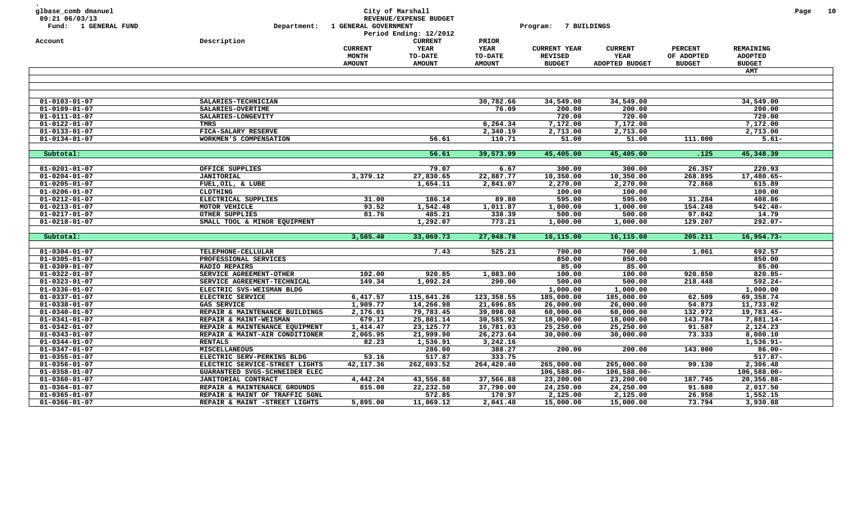| <b>CURRENT</b><br>Account<br>Description<br>PRIOR<br>YEAR<br><b>YEAR</b><br><b>PERCENT</b><br>REMAINING<br><b>CURRENT</b><br><b>CURRENT YEAR</b><br><b>CURRENT</b><br>MONTH<br><b>TO-DATE</b><br>TO-DATE<br><b>REVISED</b><br>YEAR<br>OF ADOPTED<br><b>ADOPTED</b><br><b>BUDGET</b><br>ADOPTED BUDGET<br><b>AMOUNT</b><br><b>AMOUNT</b><br><b>AMOUNT</b><br><b>BUDGET</b><br><b>BUDGET</b><br>AMT<br>30,782.66<br>34,549.00<br>$01 - 0103 - 01 - 07$<br>SALARIES-TECHNICIAN<br>34,549.00<br>34,549.00<br>$01 - 0109 - 01 - 07$<br>76.09<br>200.00<br>200.00<br>200.00<br>SALARIES-OVERTIME<br>720.00<br>720.00<br>720.00<br>$01 - 0111 - 01 - 07$<br>SALARIES-LONGEVITY<br>6,264.34<br>7,172.00<br>7,172.00<br>$01 - 0122 - 01 - 07$<br><b>TMRS</b><br>7,172.00<br>$01 - 0133 - 01 - 07$<br>FICA-SALARY RESERVE<br>2,340.19<br>2,713.00<br>2,713.00<br>2,713.00<br>$01 - 0134 - 01 - 07$<br>WORKMEN'S COMPENSATION<br>56.61<br>110.71<br>51.00<br>51.00<br>111.000<br>$5.61 -$<br>56.61<br>39,573.99<br>45,405.00<br>45,405.00<br>.125<br>45,348.39<br>Subtotal:<br>300.00<br>300.00<br>26.357<br>220.93<br>$01 - 0201 - 01 - 07$<br>OFFICE SUPPLIES<br>79.07<br>6.67<br>3,379.12<br>27,830.65<br>22,887.77<br>10,350.00<br>10,350.00<br>268.895<br>17,480.65-<br>$01 - 0204 - 01 - 07$<br><b>JANITORIAL</b><br>1,654.11<br>2,841.07<br>2,270.00<br>2,270.00<br>72.868<br>615.89<br>$01 - 0205 - 01 - 07$<br>FUEL, OIL, & LUBE<br>100.00<br>100.00<br>100.00<br>$01 - 0206 - 01 - 07$<br><b>CLOTHING</b><br>31.00<br>186.14<br>89.80<br>595.00<br>595.00<br>31.284<br>408.86<br>01-0212-01-07<br>ELECTRICAL SUPPLIES<br>154.248<br>93.52<br>1,542.48<br>1,011.87<br>1,000.00<br>$542.48 -$<br>$01 - 0213 - 01 - 07$<br>MOTOR VEHICLE<br>1,000.00<br>$01 - 0217 - 01 - 07$<br>485.21<br>338.39<br>500.00<br>97.042<br>14.79<br>OTHER SUPPLIES<br>81.76<br>500.00<br>$01 - 0218 - 01 - 07$<br>SMALL TOOL & MINOR EQUIPMENT<br>1,292.07<br>773.21<br>1,000.00<br>1,000.00<br>129.207<br>$292.07 -$<br>33,069.73<br>27,948.78<br>16,115.00<br>16,115.00<br>205.211<br>$16,954.73-$<br>Subtotal:<br>3,585.40<br>$01 - 0304 - 01 - 07$<br>TELEPHONE-CELLULAR<br>7.43<br>525.21<br>700.00<br>700.00<br>1.061<br>692.57<br>850.00<br>850.00<br>$01 - 0305 - 01 - 07$<br>PROFESSIONAL SERVICES<br>850.00<br>85.00<br>85.00<br>$01 - 0309 - 01 - 07$<br>85.00<br><b>RADIO REPAIRS</b><br>$01 - 0322 - 01 - 07$<br>102.00<br>920.85<br>1,083.00<br>100.00<br>100.00<br>$820.85 -$<br>SERVICE AGREEMENT-OTHER<br>920.850<br>$01 - 0323 - 01 - 07$<br>149.34<br>1,092.24<br>290.00<br>500.00<br>500.00<br>218.448<br>$592.24 -$<br>SERVICE AGREEMENT-TECHNICAL<br>1,000.00<br>$01 - 0336 - 01 - 07$<br>ELECTRIC SVS-WEISMAN BLDG<br>1,000.00<br>1,000.00<br>69,358.74<br>$01 - 0337 - 01 - 07$<br>ELECTRIC SERVICE<br>6,417.57<br>115,641.26<br>123,358.55<br>185,000.00<br>185,000.00<br>62.509<br>1,909.77<br>54.873<br>$01 - 0338 - 01 - 07$<br>GAS SERVICE<br>14,266.98<br>21,696.85<br>26,000.00<br>26,000.00<br>11,733.02<br>$01 - 0340 - 01 - 07$<br>2,176.01<br>79,783.45<br>39,098.08<br>60,000.00<br>132.972<br>19,783.45-<br>REPAIR & MAINTENANCE BUILDINGS<br>60,000.00<br>679.17<br>25,881.14<br>143.784<br>$01 - 0341 - 01 - 07$<br>REPAIR & MAINT-WEISMAN<br>30,585.92<br>18,000.00<br>18,000.00<br>7,881.14-<br>$01 - 0342 - 01 - 07$<br>1,414.47<br>25,250.00<br>91.587<br>2,124.23<br>REPAIR & MAINTENANCE EQUIPMENT<br>23,125.77<br>16,781.03<br>25,250.00<br>$01 - 0343 - 01 - 07$<br>2,065.95<br>21,999.90<br>26,273.64<br>30,000.00<br>30,000.00<br>73.333<br>8,000.10<br>REPAIR & MAINT-AIR CONDITIONER<br>$01 - 0344 - 01 - 07$<br><b>RENTALS</b><br>82.23<br>3,242.16<br>1,536.91-<br>1,536.91<br>$01 - 0347 - 01 - 07$<br><b>MISCELLANEOUS</b><br>286.00<br>388.27<br>200.00<br>200.00<br>143.000<br>$86.00 -$<br>$01 - 0355 - 01 - 07$<br>ELECTRIC SERV-PERKINS BLDG<br>53.16<br>517.87<br>333.75<br>$517.87 -$<br>42,117.36<br>262,693.52<br>2,306.48<br>$01 - 0356 - 01 - 07$<br>ELECTRIC SERVICE-STREET LIGHTS<br>264,420.40<br>265,000.00<br>265,000.00<br>99.130<br>$01 - 0358 - 01 - 07$<br>GUARANTEED SVGS-SCHNEIDER ELEC<br>$106,588.00 -$<br>$106,588.00 -$<br>$106,588.00 -$<br>$01 - 0360 - 01 - 07$<br>JANITORIAL CONTRACT<br>4,442.24<br>43,556.88<br>37,566.88<br>23,200.00<br>187.745<br>$20,356.88 -$<br>23,200.00<br>22,232.50<br>37,790.00<br>24,250.00<br>91.680<br>$01 - 0364 - 01 - 07$<br>REPAIR & MAINTENANCE GROUNDS<br>815.00<br>24,250.00<br>2,017.50<br>572.85<br>170.97<br>2,125.00<br>2,125.00<br>26.958<br>1,552.15<br>$01 - 0365 - 01 - 07$<br>REPAIR & MAINT OF TRAFFIC SGNL<br>5,895.00<br>11,069.12<br>2,041.48<br>15,000.00<br>15,000.00<br>73.794<br>3,930.88<br>$01 - 0366 - 01 - 07$<br>REPAIR & MAINT -STREET LIGHTS | glbase_comb dmanuel<br>09:21 06/03/13<br>Fund: 1 GENERAL FUND | Department: | 1 GENERAL GOVERNMENT | City of Marshall<br>REVENUE/EXPENSE BUDGET<br>Period Ending: 12/2012 | 7 BUILDINGS<br>Program: |  | Page | 10 |
|---------------------------------------------------------------------------------------------------------------------------------------------------------------------------------------------------------------------------------------------------------------------------------------------------------------------------------------------------------------------------------------------------------------------------------------------------------------------------------------------------------------------------------------------------------------------------------------------------------------------------------------------------------------------------------------------------------------------------------------------------------------------------------------------------------------------------------------------------------------------------------------------------------------------------------------------------------------------------------------------------------------------------------------------------------------------------------------------------------------------------------------------------------------------------------------------------------------------------------------------------------------------------------------------------------------------------------------------------------------------------------------------------------------------------------------------------------------------------------------------------------------------------------------------------------------------------------------------------------------------------------------------------------------------------------------------------------------------------------------------------------------------------------------------------------------------------------------------------------------------------------------------------------------------------------------------------------------------------------------------------------------------------------------------------------------------------------------------------------------------------------------------------------------------------------------------------------------------------------------------------------------------------------------------------------------------------------------------------------------------------------------------------------------------------------------------------------------------------------------------------------------------------------------------------------------------------------------------------------------------------------------------------------------------------------------------------------------------------------------------------------------------------------------------------------------------------------------------------------------------------------------------------------------------------------------------------------------------------------------------------------------------------------------------------------------------------------------------------------------------------------------------------------------------------------------------------------------------------------------------------------------------------------------------------------------------------------------------------------------------------------------------------------------------------------------------------------------------------------------------------------------------------------------------------------------------------------------------------------------------------------------------------------------------------------------------------------------------------------------------------------------------------------------------------------------------------------------------------------------------------------------------------------------------------------------------------------------------------------------------------------------------------------------------------------------------------------------------------------------------------------------------------------------------------------------------------------------------------------------------------------------------------------------------------------------------------------------------------------------------------------------------------------------------------------------------------------------------------------------------------------------------------------------------------------------------------------------------------------------------------------------------------------------------------------------------------------------------------------------------------------------------------|---------------------------------------------------------------|-------------|----------------------|----------------------------------------------------------------------|-------------------------|--|------|----|
|                                                                                                                                                                                                                                                                                                                                                                                                                                                                                                                                                                                                                                                                                                                                                                                                                                                                                                                                                                                                                                                                                                                                                                                                                                                                                                                                                                                                                                                                                                                                                                                                                                                                                                                                                                                                                                                                                                                                                                                                                                                                                                                                                                                                                                                                                                                                                                                                                                                                                                                                                                                                                                                                                                                                                                                                                                                                                                                                                                                                                                                                                                                                                                                                                                                                                                                                                                                                                                                                                                                                                                                                                                                                                                                                                                                                                                                                                                                                                                                                                                                                                                                                                                                                                                                                                                                                                                                                                                                                                                                                                                                                                                                                                                                                                                           |                                                               |             |                      |                                                                      |                         |  |      |    |
|                                                                                                                                                                                                                                                                                                                                                                                                                                                                                                                                                                                                                                                                                                                                                                                                                                                                                                                                                                                                                                                                                                                                                                                                                                                                                                                                                                                                                                                                                                                                                                                                                                                                                                                                                                                                                                                                                                                                                                                                                                                                                                                                                                                                                                                                                                                                                                                                                                                                                                                                                                                                                                                                                                                                                                                                                                                                                                                                                                                                                                                                                                                                                                                                                                                                                                                                                                                                                                                                                                                                                                                                                                                                                                                                                                                                                                                                                                                                                                                                                                                                                                                                                                                                                                                                                                                                                                                                                                                                                                                                                                                                                                                                                                                                                                           |                                                               |             |                      |                                                                      |                         |  |      |    |
|                                                                                                                                                                                                                                                                                                                                                                                                                                                                                                                                                                                                                                                                                                                                                                                                                                                                                                                                                                                                                                                                                                                                                                                                                                                                                                                                                                                                                                                                                                                                                                                                                                                                                                                                                                                                                                                                                                                                                                                                                                                                                                                                                                                                                                                                                                                                                                                                                                                                                                                                                                                                                                                                                                                                                                                                                                                                                                                                                                                                                                                                                                                                                                                                                                                                                                                                                                                                                                                                                                                                                                                                                                                                                                                                                                                                                                                                                                                                                                                                                                                                                                                                                                                                                                                                                                                                                                                                                                                                                                                                                                                                                                                                                                                                                                           |                                                               |             |                      |                                                                      |                         |  |      |    |
|                                                                                                                                                                                                                                                                                                                                                                                                                                                                                                                                                                                                                                                                                                                                                                                                                                                                                                                                                                                                                                                                                                                                                                                                                                                                                                                                                                                                                                                                                                                                                                                                                                                                                                                                                                                                                                                                                                                                                                                                                                                                                                                                                                                                                                                                                                                                                                                                                                                                                                                                                                                                                                                                                                                                                                                                                                                                                                                                                                                                                                                                                                                                                                                                                                                                                                                                                                                                                                                                                                                                                                                                                                                                                                                                                                                                                                                                                                                                                                                                                                                                                                                                                                                                                                                                                                                                                                                                                                                                                                                                                                                                                                                                                                                                                                           |                                                               |             |                      |                                                                      |                         |  |      |    |
|                                                                                                                                                                                                                                                                                                                                                                                                                                                                                                                                                                                                                                                                                                                                                                                                                                                                                                                                                                                                                                                                                                                                                                                                                                                                                                                                                                                                                                                                                                                                                                                                                                                                                                                                                                                                                                                                                                                                                                                                                                                                                                                                                                                                                                                                                                                                                                                                                                                                                                                                                                                                                                                                                                                                                                                                                                                                                                                                                                                                                                                                                                                                                                                                                                                                                                                                                                                                                                                                                                                                                                                                                                                                                                                                                                                                                                                                                                                                                                                                                                                                                                                                                                                                                                                                                                                                                                                                                                                                                                                                                                                                                                                                                                                                                                           |                                                               |             |                      |                                                                      |                         |  |      |    |
|                                                                                                                                                                                                                                                                                                                                                                                                                                                                                                                                                                                                                                                                                                                                                                                                                                                                                                                                                                                                                                                                                                                                                                                                                                                                                                                                                                                                                                                                                                                                                                                                                                                                                                                                                                                                                                                                                                                                                                                                                                                                                                                                                                                                                                                                                                                                                                                                                                                                                                                                                                                                                                                                                                                                                                                                                                                                                                                                                                                                                                                                                                                                                                                                                                                                                                                                                                                                                                                                                                                                                                                                                                                                                                                                                                                                                                                                                                                                                                                                                                                                                                                                                                                                                                                                                                                                                                                                                                                                                                                                                                                                                                                                                                                                                                           |                                                               |             |                      |                                                                      |                         |  |      |    |
|                                                                                                                                                                                                                                                                                                                                                                                                                                                                                                                                                                                                                                                                                                                                                                                                                                                                                                                                                                                                                                                                                                                                                                                                                                                                                                                                                                                                                                                                                                                                                                                                                                                                                                                                                                                                                                                                                                                                                                                                                                                                                                                                                                                                                                                                                                                                                                                                                                                                                                                                                                                                                                                                                                                                                                                                                                                                                                                                                                                                                                                                                                                                                                                                                                                                                                                                                                                                                                                                                                                                                                                                                                                                                                                                                                                                                                                                                                                                                                                                                                                                                                                                                                                                                                                                                                                                                                                                                                                                                                                                                                                                                                                                                                                                                                           |                                                               |             |                      |                                                                      |                         |  |      |    |
|                                                                                                                                                                                                                                                                                                                                                                                                                                                                                                                                                                                                                                                                                                                                                                                                                                                                                                                                                                                                                                                                                                                                                                                                                                                                                                                                                                                                                                                                                                                                                                                                                                                                                                                                                                                                                                                                                                                                                                                                                                                                                                                                                                                                                                                                                                                                                                                                                                                                                                                                                                                                                                                                                                                                                                                                                                                                                                                                                                                                                                                                                                                                                                                                                                                                                                                                                                                                                                                                                                                                                                                                                                                                                                                                                                                                                                                                                                                                                                                                                                                                                                                                                                                                                                                                                                                                                                                                                                                                                                                                                                                                                                                                                                                                                                           |                                                               |             |                      |                                                                      |                         |  |      |    |
|                                                                                                                                                                                                                                                                                                                                                                                                                                                                                                                                                                                                                                                                                                                                                                                                                                                                                                                                                                                                                                                                                                                                                                                                                                                                                                                                                                                                                                                                                                                                                                                                                                                                                                                                                                                                                                                                                                                                                                                                                                                                                                                                                                                                                                                                                                                                                                                                                                                                                                                                                                                                                                                                                                                                                                                                                                                                                                                                                                                                                                                                                                                                                                                                                                                                                                                                                                                                                                                                                                                                                                                                                                                                                                                                                                                                                                                                                                                                                                                                                                                                                                                                                                                                                                                                                                                                                                                                                                                                                                                                                                                                                                                                                                                                                                           |                                                               |             |                      |                                                                      |                         |  |      |    |
|                                                                                                                                                                                                                                                                                                                                                                                                                                                                                                                                                                                                                                                                                                                                                                                                                                                                                                                                                                                                                                                                                                                                                                                                                                                                                                                                                                                                                                                                                                                                                                                                                                                                                                                                                                                                                                                                                                                                                                                                                                                                                                                                                                                                                                                                                                                                                                                                                                                                                                                                                                                                                                                                                                                                                                                                                                                                                                                                                                                                                                                                                                                                                                                                                                                                                                                                                                                                                                                                                                                                                                                                                                                                                                                                                                                                                                                                                                                                                                                                                                                                                                                                                                                                                                                                                                                                                                                                                                                                                                                                                                                                                                                                                                                                                                           |                                                               |             |                      |                                                                      |                         |  |      |    |
|                                                                                                                                                                                                                                                                                                                                                                                                                                                                                                                                                                                                                                                                                                                                                                                                                                                                                                                                                                                                                                                                                                                                                                                                                                                                                                                                                                                                                                                                                                                                                                                                                                                                                                                                                                                                                                                                                                                                                                                                                                                                                                                                                                                                                                                                                                                                                                                                                                                                                                                                                                                                                                                                                                                                                                                                                                                                                                                                                                                                                                                                                                                                                                                                                                                                                                                                                                                                                                                                                                                                                                                                                                                                                                                                                                                                                                                                                                                                                                                                                                                                                                                                                                                                                                                                                                                                                                                                                                                                                                                                                                                                                                                                                                                                                                           |                                                               |             |                      |                                                                      |                         |  |      |    |
|                                                                                                                                                                                                                                                                                                                                                                                                                                                                                                                                                                                                                                                                                                                                                                                                                                                                                                                                                                                                                                                                                                                                                                                                                                                                                                                                                                                                                                                                                                                                                                                                                                                                                                                                                                                                                                                                                                                                                                                                                                                                                                                                                                                                                                                                                                                                                                                                                                                                                                                                                                                                                                                                                                                                                                                                                                                                                                                                                                                                                                                                                                                                                                                                                                                                                                                                                                                                                                                                                                                                                                                                                                                                                                                                                                                                                                                                                                                                                                                                                                                                                                                                                                                                                                                                                                                                                                                                                                                                                                                                                                                                                                                                                                                                                                           |                                                               |             |                      |                                                                      |                         |  |      |    |
|                                                                                                                                                                                                                                                                                                                                                                                                                                                                                                                                                                                                                                                                                                                                                                                                                                                                                                                                                                                                                                                                                                                                                                                                                                                                                                                                                                                                                                                                                                                                                                                                                                                                                                                                                                                                                                                                                                                                                                                                                                                                                                                                                                                                                                                                                                                                                                                                                                                                                                                                                                                                                                                                                                                                                                                                                                                                                                                                                                                                                                                                                                                                                                                                                                                                                                                                                                                                                                                                                                                                                                                                                                                                                                                                                                                                                                                                                                                                                                                                                                                                                                                                                                                                                                                                                                                                                                                                                                                                                                                                                                                                                                                                                                                                                                           |                                                               |             |                      |                                                                      |                         |  |      |    |
|                                                                                                                                                                                                                                                                                                                                                                                                                                                                                                                                                                                                                                                                                                                                                                                                                                                                                                                                                                                                                                                                                                                                                                                                                                                                                                                                                                                                                                                                                                                                                                                                                                                                                                                                                                                                                                                                                                                                                                                                                                                                                                                                                                                                                                                                                                                                                                                                                                                                                                                                                                                                                                                                                                                                                                                                                                                                                                                                                                                                                                                                                                                                                                                                                                                                                                                                                                                                                                                                                                                                                                                                                                                                                                                                                                                                                                                                                                                                                                                                                                                                                                                                                                                                                                                                                                                                                                                                                                                                                                                                                                                                                                                                                                                                                                           |                                                               |             |                      |                                                                      |                         |  |      |    |
|                                                                                                                                                                                                                                                                                                                                                                                                                                                                                                                                                                                                                                                                                                                                                                                                                                                                                                                                                                                                                                                                                                                                                                                                                                                                                                                                                                                                                                                                                                                                                                                                                                                                                                                                                                                                                                                                                                                                                                                                                                                                                                                                                                                                                                                                                                                                                                                                                                                                                                                                                                                                                                                                                                                                                                                                                                                                                                                                                                                                                                                                                                                                                                                                                                                                                                                                                                                                                                                                                                                                                                                                                                                                                                                                                                                                                                                                                                                                                                                                                                                                                                                                                                                                                                                                                                                                                                                                                                                                                                                                                                                                                                                                                                                                                                           |                                                               |             |                      |                                                                      |                         |  |      |    |
|                                                                                                                                                                                                                                                                                                                                                                                                                                                                                                                                                                                                                                                                                                                                                                                                                                                                                                                                                                                                                                                                                                                                                                                                                                                                                                                                                                                                                                                                                                                                                                                                                                                                                                                                                                                                                                                                                                                                                                                                                                                                                                                                                                                                                                                                                                                                                                                                                                                                                                                                                                                                                                                                                                                                                                                                                                                                                                                                                                                                                                                                                                                                                                                                                                                                                                                                                                                                                                                                                                                                                                                                                                                                                                                                                                                                                                                                                                                                                                                                                                                                                                                                                                                                                                                                                                                                                                                                                                                                                                                                                                                                                                                                                                                                                                           |                                                               |             |                      |                                                                      |                         |  |      |    |
|                                                                                                                                                                                                                                                                                                                                                                                                                                                                                                                                                                                                                                                                                                                                                                                                                                                                                                                                                                                                                                                                                                                                                                                                                                                                                                                                                                                                                                                                                                                                                                                                                                                                                                                                                                                                                                                                                                                                                                                                                                                                                                                                                                                                                                                                                                                                                                                                                                                                                                                                                                                                                                                                                                                                                                                                                                                                                                                                                                                                                                                                                                                                                                                                                                                                                                                                                                                                                                                                                                                                                                                                                                                                                                                                                                                                                                                                                                                                                                                                                                                                                                                                                                                                                                                                                                                                                                                                                                                                                                                                                                                                                                                                                                                                                                           |                                                               |             |                      |                                                                      |                         |  |      |    |
|                                                                                                                                                                                                                                                                                                                                                                                                                                                                                                                                                                                                                                                                                                                                                                                                                                                                                                                                                                                                                                                                                                                                                                                                                                                                                                                                                                                                                                                                                                                                                                                                                                                                                                                                                                                                                                                                                                                                                                                                                                                                                                                                                                                                                                                                                                                                                                                                                                                                                                                                                                                                                                                                                                                                                                                                                                                                                                                                                                                                                                                                                                                                                                                                                                                                                                                                                                                                                                                                                                                                                                                                                                                                                                                                                                                                                                                                                                                                                                                                                                                                                                                                                                                                                                                                                                                                                                                                                                                                                                                                                                                                                                                                                                                                                                           |                                                               |             |                      |                                                                      |                         |  |      |    |
|                                                                                                                                                                                                                                                                                                                                                                                                                                                                                                                                                                                                                                                                                                                                                                                                                                                                                                                                                                                                                                                                                                                                                                                                                                                                                                                                                                                                                                                                                                                                                                                                                                                                                                                                                                                                                                                                                                                                                                                                                                                                                                                                                                                                                                                                                                                                                                                                                                                                                                                                                                                                                                                                                                                                                                                                                                                                                                                                                                                                                                                                                                                                                                                                                                                                                                                                                                                                                                                                                                                                                                                                                                                                                                                                                                                                                                                                                                                                                                                                                                                                                                                                                                                                                                                                                                                                                                                                                                                                                                                                                                                                                                                                                                                                                                           |                                                               |             |                      |                                                                      |                         |  |      |    |
|                                                                                                                                                                                                                                                                                                                                                                                                                                                                                                                                                                                                                                                                                                                                                                                                                                                                                                                                                                                                                                                                                                                                                                                                                                                                                                                                                                                                                                                                                                                                                                                                                                                                                                                                                                                                                                                                                                                                                                                                                                                                                                                                                                                                                                                                                                                                                                                                                                                                                                                                                                                                                                                                                                                                                                                                                                                                                                                                                                                                                                                                                                                                                                                                                                                                                                                                                                                                                                                                                                                                                                                                                                                                                                                                                                                                                                                                                                                                                                                                                                                                                                                                                                                                                                                                                                                                                                                                                                                                                                                                                                                                                                                                                                                                                                           |                                                               |             |                      |                                                                      |                         |  |      |    |
|                                                                                                                                                                                                                                                                                                                                                                                                                                                                                                                                                                                                                                                                                                                                                                                                                                                                                                                                                                                                                                                                                                                                                                                                                                                                                                                                                                                                                                                                                                                                                                                                                                                                                                                                                                                                                                                                                                                                                                                                                                                                                                                                                                                                                                                                                                                                                                                                                                                                                                                                                                                                                                                                                                                                                                                                                                                                                                                                                                                                                                                                                                                                                                                                                                                                                                                                                                                                                                                                                                                                                                                                                                                                                                                                                                                                                                                                                                                                                                                                                                                                                                                                                                                                                                                                                                                                                                                                                                                                                                                                                                                                                                                                                                                                                                           |                                                               |             |                      |                                                                      |                         |  |      |    |
|                                                                                                                                                                                                                                                                                                                                                                                                                                                                                                                                                                                                                                                                                                                                                                                                                                                                                                                                                                                                                                                                                                                                                                                                                                                                                                                                                                                                                                                                                                                                                                                                                                                                                                                                                                                                                                                                                                                                                                                                                                                                                                                                                                                                                                                                                                                                                                                                                                                                                                                                                                                                                                                                                                                                                                                                                                                                                                                                                                                                                                                                                                                                                                                                                                                                                                                                                                                                                                                                                                                                                                                                                                                                                                                                                                                                                                                                                                                                                                                                                                                                                                                                                                                                                                                                                                                                                                                                                                                                                                                                                                                                                                                                                                                                                                           |                                                               |             |                      |                                                                      |                         |  |      |    |
|                                                                                                                                                                                                                                                                                                                                                                                                                                                                                                                                                                                                                                                                                                                                                                                                                                                                                                                                                                                                                                                                                                                                                                                                                                                                                                                                                                                                                                                                                                                                                                                                                                                                                                                                                                                                                                                                                                                                                                                                                                                                                                                                                                                                                                                                                                                                                                                                                                                                                                                                                                                                                                                                                                                                                                                                                                                                                                                                                                                                                                                                                                                                                                                                                                                                                                                                                                                                                                                                                                                                                                                                                                                                                                                                                                                                                                                                                                                                                                                                                                                                                                                                                                                                                                                                                                                                                                                                                                                                                                                                                                                                                                                                                                                                                                           |                                                               |             |                      |                                                                      |                         |  |      |    |
|                                                                                                                                                                                                                                                                                                                                                                                                                                                                                                                                                                                                                                                                                                                                                                                                                                                                                                                                                                                                                                                                                                                                                                                                                                                                                                                                                                                                                                                                                                                                                                                                                                                                                                                                                                                                                                                                                                                                                                                                                                                                                                                                                                                                                                                                                                                                                                                                                                                                                                                                                                                                                                                                                                                                                                                                                                                                                                                                                                                                                                                                                                                                                                                                                                                                                                                                                                                                                                                                                                                                                                                                                                                                                                                                                                                                                                                                                                                                                                                                                                                                                                                                                                                                                                                                                                                                                                                                                                                                                                                                                                                                                                                                                                                                                                           |                                                               |             |                      |                                                                      |                         |  |      |    |
|                                                                                                                                                                                                                                                                                                                                                                                                                                                                                                                                                                                                                                                                                                                                                                                                                                                                                                                                                                                                                                                                                                                                                                                                                                                                                                                                                                                                                                                                                                                                                                                                                                                                                                                                                                                                                                                                                                                                                                                                                                                                                                                                                                                                                                                                                                                                                                                                                                                                                                                                                                                                                                                                                                                                                                                                                                                                                                                                                                                                                                                                                                                                                                                                                                                                                                                                                                                                                                                                                                                                                                                                                                                                                                                                                                                                                                                                                                                                                                                                                                                                                                                                                                                                                                                                                                                                                                                                                                                                                                                                                                                                                                                                                                                                                                           |                                                               |             |                      |                                                                      |                         |  |      |    |
|                                                                                                                                                                                                                                                                                                                                                                                                                                                                                                                                                                                                                                                                                                                                                                                                                                                                                                                                                                                                                                                                                                                                                                                                                                                                                                                                                                                                                                                                                                                                                                                                                                                                                                                                                                                                                                                                                                                                                                                                                                                                                                                                                                                                                                                                                                                                                                                                                                                                                                                                                                                                                                                                                                                                                                                                                                                                                                                                                                                                                                                                                                                                                                                                                                                                                                                                                                                                                                                                                                                                                                                                                                                                                                                                                                                                                                                                                                                                                                                                                                                                                                                                                                                                                                                                                                                                                                                                                                                                                                                                                                                                                                                                                                                                                                           |                                                               |             |                      |                                                                      |                         |  |      |    |
|                                                                                                                                                                                                                                                                                                                                                                                                                                                                                                                                                                                                                                                                                                                                                                                                                                                                                                                                                                                                                                                                                                                                                                                                                                                                                                                                                                                                                                                                                                                                                                                                                                                                                                                                                                                                                                                                                                                                                                                                                                                                                                                                                                                                                                                                                                                                                                                                                                                                                                                                                                                                                                                                                                                                                                                                                                                                                                                                                                                                                                                                                                                                                                                                                                                                                                                                                                                                                                                                                                                                                                                                                                                                                                                                                                                                                                                                                                                                                                                                                                                                                                                                                                                                                                                                                                                                                                                                                                                                                                                                                                                                                                                                                                                                                                           |                                                               |             |                      |                                                                      |                         |  |      |    |
|                                                                                                                                                                                                                                                                                                                                                                                                                                                                                                                                                                                                                                                                                                                                                                                                                                                                                                                                                                                                                                                                                                                                                                                                                                                                                                                                                                                                                                                                                                                                                                                                                                                                                                                                                                                                                                                                                                                                                                                                                                                                                                                                                                                                                                                                                                                                                                                                                                                                                                                                                                                                                                                                                                                                                                                                                                                                                                                                                                                                                                                                                                                                                                                                                                                                                                                                                                                                                                                                                                                                                                                                                                                                                                                                                                                                                                                                                                                                                                                                                                                                                                                                                                                                                                                                                                                                                                                                                                                                                                                                                                                                                                                                                                                                                                           |                                                               |             |                      |                                                                      |                         |  |      |    |
|                                                                                                                                                                                                                                                                                                                                                                                                                                                                                                                                                                                                                                                                                                                                                                                                                                                                                                                                                                                                                                                                                                                                                                                                                                                                                                                                                                                                                                                                                                                                                                                                                                                                                                                                                                                                                                                                                                                                                                                                                                                                                                                                                                                                                                                                                                                                                                                                                                                                                                                                                                                                                                                                                                                                                                                                                                                                                                                                                                                                                                                                                                                                                                                                                                                                                                                                                                                                                                                                                                                                                                                                                                                                                                                                                                                                                                                                                                                                                                                                                                                                                                                                                                                                                                                                                                                                                                                                                                                                                                                                                                                                                                                                                                                                                                           |                                                               |             |                      |                                                                      |                         |  |      |    |
|                                                                                                                                                                                                                                                                                                                                                                                                                                                                                                                                                                                                                                                                                                                                                                                                                                                                                                                                                                                                                                                                                                                                                                                                                                                                                                                                                                                                                                                                                                                                                                                                                                                                                                                                                                                                                                                                                                                                                                                                                                                                                                                                                                                                                                                                                                                                                                                                                                                                                                                                                                                                                                                                                                                                                                                                                                                                                                                                                                                                                                                                                                                                                                                                                                                                                                                                                                                                                                                                                                                                                                                                                                                                                                                                                                                                                                                                                                                                                                                                                                                                                                                                                                                                                                                                                                                                                                                                                                                                                                                                                                                                                                                                                                                                                                           |                                                               |             |                      |                                                                      |                         |  |      |    |
|                                                                                                                                                                                                                                                                                                                                                                                                                                                                                                                                                                                                                                                                                                                                                                                                                                                                                                                                                                                                                                                                                                                                                                                                                                                                                                                                                                                                                                                                                                                                                                                                                                                                                                                                                                                                                                                                                                                                                                                                                                                                                                                                                                                                                                                                                                                                                                                                                                                                                                                                                                                                                                                                                                                                                                                                                                                                                                                                                                                                                                                                                                                                                                                                                                                                                                                                                                                                                                                                                                                                                                                                                                                                                                                                                                                                                                                                                                                                                                                                                                                                                                                                                                                                                                                                                                                                                                                                                                                                                                                                                                                                                                                                                                                                                                           |                                                               |             |                      |                                                                      |                         |  |      |    |
|                                                                                                                                                                                                                                                                                                                                                                                                                                                                                                                                                                                                                                                                                                                                                                                                                                                                                                                                                                                                                                                                                                                                                                                                                                                                                                                                                                                                                                                                                                                                                                                                                                                                                                                                                                                                                                                                                                                                                                                                                                                                                                                                                                                                                                                                                                                                                                                                                                                                                                                                                                                                                                                                                                                                                                                                                                                                                                                                                                                                                                                                                                                                                                                                                                                                                                                                                                                                                                                                                                                                                                                                                                                                                                                                                                                                                                                                                                                                                                                                                                                                                                                                                                                                                                                                                                                                                                                                                                                                                                                                                                                                                                                                                                                                                                           |                                                               |             |                      |                                                                      |                         |  |      |    |
|                                                                                                                                                                                                                                                                                                                                                                                                                                                                                                                                                                                                                                                                                                                                                                                                                                                                                                                                                                                                                                                                                                                                                                                                                                                                                                                                                                                                                                                                                                                                                                                                                                                                                                                                                                                                                                                                                                                                                                                                                                                                                                                                                                                                                                                                                                                                                                                                                                                                                                                                                                                                                                                                                                                                                                                                                                                                                                                                                                                                                                                                                                                                                                                                                                                                                                                                                                                                                                                                                                                                                                                                                                                                                                                                                                                                                                                                                                                                                                                                                                                                                                                                                                                                                                                                                                                                                                                                                                                                                                                                                                                                                                                                                                                                                                           |                                                               |             |                      |                                                                      |                         |  |      |    |
|                                                                                                                                                                                                                                                                                                                                                                                                                                                                                                                                                                                                                                                                                                                                                                                                                                                                                                                                                                                                                                                                                                                                                                                                                                                                                                                                                                                                                                                                                                                                                                                                                                                                                                                                                                                                                                                                                                                                                                                                                                                                                                                                                                                                                                                                                                                                                                                                                                                                                                                                                                                                                                                                                                                                                                                                                                                                                                                                                                                                                                                                                                                                                                                                                                                                                                                                                                                                                                                                                                                                                                                                                                                                                                                                                                                                                                                                                                                                                                                                                                                                                                                                                                                                                                                                                                                                                                                                                                                                                                                                                                                                                                                                                                                                                                           |                                                               |             |                      |                                                                      |                         |  |      |    |
|                                                                                                                                                                                                                                                                                                                                                                                                                                                                                                                                                                                                                                                                                                                                                                                                                                                                                                                                                                                                                                                                                                                                                                                                                                                                                                                                                                                                                                                                                                                                                                                                                                                                                                                                                                                                                                                                                                                                                                                                                                                                                                                                                                                                                                                                                                                                                                                                                                                                                                                                                                                                                                                                                                                                                                                                                                                                                                                                                                                                                                                                                                                                                                                                                                                                                                                                                                                                                                                                                                                                                                                                                                                                                                                                                                                                                                                                                                                                                                                                                                                                                                                                                                                                                                                                                                                                                                                                                                                                                                                                                                                                                                                                                                                                                                           |                                                               |             |                      |                                                                      |                         |  |      |    |
|                                                                                                                                                                                                                                                                                                                                                                                                                                                                                                                                                                                                                                                                                                                                                                                                                                                                                                                                                                                                                                                                                                                                                                                                                                                                                                                                                                                                                                                                                                                                                                                                                                                                                                                                                                                                                                                                                                                                                                                                                                                                                                                                                                                                                                                                                                                                                                                                                                                                                                                                                                                                                                                                                                                                                                                                                                                                                                                                                                                                                                                                                                                                                                                                                                                                                                                                                                                                                                                                                                                                                                                                                                                                                                                                                                                                                                                                                                                                                                                                                                                                                                                                                                                                                                                                                                                                                                                                                                                                                                                                                                                                                                                                                                                                                                           |                                                               |             |                      |                                                                      |                         |  |      |    |
|                                                                                                                                                                                                                                                                                                                                                                                                                                                                                                                                                                                                                                                                                                                                                                                                                                                                                                                                                                                                                                                                                                                                                                                                                                                                                                                                                                                                                                                                                                                                                                                                                                                                                                                                                                                                                                                                                                                                                                                                                                                                                                                                                                                                                                                                                                                                                                                                                                                                                                                                                                                                                                                                                                                                                                                                                                                                                                                                                                                                                                                                                                                                                                                                                                                                                                                                                                                                                                                                                                                                                                                                                                                                                                                                                                                                                                                                                                                                                                                                                                                                                                                                                                                                                                                                                                                                                                                                                                                                                                                                                                                                                                                                                                                                                                           |                                                               |             |                      |                                                                      |                         |  |      |    |
|                                                                                                                                                                                                                                                                                                                                                                                                                                                                                                                                                                                                                                                                                                                                                                                                                                                                                                                                                                                                                                                                                                                                                                                                                                                                                                                                                                                                                                                                                                                                                                                                                                                                                                                                                                                                                                                                                                                                                                                                                                                                                                                                                                                                                                                                                                                                                                                                                                                                                                                                                                                                                                                                                                                                                                                                                                                                                                                                                                                                                                                                                                                                                                                                                                                                                                                                                                                                                                                                                                                                                                                                                                                                                                                                                                                                                                                                                                                                                                                                                                                                                                                                                                                                                                                                                                                                                                                                                                                                                                                                                                                                                                                                                                                                                                           |                                                               |             |                      |                                                                      |                         |  |      |    |
|                                                                                                                                                                                                                                                                                                                                                                                                                                                                                                                                                                                                                                                                                                                                                                                                                                                                                                                                                                                                                                                                                                                                                                                                                                                                                                                                                                                                                                                                                                                                                                                                                                                                                                                                                                                                                                                                                                                                                                                                                                                                                                                                                                                                                                                                                                                                                                                                                                                                                                                                                                                                                                                                                                                                                                                                                                                                                                                                                                                                                                                                                                                                                                                                                                                                                                                                                                                                                                                                                                                                                                                                                                                                                                                                                                                                                                                                                                                                                                                                                                                                                                                                                                                                                                                                                                                                                                                                                                                                                                                                                                                                                                                                                                                                                                           |                                                               |             |                      |                                                                      |                         |  |      |    |
|                                                                                                                                                                                                                                                                                                                                                                                                                                                                                                                                                                                                                                                                                                                                                                                                                                                                                                                                                                                                                                                                                                                                                                                                                                                                                                                                                                                                                                                                                                                                                                                                                                                                                                                                                                                                                                                                                                                                                                                                                                                                                                                                                                                                                                                                                                                                                                                                                                                                                                                                                                                                                                                                                                                                                                                                                                                                                                                                                                                                                                                                                                                                                                                                                                                                                                                                                                                                                                                                                                                                                                                                                                                                                                                                                                                                                                                                                                                                                                                                                                                                                                                                                                                                                                                                                                                                                                                                                                                                                                                                                                                                                                                                                                                                                                           |                                                               |             |                      |                                                                      |                         |  |      |    |
|                                                                                                                                                                                                                                                                                                                                                                                                                                                                                                                                                                                                                                                                                                                                                                                                                                                                                                                                                                                                                                                                                                                                                                                                                                                                                                                                                                                                                                                                                                                                                                                                                                                                                                                                                                                                                                                                                                                                                                                                                                                                                                                                                                                                                                                                                                                                                                                                                                                                                                                                                                                                                                                                                                                                                                                                                                                                                                                                                                                                                                                                                                                                                                                                                                                                                                                                                                                                                                                                                                                                                                                                                                                                                                                                                                                                                                                                                                                                                                                                                                                                                                                                                                                                                                                                                                                                                                                                                                                                                                                                                                                                                                                                                                                                                                           |                                                               |             |                      |                                                                      |                         |  |      |    |
|                                                                                                                                                                                                                                                                                                                                                                                                                                                                                                                                                                                                                                                                                                                                                                                                                                                                                                                                                                                                                                                                                                                                                                                                                                                                                                                                                                                                                                                                                                                                                                                                                                                                                                                                                                                                                                                                                                                                                                                                                                                                                                                                                                                                                                                                                                                                                                                                                                                                                                                                                                                                                                                                                                                                                                                                                                                                                                                                                                                                                                                                                                                                                                                                                                                                                                                                                                                                                                                                                                                                                                                                                                                                                                                                                                                                                                                                                                                                                                                                                                                                                                                                                                                                                                                                                                                                                                                                                                                                                                                                                                                                                                                                                                                                                                           |                                                               |             |                      |                                                                      |                         |  |      |    |
|                                                                                                                                                                                                                                                                                                                                                                                                                                                                                                                                                                                                                                                                                                                                                                                                                                                                                                                                                                                                                                                                                                                                                                                                                                                                                                                                                                                                                                                                                                                                                                                                                                                                                                                                                                                                                                                                                                                                                                                                                                                                                                                                                                                                                                                                                                                                                                                                                                                                                                                                                                                                                                                                                                                                                                                                                                                                                                                                                                                                                                                                                                                                                                                                                                                                                                                                                                                                                                                                                                                                                                                                                                                                                                                                                                                                                                                                                                                                                                                                                                                                                                                                                                                                                                                                                                                                                                                                                                                                                                                                                                                                                                                                                                                                                                           |                                                               |             |                      |                                                                      |                         |  |      |    |
|                                                                                                                                                                                                                                                                                                                                                                                                                                                                                                                                                                                                                                                                                                                                                                                                                                                                                                                                                                                                                                                                                                                                                                                                                                                                                                                                                                                                                                                                                                                                                                                                                                                                                                                                                                                                                                                                                                                                                                                                                                                                                                                                                                                                                                                                                                                                                                                                                                                                                                                                                                                                                                                                                                                                                                                                                                                                                                                                                                                                                                                                                                                                                                                                                                                                                                                                                                                                                                                                                                                                                                                                                                                                                                                                                                                                                                                                                                                                                                                                                                                                                                                                                                                                                                                                                                                                                                                                                                                                                                                                                                                                                                                                                                                                                                           |                                                               |             |                      |                                                                      |                         |  |      |    |
|                                                                                                                                                                                                                                                                                                                                                                                                                                                                                                                                                                                                                                                                                                                                                                                                                                                                                                                                                                                                                                                                                                                                                                                                                                                                                                                                                                                                                                                                                                                                                                                                                                                                                                                                                                                                                                                                                                                                                                                                                                                                                                                                                                                                                                                                                                                                                                                                                                                                                                                                                                                                                                                                                                                                                                                                                                                                                                                                                                                                                                                                                                                                                                                                                                                                                                                                                                                                                                                                                                                                                                                                                                                                                                                                                                                                                                                                                                                                                                                                                                                                                                                                                                                                                                                                                                                                                                                                                                                                                                                                                                                                                                                                                                                                                                           |                                                               |             |                      |                                                                      |                         |  |      |    |
|                                                                                                                                                                                                                                                                                                                                                                                                                                                                                                                                                                                                                                                                                                                                                                                                                                                                                                                                                                                                                                                                                                                                                                                                                                                                                                                                                                                                                                                                                                                                                                                                                                                                                                                                                                                                                                                                                                                                                                                                                                                                                                                                                                                                                                                                                                                                                                                                                                                                                                                                                                                                                                                                                                                                                                                                                                                                                                                                                                                                                                                                                                                                                                                                                                                                                                                                                                                                                                                                                                                                                                                                                                                                                                                                                                                                                                                                                                                                                                                                                                                                                                                                                                                                                                                                                                                                                                                                                                                                                                                                                                                                                                                                                                                                                                           |                                                               |             |                      |                                                                      |                         |  |      |    |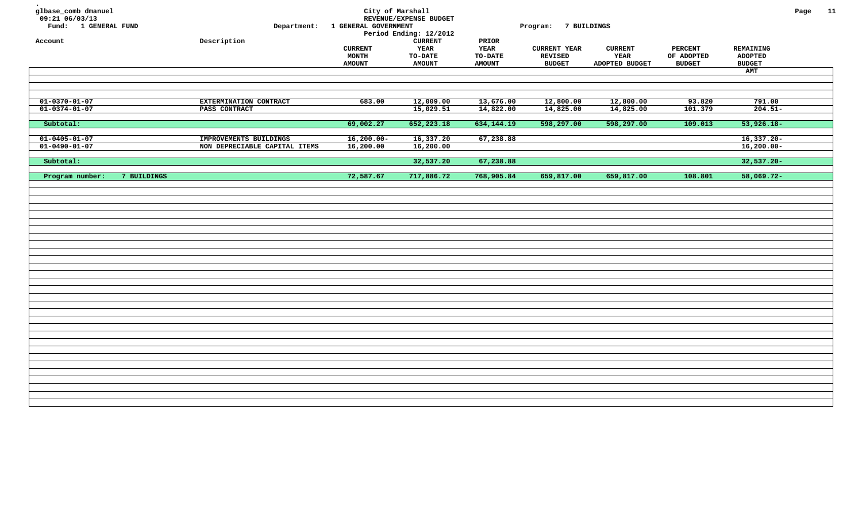| glbase_comb dmanuel<br>09:21 06/03/13<br>Fund: 1 GENERAL FUND<br>Account | Department:<br>Description    | City of Marshall<br>1 GENERAL GOVERNMENT<br><b>CURRENT</b> | REVENUE/EXPENSE BUDGET<br>Period Ending: 12/2012<br>${\tt CURRENT}$<br>YEAR | PRIOR<br><b>YEAR</b>            | Program: 7 BUILDINGS<br><b>CURRENT YEAR</b> | <b>CURRENT</b>         | <b>PERCENT</b>              | REMAINING                       | Page | 11 |
|--------------------------------------------------------------------------|-------------------------------|------------------------------------------------------------|-----------------------------------------------------------------------------|---------------------------------|---------------------------------------------|------------------------|-----------------------------|---------------------------------|------|----|
|                                                                          |                               | MONTH<br><b>AMOUNT</b>                                     | <b>TO-DATE</b><br><b>AMOUNT</b>                                             | <b>TO-DATE</b><br><b>AMOUNT</b> | <b>REVISED</b><br><b>BUDGET</b>             | YEAR<br>ADOPTED BUDGET | OF ADOPTED<br><b>BUDGET</b> | <b>ADOPTED</b><br><b>BUDGET</b> |      |    |
|                                                                          |                               |                                                            |                                                                             |                                 |                                             |                        |                             | AMT                             |      |    |
|                                                                          |                               |                                                            |                                                                             |                                 |                                             |                        |                             |                                 |      |    |
|                                                                          |                               |                                                            |                                                                             |                                 |                                             |                        |                             |                                 |      |    |
|                                                                          |                               |                                                            |                                                                             |                                 |                                             |                        |                             |                                 |      |    |
| $01 - 0370 - 01 - 07$                                                    | EXTERMINATION CONTRACT        | 683.00                                                     | 12,009.00                                                                   | 13,676.00                       | 12,800.00                                   | 12,800.00              | 93.820                      | 791.00                          |      |    |
| $01 - 0374 - 01 - 07$                                                    | PASS CONTRACT                 |                                                            | 15,029.51                                                                   | 14,822.00                       | 14,825.00                                   | 14,825.00              | 101.379                     | $204.51 -$                      |      |    |
|                                                                          |                               |                                                            |                                                                             |                                 |                                             |                        |                             |                                 |      |    |
| Subtotal:                                                                |                               | 69,002.27                                                  | 652,223.18                                                                  | 634,144.19                      | 598,297.00                                  | 598,297.00             | 109.013                     | $53,926.18-$                    |      |    |
| $01 - 0405 - 01 - 07$                                                    | IMPROVEMENTS BUILDINGS        | $16,200.00 -$                                              | 16,337.20                                                                   | 67,238.88                       |                                             |                        |                             | $16,337.20 -$                   |      |    |
| $01 - 0490 - 01 - 07$                                                    | NON DEPRECIABLE CAPITAL ITEMS | 16,200.00                                                  | 16,200.00                                                                   |                                 |                                             |                        |                             | $16,200.00 -$                   |      |    |
|                                                                          |                               |                                                            |                                                                             |                                 |                                             |                        |                             |                                 |      |    |
| Subtotal:                                                                |                               |                                                            | 32,537.20                                                                   | 67,238.88                       |                                             |                        |                             | $32,537.20 -$                   |      |    |
|                                                                          |                               |                                                            |                                                                             |                                 |                                             |                        |                             |                                 |      |    |
| Program number:<br>7 BUILDINGS                                           |                               | 72,587.67                                                  | 717,886.72                                                                  | 768,905.84                      | 659,817.00                                  | 659,817.00             | 108.801                     | $58,069.72 -$                   |      |    |
|                                                                          |                               |                                                            |                                                                             |                                 |                                             |                        |                             |                                 |      |    |
|                                                                          |                               |                                                            |                                                                             |                                 |                                             |                        |                             |                                 |      |    |
|                                                                          |                               |                                                            |                                                                             |                                 |                                             |                        |                             |                                 |      |    |
|                                                                          |                               |                                                            |                                                                             |                                 |                                             |                        |                             |                                 |      |    |
|                                                                          |                               |                                                            |                                                                             |                                 |                                             |                        |                             |                                 |      |    |
|                                                                          |                               |                                                            |                                                                             |                                 |                                             |                        |                             |                                 |      |    |
|                                                                          |                               |                                                            |                                                                             |                                 |                                             |                        |                             |                                 |      |    |
|                                                                          |                               |                                                            |                                                                             |                                 |                                             |                        |                             |                                 |      |    |
|                                                                          |                               |                                                            |                                                                             |                                 |                                             |                        |                             |                                 |      |    |
|                                                                          |                               |                                                            |                                                                             |                                 |                                             |                        |                             |                                 |      |    |
|                                                                          |                               |                                                            |                                                                             |                                 |                                             |                        |                             |                                 |      |    |
|                                                                          |                               |                                                            |                                                                             |                                 |                                             |                        |                             |                                 |      |    |
|                                                                          |                               |                                                            |                                                                             |                                 |                                             |                        |                             |                                 |      |    |
|                                                                          |                               |                                                            |                                                                             |                                 |                                             |                        |                             |                                 |      |    |
|                                                                          |                               |                                                            |                                                                             |                                 |                                             |                        |                             |                                 |      |    |
|                                                                          |                               |                                                            |                                                                             |                                 |                                             |                        |                             |                                 |      |    |
|                                                                          |                               |                                                            |                                                                             |                                 |                                             |                        |                             |                                 |      |    |
|                                                                          |                               |                                                            |                                                                             |                                 |                                             |                        |                             |                                 |      |    |
|                                                                          |                               |                                                            |                                                                             |                                 |                                             |                        |                             |                                 |      |    |
|                                                                          |                               |                                                            |                                                                             |                                 |                                             |                        |                             |                                 |      |    |
|                                                                          |                               |                                                            |                                                                             |                                 |                                             |                        |                             |                                 |      |    |
|                                                                          |                               |                                                            |                                                                             |                                 |                                             |                        |                             |                                 |      |    |
|                                                                          |                               |                                                            |                                                                             |                                 |                                             |                        |                             |                                 |      |    |
|                                                                          |                               |                                                            |                                                                             |                                 |                                             |                        |                             |                                 |      |    |
|                                                                          |                               |                                                            |                                                                             |                                 |                                             |                        |                             |                                 |      |    |
|                                                                          |                               |                                                            |                                                                             |                                 |                                             |                        |                             |                                 |      |    |
|                                                                          |                               |                                                            |                                                                             |                                 |                                             |                        |                             |                                 |      |    |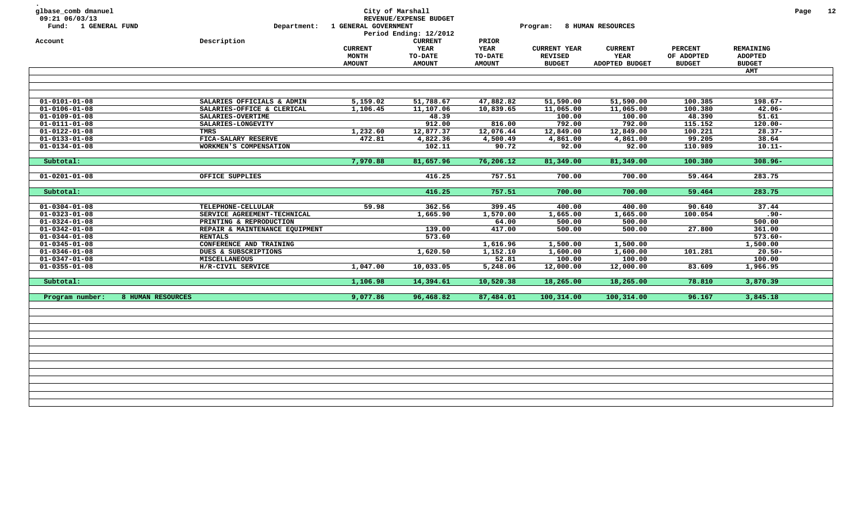| glbase_comb dmanuel<br>09:21 06/03/13<br>Fund: 1 GENERAL FUND<br>Account | Department:<br>Description     | 1 GENERAL GOVERNMENT    | City of Marshall<br>REVENUE/EXPENSE BUDGET<br>Period Ending: 12/2012<br><b>CURRENT</b> | PRIOR                  | Program:                              | 8 HUMAN RESOURCES      |                              |                             | Page | 12 |
|--------------------------------------------------------------------------|--------------------------------|-------------------------|----------------------------------------------------------------------------------------|------------------------|---------------------------------------|------------------------|------------------------------|-----------------------------|------|----|
|                                                                          |                                | <b>CURRENT</b><br>MONTH | <b>YEAR</b><br>TO-DATE                                                                 | <b>YEAR</b><br>TO-DATE | <b>CURRENT YEAR</b><br><b>REVISED</b> | <b>CURRENT</b><br>YEAR | <b>PERCENT</b><br>OF ADOPTED | REMAINING<br><b>ADOPTED</b> |      |    |
|                                                                          |                                | <b>AMOUNT</b>           | <b>AMOUNT</b>                                                                          | <b>AMOUNT</b>          | <b>BUDGET</b>                         | ADOPTED BUDGET         | <b>BUDGET</b>                | <b>BUDGET</b>               |      |    |
|                                                                          |                                |                         |                                                                                        |                        |                                       |                        |                              | <b>AMT</b>                  |      |    |
|                                                                          |                                |                         |                                                                                        |                        |                                       |                        |                              |                             |      |    |
| $01 - 0101 - 01 - 08$                                                    | SALARIES OFFICIALS & ADMIN     | 5,159.02                | 51,788.67                                                                              | 47,882.82              | 51,590.00                             | 51,590.00              | 100.385                      | $198.67 -$                  |      |    |
| $01 - 0106 - 01 - 08$                                                    | SALARIES-OFFICE & CLERICAL     | 1,106.45                | 11,107.06                                                                              | 10,839.65              | 11,065.00                             | 11,065.00              | 100.380                      | $42.06 -$                   |      |    |
| $01 - 0109 - 01 - 08$                                                    | SALARIES-OVERTIME              |                         | 48.39                                                                                  |                        | 100.00                                | 100.00                 | 48.390                       | 51.61                       |      |    |
| $01 - 0111 - 01 - 08$                                                    | SALARIES-LONGEVITY             |                         | 912.00                                                                                 | 816.00                 | 792.00                                | 792.00                 | 115.152                      | $120.00 -$                  |      |    |
| $01 - 0122 - 01 - 08$                                                    | TMRS                           | 1,232.60                | 12,877.37                                                                              | 12,076.44              | 12,849.00                             | 12,849.00              | 100.221                      | $28.37-$                    |      |    |
| $01 - 0133 - 01 - 08$                                                    | FICA-SALARY RESERVE            | 472.81                  | 4,822.36                                                                               | 4,500.49               | 4,861.00                              | 4,861.00               | 99.205                       | 38.64                       |      |    |
| $01 - 0134 - 01 - 08$                                                    | WORKMEN'S COMPENSATION         |                         | 102.11                                                                                 | 90.72                  | 92.00                                 | 92.00                  | 110.989                      | $10.11 -$                   |      |    |
| Subtotal:                                                                |                                | 7,970.88                | 81,657.96                                                                              | 76,206.12              | 81,349.00                             | 81,349.00              | 100.380                      | $308.96 -$                  |      |    |
| $01 - 0201 - 01 - 08$                                                    | OFFICE SUPPLIES                |                         | 416.25                                                                                 | 757.51                 | 700.00                                | 700.00                 | 59.464                       | 283.75                      |      |    |
|                                                                          |                                |                         |                                                                                        |                        |                                       |                        |                              |                             |      |    |
| Subtotal:                                                                |                                |                         | 416.25                                                                                 | 757.51                 | 700.00                                | 700.00                 | 59.464                       | 283.75                      |      |    |
| $01 - 0304 - 01 - 08$                                                    | TELEPHONE-CELLULAR             | 59.98                   | 362.56                                                                                 | 399.45                 | 400.00                                | 400.00                 | 90.640                       | 37.44                       |      |    |
| $01 - 0323 - 01 - 08$                                                    | SERVICE AGREEMENT-TECHNICAL    |                         | 1,665.90                                                                               | 1,570.00               | 1,665.00                              | 1,665.00               | 100.054                      | $.90 -$                     |      |    |
| $01 - 0324 - 01 - 08$                                                    | PRINTING & REPRODUCTION        |                         |                                                                                        | 64.00                  | 500.00                                | 500.00                 |                              | 500.00                      |      |    |
| $01 - 0342 - 01 - 08$                                                    | REPAIR & MAINTENANCE EQUIPMENT |                         | 139.00                                                                                 | 417.00                 | 500.00                                | 500.00                 | 27.800                       | 361.00                      |      |    |
| $01 - 0344 - 01 - 08$                                                    | <b>RENTALS</b>                 |                         | 573.60                                                                                 |                        |                                       |                        |                              | $573.60 -$                  |      |    |
| $01 - 0345 - 01 - 08$                                                    | CONFERENCE AND TRAINING        |                         |                                                                                        | 1,616.96               | 1,500.00                              | 1,500.00               |                              | 1,500.00                    |      |    |
| $01 - 0346 - 01 - 08$                                                    | DUES & SUBSCRIPTIONS           |                         | 1,620.50                                                                               | 1,152.10               | 1,600.00                              | 1,600.00               | 101.281                      | $20.50 -$                   |      |    |
| $01 - 0347 - 01 - 08$                                                    | <b>MISCELLANEOUS</b>           |                         |                                                                                        | 52.81                  | 100.00                                | 100.00                 |                              | 100.00                      |      |    |
| $01 - 0355 - 01 - 08$                                                    | H/R-CIVIL SERVICE              | 1,047.00                | 10,033.05                                                                              | 5,248.06               | 12,000.00                             | 12,000.00              | 83.609                       | 1,966.95                    |      |    |
| Subtotal:                                                                |                                | 1,106.98                | 14,394.61                                                                              | 10,520.38              | 18,265.00                             | 18,265.00              | 78.810                       | 3,870.39                    |      |    |
| 8 HUMAN RESOURCES<br>Program number:                                     |                                | 9,077.86                | 96,468.82                                                                              | 87,484.01              | 100,314.00                            | 100,314.00             | 96.167                       | 3,845.18                    |      |    |
|                                                                          |                                |                         |                                                                                        |                        |                                       |                        |                              |                             |      |    |
|                                                                          |                                |                         |                                                                                        |                        |                                       |                        |                              |                             |      |    |
|                                                                          |                                |                         |                                                                                        |                        |                                       |                        |                              |                             |      |    |
|                                                                          |                                |                         |                                                                                        |                        |                                       |                        |                              |                             |      |    |
|                                                                          |                                |                         |                                                                                        |                        |                                       |                        |                              |                             |      |    |
|                                                                          |                                |                         |                                                                                        |                        |                                       |                        |                              |                             |      |    |
|                                                                          |                                |                         |                                                                                        |                        |                                       |                        |                              |                             |      |    |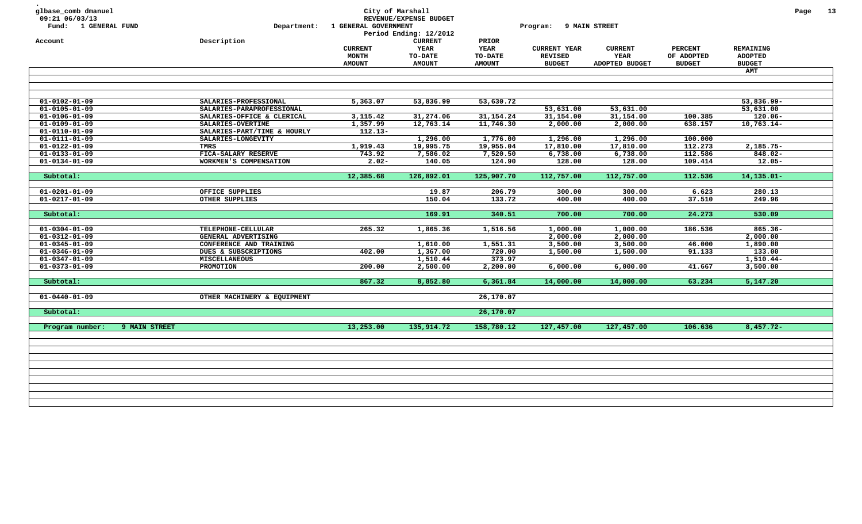| <b>YEAR</b><br>YEAR<br><b>CURRENT</b><br><b>CURRENT YEAR</b><br><b>CURRENT</b><br><b>PERCENT</b><br>REMAINING<br>MONTH<br><b>YEAR</b><br>OF ADOPTED<br>TO-DATE<br><b>TO-DATE</b><br><b>REVISED</b><br><b>ADOPTED</b><br><b>AMOUNT</b><br><b>AMOUNT</b><br><b>AMOUNT</b><br><b>BUDGET</b><br>ADOPTED BUDGET<br><b>BUDGET</b><br><b>BUDGET</b><br><b>AMT</b><br>$01 - 0102 - 01 - 09$<br>SALARIES-PROFESSIONAL<br>5,363.07<br>53,836.99<br>53,630.72<br>53,836.99-<br>53,631.00<br>$01 - 0105 - 01 - 09$<br>SALARIES-PARAPROFESSIONAL<br>53,631.00<br>53,631.00<br>$01 - 0106 - 01 - 09$<br>SALARIES-OFFICE & CLERICAL<br>3,115.42<br>31,274.06<br>31, 154. 24<br>31,154.00<br>31,154.00<br>$120.06 -$<br>100.385<br>1,357.99<br>12,763.14<br>11,746.30<br>2,000.00<br>2,000.00<br>638.157<br>$10,763.14-$<br>$01 - 0109 - 01 - 09$<br>SALARIES-OVERTIME<br>$01 - 0110 - 01 - 09$<br>$112.13-$<br>SALARIES-PART/TIME & HOURLY<br>$01 - 0111 - 01 - 09$<br>SALARIES-LONGEVITY<br>1,296.00<br>1,776.00<br>1,296.00<br>1,296.00<br>100.000<br>$01 - 0122 - 01 - 09$<br><b>TMRS</b><br>1,919.43<br>19,995.75<br>19,955.04<br>17,810.00<br>17,810.00<br>112.273<br>$2,185.75-$<br>743.92<br>7,586.02<br>7,520.50<br>6,738.00<br>6,738.00<br>112.586<br>$01 - 0133 - 01 - 09$<br>FICA-SALARY RESERVE<br>848.02-<br>$2.02 -$<br>140.05<br>124.90<br>128.00<br>128.00<br>109.414<br>$12.05 -$<br>$01 - 0134 - 01 - 09$<br>WORKMEN'S COMPENSATION<br>12,385.68<br>126,892.01<br>125,907.70<br>112,757.00<br>112,757.00<br>112.536<br>$14, 135.01 -$<br>Subtotal:<br>19.87<br>206.79<br>300.00<br>300.00<br>6.623<br>280.13<br>$01 - 0201 - 01 - 09$<br>OFFICE SUPPLIES<br>$01 - 0217 - 01 - 09$<br>OTHER SUPPLIES<br>150.04<br>133.72<br>37.510<br>249.96<br>400.00<br>400.00<br>169.91<br>340.51<br>700.00<br>700.00<br>24.273<br>530.09<br>Subtotal:<br>265.32<br>1,865.36<br>1,516.56<br>1,000.00<br>1,000.00<br>186.536<br>$865.36 -$<br>$01 - 0304 - 01 - 09$<br>TELEPHONE-CELLULAR<br>2,000.00<br>2,000.00<br>$01 - 0312 - 01 - 09$<br>GENERAL ADVERTISING<br>2,000.00<br>1,551.31<br>1,890.00<br>$01 - 0345 - 01 - 09$<br>CONFERENCE AND TRAINING<br>1,610.00<br>3,500.00<br>3,500.00<br>46.000<br>402.00<br>1,367.00<br>720.00<br>1,500.00<br>1,500.00<br>91.133<br>133.00<br>$01 - 0346 - 01 - 09$<br>DUES & SUBSCRIPTIONS<br>373.97<br>$1,510.44-$<br>$01 - 0347 - 01 - 09$<br><b>MISCELLANEOUS</b><br>1,510.44<br>$01 - 0373 - 01 - 09$<br>200.00<br>2,500.00<br>2,200.00<br>41.667<br>3,500.00<br>PROMOTION<br>6,000.00<br>6,000.00<br>867.32<br>8,852.80<br>6,361.84<br>14,000.00<br>63.234<br>5,147.20<br>Subtotal:<br>14,000.00<br>$01 - 0440 - 01 - 09$<br>OTHER MACHINERY & EQUIPMENT<br>26,170.07<br>Subtotal:<br>26,170.07<br>Program number:<br>9 MAIN STREET<br>13,253.00<br>135,914.72<br>158,780.12<br>127,457.00<br>127,457.00<br>106.636<br>$8,457.72-$ | glbase_comb dmanuel<br>09:21 06/03/13<br>Fund: 1 GENERAL FUND | Department: | 1 GENERAL GOVERNMENT | City of Marshall<br>REVENUE/EXPENSE BUDGET<br>Period Ending: 12/2012 |       | Program: | 9 MAIN STREET |  | Page | 13 |
|-----------------------------------------------------------------------------------------------------------------------------------------------------------------------------------------------------------------------------------------------------------------------------------------------------------------------------------------------------------------------------------------------------------------------------------------------------------------------------------------------------------------------------------------------------------------------------------------------------------------------------------------------------------------------------------------------------------------------------------------------------------------------------------------------------------------------------------------------------------------------------------------------------------------------------------------------------------------------------------------------------------------------------------------------------------------------------------------------------------------------------------------------------------------------------------------------------------------------------------------------------------------------------------------------------------------------------------------------------------------------------------------------------------------------------------------------------------------------------------------------------------------------------------------------------------------------------------------------------------------------------------------------------------------------------------------------------------------------------------------------------------------------------------------------------------------------------------------------------------------------------------------------------------------------------------------------------------------------------------------------------------------------------------------------------------------------------------------------------------------------------------------------------------------------------------------------------------------------------------------------------------------------------------------------------------------------------------------------------------------------------------------------------------------------------------------------------------------------------------------------------------------------------------------------------------------------------------------------------------------------------------------------------------------------------------------------------------------------------------------------------------------------------------------------------------------------------------------------------------------------|---------------------------------------------------------------|-------------|----------------------|----------------------------------------------------------------------|-------|----------|---------------|--|------|----|
|                                                                                                                                                                                                                                                                                                                                                                                                                                                                                                                                                                                                                                                                                                                                                                                                                                                                                                                                                                                                                                                                                                                                                                                                                                                                                                                                                                                                                                                                                                                                                                                                                                                                                                                                                                                                                                                                                                                                                                                                                                                                                                                                                                                                                                                                                                                                                                                                                                                                                                                                                                                                                                                                                                                                                                                                                                                                       | Account                                                       | Description |                      | <b>CURRENT</b>                                                       | PRIOR |          |               |  |      |    |
|                                                                                                                                                                                                                                                                                                                                                                                                                                                                                                                                                                                                                                                                                                                                                                                                                                                                                                                                                                                                                                                                                                                                                                                                                                                                                                                                                                                                                                                                                                                                                                                                                                                                                                                                                                                                                                                                                                                                                                                                                                                                                                                                                                                                                                                                                                                                                                                                                                                                                                                                                                                                                                                                                                                                                                                                                                                                       |                                                               |             |                      |                                                                      |       |          |               |  |      |    |
|                                                                                                                                                                                                                                                                                                                                                                                                                                                                                                                                                                                                                                                                                                                                                                                                                                                                                                                                                                                                                                                                                                                                                                                                                                                                                                                                                                                                                                                                                                                                                                                                                                                                                                                                                                                                                                                                                                                                                                                                                                                                                                                                                                                                                                                                                                                                                                                                                                                                                                                                                                                                                                                                                                                                                                                                                                                                       |                                                               |             |                      |                                                                      |       |          |               |  |      |    |
|                                                                                                                                                                                                                                                                                                                                                                                                                                                                                                                                                                                                                                                                                                                                                                                                                                                                                                                                                                                                                                                                                                                                                                                                                                                                                                                                                                                                                                                                                                                                                                                                                                                                                                                                                                                                                                                                                                                                                                                                                                                                                                                                                                                                                                                                                                                                                                                                                                                                                                                                                                                                                                                                                                                                                                                                                                                                       |                                                               |             |                      |                                                                      |       |          |               |  |      |    |
|                                                                                                                                                                                                                                                                                                                                                                                                                                                                                                                                                                                                                                                                                                                                                                                                                                                                                                                                                                                                                                                                                                                                                                                                                                                                                                                                                                                                                                                                                                                                                                                                                                                                                                                                                                                                                                                                                                                                                                                                                                                                                                                                                                                                                                                                                                                                                                                                                                                                                                                                                                                                                                                                                                                                                                                                                                                                       |                                                               |             |                      |                                                                      |       |          |               |  |      |    |
|                                                                                                                                                                                                                                                                                                                                                                                                                                                                                                                                                                                                                                                                                                                                                                                                                                                                                                                                                                                                                                                                                                                                                                                                                                                                                                                                                                                                                                                                                                                                                                                                                                                                                                                                                                                                                                                                                                                                                                                                                                                                                                                                                                                                                                                                                                                                                                                                                                                                                                                                                                                                                                                                                                                                                                                                                                                                       |                                                               |             |                      |                                                                      |       |          |               |  |      |    |
|                                                                                                                                                                                                                                                                                                                                                                                                                                                                                                                                                                                                                                                                                                                                                                                                                                                                                                                                                                                                                                                                                                                                                                                                                                                                                                                                                                                                                                                                                                                                                                                                                                                                                                                                                                                                                                                                                                                                                                                                                                                                                                                                                                                                                                                                                                                                                                                                                                                                                                                                                                                                                                                                                                                                                                                                                                                                       |                                                               |             |                      |                                                                      |       |          |               |  |      |    |
|                                                                                                                                                                                                                                                                                                                                                                                                                                                                                                                                                                                                                                                                                                                                                                                                                                                                                                                                                                                                                                                                                                                                                                                                                                                                                                                                                                                                                                                                                                                                                                                                                                                                                                                                                                                                                                                                                                                                                                                                                                                                                                                                                                                                                                                                                                                                                                                                                                                                                                                                                                                                                                                                                                                                                                                                                                                                       |                                                               |             |                      |                                                                      |       |          |               |  |      |    |
|                                                                                                                                                                                                                                                                                                                                                                                                                                                                                                                                                                                                                                                                                                                                                                                                                                                                                                                                                                                                                                                                                                                                                                                                                                                                                                                                                                                                                                                                                                                                                                                                                                                                                                                                                                                                                                                                                                                                                                                                                                                                                                                                                                                                                                                                                                                                                                                                                                                                                                                                                                                                                                                                                                                                                                                                                                                                       |                                                               |             |                      |                                                                      |       |          |               |  |      |    |
|                                                                                                                                                                                                                                                                                                                                                                                                                                                                                                                                                                                                                                                                                                                                                                                                                                                                                                                                                                                                                                                                                                                                                                                                                                                                                                                                                                                                                                                                                                                                                                                                                                                                                                                                                                                                                                                                                                                                                                                                                                                                                                                                                                                                                                                                                                                                                                                                                                                                                                                                                                                                                                                                                                                                                                                                                                                                       |                                                               |             |                      |                                                                      |       |          |               |  |      |    |
|                                                                                                                                                                                                                                                                                                                                                                                                                                                                                                                                                                                                                                                                                                                                                                                                                                                                                                                                                                                                                                                                                                                                                                                                                                                                                                                                                                                                                                                                                                                                                                                                                                                                                                                                                                                                                                                                                                                                                                                                                                                                                                                                                                                                                                                                                                                                                                                                                                                                                                                                                                                                                                                                                                                                                                                                                                                                       |                                                               |             |                      |                                                                      |       |          |               |  |      |    |
|                                                                                                                                                                                                                                                                                                                                                                                                                                                                                                                                                                                                                                                                                                                                                                                                                                                                                                                                                                                                                                                                                                                                                                                                                                                                                                                                                                                                                                                                                                                                                                                                                                                                                                                                                                                                                                                                                                                                                                                                                                                                                                                                                                                                                                                                                                                                                                                                                                                                                                                                                                                                                                                                                                                                                                                                                                                                       |                                                               |             |                      |                                                                      |       |          |               |  |      |    |
|                                                                                                                                                                                                                                                                                                                                                                                                                                                                                                                                                                                                                                                                                                                                                                                                                                                                                                                                                                                                                                                                                                                                                                                                                                                                                                                                                                                                                                                                                                                                                                                                                                                                                                                                                                                                                                                                                                                                                                                                                                                                                                                                                                                                                                                                                                                                                                                                                                                                                                                                                                                                                                                                                                                                                                                                                                                                       |                                                               |             |                      |                                                                      |       |          |               |  |      |    |
|                                                                                                                                                                                                                                                                                                                                                                                                                                                                                                                                                                                                                                                                                                                                                                                                                                                                                                                                                                                                                                                                                                                                                                                                                                                                                                                                                                                                                                                                                                                                                                                                                                                                                                                                                                                                                                                                                                                                                                                                                                                                                                                                                                                                                                                                                                                                                                                                                                                                                                                                                                                                                                                                                                                                                                                                                                                                       |                                                               |             |                      |                                                                      |       |          |               |  |      |    |
|                                                                                                                                                                                                                                                                                                                                                                                                                                                                                                                                                                                                                                                                                                                                                                                                                                                                                                                                                                                                                                                                                                                                                                                                                                                                                                                                                                                                                                                                                                                                                                                                                                                                                                                                                                                                                                                                                                                                                                                                                                                                                                                                                                                                                                                                                                                                                                                                                                                                                                                                                                                                                                                                                                                                                                                                                                                                       |                                                               |             |                      |                                                                      |       |          |               |  |      |    |
|                                                                                                                                                                                                                                                                                                                                                                                                                                                                                                                                                                                                                                                                                                                                                                                                                                                                                                                                                                                                                                                                                                                                                                                                                                                                                                                                                                                                                                                                                                                                                                                                                                                                                                                                                                                                                                                                                                                                                                                                                                                                                                                                                                                                                                                                                                                                                                                                                                                                                                                                                                                                                                                                                                                                                                                                                                                                       |                                                               |             |                      |                                                                      |       |          |               |  |      |    |
|                                                                                                                                                                                                                                                                                                                                                                                                                                                                                                                                                                                                                                                                                                                                                                                                                                                                                                                                                                                                                                                                                                                                                                                                                                                                                                                                                                                                                                                                                                                                                                                                                                                                                                                                                                                                                                                                                                                                                                                                                                                                                                                                                                                                                                                                                                                                                                                                                                                                                                                                                                                                                                                                                                                                                                                                                                                                       |                                                               |             |                      |                                                                      |       |          |               |  |      |    |
|                                                                                                                                                                                                                                                                                                                                                                                                                                                                                                                                                                                                                                                                                                                                                                                                                                                                                                                                                                                                                                                                                                                                                                                                                                                                                                                                                                                                                                                                                                                                                                                                                                                                                                                                                                                                                                                                                                                                                                                                                                                                                                                                                                                                                                                                                                                                                                                                                                                                                                                                                                                                                                                                                                                                                                                                                                                                       |                                                               |             |                      |                                                                      |       |          |               |  |      |    |
|                                                                                                                                                                                                                                                                                                                                                                                                                                                                                                                                                                                                                                                                                                                                                                                                                                                                                                                                                                                                                                                                                                                                                                                                                                                                                                                                                                                                                                                                                                                                                                                                                                                                                                                                                                                                                                                                                                                                                                                                                                                                                                                                                                                                                                                                                                                                                                                                                                                                                                                                                                                                                                                                                                                                                                                                                                                                       |                                                               |             |                      |                                                                      |       |          |               |  |      |    |
|                                                                                                                                                                                                                                                                                                                                                                                                                                                                                                                                                                                                                                                                                                                                                                                                                                                                                                                                                                                                                                                                                                                                                                                                                                                                                                                                                                                                                                                                                                                                                                                                                                                                                                                                                                                                                                                                                                                                                                                                                                                                                                                                                                                                                                                                                                                                                                                                                                                                                                                                                                                                                                                                                                                                                                                                                                                                       |                                                               |             |                      |                                                                      |       |          |               |  |      |    |
|                                                                                                                                                                                                                                                                                                                                                                                                                                                                                                                                                                                                                                                                                                                                                                                                                                                                                                                                                                                                                                                                                                                                                                                                                                                                                                                                                                                                                                                                                                                                                                                                                                                                                                                                                                                                                                                                                                                                                                                                                                                                                                                                                                                                                                                                                                                                                                                                                                                                                                                                                                                                                                                                                                                                                                                                                                                                       |                                                               |             |                      |                                                                      |       |          |               |  |      |    |
|                                                                                                                                                                                                                                                                                                                                                                                                                                                                                                                                                                                                                                                                                                                                                                                                                                                                                                                                                                                                                                                                                                                                                                                                                                                                                                                                                                                                                                                                                                                                                                                                                                                                                                                                                                                                                                                                                                                                                                                                                                                                                                                                                                                                                                                                                                                                                                                                                                                                                                                                                                                                                                                                                                                                                                                                                                                                       |                                                               |             |                      |                                                                      |       |          |               |  |      |    |
|                                                                                                                                                                                                                                                                                                                                                                                                                                                                                                                                                                                                                                                                                                                                                                                                                                                                                                                                                                                                                                                                                                                                                                                                                                                                                                                                                                                                                                                                                                                                                                                                                                                                                                                                                                                                                                                                                                                                                                                                                                                                                                                                                                                                                                                                                                                                                                                                                                                                                                                                                                                                                                                                                                                                                                                                                                                                       |                                                               |             |                      |                                                                      |       |          |               |  |      |    |
|                                                                                                                                                                                                                                                                                                                                                                                                                                                                                                                                                                                                                                                                                                                                                                                                                                                                                                                                                                                                                                                                                                                                                                                                                                                                                                                                                                                                                                                                                                                                                                                                                                                                                                                                                                                                                                                                                                                                                                                                                                                                                                                                                                                                                                                                                                                                                                                                                                                                                                                                                                                                                                                                                                                                                                                                                                                                       |                                                               |             |                      |                                                                      |       |          |               |  |      |    |
|                                                                                                                                                                                                                                                                                                                                                                                                                                                                                                                                                                                                                                                                                                                                                                                                                                                                                                                                                                                                                                                                                                                                                                                                                                                                                                                                                                                                                                                                                                                                                                                                                                                                                                                                                                                                                                                                                                                                                                                                                                                                                                                                                                                                                                                                                                                                                                                                                                                                                                                                                                                                                                                                                                                                                                                                                                                                       |                                                               |             |                      |                                                                      |       |          |               |  |      |    |
|                                                                                                                                                                                                                                                                                                                                                                                                                                                                                                                                                                                                                                                                                                                                                                                                                                                                                                                                                                                                                                                                                                                                                                                                                                                                                                                                                                                                                                                                                                                                                                                                                                                                                                                                                                                                                                                                                                                                                                                                                                                                                                                                                                                                                                                                                                                                                                                                                                                                                                                                                                                                                                                                                                                                                                                                                                                                       |                                                               |             |                      |                                                                      |       |          |               |  |      |    |
|                                                                                                                                                                                                                                                                                                                                                                                                                                                                                                                                                                                                                                                                                                                                                                                                                                                                                                                                                                                                                                                                                                                                                                                                                                                                                                                                                                                                                                                                                                                                                                                                                                                                                                                                                                                                                                                                                                                                                                                                                                                                                                                                                                                                                                                                                                                                                                                                                                                                                                                                                                                                                                                                                                                                                                                                                                                                       |                                                               |             |                      |                                                                      |       |          |               |  |      |    |
|                                                                                                                                                                                                                                                                                                                                                                                                                                                                                                                                                                                                                                                                                                                                                                                                                                                                                                                                                                                                                                                                                                                                                                                                                                                                                                                                                                                                                                                                                                                                                                                                                                                                                                                                                                                                                                                                                                                                                                                                                                                                                                                                                                                                                                                                                                                                                                                                                                                                                                                                                                                                                                                                                                                                                                                                                                                                       |                                                               |             |                      |                                                                      |       |          |               |  |      |    |
|                                                                                                                                                                                                                                                                                                                                                                                                                                                                                                                                                                                                                                                                                                                                                                                                                                                                                                                                                                                                                                                                                                                                                                                                                                                                                                                                                                                                                                                                                                                                                                                                                                                                                                                                                                                                                                                                                                                                                                                                                                                                                                                                                                                                                                                                                                                                                                                                                                                                                                                                                                                                                                                                                                                                                                                                                                                                       |                                                               |             |                      |                                                                      |       |          |               |  |      |    |
|                                                                                                                                                                                                                                                                                                                                                                                                                                                                                                                                                                                                                                                                                                                                                                                                                                                                                                                                                                                                                                                                                                                                                                                                                                                                                                                                                                                                                                                                                                                                                                                                                                                                                                                                                                                                                                                                                                                                                                                                                                                                                                                                                                                                                                                                                                                                                                                                                                                                                                                                                                                                                                                                                                                                                                                                                                                                       |                                                               |             |                      |                                                                      |       |          |               |  |      |    |
|                                                                                                                                                                                                                                                                                                                                                                                                                                                                                                                                                                                                                                                                                                                                                                                                                                                                                                                                                                                                                                                                                                                                                                                                                                                                                                                                                                                                                                                                                                                                                                                                                                                                                                                                                                                                                                                                                                                                                                                                                                                                                                                                                                                                                                                                                                                                                                                                                                                                                                                                                                                                                                                                                                                                                                                                                                                                       |                                                               |             |                      |                                                                      |       |          |               |  |      |    |
|                                                                                                                                                                                                                                                                                                                                                                                                                                                                                                                                                                                                                                                                                                                                                                                                                                                                                                                                                                                                                                                                                                                                                                                                                                                                                                                                                                                                                                                                                                                                                                                                                                                                                                                                                                                                                                                                                                                                                                                                                                                                                                                                                                                                                                                                                                                                                                                                                                                                                                                                                                                                                                                                                                                                                                                                                                                                       |                                                               |             |                      |                                                                      |       |          |               |  |      |    |
|                                                                                                                                                                                                                                                                                                                                                                                                                                                                                                                                                                                                                                                                                                                                                                                                                                                                                                                                                                                                                                                                                                                                                                                                                                                                                                                                                                                                                                                                                                                                                                                                                                                                                                                                                                                                                                                                                                                                                                                                                                                                                                                                                                                                                                                                                                                                                                                                                                                                                                                                                                                                                                                                                                                                                                                                                                                                       |                                                               |             |                      |                                                                      |       |          |               |  |      |    |
|                                                                                                                                                                                                                                                                                                                                                                                                                                                                                                                                                                                                                                                                                                                                                                                                                                                                                                                                                                                                                                                                                                                                                                                                                                                                                                                                                                                                                                                                                                                                                                                                                                                                                                                                                                                                                                                                                                                                                                                                                                                                                                                                                                                                                                                                                                                                                                                                                                                                                                                                                                                                                                                                                                                                                                                                                                                                       |                                                               |             |                      |                                                                      |       |          |               |  |      |    |
|                                                                                                                                                                                                                                                                                                                                                                                                                                                                                                                                                                                                                                                                                                                                                                                                                                                                                                                                                                                                                                                                                                                                                                                                                                                                                                                                                                                                                                                                                                                                                                                                                                                                                                                                                                                                                                                                                                                                                                                                                                                                                                                                                                                                                                                                                                                                                                                                                                                                                                                                                                                                                                                                                                                                                                                                                                                                       |                                                               |             |                      |                                                                      |       |          |               |  |      |    |
|                                                                                                                                                                                                                                                                                                                                                                                                                                                                                                                                                                                                                                                                                                                                                                                                                                                                                                                                                                                                                                                                                                                                                                                                                                                                                                                                                                                                                                                                                                                                                                                                                                                                                                                                                                                                                                                                                                                                                                                                                                                                                                                                                                                                                                                                                                                                                                                                                                                                                                                                                                                                                                                                                                                                                                                                                                                                       |                                                               |             |                      |                                                                      |       |          |               |  |      |    |
|                                                                                                                                                                                                                                                                                                                                                                                                                                                                                                                                                                                                                                                                                                                                                                                                                                                                                                                                                                                                                                                                                                                                                                                                                                                                                                                                                                                                                                                                                                                                                                                                                                                                                                                                                                                                                                                                                                                                                                                                                                                                                                                                                                                                                                                                                                                                                                                                                                                                                                                                                                                                                                                                                                                                                                                                                                                                       |                                                               |             |                      |                                                                      |       |          |               |  |      |    |
|                                                                                                                                                                                                                                                                                                                                                                                                                                                                                                                                                                                                                                                                                                                                                                                                                                                                                                                                                                                                                                                                                                                                                                                                                                                                                                                                                                                                                                                                                                                                                                                                                                                                                                                                                                                                                                                                                                                                                                                                                                                                                                                                                                                                                                                                                                                                                                                                                                                                                                                                                                                                                                                                                                                                                                                                                                                                       |                                                               |             |                      |                                                                      |       |          |               |  |      |    |
|                                                                                                                                                                                                                                                                                                                                                                                                                                                                                                                                                                                                                                                                                                                                                                                                                                                                                                                                                                                                                                                                                                                                                                                                                                                                                                                                                                                                                                                                                                                                                                                                                                                                                                                                                                                                                                                                                                                                                                                                                                                                                                                                                                                                                                                                                                                                                                                                                                                                                                                                                                                                                                                                                                                                                                                                                                                                       |                                                               |             |                      |                                                                      |       |          |               |  |      |    |
|                                                                                                                                                                                                                                                                                                                                                                                                                                                                                                                                                                                                                                                                                                                                                                                                                                                                                                                                                                                                                                                                                                                                                                                                                                                                                                                                                                                                                                                                                                                                                                                                                                                                                                                                                                                                                                                                                                                                                                                                                                                                                                                                                                                                                                                                                                                                                                                                                                                                                                                                                                                                                                                                                                                                                                                                                                                                       |                                                               |             |                      |                                                                      |       |          |               |  |      |    |
|                                                                                                                                                                                                                                                                                                                                                                                                                                                                                                                                                                                                                                                                                                                                                                                                                                                                                                                                                                                                                                                                                                                                                                                                                                                                                                                                                                                                                                                                                                                                                                                                                                                                                                                                                                                                                                                                                                                                                                                                                                                                                                                                                                                                                                                                                                                                                                                                                                                                                                                                                                                                                                                                                                                                                                                                                                                                       |                                                               |             |                      |                                                                      |       |          |               |  |      |    |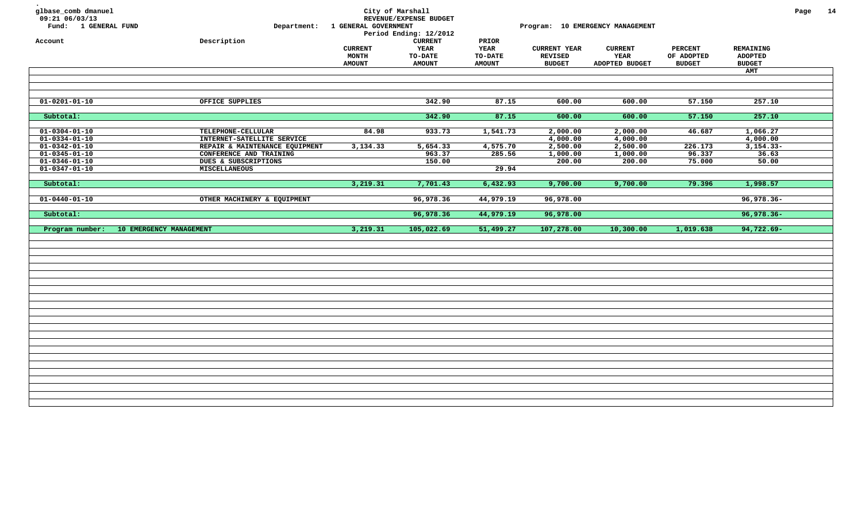| glbase_comb dmanuel<br>09:21 06/03/13<br>Fund: 1 GENERAL FUND |                                                           | Department: 1 GENERAL GOVERNMENT                | City of Marshall<br>REVENUE/EXPENSE BUDGET<br>Period Ending: 12/2012 |                                                  |                                                        | Program: 10 EMERGENCY MANAGEMENT         |                                               |                                                     | Page | 14 |
|---------------------------------------------------------------|-----------------------------------------------------------|-------------------------------------------------|----------------------------------------------------------------------|--------------------------------------------------|--------------------------------------------------------|------------------------------------------|-----------------------------------------------|-----------------------------------------------------|------|----|
| Account                                                       | Description                                               | <b>CURRENT</b><br><b>MONTH</b><br><b>AMOUNT</b> | <b>CURRENT</b><br>YEAR<br>TO-DATE<br><b>AMOUNT</b>                   | PRIOR<br>YEAR<br><b>TO-DATE</b><br><b>AMOUNT</b> | <b>CURRENT YEAR</b><br><b>REVISED</b><br><b>BUDGET</b> | <b>CURRENT</b><br>YEAR<br>ADOPTED BUDGET | <b>PERCENT</b><br>OF ADOPTED<br><b>BUDGET</b> | REMAINING<br><b>ADOPTED</b><br><b>BUDGET</b><br>AMT |      |    |
|                                                               |                                                           |                                                 |                                                                      |                                                  |                                                        |                                          |                                               |                                                     |      |    |
| $\overline{01-0201} - 01-10$                                  | OFFICE SUPPLIES                                           |                                                 | 342.90                                                               | 87.15                                            | 600.00                                                 | 600.00                                   | 57.150                                        | 257.10                                              |      |    |
| Subtotal:                                                     |                                                           |                                                 | 342.90                                                               | 87.15                                            | 600.00                                                 | 600.00                                   | 57.150                                        | 257.10                                              |      |    |
| $01 - 0304 - 01 - 10$<br>$01 - 0334 - 01 - 10$                | TELEPHONE-CELLULAR<br>INTERNET-SATELLITE SERVICE          | 84.98                                           | 933.73                                                               | 1,541.73                                         | 2,000.00<br>4,000.00                                   | 2,000.00<br>4,000.00                     | 46.687                                        | 1,066.27<br>4,000.00                                |      |    |
| $01 - 0342 - 01 - 10$<br>$01 - 0345 - 01 - 10$                | REPAIR & MAINTENANCE EQUIPMENT<br>CONFERENCE AND TRAINING | 3,134.33                                        | 5,654.33<br>963.37                                                   | 4,575.70<br>285.56                               | 2,500.00<br>1,000.00                                   | 2,500.00<br>1,000.00                     | 226.173<br>96.337                             | $3,154.33-$<br>36.63                                |      |    |
| $01 - 0346 - 01 - 10$<br>$01 - 0347 - 01 - 10$                | DUES & SUBSCRIPTIONS<br>MISCELLANEOUS                     |                                                 | 150.00                                                               | 29.94                                            | 200.00                                                 | 200.00                                   | 75.000                                        | 50.00                                               |      |    |
| Subtotal:                                                     |                                                           | 3,219.31                                        | 7,701.43                                                             | 6,432.93                                         | 9,700.00                                               | 9,700.00                                 | 79.396                                        | 1,998.57                                            |      |    |
| $01 - 0440 - 01 - 10$                                         | OTHER MACHINERY & EQUIPMENT                               |                                                 | 96,978.36                                                            | 44,979.19                                        | 96,978.00                                              |                                          |                                               | 96,978.36-                                          |      |    |
| Subtotal:                                                     |                                                           |                                                 | 96,978.36                                                            | 44,979.19                                        | 96,978.00                                              |                                          |                                               | $96,978.36 -$                                       |      |    |
| Program number:                                               | 10 EMERGENCY MANAGEMENT                                   | 3,219.31                                        | 105,022.69                                                           | 51,499.27                                        | 107,278.00                                             | 10,300.00                                | 1,019.638                                     | $94,722.69 -$                                       |      |    |
|                                                               |                                                           |                                                 |                                                                      |                                                  |                                                        |                                          |                                               |                                                     |      |    |
|                                                               |                                                           |                                                 |                                                                      |                                                  |                                                        |                                          |                                               |                                                     |      |    |
|                                                               |                                                           |                                                 |                                                                      |                                                  |                                                        |                                          |                                               |                                                     |      |    |
|                                                               |                                                           |                                                 |                                                                      |                                                  |                                                        |                                          |                                               |                                                     |      |    |
|                                                               |                                                           |                                                 |                                                                      |                                                  |                                                        |                                          |                                               |                                                     |      |    |
|                                                               |                                                           |                                                 |                                                                      |                                                  |                                                        |                                          |                                               |                                                     |      |    |
|                                                               |                                                           |                                                 |                                                                      |                                                  |                                                        |                                          |                                               |                                                     |      |    |
|                                                               |                                                           |                                                 |                                                                      |                                                  |                                                        |                                          |                                               |                                                     |      |    |
|                                                               |                                                           |                                                 |                                                                      |                                                  |                                                        |                                          |                                               |                                                     |      |    |
|                                                               |                                                           |                                                 |                                                                      |                                                  |                                                        |                                          |                                               |                                                     |      |    |
|                                                               |                                                           |                                                 |                                                                      |                                                  |                                                        |                                          |                                               |                                                     |      |    |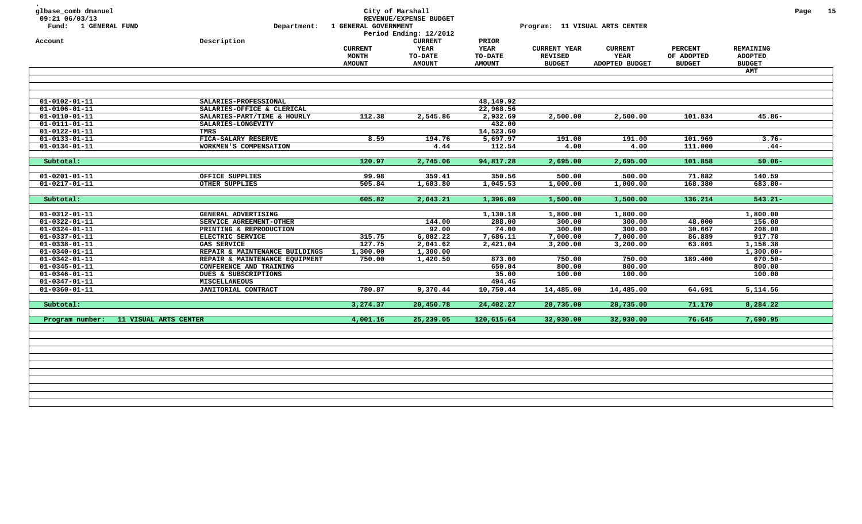| glbase_comb dmanuel<br>09:21 06/03/13<br>Fund: 1 GENERAL FUND | Department:                    | 1 GENERAL GOVERNMENT                            | City of Marshall<br>REVENUE/EXPENSE BUDGET<br>Period Ending: 12/2012 |                                                  | Program: 11 VISUAL ARTS CENTER                         |                                          |                                               |                                                     | Page | 15 |
|---------------------------------------------------------------|--------------------------------|-------------------------------------------------|----------------------------------------------------------------------|--------------------------------------------------|--------------------------------------------------------|------------------------------------------|-----------------------------------------------|-----------------------------------------------------|------|----|
| Account                                                       | Description                    | <b>CURRENT</b><br><b>MONTH</b><br><b>AMOUNT</b> | <b>CURRENT</b><br>YEAR<br><b>TO-DATE</b><br><b>AMOUNT</b>            | PRIOR<br>YEAR<br><b>TO-DATE</b><br><b>AMOUNT</b> | <b>CURRENT YEAR</b><br><b>REVISED</b><br><b>BUDGET</b> | <b>CURRENT</b><br>YEAR<br>ADOPTED BUDGET | <b>PERCENT</b><br>OF ADOPTED<br><b>BUDGET</b> | <b>REMAINING</b><br><b>ADOPTED</b><br><b>BUDGET</b> |      |    |
|                                                               |                                |                                                 |                                                                      |                                                  |                                                        |                                          |                                               | <b>AMT</b>                                          |      |    |
|                                                               |                                |                                                 |                                                                      |                                                  |                                                        |                                          |                                               |                                                     |      |    |
|                                                               |                                |                                                 |                                                                      |                                                  |                                                        |                                          |                                               |                                                     |      |    |
|                                                               |                                |                                                 |                                                                      |                                                  |                                                        |                                          |                                               |                                                     |      |    |
| $01 - 0102 - 01 - 11$                                         | SALARIES-PROFESSIONAL          |                                                 |                                                                      | 48,149.92                                        |                                                        |                                          |                                               |                                                     |      |    |
| $01 - 0106 - 01 - 11$                                         | SALARIES-OFFICE & CLERICAL     |                                                 |                                                                      | 22,968.56                                        |                                                        |                                          |                                               |                                                     |      |    |
| $01 - 0110 - 01 - 11$                                         | SALARIES-PART/TIME & HOURLY    | 112.38                                          | 2,545.86                                                             | 2,932.69                                         | 2,500.00                                               | 2,500.00                                 | 101.834                                       | $45.86 -$                                           |      |    |
| $01 - 0111 - 01 - 11$                                         | SALARIES-LONGEVITY             |                                                 |                                                                      | 432.00                                           |                                                        |                                          |                                               |                                                     |      |    |
| $01 - 0122 - 01 - 11$                                         | TMRS                           |                                                 |                                                                      | 14,523.60                                        |                                                        |                                          |                                               |                                                     |      |    |
| $01 - 0133 - 01 - 11$                                         | FICA-SALARY RESERVE            | 8.59                                            | 194.76                                                               | 5,697.97                                         | 191.00                                                 | 191.00                                   | 101.969                                       | $3.76 -$                                            |      |    |
| $01 - 0134 - 01 - 11$                                         | WORKMEN'S COMPENSATION         |                                                 | 4.44                                                                 | 112.54                                           | 4.00                                                   | 4.00                                     | 111.000                                       | $.44-$                                              |      |    |
|                                                               |                                |                                                 |                                                                      |                                                  |                                                        |                                          |                                               |                                                     |      |    |
| Subtotal:                                                     |                                | 120.97                                          | 2,745.06                                                             | 94,817.28                                        | 2,695.00                                               | 2,695.00                                 | 101.858                                       | $50.06 -$                                           |      |    |
|                                                               |                                |                                                 |                                                                      |                                                  |                                                        |                                          |                                               |                                                     |      |    |
| $01 - 0201 - 01 - 11$                                         | OFFICE SUPPLIES                | 99.98                                           | 359.41                                                               | 350.56                                           | 500.00                                                 | 500.00                                   | 71.882                                        | 140.59                                              |      |    |
| $01 - 0217 - 01 - 11$                                         | OTHER SUPPLIES                 | 505.84                                          | 1,683.80                                                             | 1,045.53                                         | 1,000.00                                               | 1,000.00                                 | 168.380                                       | 683.80-                                             |      |    |
| Subtotal:                                                     |                                | 605.82                                          | 2,043.21                                                             | 1,396.09                                         | 1,500.00                                               | 1,500.00                                 | 136.214                                       | $543.21 -$                                          |      |    |
|                                                               |                                |                                                 |                                                                      |                                                  |                                                        |                                          |                                               |                                                     |      |    |
| $01 - 0312 - 01 - 11$                                         | GENERAL ADVERTISING            |                                                 |                                                                      | 1,130.18                                         | 1,800.00                                               | 1,800.00                                 |                                               | 1,800.00                                            |      |    |
| $01 - 0322 - 01 - 11$                                         | SERVICE AGREEMENT-OTHER        |                                                 | 144.00                                                               | 288.00                                           | 300.00                                                 | 300.00                                   | 48.000                                        | 156.00                                              |      |    |
| $01 - 0324 - 01 - 11$                                         | PRINTING & REPRODUCTION        |                                                 | 92.00                                                                | 74.00                                            | 300.00                                                 | 300.00                                   | 30.667                                        | 208.00                                              |      |    |
| $01 - 0337 - 01 - 11$                                         | ELECTRIC SERVICE               | 315.75                                          | 6,082.22                                                             | 7,686.11                                         | 7,000.00                                               | 7,000.00                                 | 86.889                                        | 917.78                                              |      |    |
| $01 - 0338 - 01 - 11$                                         | <b>GAS SERVICE</b>             | 127.75                                          | 2,041.62                                                             | 2,421.04                                         | 3,200.00                                               | 3,200.00                                 | 63.801                                        | 1,158.38                                            |      |    |
| $01 - 0340 - 01 - 11$                                         | REPAIR & MAINTENANCE BUILDINGS | 1,300.00                                        | 1,300.00                                                             |                                                  |                                                        |                                          |                                               | $1,300.00 -$                                        |      |    |
| $01 - 0342 - 01 - 11$                                         | REPAIR & MAINTENANCE EQUIPMENT | 750.00                                          | 1,420.50                                                             | 873.00                                           | 750.00                                                 | 750.00                                   | 189.400                                       | $670.50 -$                                          |      |    |
| $01 - 0345 - 01 - 11$                                         | CONFERENCE AND TRAINING        |                                                 |                                                                      | 650.04                                           | 800.00                                                 | 800.00                                   |                                               | 800.00                                              |      |    |
| $01 - 0346 - 01 - 11$                                         | DUES & SUBSCRIPTIONS           |                                                 |                                                                      | 35.00                                            | 100.00                                                 | 100.00                                   |                                               | 100.00                                              |      |    |
| $01 - 0347 - 01 - 11$                                         | <b>MISCELLANEOUS</b>           |                                                 |                                                                      | 494.46                                           |                                                        |                                          |                                               |                                                     |      |    |
| $01 - 0360 - 01 - 11$                                         | JANITORIAL CONTRACT            | 780.87                                          | 9,370.44                                                             | 10,750.44                                        | 14,485.00                                              | 14,485.00                                | 64.691                                        | 5,114.56                                            |      |    |
|                                                               |                                |                                                 |                                                                      |                                                  |                                                        |                                          |                                               |                                                     |      |    |
| Subtotal:                                                     |                                | 3,274.37                                        | 20,450.78                                                            | 24,402.27                                        | 28,735.00                                              | 28,735.00                                | 71.170                                        | 8,284.22                                            |      |    |
|                                                               |                                |                                                 |                                                                      |                                                  |                                                        |                                          |                                               |                                                     |      |    |
| Program number:                                               | 11 VISUAL ARTS CENTER          | 4,001.16                                        | 25,239.05                                                            | 120,615.64                                       | 32,930.00                                              | 32,930.00                                | 76.645                                        | 7,690.95                                            |      |    |
|                                                               |                                |                                                 |                                                                      |                                                  |                                                        |                                          |                                               |                                                     |      |    |
|                                                               |                                |                                                 |                                                                      |                                                  |                                                        |                                          |                                               |                                                     |      |    |
|                                                               |                                |                                                 |                                                                      |                                                  |                                                        |                                          |                                               |                                                     |      |    |
|                                                               |                                |                                                 |                                                                      |                                                  |                                                        |                                          |                                               |                                                     |      |    |
|                                                               |                                |                                                 |                                                                      |                                                  |                                                        |                                          |                                               |                                                     |      |    |
|                                                               |                                |                                                 |                                                                      |                                                  |                                                        |                                          |                                               |                                                     |      |    |
|                                                               |                                |                                                 |                                                                      |                                                  |                                                        |                                          |                                               |                                                     |      |    |
|                                                               |                                |                                                 |                                                                      |                                                  |                                                        |                                          |                                               |                                                     |      |    |
|                                                               |                                |                                                 |                                                                      |                                                  |                                                        |                                          |                                               |                                                     |      |    |
|                                                               |                                |                                                 |                                                                      |                                                  |                                                        |                                          |                                               |                                                     |      |    |
|                                                               |                                |                                                 |                                                                      |                                                  |                                                        |                                          |                                               |                                                     |      |    |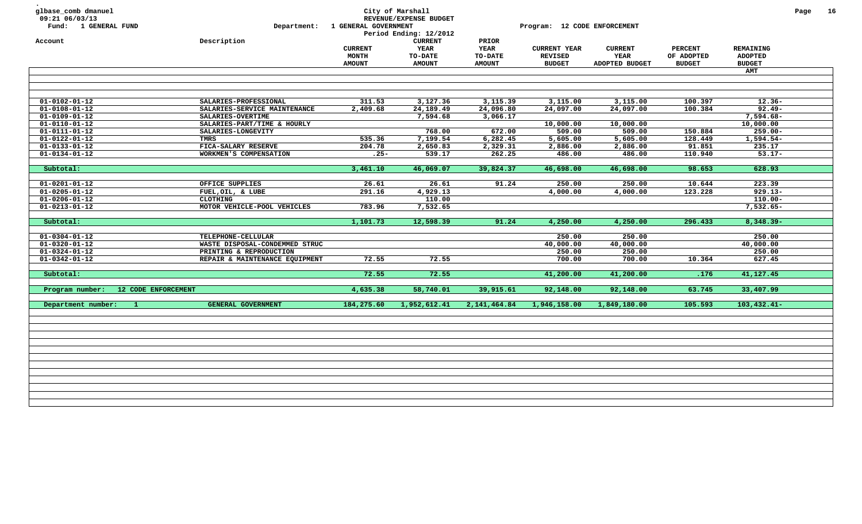| Account<br>$01 - 0102 - 01 - 12$<br>$01 - 0108 - 01 - 12$<br>$01 - 0109 - 01 - 12$<br>$01 - 0110 - 01 - 12$<br>$01 - 0111 - 01 - 12$<br>$01 - 0122 - 01 - 12$<br>$01 - 0133 - 01 - 12$<br>$01 - 0134 - 01 - 12$ | Description<br>SALARIES-PROFESSIONAL<br>SALARIES-SERVICE MAINTENANCE<br>SALARIES-OVERTIME<br>SALARIES-PART/TIME & HOURLY<br>SALARIES-LONGEVITY<br><b>TMRS</b><br>FICA-SALARY RESERVE | <b>CURRENT</b><br><b>MONTH</b><br><b>AMOUNT</b><br>311.53<br>2,409.68 | <b>CURRENT</b><br>YEAR<br><b>TO-DATE</b><br><b>AMOUNT</b><br>3,127.36<br>24,189.49<br>7,594.68 | PRIOR<br>YEAR<br><b>TO-DATE</b><br><b>AMOUNT</b><br>3,115.39<br>24,096.80<br>3,066.17 | <b>CURRENT YEAR</b><br><b>REVISED</b><br><b>BUDGET</b><br>3,115.00<br>24,097.00 | <b>CURRENT</b><br>YEAR<br>ADOPTED BUDGET<br>3,115.00<br>24,097.00 | <b>PERCENT</b><br>OF ADOPTED<br><b>BUDGET</b><br>100.397 | REMAINING<br><b>ADOPTED</b><br><b>BUDGET</b><br><b>AMT</b><br>$12.36 -$ |  |
|-----------------------------------------------------------------------------------------------------------------------------------------------------------------------------------------------------------------|--------------------------------------------------------------------------------------------------------------------------------------------------------------------------------------|-----------------------------------------------------------------------|------------------------------------------------------------------------------------------------|---------------------------------------------------------------------------------------|---------------------------------------------------------------------------------|-------------------------------------------------------------------|----------------------------------------------------------|-------------------------------------------------------------------------|--|
|                                                                                                                                                                                                                 |                                                                                                                                                                                      |                                                                       |                                                                                                |                                                                                       |                                                                                 |                                                                   |                                                          |                                                                         |  |
|                                                                                                                                                                                                                 |                                                                                                                                                                                      |                                                                       |                                                                                                |                                                                                       |                                                                                 |                                                                   |                                                          |                                                                         |  |
|                                                                                                                                                                                                                 |                                                                                                                                                                                      |                                                                       |                                                                                                |                                                                                       |                                                                                 |                                                                   |                                                          |                                                                         |  |
|                                                                                                                                                                                                                 |                                                                                                                                                                                      |                                                                       |                                                                                                |                                                                                       |                                                                                 |                                                                   |                                                          |                                                                         |  |
|                                                                                                                                                                                                                 |                                                                                                                                                                                      |                                                                       |                                                                                                |                                                                                       |                                                                                 |                                                                   |                                                          |                                                                         |  |
|                                                                                                                                                                                                                 |                                                                                                                                                                                      |                                                                       |                                                                                                |                                                                                       |                                                                                 |                                                                   | 100.384                                                  | $92.49 -$                                                               |  |
|                                                                                                                                                                                                                 |                                                                                                                                                                                      |                                                                       |                                                                                                |                                                                                       |                                                                                 |                                                                   |                                                          | 7,594.68-                                                               |  |
|                                                                                                                                                                                                                 |                                                                                                                                                                                      |                                                                       |                                                                                                |                                                                                       | 10,000.00                                                                       | 10,000.00                                                         |                                                          | 10,000.00                                                               |  |
|                                                                                                                                                                                                                 |                                                                                                                                                                                      |                                                                       | 768.00                                                                                         | 672.00                                                                                | 509.00                                                                          | 509.00                                                            | 150.884                                                  | $259.00 -$                                                              |  |
|                                                                                                                                                                                                                 |                                                                                                                                                                                      | 535.36                                                                | 7,199.54                                                                                       | 6,282.45                                                                              | 5,605.00                                                                        | 5,605.00                                                          | 128.449                                                  | $1,594.54-$                                                             |  |
|                                                                                                                                                                                                                 |                                                                                                                                                                                      | 204.78                                                                | 2,650.83                                                                                       | 2,329.31                                                                              | 2,886.00                                                                        | 2,886.00                                                          | 91.851                                                   | 235.17                                                                  |  |
|                                                                                                                                                                                                                 | WORKMEN'S COMPENSATION                                                                                                                                                               | $.25 -$                                                               | 539.17                                                                                         | 262.25                                                                                | 486.00                                                                          | 486.00                                                            | 110.940                                                  | $53.17 -$                                                               |  |
|                                                                                                                                                                                                                 |                                                                                                                                                                                      |                                                                       |                                                                                                |                                                                                       |                                                                                 |                                                                   |                                                          |                                                                         |  |
| Subtotal:                                                                                                                                                                                                       |                                                                                                                                                                                      | 3,461.10                                                              | 46,069.07                                                                                      | 39,824.37                                                                             | 46,698.00                                                                       | 46,698.00                                                         | 98.653                                                   | 628.93                                                                  |  |
|                                                                                                                                                                                                                 |                                                                                                                                                                                      |                                                                       |                                                                                                |                                                                                       |                                                                                 |                                                                   |                                                          |                                                                         |  |
| $01 - 0201 - 01 - 12$                                                                                                                                                                                           | OFFICE SUPPLIES                                                                                                                                                                      | 26.61                                                                 | 26.61                                                                                          | 91.24                                                                                 | 250.00                                                                          | 250.00                                                            | 10.644                                                   | 223.39                                                                  |  |
| $01 - 0205 - 01 - 12$                                                                                                                                                                                           | FUEL, OIL, & LUBE                                                                                                                                                                    | 291.16                                                                | 4,929.13                                                                                       |                                                                                       | 4,000.00                                                                        | 4,000.00                                                          | 123.228                                                  | $929.13 -$                                                              |  |
| $01 - 0206 - 01 - 12$                                                                                                                                                                                           | CLOTHING                                                                                                                                                                             |                                                                       | 110.00                                                                                         |                                                                                       |                                                                                 |                                                                   |                                                          | $110.00 -$                                                              |  |
| $01 - 0213 - 01 - 12$                                                                                                                                                                                           | MOTOR VEHICLE-POOL VEHICLES                                                                                                                                                          | 783.96                                                                | 7,532.65                                                                                       |                                                                                       |                                                                                 |                                                                   |                                                          | $7,532.65-$                                                             |  |
| Subtotal:                                                                                                                                                                                                       |                                                                                                                                                                                      | 1,101.73                                                              | 12,598.39                                                                                      | 91.24                                                                                 | 4,250.00                                                                        | 4,250.00                                                          | 296.433                                                  | $8,348.39 -$                                                            |  |
|                                                                                                                                                                                                                 |                                                                                                                                                                                      |                                                                       |                                                                                                |                                                                                       |                                                                                 |                                                                   |                                                          |                                                                         |  |
| $01 - 0304 - 01 - 12$                                                                                                                                                                                           | TELEPHONE-CELLULAR                                                                                                                                                                   |                                                                       |                                                                                                |                                                                                       | 250.00                                                                          | 250.00                                                            |                                                          | 250.00                                                                  |  |
| $01 - 0320 - 01 - 12$                                                                                                                                                                                           | WASTE DISPOSAL-CONDEMMED STRUC                                                                                                                                                       |                                                                       |                                                                                                |                                                                                       | 40,000.00                                                                       | 40,000.00                                                         |                                                          | 40,000.00                                                               |  |
| $01 - 0324 - 01 - 12$                                                                                                                                                                                           | PRINTING & REPRODUCTION                                                                                                                                                              |                                                                       |                                                                                                |                                                                                       | 250.00                                                                          | 250.00                                                            |                                                          | 250.00                                                                  |  |
| $01 - 0342 - 01 - 12$                                                                                                                                                                                           | REPAIR & MAINTENANCE EQUIPMENT                                                                                                                                                       | 72.55                                                                 | 72.55                                                                                          |                                                                                       | 700.00                                                                          | 700.00                                                            | 10.364                                                   | 627.45                                                                  |  |
|                                                                                                                                                                                                                 |                                                                                                                                                                                      |                                                                       |                                                                                                |                                                                                       |                                                                                 |                                                                   |                                                          |                                                                         |  |
| Subtotal:                                                                                                                                                                                                       |                                                                                                                                                                                      | 72.55                                                                 | 72.55                                                                                          |                                                                                       | 41,200.00                                                                       | 41,200.00                                                         | .176                                                     | 41,127.45                                                               |  |
| 12 CODE ENFORCEMENT<br>Program number:                                                                                                                                                                          |                                                                                                                                                                                      | 4,635.38                                                              | 58,740.01                                                                                      | 39,915.61                                                                             | 92,148.00                                                                       | 92,148.00                                                         | 63.745                                                   | 33,407.99                                                               |  |
| Department number:<br>$\mathbf{1}$                                                                                                                                                                              | GENERAL GOVERNMENT                                                                                                                                                                   | 184,275.60                                                            | 1,952,612.41                                                                                   | 2, 141, 464.84                                                                        | 1,946,158.00                                                                    | 1,849,180.00                                                      | 105.593                                                  | $103,432.41-$                                                           |  |
|                                                                                                                                                                                                                 |                                                                                                                                                                                      |                                                                       |                                                                                                |                                                                                       |                                                                                 |                                                                   |                                                          |                                                                         |  |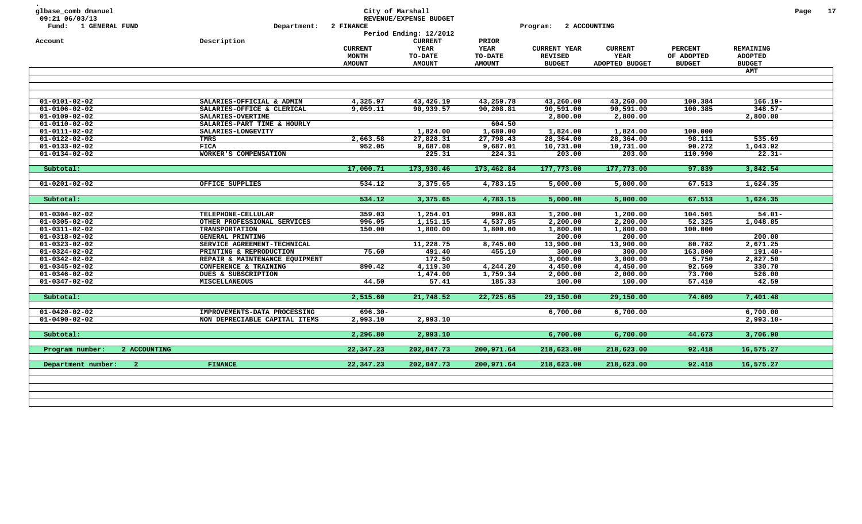| glbase_comb dmanuel<br>09:21 06/03/13<br>Fund: 1 GENERAL FUND | Department:                    | <b>2 FINANCE</b>        | City of Marshall<br>REVENUE/EXPENSE BUDGET<br>Period Ending: 12/2012 |                               | Program:                              | 2 ACCOUNTING           |                              |                                    | Page | 17 |
|---------------------------------------------------------------|--------------------------------|-------------------------|----------------------------------------------------------------------|-------------------------------|---------------------------------------|------------------------|------------------------------|------------------------------------|------|----|
| Account                                                       | Description                    |                         | <b>CURRENT</b>                                                       | PRIOR                         |                                       |                        |                              |                                    |      |    |
|                                                               |                                | <b>CURRENT</b><br>MONTH | <b>YEAR</b><br><b>TO-DATE</b>                                        | <b>YEAR</b><br><b>TO-DATE</b> | <b>CURRENT YEAR</b><br><b>REVISED</b> | <b>CURRENT</b><br>YEAR | <b>PERCENT</b><br>OF ADOPTED | <b>REMAINING</b><br><b>ADOPTED</b> |      |    |
|                                                               |                                | <b>AMOUNT</b>           | <b>AMOUNT</b>                                                        | <b>AMOUNT</b>                 | <b>BUDGET</b>                         | ADOPTED BUDGET         | <b>BUDGET</b>                | <b>BUDGET</b>                      |      |    |
|                                                               |                                |                         |                                                                      |                               |                                       |                        |                              | AMT                                |      |    |
|                                                               |                                |                         |                                                                      |                               |                                       |                        |                              |                                    |      |    |
|                                                               |                                |                         |                                                                      |                               |                                       |                        |                              |                                    |      |    |
| $01 - 0101 - 02 - 02$                                         | SALARIES-OFFICIAL & ADMIN      | 4,325.97                | 43,426.19                                                            | 43,259.78                     | 43,260.00                             | 43,260.00              | 100.384                      | $166.19 -$                         |      |    |
| $01 - 0106 - 02 - 02$                                         | SALARIES-OFFICE & CLERICAL     | 9,059.11                | 90,939.57                                                            | 90,208.81                     | 90,591.00                             | 90,591.00              | 100.385                      | $348.57 -$                         |      |    |
| $01 - 0109 - 02 - 02$                                         | SALARIES-OVERTIME              |                         |                                                                      |                               | 2,800.00                              | 2,800.00               |                              | 2,800.00                           |      |    |
| $01 - 0110 - 02 - 02$                                         | SALARIES-PART TIME & HOURLY    |                         |                                                                      | 604.50                        |                                       |                        |                              |                                    |      |    |
| $01 - 0111 - 02 - 02$                                         | SALARIES-LONGEVITY             |                         | 1,824.00                                                             | 1,680.00                      | 1,824.00                              | 1,824.00               | 100.000                      |                                    |      |    |
| $01 - 0122 - 02 - 02$                                         | TMRS                           | 2,663.58                | 27,828.31                                                            | 27,798.43                     | 28,364.00                             | 28,364.00              | 98.111                       | 535.69                             |      |    |
| 01-0133-02-02                                                 | <b>FICA</b>                    | 952.05                  | 9,687.08                                                             | 9,687.01                      | 10,731.00                             | 10,731.00              | 90.272                       | 1,043.92                           |      |    |
| $01 - 0134 - 02 - 02$                                         | WORKER'S COMPENSATION          |                         | 225.31                                                               | 224.31                        | 203.00                                | 203.00                 | 110.990                      | $22.31 -$                          |      |    |
|                                                               |                                |                         |                                                                      |                               |                                       |                        |                              |                                    |      |    |
| Subtotal:                                                     |                                | 17,000.71               | 173,930.46                                                           | 173,462.84                    | 177,773.00                            | 177,773.00             | 97.839                       | 3,842.54                           |      |    |
|                                                               |                                |                         |                                                                      |                               |                                       |                        |                              |                                    |      |    |
| 01-0201-02-02                                                 | OFFICE SUPPLIES                | 534.12                  | 3,375.65                                                             | 4,783.15                      | 5,000.00                              | 5,000.00               | 67.513                       | 1,624.35                           |      |    |
|                                                               |                                |                         |                                                                      |                               |                                       |                        |                              |                                    |      |    |
| Subtotal:                                                     |                                | 534.12                  | 3,375.65                                                             | 4,783.15                      | 5,000.00                              | 5,000.00               | 67.513                       | 1,624.35                           |      |    |
| $01 - 0304 - 02 - 02$                                         | TELEPHONE-CELLULAR             | 359.03                  | 1,254.01                                                             | 998.83                        | 1,200.00                              | 1,200.00               | 104.501                      | $54.01 -$                          |      |    |
| $01 - 0305 - 02 - 02$                                         | OTHER PROFESSIONAL SERVICES    | 996.05                  | 1,151.15                                                             | 4,537.85                      | 2,200.00                              | 2,200.00               | 52.325                       | 1,048.85                           |      |    |
| $01 - 0311 - 02 - 02$                                         | <b>TRANSPORTATION</b>          | 150.00                  | 1,800.00                                                             | 1,800.00                      | 1,800.00                              | 1,800.00               | 100.000                      |                                    |      |    |
| $01 - 0318 - 02 - 02$                                         | GENERAL PRINTING               |                         |                                                                      |                               | 200.00                                | 200.00                 |                              | 200.00                             |      |    |
| $01 - 0323 - 02 - 02$                                         | SERVICE AGREEMENT-TECHNICAL    |                         | 11,228.75                                                            | 8,745.00                      | 13,900.00                             | 13,900.00              | 80.782                       | 2,671.25                           |      |    |
| $01 - 0324 - 02 - 02$                                         | PRINTING & REPRODUCTION        | 75.60                   | 491.40                                                               | 455.10                        | 300.00                                | 300.00                 | 163.800                      | $191.40 -$                         |      |    |
| $01 - 0342 - 02 - 02$                                         | REPAIR & MAINTENANCE EQUIPMENT |                         | 172.50                                                               |                               | 3,000.00                              | 3,000.00               | 5.750                        | 2,827.50                           |      |    |
| $01 - 0345 - 02 - 02$                                         | CONFERENCE & TRAINING          | 890.42                  | 4,119.30                                                             | 4,244.20                      | 4,450.00                              | 4,450.00               | 92.569                       | 330.70                             |      |    |
| $01 - 0346 - 02 - 02$                                         | DUES & SUBSCRIPTION            |                         | 1,474.00                                                             | 1,759.34                      | 2,000.00                              | 2,000.00               | 73.700                       | 526.00                             |      |    |
| $01 - 0347 - 02 - 02$                                         | <b>MISCELLANEOUS</b>           | 44.50                   | 57.41                                                                | 185.33                        | 100.00                                | 100.00                 | 57.410                       | 42.59                              |      |    |
|                                                               |                                |                         |                                                                      |                               |                                       |                        |                              |                                    |      |    |
| Subtotal:                                                     |                                | 2,515.60                | 21,748.52                                                            | 22,725.65                     | 29,150.00                             | 29,150.00              | 74.609                       | 7,401.48                           |      |    |
| 01-0420-02-02                                                 | IMPROVEMENTS-DATA PROCESSING   |                         |                                                                      |                               | 6,700.00                              | 6,700.00               |                              | 6,700.00                           |      |    |
| $01 - 0490 - 02 - 02$                                         | NON DEPRECIABLE CAPITAL ITEMS  | $696.30 -$<br>2,993.10  | 2,993.10                                                             |                               |                                       |                        |                              | $2,993.10 -$                       |      |    |
|                                                               |                                |                         |                                                                      |                               |                                       |                        |                              |                                    |      |    |
| Subtotal:                                                     |                                | 2,296.80                | 2,993.10                                                             |                               | 6,700.00                              | 6,700.00               | 44.673                       | 3,706.90                           |      |    |
|                                                               |                                |                         |                                                                      |                               |                                       |                        |                              |                                    |      |    |
| Program number:<br>2 ACCOUNTING                               |                                | 22,347.23               | 202,047.73                                                           | 200,971.64                    | 218,623.00                            | 218,623.00             | 92.418                       | 16,575.27                          |      |    |
| Department number:<br>$\mathbf{2}$                            | <b>FINANCE</b>                 | 22,347.23               | 202,047.73                                                           | 200,971.64                    | 218,623.00                            | 218,623.00             | 92.418                       | 16,575.27                          |      |    |
|                                                               |                                |                         |                                                                      |                               |                                       |                        |                              |                                    |      |    |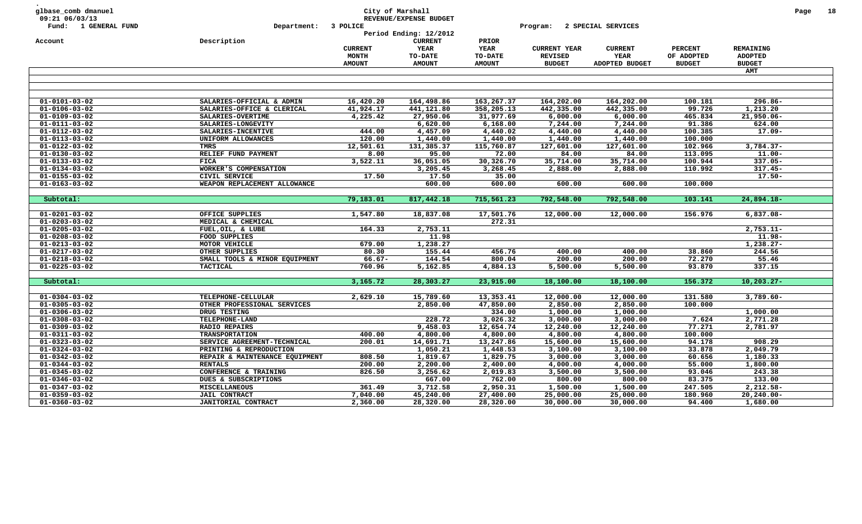| glbase_comb dmanuel<br>09:21 06/03/13 |                                |                | City of Marshall<br>REVENUE/EXPENSE BUDGET |                      |                     |                    |                |                | Page | 18 |
|---------------------------------------|--------------------------------|----------------|--------------------------------------------|----------------------|---------------------|--------------------|----------------|----------------|------|----|
| Fund: 1 GENERAL FUND                  | Department:                    | 3 POLICE       |                                            |                      | Program:            | 2 SPECIAL SERVICES |                |                |      |    |
|                                       |                                |                | Period Ending: 12/2012                     |                      |                     |                    |                |                |      |    |
| Account                               | Description                    | <b>CURRENT</b> | <b>CURRENT</b><br>YEAR                     | PRIOR<br><b>YEAR</b> | <b>CURRENT YEAR</b> | <b>CURRENT</b>     | <b>PERCENT</b> | REMAINING      |      |    |
|                                       |                                | MONTH          | TO-DATE                                    | TO-DATE              | <b>REVISED</b>      | YEAR               | OF ADOPTED     | <b>ADOPTED</b> |      |    |
|                                       |                                | <b>AMOUNT</b>  | <b>AMOUNT</b>                              | <b>AMOUNT</b>        | <b>BUDGET</b>       | ADOPTED BUDGET     | <b>BUDGET</b>  | <b>BUDGET</b>  |      |    |
|                                       |                                |                |                                            |                      |                     |                    |                | AMT            |      |    |
|                                       |                                |                |                                            |                      |                     |                    |                |                |      |    |
|                                       |                                |                |                                            |                      |                     |                    |                |                |      |    |
|                                       |                                |                |                                            |                      |                     |                    |                |                |      |    |
| $01 - 0101 - 03 - 02$                 | SALARIES-OFFICIAL & ADMIN      | 16,420.20      | 164,498.86                                 | 163,267.37           | 164,202.00          | 164,202.00         | 100.181        | $296.86 -$     |      |    |
| $01 - 0106 - 03 - 02$                 | SALARIES-OFFICE & CLERICAL     | 41,924.17      | 441,121.80                                 | 358,205.13           | 442,335.00          | 442,335.00         | 99.726         | 1,213.20       |      |    |
| $01 - 0109 - 03 - 02$                 | SALARIES-OVERTIME              | 4,225.42       | 27,950.06                                  | 31,977.69            | 6,000.00            | 6,000.00           | 465.834        | 21,950.06-     |      |    |
| $01 - 0111 - 03 - 02$                 | SALARIES-LONGEVITY             |                | 6,620.00                                   | 6,168.00             | 7,244.00            | 7,244.00           | 91.386         | 624.00         |      |    |
| 01-0112-03-02                         | SALARIES-INCENTIVE             | 444.00         | 4,457.09                                   | 4,440.02             | 4,440.00            | 4,440.00           | 100.385        | $17.09 -$      |      |    |
| $01 - 0113 - 03 - 02$                 | UNIFORM ALLOWANCES             | 120.00         | 1,440.00                                   | 1,440.00             | 1,440.00            | 1,440.00           | 100.000        |                |      |    |
| $01 - 0122 - 03 - 02$                 | <b>TMRS</b>                    | 12,501.61      | 131,385.37                                 | 115,760.87           | 127,601.00          | 127,601.00         | 102.966        | $3,784.37-$    |      |    |
| $01 - 0130 - 03 - 02$                 | RELIEF FUND PAYMENT            | 8.00           | 95.00                                      | 72.00                | 84.00               | 84.00              | 113.095        | $11.00 -$      |      |    |
| $01 - 0133 - 03 - 02$                 | <b>FICA</b>                    | 3,522.11       | 36,051.05                                  | 30,326.70            | 35,714.00           | 35,714.00          | 100.944        | $337.05 -$     |      |    |
| $01 - 0134 - 03 - 02$                 | WORKER'S COMPENSATION          |                | 3,205.45                                   | 3,268.45             | 2,888.00            | 2,888.00           | 110.992        | $317.45 -$     |      |    |
| $01 - 0155 - 03 - 02$                 | CIVIL SERVICE                  | 17.50          | 17.50                                      | 35.00                |                     |                    |                | $17.50 -$      |      |    |
| $01 - 0163 - 03 - 02$                 | WEAPON REPLACEMENT ALLOWANCE   |                | 600.00                                     | 600.00               | 600.00              | 600.00             | 100.000        |                |      |    |
|                                       |                                |                | 817,442.18                                 |                      |                     |                    |                |                |      |    |
| Subtotal:                             |                                | 79,183.01      |                                            | 715,561.23           | 792,548.00          | 792,548.00         | 103.141        | $24,894.18-$   |      |    |
| $01 - 0201 - 03 - 02$                 | OFFICE SUPPLIES                | 1,547.80       | 18,837.08                                  | 17,501.76            | 12,000.00           | 12,000.00          | 156.976        | $6,837.08 -$   |      |    |
| $01 - 0203 - 03 - 02$                 | MEDICAL & CHEMICAL             |                |                                            | 272.31               |                     |                    |                |                |      |    |
| $01 - 0205 - 03 - 02$                 | FUEL, OIL, & LUBE              | 164.33         | 2,753.11                                   |                      |                     |                    |                | $2,753.11-$    |      |    |
| $01 - 0208 - 03 - 02$                 | FOOD SUPPLIES                  |                | 11.98                                      |                      |                     |                    |                | $11.98 -$      |      |    |
| $01 - 0213 - 03 - 02$                 | MOTOR VEHICLE                  | 679.00         | 1,238.27                                   |                      |                     |                    |                | $1,238.27-$    |      |    |
| $01 - 0217 - 03 - 02$                 | OTHER SUPPLIES                 | 80.30          | 155.44                                     | 456.76               | 400.00              | 400.00             | 38.860         | 244.56         |      |    |
| $01 - 0218 - 03 - 02$                 | SMALL TOOLS & MINOR EQUIPMENT  | $66.67 -$      | 144.54                                     | 800.04               | 200.00              | 200.00             | 72.270         | 55.46          |      |    |
| $01 - 0225 - 03 - 02$                 | <b>TACTICAL</b>                | 760.96         | 5,162.85                                   | 4,884.13             | 5,500.00            | 5,500.00           | 93.870         | 337.15         |      |    |
|                                       |                                |                |                                            |                      |                     |                    |                |                |      |    |
| Subtotal:                             |                                | 3,165.72       | 28,303.27                                  | 23,915.00            | 18,100.00           | 18,100.00          | 156.372        | $10, 203.27 -$ |      |    |
|                                       |                                |                |                                            |                      |                     |                    |                |                |      |    |
| $01 - 0304 - 03 - 02$                 | TELEPHONE-CELLULAR             | 2,629.10       | 15,789.60                                  | 13,353.41            | 12,000.00           | 12,000.00          | 131.580        | $3,789.60 -$   |      |    |
| $01 - 0305 - 03 - 02$                 | OTHER PROFESSIONAL SERVICES    |                | 2,850.00                                   | 47,850.00            | 2,850.00            | 2,850.00           | 100.000        |                |      |    |
| $01 - 0306 - 03 - 02$                 | DRUG TESTING                   |                |                                            | 334.00               | 1,000.00            | 1,000.00           |                | 1,000.00       |      |    |
| $01 - 0308 - 03 - 02$                 | TELEPHONE-LAND                 |                | 228.72                                     | 3,026.32             | 3,000.00            | 3,000.00           | 7.624          | 2,771.28       |      |    |
| $01 - 0309 - 03 - 02$                 | <b>RADIO REPAIRS</b>           |                | 9,458.03                                   | 12,654.74            | 12,240.00           | 12,240.00          | 77.271         | 2,781.97       |      |    |
| $01 - 0311 - 03 - 02$                 | <b>TRANSPORTATION</b>          | 400.00         | 4,800.00                                   | 4,800.00             | 4,800.00            | 4,800.00           | 100.000        |                |      |    |
| $01 - 0323 - 03 - 02$                 | SERVICE AGREEMENT-TECHNICAL    | 200.01         | 14,691.71                                  | 13,247.86            | 15,600.00           | 15,600.00          | 94.178         | 908.29         |      |    |
| $01 - 0324 - 03 - 02$                 | PRINTING & REPRODUCTION        |                | 1,050.21                                   | 1,448.53             | 3,100.00            | 3,100.00           | 33.878         | 2,049.79       |      |    |
| $01 - 0342 - 03 - 02$                 | REPAIR & MAINTENANCE EQUIPMENT | 808.50         | 1,819.67                                   | 1,829.75             | 3,000.00            | 3,000.00           | 60.656         | 1,180.33       |      |    |
| $01 - 0344 - 03 - 02$                 | <b>RENTALS</b>                 | 200.00         | 2,200.00                                   | 2,400.00             | 4,000.00            | 4,000.00           | 55.000         | 1,800.00       |      |    |
| $01 - 0345 - 03 - 02$                 | CONFERENCE & TRAINING          | 826.50         | 3,256.62                                   | 2,019.83             | 3,500.00            | 3,500.00           | 93.046         | 243.38         |      |    |
| $01 - 0346 - 03 - 02$                 | DUES & SUBSCRIPTIONS           |                | 667.00                                     | 762.00               | 800.00              | 800.00             | 83.375         | 133.00         |      |    |
| $01 - 0347 - 03 - 02$                 | MISCELLANEOUS                  | 361.49         | 3,712.58                                   | 2,950.31             | 1,500.00            | 1,500.00           | 247.505        | 2,212.58-      |      |    |
| $01 - 0359 - 03 - 02$                 | <b>JAIL CONTRACT</b>           | 7,040.00       | 45,240.00                                  | 27,400.00            | 25,000.00           | 25,000.00          | 180.960        | $20, 240.00 -$ |      |    |
| $01 - 0360 - 03 - 02$                 | JANITORIAL CONTRACT            | 2,360.00       | 28,320.00                                  | 28,320.00            | 30,000.00           | 30,000.00          | 94.400         | 1,680.00       |      |    |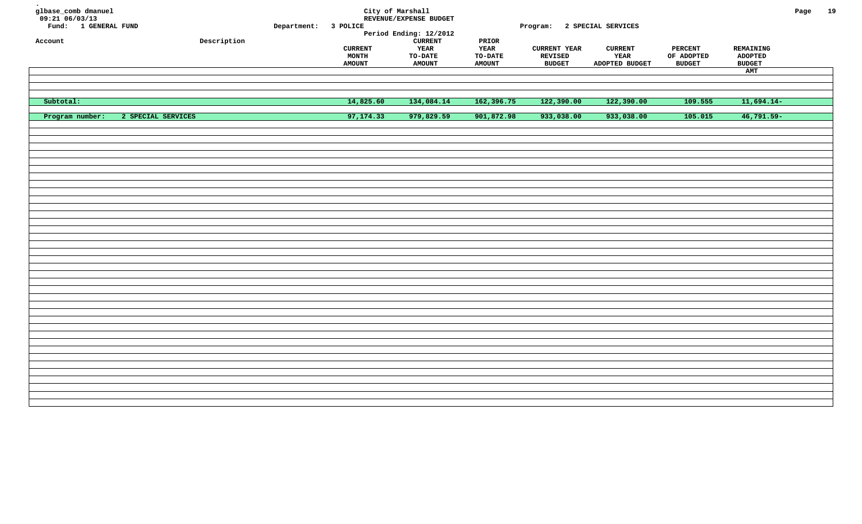| glbase_comb dmanuel<br>$09:21$ $06/03/13$<br>Fund: 1 GENERAL FUND<br>Account | ${\tt Description}$ | Department: 3 POLICE | <b>CURRENT</b><br>MONTH | City of Marshall<br>REVENUE/EXPENSE BUDGET<br>Period Ending: 12/2012<br><b>CURRENT</b><br>YEAR<br>TO-DATE | $\tt PRIOR$<br>YEAR<br>TO-DATE | Program: 2 SPECIAL SERVICES<br><b>CURRENT YEAR</b><br>REVISED | <b>CURRENT</b><br>YEAR | <b>PERCENT</b><br>OF ADOPTED | REMAINING<br><b>ADOPTED</b> | Page | 19 |
|------------------------------------------------------------------------------|---------------------|----------------------|-------------------------|-----------------------------------------------------------------------------------------------------------|--------------------------------|---------------------------------------------------------------|------------------------|------------------------------|-----------------------------|------|----|
|                                                                              |                     |                      | <b>AMOUNT</b>           | <b>AMOUNT</b>                                                                                             | <b>AMOUNT</b>                  | <b>BUDGET</b>                                                 | ADOPTED BUDGET         | <b>BUDGET</b>                | <b>BUDGET</b>               |      |    |
|                                                                              |                     |                      |                         |                                                                                                           |                                |                                                               |                        |                              | AMT                         |      |    |
|                                                                              |                     |                      |                         |                                                                                                           |                                |                                                               |                        |                              |                             |      |    |
|                                                                              |                     |                      |                         |                                                                                                           |                                |                                                               |                        |                              |                             |      |    |
| Subtotal:                                                                    |                     |                      | 14,825.60               | 134,084.14                                                                                                | 162,396.75                     | 122,390.00                                                    | 122,390.00             | 109.555                      | $11,694.14-$                |      |    |
| Program number:                                                              | 2 SPECIAL SERVICES  |                      | 97,174.33               | 979,829.59                                                                                                | 901,872.98                     | 933,038.00                                                    | 933,038.00             | 105.015                      | $46,791.59 -$               |      |    |
|                                                                              |                     |                      |                         |                                                                                                           |                                |                                                               |                        |                              |                             |      |    |
|                                                                              |                     |                      |                         |                                                                                                           |                                |                                                               |                        |                              |                             |      |    |
|                                                                              |                     |                      |                         |                                                                                                           |                                |                                                               |                        |                              |                             |      |    |
|                                                                              |                     |                      |                         |                                                                                                           |                                |                                                               |                        |                              |                             |      |    |
|                                                                              |                     |                      |                         |                                                                                                           |                                |                                                               |                        |                              |                             |      |    |
|                                                                              |                     |                      |                         |                                                                                                           |                                |                                                               |                        |                              |                             |      |    |
|                                                                              |                     |                      |                         |                                                                                                           |                                |                                                               |                        |                              |                             |      |    |
|                                                                              |                     |                      |                         |                                                                                                           |                                |                                                               |                        |                              |                             |      |    |
|                                                                              |                     |                      |                         |                                                                                                           |                                |                                                               |                        |                              |                             |      |    |
|                                                                              |                     |                      |                         |                                                                                                           |                                |                                                               |                        |                              |                             |      |    |
|                                                                              |                     |                      |                         |                                                                                                           |                                |                                                               |                        |                              |                             |      |    |
|                                                                              |                     |                      |                         |                                                                                                           |                                |                                                               |                        |                              |                             |      |    |
|                                                                              |                     |                      |                         |                                                                                                           |                                |                                                               |                        |                              |                             |      |    |
|                                                                              |                     |                      |                         |                                                                                                           |                                |                                                               |                        |                              |                             |      |    |
|                                                                              |                     |                      |                         |                                                                                                           |                                |                                                               |                        |                              |                             |      |    |
|                                                                              |                     |                      |                         |                                                                                                           |                                |                                                               |                        |                              |                             |      |    |
|                                                                              |                     |                      |                         |                                                                                                           |                                |                                                               |                        |                              |                             |      |    |
|                                                                              |                     |                      |                         |                                                                                                           |                                |                                                               |                        |                              |                             |      |    |
|                                                                              |                     |                      |                         |                                                                                                           |                                |                                                               |                        |                              |                             |      |    |
|                                                                              |                     |                      |                         |                                                                                                           |                                |                                                               |                        |                              |                             |      |    |
|                                                                              |                     |                      |                         |                                                                                                           |                                |                                                               |                        |                              |                             |      |    |
|                                                                              |                     |                      |                         |                                                                                                           |                                |                                                               |                        |                              |                             |      |    |
|                                                                              |                     |                      |                         |                                                                                                           |                                |                                                               |                        |                              |                             |      |    |
|                                                                              |                     |                      |                         |                                                                                                           |                                |                                                               |                        |                              |                             |      |    |
|                                                                              |                     |                      |                         |                                                                                                           |                                |                                                               |                        |                              |                             |      |    |
|                                                                              |                     |                      |                         |                                                                                                           |                                |                                                               |                        |                              |                             |      |    |
|                                                                              |                     |                      |                         |                                                                                                           |                                |                                                               |                        |                              |                             |      |    |
|                                                                              |                     |                      |                         |                                                                                                           |                                |                                                               |                        |                              |                             |      |    |
|                                                                              |                     |                      |                         |                                                                                                           |                                |                                                               |                        |                              |                             |      |    |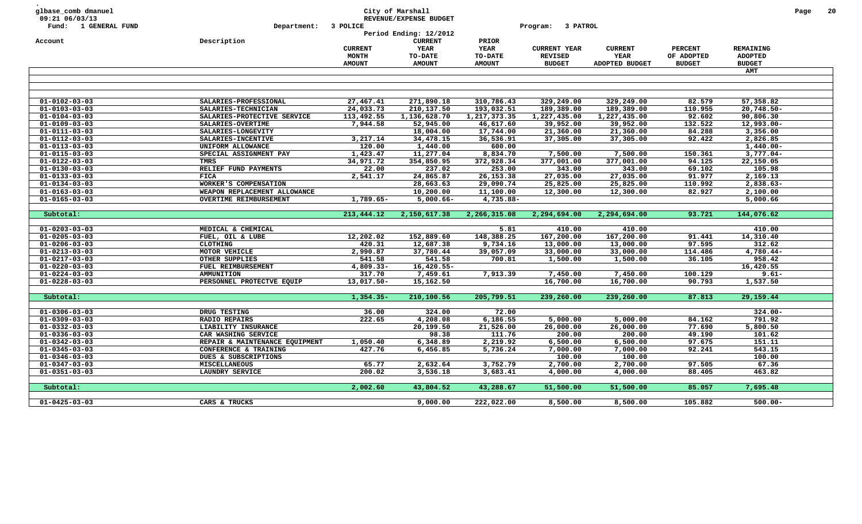| glbase_comb dmanuel<br>09:21 06/03/13<br>Fund: 1 GENERAL FUND | Department:                              | 3 POLICE              | City of Marshall<br>REVENUE/EXPENSE BUDGET |                        | 3 PATROL<br>Program:   |                        |                   |                      | Page | 20 |
|---------------------------------------------------------------|------------------------------------------|-----------------------|--------------------------------------------|------------------------|------------------------|------------------------|-------------------|----------------------|------|----|
|                                                               |                                          |                       | Period Ending: 12/2012                     |                        |                        |                        |                   |                      |      |    |
| Account                                                       | Description                              |                       | <b>CURRENT</b>                             | PRIOR                  |                        |                        |                   |                      |      |    |
|                                                               |                                          | <b>CURRENT</b>        | YEAR                                       | <b>YEAR</b>            | <b>CURRENT YEAR</b>    | <b>CURRENT</b>         | <b>PERCENT</b>    | REMAINING            |      |    |
|                                                               |                                          | MONTH                 | <b>TO-DATE</b>                             | <b>TO-DATE</b>         | <b>REVISED</b>         | YEAR                   | OF ADOPTED        | <b>ADOPTED</b>       |      |    |
|                                                               |                                          | <b>AMOUNT</b>         | <b>AMOUNT</b>                              | <b>AMOUNT</b>          | <b>BUDGET</b>          | ADOPTED BUDGET         | <b>BUDGET</b>     | <b>BUDGET</b>        |      |    |
|                                                               |                                          |                       |                                            |                        |                        |                        |                   | <b>AMT</b>           |      |    |
|                                                               |                                          |                       |                                            |                        |                        |                        |                   |                      |      |    |
|                                                               |                                          |                       |                                            |                        |                        |                        |                   |                      |      |    |
| $01 - 0102 - 03 - 03$                                         | SALARIES-PROFESSIONAL                    | 27,467.41             | 271,890.18                                 | 310,786.43             | 329,249.00             | 329,249.00             | 82.579            | 57,358.82            |      |    |
| $01 - 0103 - 03 - 03$                                         | SALARIES-TECHNICIAN                      | 24,033.73             | 210,137.50                                 | 193,032.51             | 189,389.00             | 189,389.00             | 110.955           | $20,748.50 -$        |      |    |
| $01 - 0104 - 03 - 03$                                         | SALARIES-PROTECTIVE SERVICE              | 113,492.55            | 1,136,628.70                               | 1,217,373.35           | 1,227,435.00           | 1,227,435.00           | 92.602            | 90,806.30            |      |    |
| $01 - 0109 - 03 - 03$<br>$01 - 0111 - 03 - 03$                | SALARIES-OVERTIME                        | 7,944.58              | 52,945.00<br>18,004.00                     | 46,617.60<br>17,744.00 | 39,952.00              | 39,952.00              | 132.522<br>84.288 | 12,993.00-           |      |    |
| $01 - 0112 - 03 - 03$                                         | SALARIES-LONGEVITY<br>SALARIES-INCENTIVE | 3,217.14              | 34,478.15                                  | 36,536.91              | 21,360.00<br>37,305.00 | 21,360.00<br>37,305.00 | 92.422            | 3,356.00<br>2,826.85 |      |    |
| $01 - 0113 - 03 - 03$                                         | UNIFORM ALLOWANCE                        | 120.00                | 1,440.00                                   | 600.00                 |                        |                        |                   | $1,440.00 -$         |      |    |
| $01 - 0115 - 03 - 03$                                         |                                          |                       | 11,277.04                                  |                        | 7,500.00               | 7,500.00               | 150.361           | $3,777.04-$          |      |    |
| $01 - 0122 - 03 - 03$                                         | SPECIAL ASSIGNMENT PAY<br>TMRS           | 1,423.47<br>34,971.72 | 354,850.95                                 | 8,834.70<br>372,928.34 | 377,001.00             | 377,001.00             | 94.125            | 22,150.05            |      |    |
| $01 - 0130 - 03 - 03$                                         | RELIEF FUND PAYMENTS                     | 22.00                 | 237.02                                     | 253.00                 | 343.00                 | 343.00                 | 69.102            | 105.98               |      |    |
| $01 - 0133 - 03 - 03$                                         | FICA                                     | 2,541.17              | 24,865.87                                  | 26, 153.38             | 27,035.00              | 27,035.00              | 91.977            | 2,169.13             |      |    |
| $01 - 0134 - 03 - 03$                                         | WORKER'S COMPENSATION                    |                       | 28,663.63                                  | 29,090.74              | 25,825.00              | 25,825.00              | 110.992           | 2,838.63-            |      |    |
| $01 - 0163 - 03 - 03$                                         | WEAPON REPLACEMENT ALLOWANCE             |                       | 10,200.00                                  | 11,100.00              | 12,300.00              | 12,300.00              | 82.927            | 2,100.00             |      |    |
| $01 - 0165 - 03 - 03$                                         | <b>OVERTIME REIMBURSEMENT</b>            | 1,789.65-             | $5,000.66 -$                               | 4,735.88-              |                        |                        |                   | 5,000.66             |      |    |
|                                                               |                                          |                       |                                            |                        |                        |                        |                   |                      |      |    |
| Subtotal:                                                     |                                          | 213,444.12            | 2,150,617.38                               | 2,266,315.08           | 2,294,694.00           | 2,294,694.00           | 93.721            | 144,076.62           |      |    |
| $01 - 0203 - 03 - 03$                                         | MEDICAL & CHEMICAL                       |                       |                                            | 5.81                   | 410.00                 | 410.00                 |                   | 410.00               |      |    |
| $01 - 0205 - 03 - 03$                                         | FUEL, OIL & LUBE                         | 12,202.02             | 152,889.60                                 | 148,388.25             | 167,200.00             | 167,200.00             | 91.441            | 14,310.40            |      |    |
| $01 - 0206 - 03 - 03$                                         | <b>CLOTHING</b>                          | 420.31                | 12,687.38                                  | 9,734.16               | 13,000.00              | 13,000.00              | 97.595            | 312.62               |      |    |
| $01 - 0213 - 03 - 03$                                         | MOTOR VEHICLE                            | 2,990.87              | 37,780.44                                  | 39,057.09              | 33,000.00              | 33,000.00              | 114.486           | 4,780.44-            |      |    |
| $01 - 0217 - 03 - 03$                                         | OTHER SUPPLIES                           | 541.58                | 541.58                                     | 700.81                 | 1,500.00               | 1,500.00               | 36.105            | 958.42               |      |    |
| $01 - 0220 - 03 - 03$                                         | FUEL REIMBURSEMENT                       | $4,809.33-$           | $16,420.55 -$                              |                        |                        |                        |                   | 16,420.55            |      |    |
| $01 - 0224 - 03 - 03$                                         | <b>AMMUNITION</b>                        | 317.70                | 7,459.61                                   | 7,913.39               | 7,450.00               | 7,450.00               | 100.129           | $9.61 -$             |      |    |
|                                                               | PERSONNEL PROTECTVE EQUIP                | 13,017.50-            | 15,162.50                                  |                        | 16,700.00              | 16,700.00              | 90.793            | 1,537.50             |      |    |
| $01 - 0228 - 03 - 03$                                         |                                          |                       |                                            |                        |                        |                        |                   |                      |      |    |
|                                                               |                                          |                       |                                            |                        |                        |                        | 87.813            |                      |      |    |
| Subtotal:                                                     |                                          | $1,354.35-$           | 210,100.56                                 | 205,799.51             | 239,260.00             | 239,260.00             |                   | 29,159.44            |      |    |
| $01 - 0306 - 03 - 03$                                         | DRUG TESTING                             | 36.00                 | 324.00                                     | 72.00                  |                        |                        |                   | $324.00 -$           |      |    |
| $01 - 0309 - 03 - 03$                                         | <b>RADIO REPAIRS</b>                     | 222.65                | 4,208.08                                   | 6,186.55               | 5,000.00               | 5,000.00               | 84.162            | 791.92               |      |    |
| $01 - 0332 - 03 - 03$                                         | LIABILITY INSURANCE                      |                       | 20,199.50                                  |                        | 26,000.00              | 26,000.00              | 77.690            | 5,800.50             |      |    |
| $01 - 0336 - 03 - 03$                                         | CAR WASHING SERVICE                      |                       | 98.38                                      | 21,526.00<br>111.76    | 200.00                 | 200.00                 | 49.190            | 101.62               |      |    |
| $01 - 0342 - 03 - 03$                                         | REPAIR & MAINTENANCE EQUIPMENT           | 1,050.40              | 6,348.89                                   | 2,219.92               | 6,500.00               | 6,500.00               | 97.675            | 151.11               |      |    |
| $01 - 0345 - 03 - 03$                                         | CONFERENCE & TRAINING                    | 427.76                | 6,456.85                                   | 5,736.24               | 7,000.00               | 7,000.00               | 92.241            | 543.15               |      |    |
| $01 - 0346 - 03 - 03$                                         | DUES & SUBSCRIPTIONS                     |                       |                                            |                        | 100.00                 | 100.00                 |                   | 100.00               |      |    |
| $01 - 0347 - 03 - 03$                                         | <b>MISCELLANEOUS</b>                     | 65.77                 | 2,632.64                                   | 3,752.79               | 2,700.00               | 2,700.00               | 97.505            | 67.36                |      |    |
| $01 - 0351 - 03 - 03$                                         | LAUNDRY SERVICE                          | 200.02                | 3,536.18                                   | 3,683.41               | 4,000.00               | 4,000.00               | 88.405            | 463.82               |      |    |
|                                                               |                                          |                       |                                            |                        |                        |                        |                   |                      |      |    |
| Subtotal:                                                     |                                          | 2,002.60              | 43,804.52                                  | 43,288.67              | 51,500.00              | 51,500.00              | 85.057            | 7,695.48             |      |    |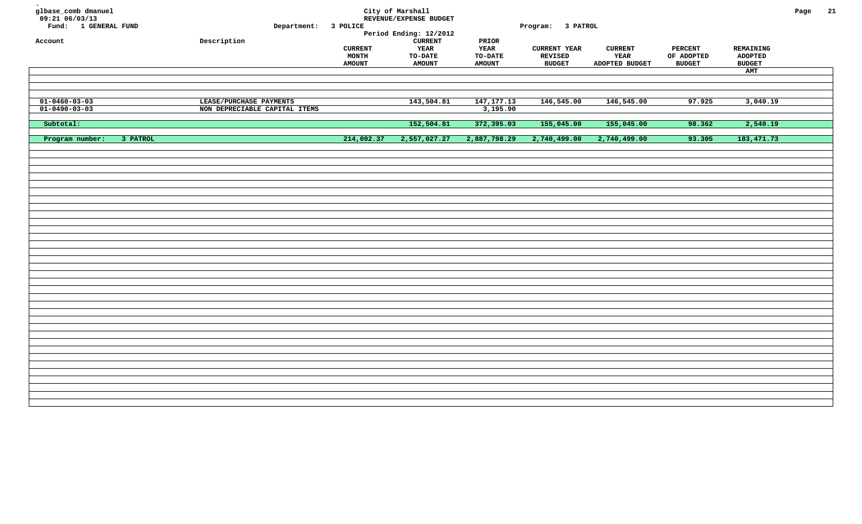| glbase_comb dmanuel<br>09:21 06/03/13<br>Fund: 1 GENERAL FUND<br>Account | Department: 3 POLICE<br>Description                      |                                                 | City of Marshall<br>REVENUE/EXPENSE BUDGET<br>Period Ending: 12/2012<br><b>CURRENT</b> | PRIOR                                   | Program: 3 PATROL                                      |                                          |                                               |                                                     | Page | 21 |
|--------------------------------------------------------------------------|----------------------------------------------------------|-------------------------------------------------|----------------------------------------------------------------------------------------|-----------------------------------------|--------------------------------------------------------|------------------------------------------|-----------------------------------------------|-----------------------------------------------------|------|----|
|                                                                          |                                                          | <b>CURRENT</b><br><b>MONTH</b><br><b>AMOUNT</b> | <b>YEAR</b><br><b>TO-DATE</b><br><b>AMOUNT</b>                                         | YEAR<br><b>TO-DATE</b><br><b>AMOUNT</b> | <b>CURRENT YEAR</b><br><b>REVISED</b><br><b>BUDGET</b> | <b>CURRENT</b><br>YEAR<br>ADOPTED BUDGET | <b>PERCENT</b><br>OF ADOPTED<br><b>BUDGET</b> | REMAINING<br><b>ADOPTED</b><br><b>BUDGET</b><br>AMT |      |    |
|                                                                          |                                                          |                                                 |                                                                                        |                                         |                                                        |                                          |                                               |                                                     |      |    |
| $01 - 0460 - 03 - 03$<br>$01 - 0490 - 03 - 03$                           | LEASE/PURCHASE PAYMENTS<br>NON DEPRECIABLE CAPITAL ITEMS |                                                 | 143,504.81                                                                             | 147, 177. 13<br>3,195.90                | 146,545.00                                             | 146,545.00                               | 97.925                                        | 3,040.19                                            |      |    |
| Subtotal:                                                                |                                                          |                                                 | 152,504.81                                                                             | 372,395.03                              | 155,045.00                                             | 155,045.00                               | 98.362                                        | 2,540.19                                            |      |    |
| Program number:<br>3 PATROL                                              |                                                          | 214,092.37                                      | 2,557,027.27                                                                           | 2,887,798.29                            | 2,740,499.00                                           | 2,740,499.00                             | 93.305                                        | 183, 471.73                                         |      |    |
|                                                                          |                                                          |                                                 |                                                                                        |                                         |                                                        |                                          |                                               |                                                     |      |    |
|                                                                          |                                                          |                                                 |                                                                                        |                                         |                                                        |                                          |                                               |                                                     |      |    |
|                                                                          |                                                          |                                                 |                                                                                        |                                         |                                                        |                                          |                                               |                                                     |      |    |
|                                                                          |                                                          |                                                 |                                                                                        |                                         |                                                        |                                          |                                               |                                                     |      |    |
|                                                                          |                                                          |                                                 |                                                                                        |                                         |                                                        |                                          |                                               |                                                     |      |    |
|                                                                          |                                                          |                                                 |                                                                                        |                                         |                                                        |                                          |                                               |                                                     |      |    |
|                                                                          |                                                          |                                                 |                                                                                        |                                         |                                                        |                                          |                                               |                                                     |      |    |
|                                                                          |                                                          |                                                 |                                                                                        |                                         |                                                        |                                          |                                               |                                                     |      |    |
|                                                                          |                                                          |                                                 |                                                                                        |                                         |                                                        |                                          |                                               |                                                     |      |    |
|                                                                          |                                                          |                                                 |                                                                                        |                                         |                                                        |                                          |                                               |                                                     |      |    |
|                                                                          |                                                          |                                                 |                                                                                        |                                         |                                                        |                                          |                                               |                                                     |      |    |
|                                                                          |                                                          |                                                 |                                                                                        |                                         |                                                        |                                          |                                               |                                                     |      |    |
|                                                                          |                                                          |                                                 |                                                                                        |                                         |                                                        |                                          |                                               |                                                     |      |    |
|                                                                          |                                                          |                                                 |                                                                                        |                                         |                                                        |                                          |                                               |                                                     |      |    |
|                                                                          |                                                          |                                                 |                                                                                        |                                         |                                                        |                                          |                                               |                                                     |      |    |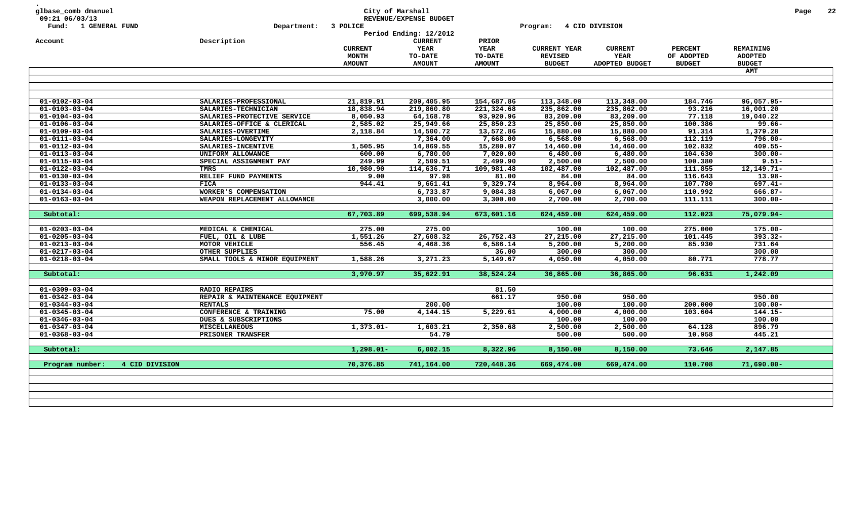| 09:21 06/03/13<br>Fund: 1 GENERAL FUND<br>Account<br>$\overline{01} - 0102 - 03 - 04$<br>$01 - 0103 - 03 - 04$<br>$01 - 0104 - 03 - 04$<br>$01 - 0106 - 03 - 04$ | Department:<br>Description     | 3 POLICE<br><b>CURRENT</b><br>MONTH<br><b>AMOUNT</b> | REVENUE/EXPENSE BUDGET<br>Period Ending: 12/2012<br><b>CURRENT</b><br><b>YEAR</b><br>TO-DATE<br><b>AMOUNT</b> | PRIOR<br><b>YEAR</b><br><b>TO-DATE</b> | Program:<br><b>CURRENT YEAR</b> | 4 CID DIVISION<br><b>CURRENT</b> | <b>PERCENT</b> | REMAINING      |  |
|------------------------------------------------------------------------------------------------------------------------------------------------------------------|--------------------------------|------------------------------------------------------|---------------------------------------------------------------------------------------------------------------|----------------------------------------|---------------------------------|----------------------------------|----------------|----------------|--|
|                                                                                                                                                                  |                                |                                                      |                                                                                                               |                                        |                                 |                                  |                |                |  |
|                                                                                                                                                                  |                                |                                                      |                                                                                                               |                                        |                                 |                                  |                |                |  |
|                                                                                                                                                                  |                                |                                                      |                                                                                                               |                                        |                                 |                                  |                |                |  |
|                                                                                                                                                                  |                                |                                                      |                                                                                                               |                                        |                                 |                                  |                |                |  |
|                                                                                                                                                                  |                                |                                                      |                                                                                                               |                                        | <b>REVISED</b>                  | YEAR                             | OF ADOPTED     | <b>ADOPTED</b> |  |
|                                                                                                                                                                  |                                |                                                      |                                                                                                               | <b>AMOUNT</b>                          | <b>BUDGET</b>                   | ADOPTED BUDGET                   | <b>BUDGET</b>  | <b>BUDGET</b>  |  |
|                                                                                                                                                                  |                                |                                                      |                                                                                                               |                                        |                                 |                                  |                | AMT            |  |
|                                                                                                                                                                  |                                |                                                      |                                                                                                               |                                        |                                 |                                  |                |                |  |
|                                                                                                                                                                  |                                |                                                      |                                                                                                               |                                        |                                 |                                  |                |                |  |
|                                                                                                                                                                  | SALARIES-PROFESSIONAL          | 21,819.91                                            | 209,405.95                                                                                                    | 154,687.86                             | 113,348.00                      | 113,348.00                       | 184.746        | 96,057.95-     |  |
|                                                                                                                                                                  | SALARIES-TECHNICIAN            | 18,838.94                                            | 219,860.80                                                                                                    | 221,324.68                             | 235,862.00                      | 235,862.00                       | 93.216         | 16,001.20      |  |
|                                                                                                                                                                  | SALARIES-PROTECTIVE SERVICE    | 8,050.93                                             | 64,168.78                                                                                                     | 93,920.96                              | 83,209.00                       | 83,209.00                        | 77.118         | 19,040.22      |  |
|                                                                                                                                                                  | SALARIES-OFFICE & CLERICAL     | 2,585.02                                             | 25,949.66                                                                                                     | 25,850.23                              | 25,850.00                       | 25,850.00                        | 100.386        | $99.66 -$      |  |
| $01 - 0109 - 03 - 04$                                                                                                                                            | SALARIES-OVERTIME              | 2,118.84                                             | 14,500.72                                                                                                     | 13,572.86                              | 15,880.00                       | 15,880.00                        | 91.314         | 1,379.28       |  |
| $01 - 0111 - 03 - 04$                                                                                                                                            | SALARIES-LONGEVITY             |                                                      | 7,364.00                                                                                                      | 7,668.00                               | 6,568.00                        | 6,568.00                         | 112.119        | $796.00 -$     |  |
| $01 - 0112 - 03 - 04$                                                                                                                                            | SALARIES-INCENTIVE             | 1,505.95                                             | 14,869.55                                                                                                     | 15,280.07                              | 14,460.00                       | 14,460.00                        | 102.832        | $409.55 -$     |  |
| $01 - 0113 - 03 - 04$                                                                                                                                            | UNIFORM ALLOWANCE              | 600.00                                               | 6,780.00                                                                                                      | 7,020.00                               | 6,480.00                        | 6,480.00                         | 104.630        | $300.00 -$     |  |
| $01 - 0115 - 03 - 04$                                                                                                                                            | SPECIAL ASSIGNMENT PAY         | 249.99                                               | 2,509.51                                                                                                      | 2,499.90                               | 2,500.00                        | 2,500.00                         | 100.380        | $9.51 -$       |  |
| $01 - 0122 - 03 - 04$                                                                                                                                            | TMRS                           | 10,980.90                                            | 114,636.71                                                                                                    | 109,981.48                             | 102,487.00                      | 102,487.00                       | 111.855        | $12, 149.71 -$ |  |
| $01 - 0130 - 03 - 04$                                                                                                                                            | RELIEF FUND PAYMENTS           | 9.00                                                 | 97.98                                                                                                         | 81.00                                  | 84.00                           | 84.00                            | 116.643        | $13.98 -$      |  |
| $01 - 0133 - 03 - 04$                                                                                                                                            | <b>FICA</b>                    | 944.41                                               | 9,661.41                                                                                                      | 9,329.74                               | 8,964.00                        | 8,964.00                         | 107.780        | $697.41 -$     |  |
| $01 - 0134 - 03 - 04$                                                                                                                                            | WORKER'S COMPENSATION          |                                                      | 6,733.87                                                                                                      | 9,084.38                               | 6,067.00                        | 6,067.00                         | 110.992        | 666.87-        |  |
| $01 - 0163 - 03 - 04$                                                                                                                                            | WEAPON REPLACEMENT ALLOWANCE   |                                                      | 3,000.00                                                                                                      | 3,300.00                               | 2,700.00                        | 2,700.00                         | 111.111        | $300.00 -$     |  |
|                                                                                                                                                                  |                                |                                                      |                                                                                                               |                                        |                                 |                                  |                |                |  |
| Subtotal:                                                                                                                                                        |                                | 67,703.89                                            | 699,538.94                                                                                                    | 673,601.16                             | 624,459.00                      | 624,459.00                       | 112.023        | 75,079.94-     |  |
| $01 - 0203 - 03 - 04$                                                                                                                                            | MEDICAL & CHEMICAL             | 275.00                                               | 275.00                                                                                                        |                                        | 100.00                          | 100.00                           | 275.000        | $175.00 -$     |  |
| $01 - 0205 - 03 - 04$                                                                                                                                            | FUEL, OIL & LUBE               | 1,551.26                                             | 27,608.32                                                                                                     | 26,752.43                              | 27,215.00                       | 27,215.00                        | 101.445        | $393.32 -$     |  |
| $01 - 0213 - 03 - 04$                                                                                                                                            | MOTOR VEHICLE                  | 556.45                                               | 4,468.36                                                                                                      | 6,586.14                               | 5,200.00                        | 5,200.00                         | 85.930         | 731.64         |  |
| $01 - 0217 - 03 - 04$                                                                                                                                            | OTHER SUPPLIES                 |                                                      |                                                                                                               | 36.00                                  | 300.00                          | 300.00                           |                | 300.00         |  |
| $01 - 0218 - 03 - 04$                                                                                                                                            | SMALL TOOLS & MINOR EQUIPMENT  | 1,588.26                                             | 3,271.23                                                                                                      | 5,149.67                               | 4,050.00                        | 4,050.00                         | 80.771         | 778.77         |  |
|                                                                                                                                                                  |                                |                                                      |                                                                                                               |                                        |                                 |                                  |                |                |  |
| Subtotal:                                                                                                                                                        |                                | 3,970.97                                             | 35,622.91                                                                                                     | 38,524.24                              | 36,865.00                       | 36,865.00                        | 96.631         | 1,242.09       |  |
| $01 - 0309 - 03 - 04$                                                                                                                                            | <b>RADIO REPAIRS</b>           |                                                      |                                                                                                               | 81.50                                  |                                 |                                  |                |                |  |
| $01 - 0342 - 03 - 04$                                                                                                                                            | REPAIR & MAINTENANCE EQUIPMENT |                                                      |                                                                                                               | 661.17                                 | 950.00                          | 950.00                           |                | 950.00         |  |
| $01 - 0344 - 03 - 04$                                                                                                                                            | <b>RENTALS</b>                 |                                                      | 200.00                                                                                                        |                                        | 100.00                          | 100.00                           | 200.000        | $100.00 -$     |  |
| $01 - 0345 - 03 - 04$                                                                                                                                            | CONFERENCE & TRAINING          | 75.00                                                | 4,144.15                                                                                                      | 5,229.61                               | 4,000.00                        | 4,000.00                         | 103.604        | 144.15-        |  |
| $01 - 0346 - 03 - 04$                                                                                                                                            | DUES & SUBSCRIPTIONS           |                                                      |                                                                                                               |                                        | 100.00                          | 100.00                           |                | 100.00         |  |
| $01 - 0347 - 03 - 04$                                                                                                                                            | <b>MISCELLANEOUS</b>           | $1,373.01-$                                          | 1,603.21                                                                                                      | 2,350.68                               | 2,500.00                        | 2,500.00                         | 64.128         | 896.79         |  |
| $01 - 0368 - 03 - 04$                                                                                                                                            | PRISONER TRANSFER              |                                                      | 54.79                                                                                                         |                                        | 500.00                          | 500.00                           | 10.958         | 445.21         |  |
| Subtotal:                                                                                                                                                        |                                | $1,298.01 -$                                         | 6,002.15                                                                                                      | 8,322.96                               | 8,150.00                        | 8,150.00                         | 73.646         | 2,147.85       |  |
| Program number:<br>4 CID DIVISION                                                                                                                                |                                | 70,376.85                                            | 741,164.00                                                                                                    | 720,448.36                             | 669,474.00                      | 669,474.00                       | 110.708        | $71,690.00 -$  |  |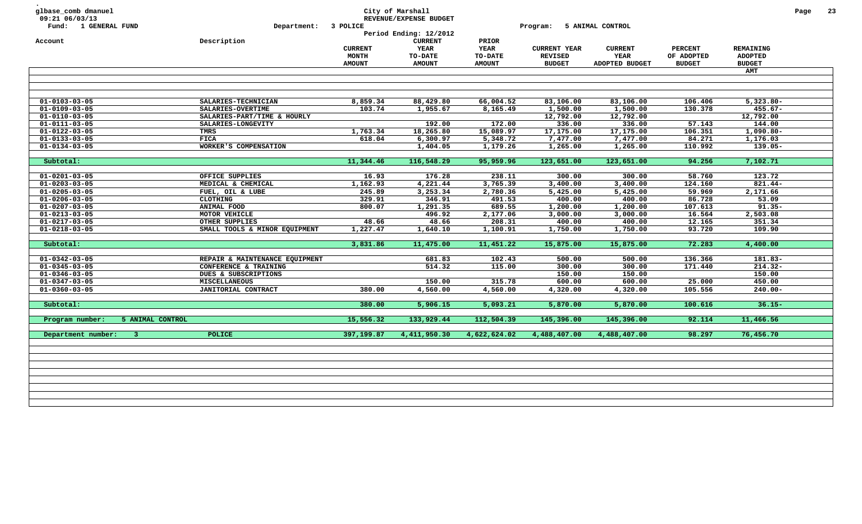| glbase_comb dmanuel<br>09:21 06/03/13<br>Fund: 1 GENERAL FUND | Department: 3 POLICE                            |                                                 | City of Marshall<br>REVENUE/EXPENSE BUDGET<br>Period Ending: 12/2012 |                                                  | Program:                                               | 5 ANIMAL CONTROL                         |                                               |                                              | Page | 23 |
|---------------------------------------------------------------|-------------------------------------------------|-------------------------------------------------|----------------------------------------------------------------------|--------------------------------------------------|--------------------------------------------------------|------------------------------------------|-----------------------------------------------|----------------------------------------------|------|----|
| Account                                                       | Description                                     | <b>CURRENT</b><br><b>MONTH</b><br><b>AMOUNT</b> | <b>CURRENT</b><br>YEAR<br>TO-DATE<br><b>AMOUNT</b>                   | PRIOR<br><b>YEAR</b><br>TO-DATE<br><b>AMOUNT</b> | <b>CURRENT YEAR</b><br><b>REVISED</b><br><b>BUDGET</b> | <b>CURRENT</b><br>YEAR<br>ADOPTED BUDGET | <b>PERCENT</b><br>OF ADOPTED<br><b>BUDGET</b> | REMAINING<br><b>ADOPTED</b><br><b>BUDGET</b> |      |    |
|                                                               |                                                 |                                                 |                                                                      |                                                  |                                                        |                                          |                                               | AMT                                          |      |    |
|                                                               |                                                 |                                                 |                                                                      |                                                  |                                                        |                                          |                                               |                                              |      |    |
| $01 - 0103 - 03 - 05$                                         | SALARIES-TECHNICIAN                             | 8,859.34                                        | 88,429.80                                                            | 66,004.52                                        | 83,106.00                                              | 83,106.00                                | 106.406                                       | $5,323.80 -$                                 |      |    |
| $01 - 0109 - 03 - 05$                                         | SALARIES-OVERTIME                               | 103.74                                          | 1,955.67                                                             | 8,165.49                                         | 1,500.00                                               | 1,500.00                                 | 130.378                                       | $455.67 -$                                   |      |    |
| $01 - 0110 - 03 - 05$                                         | SALARIES-PART/TIME & HOURLY                     |                                                 |                                                                      |                                                  | 12,792.00                                              | 12,792.00                                |                                               | 12,792.00                                    |      |    |
| $01 - 0111 - 03 - 05$                                         | SALARIES-LONGEVITY                              |                                                 | 192.00                                                               | 172.00                                           | 336.00                                                 | 336.00                                   | 57.143                                        | 144.00                                       |      |    |
| $01 - 0122 - 03 - 05$                                         | TMRS                                            | 1,763.34                                        | 18,265.80                                                            | 15,089.97                                        | 17,175.00                                              | 17,175.00                                | 106.351                                       | $1,090.80 -$                                 |      |    |
| $01 - 0133 - 03 - 05$                                         | <b>FICA</b>                                     | 618.04                                          | 6,300.97                                                             | 5,348.72                                         | 7,477.00                                               | 7,477.00                                 | 84.271                                        | 1,176.03                                     |      |    |
| $01 - 0134 - 03 - 05$                                         | WORKER'S COMPENSATION                           |                                                 | 1,404.05                                                             | 1,179.26                                         | 1,265.00                                               | 1,265.00                                 | 110.992                                       | 139.05-                                      |      |    |
| Subtotal:                                                     |                                                 | 11,344.46                                       | 116,548.29                                                           | 95,959.96                                        | 123,651.00                                             | 123,651.00                               | 94.256                                        | 7,102.71                                     |      |    |
| $01 - 0201 - 03 - 05$                                         | OFFICE SUPPLIES                                 | 16.93                                           | 176.28                                                               | 238.11                                           | 300.00                                                 | 300.00                                   | 58.760                                        | 123.72                                       |      |    |
| $01 - 0203 - 03 - 05$                                         | MEDICAL & CHEMICAL                              | 1,162.93                                        | 4,221.44                                                             | 3,765.39                                         | 3,400.00                                               | 3,400.00                                 | 124.160                                       | $821.44 -$                                   |      |    |
| $01 - 0205 - 03 - 05$                                         |                                                 | 245.89                                          | 3,253.34                                                             | 2,780.36                                         | 5,425.00                                               | 5,425.00                                 | 59.969                                        | 2,171.66                                     |      |    |
| $01 - 0206 - 03 - 05$                                         | FUEL, OIL & LUBE<br>CLOTHING                    | 329.91                                          | 346.91                                                               | 491.53                                           | 400.00                                                 | 400.00                                   | 86.728                                        | 53.09                                        |      |    |
|                                                               | ANIMAL FOOD                                     |                                                 | 1,291.35                                                             |                                                  |                                                        |                                          | 107.613                                       | $91.35 -$                                    |      |    |
| $01 - 0207 - 03 - 05$                                         | MOTOR VEHICLE                                   | 800.07                                          |                                                                      | 689.55                                           | 1,200.00                                               | 1,200.00                                 |                                               |                                              |      |    |
| $01 - 0213 - 03 - 05$                                         |                                                 |                                                 | 496.92<br>48.66                                                      | 2,177.06<br>208.31                               | 3,000.00<br>400.00                                     | 3,000.00                                 | 16.564                                        | 2,503.08                                     |      |    |
| $01 - 0217 - 03 - 05$<br>$01 - 0218 - 03 - 05$                | OTHER SUPPLIES<br>SMALL TOOLS & MINOR EQUIPMENT | 48.66<br>1,227.47                               | 1,640.10                                                             | 1,100.91                                         | 1,750.00                                               | 400.00<br>1,750.00                       | 12.165<br>93.720                              | 351.34<br>109.90                             |      |    |
|                                                               |                                                 |                                                 |                                                                      |                                                  |                                                        |                                          |                                               |                                              |      |    |
| Subtotal:                                                     |                                                 | 3,831.86                                        | 11,475.00                                                            | 11,451.22                                        | 15,875.00                                              | 15,875.00                                | 72.283                                        | 4,400.00                                     |      |    |
| $01 - 0342 - 03 - 05$                                         | REPAIR & MAINTENANCE EQUIPMENT                  |                                                 | 681.83                                                               | 102.43                                           | 500.00                                                 | 500.00                                   | 136.366                                       | 181.83-                                      |      |    |
| $01 - 0345 - 03 - 05$                                         | CONFERENCE & TRAINING                           |                                                 | 514.32                                                               | 115.00                                           | 300.00                                                 | 300.00                                   | 171.440                                       | $214.32 -$                                   |      |    |
| $01 - 0346 - 03 - 05$                                         | DUES & SUBSCRIPTIONS                            |                                                 |                                                                      |                                                  | 150.00                                                 | 150.00                                   |                                               | 150.00                                       |      |    |
| $01 - 0347 - 03 - 05$                                         | <b>MISCELLANEOUS</b>                            |                                                 | 150.00                                                               | 315.78                                           | 600.00                                                 | 600.00                                   | 25.000                                        | 450.00                                       |      |    |
| $01 - 0360 - 03 - 05$                                         | JANITORIAL CONTRACT                             | 380.00                                          | 4,560.00                                                             | 4,560.00                                         | 4,320.00                                               | 4,320.00                                 | 105.556                                       | $240.00 -$                                   |      |    |
| Subtotal:                                                     |                                                 | 380.00                                          | 5,906.15                                                             | 5,093.21                                         | 5,870.00                                               | 5,870.00                                 | 100.616                                       | $36.15 -$                                    |      |    |
| Program number:<br>5 ANIMAL CONTROL                           |                                                 | 15,556.32                                       | 133,929.44                                                           | 112,504.39                                       | 145,396.00                                             | 145,396.00                               | 92.114                                        | 11,466.56                                    |      |    |
|                                                               |                                                 |                                                 |                                                                      |                                                  |                                                        |                                          |                                               |                                              |      |    |
| Department number:<br>$\overline{\mathbf{3}}$                 | <b>POLICE</b>                                   | 397,199.87                                      | 4,411,950.30                                                         | 4,622,624.02                                     | 4,488,407.00                                           | 4,488,407.00                             | 98.297                                        | 76,456.70                                    |      |    |
|                                                               |                                                 |                                                 |                                                                      |                                                  |                                                        |                                          |                                               |                                              |      |    |
|                                                               |                                                 |                                                 |                                                                      |                                                  |                                                        |                                          |                                               |                                              |      |    |
|                                                               |                                                 |                                                 |                                                                      |                                                  |                                                        |                                          |                                               |                                              |      |    |
|                                                               |                                                 |                                                 |                                                                      |                                                  |                                                        |                                          |                                               |                                              |      |    |
|                                                               |                                                 |                                                 |                                                                      |                                                  |                                                        |                                          |                                               |                                              |      |    |
|                                                               |                                                 |                                                 |                                                                      |                                                  |                                                        |                                          |                                               |                                              |      |    |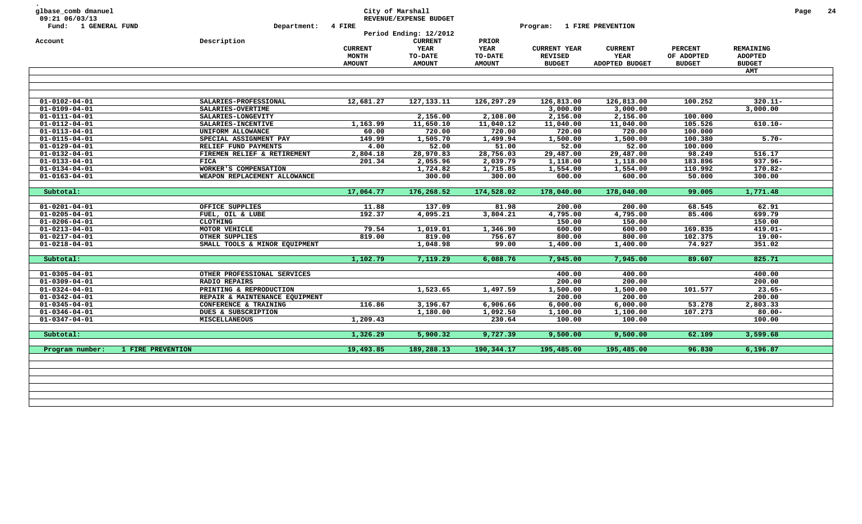| glbase_comb dmanuel<br>09:21 06/03/13 |                                |                | City of Marshall<br>REVENUE/EXPENSE BUDGET |               |                            |                |                |                | Page |
|---------------------------------------|--------------------------------|----------------|--------------------------------------------|---------------|----------------------------|----------------|----------------|----------------|------|
| Fund: 1 GENERAL FUND                  | Department: 4 FIRE             |                |                                            |               | Program: 1 FIRE PREVENTION |                |                |                |      |
|                                       |                                |                | Period Ending: 12/2012                     |               |                            |                |                |                |      |
| Account                               | Description                    |                | <b>CURRENT</b>                             | PRIOR         |                            |                |                |                |      |
|                                       |                                | <b>CURRENT</b> | YEAR                                       | <b>YEAR</b>   | <b>CURRENT YEAR</b>        | <b>CURRENT</b> | <b>PERCENT</b> | REMAINING      |      |
|                                       |                                | <b>MONTH</b>   | TO-DATE                                    | TO-DATE       | <b>REVISED</b>             | YEAR           | OF ADOPTED     | <b>ADOPTED</b> |      |
|                                       |                                | <b>AMOUNT</b>  | <b>AMOUNT</b>                              | <b>AMOUNT</b> | <b>BUDGET</b>              | ADOPTED BUDGET | <b>BUDGET</b>  | <b>BUDGET</b>  |      |
|                                       |                                |                |                                            |               |                            |                |                | AMT            |      |
|                                       |                                |                |                                            |               |                            |                |                |                |      |
| $01 - 0102 - 04 - 01$                 | SALARIES-PROFESSIONAL          | 12,681.27      | 127, 133. 11                               | 126,297.29    | 126,813.00                 | 126,813.00     | 100.252        | $320.11 -$     |      |
| $01 - 0109 - 04 - 01$                 | SALARIES-OVERTIME              |                |                                            |               | 3,000.00                   | 3,000.00       |                | 3,000.00       |      |
| $01 - 0111 - 04 - 01$                 | SALARIES-LONGEVITY             |                | 2,156.00                                   | 2,108.00      | 2,156.00                   | 2,156.00       | 100.000        |                |      |
| $01 - 0112 - 04 - 01$                 | SALARIES-INCENTIVE             | 1,163.99       | 11,650.10                                  | 11,040.12     | 11,040.00                  | 11,040.00      | 105.526        | $610.10 -$     |      |
| $01 - 0113 - 04 - 01$                 | UNIFORM ALLOWANCE              | 60.00          | 720.00                                     | 720.00        | 720.00                     | 720.00         | 100.000        |                |      |
| $01 - 0115 - 04 - 01$                 | SPECIAL ASSIGNMENT PAY         | 149.99         | 1,505.70                                   | 1,499.94      | 1,500.00                   | 1,500.00       | 100.380        | $5.70 -$       |      |
| $01 - 0129 - 04 - 01$                 | RELIEF FUND PAYMENTS           | 4.00           | 52.00                                      | 51.00         | 52.00                      | 52.00          | 100.000        |                |      |
| $01 - 0132 - 04 - 01$                 | FIREMEN RELIEF & RETIREMENT    | 2,804.18       | 28,970.83                                  | 28,756.03     | 29,487.00                  | 29,487.00      | 98.249         | 516.17         |      |
| $01 - 0133 - 04 - 01$                 | FICA                           | 201.34         | 2,055.96                                   | 2,039.79      | 1,118.00                   | 1,118.00       | 183.896        | $937.96 -$     |      |
| $01 - 0134 - 04 - 01$                 | WORKER'S COMPENSATION          |                | 1,724.82                                   | 1,715.85      | 1,554.00                   | 1,554.00       | 110.992        | $170.82 -$     |      |
| $01 - 0163 - 04 - 01$                 | WEAPON REPLACEMENT ALLOWANCE   |                | 300.00                                     | 300.00        | 600.00                     | 600.00         | 50.000         | 300.00         |      |
|                                       |                                |                |                                            |               |                            |                |                |                |      |
| Subtotal:                             |                                | 17,064.77      | 176,268.52                                 | 174,528.02    | 178,040.00                 | 178,040.00     | 99.005         | 1,771.48       |      |
| $01 - 0201 - 04 - 01$                 | OFFICE SUPPLIES                | 11.88          | 137.09                                     | 81.98         | 200.00                     | 200.00         | 68.545         | 62.91          |      |
| $01 - 0205 - 04 - 01$                 | FUEL, OIL & LUBE               | 192.37         | 4,095.21                                   | 3,804.21      | 4,795.00                   | 4,795.00       | 85.406         | 699.79         |      |
| $01 - 0206 - 04 - 01$                 | <b>CLOTHING</b>                |                |                                            |               | 150.00                     | 150.00         |                | 150.00         |      |
| $01 - 0213 - 04 - 01$                 | MOTOR VEHICLE                  | 79.54          | 1,019.01                                   | 1,346.90      | 600.00                     | 600.00         | 169.835        | $419.01 -$     |      |
| $01 - 0217 - 04 - 01$                 | OTHER SUPPLIES                 | 819.00         | 819.00                                     | 756.67        | 800.00                     | 800.00         | 102.375        | $19.00 -$      |      |
| $01 - 0218 - 04 - 01$                 | SMALL TOOLS & MINOR EQUIPMENT  |                | 1,048.98                                   | 99.00         | 1,400.00                   | 1,400.00       | 74.927         | 351.02         |      |
| Subtotal:                             |                                | 1,102.79       | 7,119.29                                   | 6,088.76      | 7,945.00                   | 7,945.00       | 89.607         | 825.71         |      |
| $01 - 0305 - 04 - 01$                 | OTHER PROFESSIONAL SERVICES    |                |                                            |               | 400.00                     | 400.00         |                | 400.00         |      |
| $01 - 0309 - 04 - 01$                 | <b>RADIO REPAIRS</b>           |                |                                            |               | 200.00                     | 200.00         |                | 200.00         |      |
| $01 - 0324 - 04 - 01$                 | PRINTING & REPRODUCTION        |                | 1,523.65                                   | 1,497.59      | 1,500.00                   | 1,500.00       | 101.577        | $23.65 -$      |      |
| $01 - 0342 - 04 - 01$                 | REPAIR & MAINTENANCE EQUIPMENT |                |                                            |               | 200.00                     | 200.00         |                | 200.00         |      |
| $01 - 0345 - 04 - 01$                 | CONFERENCE & TRAINING          | 116.86         | 3,196.67                                   | 6,906.66      | 6,000.00                   | 6,000.00       | 53.278         | 2,803.33       |      |
| $01 - 0346 - 04 - 01$                 | DUES & SUBSCRIPTION            |                | 1,180.00                                   | 1,092.50      | 1,100.00                   | 1,100.00       | 107.273        | $80.00 -$      |      |
| $01 - 0347 - 04 - 01$                 | <b>MISCELLANEOUS</b>           | 1,209.43       |                                            | 230.64        | 100.00                     | 100.00         |                | 100.00         |      |
|                                       |                                | 1,326.29       | 5,900.32                                   | 9,727.39      | 9,500.00                   | 9,500.00       | 62.109         | 3,599.68       |      |
| Subtotal:                             |                                |                |                                            | 190,344.17    | 195,485.00                 | 195,485.00     | 96.830         | 6,196.87       |      |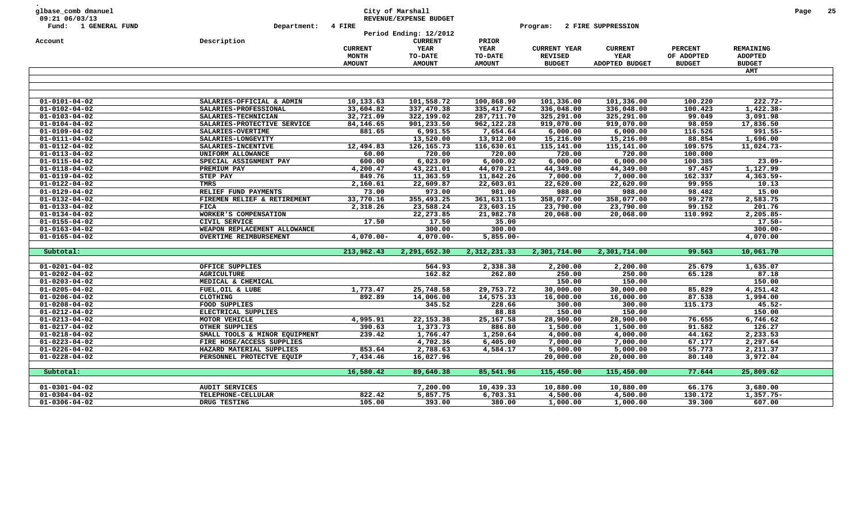| 09:21 06/03/13                                 |                               |                | City of Marshall<br>REVENUE/EXPENSE BUDGET |                        |                     |                    |                   |                     | Page | 25 |
|------------------------------------------------|-------------------------------|----------------|--------------------------------------------|------------------------|---------------------|--------------------|-------------------|---------------------|------|----|
| <b>1 GENERAL FUND</b><br>Fund:                 | Department:                   | 4 FIRE         |                                            |                        | Program:            | 2 FIRE SUPPRESSION |                   |                     |      |    |
|                                                |                               |                | Period Ending: 12/2012                     |                        |                     |                    |                   |                     |      |    |
| Account                                        | Description                   |                | <b>CURRENT</b>                             | PRIOR                  |                     |                    |                   |                     |      |    |
|                                                |                               | <b>CURRENT</b> | YEAR                                       | <b>YEAR</b>            | <b>CURRENT YEAR</b> | <b>CURRENT</b>     | <b>PERCENT</b>    | REMAINING           |      |    |
|                                                |                               | MONTH          | TO-DATE                                    | TO-DATE                | <b>REVISED</b>      | YEAR               | OF ADOPTED        | <b>ADOPTED</b>      |      |    |
|                                                |                               | <b>AMOUNT</b>  | <b>AMOUNT</b>                              | <b>AMOUNT</b>          | <b>BUDGET</b>       | ADOPTED BUDGET     | <b>BUDGET</b>     | <b>BUDGET</b>       |      |    |
|                                                |                               |                |                                            |                        |                     |                    |                   | <b>AMT</b>          |      |    |
|                                                |                               |                |                                            |                        |                     |                    |                   |                     |      |    |
|                                                |                               |                |                                            |                        |                     |                    |                   |                     |      |    |
| $01 - 0101 - 04 - 02$                          | SALARIES-OFFICIAL & ADMIN     | 10,133.63      | 101,558.72                                 | 100,868.90             | 101,336.00          | 101,336.00         | 100.220           | 222.72-             |      |    |
| $01 - 0102 - 04 - 02$                          | SALARIES-PROFESSIONAL         | 33,604.82      | 337,470.38                                 | 335,417.62             | 336,048.00          | 336,048.00         | 100.423           | $1,422.38-$         |      |    |
| $01 - 0103 - 04 - 02$                          | SALARIES-TECHNICIAN           | 32,721.09      | 322,199.02                                 | 287,711.70             | 325,291.00          | 325,291.00         | 99.049            | 3,091.98            |      |    |
| $01 - 0104 - 04 - 02$                          | SALARIES-PROTECTIVE SERVICE   | 84,146.65      | 901,233.50                                 | 962,122.28             | 919,070.00          | 919,070.00         | 98.059            | 17,836.50           |      |    |
| $01 - 0109 - 04 - 02$                          | SALARIES-OVERTIME             | 881.65         | 6,991.55                                   | 7,654.64               | 6,000.00            | 6,000.00           | 116.526           | $991.55 -$          |      |    |
| $01 - 0111 - 04 - 02$                          | SALARIES-LONGEVITY            |                | 13,520.00                                  | 13,912.00              | 15,216.00           | 15,216.00          | 88.854            | 1,696.00            |      |    |
| $01 - 0112 - 04 - 02$                          | SALARIES-INCENTIVE            | 12,494.83      | 126, 165. 73                               | 116,630.61             | 115,141.00          | 115,141.00         | 109.575           | 11,024.73-          |      |    |
| $01 - 0113 - 04 - 02$                          | UNIFORM ALLOWANCE             | 60.00          | 720.00                                     | 720.00                 | 720.00              | 720.00             | 100.000           |                     |      |    |
| $01 - 0115 - 04 - 02$                          | SPECIAL ASSIGNMENT PAY        | 600.00         | 6,023.09                                   | 6,000.02               | 6,000.00            | 6,000.00           | 100.385           | $23.09 -$           |      |    |
| $01 - 0118 - 04 - 02$                          | PREMIUM PAY                   | 4,200.47       | 43,221.01                                  | 44,070.21              | 44,349.00           | 44,349.00          | 97.457            | 1,127.99            |      |    |
| $01 - 0119 - 04 - 02$                          | STEP PAY                      | 849.76         | 11,363.59                                  | 11,842.26              | 7,000.00            | 7,000.00           | 162.337           | $4,363.59-$         |      |    |
| $01 - 0122 - 04 - 02$                          | TMRS                          | 2,160.61       | 22,609.87                                  | 22,603.01              | 22,620.00           | 22,620.00          | 99.955            | 10.13               |      |    |
| $01 - 0129 - 04 - 02$                          | RELIEF FUND PAYMENTS          | 73.00          | 973.00                                     | 981.00                 | 988.00              | 988.00             | 98.482            | 15.00               |      |    |
| $01 - 0132 - 04 - 02$                          | FIREMEN RELIEF & RETIREMENT   | 33,770.16      | 355,493.25                                 | 361,631.15             | 358,077.00          | 358,077.00         | 99.278            | 2,583.75            |      |    |
| $01 - 0133 - 04 - 02$                          | FICA<br>WORKER'S COMPENSATION | 2,318.26       | 23,588.24<br>22, 273.85                    | 23,603.15<br>21,982.78 | 23,790.00           | 23,790.00          | 99.152<br>110.992 | 201.76<br>2,205.85- |      |    |
| $01 - 0134 - 04 - 02$<br>$01 - 0155 - 04 - 02$ | CIVIL SERVICE                 | 17.50          | 17.50                                      | 35.00                  | 20,068.00           | 20,068.00          |                   | $17.50 -$           |      |    |
| $01 - 0163 - 04 - 02$                          | WEAPON REPLACEMENT ALLOWANCE  |                | 300.00                                     | 300.00                 |                     |                    |                   | $300.00 -$          |      |    |
| $01 - 0165 - 04 - 02$                          | <b>OVERTIME REIMBURSEMENT</b> | $4,070.00 -$   | $4,070.00 -$                               | $5,855.00 -$           |                     |                    |                   | 4,070.00            |      |    |
|                                                |                               |                |                                            |                        |                     |                    |                   |                     |      |    |
| Subtotal:                                      |                               | 213,962.43     | 2,291,652.30                               | 2,312,231.33           | 2,301,714.00        | 2,301,714.00       | 99.563            | 10,061.70           |      |    |
|                                                |                               |                |                                            |                        |                     |                    |                   |                     |      |    |
| $01 - 0201 - 04 - 02$                          | OFFICE SUPPLIES               |                | 564.93                                     | 2,338.38               | 2,200.00            | 2,200.00           | 25.679            | 1,635.07            |      |    |
| $01 - 0202 - 04 - 02$                          | <b>AGRICULTURE</b>            |                | 162.82                                     | 262.80                 | 250.00              | 250.00             | 65.128            | 87.18               |      |    |
| $01 - 0203 - 04 - 02$                          | MEDICAL & CHEMICAL            |                |                                            |                        | 150.00              | 150.00             |                   | 150.00              |      |    |
| $01 - 0205 - 04 - 02$                          | FUEL, OIL & LUBE              | 1,773.47       | 25,748.58                                  | 29,753.72              | 30,000.00           | 30,000.00          | 85.829            | 4,251.42            |      |    |
| $01 - 0206 - 04 - 02$                          | CLOTHING                      | 892.89         | 14,006.00                                  | 14,575.33              | 16,000.00           | 16,000.00          | 87.538            | 1,994.00            |      |    |
| $01 - 0208 - 04 - 02$                          | FOOD SUPPLIES                 |                | 345.52                                     | 228.66                 | 300.00              | 300.00             | 115.173           | $45.52 -$           |      |    |
| $01 - 0212 - 04 - 02$                          | ELECTRICAL SUPPLIES           |                |                                            | 88.88                  | 150.00              | 150.00             |                   | 150.00              |      |    |
| $01 - 0213 - 04 - 02$                          | MOTOR VEHICLE                 | 4,995.91       | 22, 153.38                                 | 25, 167.58             | 28,900.00           | 28,900.00          | 76.655            | 6,746.62            |      |    |
| $01 - 0217 - 04 - 02$                          | OTHER SUPPLIES                | 390.63         | 1,373.73                                   | 886.80                 | 1,500.00            | 1,500.00           | 91.582            | 126.27              |      |    |
| $01 - 0218 - 04 - 02$                          | SMALL TOOLS & MINOR EQUIPMENT | 239.42         | 1,766.47                                   | 1,250.64               | 4,000.00            | 4,000.00           | 44.162            | 2,233.53            |      |    |
| $01 - 0223 - 04 - 02$                          | FIRE HOSE/ACCESS SUPPLIES     |                | 4,702.36                                   | 6,405.00               | 7,000.00            | 7,000.00           | 67.177            | 2,297.64            |      |    |
| $01 - 0226 - 04 - 02$                          | HAZARD MATERIAL SUPPLIES      | 853.64         | 2,788.63                                   | 4,584.17               | 5,000.00            | 5,000.00           | 55.773            | 2,211.37            |      |    |
| $01 - 0228 - 04 - 02$                          | PERSONNEL PROTECTVE EQUIP     | 7,434.46       | 16,027.96                                  |                        | 20,000.00           | 20,000.00          | 80.140            | 3,972.04            |      |    |
| Subtotal:                                      |                               | 16,580.42      | 89,640.38                                  | 85,541.96              | 115,450.00          | 115,450.00         | 77.644            | 25,809.62           |      |    |
|                                                |                               |                |                                            |                        |                     |                    |                   |                     |      |    |
| $01 - 0301 - 04 - 02$                          | <b>AUDIT SERVICES</b>         |                | 7,200.00                                   | 10,439.33              | 10,880.00           | 10,880.00          | 66.176            | 3,680.00            |      |    |
|                                                | TELEPHONE-CELLULAR            | 822.42         | 5,857.75                                   | 6,703.31               | 4,500.00            | 4,500.00           | 130.172           | $1,357.75-$         |      |    |
| $01 - 0304 - 04 - 02$                          |                               |                |                                            |                        |                     |                    |                   |                     |      |    |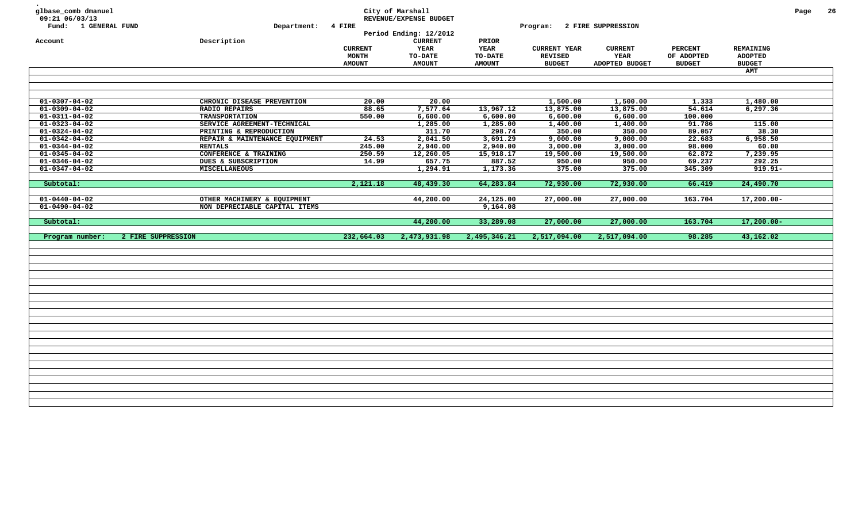| glbase_comb dmanuel<br>09:21 06/03/13 |                                |                | City of Marshall<br>REVENUE/EXPENSE BUDGET |                |                     |                           |                |                  | Page | 26 |
|---------------------------------------|--------------------------------|----------------|--------------------------------------------|----------------|---------------------|---------------------------|----------------|------------------|------|----|
| Fund: 1 GENERAL FUND                  | Department: 4 FIRE             |                | Period Ending: 12/2012                     |                | Program:            | <b>2 FIRE SUPPRESSION</b> |                |                  |      |    |
| Account                               | Description                    |                | <b>CURRENT</b>                             | PRIOR          |                     |                           |                |                  |      |    |
|                                       |                                | <b>CURRENT</b> | <b>YEAR</b>                                | <b>YEAR</b>    | <b>CURRENT YEAR</b> | <b>CURRENT</b>            | <b>PERCENT</b> | <b>REMAINING</b> |      |    |
|                                       |                                | <b>MONTH</b>   | <b>TO-DATE</b>                             | <b>TO-DATE</b> | <b>REVISED</b>      | <b>YEAR</b>               | OF ADOPTED     | <b>ADOPTED</b>   |      |    |
|                                       |                                | <b>AMOUNT</b>  | <b>AMOUNT</b>                              | <b>AMOUNT</b>  | <b>BUDGET</b>       | ADOPTED BUDGET            | <b>BUDGET</b>  | <b>BUDGET</b>    |      |    |
|                                       |                                |                |                                            |                |                     |                           |                | AMT              |      |    |
|                                       |                                |                |                                            |                |                     |                           |                |                  |      |    |
|                                       |                                |                |                                            |                |                     |                           |                |                  |      |    |
|                                       |                                |                |                                            |                |                     |                           |                |                  |      |    |
| $01 - 0307 - 04 - 02$                 | CHRONIC DISEASE PREVENTION     | 20.00          | 20.00                                      |                | 1,500.00            | 1,500.00                  | 1.333          | 1,480.00         |      |    |
| $01 - 0309 - 04 - 02$                 | <b>RADIO REPAIRS</b>           | 88.65          | 7,577.64                                   | 13,967.12      | 13,875.00           | 13,875.00                 | 54.614         | 6,297.36         |      |    |
| $01 - 0311 - 04 - 02$                 | <b>TRANSPORTATION</b>          | 550.00         | 6,600.00                                   | 6,600.00       | 6,600.00            | 6,600.00                  | 100.000        |                  |      |    |
| $01 - 0323 - 04 - 02$                 | SERVICE AGREEMENT-TECHNICAL    |                | 1,285.00                                   | 1,285.00       | 1,400.00            | 1,400.00                  | 91.786         | 115.00           |      |    |
| $01 - 0324 - 04 - 02$                 | PRINTING & REPRODUCTION        |                | 311.70                                     | 298.74         | 350.00              | 350.00                    | 89.057         | 38.30            |      |    |
| $01 - 0342 - 04 - 02$                 | REPAIR & MAINTENANCE EQUIPMENT | 24.53          | 2,041.50                                   | 3,691.29       | 9,000.00            | 9,000.00                  | 22.683         | 6,958.50         |      |    |
| $01 - 0344 - 04 - 02$                 | <b>RENTALS</b>                 | 245.00         | 2,940.00                                   | 2,940.00       | 3,000.00            | 3,000.00                  | 98.000         | 60.00            |      |    |
| $01 - 0345 - 04 - 02$                 | CONFERENCE & TRAINING          | 250.59         | 12,260.05                                  | 15,918.17      | 19,500.00           | 19,500.00                 | 62.872         | 7,239.95         |      |    |
| $01 - 0346 - 04 - 02$                 | DUES & SUBSCRIPTION            | 14.99          | 657.75                                     | 887.52         | 950.00              | 950.00                    | 69.237         | 292.25           |      |    |
| $01 - 0347 - 04 - 02$                 | <b>MISCELLANEOUS</b>           |                | 1,294.91                                   | 1,173.36       | 375.00              | 375.00                    | 345.309        | $919.91 -$       |      |    |
| Subtotal:                             |                                | 2,121.18       | 48,439.30                                  | 64,283.84      | 72,930.00           | 72,930.00                 | 66.419         | 24,490.70        |      |    |
|                                       |                                |                |                                            |                |                     |                           |                |                  |      |    |
| $01 - 0440 - 04 - 02$                 | OTHER MACHINERY & EQUIPMENT    |                | 44,200.00                                  | 24,125.00      | 27,000.00           | 27,000.00                 | 163.704        | $17,200.00 -$    |      |    |
| $01 - 0490 - 04 - 02$                 | NON DEPRECIABLE CAPITAL ITEMS  |                |                                            | 9,164.08       |                     |                           |                |                  |      |    |
|                                       |                                |                |                                            |                |                     |                           |                |                  |      |    |
| Subtotal:                             |                                |                | 44,200.00                                  | 33,289.08      | 27,000.00           | 27,000.00                 | 163.704        | $17,200.00-$     |      |    |
| Program number:                       | 2 FIRE SUPPRESSION             | 232,664.03     | 2,473,931.98                               | 2,495,346.21   | 2,517,094.00        | 2,517,094.00              | 98.285         | 43,162.02        |      |    |
|                                       |                                |                |                                            |                |                     |                           |                |                  |      |    |
|                                       |                                |                |                                            |                |                     |                           |                |                  |      |    |
|                                       |                                |                |                                            |                |                     |                           |                |                  |      |    |
|                                       |                                |                |                                            |                |                     |                           |                |                  |      |    |
|                                       |                                |                |                                            |                |                     |                           |                |                  |      |    |
|                                       |                                |                |                                            |                |                     |                           |                |                  |      |    |
|                                       |                                |                |                                            |                |                     |                           |                |                  |      |    |
|                                       |                                |                |                                            |                |                     |                           |                |                  |      |    |
|                                       |                                |                |                                            |                |                     |                           |                |                  |      |    |
|                                       |                                |                |                                            |                |                     |                           |                |                  |      |    |
|                                       |                                |                |                                            |                |                     |                           |                |                  |      |    |
|                                       |                                |                |                                            |                |                     |                           |                |                  |      |    |
|                                       |                                |                |                                            |                |                     |                           |                |                  |      |    |
|                                       |                                |                |                                            |                |                     |                           |                |                  |      |    |
|                                       |                                |                |                                            |                |                     |                           |                |                  |      |    |
|                                       |                                |                |                                            |                |                     |                           |                |                  |      |    |
|                                       |                                |                |                                            |                |                     |                           |                |                  |      |    |
|                                       |                                |                |                                            |                |                     |                           |                |                  |      |    |
|                                       |                                |                |                                            |                |                     |                           |                |                  |      |    |
|                                       |                                |                |                                            |                |                     |                           |                |                  |      |    |
|                                       |                                |                |                                            |                |                     |                           |                |                  |      |    |
|                                       |                                |                |                                            |                |                     |                           |                |                  |      |    |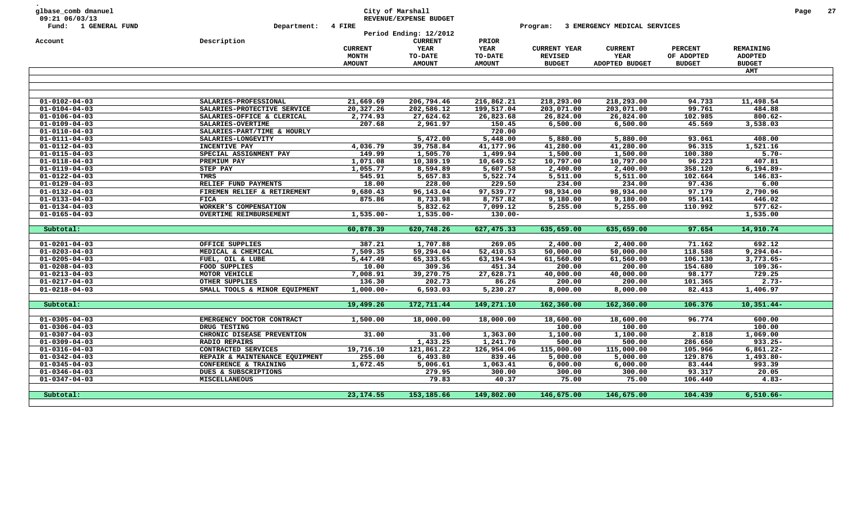| glbase_comb dmanuel<br>09:21 06/03/13 |                                | City of Marshall | REVENUE/EXPENSE BUDGET                   |               |                     |                              |                |                | Page | 27 |
|---------------------------------------|--------------------------------|------------------|------------------------------------------|---------------|---------------------|------------------------------|----------------|----------------|------|----|
| Fund: 1 GENERAL FUND                  | Department:                    | 4 FIRE           |                                          |               | Program:            | 3 EMERGENCY MEDICAL SERVICES |                |                |      |    |
| Account                               | Description                    |                  | Period Ending: 12/2012<br><b>CURRENT</b> | PRIOR         |                     |                              |                |                |      |    |
|                                       |                                | <b>CURRENT</b>   | YEAR                                     | <b>YEAR</b>   | <b>CURRENT YEAR</b> | <b>CURRENT</b>               | <b>PERCENT</b> | REMAINING      |      |    |
|                                       |                                | <b>MONTH</b>     | TO-DATE                                  | TO-DATE       | <b>REVISED</b>      | YEAR                         | OF ADOPTED     | <b>ADOPTED</b> |      |    |
|                                       |                                | <b>AMOUNT</b>    | <b>AMOUNT</b>                            | <b>AMOUNT</b> | <b>BUDGET</b>       | ADOPTED BUDGET               | <b>BUDGET</b>  | <b>BUDGET</b>  |      |    |
|                                       |                                |                  |                                          |               |                     |                              |                | <b>AMT</b>     |      |    |
|                                       |                                |                  |                                          |               |                     |                              |                |                |      |    |
|                                       |                                |                  |                                          |               |                     |                              |                |                |      |    |
|                                       |                                |                  |                                          |               |                     |                              |                |                |      |    |
| $01 - 0102 - 04 - 03$                 | SALARIES-PROFESSIONAL          | 21,669.69        | 206,794.46                               | 216,862.21    | 218,293.00          | 218,293.00                   | 94.733         | 11,498.54      |      |    |
| $01 - 0104 - 04 - 03$                 | SALARIES-PROTECTIVE SERVICE    | 20,327.26        | 202,586.12                               | 199,517.04    | 203,071.00          | 203,071.00                   | 99.761         | 484.88         |      |    |
| $01 - 0106 - 04 - 03$                 | SALARIES-OFFICE & CLERICAL     | 2,774.93         | 27,624.62                                | 26,823.68     | 26,824.00           | 26,824.00                    | 102.985        | $800.62 -$     |      |    |
| $01 - 0109 - 04 - 03$                 | SALARIES-OVERTIME              | 207.68           | 2,961.97                                 | 150.45        | 6,500.00            | 6,500.00                     | 45.569         | 3,538.03       |      |    |
| $01 - 0110 - 04 - 03$                 | SALARIES-PART/TIME & HOURLY    |                  |                                          | 720.00        |                     |                              |                |                |      |    |
| $01 - 0111 - 04 - 03$                 | SALARIES-LONGEVITY             |                  | 5,472.00                                 | 5,448.00      | 5,880.00            | 5,880.00                     | 93.061         | 408.00         |      |    |
| $01 - 0112 - 04 - 03$                 | <b>INCENTIVE PAY</b>           | 4,036.79         | 39,758.84                                | 41,177.96     | 41,280.00           | 41,280.00                    | 96.315         | 1,521.16       |      |    |
| $01 - 0115 - 04 - 03$                 | SPECIAL ASSIGNMENT PAY         | 149.99           | 1,505.70                                 | 1,499.94      | 1,500.00            | 1,500.00                     | 100.380        | $5.70 -$       |      |    |
| $01 - 0118 - 04 - 03$                 | PREMIUM PAY                    | 1,071.08         | 10,389.19                                | 10,649.52     | 10,797.00           | 10,797.00                    | 96.223         | 407.81         |      |    |
| $01 - 0119 - 04 - 03$                 | <b>STEP PAY</b>                | 1,055.77         | 8,594.89                                 | 5,607.58      | 2,400.00            | 2,400.00                     | 358.120        | $6, 194.89 -$  |      |    |
| $01 - 0122 - 04 - 03$                 | <b>TMRS</b>                    | 545.91           | 5,657.83                                 | 5,522.74      | 5,511.00            | 5,511.00                     | 102.664        | $146.83-$      |      |    |
| $01 - 0129 - 04 - 03$                 | RELIEF FUND PAYMENTS           | 18.00            | 228.00                                   | 229.50        | 234.00              | 234.00                       | 97.436         | 6.00           |      |    |
| $01 - 0132 - 04 - 03$                 | FIREMEN RELIEF & RETIREMENT    | 9,680.43         | 96,143.04                                | 97,539.77     | 98,934.00           | 98,934.00                    | 97.179         | 2,790.96       |      |    |
| $01 - 0133 - 04 - 03$                 | <b>FICA</b>                    | 875.86           | 8,733.98                                 | 8,757.82      | 9,180.00            | 9,180.00                     | 95.141         | 446.02         |      |    |
| $01 - 0134 - 04 - 03$                 | WORKER'S COMPENSATION          |                  | 5,832.62                                 | 7,099.12      | 5,255.00            | 5,255.00                     | 110.992        | $577.62 -$     |      |    |
| $01 - 0165 - 04 - 03$                 | <b>OVERTIME REIMBURSEMENT</b>  | $1,535.00 -$     | $1,535.00 -$                             | $130.00 -$    |                     |                              |                | 1,535.00       |      |    |
| Subtotal:                             |                                | 60,878.39        | 620,748.26                               | 627,475.33    | 635,659.00          | 635,659.00                   | 97.654         | 14,910.74      |      |    |
|                                       |                                |                  |                                          |               |                     |                              |                |                |      |    |
| $01 - 0201 - 04 - 03$                 | OFFICE SUPPLIES                | 387.21           | 1,707.88                                 | 269.05        | 2,400.00            | 2,400.00                     | 71.162         | 692.12         |      |    |
| $01 - 0203 - 04 - 03$                 | MEDICAL & CHEMICAL             | 7,509.35         | 59,294.04                                | 52,410.53     | 50,000.00           | 50,000.00                    | 118.588        | $9,294.04-$    |      |    |
| $01 - 0205 - 04 - 03$                 | FUEL, OIL & LUBE               | 5,447.49         | 65,333.65                                | 63,194.94     | 61,560.00           | 61,560.00                    | 106.130        | 3,773.65-      |      |    |
| $01 - 0208 - 04 - 03$                 | FOOD SUPPLIES                  | 10.00            | 309.36                                   | 451.34        | 200.00              | 200.00                       | 154.680        | $109.36 -$     |      |    |
| $01 - 0213 - 04 - 03$                 | MOTOR VEHICLE                  | 7,008.91         | 39,270.75                                | 27,628.71     | 40,000.00           | 40,000.00                    | 98.177         | 729.25         |      |    |
| $01 - 0217 - 04 - 03$                 | OTHER SUPPLIES                 | 136.30           | 202.73                                   | 86.26         | 200.00              | 200.00                       | 101.365        | $2.73-$        |      |    |
| $01 - 0218 - 04 - 03$                 | SMALL TOOLS & MINOR EQUIPMENT  | $1,000.00-$      | 6,593.03                                 | 5,230.27      | 8,000.00            | 8,000.00                     | 82.413         | 1,406.97       |      |    |
|                                       |                                |                  |                                          |               |                     |                              |                |                |      |    |
| Subtotal:                             |                                | 19,499.26        | 172,711.44                               | 149,271.10    | 162,360.00          | 162,360.00                   | 106.376        | $10,351.44-$   |      |    |
|                                       |                                |                  |                                          |               |                     |                              |                |                |      |    |
| $01 - 0305 - 04 - 03$                 | EMERGENCY DOCTOR CONTRACT      | 1,500.00         | 18,000.00                                | 18,000.00     | 18,600.00           | 18,600.00                    | 96.774         | 600.00         |      |    |
| $01 - 0306 - 04 - 03$                 | DRUG TESTING                   |                  |                                          |               | 100.00              | 100.00                       |                | 100.00         |      |    |
| $01 - 0307 - 04 - 03$                 | CHRONIC DISEASE PREVENTION     | 31.00            | 31.00                                    | 1,363.00      | 1,100.00            | 1,100.00                     | 2.818          | 1,069.00       |      |    |
| $01 - 0309 - 04 - 03$                 | <b>RADIO REPAIRS</b>           |                  | 1,433.25                                 | 1,241.70      | 500.00              | 500.00                       | 286.650        | $933.25 -$     |      |    |
| $01 - 0316 - 04 - 03$                 | CONTRACTED SERVICES            | 19,716.10        | 121,861.22                               | 126,954.06    | 115,000.00          | 115,000.00                   | 105.966        | $6,861.22 -$   |      |    |
| $01 - 0342 - 04 - 03$                 | REPAIR & MAINTENANCE EQUIPMENT | 255.00           | 6,493.80                                 | 839.46        | 5,000.00            | 5,000.00                     | 129.876        | $1,493.80-$    |      |    |
| $01 - 0345 - 04 - 03$                 | CONFERENCE & TRAINING          | 1,672.45         | 5,006.61                                 | 1,063.41      | 6,000.00            | 6,000.00                     | 83.444         | 993.39         |      |    |
| $01 - 0346 - 04 - 03$                 | DUES & SUBSCRIPTIONS           |                  | 279.95                                   | 300.00        | 300.00              | 300.00                       | 93.317         | 20.05          |      |    |
| $01 - 0347 - 04 - 03$                 | MISCELLANEOUS                  |                  | 79.83                                    | 40.37         | 75.00               | 75.00                        | 106.440        | $4.83 -$       |      |    |
|                                       |                                |                  |                                          |               |                     |                              |                |                |      |    |
| Subtotal:                             |                                | 23, 174.55       | 153, 185.66                              | 149,802.00    | 146,675.00          | 146,675.00                   | 104.439        | $6,510.66 -$   |      |    |
|                                       |                                |                  |                                          |               |                     |                              |                |                |      |    |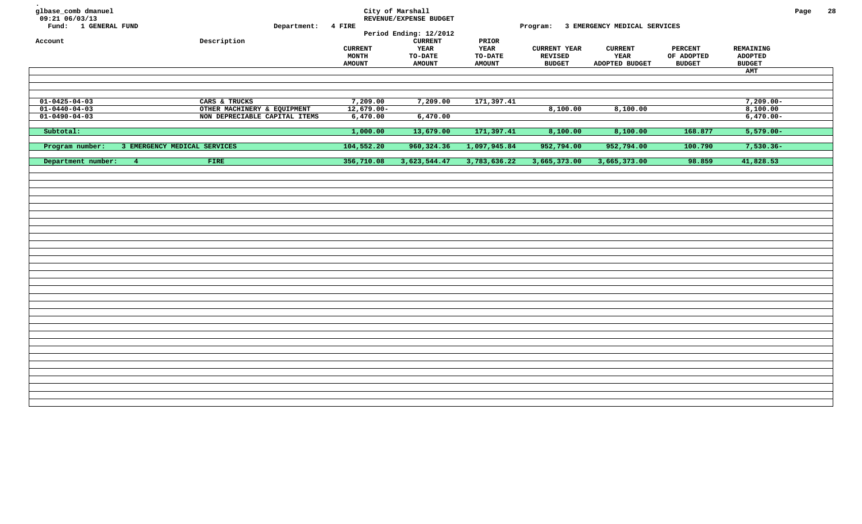| glbase_comb dmanuel<br>09:21 06/03/13<br>Fund: 1 GENERAL FUND | Department: 4 FIRE            |                                                 | City of Marshall<br>REVENUE/EXPENSE BUDGET<br>Period Ending: 12/2012 |                                                  | Program:                                               | 3 EMERGENCY MEDICAL SERVICES             |                                               |                                                     | Page | 28 |
|---------------------------------------------------------------|-------------------------------|-------------------------------------------------|----------------------------------------------------------------------|--------------------------------------------------|--------------------------------------------------------|------------------------------------------|-----------------------------------------------|-----------------------------------------------------|------|----|
| Account                                                       | Description                   | <b>CURRENT</b><br><b>MONTH</b><br><b>AMOUNT</b> | <b>CURRENT</b><br>YEAR<br>TO-DATE<br><b>AMOUNT</b>                   | PRIOR<br><b>YEAR</b><br>TO-DATE<br><b>AMOUNT</b> | <b>CURRENT YEAR</b><br><b>REVISED</b><br><b>BUDGET</b> | <b>CURRENT</b><br>YEAR<br>ADOPTED BUDGET | <b>PERCENT</b><br>OF ADOPTED<br><b>BUDGET</b> | REMAINING<br><b>ADOPTED</b><br><b>BUDGET</b><br>AMT |      |    |
|                                                               |                               |                                                 |                                                                      |                                                  |                                                        |                                          |                                               |                                                     |      |    |
|                                                               |                               |                                                 |                                                                      |                                                  |                                                        |                                          |                                               |                                                     |      |    |
| $01 - 0425 - 04 - 03$                                         | CARS & TRUCKS                 | 7,209.00                                        | 7,209.00                                                             | 171,397.41                                       |                                                        |                                          |                                               | $7,209.00 -$                                        |      |    |
| $01 - 0440 - 04 - 03$                                         | OTHER MACHINERY & EQUIPMENT   | $12,679.00 -$                                   |                                                                      |                                                  | 8,100.00                                               | 8,100.00                                 |                                               | 8,100.00                                            |      |    |
| $01 - 0490 - 04 - 03$                                         | NON DEPRECIABLE CAPITAL ITEMS | 6,470.00                                        | 6,470.00                                                             |                                                  |                                                        |                                          |                                               | $6,470.00 -$                                        |      |    |
| Subtotal:                                                     |                               | 1,000.00                                        | 13,679.00                                                            | 171,397.41                                       | 8,100.00                                               | 8,100.00                                 | 168.877                                       | $5,579.00 -$                                        |      |    |
| Program number:                                               | 3 EMERGENCY MEDICAL SERVICES  | 104,552.20                                      | 960, 324.36                                                          | 1,097,945.84                                     | 952,794.00                                             | 952,794.00                               | 100.790                                       | $7,530.36 -$                                        |      |    |
| Department number:                                            | FIRE<br>4 <sub>1</sub>        | 356,710.08                                      | 3,623,544.47                                                         | 3,783,636.22                                     | 3,665,373.00                                           | 3,665,373.00                             | 98.859                                        | 41,828.53                                           |      |    |
|                                                               |                               |                                                 |                                                                      |                                                  |                                                        |                                          |                                               |                                                     |      |    |
|                                                               |                               |                                                 |                                                                      |                                                  |                                                        |                                          |                                               |                                                     |      |    |
|                                                               |                               |                                                 |                                                                      |                                                  |                                                        |                                          |                                               |                                                     |      |    |
|                                                               |                               |                                                 |                                                                      |                                                  |                                                        |                                          |                                               |                                                     |      |    |
|                                                               |                               |                                                 |                                                                      |                                                  |                                                        |                                          |                                               |                                                     |      |    |
|                                                               |                               |                                                 |                                                                      |                                                  |                                                        |                                          |                                               |                                                     |      |    |
|                                                               |                               |                                                 |                                                                      |                                                  |                                                        |                                          |                                               |                                                     |      |    |
|                                                               |                               |                                                 |                                                                      |                                                  |                                                        |                                          |                                               |                                                     |      |    |
|                                                               |                               |                                                 |                                                                      |                                                  |                                                        |                                          |                                               |                                                     |      |    |
|                                                               |                               |                                                 |                                                                      |                                                  |                                                        |                                          |                                               |                                                     |      |    |
|                                                               |                               |                                                 |                                                                      |                                                  |                                                        |                                          |                                               |                                                     |      |    |
|                                                               |                               |                                                 |                                                                      |                                                  |                                                        |                                          |                                               |                                                     |      |    |
|                                                               |                               |                                                 |                                                                      |                                                  |                                                        |                                          |                                               |                                                     |      |    |
|                                                               |                               |                                                 |                                                                      |                                                  |                                                        |                                          |                                               |                                                     |      |    |
|                                                               |                               |                                                 |                                                                      |                                                  |                                                        |                                          |                                               |                                                     |      |    |
|                                                               |                               |                                                 |                                                                      |                                                  |                                                        |                                          |                                               |                                                     |      |    |
|                                                               |                               |                                                 |                                                                      |                                                  |                                                        |                                          |                                               |                                                     |      |    |
|                                                               |                               |                                                 |                                                                      |                                                  |                                                        |                                          |                                               |                                                     |      |    |
|                                                               |                               |                                                 |                                                                      |                                                  |                                                        |                                          |                                               |                                                     |      |    |
|                                                               |                               |                                                 |                                                                      |                                                  |                                                        |                                          |                                               |                                                     |      |    |
|                                                               |                               |                                                 |                                                                      |                                                  |                                                        |                                          |                                               |                                                     |      |    |
|                                                               |                               |                                                 |                                                                      |                                                  |                                                        |                                          |                                               |                                                     |      |    |
|                                                               |                               |                                                 |                                                                      |                                                  |                                                        |                                          |                                               |                                                     |      |    |
|                                                               |                               |                                                 |                                                                      |                                                  |                                                        |                                          |                                               |                                                     |      |    |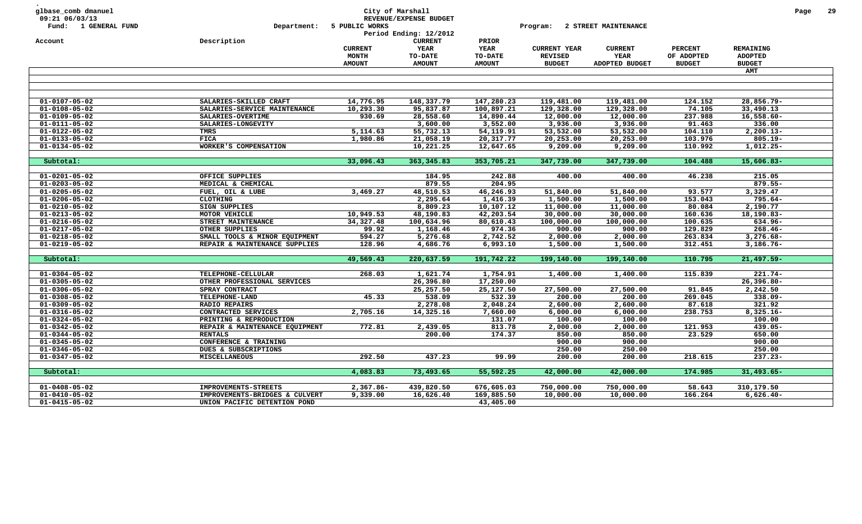| YEAR<br><b>YEAR</b><br><b>CURRENT YEAR</b><br><b>PERCENT</b><br>REMAINING<br><b>CURRENT</b><br><b>CURRENT</b><br>MONTH<br>TO-DATE<br>TO-DATE<br><b>REVISED</b><br>YEAR<br>OF ADOPTED<br><b>ADOPTED</b><br><b>AMOUNT</b><br><b>AMOUNT</b><br><b>AMOUNT</b><br><b>BUDGET</b><br>ADOPTED BUDGET<br><b>BUDGET</b><br><b>BUDGET</b><br>AMT<br>$01 - 0107 - 05 - 02$<br>14,776.95<br>148,337.79<br>147,280.23<br>119,481.00<br>119,481.00<br>124.152<br>28,856.79-<br>SALARIES-SKILLED CRAFT<br>74.105<br>$01 - 0108 - 05 - 02$<br>10,293.30<br>95,837.87<br>100,897.21<br>129,328.00<br>129,328.00<br>33,490.13<br>SALARIES-SERVICE MAINTENANCE<br>28,558.60<br>237.988<br>$16,558.60 -$<br>$01 - 0109 - 05 - 02$<br>SALARIES-OVERTIME<br>930.69<br>14,890.44<br>12,000.00<br>12,000.00<br>3,600.00<br>3,552.00<br>91.463<br>$01 - 0111 - 05 - 02$<br>SALARIES-LONGEVITY<br>3,936.00<br>3,936.00<br>336.00<br>5,114.63<br>55,732.13<br>54,119.91<br>53,532.00<br>53,532.00<br>104.110<br>$2,200.13-$<br>$01 - 0122 - 05 - 02$<br>TMRS<br><b>FICA</b><br>1,980.86<br>21,058.19<br>20,317.77<br>20,253.00<br>20,253.00<br>103.976<br>$805.19 -$<br>$01 - 0133 - 05 - 02$<br>10,221.25<br>12,647.65<br>9,209.00<br>9,209.00<br>110.992<br>$1,012.25-$<br>$01 - 0134 - 05 - 02$<br>WORKER'S COMPENSATION<br>33,096.43<br>363, 345.83<br>353,705.21<br>347,739.00<br>347,739.00<br>104.488<br>$15,606.83 -$<br>Subtotal:<br>OFFICE SUPPLIES<br>184.95<br>242.88<br>400.00<br>400.00<br>46.238<br>215.05<br>$01 - 0201 - 05 - 02$<br>879.55<br>$01 - 0203 - 05 - 02$<br>MEDICAL & CHEMICAL<br>204.95<br>879.55-<br>3,469.27<br>48,510.53<br>46,246.93<br>51,840.00<br>51,840.00<br>93.577<br>3,329.47<br>$01 - 0205 - 05 - 02$<br>FUEL, OIL & LUBE<br>153.043<br>$01 - 0206 - 05 - 02$<br>CLOTHING<br>2,295.64<br>1,416.39<br>1,500.00<br>1,500.00<br>$795.64-$<br><b>SIGN SUPPLIES</b><br>8,809.23<br>10, 107.12<br>11,000.00<br>11,000.00<br>80.084<br>2,190.77<br>$01 - 0210 - 05 - 02$<br>$01 - 0213 - 05 - 02$<br>MOTOR VEHICLE<br>10,949.53<br>48,190.83<br>42,203.54<br>30,000.00<br>30,000.00<br>160.636<br>18,190.83-<br>34,327.48<br>80,610.43<br>100.635<br>$01 - 0216 - 05 - 02$<br>STREET MAINTENANCE<br>100,634.96<br>100,000.00<br>100,000.00<br>634.96-<br>974.36<br>129.829<br>$268.46 -$<br>$01 - 0217 - 05 - 02$<br>OTHER SUPPLIES<br>99.92<br>1,168.46<br>900.00<br>900.00<br>594.27<br>2,742.52<br>263.834<br>$3,276.68 -$<br>$01 - 0218 - 05 - 02$<br>SMALL TOOLS & MINOR EQUIPMENT<br>5,276.68<br>2,000.00<br>2,000.00<br>128.96<br>6,993.10<br>312.451<br>$3,186.76 -$<br>$01 - 0219 - 05 - 02$<br>REPAIR & MAINTENANCE SUPPLIES<br>4,686.76<br>1,500.00<br>1,500.00<br>49,569.43<br>220,637.59<br>191,742.22<br>199,140.00<br>199,140.00<br>110.795<br>$21,497.59-$<br>Subtotal:<br>268.03<br>1,400.00<br>1,400.00<br>115.839<br>$221.74-$<br>$01 - 0304 - 05 - 02$<br><b>TELEPHONE-CELLULAR</b><br>1,621.74<br>1,754.91<br>$01 - 0305 - 05 - 02$<br>OTHER PROFESSIONAL SERVICES<br>26,396.80<br>17,250.00<br>$26,396.80 -$<br>25,127.50<br>27,500.00<br>27,500.00<br>$01 - 0306 - 05 - 02$<br>SPRAY CONTRACT<br>25,257.50<br>91.845<br>2,242.50<br>45.33<br>538.09<br>532.39<br>200.00<br>269.045<br>338.09-<br>$01 - 0308 - 05 - 02$<br>TELEPHONE-LAND<br>200.00<br>321.92<br>$01 - 0309 - 05 - 02$<br>2,278.08<br>2,048.24<br>2,600.00<br>2,600.00<br>87.618<br><b>RADIO REPAIRS</b><br>CONTRACTED SERVICES<br>2,705.16<br>14,325.16<br>7,660.00<br>6,000.00<br>6,000.00<br>238.753<br>$8,325.16 -$<br>$01 - 0316 - 05 - 02$<br>131.07<br>100.00<br>100.00<br>100.00<br>$01 - 0324 - 05 - 02$<br>PRINTING & REPRODUCTION<br>772.81<br>2,439.05<br>813.78<br>2,000.00<br>2,000.00<br>121.953<br>$01 - 0342 - 05 - 02$<br>REPAIR & MAINTENANCE EQUIPMENT<br>$439.05 -$<br>174.37<br>850.00<br>23.529<br>650.00<br>$01 - 0344 - 05 - 02$<br><b>RENTALS</b><br>200.00<br>850.00<br>$01 - 0345 - 05 - 02$<br>900.00<br>900.00<br>900.00<br>CONFERENCE & TRAINING<br>250.00<br>250.00<br>250.00<br>$01 - 0346 - 05 - 02$<br>DUES & SUBSCRIPTIONS<br>292.50<br>437.23<br>$01 - 0347 - 05 - 02$<br><b>MISCELLANEOUS</b><br>99.99<br>200.00<br>200.00<br>218.615<br>$237.23 -$<br>4,083.83<br>73,493.65<br>55,592.25<br>42,000.00<br>174.985<br>$31,493.65-$<br>Subtotal:<br>42,000.00<br>$2,367.86 -$<br>439,820.50<br>676,605.03<br>58.643<br>$01 - 0408 - 05 - 02$<br><b>IMPROVEMENTS-STREETS</b><br>750,000.00<br>750,000.00<br>310,179.50<br>$01 - 0410 - 05 - 02$<br>9,339.00<br>16,626.40<br>169,885.50<br>10,000.00<br>10,000.00<br>166.264<br>$6,626.40-$<br>IMPROVEMENTS-BRIDGES & CULVERT<br>$01 - 0415 - 05 - 02$<br>43,405.00<br>UNION PACIFIC DETENTION POND | glbase_comb dmanuel<br>09:21 06/03/13<br>Fund: 1 GENERAL FUND | Department: | City of Marshall<br>5 PUBLIC WORKS | REVENUE/EXPENSE BUDGET<br>Period Ending: 12/2012<br><b>CURRENT</b> | PRIOR | Program: | 2 STREET MAINTENANCE |  | Page | -29 |
|------------------------------------------------------------------------------------------------------------------------------------------------------------------------------------------------------------------------------------------------------------------------------------------------------------------------------------------------------------------------------------------------------------------------------------------------------------------------------------------------------------------------------------------------------------------------------------------------------------------------------------------------------------------------------------------------------------------------------------------------------------------------------------------------------------------------------------------------------------------------------------------------------------------------------------------------------------------------------------------------------------------------------------------------------------------------------------------------------------------------------------------------------------------------------------------------------------------------------------------------------------------------------------------------------------------------------------------------------------------------------------------------------------------------------------------------------------------------------------------------------------------------------------------------------------------------------------------------------------------------------------------------------------------------------------------------------------------------------------------------------------------------------------------------------------------------------------------------------------------------------------------------------------------------------------------------------------------------------------------------------------------------------------------------------------------------------------------------------------------------------------------------------------------------------------------------------------------------------------------------------------------------------------------------------------------------------------------------------------------------------------------------------------------------------------------------------------------------------------------------------------------------------------------------------------------------------------------------------------------------------------------------------------------------------------------------------------------------------------------------------------------------------------------------------------------------------------------------------------------------------------------------------------------------------------------------------------------------------------------------------------------------------------------------------------------------------------------------------------------------------------------------------------------------------------------------------------------------------------------------------------------------------------------------------------------------------------------------------------------------------------------------------------------------------------------------------------------------------------------------------------------------------------------------------------------------------------------------------------------------------------------------------------------------------------------------------------------------------------------------------------------------------------------------------------------------------------------------------------------------------------------------------------------------------------------------------------------------------------------------------------------------------------------------------------------------------------------------------------------------------------------------------------------------------------------------------------------------------------------------------------------------------------------------------------------------------------------------------------------------------------------------------------------------------------------------------------------------------------------------------------------------------------------------------------------------------------------------------------------------------------------------------------------------------------|---------------------------------------------------------------|-------------|------------------------------------|--------------------------------------------------------------------|-------|----------|----------------------|--|------|-----|
|                                                                                                                                                                                                                                                                                                                                                                                                                                                                                                                                                                                                                                                                                                                                                                                                                                                                                                                                                                                                                                                                                                                                                                                                                                                                                                                                                                                                                                                                                                                                                                                                                                                                                                                                                                                                                                                                                                                                                                                                                                                                                                                                                                                                                                                                                                                                                                                                                                                                                                                                                                                                                                                                                                                                                                                                                                                                                                                                                                                                                                                                                                                                                                                                                                                                                                                                                                                                                                                                                                                                                                                                                                                                                                                                                                                                                                                                                                                                                                                                                                                                                                                                                                                                                                                                                                                                                                                                                                                                                                                                                                                                                                                                                    | Account                                                       | Description |                                    |                                                                    |       |          |                      |  |      |     |
|                                                                                                                                                                                                                                                                                                                                                                                                                                                                                                                                                                                                                                                                                                                                                                                                                                                                                                                                                                                                                                                                                                                                                                                                                                                                                                                                                                                                                                                                                                                                                                                                                                                                                                                                                                                                                                                                                                                                                                                                                                                                                                                                                                                                                                                                                                                                                                                                                                                                                                                                                                                                                                                                                                                                                                                                                                                                                                                                                                                                                                                                                                                                                                                                                                                                                                                                                                                                                                                                                                                                                                                                                                                                                                                                                                                                                                                                                                                                                                                                                                                                                                                                                                                                                                                                                                                                                                                                                                                                                                                                                                                                                                                                                    |                                                               |             |                                    |                                                                    |       |          |                      |  |      |     |
|                                                                                                                                                                                                                                                                                                                                                                                                                                                                                                                                                                                                                                                                                                                                                                                                                                                                                                                                                                                                                                                                                                                                                                                                                                                                                                                                                                                                                                                                                                                                                                                                                                                                                                                                                                                                                                                                                                                                                                                                                                                                                                                                                                                                                                                                                                                                                                                                                                                                                                                                                                                                                                                                                                                                                                                                                                                                                                                                                                                                                                                                                                                                                                                                                                                                                                                                                                                                                                                                                                                                                                                                                                                                                                                                                                                                                                                                                                                                                                                                                                                                                                                                                                                                                                                                                                                                                                                                                                                                                                                                                                                                                                                                                    |                                                               |             |                                    |                                                                    |       |          |                      |  |      |     |
|                                                                                                                                                                                                                                                                                                                                                                                                                                                                                                                                                                                                                                                                                                                                                                                                                                                                                                                                                                                                                                                                                                                                                                                                                                                                                                                                                                                                                                                                                                                                                                                                                                                                                                                                                                                                                                                                                                                                                                                                                                                                                                                                                                                                                                                                                                                                                                                                                                                                                                                                                                                                                                                                                                                                                                                                                                                                                                                                                                                                                                                                                                                                                                                                                                                                                                                                                                                                                                                                                                                                                                                                                                                                                                                                                                                                                                                                                                                                                                                                                                                                                                                                                                                                                                                                                                                                                                                                                                                                                                                                                                                                                                                                                    |                                                               |             |                                    |                                                                    |       |          |                      |  |      |     |
|                                                                                                                                                                                                                                                                                                                                                                                                                                                                                                                                                                                                                                                                                                                                                                                                                                                                                                                                                                                                                                                                                                                                                                                                                                                                                                                                                                                                                                                                                                                                                                                                                                                                                                                                                                                                                                                                                                                                                                                                                                                                                                                                                                                                                                                                                                                                                                                                                                                                                                                                                                                                                                                                                                                                                                                                                                                                                                                                                                                                                                                                                                                                                                                                                                                                                                                                                                                                                                                                                                                                                                                                                                                                                                                                                                                                                                                                                                                                                                                                                                                                                                                                                                                                                                                                                                                                                                                                                                                                                                                                                                                                                                                                                    |                                                               |             |                                    |                                                                    |       |          |                      |  |      |     |
|                                                                                                                                                                                                                                                                                                                                                                                                                                                                                                                                                                                                                                                                                                                                                                                                                                                                                                                                                                                                                                                                                                                                                                                                                                                                                                                                                                                                                                                                                                                                                                                                                                                                                                                                                                                                                                                                                                                                                                                                                                                                                                                                                                                                                                                                                                                                                                                                                                                                                                                                                                                                                                                                                                                                                                                                                                                                                                                                                                                                                                                                                                                                                                                                                                                                                                                                                                                                                                                                                                                                                                                                                                                                                                                                                                                                                                                                                                                                                                                                                                                                                                                                                                                                                                                                                                                                                                                                                                                                                                                                                                                                                                                                                    |                                                               |             |                                    |                                                                    |       |          |                      |  |      |     |
|                                                                                                                                                                                                                                                                                                                                                                                                                                                                                                                                                                                                                                                                                                                                                                                                                                                                                                                                                                                                                                                                                                                                                                                                                                                                                                                                                                                                                                                                                                                                                                                                                                                                                                                                                                                                                                                                                                                                                                                                                                                                                                                                                                                                                                                                                                                                                                                                                                                                                                                                                                                                                                                                                                                                                                                                                                                                                                                                                                                                                                                                                                                                                                                                                                                                                                                                                                                                                                                                                                                                                                                                                                                                                                                                                                                                                                                                                                                                                                                                                                                                                                                                                                                                                                                                                                                                                                                                                                                                                                                                                                                                                                                                                    |                                                               |             |                                    |                                                                    |       |          |                      |  |      |     |
|                                                                                                                                                                                                                                                                                                                                                                                                                                                                                                                                                                                                                                                                                                                                                                                                                                                                                                                                                                                                                                                                                                                                                                                                                                                                                                                                                                                                                                                                                                                                                                                                                                                                                                                                                                                                                                                                                                                                                                                                                                                                                                                                                                                                                                                                                                                                                                                                                                                                                                                                                                                                                                                                                                                                                                                                                                                                                                                                                                                                                                                                                                                                                                                                                                                                                                                                                                                                                                                                                                                                                                                                                                                                                                                                                                                                                                                                                                                                                                                                                                                                                                                                                                                                                                                                                                                                                                                                                                                                                                                                                                                                                                                                                    |                                                               |             |                                    |                                                                    |       |          |                      |  |      |     |
|                                                                                                                                                                                                                                                                                                                                                                                                                                                                                                                                                                                                                                                                                                                                                                                                                                                                                                                                                                                                                                                                                                                                                                                                                                                                                                                                                                                                                                                                                                                                                                                                                                                                                                                                                                                                                                                                                                                                                                                                                                                                                                                                                                                                                                                                                                                                                                                                                                                                                                                                                                                                                                                                                                                                                                                                                                                                                                                                                                                                                                                                                                                                                                                                                                                                                                                                                                                                                                                                                                                                                                                                                                                                                                                                                                                                                                                                                                                                                                                                                                                                                                                                                                                                                                                                                                                                                                                                                                                                                                                                                                                                                                                                                    |                                                               |             |                                    |                                                                    |       |          |                      |  |      |     |
|                                                                                                                                                                                                                                                                                                                                                                                                                                                                                                                                                                                                                                                                                                                                                                                                                                                                                                                                                                                                                                                                                                                                                                                                                                                                                                                                                                                                                                                                                                                                                                                                                                                                                                                                                                                                                                                                                                                                                                                                                                                                                                                                                                                                                                                                                                                                                                                                                                                                                                                                                                                                                                                                                                                                                                                                                                                                                                                                                                                                                                                                                                                                                                                                                                                                                                                                                                                                                                                                                                                                                                                                                                                                                                                                                                                                                                                                                                                                                                                                                                                                                                                                                                                                                                                                                                                                                                                                                                                                                                                                                                                                                                                                                    |                                                               |             |                                    |                                                                    |       |          |                      |  |      |     |
|                                                                                                                                                                                                                                                                                                                                                                                                                                                                                                                                                                                                                                                                                                                                                                                                                                                                                                                                                                                                                                                                                                                                                                                                                                                                                                                                                                                                                                                                                                                                                                                                                                                                                                                                                                                                                                                                                                                                                                                                                                                                                                                                                                                                                                                                                                                                                                                                                                                                                                                                                                                                                                                                                                                                                                                                                                                                                                                                                                                                                                                                                                                                                                                                                                                                                                                                                                                                                                                                                                                                                                                                                                                                                                                                                                                                                                                                                                                                                                                                                                                                                                                                                                                                                                                                                                                                                                                                                                                                                                                                                                                                                                                                                    |                                                               |             |                                    |                                                                    |       |          |                      |  |      |     |
|                                                                                                                                                                                                                                                                                                                                                                                                                                                                                                                                                                                                                                                                                                                                                                                                                                                                                                                                                                                                                                                                                                                                                                                                                                                                                                                                                                                                                                                                                                                                                                                                                                                                                                                                                                                                                                                                                                                                                                                                                                                                                                                                                                                                                                                                                                                                                                                                                                                                                                                                                                                                                                                                                                                                                                                                                                                                                                                                                                                                                                                                                                                                                                                                                                                                                                                                                                                                                                                                                                                                                                                                                                                                                                                                                                                                                                                                                                                                                                                                                                                                                                                                                                                                                                                                                                                                                                                                                                                                                                                                                                                                                                                                                    |                                                               |             |                                    |                                                                    |       |          |                      |  |      |     |
|                                                                                                                                                                                                                                                                                                                                                                                                                                                                                                                                                                                                                                                                                                                                                                                                                                                                                                                                                                                                                                                                                                                                                                                                                                                                                                                                                                                                                                                                                                                                                                                                                                                                                                                                                                                                                                                                                                                                                                                                                                                                                                                                                                                                                                                                                                                                                                                                                                                                                                                                                                                                                                                                                                                                                                                                                                                                                                                                                                                                                                                                                                                                                                                                                                                                                                                                                                                                                                                                                                                                                                                                                                                                                                                                                                                                                                                                                                                                                                                                                                                                                                                                                                                                                                                                                                                                                                                                                                                                                                                                                                                                                                                                                    |                                                               |             |                                    |                                                                    |       |          |                      |  |      |     |
|                                                                                                                                                                                                                                                                                                                                                                                                                                                                                                                                                                                                                                                                                                                                                                                                                                                                                                                                                                                                                                                                                                                                                                                                                                                                                                                                                                                                                                                                                                                                                                                                                                                                                                                                                                                                                                                                                                                                                                                                                                                                                                                                                                                                                                                                                                                                                                                                                                                                                                                                                                                                                                                                                                                                                                                                                                                                                                                                                                                                                                                                                                                                                                                                                                                                                                                                                                                                                                                                                                                                                                                                                                                                                                                                                                                                                                                                                                                                                                                                                                                                                                                                                                                                                                                                                                                                                                                                                                                                                                                                                                                                                                                                                    |                                                               |             |                                    |                                                                    |       |          |                      |  |      |     |
|                                                                                                                                                                                                                                                                                                                                                                                                                                                                                                                                                                                                                                                                                                                                                                                                                                                                                                                                                                                                                                                                                                                                                                                                                                                                                                                                                                                                                                                                                                                                                                                                                                                                                                                                                                                                                                                                                                                                                                                                                                                                                                                                                                                                                                                                                                                                                                                                                                                                                                                                                                                                                                                                                                                                                                                                                                                                                                                                                                                                                                                                                                                                                                                                                                                                                                                                                                                                                                                                                                                                                                                                                                                                                                                                                                                                                                                                                                                                                                                                                                                                                                                                                                                                                                                                                                                                                                                                                                                                                                                                                                                                                                                                                    |                                                               |             |                                    |                                                                    |       |          |                      |  |      |     |
|                                                                                                                                                                                                                                                                                                                                                                                                                                                                                                                                                                                                                                                                                                                                                                                                                                                                                                                                                                                                                                                                                                                                                                                                                                                                                                                                                                                                                                                                                                                                                                                                                                                                                                                                                                                                                                                                                                                                                                                                                                                                                                                                                                                                                                                                                                                                                                                                                                                                                                                                                                                                                                                                                                                                                                                                                                                                                                                                                                                                                                                                                                                                                                                                                                                                                                                                                                                                                                                                                                                                                                                                                                                                                                                                                                                                                                                                                                                                                                                                                                                                                                                                                                                                                                                                                                                                                                                                                                                                                                                                                                                                                                                                                    |                                                               |             |                                    |                                                                    |       |          |                      |  |      |     |
|                                                                                                                                                                                                                                                                                                                                                                                                                                                                                                                                                                                                                                                                                                                                                                                                                                                                                                                                                                                                                                                                                                                                                                                                                                                                                                                                                                                                                                                                                                                                                                                                                                                                                                                                                                                                                                                                                                                                                                                                                                                                                                                                                                                                                                                                                                                                                                                                                                                                                                                                                                                                                                                                                                                                                                                                                                                                                                                                                                                                                                                                                                                                                                                                                                                                                                                                                                                                                                                                                                                                                                                                                                                                                                                                                                                                                                                                                                                                                                                                                                                                                                                                                                                                                                                                                                                                                                                                                                                                                                                                                                                                                                                                                    |                                                               |             |                                    |                                                                    |       |          |                      |  |      |     |
|                                                                                                                                                                                                                                                                                                                                                                                                                                                                                                                                                                                                                                                                                                                                                                                                                                                                                                                                                                                                                                                                                                                                                                                                                                                                                                                                                                                                                                                                                                                                                                                                                                                                                                                                                                                                                                                                                                                                                                                                                                                                                                                                                                                                                                                                                                                                                                                                                                                                                                                                                                                                                                                                                                                                                                                                                                                                                                                                                                                                                                                                                                                                                                                                                                                                                                                                                                                                                                                                                                                                                                                                                                                                                                                                                                                                                                                                                                                                                                                                                                                                                                                                                                                                                                                                                                                                                                                                                                                                                                                                                                                                                                                                                    |                                                               |             |                                    |                                                                    |       |          |                      |  |      |     |
|                                                                                                                                                                                                                                                                                                                                                                                                                                                                                                                                                                                                                                                                                                                                                                                                                                                                                                                                                                                                                                                                                                                                                                                                                                                                                                                                                                                                                                                                                                                                                                                                                                                                                                                                                                                                                                                                                                                                                                                                                                                                                                                                                                                                                                                                                                                                                                                                                                                                                                                                                                                                                                                                                                                                                                                                                                                                                                                                                                                                                                                                                                                                                                                                                                                                                                                                                                                                                                                                                                                                                                                                                                                                                                                                                                                                                                                                                                                                                                                                                                                                                                                                                                                                                                                                                                                                                                                                                                                                                                                                                                                                                                                                                    |                                                               |             |                                    |                                                                    |       |          |                      |  |      |     |
|                                                                                                                                                                                                                                                                                                                                                                                                                                                                                                                                                                                                                                                                                                                                                                                                                                                                                                                                                                                                                                                                                                                                                                                                                                                                                                                                                                                                                                                                                                                                                                                                                                                                                                                                                                                                                                                                                                                                                                                                                                                                                                                                                                                                                                                                                                                                                                                                                                                                                                                                                                                                                                                                                                                                                                                                                                                                                                                                                                                                                                                                                                                                                                                                                                                                                                                                                                                                                                                                                                                                                                                                                                                                                                                                                                                                                                                                                                                                                                                                                                                                                                                                                                                                                                                                                                                                                                                                                                                                                                                                                                                                                                                                                    |                                                               |             |                                    |                                                                    |       |          |                      |  |      |     |
|                                                                                                                                                                                                                                                                                                                                                                                                                                                                                                                                                                                                                                                                                                                                                                                                                                                                                                                                                                                                                                                                                                                                                                                                                                                                                                                                                                                                                                                                                                                                                                                                                                                                                                                                                                                                                                                                                                                                                                                                                                                                                                                                                                                                                                                                                                                                                                                                                                                                                                                                                                                                                                                                                                                                                                                                                                                                                                                                                                                                                                                                                                                                                                                                                                                                                                                                                                                                                                                                                                                                                                                                                                                                                                                                                                                                                                                                                                                                                                                                                                                                                                                                                                                                                                                                                                                                                                                                                                                                                                                                                                                                                                                                                    |                                                               |             |                                    |                                                                    |       |          |                      |  |      |     |
|                                                                                                                                                                                                                                                                                                                                                                                                                                                                                                                                                                                                                                                                                                                                                                                                                                                                                                                                                                                                                                                                                                                                                                                                                                                                                                                                                                                                                                                                                                                                                                                                                                                                                                                                                                                                                                                                                                                                                                                                                                                                                                                                                                                                                                                                                                                                                                                                                                                                                                                                                                                                                                                                                                                                                                                                                                                                                                                                                                                                                                                                                                                                                                                                                                                                                                                                                                                                                                                                                                                                                                                                                                                                                                                                                                                                                                                                                                                                                                                                                                                                                                                                                                                                                                                                                                                                                                                                                                                                                                                                                                                                                                                                                    |                                                               |             |                                    |                                                                    |       |          |                      |  |      |     |
|                                                                                                                                                                                                                                                                                                                                                                                                                                                                                                                                                                                                                                                                                                                                                                                                                                                                                                                                                                                                                                                                                                                                                                                                                                                                                                                                                                                                                                                                                                                                                                                                                                                                                                                                                                                                                                                                                                                                                                                                                                                                                                                                                                                                                                                                                                                                                                                                                                                                                                                                                                                                                                                                                                                                                                                                                                                                                                                                                                                                                                                                                                                                                                                                                                                                                                                                                                                                                                                                                                                                                                                                                                                                                                                                                                                                                                                                                                                                                                                                                                                                                                                                                                                                                                                                                                                                                                                                                                                                                                                                                                                                                                                                                    |                                                               |             |                                    |                                                                    |       |          |                      |  |      |     |
|                                                                                                                                                                                                                                                                                                                                                                                                                                                                                                                                                                                                                                                                                                                                                                                                                                                                                                                                                                                                                                                                                                                                                                                                                                                                                                                                                                                                                                                                                                                                                                                                                                                                                                                                                                                                                                                                                                                                                                                                                                                                                                                                                                                                                                                                                                                                                                                                                                                                                                                                                                                                                                                                                                                                                                                                                                                                                                                                                                                                                                                                                                                                                                                                                                                                                                                                                                                                                                                                                                                                                                                                                                                                                                                                                                                                                                                                                                                                                                                                                                                                                                                                                                                                                                                                                                                                                                                                                                                                                                                                                                                                                                                                                    |                                                               |             |                                    |                                                                    |       |          |                      |  |      |     |
|                                                                                                                                                                                                                                                                                                                                                                                                                                                                                                                                                                                                                                                                                                                                                                                                                                                                                                                                                                                                                                                                                                                                                                                                                                                                                                                                                                                                                                                                                                                                                                                                                                                                                                                                                                                                                                                                                                                                                                                                                                                                                                                                                                                                                                                                                                                                                                                                                                                                                                                                                                                                                                                                                                                                                                                                                                                                                                                                                                                                                                                                                                                                                                                                                                                                                                                                                                                                                                                                                                                                                                                                                                                                                                                                                                                                                                                                                                                                                                                                                                                                                                                                                                                                                                                                                                                                                                                                                                                                                                                                                                                                                                                                                    |                                                               |             |                                    |                                                                    |       |          |                      |  |      |     |
|                                                                                                                                                                                                                                                                                                                                                                                                                                                                                                                                                                                                                                                                                                                                                                                                                                                                                                                                                                                                                                                                                                                                                                                                                                                                                                                                                                                                                                                                                                                                                                                                                                                                                                                                                                                                                                                                                                                                                                                                                                                                                                                                                                                                                                                                                                                                                                                                                                                                                                                                                                                                                                                                                                                                                                                                                                                                                                                                                                                                                                                                                                                                                                                                                                                                                                                                                                                                                                                                                                                                                                                                                                                                                                                                                                                                                                                                                                                                                                                                                                                                                                                                                                                                                                                                                                                                                                                                                                                                                                                                                                                                                                                                                    |                                                               |             |                                    |                                                                    |       |          |                      |  |      |     |
|                                                                                                                                                                                                                                                                                                                                                                                                                                                                                                                                                                                                                                                                                                                                                                                                                                                                                                                                                                                                                                                                                                                                                                                                                                                                                                                                                                                                                                                                                                                                                                                                                                                                                                                                                                                                                                                                                                                                                                                                                                                                                                                                                                                                                                                                                                                                                                                                                                                                                                                                                                                                                                                                                                                                                                                                                                                                                                                                                                                                                                                                                                                                                                                                                                                                                                                                                                                                                                                                                                                                                                                                                                                                                                                                                                                                                                                                                                                                                                                                                                                                                                                                                                                                                                                                                                                                                                                                                                                                                                                                                                                                                                                                                    |                                                               |             |                                    |                                                                    |       |          |                      |  |      |     |
|                                                                                                                                                                                                                                                                                                                                                                                                                                                                                                                                                                                                                                                                                                                                                                                                                                                                                                                                                                                                                                                                                                                                                                                                                                                                                                                                                                                                                                                                                                                                                                                                                                                                                                                                                                                                                                                                                                                                                                                                                                                                                                                                                                                                                                                                                                                                                                                                                                                                                                                                                                                                                                                                                                                                                                                                                                                                                                                                                                                                                                                                                                                                                                                                                                                                                                                                                                                                                                                                                                                                                                                                                                                                                                                                                                                                                                                                                                                                                                                                                                                                                                                                                                                                                                                                                                                                                                                                                                                                                                                                                                                                                                                                                    |                                                               |             |                                    |                                                                    |       |          |                      |  |      |     |
|                                                                                                                                                                                                                                                                                                                                                                                                                                                                                                                                                                                                                                                                                                                                                                                                                                                                                                                                                                                                                                                                                                                                                                                                                                                                                                                                                                                                                                                                                                                                                                                                                                                                                                                                                                                                                                                                                                                                                                                                                                                                                                                                                                                                                                                                                                                                                                                                                                                                                                                                                                                                                                                                                                                                                                                                                                                                                                                                                                                                                                                                                                                                                                                                                                                                                                                                                                                                                                                                                                                                                                                                                                                                                                                                                                                                                                                                                                                                                                                                                                                                                                                                                                                                                                                                                                                                                                                                                                                                                                                                                                                                                                                                                    |                                                               |             |                                    |                                                                    |       |          |                      |  |      |     |
|                                                                                                                                                                                                                                                                                                                                                                                                                                                                                                                                                                                                                                                                                                                                                                                                                                                                                                                                                                                                                                                                                                                                                                                                                                                                                                                                                                                                                                                                                                                                                                                                                                                                                                                                                                                                                                                                                                                                                                                                                                                                                                                                                                                                                                                                                                                                                                                                                                                                                                                                                                                                                                                                                                                                                                                                                                                                                                                                                                                                                                                                                                                                                                                                                                                                                                                                                                                                                                                                                                                                                                                                                                                                                                                                                                                                                                                                                                                                                                                                                                                                                                                                                                                                                                                                                                                                                                                                                                                                                                                                                                                                                                                                                    |                                                               |             |                                    |                                                                    |       |          |                      |  |      |     |
|                                                                                                                                                                                                                                                                                                                                                                                                                                                                                                                                                                                                                                                                                                                                                                                                                                                                                                                                                                                                                                                                                                                                                                                                                                                                                                                                                                                                                                                                                                                                                                                                                                                                                                                                                                                                                                                                                                                                                                                                                                                                                                                                                                                                                                                                                                                                                                                                                                                                                                                                                                                                                                                                                                                                                                                                                                                                                                                                                                                                                                                                                                                                                                                                                                                                                                                                                                                                                                                                                                                                                                                                                                                                                                                                                                                                                                                                                                                                                                                                                                                                                                                                                                                                                                                                                                                                                                                                                                                                                                                                                                                                                                                                                    |                                                               |             |                                    |                                                                    |       |          |                      |  |      |     |
|                                                                                                                                                                                                                                                                                                                                                                                                                                                                                                                                                                                                                                                                                                                                                                                                                                                                                                                                                                                                                                                                                                                                                                                                                                                                                                                                                                                                                                                                                                                                                                                                                                                                                                                                                                                                                                                                                                                                                                                                                                                                                                                                                                                                                                                                                                                                                                                                                                                                                                                                                                                                                                                                                                                                                                                                                                                                                                                                                                                                                                                                                                                                                                                                                                                                                                                                                                                                                                                                                                                                                                                                                                                                                                                                                                                                                                                                                                                                                                                                                                                                                                                                                                                                                                                                                                                                                                                                                                                                                                                                                                                                                                                                                    |                                                               |             |                                    |                                                                    |       |          |                      |  |      |     |
|                                                                                                                                                                                                                                                                                                                                                                                                                                                                                                                                                                                                                                                                                                                                                                                                                                                                                                                                                                                                                                                                                                                                                                                                                                                                                                                                                                                                                                                                                                                                                                                                                                                                                                                                                                                                                                                                                                                                                                                                                                                                                                                                                                                                                                                                                                                                                                                                                                                                                                                                                                                                                                                                                                                                                                                                                                                                                                                                                                                                                                                                                                                                                                                                                                                                                                                                                                                                                                                                                                                                                                                                                                                                                                                                                                                                                                                                                                                                                                                                                                                                                                                                                                                                                                                                                                                                                                                                                                                                                                                                                                                                                                                                                    |                                                               |             |                                    |                                                                    |       |          |                      |  |      |     |
|                                                                                                                                                                                                                                                                                                                                                                                                                                                                                                                                                                                                                                                                                                                                                                                                                                                                                                                                                                                                                                                                                                                                                                                                                                                                                                                                                                                                                                                                                                                                                                                                                                                                                                                                                                                                                                                                                                                                                                                                                                                                                                                                                                                                                                                                                                                                                                                                                                                                                                                                                                                                                                                                                                                                                                                                                                                                                                                                                                                                                                                                                                                                                                                                                                                                                                                                                                                                                                                                                                                                                                                                                                                                                                                                                                                                                                                                                                                                                                                                                                                                                                                                                                                                                                                                                                                                                                                                                                                                                                                                                                                                                                                                                    |                                                               |             |                                    |                                                                    |       |          |                      |  |      |     |
|                                                                                                                                                                                                                                                                                                                                                                                                                                                                                                                                                                                                                                                                                                                                                                                                                                                                                                                                                                                                                                                                                                                                                                                                                                                                                                                                                                                                                                                                                                                                                                                                                                                                                                                                                                                                                                                                                                                                                                                                                                                                                                                                                                                                                                                                                                                                                                                                                                                                                                                                                                                                                                                                                                                                                                                                                                                                                                                                                                                                                                                                                                                                                                                                                                                                                                                                                                                                                                                                                                                                                                                                                                                                                                                                                                                                                                                                                                                                                                                                                                                                                                                                                                                                                                                                                                                                                                                                                                                                                                                                                                                                                                                                                    |                                                               |             |                                    |                                                                    |       |          |                      |  |      |     |
|                                                                                                                                                                                                                                                                                                                                                                                                                                                                                                                                                                                                                                                                                                                                                                                                                                                                                                                                                                                                                                                                                                                                                                                                                                                                                                                                                                                                                                                                                                                                                                                                                                                                                                                                                                                                                                                                                                                                                                                                                                                                                                                                                                                                                                                                                                                                                                                                                                                                                                                                                                                                                                                                                                                                                                                                                                                                                                                                                                                                                                                                                                                                                                                                                                                                                                                                                                                                                                                                                                                                                                                                                                                                                                                                                                                                                                                                                                                                                                                                                                                                                                                                                                                                                                                                                                                                                                                                                                                                                                                                                                                                                                                                                    |                                                               |             |                                    |                                                                    |       |          |                      |  |      |     |
|                                                                                                                                                                                                                                                                                                                                                                                                                                                                                                                                                                                                                                                                                                                                                                                                                                                                                                                                                                                                                                                                                                                                                                                                                                                                                                                                                                                                                                                                                                                                                                                                                                                                                                                                                                                                                                                                                                                                                                                                                                                                                                                                                                                                                                                                                                                                                                                                                                                                                                                                                                                                                                                                                                                                                                                                                                                                                                                                                                                                                                                                                                                                                                                                                                                                                                                                                                                                                                                                                                                                                                                                                                                                                                                                                                                                                                                                                                                                                                                                                                                                                                                                                                                                                                                                                                                                                                                                                                                                                                                                                                                                                                                                                    |                                                               |             |                                    |                                                                    |       |          |                      |  |      |     |
|                                                                                                                                                                                                                                                                                                                                                                                                                                                                                                                                                                                                                                                                                                                                                                                                                                                                                                                                                                                                                                                                                                                                                                                                                                                                                                                                                                                                                                                                                                                                                                                                                                                                                                                                                                                                                                                                                                                                                                                                                                                                                                                                                                                                                                                                                                                                                                                                                                                                                                                                                                                                                                                                                                                                                                                                                                                                                                                                                                                                                                                                                                                                                                                                                                                                                                                                                                                                                                                                                                                                                                                                                                                                                                                                                                                                                                                                                                                                                                                                                                                                                                                                                                                                                                                                                                                                                                                                                                                                                                                                                                                                                                                                                    |                                                               |             |                                    |                                                                    |       |          |                      |  |      |     |
|                                                                                                                                                                                                                                                                                                                                                                                                                                                                                                                                                                                                                                                                                                                                                                                                                                                                                                                                                                                                                                                                                                                                                                                                                                                                                                                                                                                                                                                                                                                                                                                                                                                                                                                                                                                                                                                                                                                                                                                                                                                                                                                                                                                                                                                                                                                                                                                                                                                                                                                                                                                                                                                                                                                                                                                                                                                                                                                                                                                                                                                                                                                                                                                                                                                                                                                                                                                                                                                                                                                                                                                                                                                                                                                                                                                                                                                                                                                                                                                                                                                                                                                                                                                                                                                                                                                                                                                                                                                                                                                                                                                                                                                                                    |                                                               |             |                                    |                                                                    |       |          |                      |  |      |     |
|                                                                                                                                                                                                                                                                                                                                                                                                                                                                                                                                                                                                                                                                                                                                                                                                                                                                                                                                                                                                                                                                                                                                                                                                                                                                                                                                                                                                                                                                                                                                                                                                                                                                                                                                                                                                                                                                                                                                                                                                                                                                                                                                                                                                                                                                                                                                                                                                                                                                                                                                                                                                                                                                                                                                                                                                                                                                                                                                                                                                                                                                                                                                                                                                                                                                                                                                                                                                                                                                                                                                                                                                                                                                                                                                                                                                                                                                                                                                                                                                                                                                                                                                                                                                                                                                                                                                                                                                                                                                                                                                                                                                                                                                                    |                                                               |             |                                    |                                                                    |       |          |                      |  |      |     |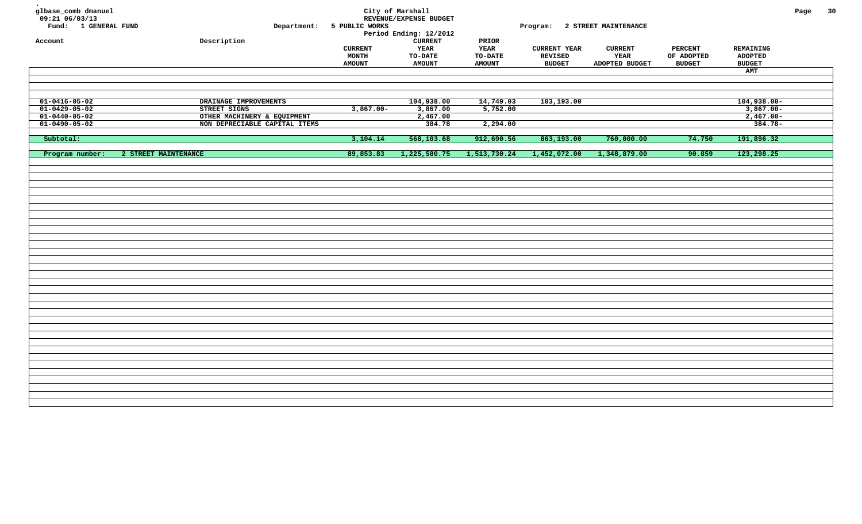| glbase_comb dmanuel<br>$09:21$ $06/03/13$<br>Fund: 1 GENERAL FUND | Department:                   | 5 PUBLIC WORKS                                  | City of Marshall<br>REVENUE/EXPENSE BUDGET<br>Period Ending: 12/2012 |                                                  | Program: 2 STREET MAINTENANCE                   |                                          |                                               |                                                     | Page | 30 |
|-------------------------------------------------------------------|-------------------------------|-------------------------------------------------|----------------------------------------------------------------------|--------------------------------------------------|-------------------------------------------------|------------------------------------------|-----------------------------------------------|-----------------------------------------------------|------|----|
| Account                                                           | Description                   | <b>CURRENT</b><br><b>MONTH</b><br><b>AMOUNT</b> | <b>CURRENT</b><br>YEAR<br><b>TO-DATE</b><br><b>AMOUNT</b>            | PRIOR<br>YEAR<br><b>TO-DATE</b><br><b>AMOUNT</b> | <b>CURRENT YEAR</b><br>REVISED<br><b>BUDGET</b> | <b>CURRENT</b><br>YEAR<br>ADOPTED BUDGET | <b>PERCENT</b><br>OF ADOPTED<br><b>BUDGET</b> | REMAINING<br><b>ADOPTED</b><br><b>BUDGET</b><br>AMT |      |    |
|                                                                   |                               |                                                 |                                                                      |                                                  |                                                 |                                          |                                               |                                                     |      |    |
|                                                                   |                               |                                                 |                                                                      |                                                  |                                                 |                                          |                                               |                                                     |      |    |
| $01 - 0416 - 05 - 02$                                             | DRAINAGE IMPROVEMENTS         |                                                 | 104,938.00                                                           | 14,749.03                                        | 103,193.00                                      |                                          |                                               | $104,938.00 -$                                      |      |    |
| $01 - 0429 - 05 - 02$                                             | STREET SIGNS                  | $3,867.00 -$                                    | 3,867.00                                                             | 5,752.00                                         |                                                 |                                          |                                               | $3,867.00 -$                                        |      |    |
| $01 - 0440 - 05 - 02$                                             | OTHER MACHINERY & EQUIPMENT   |                                                 | 2,467.00                                                             |                                                  |                                                 |                                          |                                               | $2,467.00-$                                         |      |    |
| $01 - 0490 - 05 - 02$                                             | NON DEPRECIABLE CAPITAL ITEMS |                                                 | 384.78                                                               | 2,294.00                                         |                                                 |                                          |                                               | $384.78 -$                                          |      |    |
|                                                                   |                               |                                                 |                                                                      |                                                  |                                                 |                                          |                                               |                                                     |      |    |
| Subtotal:                                                         |                               | 3,104.14                                        | 568,103.68                                                           | 912,690.56                                       | 863,193.00                                      | 760,000.00                               | 74.750                                        | 191,896.32                                          |      |    |
| Program number:                                                   | 2 STREET MAINTENANCE          | 89,853.83                                       | 1,225,580.75                                                         | 1,513,730.24                                     | 1,452,072.00                                    | 1,348,879.00                             | 90.859                                        | 123,298.25                                          |      |    |
|                                                                   |                               |                                                 |                                                                      |                                                  |                                                 |                                          |                                               |                                                     |      |    |
|                                                                   |                               |                                                 |                                                                      |                                                  |                                                 |                                          |                                               |                                                     |      |    |
|                                                                   |                               |                                                 |                                                                      |                                                  |                                                 |                                          |                                               |                                                     |      |    |
|                                                                   |                               |                                                 |                                                                      |                                                  |                                                 |                                          |                                               |                                                     |      |    |
|                                                                   |                               |                                                 |                                                                      |                                                  |                                                 |                                          |                                               |                                                     |      |    |
|                                                                   |                               |                                                 |                                                                      |                                                  |                                                 |                                          |                                               |                                                     |      |    |
|                                                                   |                               |                                                 |                                                                      |                                                  |                                                 |                                          |                                               |                                                     |      |    |
|                                                                   |                               |                                                 |                                                                      |                                                  |                                                 |                                          |                                               |                                                     |      |    |
|                                                                   |                               |                                                 |                                                                      |                                                  |                                                 |                                          |                                               |                                                     |      |    |
|                                                                   |                               |                                                 |                                                                      |                                                  |                                                 |                                          |                                               |                                                     |      |    |
|                                                                   |                               |                                                 |                                                                      |                                                  |                                                 |                                          |                                               |                                                     |      |    |
|                                                                   |                               |                                                 |                                                                      |                                                  |                                                 |                                          |                                               |                                                     |      |    |
|                                                                   |                               |                                                 |                                                                      |                                                  |                                                 |                                          |                                               |                                                     |      |    |
|                                                                   |                               |                                                 |                                                                      |                                                  |                                                 |                                          |                                               |                                                     |      |    |
|                                                                   |                               |                                                 |                                                                      |                                                  |                                                 |                                          |                                               |                                                     |      |    |
|                                                                   |                               |                                                 |                                                                      |                                                  |                                                 |                                          |                                               |                                                     |      |    |
|                                                                   |                               |                                                 |                                                                      |                                                  |                                                 |                                          |                                               |                                                     |      |    |
|                                                                   |                               |                                                 |                                                                      |                                                  |                                                 |                                          |                                               |                                                     |      |    |
|                                                                   |                               |                                                 |                                                                      |                                                  |                                                 |                                          |                                               |                                                     |      |    |
|                                                                   |                               |                                                 |                                                                      |                                                  |                                                 |                                          |                                               |                                                     |      |    |
|                                                                   |                               |                                                 |                                                                      |                                                  |                                                 |                                          |                                               |                                                     |      |    |
|                                                                   |                               |                                                 |                                                                      |                                                  |                                                 |                                          |                                               |                                                     |      |    |
|                                                                   |                               |                                                 |                                                                      |                                                  |                                                 |                                          |                                               |                                                     |      |    |
|                                                                   |                               |                                                 |                                                                      |                                                  |                                                 |                                          |                                               |                                                     |      |    |
|                                                                   |                               |                                                 |                                                                      |                                                  |                                                 |                                          |                                               |                                                     |      |    |
|                                                                   |                               |                                                 |                                                                      |                                                  |                                                 |                                          |                                               |                                                     |      |    |
|                                                                   |                               |                                                 |                                                                      |                                                  |                                                 |                                          |                                               |                                                     |      |    |
|                                                                   |                               |                                                 |                                                                      |                                                  |                                                 |                                          |                                               |                                                     |      |    |
|                                                                   |                               |                                                 |                                                                      |                                                  |                                                 |                                          |                                               |                                                     |      |    |
|                                                                   |                               |                                                 |                                                                      |                                                  |                                                 |                                          |                                               |                                                     |      |    |
|                                                                   |                               |                                                 |                                                                      |                                                  |                                                 |                                          |                                               |                                                     |      |    |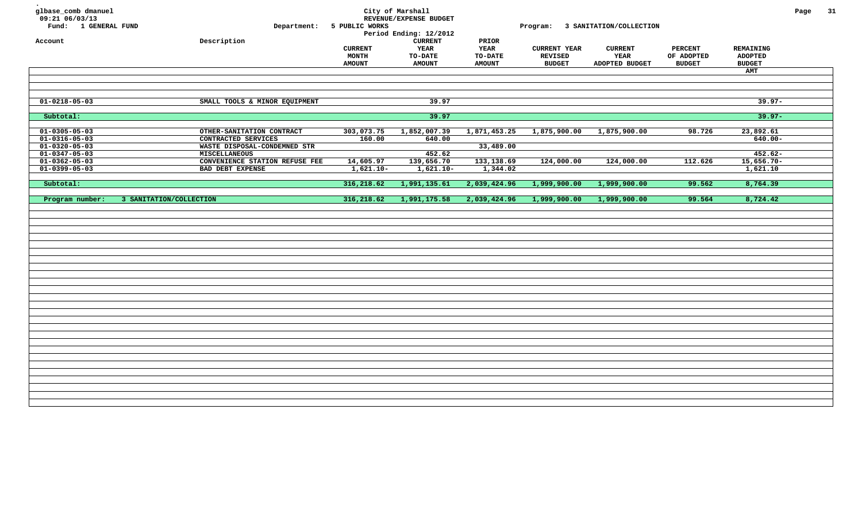| glbase_comb dmanuel<br>09:21 06/03/13<br>Fund: 1 GENERAL FUND<br>Account | Description                                      | Department: 5 PUBLIC WORKS               | City of Marshall<br>REVENUE/EXPENSE BUDGET<br>Period Ending: 12/2012<br><b>CURRENT</b> | PRIOR                                   |                                                        | Program: 3 SANITATION/COLLECTION         |                                               |                                              | Page | 31 |
|--------------------------------------------------------------------------|--------------------------------------------------|------------------------------------------|----------------------------------------------------------------------------------------|-----------------------------------------|--------------------------------------------------------|------------------------------------------|-----------------------------------------------|----------------------------------------------|------|----|
|                                                                          |                                                  | <b>CURRENT</b><br>MONTH<br><b>AMOUNT</b> | YEAR<br>TO-DATE<br><b>AMOUNT</b>                                                       | YEAR<br><b>TO-DATE</b><br><b>AMOUNT</b> | <b>CURRENT YEAR</b><br><b>REVISED</b><br><b>BUDGET</b> | <b>CURRENT</b><br>YEAR<br>ADOPTED BUDGET | <b>PERCENT</b><br>OF ADOPTED<br><b>BUDGET</b> | REMAINING<br><b>ADOPTED</b><br><b>BUDGET</b> |      |    |
|                                                                          |                                                  |                                          |                                                                                        |                                         |                                                        |                                          |                                               | AMT                                          |      |    |
| $01 - 0218 - 05 - 03$                                                    | SMALL TOOLS & MINOR EQUIPMENT                    |                                          | 39.97                                                                                  |                                         |                                                        |                                          |                                               | $39.97 -$                                    |      |    |
| Subtotal:                                                                |                                                  |                                          | 39.97                                                                                  |                                         |                                                        |                                          |                                               | $39.97 -$                                    |      |    |
| $01 - 0305 - 05 - 03$<br>$01 - 0316 - 05 - 03$                           | OTHER-SANITATION CONTRACT<br>CONTRACTED SERVICES | 303,073.75<br>160.00                     | 1,852,007.39<br>640.00                                                                 | 1,871,453.25                            | 1,875,900.00                                           | 1,875,900.00                             | 98.726                                        | 23,892.61<br>$640.00 -$                      |      |    |
| $01 - 0320 - 05 - 03$                                                    | WASTE DISPOSAL-CONDEMNED STR                     |                                          |                                                                                        | 33,489.00                               |                                                        |                                          |                                               |                                              |      |    |
| $01 - 0347 - 05 - 03$                                                    | <b>MISCELLANEOUS</b>                             |                                          | 452.62                                                                                 |                                         |                                                        |                                          |                                               | $452.62 -$                                   |      |    |
| $01 - 0362 - 05 - 03$                                                    | CONVENIENCE STATION REFUSE FEE                   | 14,605.97                                | 139,656.70                                                                             | 133,138.69                              | 124,000.00                                             | 124,000.00                               | 112.626                                       | $15,656.70-$                                 |      |    |
| $01 - 0399 - 05 - 03$                                                    | BAD DEBT EXPENSE                                 | $1,621.10-$                              | $1,621.10-$                                                                            | 1,344.02                                |                                                        |                                          |                                               | 1,621.10                                     |      |    |
| Subtotal:                                                                |                                                  | 316,218.62                               | 1,991,135.61                                                                           | 2,039,424.96                            | 1,999,900.00                                           | 1,999,900.00                             | 99.562                                        | 8,764.39                                     |      |    |
| Program number:                                                          | 3 SANITATION/COLLECTION                          | 316,218.62                               | 1,991,175.58                                                                           | 2,039,424.96                            | 1,999,900.00                                           | 1,999,900.00                             | 99.564                                        | 8,724.42                                     |      |    |
|                                                                          |                                                  |                                          |                                                                                        |                                         |                                                        |                                          |                                               |                                              |      |    |
|                                                                          |                                                  |                                          |                                                                                        |                                         |                                                        |                                          |                                               |                                              |      |    |
|                                                                          |                                                  |                                          |                                                                                        |                                         |                                                        |                                          |                                               |                                              |      |    |
|                                                                          |                                                  |                                          |                                                                                        |                                         |                                                        |                                          |                                               |                                              |      |    |
|                                                                          |                                                  |                                          |                                                                                        |                                         |                                                        |                                          |                                               |                                              |      |    |
|                                                                          |                                                  |                                          |                                                                                        |                                         |                                                        |                                          |                                               |                                              |      |    |
|                                                                          |                                                  |                                          |                                                                                        |                                         |                                                        |                                          |                                               |                                              |      |    |
|                                                                          |                                                  |                                          |                                                                                        |                                         |                                                        |                                          |                                               |                                              |      |    |
|                                                                          |                                                  |                                          |                                                                                        |                                         |                                                        |                                          |                                               |                                              |      |    |
|                                                                          |                                                  |                                          |                                                                                        |                                         |                                                        |                                          |                                               |                                              |      |    |
|                                                                          |                                                  |                                          |                                                                                        |                                         |                                                        |                                          |                                               |                                              |      |    |
|                                                                          |                                                  |                                          |                                                                                        |                                         |                                                        |                                          |                                               |                                              |      |    |
|                                                                          |                                                  |                                          |                                                                                        |                                         |                                                        |                                          |                                               |                                              |      |    |
|                                                                          |                                                  |                                          |                                                                                        |                                         |                                                        |                                          |                                               |                                              |      |    |
|                                                                          |                                                  |                                          |                                                                                        |                                         |                                                        |                                          |                                               |                                              |      |    |
|                                                                          |                                                  |                                          |                                                                                        |                                         |                                                        |                                          |                                               |                                              |      |    |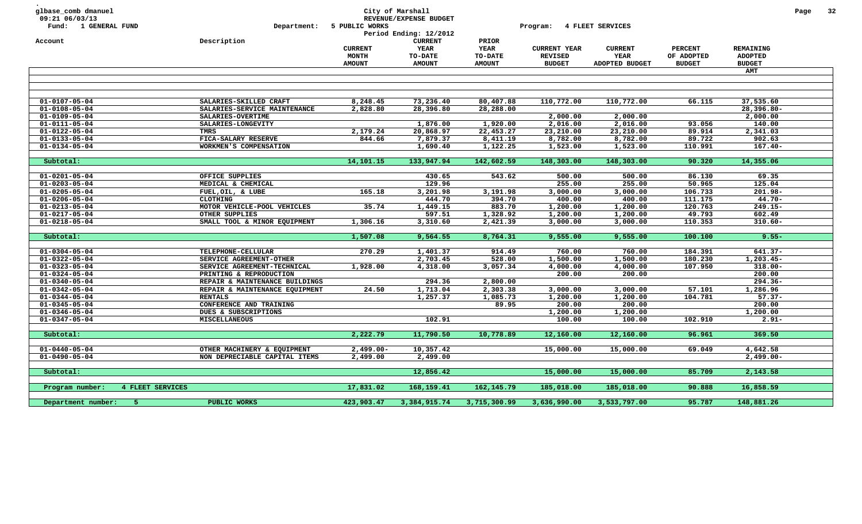| glbase_comb dmanuel<br>09:21 06/03/13<br>Fund: 1 GENERAL FUND |                  | Department:                    | 5 PUBLIC WORKS                           | City of Marshall<br>REVENUE/EXPENSE BUDGET<br>Period Ending: 12/2012 |                                                         | Program:                                               | 4 FLEET SERVICES                         |                                               |                                              | Page | 32 |
|---------------------------------------------------------------|------------------|--------------------------------|------------------------------------------|----------------------------------------------------------------------|---------------------------------------------------------|--------------------------------------------------------|------------------------------------------|-----------------------------------------------|----------------------------------------------|------|----|
| Account                                                       |                  | Description                    | <b>CURRENT</b><br>MONTH<br><b>AMOUNT</b> | <b>CURRENT</b><br>YEAR<br><b>TO-DATE</b><br><b>AMOUNT</b>            | PRIOR<br><b>YEAR</b><br><b>TO-DATE</b><br><b>AMOUNT</b> | <b>CURRENT YEAR</b><br><b>REVISED</b><br><b>BUDGET</b> | <b>CURRENT</b><br>YEAR<br>ADOPTED BUDGET | <b>PERCENT</b><br>OF ADOPTED<br><b>BUDGET</b> | REMAINING<br><b>ADOPTED</b><br><b>BUDGET</b> |      |    |
|                                                               |                  |                                |                                          |                                                                      |                                                         |                                                        |                                          |                                               | AMT                                          |      |    |
|                                                               |                  |                                |                                          |                                                                      |                                                         |                                                        |                                          |                                               |                                              |      |    |
| $01 - 0107 - 05 - 04$                                         |                  | SALARIES-SKILLED CRAFT         | 8,248.45                                 | 73,236.40                                                            | 80,407.88                                               | 110,772.00                                             | 110,772.00                               | 66.115                                        | 37,535.60                                    |      |    |
| $01 - 0108 - 05 - 04$                                         |                  | SALARIES-SERVICE MAINTENANCE   | 2,828.80                                 | 28,396.80                                                            | 28,288.00                                               |                                                        |                                          |                                               | 28,396.80-                                   |      |    |
| $01 - 0109 - 05 - 04$                                         |                  | SALARIES-OVERTIME              |                                          |                                                                      |                                                         | 2,000.00                                               | 2,000.00                                 |                                               | 2,000.00                                     |      |    |
| $01 - 0111 - 05 - 04$                                         |                  | SALARIES-LONGEVITY             |                                          | 1,876.00                                                             | 1,920.00                                                | 2,016.00                                               | 2,016.00                                 | 93.056                                        | 140.00                                       |      |    |
| $01 - 0122 - 05 - 04$                                         |                  | TMRS                           | 2,179.24                                 | 20,868.97                                                            | 22,453.27                                               | 23,210.00                                              | 23,210.00                                | 89.914                                        | 2,341.03                                     |      |    |
| $01 - 0133 - 05 - 04$                                         |                  | FICA-SALARY RESERVE            | 844.66                                   | 7,879.37                                                             | 8,411.19                                                | 8,782.00                                               | 8,782.00                                 | 89.722                                        | 902.63                                       |      |    |
| $01 - 0134 - 05 - 04$                                         |                  | WORKMEN'S COMPENSATION         |                                          | 1,690.40                                                             | 1,122.25                                                | 1,523.00                                               | 1,523.00                                 | 110.991                                       | $167.40 -$                                   |      |    |
| Subtotal:                                                     |                  |                                | 14,101.15                                | 133,947.94                                                           | 142,602.59                                              | 148,303.00                                             | 148,303.00                               | 90.320                                        | 14,355.06                                    |      |    |
|                                                               |                  |                                |                                          |                                                                      |                                                         |                                                        |                                          |                                               |                                              |      |    |
| $01 - 0201 - 05 - 04$                                         |                  | OFFICE SUPPLIES                |                                          | 430.65                                                               | 543.62                                                  | 500.00                                                 | 500.00                                   | 86.130                                        | 69.35                                        |      |    |
| $01 - 0203 - 05 - 04$                                         |                  | MEDICAL & CHEMICAL             |                                          | 129.96                                                               |                                                         | 255.00                                                 | 255.00                                   | 50.965                                        | 125.04                                       |      |    |
| $01 - 0205 - 05 - 04$                                         |                  | FUEL, OIL, & LUBE              | 165.18                                   | 3,201.98                                                             | 3,191.98                                                | 3,000.00                                               | 3,000.00                                 | 106.733                                       | $201.98 -$                                   |      |    |
| $01 - 0206 - 05 - 04$                                         |                  | <b>CLOTHING</b>                |                                          | 444.70                                                               | 394.70                                                  | 400.00                                                 | 400.00                                   | 111.175                                       | $44.70 -$                                    |      |    |
| $01 - 0213 - 05 - 04$                                         |                  | MOTOR VEHICLE-POOL VEHICLES    | 35.74                                    | 1,449.15                                                             | 883.70                                                  | 1,200.00                                               | 1,200.00                                 | 120.763                                       | 249.15-                                      |      |    |
| $01 - 0217 - 05 - 04$                                         |                  | OTHER SUPPLIES                 |                                          | 597.51                                                               | 1,328.92                                                | 1,200.00                                               | 1,200.00                                 | 49.793                                        | 602.49                                       |      |    |
| $01 - 0218 - 05 - 04$                                         |                  | SMALL TOOL & MINOR EQUIPMENT   | 1,306.16                                 | 3,310.60                                                             | 2,421.39                                                | 3,000.00                                               | 3,000.00                                 | 110.353                                       | $310.60 -$                                   |      |    |
|                                                               |                  |                                |                                          |                                                                      |                                                         |                                                        |                                          |                                               |                                              |      |    |
| Subtotal:                                                     |                  |                                | 1,507.08                                 | 9,564.55                                                             | 8,764.31                                                | 9,555.00                                               | 9,555.00                                 | 100.100                                       | $9.55 -$                                     |      |    |
| $01 - 0304 - 05 - 04$                                         |                  | TELEPHONE-CELLULAR             | 270.29                                   | 1,401.37                                                             | 914.49                                                  | 760.00                                                 | 760.00                                   | 184.391                                       | $641.37 -$                                   |      |    |
| $01 - 0322 - 05 - 04$                                         |                  | SERVICE AGREEMENT-OTHER        |                                          | 2,703.45                                                             | 528.00                                                  | 1,500.00                                               | 1,500.00                                 | 180.230                                       | $1, 203.45 -$                                |      |    |
| $01 - 0323 - 05 - 04$                                         |                  | SERVICE AGREEMENT-TECHNICAL    | 1,928.00                                 | 4,318.00                                                             | 3,057.34                                                | 4,000.00                                               | 4,000.00                                 | 107.950                                       | $318.00 -$                                   |      |    |
| $01 - 0324 - 05 - 04$                                         |                  | PRINTING & REPRODUCTION        |                                          |                                                                      |                                                         | 200.00                                                 | 200.00                                   |                                               | 200.00                                       |      |    |
| $01 - 0340 - 05 - 04$                                         |                  | REPAIR & MAINTENANCE BUILDINGS |                                          | 294.36                                                               | 2,800.00                                                |                                                        |                                          |                                               | $294.36 -$                                   |      |    |
| $01 - 0342 - 05 - 04$                                         |                  | REPAIR & MAINTENANCE EQUIPMENT | 24.50                                    | 1,713.04                                                             | 2,303.38                                                | 3,000.00                                               | 3,000.00                                 | 57.101                                        | 1,286.96                                     |      |    |
| $01 - 0344 - 05 - 04$                                         |                  | <b>RENTALS</b>                 |                                          | 1,257.37                                                             | 1,085.73                                                | 1,200.00                                               | 1,200.00                                 | 104.781                                       | $57.37 -$                                    |      |    |
| $01 - 0345 - 05 - 04$                                         |                  | CONFERENCE AND TRAINING        |                                          |                                                                      | 89.95                                                   | 200.00                                                 | 200.00                                   |                                               | 200.00                                       |      |    |
| $01 - 0346 - 05 - 04$                                         |                  | DUES & SUBSCRIPTIONS           |                                          |                                                                      |                                                         | 1,200.00                                               | 1,200.00                                 |                                               | 1,200.00                                     |      |    |
| $01 - 0347 - 05 - 04$                                         |                  | <b>MISCELLANEOUS</b>           |                                          | 102.91                                                               |                                                         | 100.00                                                 | 100.00                                   | 102.910                                       | $2.91 -$                                     |      |    |
|                                                               |                  |                                |                                          |                                                                      |                                                         |                                                        |                                          |                                               |                                              |      |    |
| Subtotal:                                                     |                  |                                | 2,222.79                                 | 11,790.50                                                            | 10,778.89                                               | 12,160.00                                              | 12,160.00                                | 96.961                                        | 369.50                                       |      |    |
| $01 - 0440 - 05 - 04$                                         |                  | OTHER MACHINERY & EQUIPMENT    | $2,499.00 -$                             | 10,357.42                                                            |                                                         | 15,000.00                                              | 15,000.00                                | 69.049                                        | 4,642.58                                     |      |    |
| $01 - 0490 - 05 - 04$                                         |                  | NON DEPRECIABLE CAPITAL ITEMS  | 2,499.00                                 | 2,499.00                                                             |                                                         |                                                        |                                          |                                               | $2,499.00 -$                                 |      |    |
|                                                               |                  |                                |                                          |                                                                      |                                                         |                                                        |                                          |                                               |                                              |      |    |
| Subtotal:                                                     |                  |                                |                                          | 12,856.42                                                            |                                                         | 15,000.00                                              | 15,000.00                                | 85.709                                        | 2,143.58                                     |      |    |
| Program number:                                               | 4 FLEET SERVICES |                                | 17,831.02                                | 168,159.41                                                           | 162, 145. 79                                            | 185,018.00                                             | 185,018.00                               | 90.888                                        | 16,858.59                                    |      |    |
|                                                               |                  |                                |                                          |                                                                      |                                                         |                                                        |                                          |                                               |                                              |      |    |
| Department number:<br>-5                                      |                  | PUBLIC WORKS                   | 423,903.47                               | 3,384,915.74                                                         | 3,715,300.99                                            | 3,636,990.00                                           | 3,533,797.00                             | 95.787                                        | 148,881.26                                   |      |    |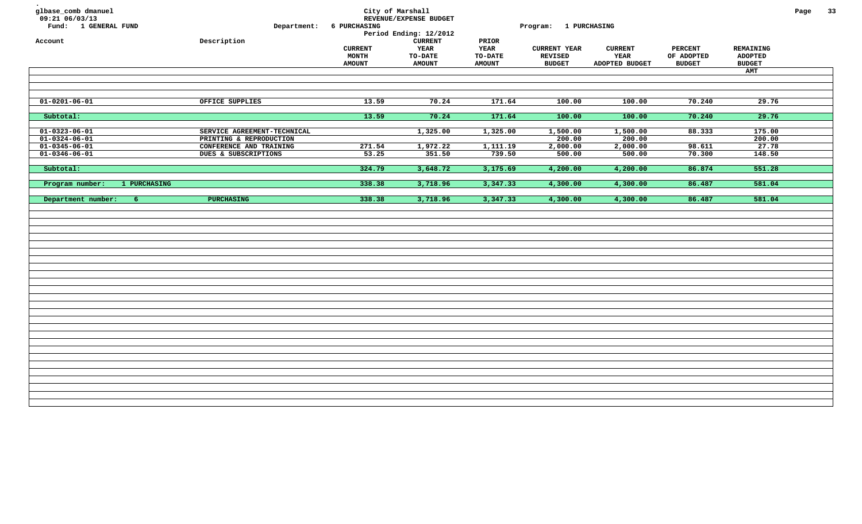| glbase_comb dmanuel<br>09:21 06/03/13<br>Fund: 1 GENERAL FUND | Department:                                            | <b>6 PURCHASING</b>                      | City of Marshall<br>REVENUE/EXPENSE BUDGET<br>Period Ending: 12/2012 |                                           | Program: 1 PURCHASING                           |                                          |                                               |                                                     | Page | 33 |
|---------------------------------------------------------------|--------------------------------------------------------|------------------------------------------|----------------------------------------------------------------------|-------------------------------------------|-------------------------------------------------|------------------------------------------|-----------------------------------------------|-----------------------------------------------------|------|----|
| Account                                                       | Description                                            | <b>CURRENT</b><br>MONTH<br><b>AMOUNT</b> | <b>CURRENT</b><br>YEAR<br>TO-DATE<br><b>AMOUNT</b>                   | PRIOR<br>YEAR<br>TO-DATE<br><b>AMOUNT</b> | <b>CURRENT YEAR</b><br>REVISED<br><b>BUDGET</b> | <b>CURRENT</b><br>YEAR<br>ADOPTED BUDGET | <b>PERCENT</b><br>OF ADOPTED<br><b>BUDGET</b> | REMAINING<br><b>ADOPTED</b><br><b>BUDGET</b><br>AMT |      |    |
|                                                               |                                                        |                                          |                                                                      |                                           |                                                 |                                          |                                               |                                                     |      |    |
| $\overline{01-0201-06-01}$                                    | OFFICE SUPPLIES                                        | 13.59                                    | 70.24                                                                | 171.64                                    | 100.00                                          | 100.00                                   | 70.240                                        | 29.76                                               |      |    |
| Subtotal:                                                     |                                                        | 13.59                                    | 70.24                                                                | 171.64                                    | 100.00                                          | 100.00                                   | 70.240                                        | 29.76                                               |      |    |
| $01 - 0323 - 06 - 01$<br>$01 - 0324 - 06 - 01$                | SERVICE AGREEMENT-TECHNICAL<br>PRINTING & REPRODUCTION |                                          | 1,325.00                                                             | 1,325.00                                  | 1,500.00<br>200.00                              | 1,500.00<br>200.00                       | 88.333                                        | 175.00<br>200.00                                    |      |    |
| $01 - 0345 - 06 - 01$<br>$01 - 0346 - 06 - 01$                | CONFERENCE AND TRAINING<br>DUES & SUBSCRIPTIONS        | 271.54<br>53.25                          | 1,972.22<br>351.50                                                   | 1,111.19<br>739.50                        | 2,000.00<br>500.00                              | 2,000.00<br>500.00                       | 98.611<br>70.300                              | 27.78<br>148.50                                     |      |    |
| Subtotal:                                                     |                                                        | 324.79                                   | 3,648.72                                                             | 3,175.69                                  | 4,200.00                                        | 4,200.00                                 | 86.874                                        | 551.28                                              |      |    |
| Program number:<br>1 PURCHASING                               |                                                        | 338.38                                   | 3,718.96                                                             | 3,347.33                                  | 4,300.00                                        | 4,300.00                                 | 86.487                                        | 581.04                                              |      |    |
| Department number:<br>6 <sup>1</sup>                          | <b>PURCHASING</b>                                      | 338.38                                   | 3,718.96                                                             | 3,347.33                                  | 4,300.00                                        | 4,300.00                                 | 86.487                                        | 581.04                                              |      |    |
|                                                               |                                                        |                                          |                                                                      |                                           |                                                 |                                          |                                               |                                                     |      |    |
|                                                               |                                                        |                                          |                                                                      |                                           |                                                 |                                          |                                               |                                                     |      |    |
|                                                               |                                                        |                                          |                                                                      |                                           |                                                 |                                          |                                               |                                                     |      |    |
|                                                               |                                                        |                                          |                                                                      |                                           |                                                 |                                          |                                               |                                                     |      |    |
|                                                               |                                                        |                                          |                                                                      |                                           |                                                 |                                          |                                               |                                                     |      |    |
|                                                               |                                                        |                                          |                                                                      |                                           |                                                 |                                          |                                               |                                                     |      |    |
|                                                               |                                                        |                                          |                                                                      |                                           |                                                 |                                          |                                               |                                                     |      |    |
|                                                               |                                                        |                                          |                                                                      |                                           |                                                 |                                          |                                               |                                                     |      |    |
|                                                               |                                                        |                                          |                                                                      |                                           |                                                 |                                          |                                               |                                                     |      |    |
|                                                               |                                                        |                                          |                                                                      |                                           |                                                 |                                          |                                               |                                                     |      |    |
|                                                               |                                                        |                                          |                                                                      |                                           |                                                 |                                          |                                               |                                                     |      |    |
|                                                               |                                                        |                                          |                                                                      |                                           |                                                 |                                          |                                               |                                                     |      |    |
|                                                               |                                                        |                                          |                                                                      |                                           |                                                 |                                          |                                               |                                                     |      |    |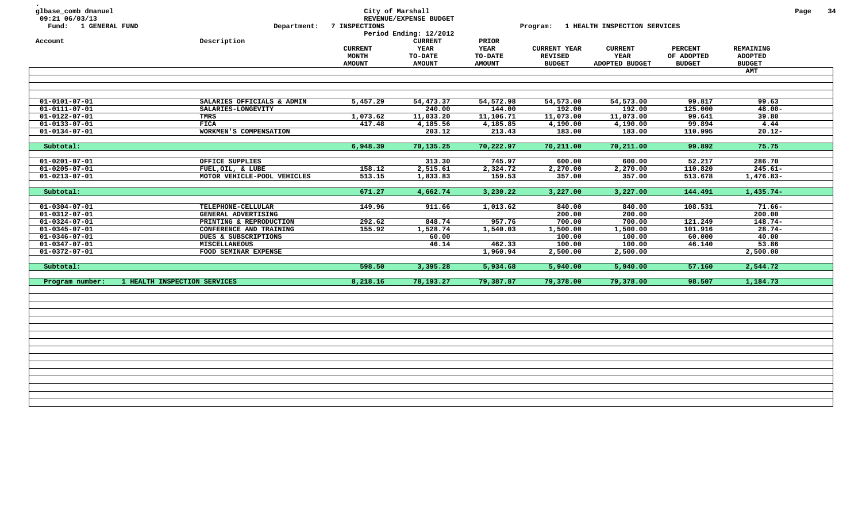| glbase_comb dmanuel<br>09:21 06/03/13<br>Fund: 1 GENERAL FUND<br>Account | Department:<br>Description   | 7 INSPECTIONS                                   | City of Marshall<br>REVENUE/EXPENSE BUDGET<br>Period Ending: 12/2012<br><b>CURRENT</b> | PRIOR                                   |                                                        | Program: 1 HEALTH INSPECTION SERVICES           |                                               |                                              | Page | - 34 |
|--------------------------------------------------------------------------|------------------------------|-------------------------------------------------|----------------------------------------------------------------------------------------|-----------------------------------------|--------------------------------------------------------|-------------------------------------------------|-----------------------------------------------|----------------------------------------------|------|------|
|                                                                          |                              | <b>CURRENT</b><br><b>MONTH</b><br><b>AMOUNT</b> | <b>YEAR</b><br>TO-DATE<br><b>AMOUNT</b>                                                | <b>YEAR</b><br>TO-DATE<br><b>AMOUNT</b> | <b>CURRENT YEAR</b><br><b>REVISED</b><br><b>BUDGET</b> | <b>CURRENT</b><br><b>YEAR</b><br>ADOPTED BUDGET | <b>PERCENT</b><br>OF ADOPTED<br><b>BUDGET</b> | REMAINING<br><b>ADOPTED</b><br><b>BUDGET</b> |      |      |
|                                                                          |                              |                                                 |                                                                                        |                                         |                                                        |                                                 |                                               | <b>AMT</b>                                   |      |      |
| $01 - 0101 - 07 - 01$                                                    | SALARIES OFFICIALS & ADMIN   | 5,457.29                                        | 54,473.37                                                                              | 54,572.98                               | 54,573.00                                              | 54,573.00                                       | 99.817                                        | 99.63                                        |      |      |
| $01 - 0111 - 07 - 01$                                                    | SALARIES-LONGEVITY           |                                                 | 240.00                                                                                 | 144.00                                  | 192.00                                                 | 192.00                                          | 125.000                                       | $48.00 -$                                    |      |      |
| $01 - 0122 - 07 - 01$                                                    | TMRS                         | 1,073.62                                        | 11,033.20                                                                              | 11,106.71                               | 11,073.00                                              | 11,073.00                                       | 99.641                                        | 39.80                                        |      |      |
| $01 - 0133 - 07 - 01$                                                    | <b>FICA</b>                  | 417.48                                          | 4,185.56                                                                               | 4,185.85                                | 4,190.00                                               | 4,190.00                                        | 99.894                                        | 4.44                                         |      |      |
| $01 - 0134 - 07 - 01$                                                    | WORKMEN'S COMPENSATION       |                                                 | 203.12                                                                                 | 213.43                                  | 183.00                                                 | 183.00                                          | 110.995                                       | $20.12 -$                                    |      |      |
| Subtotal:                                                                |                              | 6,948.39                                        | 70,135.25                                                                              | 70,222.97                               | 70,211.00                                              | 70,211.00                                       | 99.892                                        | 75.75                                        |      |      |
| $01 - 0201 - 07 - 01$                                                    | OFFICE SUPPLIES              |                                                 | 313.30                                                                                 | 745.97                                  | 600.00                                                 | 600.00                                          | 52.217                                        | 286.70                                       |      |      |
| $01 - 0205 - 07 - 01$                                                    | FUEL, OIL, & LUBE            | 158.12                                          | 2,515.61                                                                               | 2,324.72                                | 2,270.00                                               | 2,270.00                                        | 110.820                                       | $245.61 -$                                   |      |      |
| $01 - 0213 - 07 - 01$                                                    | MOTOR VEHICLE-POOL VEHICLES  | 513.15                                          | 1,833.83                                                                               | 159.53                                  | 357.00                                                 | 357.00                                          | 513.678                                       | $1,476.83-$                                  |      |      |
| Subtotal:                                                                |                              | 671.27                                          | 4,662.74                                                                               | 3,230.22                                | 3,227.00                                               | 3,227.00                                        | 144.491                                       | $1,435.74-$                                  |      |      |
| $01 - 0304 - 07 - 01$                                                    | TELEPHONE-CELLULAR           | 149.96                                          | 911.66                                                                                 | 1,013.62                                | 840.00                                                 | 840.00                                          | 108.531                                       | $71.66 -$                                    |      |      |
| $01 - 0312 - 07 - 01$                                                    | GENERAL ADVERTISING          |                                                 |                                                                                        |                                         | 200.00                                                 | 200.00                                          |                                               | 200.00                                       |      |      |
| $01 - 0324 - 07 - 01$                                                    | PRINTING & REPRODUCTION      | 292.62                                          | 848.74                                                                                 | 957.76                                  | 700.00                                                 | 700.00                                          | 121.249                                       | $148.74-$                                    |      |      |
| $01 - 0345 - 07 - 01$                                                    | CONFERENCE AND TRAINING      | 155.92                                          | 1,528.74                                                                               | 1,540.03                                | 1,500.00                                               | 1,500.00                                        | 101.916                                       | $28.74-$                                     |      |      |
| $01 - 0346 - 07 - 01$                                                    | DUES & SUBSCRIPTIONS         |                                                 | 60.00                                                                                  |                                         | 100.00                                                 | 100.00                                          | 60.000                                        | 40.00                                        |      |      |
| $01 - 0347 - 07 - 01$                                                    | <b>MISCELLANEOUS</b>         |                                                 | 46.14                                                                                  | 462.33                                  | 100.00                                                 | 100.00                                          | 46.140                                        | 53.86                                        |      |      |
| $01 - 0372 - 07 - 01$                                                    | FOOD SEMINAR EXPENSE         |                                                 |                                                                                        | 1,960.94                                | 2,500.00                                               | 2,500.00                                        |                                               | 2,500.00                                     |      |      |
| Subtotal:                                                                |                              | 598.50                                          | 3,395.28                                                                               | 5,934.68                                | 5,940.00                                               | 5,940.00                                        | 57.160                                        | 2,544.72                                     |      |      |
| Program number:                                                          | 1 HEALTH INSPECTION SERVICES | 8,218.16                                        | 78,193.27                                                                              | 79,387.87                               | 79,378.00                                              | 79,378.00                                       | 98.507                                        | 1,184.73                                     |      |      |
|                                                                          |                              |                                                 |                                                                                        |                                         |                                                        |                                                 |                                               |                                              |      |      |
|                                                                          |                              |                                                 |                                                                                        |                                         |                                                        |                                                 |                                               |                                              |      |      |
|                                                                          |                              |                                                 |                                                                                        |                                         |                                                        |                                                 |                                               |                                              |      |      |
|                                                                          |                              |                                                 |                                                                                        |                                         |                                                        |                                                 |                                               |                                              |      |      |
|                                                                          |                              |                                                 |                                                                                        |                                         |                                                        |                                                 |                                               |                                              |      |      |
|                                                                          |                              |                                                 |                                                                                        |                                         |                                                        |                                                 |                                               |                                              |      |      |
|                                                                          |                              |                                                 |                                                                                        |                                         |                                                        |                                                 |                                               |                                              |      |      |
|                                                                          |                              |                                                 |                                                                                        |                                         |                                                        |                                                 |                                               |                                              |      |      |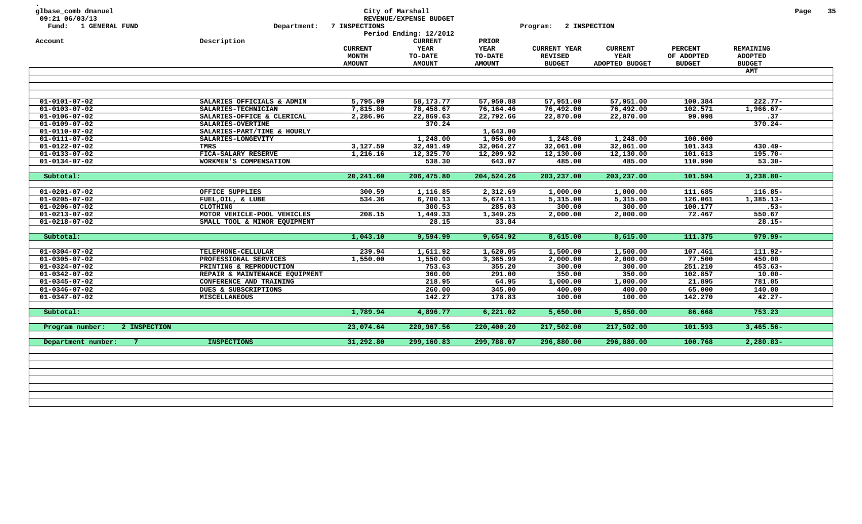| glbase_comb dmanuel<br>09:21 06/03/13<br>Fund: 1 GENERAL FUND<br>Account | Department:<br>Description     | 7 INSPECTIONS                                   | City of Marshall<br>REVENUE/EXPENSE BUDGET<br>Period Ending: 12/2012<br><b>CURRENT</b> | PRIOR                                   | Program:                                               | 2 INSPECTION                             |                                               |                                              | Page | 35 |
|--------------------------------------------------------------------------|--------------------------------|-------------------------------------------------|----------------------------------------------------------------------------------------|-----------------------------------------|--------------------------------------------------------|------------------------------------------|-----------------------------------------------|----------------------------------------------|------|----|
|                                                                          |                                | <b>CURRENT</b><br><b>MONTH</b><br><b>AMOUNT</b> | YEAR<br><b>TO-DATE</b><br><b>AMOUNT</b>                                                | <b>YEAR</b><br>TO-DATE<br><b>AMOUNT</b> | <b>CURRENT YEAR</b><br><b>REVISED</b><br><b>BUDGET</b> | <b>CURRENT</b><br>YEAR<br>ADOPTED BUDGET | <b>PERCENT</b><br>OF ADOPTED<br><b>BUDGET</b> | REMAINING<br><b>ADOPTED</b><br><b>BUDGET</b> |      |    |
|                                                                          |                                |                                                 |                                                                                        |                                         |                                                        |                                          |                                               | <b>AMT</b>                                   |      |    |
|                                                                          |                                |                                                 |                                                                                        |                                         |                                                        |                                          |                                               |                                              |      |    |
| $01 - 0101 - 07 - 02$                                                    | SALARIES OFFICIALS & ADMIN     | 5,795.09                                        | 58,173.77                                                                              | 57,950.88                               | 57,951.00                                              | 57,951.00                                | 100.384                                       | $222.77 -$                                   |      |    |
| $01 - 0103 - 07 - 02$                                                    | SALARIES-TECHNICIAN            | 7,815.80                                        | 78,458.67                                                                              | 76,164.46                               | 76,492.00                                              | 76,492.00                                | 102.571                                       | $1,966.67 -$                                 |      |    |
| $01 - 0106 - 07 - 02$                                                    | SALARIES-OFFICE & CLERICAL     | 2,286.96                                        | 22,869.63                                                                              | 22,792.66                               | 22,870.00                                              | 22,870.00                                | 99.998                                        | .37                                          |      |    |
| $01 - 0109 - 07 - 02$                                                    | SALARIES-OVERTIME              |                                                 | 370.24                                                                                 |                                         |                                                        |                                          |                                               | $370.24 -$                                   |      |    |
| $01 - 0110 - 07 - 02$                                                    | SALARIES-PART/TIME & HOURLY    |                                                 |                                                                                        | 1,643.00                                |                                                        |                                          |                                               |                                              |      |    |
| $01 - 0111 - 07 - 02$                                                    | SALARIES-LONGEVITY             |                                                 | 1,248.00                                                                               | 1,056.00                                | 1,248.00                                               | 1,248.00                                 | 100.000                                       |                                              |      |    |
| $01 - 0122 - 07 - 02$                                                    | <b>TMRS</b>                    | 3,127.59                                        | 32,491.49                                                                              | 32,064.27                               | 32,061.00                                              | 32,061.00                                | 101.343                                       | $430.49 -$                                   |      |    |
| $01 - 0133 - 07 - 02$                                                    | FICA-SALARY RESERVE            | 1,216.16                                        | 12,325.70                                                                              | 12,209.92                               | 12,130.00                                              | 12,130.00                                | 101.613                                       | $195.70 -$                                   |      |    |
| $01 - 0134 - 07 - 02$                                                    | WORKMEN'S COMPENSATION         |                                                 | 538.30                                                                                 | 643.07                                  | 485.00                                                 | 485.00                                   | 110.990                                       | $53.30 -$                                    |      |    |
| Subtotal:                                                                |                                | 20,241.60                                       | 206,475.80                                                                             | 204,524.26                              | 203,237.00                                             | 203,237.00                               | 101.594                                       | $3,238.80 -$                                 |      |    |
|                                                                          |                                |                                                 |                                                                                        |                                         |                                                        |                                          |                                               |                                              |      |    |
| $01 - 0201 - 07 - 02$                                                    | OFFICE SUPPLIES                | 300.59                                          | 1,116.85                                                                               | 2,312.69                                | 1,000.00                                               | 1,000.00                                 | 111.685                                       | $116.85 -$                                   |      |    |
| $01 - 0205 - 07 - 02$                                                    | FUEL, OIL, & LUBE              | 534.36                                          | 6,700.13                                                                               | 5,674.11                                | 5,315.00                                               | 5,315.00                                 | 126.061                                       | $1,385.13-$                                  |      |    |
| $01 - 0206 - 07 - 02$                                                    | <b>CLOTHING</b>                |                                                 | 300.53                                                                                 | 285.03                                  | 300.00                                                 | 300.00                                   | 100.177                                       | $.53-$                                       |      |    |
| $01 - 0213 - 07 - 02$                                                    | MOTOR VEHICLE-POOL VEHICLES    | 208.15                                          | 1,449.33                                                                               | 1,349.25                                | 2,000.00                                               | 2,000.00                                 | 72.467                                        | 550.67                                       |      |    |
| $01 - 0218 - 07 - 02$                                                    | SMALL TOOL & MINOR EQUIPMENT   |                                                 | 28.15                                                                                  | 33.84                                   |                                                        |                                          |                                               | $28.15 -$                                    |      |    |
|                                                                          |                                |                                                 |                                                                                        |                                         |                                                        |                                          |                                               |                                              |      |    |
| Subtotal:                                                                |                                | 1,043.10                                        | 9,594.99                                                                               | 9,654.92                                | 8,615.00                                               | 8,615.00                                 | 111.375                                       | 979.99-                                      |      |    |
| $01 - 0304 - 07 - 02$                                                    | TELEPHONE-CELLULAR             | 239.94                                          | 1,611.92                                                                               | 1,620.05                                | 1,500.00                                               | 1,500.00                                 | 107.461                                       | 111.92-                                      |      |    |
| $01 - 0305 - 07 - 02$                                                    | PROFESSIONAL SERVICES          | 1,550.00                                        | 1,550.00                                                                               | 3,365.99                                | 2,000.00                                               | 2,000.00                                 | 77.500                                        | 450.00                                       |      |    |
| $01 - 0324 - 07 - 02$                                                    | PRINTING & REPRODUCTION        |                                                 | 753.63                                                                                 | 355.20                                  | 300.00                                                 | 300.00                                   | 251.210                                       | $453.63 -$                                   |      |    |
| $01 - 0342 - 07 - 02$                                                    | REPAIR & MAINTENANCE EQUIPMENT |                                                 | 360.00                                                                                 | 291.00                                  | 350.00                                                 | 350.00                                   | 102.857                                       | $10.00 -$                                    |      |    |
| $01 - 0345 - 07 - 02$                                                    | CONFERENCE AND TRAINING        |                                                 | 218.95                                                                                 | 64.95                                   | 1,000.00                                               | 1,000.00                                 | 21.895                                        | 781.05                                       |      |    |
| $01 - 0346 - 07 - 02$                                                    | DUES & SUBSCRIPTIONS           |                                                 | 260.00                                                                                 | 345.00                                  | 400.00                                                 | 400.00                                   | 65.000                                        | 140.00                                       |      |    |
| $01 - 0347 - 07 - 02$                                                    | <b>MISCELLANEOUS</b>           |                                                 | 142.27                                                                                 | 178.83                                  | 100.00                                                 | 100.00                                   | 142.270                                       | $42.27 -$                                    |      |    |
|                                                                          |                                |                                                 |                                                                                        |                                         |                                                        |                                          |                                               |                                              |      |    |
| Subtotal:                                                                |                                | 1,789.94                                        | 4,896.77                                                                               | 6,221.02                                | 5,650.00                                               | 5,650.00                                 | 86.668                                        | 753.23                                       |      |    |
| Program number:<br>2 INSPECTION                                          |                                | 23,074.64                                       | 220,967.56                                                                             | 220,400.20                              | 217,502.00                                             | 217,502.00                               | 101.593                                       | $3,465.56 -$                                 |      |    |
| Department number:<br>$\overline{7}$                                     | <b>INSPECTIONS</b>             | 31,292.80                                       | 299,160.83                                                                             | 299,788.07                              | 296,880.00                                             | 296,880.00                               | 100.768                                       | $2,280.83-$                                  |      |    |
|                                                                          |                                |                                                 |                                                                                        |                                         |                                                        |                                          |                                               |                                              |      |    |
|                                                                          |                                |                                                 |                                                                                        |                                         |                                                        |                                          |                                               |                                              |      |    |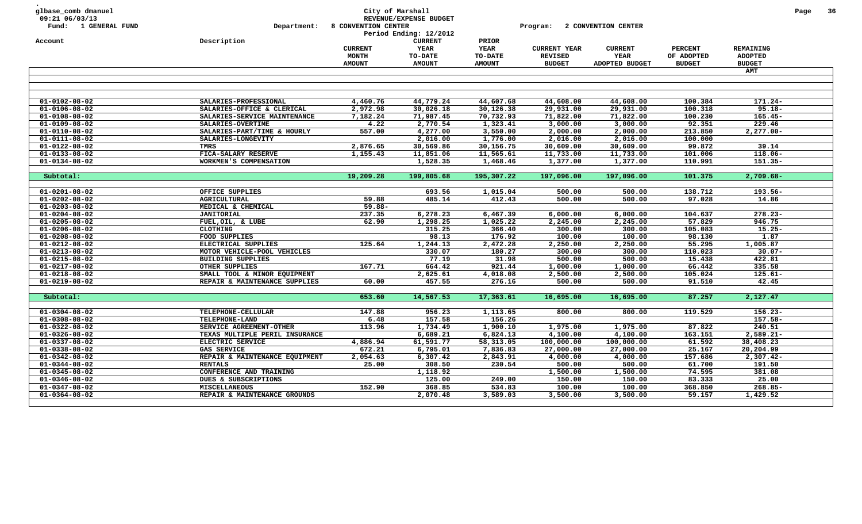| glbase_comb dmanuel<br>09:21 06/03/13<br>Fund: 1 GENERAL FUND | Department:<br>Description                                    | 8 CONVENTION CENTER            | City of Marshall<br>REVENUE/EXPENSE BUDGET<br>Period Ending: 12/2012<br><b>CURRENT</b> | PRIOR                         | Program:                              | 2 CONVENTION CENTER    |                              |                                    | Page | 36 |
|---------------------------------------------------------------|---------------------------------------------------------------|--------------------------------|----------------------------------------------------------------------------------------|-------------------------------|---------------------------------------|------------------------|------------------------------|------------------------------------|------|----|
| Account                                                       |                                                               | <b>CURRENT</b><br><b>MONTH</b> | YEAR<br>TO-DATE                                                                        | <b>YEAR</b><br><b>TO-DATE</b> | <b>CURRENT YEAR</b><br><b>REVISED</b> | <b>CURRENT</b><br>YEAR | <b>PERCENT</b><br>OF ADOPTED | <b>REMAINING</b><br><b>ADOPTED</b> |      |    |
|                                                               |                                                               | <b>AMOUNT</b>                  | <b>AMOUNT</b>                                                                          | <b>AMOUNT</b>                 | <b>BUDGET</b>                         | ADOPTED BUDGET         | <b>BUDGET</b>                | <b>BUDGET</b>                      |      |    |
|                                                               |                                                               |                                |                                                                                        |                               |                                       |                        |                              | AMT                                |      |    |
|                                                               |                                                               |                                |                                                                                        |                               |                                       |                        |                              |                                    |      |    |
| $01 - 0102 - 08 - 02$                                         | SALARIES-PROFESSIONAL                                         | 4,460.76                       | 44,779.24                                                                              | 44,607.68                     | 44,608.00                             | 44,608.00              | 100.384                      | $171.24 -$                         |      |    |
| $01 - 0106 - 08 - 02$                                         | SALARIES-OFFICE & CLERICAL                                    | 2,972.98                       | 30,026.18                                                                              | 30,126.38                     | 29,931.00                             | 29,931.00              | 100.318                      | $95.18 -$                          |      |    |
| $01 - 0108 - 08 - 02$                                         | SALARIES-SERVICE MAINTENANCE                                  | 7,182.24                       | 71,987.45                                                                              | 70,732.93                     | 71,822.00                             | 71,822.00              | 100.230                      | $165.45 -$                         |      |    |
| $01 - 0109 - 08 - 02$                                         | SALARIES-OVERTIME                                             | 4.22                           | 2,770.54                                                                               | 1,323.41                      | 3,000.00                              | 3,000.00               | 92.351                       | 229.46                             |      |    |
| $01 - 0110 - 08 - 02$                                         | SALARIES-PART/TIME & HOURLY                                   | 557.00                         | 4,277.00                                                                               | 3,550.00                      | 2,000.00                              | 2,000.00               | 213.850                      | $2,277.00 -$                       |      |    |
| $01 - 0111 - 08 - 02$                                         | SALARIES-LONGEVITY                                            |                                | 2,016.00                                                                               | 1,776.00                      | 2,016.00                              | 2,016.00               | 100.000                      |                                    |      |    |
| $01 - 0122 - 08 - 02$                                         | <b>TMRS</b>                                                   | 2,876.65                       | 30,569.86                                                                              | 30,156.75                     | 30,609.00                             | 30,609.00              | 99.872                       | 39.14                              |      |    |
| $01 - 0133 - 08 - 02$                                         | FICA-SALARY RESERVE                                           | 1,155.43                       | 11,851.06                                                                              | 11,565.61                     | 11,733.00                             | 11,733.00              | 101.006                      | $118.06 -$                         |      |    |
| $01 - 0134 - 08 - 02$                                         | WORKMEN'S COMPENSATION                                        |                                | 1,528.35                                                                               | 1,468.46                      | 1,377.00                              | 1,377.00               | 110.991                      | $151.35 -$                         |      |    |
|                                                               |                                                               |                                |                                                                                        |                               |                                       |                        |                              |                                    |      |    |
| Subtotal:                                                     |                                                               | 19,209.28                      | 199,805.68                                                                             | 195,307.22                    | 197,096.00                            | 197,096.00             | 101.375                      | $2,709.68-$                        |      |    |
|                                                               |                                                               |                                |                                                                                        |                               |                                       |                        |                              |                                    |      |    |
| $01 - 0201 - 08 - 02$                                         | OFFICE SUPPLIES                                               |                                | 693.56                                                                                 | 1,015.04                      | 500.00                                | 500.00                 | 138.712                      | 193.56-                            |      |    |
| $01 - 0202 - 08 - 02$                                         | <b>AGRICULTURAL</b>                                           | 59.88                          | 485.14                                                                                 | 412.43                        | 500.00                                | 500.00                 | 97.028                       | 14.86                              |      |    |
| $01 - 0203 - 08 - 02$                                         | MEDICAL & CHEMICAL                                            | $59.88 -$                      |                                                                                        |                               |                                       |                        |                              |                                    |      |    |
| $01 - 0204 - 08 - 02$                                         | <b>JANITORIAL</b>                                             | 237.35                         | 6,278.23                                                                               | 6,467.39                      | 6,000.00                              | 6,000.00               | 104.637                      | $278.23 -$                         |      |    |
| $01 - 0205 - 08 - 02$                                         | FUEL, OIL, & LUBE                                             | 62.90                          | 1,298.25                                                                               | 1,025.22                      | 2,245.00                              | 2,245.00               | 57.829                       | 946.75                             |      |    |
| $01 - 0206 - 08 - 02$                                         | <b>CLOTHING</b>                                               |                                | 315.25                                                                                 | 366.40                        | 300.00                                | 300.00                 | 105.083                      | $15.25 -$                          |      |    |
| $01 - 0208 - 08 - 02$                                         | FOOD SUPPLIES<br>ELECTRICAL SUPPLIES                          |                                | 98.13                                                                                  | 176.92                        | 100.00                                | 100.00                 | 98.130                       | 1.87                               |      |    |
| $01 - 0212 - 08 - 02$                                         |                                                               | 125.64                         | 1,244.13<br>330.07                                                                     | 2,472.28<br>180.27            | 2,250.00                              | 2,250.00<br>300.00     | 55.295<br>110.023            | 1,005.87<br>$30.07 -$              |      |    |
| $01 - 0213 - 08 - 02$<br>$01 - 0215 - 08 - 02$                | MOTOR VEHICLE-POOL VEHICLES<br><b>BUILDING SUPPLIES</b>       |                                | 77.19                                                                                  | 31.98                         | 300.00<br>500.00                      | 500.00                 | 15.438                       | 422.81                             |      |    |
| $01 - 0217 - 08 - 02$                                         | OTHER SUPPLIES                                                | 167.71                         | 664.42                                                                                 | 921.44                        | 1,000.00                              | 1,000.00               | 66.442                       | 335.58                             |      |    |
| $01 - 0218 - 08 - 02$                                         |                                                               |                                | 2,625.61                                                                               | 4,018.08                      | 2,500.00                              | 2,500.00               | 105.024                      | $125.61 -$                         |      |    |
| $01 - 0219 - 08 - 02$                                         | SMALL TOOL & MINOR EQUIPMENT<br>REPAIR & MAINTENANCE SUPPLIES | 60.00                          | 457.55                                                                                 | 276.16                        | 500.00                                | 500.00                 | 91.510                       | 42.45                              |      |    |
|                                                               |                                                               |                                |                                                                                        |                               |                                       |                        |                              |                                    |      |    |
| Subtotal:                                                     |                                                               | 653.60                         | 14,567.53                                                                              | 17,363.61                     | 16,695.00                             | 16,695.00              | 87.257                       | 2,127.47                           |      |    |
| $01 - 0304 - 08 - 02$                                         | TELEPHONE-CELLULAR                                            | 147.88                         | 956.23                                                                                 | 1,113.65                      | 800.00                                | 800.00                 | 119.529                      | $156.23 -$                         |      |    |
| $01 - 0308 - 08 - 02$                                         | TELEPHONE-LAND                                                | 6.48                           | 157.58                                                                                 | 156.26                        |                                       |                        |                              | 157.58-                            |      |    |
| $01 - 0322 - 08 - 02$                                         | SERVICE AGREEMENT-OTHER                                       | 113.96                         | 1,734.49                                                                               | 1,900.10                      | 1,975.00                              | 1,975.00               | 87.822                       | 240.51                             |      |    |
| $01 - 0326 - 08 - 02$                                         | TEXAS MULTIPLE PERIL INSURANCE                                |                                | 6,689.21                                                                               | 6,824.13                      | 4,100.00                              | 4,100.00               | 163.151                      | $2,589.21-$                        |      |    |
| $01 - 0337 - 08 - 02$                                         | ELECTRIC SERVICE                                              | 4,886.94                       | 61,591.77                                                                              | 58,313.05                     | 100,000.00                            | 100,000.00             | 61.592                       | 38,408.23                          |      |    |
| $01 - 0338 - 08 - 02$                                         | <b>GAS SERVICE</b>                                            | 672.21                         | 6,795.01                                                                               | 7,836.83                      | 27,000.00                             | 27,000.00              | 25.167                       | 20,204.99                          |      |    |
| $01 - 0342 - 08 - 02$                                         | REPAIR & MAINTENANCE EQUIPMENT                                | 2,054.63                       | 6,307.42                                                                               | 2,843.91                      | 4,000.00                              | 4,000.00               | 157.686                      | $2,307.42-$                        |      |    |
| $01 - 0344 - 08 - 02$                                         | <b>RENTALS</b>                                                | 25.00                          | 308.50                                                                                 | 230.54                        | 500.00                                | 500.00                 | 61.700                       | 191.50                             |      |    |
| $01 - 0345 - 08 - 02$                                         | CONFERENCE AND TRAINING                                       |                                | 1,118.92                                                                               |                               | 1,500.00                              | 1,500.00               | 74.595                       | 381.08                             |      |    |
| $01 - 0346 - 08 - 02$                                         | DUES & SUBSCRIPTIONS                                          |                                | 125.00                                                                                 | 249.00                        | 150.00                                | 150.00                 | 83.333                       | 25.00                              |      |    |
| $01 - 0347 - 08 - 02$                                         | <b>MISCELLANEOUS</b>                                          | 152.90                         | 368.85                                                                                 | 534.83                        | 100.00                                | 100.00                 | 368.850                      | 268.85-                            |      |    |
| $01 - 0364 - 08 - 02$                                         | REPAIR & MAINTENANCE GROUNDS                                  |                                | 2,070.48                                                                               | 3,589.03                      | 3,500.00                              | 3,500.00               | 59.157                       | 1,429.52                           |      |    |
|                                                               |                                                               |                                |                                                                                        |                               |                                       |                        |                              |                                    |      |    |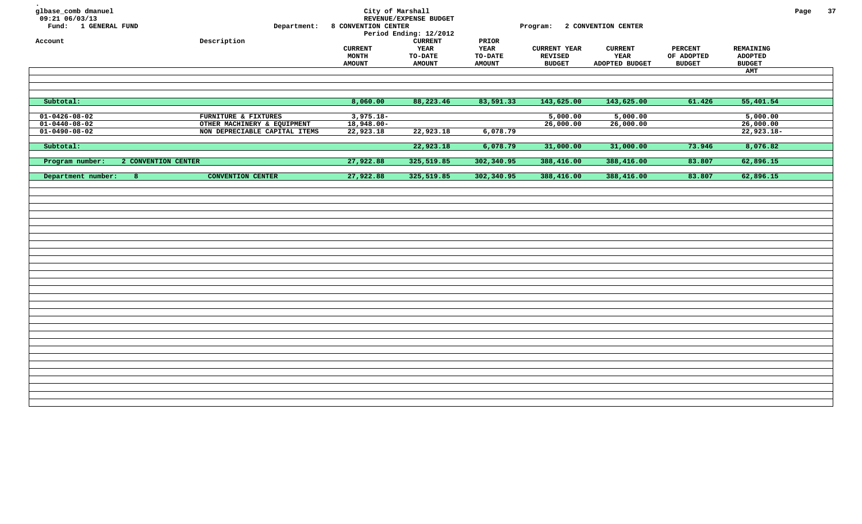| glbase_comb dmanuel<br>09:21 06/03/13<br>Fund: 1 GENERAL FUND | Department:                   | 8 CONVENTION CENTER | City of Marshall<br>REVENUE/EXPENSE BUDGET |                | Program: 2 CONVENTION CENTER |                |                |               | Page | 37 |
|---------------------------------------------------------------|-------------------------------|---------------------|--------------------------------------------|----------------|------------------------------|----------------|----------------|---------------|------|----|
|                                                               |                               |                     | Period Ending: 12/2012                     |                |                              |                |                |               |      |    |
| Account                                                       | Description                   |                     | <b>CURRENT</b>                             | PRIOR          |                              |                |                |               |      |    |
|                                                               |                               | <b>CURRENT</b>      | YEAR                                       | <b>YEAR</b>    | <b>CURRENT YEAR</b>          | <b>CURRENT</b> | <b>PERCENT</b> | REMAINING     |      |    |
|                                                               |                               | <b>MONTH</b>        | <b>TO-DATE</b>                             | <b>TO-DATE</b> | <b>REVISED</b>               | YEAR           | OF ADOPTED     | ADOPTED       |      |    |
|                                                               |                               | <b>AMOUNT</b>       | <b>AMOUNT</b>                              | <b>AMOUNT</b>  | <b>BUDGET</b>                | ADOPTED BUDGET | <b>BUDGET</b>  | <b>BUDGET</b> |      |    |
|                                                               |                               |                     |                                            |                |                              |                |                | AMT           |      |    |
|                                                               |                               |                     |                                            |                |                              |                |                |               |      |    |
|                                                               |                               |                     |                                            |                |                              |                |                |               |      |    |
| Subtotal:                                                     |                               | 8,060.00            | 88,223.46                                  | 83,591.33      | 143,625.00                   | 143,625.00     | 61.426         | 55,401.54     |      |    |
| $01 - 0426 - 08 - 02$                                         | FURNITURE & FIXTURES          | $3,975.18-$         |                                            |                | 5,000.00                     | 5,000.00       |                | 5,000.00      |      |    |
| $01 - 0440 - 08 - 02$                                         | OTHER MACHINERY & EQUIPMENT   | $18,948.00 -$       |                                            |                | 26,000.00                    | 26,000.00      |                | 26,000.00     |      |    |
| $01 - 0490 - 08 - 02$                                         | NON DEPRECIABLE CAPITAL ITEMS | 22,923.18           | 22,923.18                                  | 6,078.79       |                              |                |                | $22,923.18-$  |      |    |
|                                                               |                               |                     |                                            |                |                              |                |                |               |      |    |
| Subtotal:                                                     |                               |                     | 22,923.18                                  | 6,078.79       | 31,000.00                    | 31,000.00      | 73.946         | 8,076.82      |      |    |
| Program number:<br>2 CONVENTION CENTER                        |                               | 27,922.88           | 325,519.85                                 | 302,340.95     | 388,416.00                   | 388,416.00     | 83.807         | 62,896.15     |      |    |
|                                                               |                               |                     |                                            |                |                              |                |                |               |      |    |
| Department number:<br>8                                       | <b>CONVENTION CENTER</b>      | 27,922.88           | 325,519.85                                 | 302,340.95     | 388,416.00                   | 388,416.00     | 83.807         | 62,896.15     |      |    |
|                                                               |                               |                     |                                            |                |                              |                |                |               |      |    |
|                                                               |                               |                     |                                            |                |                              |                |                |               |      |    |
|                                                               |                               |                     |                                            |                |                              |                |                |               |      |    |
|                                                               |                               |                     |                                            |                |                              |                |                |               |      |    |
|                                                               |                               |                     |                                            |                |                              |                |                |               |      |    |
|                                                               |                               |                     |                                            |                |                              |                |                |               |      |    |
|                                                               |                               |                     |                                            |                |                              |                |                |               |      |    |
|                                                               |                               |                     |                                            |                |                              |                |                |               |      |    |
|                                                               |                               |                     |                                            |                |                              |                |                |               |      |    |
|                                                               |                               |                     |                                            |                |                              |                |                |               |      |    |
|                                                               |                               |                     |                                            |                |                              |                |                |               |      |    |
|                                                               |                               |                     |                                            |                |                              |                |                |               |      |    |
|                                                               |                               |                     |                                            |                |                              |                |                |               |      |    |
|                                                               |                               |                     |                                            |                |                              |                |                |               |      |    |
|                                                               |                               |                     |                                            |                |                              |                |                |               |      |    |
|                                                               |                               |                     |                                            |                |                              |                |                |               |      |    |
|                                                               |                               |                     |                                            |                |                              |                |                |               |      |    |
|                                                               |                               |                     |                                            |                |                              |                |                |               |      |    |
|                                                               |                               |                     |                                            |                |                              |                |                |               |      |    |
|                                                               |                               |                     |                                            |                |                              |                |                |               |      |    |
|                                                               |                               |                     |                                            |                |                              |                |                |               |      |    |
|                                                               |                               |                     |                                            |                |                              |                |                |               |      |    |
|                                                               |                               |                     |                                            |                |                              |                |                |               |      |    |
|                                                               |                               |                     |                                            |                |                              |                |                |               |      |    |
|                                                               |                               |                     |                                            |                |                              |                |                |               |      |    |
|                                                               |                               |                     |                                            |                |                              |                |                |               |      |    |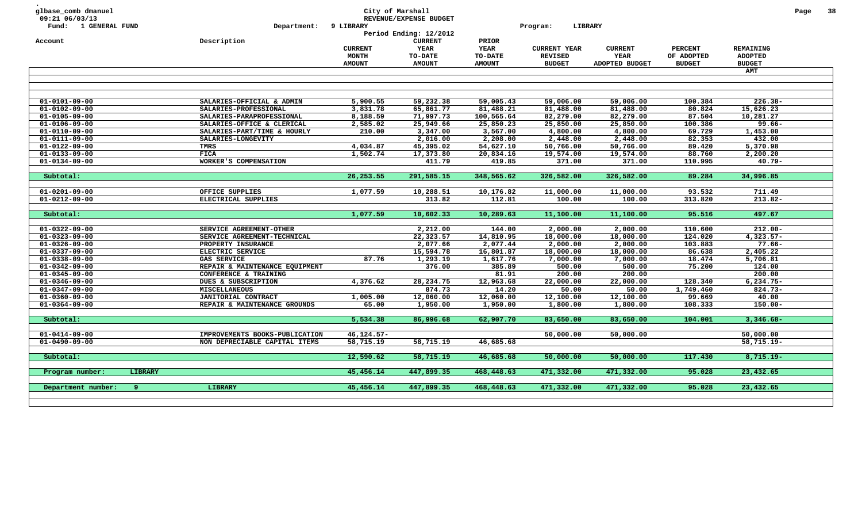| glbase_comb dmanuel<br>09:21 06/03/13          |         |                                             |                | City of Marshall<br>REVENUE/EXPENSE BUDGET |                    |                     |                       |                     |                  | Page | 38 |
|------------------------------------------------|---------|---------------------------------------------|----------------|--------------------------------------------|--------------------|---------------------|-----------------------|---------------------|------------------|------|----|
| Fund: 1 GENERAL FUND                           |         | Department:                                 | 9 LIBRARY      |                                            |                    | LIBRARY<br>Program: |                       |                     |                  |      |    |
|                                                |         |                                             |                | Period Ending: 12/2012                     |                    |                     |                       |                     |                  |      |    |
| Account                                        |         | Description                                 |                | <b>CURRENT</b>                             | PRIOR              |                     |                       |                     |                  |      |    |
|                                                |         |                                             | <b>CURRENT</b> | YEAR                                       | <b>YEAR</b>        | <b>CURRENT YEAR</b> | <b>CURRENT</b>        | <b>PERCENT</b>      | <b>REMAINING</b> |      |    |
|                                                |         |                                             | <b>MONTH</b>   | TO-DATE                                    | TO-DATE            | <b>REVISED</b>      | YEAR                  | OF ADOPTED          | <b>ADOPTED</b>   |      |    |
|                                                |         |                                             | <b>AMOUNT</b>  | <b>AMOUNT</b>                              | <b>AMOUNT</b>      | <b>BUDGET</b>       | <b>ADOPTED BUDGET</b> | <b>BUDGET</b>       | <b>BUDGET</b>    |      |    |
|                                                |         |                                             |                |                                            |                    |                     |                       |                     | <b>AMT</b>       |      |    |
|                                                |         |                                             |                |                                            |                    |                     |                       |                     |                  |      |    |
|                                                |         |                                             |                |                                            |                    |                     |                       |                     |                  |      |    |
| $01 - 0101 - 09 - 00$                          |         | SALARIES-OFFICIAL & ADMIN                   | 5,900.55       | 59,232.38                                  | 59,005.43          | 59,006.00           | 59,006.00             | 100.384             | $226.38 -$       |      |    |
| $01 - 0102 - 09 - 00$                          |         | SALARIES-PROFESSIONAL                       | 3,831.78       | 65,861.77                                  | 81,488.21          | 81,488.00           | 81,488.00             | 80.824              | 15,626.23        |      |    |
| $01 - 0105 - 09 - 00$                          |         | SALARIES-PARAPROFESSIONAL                   | 8,188.59       | 71,997.73                                  | 100,565.64         | 82,279.00           | 82,279.00             | 87.504              | 10,281.27        |      |    |
| $01 - 0106 - 09 - 00$                          |         | SALARIES-OFFICE & CLERICAL                  | 2,585.02       | 25,949.66                                  | 25,850.23          | 25,850.00           | 25,850.00             | 100.386             | $99.66 -$        |      |    |
| $01 - 0110 - 09 - 00$                          |         | SALARIES-PART/TIME & HOURLY                 | 210.00         | 3,347.00                                   | 3,567.00           | 4,800.00            | 4,800.00              | 69.729              | 1,453.00         |      |    |
| $01 - 0111 - 09 - 00$                          |         | SALARIES-LONGEVITY                          |                | 2,016.00                                   | 2,208.00           | 2,448.00            | 2,448.00              | 82.353              | 432.00           |      |    |
| $01 - 0122 - 09 - 00$                          |         | TMRS                                        | 4,034.87       | 45,395.02                                  | 54,627.10          | 50,766.00           | 50,766.00             | 89.420              | 5,370.98         |      |    |
| $01 - 0133 - 09 - 00$                          |         | <b>FICA</b>                                 | 1,502.74       | 17,373.80                                  | 20,834.16          | 19,574.00           | 19,574.00             | 88.760              | 2,200.20         |      |    |
| $01 - 0134 - 09 - 00$                          |         | WORKER'S COMPENSATION                       |                | 411.79                                     | 419.85             | 371.00              | 371.00                | 110.995             | $40.79 -$        |      |    |
|                                                |         |                                             |                |                                            |                    |                     |                       |                     |                  |      |    |
| Subtotal:                                      |         |                                             | 26, 253.55     | 291,585.15                                 | 348,565.62         | 326,582.00          | 326,582.00            | 89.284              | 34,996.85        |      |    |
|                                                |         |                                             |                |                                            |                    |                     |                       |                     |                  |      |    |
| $01 - 0201 - 09 - 00$                          |         | OFFICE SUPPLIES                             | 1,077.59       | 10,288.51                                  | 10,176.82          | 11,000.00           | 11,000.00             | 93.532              | 711.49           |      |    |
| $01 - 0212 - 09 - 00$                          |         | ELECTRICAL SUPPLIES                         |                | 313.82                                     | 112.81             | 100.00              | 100.00                | 313.820             | $213.82 -$       |      |    |
|                                                |         |                                             |                |                                            |                    |                     |                       |                     |                  |      |    |
| Subtotal:                                      |         |                                             | 1,077.59       | 10,602.33                                  | 10,289.63          | 11,100.00           | 11,100.00             | 95.516              | 497.67           |      |    |
|                                                |         |                                             |                |                                            |                    |                     |                       |                     |                  |      |    |
| $01 - 0322 - 09 - 00$                          |         | SERVICE AGREEMENT-OTHER                     |                | 2,212.00                                   | 144.00             | 2,000.00            | 2,000.00              | 110.600             | $212.00 -$       |      |    |
| $01 - 0323 - 09 - 00$                          |         | SERVICE AGREEMENT-TECHNICAL                 |                | 22,323.57                                  | 14,810.95          | 18,000.00           | 18,000.00             | 124.020             | $4,323.57-$      |      |    |
| $01 - 0326 - 09 - 00$                          |         | PROPERTY INSURANCE                          |                | 2,077.66                                   | 2,077.44           | 2,000.00            | 2,000.00              | 103.883             | $77.66 -$        |      |    |
| $01 - 0337 - 09 - 00$                          |         | ELECTRIC SERVICE                            |                | 15,594.78                                  | 16,801.87          | 18,000.00           | 18,000.00             | 86.638              | 2,405.22         |      |    |
| $01 - 0338 - 09 - 00$                          |         | <b>GAS SERVICE</b>                          | 87.76          | 1,293.19                                   | 1,617.76           | 7,000.00            | 7,000.00              | 18.474              | 5,706.81         |      |    |
| $01 - 0342 - 09 - 00$                          |         | REPAIR & MAINTENANCE EQUIPMENT              |                | 376.00                                     | 385.89             | 500.00              | 500.00                | 75.200              | 124.00           |      |    |
| $01 - 0345 - 09 - 00$                          |         | CONFERENCE & TRAINING                       |                |                                            | 81.91              | 200.00              | 200.00                |                     | 200.00           |      |    |
| $01 - 0346 - 09 - 00$                          |         | DUES & SUBSCRIPTION                         | 4,376.62       | 28, 234. 75                                | 12,963.68          | 22,000.00           | 22,000.00             | 128.340             | $6,234.75-$      |      |    |
| $01 - 0347 - 09 - 00$<br>$01 - 0360 - 09 - 00$ |         | <b>MISCELLANEOUS</b><br>JANITORIAL CONTRACT | 1,005.00       | 874.73<br>12,060.00                        | 14.20<br>12,060.00 | 50.00<br>12,100.00  | 50.00<br>12,100.00    | 1,749.460<br>99.669 | 824.73-<br>40.00 |      |    |
| $01 - 0364 - 09 - 00$                          |         | REPAIR & MAINTENANCE GROUNDS                | 65.00          | 1,950.00                                   | 1,950.00           | 1,800.00            | 1,800.00              | 108.333             | $150.00 -$       |      |    |
|                                                |         |                                             |                |                                            |                    |                     |                       |                     |                  |      |    |
| Subtotal:                                      |         |                                             | 5,534.38       | 86,996.68                                  | 62,907.70          | 83,650.00           | 83,650.00             | 104.001             | $3,346.68-$      |      |    |
|                                                |         |                                             |                |                                            |                    |                     |                       |                     |                  |      |    |
| $01 - 0414 - 09 - 00$                          |         | IMPROVEMENTS BOOKS-PUBLICATION              | $46, 124.57 -$ |                                            |                    | 50,000.00           | 50,000.00             |                     | 50,000.00        |      |    |
| $01 - 0490 - 09 - 00$                          |         | NON DEPRECIABLE CAPITAL ITEMS               | 58,715.19      | 58,715.19                                  | 46,685.68          |                     |                       |                     | $58,715.19-$     |      |    |
|                                                |         |                                             |                |                                            |                    |                     |                       |                     |                  |      |    |
| Subtotal:                                      |         |                                             | 12,590.62      | 58,715.19                                  | 46,685.68          | 50,000.00           | 50,000.00             | 117.430             | $8,715.19-$      |      |    |
|                                                |         |                                             |                |                                            |                    |                     |                       |                     |                  |      |    |
| Program number:                                | LIBRARY |                                             | 45,456.14      | 447,899.35                                 | 468,448.63         | 471,332.00          | 471,332.00            | 95.028              | 23,432.65        |      |    |
| Department number:                             | -9      | LIBRARY                                     | 45,456.14      | 447,899.35                                 | 468,448.63         | 471,332.00          | 471,332.00            | 95.028              | 23,432.65        |      |    |
|                                                |         |                                             |                |                                            |                    |                     |                       |                     |                  |      |    |
|                                                |         |                                             |                |                                            |                    |                     |                       |                     |                  |      |    |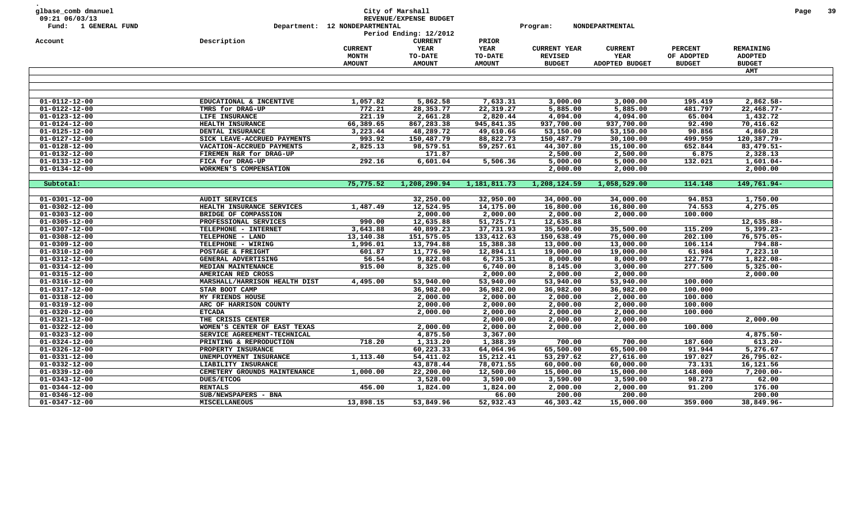| Period Ending: 12/2012<br>Description<br><b>CURRENT</b><br>PRIOR<br>Account<br>YEAR<br><b>YEAR</b><br><b>CURRENT YEAR</b><br><b>PERCENT</b><br>REMAINING<br><b>CURRENT</b><br><b>CURRENT</b><br>MONTH<br>TO-DATE<br>TO-DATE<br><b>REVISED</b><br>YEAR<br>OF ADOPTED<br><b>ADOPTED</b><br><b>AMOUNT</b><br><b>AMOUNT</b><br><b>AMOUNT</b><br><b>BUDGET</b><br>ADOPTED BUDGET<br><b>BUDGET</b><br><b>BUDGET</b><br>AMT<br>$01 - 0112 - 12 - 00$<br>1,057.82<br>5,862.58<br>7,633.31<br>3,000.00<br>195.419<br>2,862.58-<br>EDUCATIONAL & INCENTIVE<br>3,000.00<br>772.21<br>$01 - 0122 - 12 - 00$<br>TMRS for DRAG-UP<br>28,353.77<br>22,319.27<br>5,885.00<br>5,885.00<br>481.797<br>$22,468.77-$<br>$01 - 0123 - 12 - 00$<br>221.19<br>2,661.28<br>2,820.44<br>4,094.00<br>4,094.00<br>65.004<br>1,432.72<br>LIFE INSURANCE<br>$01 - 0124 - 12 - 00$<br>66,389.65<br>867,283.38<br>945,841.35<br>937,700.00<br>937,700.00<br>92.490<br>70,416.62<br>HEALTH INSURANCE<br>$01 - 0125 - 12 - 00$<br>3,223.44<br>48,289.72<br>49,610.66<br>53,150.00<br>53,150.00<br>90.856<br>4,860.28<br>DENTAL INSURANCE<br>$01 - 0127 - 12 - 00$<br>993.92<br>88,822.73<br>30,100.00<br>499.959<br>120,387.79-<br>SICK LEAVE-ACCRUED PAYMENTS<br>150,487.79<br>150,487.79<br>$01 - 0128 - 12 - 00$<br>2,825.13<br>98,579.51<br>59,257.61<br>652.844<br>83, 479.51-<br>VACATION-ACCRUED PAYMENTS<br>44,307.80<br>15,100.00<br>171.87<br>2,500.00<br>2,500.00<br>6.875<br>2,328.13<br>$01 - 0132 - 12 - 00$<br>FIREMEN R&R for DRAG-UP<br>292.16<br>6,601.04<br>5,506.36<br>5,000.00<br>5,000.00<br>132.021<br>$1,601.04-$<br>$01 - 0133 - 12 - 00$<br>FICA for DRAG-UP<br>$01 - 0134 - 12 - 00$<br>WORKMEN'S COMPENSATION<br>2,000.00<br>2,000.00<br>2,000.00<br>75,775.52<br>1,208,290.94<br>1,181,811.73<br>1,208,124.59<br>1,058,529.00<br>114.148<br>149,761.94-<br>Subtotal:<br>$01 - 0301 - 12 - 00$<br><b>AUDIT SERVICES</b><br>32,250.00<br>32,950.00<br>34,000.00<br>34,000.00<br>94.853<br>1,750.00<br>74.553<br>$01 - 0302 - 12 - 00$<br>12,524.95<br>14,175.00<br>16,800.00<br>16,800.00<br>4,275.05<br>HEALTH INSURANCE SERVICES<br>1,487.49<br>$01 - 0303 - 12 - 00$<br>2,000.00<br>2,000.00<br>2,000.00<br>2,000.00<br>100.000<br>BRIDGE OF COMPASSION<br>$01 - 0305 - 12 - 00$<br>990.00<br>12,635.88<br>51,725.71<br>12,635.88<br>12,635.88-<br>PROFESSIONAL SERVICES<br>37,731.93<br>35,500.00<br>115.209<br>$01 - 0307 - 12 - 00$<br>3,643.88<br>40,899.23<br>35,500.00<br>$5,399.23-$<br>TELEPHONE - INTERNET<br>13,140.38<br>151,575.05<br>133,412.63<br>150,638.49<br>202.100<br>$76, 575.05 -$<br>$01 - 0308 - 12 - 00$<br>TELEPHONE - LAND<br>75,000.00<br>$01 - 0309 - 12 - 00$<br>1,996.01<br>13,794.88<br>15,388.38<br>13,000.00<br>106.114<br>794.88-<br>TELEPHONE - WIRING<br>13,000.00<br>11,776.90<br>12,894.11<br>19,000.00<br>19,000.00<br>61.984<br>7,223.10<br>$01 - 0310 - 12 - 00$<br>POSTAGE & FREIGHT<br>601.87<br>56.54<br>9,822.08<br>6,735.31<br>8,000.00<br>8,000.00<br>122.776<br>1,822.08-<br>01-0312-12-00<br>GENERAL ADVERTISING<br>$01 - 0314 - 12 - 00$<br>915.00<br>8,325.00<br>6,740.00<br>8,145.00<br>3,000.00<br>277.500<br>$5,325.00 -$<br>MEDIAN MAINTENANCE<br>$01 - 0315 - 12 - 00$<br>2,000.00<br>2,000.00<br>2,000.00<br>AMERICAN RED CROSS<br>2,000.00<br>$01 - 0316 - 12 - 00$<br>4,495.00<br>53,940.00<br>53,940.00<br>53,940.00<br>53,940.00<br>100.000<br>MARSHALL/HARRISON HEALTH DIST<br>36,982.00<br>100.000<br>$01 - 0317 - 12 - 00$<br>36,982.00<br>36,982.00<br>36,982.00<br>STAR BOOT CAMP<br>$01 - 0318 - 12 - 00$<br>2,000.00<br>2,000.00<br>2,000.00<br>2,000.00<br>100.000<br>MY FRIENDS HOUSE<br>$01 - 0319 - 12 - 00$<br>100.000<br>ARC OF HARRISON COUNTY<br>2,000.00<br>2,000.00<br>2,000.00<br>2,000.00<br>$01 - 0320 - 12 - 00$<br>2,000.00<br>2,000.00<br>2,000.00<br>2,000.00<br>100.000<br><b>ETCADA</b><br>$01 - 0321 - 12 - 00$<br>THE CRISIS CENTER<br>2,000.00<br>2,000.00<br>2,000.00<br>2,000.00<br>100.000<br>$01 - 0322 - 12 - 00$<br>2,000.00<br>2,000.00<br>2,000.00<br>2,000.00<br>WOMEN'S CENTER OF EAST TEXAS<br>$01 - 0323 - 12 - 00$<br>SERVICE AGREEMENT-TECHNICAL<br>4,875.50<br>3,367.00<br>$4,875.50 -$<br>$01 - 0324 - 12 - 00$<br>718.20<br>1,313.20<br>1,388.39<br>700.00<br>187.600<br>$613.20 -$<br>PRINTING & REPRODUCTION<br>700.00<br>$01 - 0326 - 12 - 00$<br>60,223.33<br>64,064.96<br>65,500.00<br>65,500.00<br>91.944<br>5,276.67<br>PROPERTY INSURANCE<br>1,113.40<br>$01 - 0331 - 12 - 00$<br>54,411.02<br>15,212.41<br>53,297.62<br>27,616.00<br>197.027<br>26,795.02-<br>UNEMPLOYMENT INSURANCE<br>43,878.44<br>78,071.55<br>73.131<br>16,121.56<br>$01 - 0332 - 12 - 00$<br>LIABILITY INSURANCE<br>60,000.00<br>60,000.00<br>$01 - 0339 - 12 - 00$<br>148.000<br>CEMETERY GROUNDS MAINTENANCE<br>1,000.00<br>22,200.00<br>12,500.00<br>15,000.00<br>15,000.00<br>$7,200.00 -$<br>$01 - 0343 - 12 - 00$<br>DUES/ETCOG<br>3,528.00<br>3,590.00<br>3,590.00<br>3,590.00<br>98.273<br>62.00<br>456.00<br>1,824.00<br>2,000.00<br>2,000.00<br>91.200<br>176.00<br>$01 - 0344 - 12 - 00$<br><b>RENTALS</b><br>1,824.00<br>$01 - 0346 - 12 - 00$<br>SUB/NEWSPAPERS - BNA<br>200.00<br>200.00<br>200.00<br>66.00<br>$01 - 0347 - 12 - 00$<br><b>MISCELLANEOUS</b><br>13,898.15<br>53,849.96<br>52,932.43<br>46,303.42<br>15,000.00<br>359.000<br>38,849.96- | glbase_comb dmanuel<br>09:21 06/03/13<br>Fund: 1 GENERAL FUND | Department: 12 NONDEPARTMENTAL | City of Marshall<br>REVENUE/EXPENSE BUDGET | Program: | NONDEPARTMENTAL |  | Page | 39 |
|------------------------------------------------------------------------------------------------------------------------------------------------------------------------------------------------------------------------------------------------------------------------------------------------------------------------------------------------------------------------------------------------------------------------------------------------------------------------------------------------------------------------------------------------------------------------------------------------------------------------------------------------------------------------------------------------------------------------------------------------------------------------------------------------------------------------------------------------------------------------------------------------------------------------------------------------------------------------------------------------------------------------------------------------------------------------------------------------------------------------------------------------------------------------------------------------------------------------------------------------------------------------------------------------------------------------------------------------------------------------------------------------------------------------------------------------------------------------------------------------------------------------------------------------------------------------------------------------------------------------------------------------------------------------------------------------------------------------------------------------------------------------------------------------------------------------------------------------------------------------------------------------------------------------------------------------------------------------------------------------------------------------------------------------------------------------------------------------------------------------------------------------------------------------------------------------------------------------------------------------------------------------------------------------------------------------------------------------------------------------------------------------------------------------------------------------------------------------------------------------------------------------------------------------------------------------------------------------------------------------------------------------------------------------------------------------------------------------------------------------------------------------------------------------------------------------------------------------------------------------------------------------------------------------------------------------------------------------------------------------------------------------------------------------------------------------------------------------------------------------------------------------------------------------------------------------------------------------------------------------------------------------------------------------------------------------------------------------------------------------------------------------------------------------------------------------------------------------------------------------------------------------------------------------------------------------------------------------------------------------------------------------------------------------------------------------------------------------------------------------------------------------------------------------------------------------------------------------------------------------------------------------------------------------------------------------------------------------------------------------------------------------------------------------------------------------------------------------------------------------------------------------------------------------------------------------------------------------------------------------------------------------------------------------------------------------------------------------------------------------------------------------------------------------------------------------------------------------------------------------------------------------------------------------------------------------------------------------------------------------------------------------------------------------------------------------------------------------------------------------------------------------------------------------------------------------------------------------------------------------------------------------------------------------------------------------------------------------------------------------------------------------------------------------------------------------------------------------------------------------------------------------------------------------------------------------------------------------------------------------------------------------------------------------------------------------------------------------------------|---------------------------------------------------------------|--------------------------------|--------------------------------------------|----------|-----------------|--|------|----|
|                                                                                                                                                                                                                                                                                                                                                                                                                                                                                                                                                                                                                                                                                                                                                                                                                                                                                                                                                                                                                                                                                                                                                                                                                                                                                                                                                                                                                                                                                                                                                                                                                                                                                                                                                                                                                                                                                                                                                                                                                                                                                                                                                                                                                                                                                                                                                                                                                                                                                                                                                                                                                                                                                                                                                                                                                                                                                                                                                                                                                                                                                                                                                                                                                                                                                                                                                                                                                                                                                                                                                                                                                                                                                                                                                                                                                                                                                                                                                                                                                                                                                                                                                                                                                                                                                                                                                                                                                                                                                                                                                                                                                                                                                                                                                                                                                                                                                                                                                                                                                                                                                                                                                                                                                                                                                                                                                            |                                                               |                                |                                            |          |                 |  |      |    |
|                                                                                                                                                                                                                                                                                                                                                                                                                                                                                                                                                                                                                                                                                                                                                                                                                                                                                                                                                                                                                                                                                                                                                                                                                                                                                                                                                                                                                                                                                                                                                                                                                                                                                                                                                                                                                                                                                                                                                                                                                                                                                                                                                                                                                                                                                                                                                                                                                                                                                                                                                                                                                                                                                                                                                                                                                                                                                                                                                                                                                                                                                                                                                                                                                                                                                                                                                                                                                                                                                                                                                                                                                                                                                                                                                                                                                                                                                                                                                                                                                                                                                                                                                                                                                                                                                                                                                                                                                                                                                                                                                                                                                                                                                                                                                                                                                                                                                                                                                                                                                                                                                                                                                                                                                                                                                                                                                            |                                                               |                                |                                            |          |                 |  |      |    |
|                                                                                                                                                                                                                                                                                                                                                                                                                                                                                                                                                                                                                                                                                                                                                                                                                                                                                                                                                                                                                                                                                                                                                                                                                                                                                                                                                                                                                                                                                                                                                                                                                                                                                                                                                                                                                                                                                                                                                                                                                                                                                                                                                                                                                                                                                                                                                                                                                                                                                                                                                                                                                                                                                                                                                                                                                                                                                                                                                                                                                                                                                                                                                                                                                                                                                                                                                                                                                                                                                                                                                                                                                                                                                                                                                                                                                                                                                                                                                                                                                                                                                                                                                                                                                                                                                                                                                                                                                                                                                                                                                                                                                                                                                                                                                                                                                                                                                                                                                                                                                                                                                                                                                                                                                                                                                                                                                            |                                                               |                                |                                            |          |                 |  |      |    |
|                                                                                                                                                                                                                                                                                                                                                                                                                                                                                                                                                                                                                                                                                                                                                                                                                                                                                                                                                                                                                                                                                                                                                                                                                                                                                                                                                                                                                                                                                                                                                                                                                                                                                                                                                                                                                                                                                                                                                                                                                                                                                                                                                                                                                                                                                                                                                                                                                                                                                                                                                                                                                                                                                                                                                                                                                                                                                                                                                                                                                                                                                                                                                                                                                                                                                                                                                                                                                                                                                                                                                                                                                                                                                                                                                                                                                                                                                                                                                                                                                                                                                                                                                                                                                                                                                                                                                                                                                                                                                                                                                                                                                                                                                                                                                                                                                                                                                                                                                                                                                                                                                                                                                                                                                                                                                                                                                            |                                                               |                                |                                            |          |                 |  |      |    |
|                                                                                                                                                                                                                                                                                                                                                                                                                                                                                                                                                                                                                                                                                                                                                                                                                                                                                                                                                                                                                                                                                                                                                                                                                                                                                                                                                                                                                                                                                                                                                                                                                                                                                                                                                                                                                                                                                                                                                                                                                                                                                                                                                                                                                                                                                                                                                                                                                                                                                                                                                                                                                                                                                                                                                                                                                                                                                                                                                                                                                                                                                                                                                                                                                                                                                                                                                                                                                                                                                                                                                                                                                                                                                                                                                                                                                                                                                                                                                                                                                                                                                                                                                                                                                                                                                                                                                                                                                                                                                                                                                                                                                                                                                                                                                                                                                                                                                                                                                                                                                                                                                                                                                                                                                                                                                                                                                            |                                                               |                                |                                            |          |                 |  |      |    |
|                                                                                                                                                                                                                                                                                                                                                                                                                                                                                                                                                                                                                                                                                                                                                                                                                                                                                                                                                                                                                                                                                                                                                                                                                                                                                                                                                                                                                                                                                                                                                                                                                                                                                                                                                                                                                                                                                                                                                                                                                                                                                                                                                                                                                                                                                                                                                                                                                                                                                                                                                                                                                                                                                                                                                                                                                                                                                                                                                                                                                                                                                                                                                                                                                                                                                                                                                                                                                                                                                                                                                                                                                                                                                                                                                                                                                                                                                                                                                                                                                                                                                                                                                                                                                                                                                                                                                                                                                                                                                                                                                                                                                                                                                                                                                                                                                                                                                                                                                                                                                                                                                                                                                                                                                                                                                                                                                            |                                                               |                                |                                            |          |                 |  |      |    |
|                                                                                                                                                                                                                                                                                                                                                                                                                                                                                                                                                                                                                                                                                                                                                                                                                                                                                                                                                                                                                                                                                                                                                                                                                                                                                                                                                                                                                                                                                                                                                                                                                                                                                                                                                                                                                                                                                                                                                                                                                                                                                                                                                                                                                                                                                                                                                                                                                                                                                                                                                                                                                                                                                                                                                                                                                                                                                                                                                                                                                                                                                                                                                                                                                                                                                                                                                                                                                                                                                                                                                                                                                                                                                                                                                                                                                                                                                                                                                                                                                                                                                                                                                                                                                                                                                                                                                                                                                                                                                                                                                                                                                                                                                                                                                                                                                                                                                                                                                                                                                                                                                                                                                                                                                                                                                                                                                            |                                                               |                                |                                            |          |                 |  |      |    |
|                                                                                                                                                                                                                                                                                                                                                                                                                                                                                                                                                                                                                                                                                                                                                                                                                                                                                                                                                                                                                                                                                                                                                                                                                                                                                                                                                                                                                                                                                                                                                                                                                                                                                                                                                                                                                                                                                                                                                                                                                                                                                                                                                                                                                                                                                                                                                                                                                                                                                                                                                                                                                                                                                                                                                                                                                                                                                                                                                                                                                                                                                                                                                                                                                                                                                                                                                                                                                                                                                                                                                                                                                                                                                                                                                                                                                                                                                                                                                                                                                                                                                                                                                                                                                                                                                                                                                                                                                                                                                                                                                                                                                                                                                                                                                                                                                                                                                                                                                                                                                                                                                                                                                                                                                                                                                                                                                            |                                                               |                                |                                            |          |                 |  |      |    |
|                                                                                                                                                                                                                                                                                                                                                                                                                                                                                                                                                                                                                                                                                                                                                                                                                                                                                                                                                                                                                                                                                                                                                                                                                                                                                                                                                                                                                                                                                                                                                                                                                                                                                                                                                                                                                                                                                                                                                                                                                                                                                                                                                                                                                                                                                                                                                                                                                                                                                                                                                                                                                                                                                                                                                                                                                                                                                                                                                                                                                                                                                                                                                                                                                                                                                                                                                                                                                                                                                                                                                                                                                                                                                                                                                                                                                                                                                                                                                                                                                                                                                                                                                                                                                                                                                                                                                                                                                                                                                                                                                                                                                                                                                                                                                                                                                                                                                                                                                                                                                                                                                                                                                                                                                                                                                                                                                            |                                                               |                                |                                            |          |                 |  |      |    |
|                                                                                                                                                                                                                                                                                                                                                                                                                                                                                                                                                                                                                                                                                                                                                                                                                                                                                                                                                                                                                                                                                                                                                                                                                                                                                                                                                                                                                                                                                                                                                                                                                                                                                                                                                                                                                                                                                                                                                                                                                                                                                                                                                                                                                                                                                                                                                                                                                                                                                                                                                                                                                                                                                                                                                                                                                                                                                                                                                                                                                                                                                                                                                                                                                                                                                                                                                                                                                                                                                                                                                                                                                                                                                                                                                                                                                                                                                                                                                                                                                                                                                                                                                                                                                                                                                                                                                                                                                                                                                                                                                                                                                                                                                                                                                                                                                                                                                                                                                                                                                                                                                                                                                                                                                                                                                                                                                            |                                                               |                                |                                            |          |                 |  |      |    |
|                                                                                                                                                                                                                                                                                                                                                                                                                                                                                                                                                                                                                                                                                                                                                                                                                                                                                                                                                                                                                                                                                                                                                                                                                                                                                                                                                                                                                                                                                                                                                                                                                                                                                                                                                                                                                                                                                                                                                                                                                                                                                                                                                                                                                                                                                                                                                                                                                                                                                                                                                                                                                                                                                                                                                                                                                                                                                                                                                                                                                                                                                                                                                                                                                                                                                                                                                                                                                                                                                                                                                                                                                                                                                                                                                                                                                                                                                                                                                                                                                                                                                                                                                                                                                                                                                                                                                                                                                                                                                                                                                                                                                                                                                                                                                                                                                                                                                                                                                                                                                                                                                                                                                                                                                                                                                                                                                            |                                                               |                                |                                            |          |                 |  |      |    |
|                                                                                                                                                                                                                                                                                                                                                                                                                                                                                                                                                                                                                                                                                                                                                                                                                                                                                                                                                                                                                                                                                                                                                                                                                                                                                                                                                                                                                                                                                                                                                                                                                                                                                                                                                                                                                                                                                                                                                                                                                                                                                                                                                                                                                                                                                                                                                                                                                                                                                                                                                                                                                                                                                                                                                                                                                                                                                                                                                                                                                                                                                                                                                                                                                                                                                                                                                                                                                                                                                                                                                                                                                                                                                                                                                                                                                                                                                                                                                                                                                                                                                                                                                                                                                                                                                                                                                                                                                                                                                                                                                                                                                                                                                                                                                                                                                                                                                                                                                                                                                                                                                                                                                                                                                                                                                                                                                            |                                                               |                                |                                            |          |                 |  |      |    |
|                                                                                                                                                                                                                                                                                                                                                                                                                                                                                                                                                                                                                                                                                                                                                                                                                                                                                                                                                                                                                                                                                                                                                                                                                                                                                                                                                                                                                                                                                                                                                                                                                                                                                                                                                                                                                                                                                                                                                                                                                                                                                                                                                                                                                                                                                                                                                                                                                                                                                                                                                                                                                                                                                                                                                                                                                                                                                                                                                                                                                                                                                                                                                                                                                                                                                                                                                                                                                                                                                                                                                                                                                                                                                                                                                                                                                                                                                                                                                                                                                                                                                                                                                                                                                                                                                                                                                                                                                                                                                                                                                                                                                                                                                                                                                                                                                                                                                                                                                                                                                                                                                                                                                                                                                                                                                                                                                            |                                                               |                                |                                            |          |                 |  |      |    |
|                                                                                                                                                                                                                                                                                                                                                                                                                                                                                                                                                                                                                                                                                                                                                                                                                                                                                                                                                                                                                                                                                                                                                                                                                                                                                                                                                                                                                                                                                                                                                                                                                                                                                                                                                                                                                                                                                                                                                                                                                                                                                                                                                                                                                                                                                                                                                                                                                                                                                                                                                                                                                                                                                                                                                                                                                                                                                                                                                                                                                                                                                                                                                                                                                                                                                                                                                                                                                                                                                                                                                                                                                                                                                                                                                                                                                                                                                                                                                                                                                                                                                                                                                                                                                                                                                                                                                                                                                                                                                                                                                                                                                                                                                                                                                                                                                                                                                                                                                                                                                                                                                                                                                                                                                                                                                                                                                            |                                                               |                                |                                            |          |                 |  |      |    |
|                                                                                                                                                                                                                                                                                                                                                                                                                                                                                                                                                                                                                                                                                                                                                                                                                                                                                                                                                                                                                                                                                                                                                                                                                                                                                                                                                                                                                                                                                                                                                                                                                                                                                                                                                                                                                                                                                                                                                                                                                                                                                                                                                                                                                                                                                                                                                                                                                                                                                                                                                                                                                                                                                                                                                                                                                                                                                                                                                                                                                                                                                                                                                                                                                                                                                                                                                                                                                                                                                                                                                                                                                                                                                                                                                                                                                                                                                                                                                                                                                                                                                                                                                                                                                                                                                                                                                                                                                                                                                                                                                                                                                                                                                                                                                                                                                                                                                                                                                                                                                                                                                                                                                                                                                                                                                                                                                            |                                                               |                                |                                            |          |                 |  |      |    |
|                                                                                                                                                                                                                                                                                                                                                                                                                                                                                                                                                                                                                                                                                                                                                                                                                                                                                                                                                                                                                                                                                                                                                                                                                                                                                                                                                                                                                                                                                                                                                                                                                                                                                                                                                                                                                                                                                                                                                                                                                                                                                                                                                                                                                                                                                                                                                                                                                                                                                                                                                                                                                                                                                                                                                                                                                                                                                                                                                                                                                                                                                                                                                                                                                                                                                                                                                                                                                                                                                                                                                                                                                                                                                                                                                                                                                                                                                                                                                                                                                                                                                                                                                                                                                                                                                                                                                                                                                                                                                                                                                                                                                                                                                                                                                                                                                                                                                                                                                                                                                                                                                                                                                                                                                                                                                                                                                            |                                                               |                                |                                            |          |                 |  |      |    |
|                                                                                                                                                                                                                                                                                                                                                                                                                                                                                                                                                                                                                                                                                                                                                                                                                                                                                                                                                                                                                                                                                                                                                                                                                                                                                                                                                                                                                                                                                                                                                                                                                                                                                                                                                                                                                                                                                                                                                                                                                                                                                                                                                                                                                                                                                                                                                                                                                                                                                                                                                                                                                                                                                                                                                                                                                                                                                                                                                                                                                                                                                                                                                                                                                                                                                                                                                                                                                                                                                                                                                                                                                                                                                                                                                                                                                                                                                                                                                                                                                                                                                                                                                                                                                                                                                                                                                                                                                                                                                                                                                                                                                                                                                                                                                                                                                                                                                                                                                                                                                                                                                                                                                                                                                                                                                                                                                            |                                                               |                                |                                            |          |                 |  |      |    |
|                                                                                                                                                                                                                                                                                                                                                                                                                                                                                                                                                                                                                                                                                                                                                                                                                                                                                                                                                                                                                                                                                                                                                                                                                                                                                                                                                                                                                                                                                                                                                                                                                                                                                                                                                                                                                                                                                                                                                                                                                                                                                                                                                                                                                                                                                                                                                                                                                                                                                                                                                                                                                                                                                                                                                                                                                                                                                                                                                                                                                                                                                                                                                                                                                                                                                                                                                                                                                                                                                                                                                                                                                                                                                                                                                                                                                                                                                                                                                                                                                                                                                                                                                                                                                                                                                                                                                                                                                                                                                                                                                                                                                                                                                                                                                                                                                                                                                                                                                                                                                                                                                                                                                                                                                                                                                                                                                            |                                                               |                                |                                            |          |                 |  |      |    |
|                                                                                                                                                                                                                                                                                                                                                                                                                                                                                                                                                                                                                                                                                                                                                                                                                                                                                                                                                                                                                                                                                                                                                                                                                                                                                                                                                                                                                                                                                                                                                                                                                                                                                                                                                                                                                                                                                                                                                                                                                                                                                                                                                                                                                                                                                                                                                                                                                                                                                                                                                                                                                                                                                                                                                                                                                                                                                                                                                                                                                                                                                                                                                                                                                                                                                                                                                                                                                                                                                                                                                                                                                                                                                                                                                                                                                                                                                                                                                                                                                                                                                                                                                                                                                                                                                                                                                                                                                                                                                                                                                                                                                                                                                                                                                                                                                                                                                                                                                                                                                                                                                                                                                                                                                                                                                                                                                            |                                                               |                                |                                            |          |                 |  |      |    |
|                                                                                                                                                                                                                                                                                                                                                                                                                                                                                                                                                                                                                                                                                                                                                                                                                                                                                                                                                                                                                                                                                                                                                                                                                                                                                                                                                                                                                                                                                                                                                                                                                                                                                                                                                                                                                                                                                                                                                                                                                                                                                                                                                                                                                                                                                                                                                                                                                                                                                                                                                                                                                                                                                                                                                                                                                                                                                                                                                                                                                                                                                                                                                                                                                                                                                                                                                                                                                                                                                                                                                                                                                                                                                                                                                                                                                                                                                                                                                                                                                                                                                                                                                                                                                                                                                                                                                                                                                                                                                                                                                                                                                                                                                                                                                                                                                                                                                                                                                                                                                                                                                                                                                                                                                                                                                                                                                            |                                                               |                                |                                            |          |                 |  |      |    |
|                                                                                                                                                                                                                                                                                                                                                                                                                                                                                                                                                                                                                                                                                                                                                                                                                                                                                                                                                                                                                                                                                                                                                                                                                                                                                                                                                                                                                                                                                                                                                                                                                                                                                                                                                                                                                                                                                                                                                                                                                                                                                                                                                                                                                                                                                                                                                                                                                                                                                                                                                                                                                                                                                                                                                                                                                                                                                                                                                                                                                                                                                                                                                                                                                                                                                                                                                                                                                                                                                                                                                                                                                                                                                                                                                                                                                                                                                                                                                                                                                                                                                                                                                                                                                                                                                                                                                                                                                                                                                                                                                                                                                                                                                                                                                                                                                                                                                                                                                                                                                                                                                                                                                                                                                                                                                                                                                            |                                                               |                                |                                            |          |                 |  |      |    |
|                                                                                                                                                                                                                                                                                                                                                                                                                                                                                                                                                                                                                                                                                                                                                                                                                                                                                                                                                                                                                                                                                                                                                                                                                                                                                                                                                                                                                                                                                                                                                                                                                                                                                                                                                                                                                                                                                                                                                                                                                                                                                                                                                                                                                                                                                                                                                                                                                                                                                                                                                                                                                                                                                                                                                                                                                                                                                                                                                                                                                                                                                                                                                                                                                                                                                                                                                                                                                                                                                                                                                                                                                                                                                                                                                                                                                                                                                                                                                                                                                                                                                                                                                                                                                                                                                                                                                                                                                                                                                                                                                                                                                                                                                                                                                                                                                                                                                                                                                                                                                                                                                                                                                                                                                                                                                                                                                            |                                                               |                                |                                            |          |                 |  |      |    |
|                                                                                                                                                                                                                                                                                                                                                                                                                                                                                                                                                                                                                                                                                                                                                                                                                                                                                                                                                                                                                                                                                                                                                                                                                                                                                                                                                                                                                                                                                                                                                                                                                                                                                                                                                                                                                                                                                                                                                                                                                                                                                                                                                                                                                                                                                                                                                                                                                                                                                                                                                                                                                                                                                                                                                                                                                                                                                                                                                                                                                                                                                                                                                                                                                                                                                                                                                                                                                                                                                                                                                                                                                                                                                                                                                                                                                                                                                                                                                                                                                                                                                                                                                                                                                                                                                                                                                                                                                                                                                                                                                                                                                                                                                                                                                                                                                                                                                                                                                                                                                                                                                                                                                                                                                                                                                                                                                            |                                                               |                                |                                            |          |                 |  |      |    |
|                                                                                                                                                                                                                                                                                                                                                                                                                                                                                                                                                                                                                                                                                                                                                                                                                                                                                                                                                                                                                                                                                                                                                                                                                                                                                                                                                                                                                                                                                                                                                                                                                                                                                                                                                                                                                                                                                                                                                                                                                                                                                                                                                                                                                                                                                                                                                                                                                                                                                                                                                                                                                                                                                                                                                                                                                                                                                                                                                                                                                                                                                                                                                                                                                                                                                                                                                                                                                                                                                                                                                                                                                                                                                                                                                                                                                                                                                                                                                                                                                                                                                                                                                                                                                                                                                                                                                                                                                                                                                                                                                                                                                                                                                                                                                                                                                                                                                                                                                                                                                                                                                                                                                                                                                                                                                                                                                            |                                                               |                                |                                            |          |                 |  |      |    |
|                                                                                                                                                                                                                                                                                                                                                                                                                                                                                                                                                                                                                                                                                                                                                                                                                                                                                                                                                                                                                                                                                                                                                                                                                                                                                                                                                                                                                                                                                                                                                                                                                                                                                                                                                                                                                                                                                                                                                                                                                                                                                                                                                                                                                                                                                                                                                                                                                                                                                                                                                                                                                                                                                                                                                                                                                                                                                                                                                                                                                                                                                                                                                                                                                                                                                                                                                                                                                                                                                                                                                                                                                                                                                                                                                                                                                                                                                                                                                                                                                                                                                                                                                                                                                                                                                                                                                                                                                                                                                                                                                                                                                                                                                                                                                                                                                                                                                                                                                                                                                                                                                                                                                                                                                                                                                                                                                            |                                                               |                                |                                            |          |                 |  |      |    |
|                                                                                                                                                                                                                                                                                                                                                                                                                                                                                                                                                                                                                                                                                                                                                                                                                                                                                                                                                                                                                                                                                                                                                                                                                                                                                                                                                                                                                                                                                                                                                                                                                                                                                                                                                                                                                                                                                                                                                                                                                                                                                                                                                                                                                                                                                                                                                                                                                                                                                                                                                                                                                                                                                                                                                                                                                                                                                                                                                                                                                                                                                                                                                                                                                                                                                                                                                                                                                                                                                                                                                                                                                                                                                                                                                                                                                                                                                                                                                                                                                                                                                                                                                                                                                                                                                                                                                                                                                                                                                                                                                                                                                                                                                                                                                                                                                                                                                                                                                                                                                                                                                                                                                                                                                                                                                                                                                            |                                                               |                                |                                            |          |                 |  |      |    |
|                                                                                                                                                                                                                                                                                                                                                                                                                                                                                                                                                                                                                                                                                                                                                                                                                                                                                                                                                                                                                                                                                                                                                                                                                                                                                                                                                                                                                                                                                                                                                                                                                                                                                                                                                                                                                                                                                                                                                                                                                                                                                                                                                                                                                                                                                                                                                                                                                                                                                                                                                                                                                                                                                                                                                                                                                                                                                                                                                                                                                                                                                                                                                                                                                                                                                                                                                                                                                                                                                                                                                                                                                                                                                                                                                                                                                                                                                                                                                                                                                                                                                                                                                                                                                                                                                                                                                                                                                                                                                                                                                                                                                                                                                                                                                                                                                                                                                                                                                                                                                                                                                                                                                                                                                                                                                                                                                            |                                                               |                                |                                            |          |                 |  |      |    |
|                                                                                                                                                                                                                                                                                                                                                                                                                                                                                                                                                                                                                                                                                                                                                                                                                                                                                                                                                                                                                                                                                                                                                                                                                                                                                                                                                                                                                                                                                                                                                                                                                                                                                                                                                                                                                                                                                                                                                                                                                                                                                                                                                                                                                                                                                                                                                                                                                                                                                                                                                                                                                                                                                                                                                                                                                                                                                                                                                                                                                                                                                                                                                                                                                                                                                                                                                                                                                                                                                                                                                                                                                                                                                                                                                                                                                                                                                                                                                                                                                                                                                                                                                                                                                                                                                                                                                                                                                                                                                                                                                                                                                                                                                                                                                                                                                                                                                                                                                                                                                                                                                                                                                                                                                                                                                                                                                            |                                                               |                                |                                            |          |                 |  |      |    |
|                                                                                                                                                                                                                                                                                                                                                                                                                                                                                                                                                                                                                                                                                                                                                                                                                                                                                                                                                                                                                                                                                                                                                                                                                                                                                                                                                                                                                                                                                                                                                                                                                                                                                                                                                                                                                                                                                                                                                                                                                                                                                                                                                                                                                                                                                                                                                                                                                                                                                                                                                                                                                                                                                                                                                                                                                                                                                                                                                                                                                                                                                                                                                                                                                                                                                                                                                                                                                                                                                                                                                                                                                                                                                                                                                                                                                                                                                                                                                                                                                                                                                                                                                                                                                                                                                                                                                                                                                                                                                                                                                                                                                                                                                                                                                                                                                                                                                                                                                                                                                                                                                                                                                                                                                                                                                                                                                            |                                                               |                                |                                            |          |                 |  |      |    |
|                                                                                                                                                                                                                                                                                                                                                                                                                                                                                                                                                                                                                                                                                                                                                                                                                                                                                                                                                                                                                                                                                                                                                                                                                                                                                                                                                                                                                                                                                                                                                                                                                                                                                                                                                                                                                                                                                                                                                                                                                                                                                                                                                                                                                                                                                                                                                                                                                                                                                                                                                                                                                                                                                                                                                                                                                                                                                                                                                                                                                                                                                                                                                                                                                                                                                                                                                                                                                                                                                                                                                                                                                                                                                                                                                                                                                                                                                                                                                                                                                                                                                                                                                                                                                                                                                                                                                                                                                                                                                                                                                                                                                                                                                                                                                                                                                                                                                                                                                                                                                                                                                                                                                                                                                                                                                                                                                            |                                                               |                                |                                            |          |                 |  |      |    |
|                                                                                                                                                                                                                                                                                                                                                                                                                                                                                                                                                                                                                                                                                                                                                                                                                                                                                                                                                                                                                                                                                                                                                                                                                                                                                                                                                                                                                                                                                                                                                                                                                                                                                                                                                                                                                                                                                                                                                                                                                                                                                                                                                                                                                                                                                                                                                                                                                                                                                                                                                                                                                                                                                                                                                                                                                                                                                                                                                                                                                                                                                                                                                                                                                                                                                                                                                                                                                                                                                                                                                                                                                                                                                                                                                                                                                                                                                                                                                                                                                                                                                                                                                                                                                                                                                                                                                                                                                                                                                                                                                                                                                                                                                                                                                                                                                                                                                                                                                                                                                                                                                                                                                                                                                                                                                                                                                            |                                                               |                                |                                            |          |                 |  |      |    |
|                                                                                                                                                                                                                                                                                                                                                                                                                                                                                                                                                                                                                                                                                                                                                                                                                                                                                                                                                                                                                                                                                                                                                                                                                                                                                                                                                                                                                                                                                                                                                                                                                                                                                                                                                                                                                                                                                                                                                                                                                                                                                                                                                                                                                                                                                                                                                                                                                                                                                                                                                                                                                                                                                                                                                                                                                                                                                                                                                                                                                                                                                                                                                                                                                                                                                                                                                                                                                                                                                                                                                                                                                                                                                                                                                                                                                                                                                                                                                                                                                                                                                                                                                                                                                                                                                                                                                                                                                                                                                                                                                                                                                                                                                                                                                                                                                                                                                                                                                                                                                                                                                                                                                                                                                                                                                                                                                            |                                                               |                                |                                            |          |                 |  |      |    |
|                                                                                                                                                                                                                                                                                                                                                                                                                                                                                                                                                                                                                                                                                                                                                                                                                                                                                                                                                                                                                                                                                                                                                                                                                                                                                                                                                                                                                                                                                                                                                                                                                                                                                                                                                                                                                                                                                                                                                                                                                                                                                                                                                                                                                                                                                                                                                                                                                                                                                                                                                                                                                                                                                                                                                                                                                                                                                                                                                                                                                                                                                                                                                                                                                                                                                                                                                                                                                                                                                                                                                                                                                                                                                                                                                                                                                                                                                                                                                                                                                                                                                                                                                                                                                                                                                                                                                                                                                                                                                                                                                                                                                                                                                                                                                                                                                                                                                                                                                                                                                                                                                                                                                                                                                                                                                                                                                            |                                                               |                                |                                            |          |                 |  |      |    |
|                                                                                                                                                                                                                                                                                                                                                                                                                                                                                                                                                                                                                                                                                                                                                                                                                                                                                                                                                                                                                                                                                                                                                                                                                                                                                                                                                                                                                                                                                                                                                                                                                                                                                                                                                                                                                                                                                                                                                                                                                                                                                                                                                                                                                                                                                                                                                                                                                                                                                                                                                                                                                                                                                                                                                                                                                                                                                                                                                                                                                                                                                                                                                                                                                                                                                                                                                                                                                                                                                                                                                                                                                                                                                                                                                                                                                                                                                                                                                                                                                                                                                                                                                                                                                                                                                                                                                                                                                                                                                                                                                                                                                                                                                                                                                                                                                                                                                                                                                                                                                                                                                                                                                                                                                                                                                                                                                            |                                                               |                                |                                            |          |                 |  |      |    |
|                                                                                                                                                                                                                                                                                                                                                                                                                                                                                                                                                                                                                                                                                                                                                                                                                                                                                                                                                                                                                                                                                                                                                                                                                                                                                                                                                                                                                                                                                                                                                                                                                                                                                                                                                                                                                                                                                                                                                                                                                                                                                                                                                                                                                                                                                                                                                                                                                                                                                                                                                                                                                                                                                                                                                                                                                                                                                                                                                                                                                                                                                                                                                                                                                                                                                                                                                                                                                                                                                                                                                                                                                                                                                                                                                                                                                                                                                                                                                                                                                                                                                                                                                                                                                                                                                                                                                                                                                                                                                                                                                                                                                                                                                                                                                                                                                                                                                                                                                                                                                                                                                                                                                                                                                                                                                                                                                            |                                                               |                                |                                            |          |                 |  |      |    |
|                                                                                                                                                                                                                                                                                                                                                                                                                                                                                                                                                                                                                                                                                                                                                                                                                                                                                                                                                                                                                                                                                                                                                                                                                                                                                                                                                                                                                                                                                                                                                                                                                                                                                                                                                                                                                                                                                                                                                                                                                                                                                                                                                                                                                                                                                                                                                                                                                                                                                                                                                                                                                                                                                                                                                                                                                                                                                                                                                                                                                                                                                                                                                                                                                                                                                                                                                                                                                                                                                                                                                                                                                                                                                                                                                                                                                                                                                                                                                                                                                                                                                                                                                                                                                                                                                                                                                                                                                                                                                                                                                                                                                                                                                                                                                                                                                                                                                                                                                                                                                                                                                                                                                                                                                                                                                                                                                            |                                                               |                                |                                            |          |                 |  |      |    |
|                                                                                                                                                                                                                                                                                                                                                                                                                                                                                                                                                                                                                                                                                                                                                                                                                                                                                                                                                                                                                                                                                                                                                                                                                                                                                                                                                                                                                                                                                                                                                                                                                                                                                                                                                                                                                                                                                                                                                                                                                                                                                                                                                                                                                                                                                                                                                                                                                                                                                                                                                                                                                                                                                                                                                                                                                                                                                                                                                                                                                                                                                                                                                                                                                                                                                                                                                                                                                                                                                                                                                                                                                                                                                                                                                                                                                                                                                                                                                                                                                                                                                                                                                                                                                                                                                                                                                                                                                                                                                                                                                                                                                                                                                                                                                                                                                                                                                                                                                                                                                                                                                                                                                                                                                                                                                                                                                            |                                                               |                                |                                            |          |                 |  |      |    |
|                                                                                                                                                                                                                                                                                                                                                                                                                                                                                                                                                                                                                                                                                                                                                                                                                                                                                                                                                                                                                                                                                                                                                                                                                                                                                                                                                                                                                                                                                                                                                                                                                                                                                                                                                                                                                                                                                                                                                                                                                                                                                                                                                                                                                                                                                                                                                                                                                                                                                                                                                                                                                                                                                                                                                                                                                                                                                                                                                                                                                                                                                                                                                                                                                                                                                                                                                                                                                                                                                                                                                                                                                                                                                                                                                                                                                                                                                                                                                                                                                                                                                                                                                                                                                                                                                                                                                                                                                                                                                                                                                                                                                                                                                                                                                                                                                                                                                                                                                                                                                                                                                                                                                                                                                                                                                                                                                            |                                                               |                                |                                            |          |                 |  |      |    |
|                                                                                                                                                                                                                                                                                                                                                                                                                                                                                                                                                                                                                                                                                                                                                                                                                                                                                                                                                                                                                                                                                                                                                                                                                                                                                                                                                                                                                                                                                                                                                                                                                                                                                                                                                                                                                                                                                                                                                                                                                                                                                                                                                                                                                                                                                                                                                                                                                                                                                                                                                                                                                                                                                                                                                                                                                                                                                                                                                                                                                                                                                                                                                                                                                                                                                                                                                                                                                                                                                                                                                                                                                                                                                                                                                                                                                                                                                                                                                                                                                                                                                                                                                                                                                                                                                                                                                                                                                                                                                                                                                                                                                                                                                                                                                                                                                                                                                                                                                                                                                                                                                                                                                                                                                                                                                                                                                            |                                                               |                                |                                            |          |                 |  |      |    |
|                                                                                                                                                                                                                                                                                                                                                                                                                                                                                                                                                                                                                                                                                                                                                                                                                                                                                                                                                                                                                                                                                                                                                                                                                                                                                                                                                                                                                                                                                                                                                                                                                                                                                                                                                                                                                                                                                                                                                                                                                                                                                                                                                                                                                                                                                                                                                                                                                                                                                                                                                                                                                                                                                                                                                                                                                                                                                                                                                                                                                                                                                                                                                                                                                                                                                                                                                                                                                                                                                                                                                                                                                                                                                                                                                                                                                                                                                                                                                                                                                                                                                                                                                                                                                                                                                                                                                                                                                                                                                                                                                                                                                                                                                                                                                                                                                                                                                                                                                                                                                                                                                                                                                                                                                                                                                                                                                            |                                                               |                                |                                            |          |                 |  |      |    |
|                                                                                                                                                                                                                                                                                                                                                                                                                                                                                                                                                                                                                                                                                                                                                                                                                                                                                                                                                                                                                                                                                                                                                                                                                                                                                                                                                                                                                                                                                                                                                                                                                                                                                                                                                                                                                                                                                                                                                                                                                                                                                                                                                                                                                                                                                                                                                                                                                                                                                                                                                                                                                                                                                                                                                                                                                                                                                                                                                                                                                                                                                                                                                                                                                                                                                                                                                                                                                                                                                                                                                                                                                                                                                                                                                                                                                                                                                                                                                                                                                                                                                                                                                                                                                                                                                                                                                                                                                                                                                                                                                                                                                                                                                                                                                                                                                                                                                                                                                                                                                                                                                                                                                                                                                                                                                                                                                            |                                                               |                                |                                            |          |                 |  |      |    |
|                                                                                                                                                                                                                                                                                                                                                                                                                                                                                                                                                                                                                                                                                                                                                                                                                                                                                                                                                                                                                                                                                                                                                                                                                                                                                                                                                                                                                                                                                                                                                                                                                                                                                                                                                                                                                                                                                                                                                                                                                                                                                                                                                                                                                                                                                                                                                                                                                                                                                                                                                                                                                                                                                                                                                                                                                                                                                                                                                                                                                                                                                                                                                                                                                                                                                                                                                                                                                                                                                                                                                                                                                                                                                                                                                                                                                                                                                                                                                                                                                                                                                                                                                                                                                                                                                                                                                                                                                                                                                                                                                                                                                                                                                                                                                                                                                                                                                                                                                                                                                                                                                                                                                                                                                                                                                                                                                            |                                                               |                                |                                            |          |                 |  |      |    |
|                                                                                                                                                                                                                                                                                                                                                                                                                                                                                                                                                                                                                                                                                                                                                                                                                                                                                                                                                                                                                                                                                                                                                                                                                                                                                                                                                                                                                                                                                                                                                                                                                                                                                                                                                                                                                                                                                                                                                                                                                                                                                                                                                                                                                                                                                                                                                                                                                                                                                                                                                                                                                                                                                                                                                                                                                                                                                                                                                                                                                                                                                                                                                                                                                                                                                                                                                                                                                                                                                                                                                                                                                                                                                                                                                                                                                                                                                                                                                                                                                                                                                                                                                                                                                                                                                                                                                                                                                                                                                                                                                                                                                                                                                                                                                                                                                                                                                                                                                                                                                                                                                                                                                                                                                                                                                                                                                            |                                                               |                                |                                            |          |                 |  |      |    |
|                                                                                                                                                                                                                                                                                                                                                                                                                                                                                                                                                                                                                                                                                                                                                                                                                                                                                                                                                                                                                                                                                                                                                                                                                                                                                                                                                                                                                                                                                                                                                                                                                                                                                                                                                                                                                                                                                                                                                                                                                                                                                                                                                                                                                                                                                                                                                                                                                                                                                                                                                                                                                                                                                                                                                                                                                                                                                                                                                                                                                                                                                                                                                                                                                                                                                                                                                                                                                                                                                                                                                                                                                                                                                                                                                                                                                                                                                                                                                                                                                                                                                                                                                                                                                                                                                                                                                                                                                                                                                                                                                                                                                                                                                                                                                                                                                                                                                                                                                                                                                                                                                                                                                                                                                                                                                                                                                            |                                                               |                                |                                            |          |                 |  |      |    |
|                                                                                                                                                                                                                                                                                                                                                                                                                                                                                                                                                                                                                                                                                                                                                                                                                                                                                                                                                                                                                                                                                                                                                                                                                                                                                                                                                                                                                                                                                                                                                                                                                                                                                                                                                                                                                                                                                                                                                                                                                                                                                                                                                                                                                                                                                                                                                                                                                                                                                                                                                                                                                                                                                                                                                                                                                                                                                                                                                                                                                                                                                                                                                                                                                                                                                                                                                                                                                                                                                                                                                                                                                                                                                                                                                                                                                                                                                                                                                                                                                                                                                                                                                                                                                                                                                                                                                                                                                                                                                                                                                                                                                                                                                                                                                                                                                                                                                                                                                                                                                                                                                                                                                                                                                                                                                                                                                            |                                                               |                                |                                            |          |                 |  |      |    |
|                                                                                                                                                                                                                                                                                                                                                                                                                                                                                                                                                                                                                                                                                                                                                                                                                                                                                                                                                                                                                                                                                                                                                                                                                                                                                                                                                                                                                                                                                                                                                                                                                                                                                                                                                                                                                                                                                                                                                                                                                                                                                                                                                                                                                                                                                                                                                                                                                                                                                                                                                                                                                                                                                                                                                                                                                                                                                                                                                                                                                                                                                                                                                                                                                                                                                                                                                                                                                                                                                                                                                                                                                                                                                                                                                                                                                                                                                                                                                                                                                                                                                                                                                                                                                                                                                                                                                                                                                                                                                                                                                                                                                                                                                                                                                                                                                                                                                                                                                                                                                                                                                                                                                                                                                                                                                                                                                            |                                                               |                                |                                            |          |                 |  |      |    |
|                                                                                                                                                                                                                                                                                                                                                                                                                                                                                                                                                                                                                                                                                                                                                                                                                                                                                                                                                                                                                                                                                                                                                                                                                                                                                                                                                                                                                                                                                                                                                                                                                                                                                                                                                                                                                                                                                                                                                                                                                                                                                                                                                                                                                                                                                                                                                                                                                                                                                                                                                                                                                                                                                                                                                                                                                                                                                                                                                                                                                                                                                                                                                                                                                                                                                                                                                                                                                                                                                                                                                                                                                                                                                                                                                                                                                                                                                                                                                                                                                                                                                                                                                                                                                                                                                                                                                                                                                                                                                                                                                                                                                                                                                                                                                                                                                                                                                                                                                                                                                                                                                                                                                                                                                                                                                                                                                            |                                                               |                                |                                            |          |                 |  |      |    |
|                                                                                                                                                                                                                                                                                                                                                                                                                                                                                                                                                                                                                                                                                                                                                                                                                                                                                                                                                                                                                                                                                                                                                                                                                                                                                                                                                                                                                                                                                                                                                                                                                                                                                                                                                                                                                                                                                                                                                                                                                                                                                                                                                                                                                                                                                                                                                                                                                                                                                                                                                                                                                                                                                                                                                                                                                                                                                                                                                                                                                                                                                                                                                                                                                                                                                                                                                                                                                                                                                                                                                                                                                                                                                                                                                                                                                                                                                                                                                                                                                                                                                                                                                                                                                                                                                                                                                                                                                                                                                                                                                                                                                                                                                                                                                                                                                                                                                                                                                                                                                                                                                                                                                                                                                                                                                                                                                            |                                                               |                                |                                            |          |                 |  |      |    |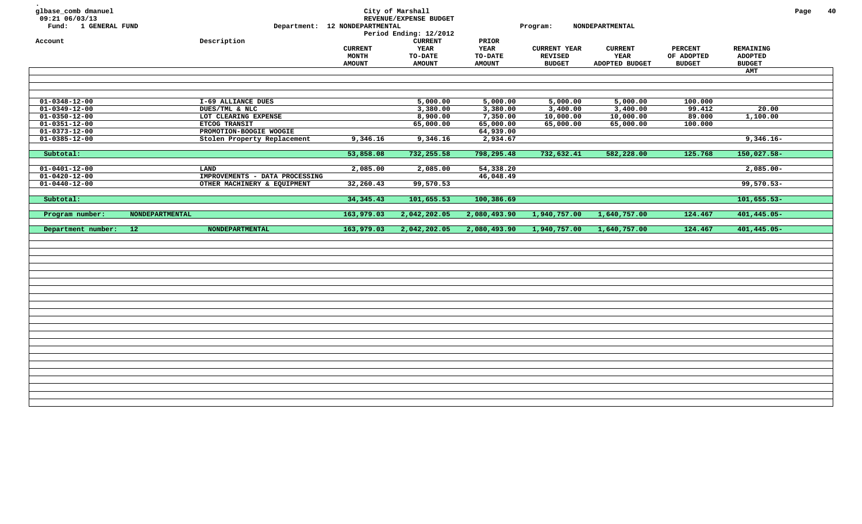| glbase_comb dmanuel<br>09:21 06/03/13<br>Fund: 1 GENERAL FUND<br>Account |                 | Description                    | Department: 12 NONDEPARTMENTAL<br><b>CURRENT</b> | City of Marshall<br>REVENUE/EXPENSE BUDGET<br>Period Ending: 12/2012<br><b>CURRENT</b><br>YEAR | PRIOR<br>YEAR  | Program:<br><b>CURRENT YEAR</b> | NONDEPARTMENTAL<br><b>CURRENT</b> | <b>PERCENT</b> | REMAINING       | Page | 40 |
|--------------------------------------------------------------------------|-----------------|--------------------------------|--------------------------------------------------|------------------------------------------------------------------------------------------------|----------------|---------------------------------|-----------------------------------|----------------|-----------------|------|----|
|                                                                          |                 |                                | MONTH                                            | <b>TO-DATE</b>                                                                                 | <b>TO-DATE</b> | <b>REVISED</b>                  | <b>YEAR</b>                       | OF ADOPTED     | <b>ADOPTED</b>  |      |    |
|                                                                          |                 |                                | <b>AMOUNT</b>                                    | <b>AMOUNT</b>                                                                                  | <b>AMOUNT</b>  | <b>BUDGET</b>                   | ADOPTED BUDGET                    | <b>BUDGET</b>  | <b>BUDGET</b>   |      |    |
|                                                                          |                 |                                |                                                  |                                                                                                |                |                                 |                                   |                | <b>AMT</b>      |      |    |
|                                                                          |                 |                                |                                                  |                                                                                                |                |                                 |                                   |                |                 |      |    |
|                                                                          |                 |                                |                                                  |                                                                                                |                |                                 |                                   |                |                 |      |    |
| $01 - 0348 - 12 - 00$                                                    |                 | I-69 ALLIANCE DUES             |                                                  | 5,000.00                                                                                       | 5,000.00       | 5,000.00                        | 5,000.00                          | 100.000        |                 |      |    |
| $01 - 0349 - 12 - 00$                                                    |                 | DUES/TML & NLC                 |                                                  | 3,380.00                                                                                       | 3,380.00       | 3,400.00                        | 3,400.00                          | 99.412         | 20.00           |      |    |
| $01 - 0350 - 12 - 00$                                                    |                 | LOT CLEARING EXPENSE           |                                                  | 8,900.00                                                                                       | 7,350.00       | 10,000.00                       | 10,000.00                         | 89.000         | 1,100.00        |      |    |
| $01 - 0351 - 12 - 00$                                                    |                 | ETCOG TRANSIT                  |                                                  | 65,000.00                                                                                      | 65,000.00      | 65,000.00                       | 65,000.00                         | 100.000        |                 |      |    |
| $01 - 0373 - 12 - 00$                                                    |                 | PROMOTION-BOOGIE WOOGIE        |                                                  |                                                                                                | 64,939.00      |                                 |                                   |                |                 |      |    |
| $01 - 0385 - 12 - 00$                                                    |                 | Stolen Property Replacement    | 9,346.16                                         | 9,346.16                                                                                       | 2,934.67       |                                 |                                   |                | $9,346.16 -$    |      |    |
| Subtotal:                                                                |                 |                                | 53,858.08                                        | 732,255.58                                                                                     | 798,295.48     | 732,632.41                      | 582,228.00                        | 125.768        | $150,027.58 -$  |      |    |
|                                                                          |                 |                                |                                                  |                                                                                                |                |                                 |                                   |                |                 |      |    |
| $01 - 0401 - 12 - 00$                                                    |                 | LAND                           | 2,085.00                                         | 2,085.00                                                                                       | 54,338.20      |                                 |                                   |                | $2,085.00 -$    |      |    |
| $01 - 0420 - 12 - 00$                                                    |                 | IMPROVEMENTS - DATA PROCESSING |                                                  |                                                                                                | 46,048.49      |                                 |                                   |                |                 |      |    |
| $01 - 0440 - 12 - 00$                                                    |                 | OTHER MACHINERY & EQUIPMENT    | 32, 260.43                                       | 99,570.53                                                                                      |                |                                 |                                   |                | $99,570.53 -$   |      |    |
|                                                                          |                 |                                |                                                  |                                                                                                |                |                                 |                                   |                |                 |      |    |
| Subtotal:                                                                |                 |                                |                                                  |                                                                                                | 100,386.69     |                                 |                                   |                | $101,655.53-$   |      |    |
|                                                                          |                 |                                | 34, 345. 43                                      | 101,655.53                                                                                     |                |                                 |                                   |                |                 |      |    |
| Program number:                                                          | NONDEPARTMENTAL |                                | 163,979.03                                       | 2,042,202.05                                                                                   | 2,080,493.90   | 1,940,757.00                    | 1,640,757.00                      | 124.467        | 401,445.05-     |      |    |
| Department number: 12                                                    |                 | NONDEPARTMENTAL                | 163,979.03                                       | 2,042,202.05                                                                                   | 2,080,493.90   | 1,940,757.00                    | 1,640,757.00                      | 124.467        | $401, 445.05 -$ |      |    |
|                                                                          |                 |                                |                                                  |                                                                                                |                |                                 |                                   |                |                 |      |    |
|                                                                          |                 |                                |                                                  |                                                                                                |                |                                 |                                   |                |                 |      |    |
|                                                                          |                 |                                |                                                  |                                                                                                |                |                                 |                                   |                |                 |      |    |
|                                                                          |                 |                                |                                                  |                                                                                                |                |                                 |                                   |                |                 |      |    |
|                                                                          |                 |                                |                                                  |                                                                                                |                |                                 |                                   |                |                 |      |    |
|                                                                          |                 |                                |                                                  |                                                                                                |                |                                 |                                   |                |                 |      |    |
|                                                                          |                 |                                |                                                  |                                                                                                |                |                                 |                                   |                |                 |      |    |
|                                                                          |                 |                                |                                                  |                                                                                                |                |                                 |                                   |                |                 |      |    |
|                                                                          |                 |                                |                                                  |                                                                                                |                |                                 |                                   |                |                 |      |    |
|                                                                          |                 |                                |                                                  |                                                                                                |                |                                 |                                   |                |                 |      |    |
|                                                                          |                 |                                |                                                  |                                                                                                |                |                                 |                                   |                |                 |      |    |
|                                                                          |                 |                                |                                                  |                                                                                                |                |                                 |                                   |                |                 |      |    |
|                                                                          |                 |                                |                                                  |                                                                                                |                |                                 |                                   |                |                 |      |    |
|                                                                          |                 |                                |                                                  |                                                                                                |                |                                 |                                   |                |                 |      |    |
|                                                                          |                 |                                |                                                  |                                                                                                |                |                                 |                                   |                |                 |      |    |
|                                                                          |                 |                                |                                                  |                                                                                                |                |                                 |                                   |                |                 |      |    |
|                                                                          |                 |                                |                                                  |                                                                                                |                |                                 |                                   |                |                 |      |    |
|                                                                          |                 |                                |                                                  |                                                                                                |                |                                 |                                   |                |                 |      |    |
|                                                                          |                 |                                |                                                  |                                                                                                |                |                                 |                                   |                |                 |      |    |
|                                                                          |                 |                                |                                                  |                                                                                                |                |                                 |                                   |                |                 |      |    |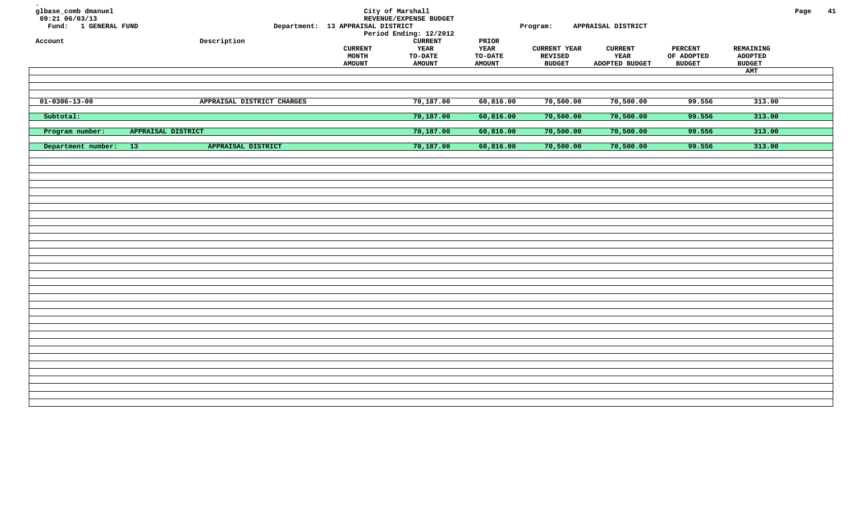| glbase_comb dmanuel<br>$09:21$ 06/03/13<br>Fund: 1 GENERAL FUND<br>Account |                           | Description                | Department: 13 APPRAISAL DISTRICT<br><b>CURRENT</b><br><b>MONTH</b> | City of Marshall<br>REVENUE/EXPENSE BUDGET<br>Period Ending: 12/2012<br><b>CURRENT</b><br>YEAR<br>TO-DATE | PRIOR<br>YEAR<br>TO-DATE | Program:<br><b>CURRENT YEAR</b><br>REVISED | APPRAISAL DISTRICT<br><b>CURRENT</b><br>YEAR | <b>PERCENT</b><br>OF ADOPTED | REMAINING<br>ADOPTED | Page | 41 |
|----------------------------------------------------------------------------|---------------------------|----------------------------|---------------------------------------------------------------------|-----------------------------------------------------------------------------------------------------------|--------------------------|--------------------------------------------|----------------------------------------------|------------------------------|----------------------|------|----|
|                                                                            |                           |                            | <b>AMOUNT</b>                                                       | <b>AMOUNT</b>                                                                                             | <b>AMOUNT</b>            | <b>BUDGET</b>                              | ADOPTED BUDGET                               | <b>BUDGET</b>                | <b>BUDGET</b>        |      |    |
|                                                                            |                           |                            |                                                                     |                                                                                                           |                          |                                            |                                              |                              | AMT                  |      |    |
|                                                                            |                           |                            |                                                                     |                                                                                                           |                          |                                            |                                              |                              |                      |      |    |
|                                                                            |                           |                            |                                                                     |                                                                                                           |                          |                                            |                                              |                              |                      |      |    |
| $01 - 0306 - 13 - 00$                                                      |                           | APPRAISAL DISTRICT CHARGES |                                                                     | 70,187.00                                                                                                 | 60,816.00                | 70,500.00                                  | 70,500.00                                    | 99.556                       | 313.00               |      |    |
| Subtotal:                                                                  |                           |                            |                                                                     | 70,187.00                                                                                                 | 60,816.00                | 70,500.00                                  | 70,500.00                                    | 99.556                       | 313.00               |      |    |
|                                                                            |                           |                            |                                                                     |                                                                                                           |                          |                                            |                                              |                              |                      |      |    |
| Program number:                                                            | <b>APPRAISAL DISTRICT</b> |                            |                                                                     | 70,187.00                                                                                                 | 60,816.00                | 70,500.00                                  | 70,500.00                                    | 99.556                       | 313.00               |      |    |
|                                                                            |                           |                            |                                                                     |                                                                                                           |                          |                                            |                                              |                              |                      |      |    |
| Department number:                                                         | $-13$                     | APPRAISAL DISTRICT         |                                                                     | 70,187.00                                                                                                 | 60,816.00                | 70,500.00                                  | 70,500.00                                    | 99.556                       | 313.00               |      |    |
|                                                                            |                           |                            |                                                                     |                                                                                                           |                          |                                            |                                              |                              |                      |      |    |
|                                                                            |                           |                            |                                                                     |                                                                                                           |                          |                                            |                                              |                              |                      |      |    |
|                                                                            |                           |                            |                                                                     |                                                                                                           |                          |                                            |                                              |                              |                      |      |    |
|                                                                            |                           |                            |                                                                     |                                                                                                           |                          |                                            |                                              |                              |                      |      |    |
|                                                                            |                           |                            |                                                                     |                                                                                                           |                          |                                            |                                              |                              |                      |      |    |
|                                                                            |                           |                            |                                                                     |                                                                                                           |                          |                                            |                                              |                              |                      |      |    |
|                                                                            |                           |                            |                                                                     |                                                                                                           |                          |                                            |                                              |                              |                      |      |    |
|                                                                            |                           |                            |                                                                     |                                                                                                           |                          |                                            |                                              |                              |                      |      |    |
|                                                                            |                           |                            |                                                                     |                                                                                                           |                          |                                            |                                              |                              |                      |      |    |
|                                                                            |                           |                            |                                                                     |                                                                                                           |                          |                                            |                                              |                              |                      |      |    |
|                                                                            |                           |                            |                                                                     |                                                                                                           |                          |                                            |                                              |                              |                      |      |    |
|                                                                            |                           |                            |                                                                     |                                                                                                           |                          |                                            |                                              |                              |                      |      |    |
|                                                                            |                           |                            |                                                                     |                                                                                                           |                          |                                            |                                              |                              |                      |      |    |
|                                                                            |                           |                            |                                                                     |                                                                                                           |                          |                                            |                                              |                              |                      |      |    |
|                                                                            |                           |                            |                                                                     |                                                                                                           |                          |                                            |                                              |                              |                      |      |    |
|                                                                            |                           |                            |                                                                     |                                                                                                           |                          |                                            |                                              |                              |                      |      |    |
|                                                                            |                           |                            |                                                                     |                                                                                                           |                          |                                            |                                              |                              |                      |      |    |
|                                                                            |                           |                            |                                                                     |                                                                                                           |                          |                                            |                                              |                              |                      |      |    |
|                                                                            |                           |                            |                                                                     |                                                                                                           |                          |                                            |                                              |                              |                      |      |    |
|                                                                            |                           |                            |                                                                     |                                                                                                           |                          |                                            |                                              |                              |                      |      |    |
|                                                                            |                           |                            |                                                                     |                                                                                                           |                          |                                            |                                              |                              |                      |      |    |
|                                                                            |                           |                            |                                                                     |                                                                                                           |                          |                                            |                                              |                              |                      |      |    |
|                                                                            |                           |                            |                                                                     |                                                                                                           |                          |                                            |                                              |                              |                      |      |    |
|                                                                            |                           |                            |                                                                     |                                                                                                           |                          |                                            |                                              |                              |                      |      |    |
|                                                                            |                           |                            |                                                                     |                                                                                                           |                          |                                            |                                              |                              |                      |      |    |
|                                                                            |                           |                            |                                                                     |                                                                                                           |                          |                                            |                                              |                              |                      |      |    |
|                                                                            |                           |                            |                                                                     |                                                                                                           |                          |                                            |                                              |                              |                      |      |    |
|                                                                            |                           |                            |                                                                     |                                                                                                           |                          |                                            |                                              |                              |                      |      |    |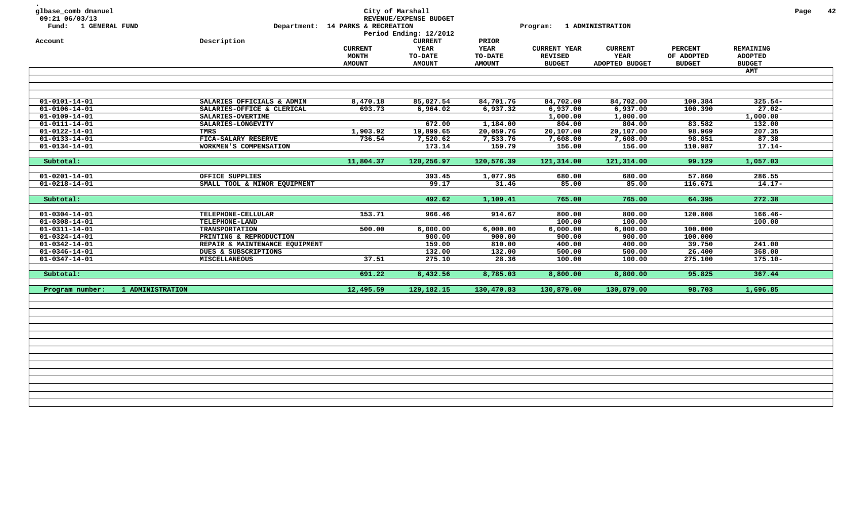| glbase_comb dmanuel<br>09:21 06/03/13<br>Fund: 1 GENERAL FUND |                  |                                               | Department: 14 PARKS & RECREATION               | City of Marshall<br>REVENUE/EXPENSE BUDGET<br>Period Ending: 12/2012 |                                                  | Program:                                               | <b>1 ADMINISTRATION</b>                  |                                               |                                              | Page | 42 |
|---------------------------------------------------------------|------------------|-----------------------------------------------|-------------------------------------------------|----------------------------------------------------------------------|--------------------------------------------------|--------------------------------------------------------|------------------------------------------|-----------------------------------------------|----------------------------------------------|------|----|
| Account                                                       |                  | Description                                   | <b>CURRENT</b><br><b>MONTH</b><br><b>AMOUNT</b> | <b>CURRENT</b><br><b>YEAR</b><br>TO-DATE<br><b>AMOUNT</b>            | PRIOR<br><b>YEAR</b><br>TO-DATE<br><b>AMOUNT</b> | <b>CURRENT YEAR</b><br><b>REVISED</b><br><b>BUDGET</b> | <b>CURRENT</b><br>YEAR<br>ADOPTED BUDGET | <b>PERCENT</b><br>OF ADOPTED<br><b>BUDGET</b> | REMAINING<br><b>ADOPTED</b><br><b>BUDGET</b> |      |    |
|                                                               |                  |                                               |                                                 |                                                                      |                                                  |                                                        |                                          |                                               | <b>AMT</b>                                   |      |    |
|                                                               |                  |                                               |                                                 |                                                                      |                                                  |                                                        |                                          |                                               |                                              |      |    |
|                                                               |                  |                                               |                                                 |                                                                      |                                                  |                                                        |                                          |                                               |                                              |      |    |
| $01 - 0101 - 14 - 01$                                         |                  | SALARIES OFFICIALS & ADMIN                    | 8,470.18                                        | 85,027.54                                                            | 84,701.76                                        | 84,702.00                                              | 84,702.00                                | 100.384                                       | $325.54-$                                    |      |    |
| $01 - 0106 - 14 - 01$                                         |                  | SALARIES-OFFICE & CLERICAL                    | 693.73                                          | 6,964.02                                                             | 6,937.32                                         | 6,937.00                                               | 6,937.00                                 | 100.390                                       | $27.02 -$                                    |      |    |
| $01 - 0109 - 14 - 01$                                         |                  | SALARIES-OVERTIME                             |                                                 |                                                                      |                                                  | 1,000.00                                               | 1,000.00                                 |                                               | 1,000.00                                     |      |    |
| $01 - 0111 - 14 - 01$                                         |                  | SALARIES-LONGEVITY                            |                                                 | 672.00                                                               | 1,184.00                                         | 804.00                                                 | 804.00                                   | 83.582                                        | 132.00                                       |      |    |
| $01 - 0122 - 14 - 01$                                         |                  | TMRS                                          | 1,903.92                                        | 19,899.65                                                            | 20,059.76                                        | 20,107.00                                              | 20,107.00                                | 98.969                                        | 207.35                                       |      |    |
| $01 - 0133 - 14 - 01$<br>$01 - 0134 - 14 - 01$                |                  | FICA-SALARY RESERVE<br>WORKMEN'S COMPENSATION | 736.54                                          | 7,520.62<br>173.14                                                   | 7,533.76<br>159.79                               | 7,608.00<br>156.00                                     | 7,608.00<br>156.00                       | 98.851<br>110.987                             | 87.38<br>$17.14-$                            |      |    |
|                                                               |                  |                                               |                                                 |                                                                      |                                                  |                                                        |                                          |                                               |                                              |      |    |
| Subtotal:                                                     |                  |                                               | 11,804.37                                       | 120,256.97                                                           | 120,576.39                                       | 121,314.00                                             | 121,314.00                               | 99.129                                        | 1,057.03                                     |      |    |
|                                                               |                  |                                               |                                                 |                                                                      |                                                  |                                                        |                                          |                                               |                                              |      |    |
| $01 - 0201 - 14 - 01$                                         |                  | OFFICE SUPPLIES                               |                                                 | 393.45                                                               | 1,077.95                                         | 680.00                                                 | 680.00                                   | 57.860                                        | 286.55                                       |      |    |
| $01 - 0218 - 14 - 01$                                         |                  | SMALL TOOL & MINOR EQUIPMENT                  |                                                 | 99.17                                                                | 31.46                                            | 85.00                                                  | 85.00                                    | 116.671                                       | $14.17 -$                                    |      |    |
|                                                               |                  |                                               |                                                 |                                                                      |                                                  |                                                        |                                          |                                               |                                              |      |    |
| Subtotal:                                                     |                  |                                               |                                                 | 492.62                                                               | 1,109.41                                         | 765.00                                                 | 765.00                                   | 64.395                                        | 272.38                                       |      |    |
| $01 - 0304 - 14 - 01$                                         |                  | TELEPHONE-CELLULAR                            | 153.71                                          | 966.46                                                               | 914.67                                           | 800.00                                                 | 800.00                                   | 120.808                                       | $166.46 -$                                   |      |    |
| $01 - 0308 - 14 - 01$                                         |                  | TELEPHONE-LAND                                |                                                 |                                                                      |                                                  | 100.00                                                 | 100.00                                   |                                               | 100.00                                       |      |    |
| $01 - 0311 - 14 - 01$                                         |                  | <b>TRANSPORTATION</b>                         | 500.00                                          | 6,000.00                                                             | 6,000.00                                         | 6,000.00                                               | 6,000.00                                 | 100.000                                       |                                              |      |    |
| $01 - 0324 - 14 - 01$                                         |                  | PRINTING & REPRODUCTION                       |                                                 | 900.00                                                               | 900.00                                           | 900.00                                                 | 900.00                                   | 100.000                                       |                                              |      |    |
| $01 - 0342 - 14 - 01$                                         |                  | REPAIR & MAINTENANCE EQUIPMENT                |                                                 | 159.00                                                               | 810.00                                           | 400.00                                                 | 400.00                                   | 39.750                                        | 241.00                                       |      |    |
| $01 - 0346 - 14 - 01$                                         |                  | DUES & SUBSCRIPTIONS                          |                                                 | 132.00                                                               | 132.00                                           | 500.00                                                 | 500.00                                   | 26.400                                        | 368.00                                       |      |    |
| $01 - 0347 - 14 - 01$                                         |                  | <b>MISCELLANEOUS</b>                          | 37.51                                           | 275.10                                                               | 28.36                                            | 100.00                                                 | 100.00                                   | 275.100                                       | $175.10 -$                                   |      |    |
| Subtotal:                                                     |                  |                                               | 691.22                                          | 8,432.56                                                             | 8,785.03                                         | 8,800.00                                               | 8,800.00                                 | 95.825                                        | 367.44                                       |      |    |
| Program number:                                               | 1 ADMINISTRATION |                                               | 12,495.59                                       | 129, 182. 15                                                         | 130,470.83                                       | 130,879.00                                             | 130,879.00                               | 98.703                                        | 1,696.85                                     |      |    |
|                                                               |                  |                                               |                                                 |                                                                      |                                                  |                                                        |                                          |                                               |                                              |      |    |
|                                                               |                  |                                               |                                                 |                                                                      |                                                  |                                                        |                                          |                                               |                                              |      |    |
|                                                               |                  |                                               |                                                 |                                                                      |                                                  |                                                        |                                          |                                               |                                              |      |    |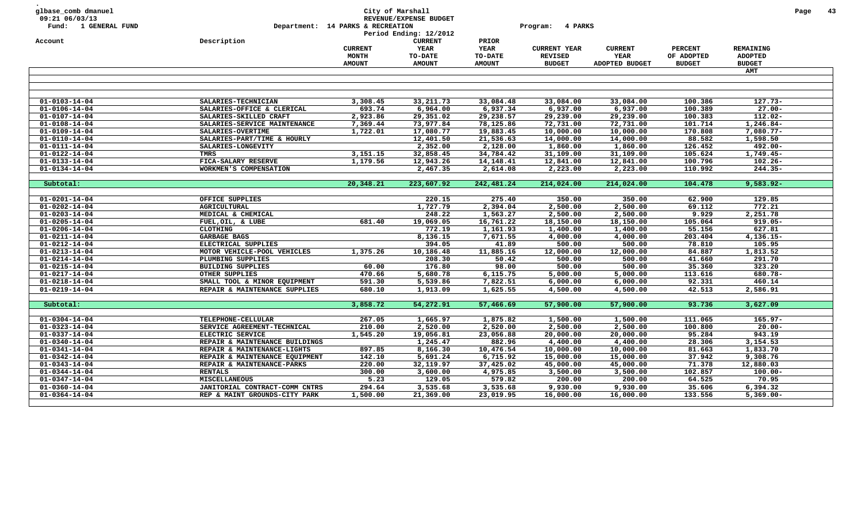| glbase_comb dmanuel<br>09:21 06/03/13<br>Fund: 1 GENERAL FUND |                                | Department: 14 PARKS & RECREATION | City of Marshall<br>REVENUE/EXPENSE BUDGET<br>Period Ending: 12/2012 |                                 | 4 PARKS<br>Program:                   |                        |                              |                                    | Page | -43 |
|---------------------------------------------------------------|--------------------------------|-----------------------------------|----------------------------------------------------------------------|---------------------------------|---------------------------------------|------------------------|------------------------------|------------------------------------|------|-----|
| Account                                                       | Description                    | <b>CURRENT</b><br><b>MONTH</b>    | <b>CURRENT</b><br>YEAR<br>TO-DATE                                    | PRIOR<br><b>YEAR</b><br>TO-DATE | <b>CURRENT YEAR</b><br><b>REVISED</b> | <b>CURRENT</b><br>YEAR | <b>PERCENT</b><br>OF ADOPTED | <b>REMAINING</b><br><b>ADOPTED</b> |      |     |
|                                                               |                                | <b>AMOUNT</b>                     | <b>AMOUNT</b>                                                        | <b>AMOUNT</b>                   | <b>BUDGET</b>                         | ADOPTED BUDGET         | <b>BUDGET</b>                | <b>BUDGET</b>                      |      |     |
|                                                               |                                |                                   |                                                                      |                                 |                                       |                        |                              | <b>AMT</b>                         |      |     |
|                                                               |                                |                                   |                                                                      |                                 |                                       |                        |                              |                                    |      |     |
| $01 - 0103 - 14 - 04$                                         | SALARIES-TECHNICIAN            | 3,308.45                          | 33, 211.73                                                           | 33,084.48                       | 33,084.00                             | 33,084.00              | 100.386                      | $127.73-$                          |      |     |
| $01 - 0106 - 14 - 04$                                         | SALARIES-OFFICE & CLERICAL     | 693.74                            | 6,964.00                                                             | 6,937.34                        | 6,937.00                              | 6,937.00               | 100.389                      | $27.00 -$                          |      |     |
| $01 - 0107 - 14 - 04$                                         | SALARIES-SKILLED CRAFT         | 2,923.86                          | 29,351.02                                                            | 29,238.57                       | 29,239.00                             | 29,239.00              | 100.383                      | 112.02-                            |      |     |
| $01 - 0108 - 14 - 04$                                         | SALARIES-SERVICE MAINTENANCE   | 7,369.44                          | 73,977.84                                                            | 78,125.86                       | 72,731.00                             | 72,731.00              | 101.714                      | 1,246.84-                          |      |     |
| 01-0109-14-04                                                 | SALARIES-OVERTIME              | 1,722.01                          | 17,080.77                                                            | 19,883.45                       | 10,000.00                             | 10,000.00              | 170.808                      | $7,080.77-$                        |      |     |
| $01 - 0110 - 14 - 04$                                         | SALARIES-PART/TIME & HOURLY    |                                   | 12,401.50                                                            | 21,536.63                       | 14,000.00                             | 14,000.00              | 88.582                       | 1,598.50                           |      |     |
| $01 - 0111 - 14 - 04$                                         | SALARIES-LONGEVITY             |                                   | 2,352.00                                                             | 2,128.00                        | 1,860.00                              | 1,860.00               | 126.452                      | 492.00-                            |      |     |
| $01 - 0122 - 14 - 04$                                         | <b>TMRS</b>                    | 3,151.15                          | 32,858.45                                                            | 34,784.42                       | 31,109.00                             | 31,109.00              | 105.624                      | 1,749.45-                          |      |     |
| $01 - 0133 - 14 - 04$                                         | FICA-SALARY RESERVE            | 1,179.56                          | 12,943.26                                                            | 14, 148. 41                     | 12,841.00                             | 12,841.00              | 100.796                      | $102.26 -$                         |      |     |
| $01 - 0134 - 14 - 04$                                         | WORKMEN'S COMPENSATION         |                                   | 2,467.35                                                             | 2,614.08                        | 2,223.00                              | 2,223.00               | 110.992                      | $244.35 -$                         |      |     |
|                                                               |                                |                                   |                                                                      |                                 |                                       |                        |                              |                                    |      |     |
| Subtotal:                                                     |                                | 20,348.21                         | 223,607.92                                                           | 242,481.24                      | 214,024.00                            | 214,024.00             | 104.478                      | $9,583.92 -$                       |      |     |
| $01 - 0201 - 14 - 04$                                         | OFFICE SUPPLIES                |                                   | 220.15                                                               | 275.40                          | 350.00                                | 350.00                 | 62.900                       | 129.85                             |      |     |
| $01 - 0202 - 14 - 04$                                         | <b>AGRICULTURAL</b>            |                                   | 1,727.79                                                             | 2,394.04                        | 2,500.00                              | 2,500.00               | 69.112                       | 772.21                             |      |     |
| $01 - 0203 - 14 - 04$                                         | MEDICAL & CHEMICAL             |                                   | 248.22                                                               | 1,563.27                        | 2,500.00                              | 2,500.00               | 9.929                        | 2,251.78                           |      |     |
| $01 - 0205 - 14 - 04$                                         | FUEL, OIL, & LUBE              | 681.40                            | 19,069.05                                                            | 16,761.22                       | 18,150.00                             | 18,150.00              | 105.064                      | $919.05 -$                         |      |     |
| $01 - 0206 - 14 - 04$                                         | <b>CLOTHING</b>                |                                   | 772.19                                                               | 1,161.93                        | 1,400.00                              | 1,400.00               | 55.156                       | 627.81                             |      |     |
| $01 - 0211 - 14 - 04$                                         | GARBAGE BAGS                   |                                   | 8,136.15                                                             | 7,671.55                        | 4,000.00                              | 4,000.00               | 203.404                      | $4,136.15-$                        |      |     |
| $01 - 0212 - 14 - 04$                                         | ELECTRICAL SUPPLIES            |                                   | 394.05                                                               | 41.89                           | 500.00                                | 500.00                 | 78.810                       | 105.95                             |      |     |
| $01 - 0213 - 14 - 04$                                         | MOTOR VEHICLE-POOL VEHICLES    | 1,375.26                          | 10,186.48                                                            | 11,885.16                       | 12,000.00                             | 12,000.00              | 84.887                       | 1,813.52                           |      |     |
| $01 - 0214 - 14 - 04$                                         | PLUMBING SUPPLIES              |                                   | 208.30                                                               | 50.42                           | 500.00                                | 500.00                 | 41.660                       | 291.70                             |      |     |
| $01 - 0215 - 14 - 04$                                         | <b>BUILDING SUPPLIES</b>       | 60.00                             | 176.80                                                               | 98.00                           | 500.00                                | 500.00                 | 35.360                       | 323.20                             |      |     |
| $01 - 0217 - 14 - 04$                                         | OTHER SUPPLIES                 | 470.66                            | 5,680.78                                                             | 6,115.75                        | 5,000.00                              | 5,000.00               | 113.616                      | 680.78-                            |      |     |
| $01 - 0218 - 14 - 04$                                         | SMALL TOOL & MINOR EQUIPMENT   | 591.30                            | 5,539.86                                                             | 7,822.51                        | 6,000.00                              | 6,000.00               | 92.331                       | 460.14                             |      |     |
| $01 - 0219 - 14 - 04$                                         | REPAIR & MAINTENANCE SUPPLIES  | 680.10                            | 1,913.09                                                             | 1,625.55                        | 4,500.00                              | 4,500.00               | 42.513                       | 2,586.91                           |      |     |
|                                                               |                                |                                   |                                                                      |                                 |                                       |                        |                              |                                    |      |     |
| Subtotal:                                                     |                                | 3,858.72                          | 54,272.91                                                            | 57,466.69                       | 57,900.00                             | 57,900.00              | 93.736                       | 3,627.09                           |      |     |
| $01 - 0304 - 14 - 04$                                         | TELEPHONE-CELLULAR             | 267.05                            | 1,665.97                                                             | 1,875.82                        | 1,500.00                              | 1,500.00               | 111.065                      | $165.97 -$                         |      |     |
| $01 - 0323 - 14 - 04$                                         | SERVICE AGREEMENT-TECHNICAL    | 210.00                            | 2,520.00                                                             | 2,520.00                        | 2,500.00                              | 2,500.00               | 100.800                      | $20.00 -$                          |      |     |
| $01 - 0337 - 14 - 04$                                         | ELECTRIC SERVICE               | 1,545.20                          | 19,056.81                                                            | 23,056.88                       | 20,000.00                             | 20,000.00              | 95.284                       | 943.19                             |      |     |
| $01 - 0340 - 14 - 04$                                         | REPAIR & MAINTENANCE BUILDINGS |                                   | 1,245.47                                                             | 882.96                          | 4,400.00                              | 4,400.00               | 28.306                       | 3,154.53                           |      |     |
| $01 - 0341 - 14 - 04$                                         | REPAIR & MAINTENANCE-LIGHTS    | 897.85                            | 8,166.30                                                             | 10,476.54                       | 10,000.00                             | 10,000.00              | 81.663                       | 1,833.70                           |      |     |
| $01 - 0342 - 14 - 04$                                         | REPAIR & MAINTENANCE EQUIPMENT | 142.10                            | 5,691.24                                                             | 6,715.92                        | 15,000.00                             | 15,000.00              | 37.942                       | 9,308.76                           |      |     |
| $01 - 0343 - 14 - 04$                                         | REPAIR & MAINTENANCE-PARKS     | 220.00                            | 32,119.97                                                            | 37,425.02                       | 45,000.00                             | 45,000.00              | 71.378                       | 12,880.03                          |      |     |
| $01 - 0344 - 14 - 04$                                         | <b>RENTALS</b>                 | 300.00                            | 3,600.00                                                             | 4,975.85                        | 3,500.00                              | 3,500.00               | 102.857                      | $100.00 -$                         |      |     |
| $01 - 0347 - 14 - 04$                                         | <b>MISCELLANEOUS</b>           | 5.23                              | 129.05                                                               | 579.82                          | 200.00                                | 200.00                 | 64.525                       | 70.95                              |      |     |
| $01 - 0360 - 14 - 04$                                         | JANITORIAL CONTRACT-COMM CNTRS | 294.64                            | 3,535.68                                                             | 3,535.68                        | 9,930.00                              | 9,930.00               | 35.606                       | 6,394.32                           |      |     |
| $01 - 0364 - 14 - 04$                                         | REP & MAINT GROUNDS-CITY PARK  | 1,500.00                          | 21,369.00                                                            | 23,019.95                       | 16,000.00                             | 16,000.00              | 133.556                      | $5,369.00 -$                       |      |     |
|                                                               |                                |                                   |                                                                      |                                 |                                       |                        |                              |                                    |      |     |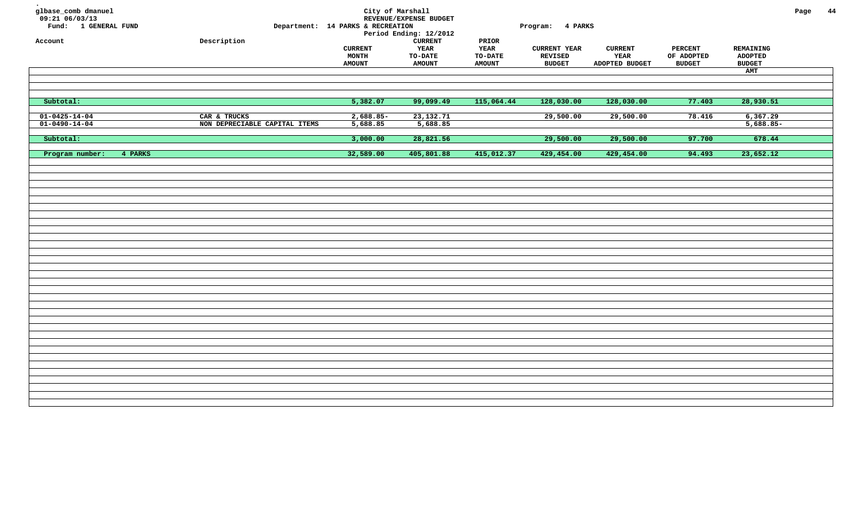| glbase_comb dmanuel<br>$09:21$ 06/03/13<br>Fund: 1 GENERAL FUND<br>Account | ${\tt Description}$                           | Department: 14 PARKS & RECREATION        | City of Marshall<br>REVENUE/EXPENSE BUDGET<br>Period Ending: 12/2012<br><b>CURRENT</b> | PRIOR                            | Program: 4 PARKS                                       |                                          |                                               |                                              | Page | 44 |
|----------------------------------------------------------------------------|-----------------------------------------------|------------------------------------------|----------------------------------------------------------------------------------------|----------------------------------|--------------------------------------------------------|------------------------------------------|-----------------------------------------------|----------------------------------------------|------|----|
|                                                                            |                                               | <b>CURRENT</b><br>MONTH<br><b>AMOUNT</b> | YEAR<br><b>TO-DATE</b><br><b>AMOUNT</b>                                                | YEAR<br>TO-DATE<br><b>AMOUNT</b> | <b>CURRENT YEAR</b><br><b>REVISED</b><br><b>BUDGET</b> | <b>CURRENT</b><br>YEAR<br>ADOPTED BUDGET | <b>PERCENT</b><br>OF ADOPTED<br><b>BUDGET</b> | REMAINING<br>ADOPTED<br><b>BUDGET</b><br>AMT |      |    |
|                                                                            |                                               |                                          |                                                                                        |                                  |                                                        |                                          |                                               |                                              |      |    |
| Subtotal:                                                                  |                                               | 5,382.07                                 | 99,099.49                                                                              | 115,064.44                       | 128,030.00                                             | 128,030.00                               | 77.403                                        | 28,930.51                                    |      |    |
| $01 - 0425 - 14 - 04$<br>$01 - 0490 - 14 - 04$                             | CAR & TRUCKS<br>NON DEPRECIABLE CAPITAL ITEMS | $2,688.85-$<br>5,688.85                  | 23, 132. 71<br>5,688.85                                                                |                                  | 29,500.00                                              | 29,500.00                                | 78.416                                        | 6,367.29<br>$5,688.85-$                      |      |    |
| Subtotal:                                                                  |                                               | 3,000.00                                 | 28,821.56                                                                              |                                  | 29,500.00                                              | 29,500.00                                | 97.700                                        | 678.44                                       |      |    |
| Program number:<br>4 PARKS                                                 |                                               | 32,589.00                                | 405,801.88                                                                             | 415,012.37                       | 429,454.00                                             | 429,454.00                               | 94.493                                        | 23,652.12                                    |      |    |
|                                                                            |                                               |                                          |                                                                                        |                                  |                                                        |                                          |                                               |                                              |      |    |
|                                                                            |                                               |                                          |                                                                                        |                                  |                                                        |                                          |                                               |                                              |      |    |
|                                                                            |                                               |                                          |                                                                                        |                                  |                                                        |                                          |                                               |                                              |      |    |
|                                                                            |                                               |                                          |                                                                                        |                                  |                                                        |                                          |                                               |                                              |      |    |
|                                                                            |                                               |                                          |                                                                                        |                                  |                                                        |                                          |                                               |                                              |      |    |
|                                                                            |                                               |                                          |                                                                                        |                                  |                                                        |                                          |                                               |                                              |      |    |
|                                                                            |                                               |                                          |                                                                                        |                                  |                                                        |                                          |                                               |                                              |      |    |
|                                                                            |                                               |                                          |                                                                                        |                                  |                                                        |                                          |                                               |                                              |      |    |
|                                                                            |                                               |                                          |                                                                                        |                                  |                                                        |                                          |                                               |                                              |      |    |
|                                                                            |                                               |                                          |                                                                                        |                                  |                                                        |                                          |                                               |                                              |      |    |
|                                                                            |                                               |                                          |                                                                                        |                                  |                                                        |                                          |                                               |                                              |      |    |
|                                                                            |                                               |                                          |                                                                                        |                                  |                                                        |                                          |                                               |                                              |      |    |
|                                                                            |                                               |                                          |                                                                                        |                                  |                                                        |                                          |                                               |                                              |      |    |
|                                                                            |                                               |                                          |                                                                                        |                                  |                                                        |                                          |                                               |                                              |      |    |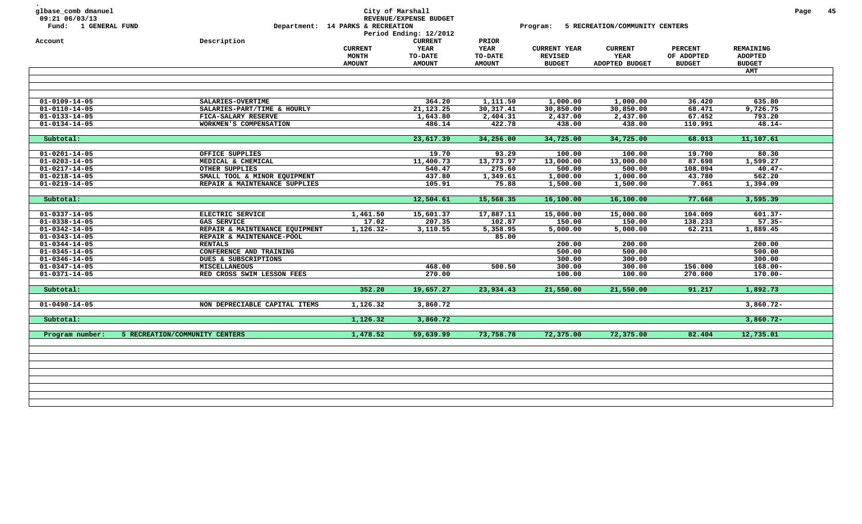| glbase_comb dmanuel<br>09:21 06/03/13<br>Fund: 1 GENERAL FUND |                                | Department: 14 PARKS & RECREATION               | City of Marshall<br>REVENUE/EXPENSE BUDGET<br>Period Ending: 12/2012 |                                                  | Program:                                               | 5 RECREATION/COMMUNITY CENTERS                  |                                               |                                              | Page | 45 |
|---------------------------------------------------------------|--------------------------------|-------------------------------------------------|----------------------------------------------------------------------|--------------------------------------------------|--------------------------------------------------------|-------------------------------------------------|-----------------------------------------------|----------------------------------------------|------|----|
| Account                                                       | Description                    | <b>CURRENT</b><br><b>MONTH</b><br><b>AMOUNT</b> | <b>CURRENT</b><br>YEAR<br>TO-DATE<br><b>AMOUNT</b>                   | PRIOR<br><b>YEAR</b><br>TO-DATE<br><b>AMOUNT</b> | <b>CURRENT YEAR</b><br><b>REVISED</b><br><b>BUDGET</b> | <b>CURRENT</b><br><b>YEAR</b><br>ADOPTED BUDGET | <b>PERCENT</b><br>OF ADOPTED<br><b>BUDGET</b> | REMAINING<br><b>ADOPTED</b><br><b>BUDGET</b> |      |    |
|                                                               |                                |                                                 |                                                                      |                                                  |                                                        |                                                 |                                               | <b>AMT</b>                                   |      |    |
|                                                               |                                |                                                 |                                                                      |                                                  |                                                        |                                                 |                                               |                                              |      |    |
|                                                               |                                |                                                 |                                                                      |                                                  |                                                        |                                                 |                                               |                                              |      |    |
| $01 - 0109 - 14 - 05$                                         | SALARIES-OVERTIME              |                                                 | 364.20                                                               | 1,111.50                                         | 1,000.00                                               | 1,000.00                                        | 36.420                                        | 635.80                                       |      |    |
| $01 - 0110 - 14 - 05$                                         | SALARIES-PART/TIME & HOURLY    |                                                 | 21, 123. 25                                                          | 30, 317. 41                                      | 30,850.00                                              | 30,850.00                                       | 68.471                                        | 9,726.75                                     |      |    |
| $01 - 0133 - 14 - 05$                                         | FICA-SALARY RESERVE            |                                                 | 1,643.80                                                             | 2,404.31                                         | 2,437.00                                               | 2,437.00                                        | 67.452                                        | 793.20                                       |      |    |
| $01 - 0134 - 14 - 05$                                         | WORKMEN'S COMPENSATION         |                                                 | 486.14                                                               | 422.78                                           | 438.00                                                 | 438.00                                          | 110.991                                       | $48.14-$                                     |      |    |
| Subtotal:                                                     |                                |                                                 | 23,617.39                                                            | 34,256.00                                        | 34,725.00                                              | 34,725.00                                       | 68.013                                        | 11,107.61                                    |      |    |
| $01 - 0201 - 14 - 05$                                         | OFFICE SUPPLIES                |                                                 | 19.70                                                                | 93.29                                            | 100.00                                                 | 100.00                                          | 19.700                                        | 80.30                                        |      |    |
| $01 - 0203 - 14 - 05$                                         | MEDICAL & CHEMICAL             |                                                 | 11,400.73                                                            | 13,773.97                                        | 13,000.00                                              | 13,000.00                                       | 87.698                                        | 1,599.27                                     |      |    |
| $01 - 0217 - 14 - 05$                                         | OTHER SUPPLIES                 |                                                 | 540.47                                                               | 275.60                                           | 500.00                                                 | 500.00                                          | 108.094                                       | $40.47 -$                                    |      |    |
| $01 - 0218 - 14 - 05$                                         | SMALL TOOL & MINOR EQUIPMENT   |                                                 | 437.80                                                               | 1,349.61                                         | 1,000.00                                               | 1,000.00                                        | 43.780                                        | 562.20                                       |      |    |
| $01 - 0219 - 14 - 05$                                         | REPAIR & MAINTENANCE SUPPLIES  |                                                 | 105.91                                                               | 75.88                                            | 1,500.00                                               | 1,500.00                                        | 7.061                                         | 1,394.09                                     |      |    |
|                                                               |                                |                                                 |                                                                      |                                                  |                                                        |                                                 |                                               |                                              |      |    |
| Subtotal:                                                     |                                |                                                 | 12,504.61                                                            | 15,568.35                                        | 16,100.00                                              | 16,100.00                                       | 77.668                                        | 3,595.39                                     |      |    |
| $01 - 0337 - 14 - 05$                                         | ELECTRIC SERVICE               | 1,461.50                                        | 15,601.37                                                            | 17,887.11                                        | 15,000.00                                              | 15,000.00                                       | 104.009                                       | $601.37 -$                                   |      |    |
| $01 - 0338 - 14 - 05$                                         | GAS SERVICE                    | 17.02                                           | 207.35                                                               | 102.87                                           | 150.00                                                 | 150.00                                          | 138.233                                       | $57.35 -$                                    |      |    |
| $01 - 0342 - 14 - 05$                                         | REPAIR & MAINTENANCE EQUIPMENT | $1,126.32-$                                     | 3,110.55                                                             | 5,358.95                                         | 5,000.00                                               | 5,000.00                                        | 62.211                                        | 1,889.45                                     |      |    |
| $01 - 0343 - 14 - 05$                                         | REPAIR & MAINTENANCE-POOL      |                                                 |                                                                      | 85.00                                            |                                                        |                                                 |                                               |                                              |      |    |
| $01 - 0344 - 14 - 05$                                         | <b>RENTALS</b>                 |                                                 |                                                                      |                                                  | 200.00                                                 | 200.00                                          |                                               | 200.00                                       |      |    |
| $01 - 0345 - 14 - 05$                                         | CONFERENCE AND TRAINING        |                                                 |                                                                      |                                                  | 500.00                                                 | 500.00                                          |                                               | 500.00                                       |      |    |
| $01 - 0346 - 14 - 05$                                         | DUES & SUBSCRIPTIONS           |                                                 |                                                                      |                                                  | 300.00                                                 | 300.00                                          |                                               | 300.00                                       |      |    |
| $01 - 0347 - 14 - 05$                                         | <b>MISCELLANEOUS</b>           |                                                 | 468.00                                                               | 500.50                                           | 300.00                                                 | 300.00                                          | 156.000                                       | $168.00 -$                                   |      |    |
| $01 - 0371 - 14 - 05$                                         | RED CROSS SWIM LESSON FEES     |                                                 | 270.00                                                               |                                                  | 100.00                                                 | 100.00                                          | 270.000                                       | $170.00 -$                                   |      |    |
| Subtotal:                                                     |                                | 352.20                                          | 19,657.27                                                            | 23,934.43                                        | 21,550.00                                              | 21,550.00                                       | 91.217                                        | 1,892.73                                     |      |    |
|                                                               | NON DEPRECIABLE CAPITAL ITEMS  |                                                 |                                                                      |                                                  |                                                        |                                                 |                                               |                                              |      |    |
| $01 - 0490 - 14 - 05$                                         |                                | 1,126.32                                        | 3,860.72                                                             |                                                  |                                                        |                                                 |                                               | $3,860.72 -$                                 |      |    |
| Subtotal:                                                     |                                | 1,126.32                                        | 3,860.72                                                             |                                                  |                                                        |                                                 |                                               | $3,860.72 -$                                 |      |    |
| Program number:                                               | 5 RECREATION/COMMUNITY CENTERS | 1,478.52                                        | 59,639.99                                                            | 73,758.78                                        | 72,375.00                                              | 72,375.00                                       | 82.404                                        | 12,735.01                                    |      |    |
|                                                               |                                |                                                 |                                                                      |                                                  |                                                        |                                                 |                                               |                                              |      |    |
|                                                               |                                |                                                 |                                                                      |                                                  |                                                        |                                                 |                                               |                                              |      |    |
|                                                               |                                |                                                 |                                                                      |                                                  |                                                        |                                                 |                                               |                                              |      |    |
|                                                               |                                |                                                 |                                                                      |                                                  |                                                        |                                                 |                                               |                                              |      |    |
|                                                               |                                |                                                 |                                                                      |                                                  |                                                        |                                                 |                                               |                                              |      |    |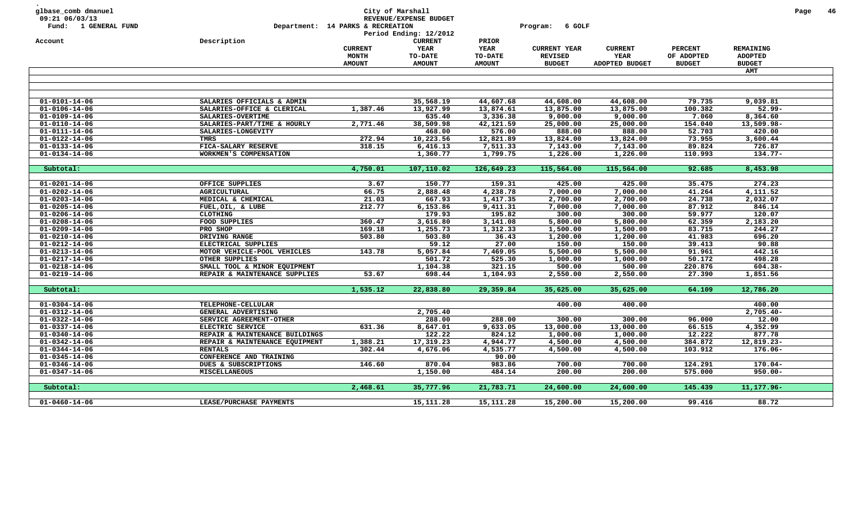| glbase_comb dmanuel<br>09:21 06/03/13<br>Fund: 1 GENERAL FUND<br>Account | Description                    | Department: 14 PARKS & RECREATION | City of Marshall<br>REVENUE/EXPENSE BUDGET<br>Period Ending: 12/2012<br><b>CURRENT</b> | PRIOR         | 6 GOLF<br>Program:  |                |                |                      | Page | 46 |
|--------------------------------------------------------------------------|--------------------------------|-----------------------------------|----------------------------------------------------------------------------------------|---------------|---------------------|----------------|----------------|----------------------|------|----|
|                                                                          |                                | <b>CURRENT</b>                    | YEAR                                                                                   | <b>YEAR</b>   | <b>CURRENT YEAR</b> | <b>CURRENT</b> | <b>PERCENT</b> | REMAINING            |      |    |
|                                                                          |                                | <b>MONTH</b>                      | TO-DATE                                                                                | TO-DATE       | <b>REVISED</b>      | YEAR           | OF ADOPTED     | <b>ADOPTED</b>       |      |    |
|                                                                          |                                | <b>AMOUNT</b>                     | <b>AMOUNT</b>                                                                          | <b>AMOUNT</b> | <b>BUDGET</b>       | ADOPTED BUDGET | <b>BUDGET</b>  | <b>BUDGET</b>        |      |    |
|                                                                          |                                |                                   |                                                                                        |               |                     |                |                | AMT                  |      |    |
|                                                                          |                                |                                   |                                                                                        |               |                     |                |                |                      |      |    |
|                                                                          |                                |                                   |                                                                                        |               |                     |                |                |                      |      |    |
|                                                                          |                                |                                   |                                                                                        |               |                     |                |                |                      |      |    |
| $01 - 0101 - 14 - 06$                                                    | SALARIES OFFICIALS & ADMIN     |                                   | 35,568.19                                                                              | 44,607.68     | 44,608.00           | 44,608.00      | 79.735         | 9,039.81             |      |    |
| $01 - 0106 - 14 - 06$                                                    | SALARIES-OFFICE & CLERICAL     | 1,387.46                          | 13,927.99                                                                              | 13,874.61     | 13,875.00           | 13,875.00      | 100.382        | $52.99 -$            |      |    |
| $01 - 0109 - 14 - 06$                                                    | SALARIES-OVERTIME              |                                   | 635.40                                                                                 | 3,336.38      | 9,000.00            | 9,000.00       | 7.060          | 8,364.60             |      |    |
| $01 - 0110 - 14 - 06$                                                    | SALARIES-PART/TIME & HOURLY    | 2,771.46                          | 38,509.98                                                                              | 42,121.59     | 25,000.00           | 25,000.00      | 154.040        | 13,509.98-           |      |    |
| 01-0111-14-06                                                            | SALARIES-LONGEVITY             |                                   | 468.00                                                                                 | 576.00        | 888.00              | 888.00         | 52.703         | 420.00               |      |    |
| $01 - 0122 - 14 - 06$                                                    | <b>TMRS</b>                    | 272.94                            | 10,223.56                                                                              | 12,821.89     | 13,824.00           | 13,824.00      | 73.955         | 3,600.44             |      |    |
| $01 - 0133 - 14 - 06$                                                    | FICA-SALARY RESERVE            | 318.15                            | 6,416.13                                                                               | 7,511.33      | 7,143.00            | 7,143.00       | 89.824         | 726.87               |      |    |
| $01 - 0134 - 14 - 06$                                                    | WORKMEN'S COMPENSATION         |                                   | 1,360.77                                                                               | 1,799.75      | 1,226.00            | 1,226.00       | 110.993        | $134.77-$            |      |    |
|                                                                          |                                |                                   |                                                                                        |               |                     |                |                |                      |      |    |
| Subtotal:                                                                |                                | 4,750.01                          | 107,110.02                                                                             | 126,649.23    | 115,564.00          | 115,564.00     | 92.685         | 8,453.98             |      |    |
| $01 - 0201 - 14 - 06$                                                    | OFFICE SUPPLIES                | 3.67                              | 150.77                                                                                 | 159.31        | 425.00              | 425.00         | 35.475         | 274.23               |      |    |
| $01 - 0202 - 14 - 06$                                                    | <b>AGRICULTURAL</b>            | 66.75                             | 2,888.48                                                                               | 4,238.78      | 7,000.00            | 7,000.00       | 41.264         |                      |      |    |
| $01 - 0203 - 14 - 06$                                                    | MEDICAL & CHEMICAL             | 21.03                             | 667.93                                                                                 | 1,417.35      | 2,700.00            | 2,700.00       | 24.738         | 4,111.52<br>2,032.07 |      |    |
| $01 - 0205 - 14 - 06$                                                    | FUEL, OIL, & LUBE              | 212.77                            | 6,153.86                                                                               | 9,411.31      | 7,000.00            | 7,000.00       | 87.912         | 846.14               |      |    |
| $01 - 0206 - 14 - 06$                                                    | <b>CLOTHING</b>                |                                   | 179.93                                                                                 | 195.82        | 300.00              | 300.00         | 59.977         | 120.07               |      |    |
| $01 - 0208 - 14 - 06$                                                    | FOOD SUPPLIES                  | 360.47                            | 3,616.80                                                                               | 3,141.08      | 5,800.00            | 5,800.00       | 62.359         | 2,183.20             |      |    |
| $01 - 0209 - 14 - 06$                                                    | PRO SHOP                       | 169.18                            | 1,255.73                                                                               | 1,312.33      | 1,500.00            | 1,500.00       | 83.715         | 244.27               |      |    |
| $01 - 0210 - 14 - 06$                                                    | DRIVING RANGE                  | 503.80                            | 503.80                                                                                 | 36.43         | 1,200.00            | 1,200.00       | 41.983         | 696.20               |      |    |
| $01 - 0212 - 14 - 06$                                                    | ELECTRICAL SUPPLIES            |                                   | 59.12                                                                                  | 27.00         | 150.00              | 150.00         | 39.413         | 90.88                |      |    |
| $01 - 0213 - 14 - 06$                                                    | MOTOR VEHICLE-POOL VEHICLES    | 143.78                            | 5,057.84                                                                               | 7,469.05      | 5,500.00            | 5,500.00       | 91.961         | 442.16               |      |    |
| $01 - 0217 - 14 - 06$                                                    | OTHER SUPPLIES                 |                                   | 501.72                                                                                 | 525.30        | 1,000.00            | 1,000.00       | 50.172         | 498.28               |      |    |
| $01 - 0218 - 14 - 06$                                                    | SMALL TOOL & MINOR EQUIPMENT   |                                   | 1,104.38                                                                               | 321.15        | 500.00              | 500.00         | 220.876        | 604.38-              |      |    |
| $01 - 0219 - 14 - 06$                                                    | REPAIR & MAINTENANCE SUPPLIES  | 53.67                             | 698.44                                                                                 | 1,104.93      | 2,550.00            | 2,550.00       | 27.390         | 1,851.56             |      |    |
|                                                                          |                                |                                   |                                                                                        |               |                     |                |                |                      |      |    |
| Subtotal:                                                                |                                | 1,535.12                          | 22,838.80                                                                              | 29,359.84     | 35,625.00           | 35,625.00      | 64.109         | 12,786.20            |      |    |
|                                                                          |                                |                                   |                                                                                        |               |                     |                |                |                      |      |    |
| $01 - 0304 - 14 - 06$                                                    | TELEPHONE-CELLULAR             |                                   |                                                                                        |               | 400.00              | 400.00         |                | 400.00               |      |    |
| $01 - 0312 - 14 - 06$                                                    | GENERAL ADVERTISING            |                                   | 2,705.40                                                                               |               |                     |                |                | $2,705.40 -$         |      |    |
| $01 - 0322 - 14 - 06$                                                    | SERVICE AGREEMENT-OTHER        |                                   | 288.00                                                                                 | 288.00        | 300.00              | 300.00         | 96.000         | 12.00                |      |    |
| $01 - 0337 - 14 - 06$                                                    | ELECTRIC SERVICE               | 631.36                            | 8,647.01                                                                               | 9,633.05      | 13,000.00           | 13,000.00      | 66.515         | 4,352.99             |      |    |
| $01 - 0340 - 14 - 06$                                                    | REPAIR & MAINTENANCE BUILDINGS |                                   | 122.22                                                                                 | 824.12        | 1,000.00            | 1,000.00       | 12.222         | 877.78               |      |    |
| $01 - 0342 - 14 - 06$                                                    | REPAIR & MAINTENANCE EQUIPMENT | 1,388.21                          | 17,319.23                                                                              | 4,944.77      | 4,500.00            | 4,500.00       | 384.872        | 12,819.23-           |      |    |
| $01 - 0344 - 14 - 06$                                                    | <b>RENTALS</b>                 | 302.44                            | 4,676.06                                                                               | 4,535.77      | 4,500.00            | 4,500.00       | 103.912        | $176.06 -$           |      |    |
| $01 - 0345 - 14 - 06$                                                    | CONFERENCE AND TRAINING        |                                   |                                                                                        | 90.00         |                     |                |                |                      |      |    |
| $01 - 0346 - 14 - 06$                                                    | DUES & SUBSCRIPTIONS           | 146.60                            | 870.04                                                                                 | 983.86        | 700.00              | 700.00         | 124.291        | $170.04 -$           |      |    |
| $01 - 0347 - 14 - 06$                                                    | <b>MISCELLANEOUS</b>           |                                   | 1,150.00                                                                               | 484.14        | 200.00              | 200.00         | 575.000        | $950.00 -$           |      |    |
| Subtotal:                                                                |                                | 2,468.61                          | 35,777.96                                                                              | 21,783.71     | 24,600.00           | 24,600.00      | 145.439        | 11, 177.96-          |      |    |
|                                                                          |                                |                                   |                                                                                        |               |                     |                |                |                      |      |    |
| $01 - 0460 - 14 - 06$                                                    | LEASE/PURCHASE PAYMENTS        |                                   | 15,111.28                                                                              | 15, 111.28    | 15,200.00           | 15,200.00      | 99.416         | 88.72                |      |    |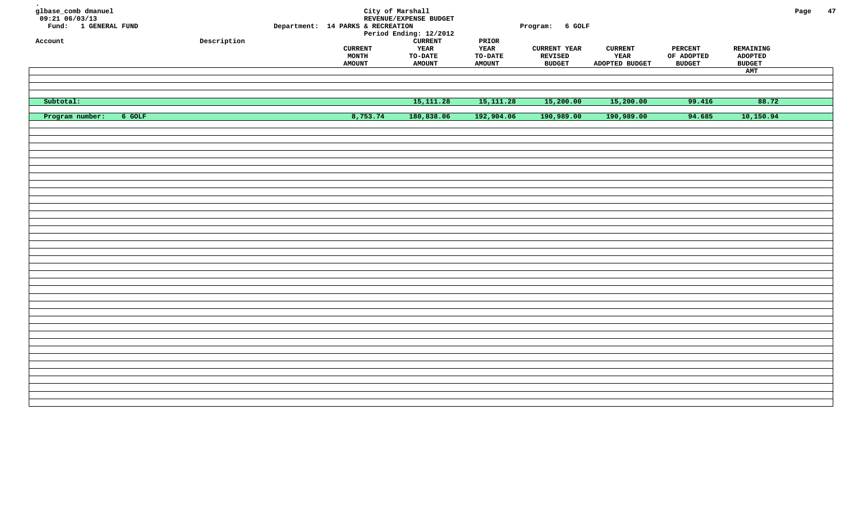| glbase_comb dmanuel<br>$09:21$ <sup>06/03/13</sup><br>Fund: 1 GENERAL FUND |                     | Department: 14 PARKS & RECREATION        | City of Marshall<br>REVENUE/EXPENSE BUDGET<br>Period Ending: 12/2012 |                                                 | Program: 6 GOLF                                 |                                          |                                               |                                              | Page | 47 |
|----------------------------------------------------------------------------|---------------------|------------------------------------------|----------------------------------------------------------------------|-------------------------------------------------|-------------------------------------------------|------------------------------------------|-----------------------------------------------|----------------------------------------------|------|----|
| Account                                                                    | ${\tt Description}$ | <b>CURRENT</b><br>MONTH<br><b>AMOUNT</b> | <b>CURRENT</b><br>YEAR<br>$_{\tt TO-DATE}$<br><b>AMOUNT</b>          | $\tt PRIOR$<br>YEAR<br>TO-DATE<br><b>AMOUNT</b> | <b>CURRENT YEAR</b><br>REVISED<br><b>BUDGET</b> | <b>CURRENT</b><br>YEAR<br>ADOPTED BUDGET | <b>PERCENT</b><br>OF ADOPTED<br><b>BUDGET</b> | REMAINING<br>ADOPTED<br><b>BUDGET</b><br>AMT |      |    |
|                                                                            |                     |                                          |                                                                      |                                                 |                                                 |                                          |                                               |                                              |      |    |
| Subtotal:                                                                  |                     |                                          | 15, 111.28                                                           | 15, 111.28                                      | 15,200.00                                       | 15,200.00                                | 99.416                                        | 88.72                                        |      |    |
| Program number:<br>$6$ GOLF                                                |                     | 8,753.74                                 | 180,838.06                                                           | 192,904.06                                      | 190,989.00                                      | 190,989.00                               | 94.685                                        | 10,150.94                                    |      |    |
|                                                                            |                     |                                          |                                                                      |                                                 |                                                 |                                          |                                               |                                              |      |    |
|                                                                            |                     |                                          |                                                                      |                                                 |                                                 |                                          |                                               |                                              |      |    |
|                                                                            |                     |                                          |                                                                      |                                                 |                                                 |                                          |                                               |                                              |      |    |
|                                                                            |                     |                                          |                                                                      |                                                 |                                                 |                                          |                                               |                                              |      |    |
|                                                                            |                     |                                          |                                                                      |                                                 |                                                 |                                          |                                               |                                              |      |    |
|                                                                            |                     |                                          |                                                                      |                                                 |                                                 |                                          |                                               |                                              |      |    |
|                                                                            |                     |                                          |                                                                      |                                                 |                                                 |                                          |                                               |                                              |      |    |
|                                                                            |                     |                                          |                                                                      |                                                 |                                                 |                                          |                                               |                                              |      |    |
|                                                                            |                     |                                          |                                                                      |                                                 |                                                 |                                          |                                               |                                              |      |    |
|                                                                            |                     |                                          |                                                                      |                                                 |                                                 |                                          |                                               |                                              |      |    |
|                                                                            |                     |                                          |                                                                      |                                                 |                                                 |                                          |                                               |                                              |      |    |
|                                                                            |                     |                                          |                                                                      |                                                 |                                                 |                                          |                                               |                                              |      |    |
|                                                                            |                     |                                          |                                                                      |                                                 |                                                 |                                          |                                               |                                              |      |    |
|                                                                            |                     |                                          |                                                                      |                                                 |                                                 |                                          |                                               |                                              |      |    |
|                                                                            |                     |                                          |                                                                      |                                                 |                                                 |                                          |                                               |                                              |      |    |
|                                                                            |                     |                                          |                                                                      |                                                 |                                                 |                                          |                                               |                                              |      |    |
|                                                                            |                     |                                          |                                                                      |                                                 |                                                 |                                          |                                               |                                              |      |    |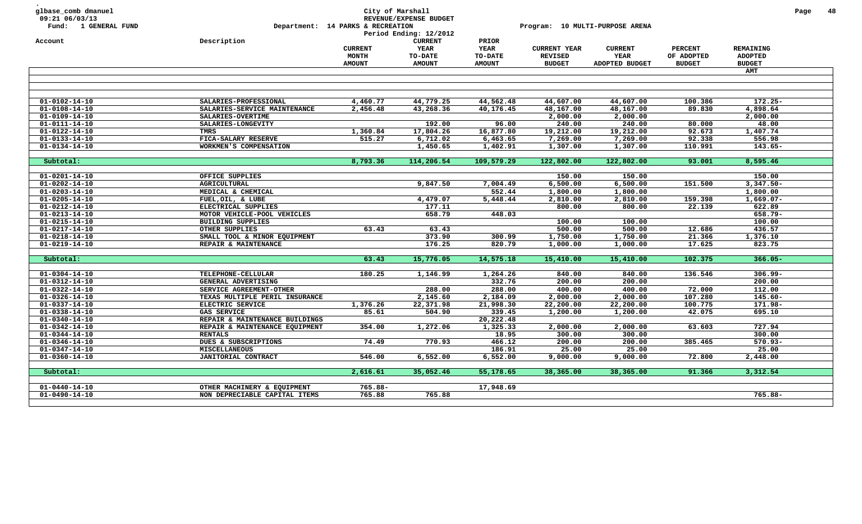|                                                |                                                  | Department: 14 PARKS & RECREATION | REVENUE/EXPENSE BUDGET<br>Period Ending: 12/2012<br><b>CURRENT</b> |                                 | Program: 10 MULTI-PURPOSE ARENA       |                        |                              |                                    |  |
|------------------------------------------------|--------------------------------------------------|-----------------------------------|--------------------------------------------------------------------|---------------------------------|---------------------------------------|------------------------|------------------------------|------------------------------------|--|
| Account                                        | Description                                      | <b>CURRENT</b><br><b>MONTH</b>    | YEAR<br>TO-DATE                                                    | PRIOR<br><b>YEAR</b><br>TO-DATE | <b>CURRENT YEAR</b><br><b>REVISED</b> | <b>CURRENT</b><br>YEAR | <b>PERCENT</b><br>OF ADOPTED | <b>REMAINING</b><br><b>ADOPTED</b> |  |
|                                                |                                                  | <b>AMOUNT</b>                     | <b>AMOUNT</b>                                                      | <b>AMOUNT</b>                   | <b>BUDGET</b>                         | ADOPTED BUDGET         | <b>BUDGET</b>                | <b>BUDGET</b>                      |  |
|                                                |                                                  |                                   |                                                                    |                                 |                                       |                        |                              | <b>AMT</b>                         |  |
|                                                |                                                  |                                   |                                                                    |                                 |                                       |                        |                              |                                    |  |
| $01 - 0102 - 14 - 10$                          | SALARIES-PROFESSIONAL                            | 4,460.77                          | 44,779.25                                                          | 44,562.48                       | 44,607.00                             | 44,607.00              | 100.386                      | $172.25 -$                         |  |
| $01 - 0108 - 14 - 10$                          | SALARIES-SERVICE MAINTENANCE                     | 2,456.48                          | 43,268.36                                                          | 40,176.45                       | 48,167.00                             | 48,167.00              | 89.830                       | 4,898.64                           |  |
| $01 - 0109 - 14 - 10$                          | SALARIES-OVERTIME                                |                                   |                                                                    |                                 | 2,000.00                              | 2,000.00               |                              | 2,000.00                           |  |
| $01 - 0111 - 14 - 10$                          | SALARIES-LONGEVITY                               |                                   | 192.00                                                             | 96.00                           | 240.00                                | 240.00                 | 80.000                       | 48.00                              |  |
| $01 - 0122 - 14 - 10$                          | TMRS                                             | 1,360.84                          | 17,804.26                                                          | 16,877.80                       | 19,212.00                             | 19,212.00              | 92.673                       | 1,407.74                           |  |
| $01 - 0133 - 14 - 10$                          | FICA-SALARY RESERVE                              | 515.27                            | 6,712.02                                                           | 6,463.65                        | 7,269.00                              | 7,269.00               | 92.338                       | 556.98                             |  |
| $01 - 0134 - 14 - 10$                          | WORKMEN'S COMPENSATION                           |                                   | 1,450.65                                                           | 1,402.91                        | 1,307.00                              | 1,307.00               | 110.991                      | $143.65 -$                         |  |
|                                                |                                                  |                                   |                                                                    |                                 |                                       |                        |                              |                                    |  |
| Subtotal:                                      |                                                  | 8,793.36                          | 114,206.54                                                         | 109,579.29                      | 122,802.00                            | 122,802.00             | 93.001                       | 8,595.46                           |  |
|                                                |                                                  |                                   |                                                                    |                                 |                                       |                        |                              |                                    |  |
| $01 - 0201 - 14 - 10$                          | OFFICE SUPPLIES                                  |                                   |                                                                    |                                 | 150.00                                | 150.00                 |                              | 150.00                             |  |
| $01 - 0202 - 14 - 10$                          | <b>AGRICULTURAL</b>                              |                                   | 9,847.50                                                           | 7,004.49                        | 6,500.00                              | 6,500.00               | 151.500                      | $3,347.50 -$                       |  |
| $01 - 0203 - 14 - 10$                          | MEDICAL & CHEMICAL                               |                                   |                                                                    | 552.44                          | 1,800.00                              | 1,800.00               |                              | 1,800.00                           |  |
| $01 - 0205 - 14 - 10$                          | FUEL, OIL, & LUBE                                |                                   | 4,479.07                                                           | 5,448.44                        | 2,810.00                              | 2,810.00               | 159.398                      | $1,669.07-$                        |  |
| $01 - 0212 - 14 - 10$                          | ELECTRICAL SUPPLIES                              |                                   | 177.11                                                             |                                 | 800.00                                | 800.00                 | 22.139                       | 622.89                             |  |
| $01 - 0213 - 14 - 10$                          | MOTOR VEHICLE-POOL VEHICLES                      |                                   | 658.79                                                             | 448.03                          |                                       |                        |                              | 658.79-                            |  |
| $01 - 0215 - 14 - 10$                          | <b>BUILDING SUPPLIES</b>                         |                                   |                                                                    |                                 | 100.00                                | 100.00                 |                              | 100.00                             |  |
| $01 - 0217 - 14 - 10$                          | OTHER SUPPLIES                                   | 63.43                             | 63.43                                                              |                                 | 500.00                                | 500.00                 | 12.686                       | 436.57                             |  |
| $01 - 0218 - 14 - 10$                          | SMALL TOOL & MINOR EQUIPMENT                     |                                   | 373.90                                                             | 300.99                          | 1,750.00                              | 1,750.00               | 21.366                       | 1,376.10                           |  |
| $01 - 0219 - 14 - 10$                          | REPAIR & MAINTENANCE                             |                                   | 176.25                                                             | 820.79                          | 1,000.00                              | 1,000.00               | 17.625                       | 823.75                             |  |
| Subtotal:                                      |                                                  | 63.43                             | 15,776.05                                                          | 14,575.18                       | 15,410.00                             | 15,410.00              | 102.375                      | $366.05 -$                         |  |
|                                                |                                                  |                                   |                                                                    |                                 |                                       |                        |                              |                                    |  |
| $01 - 0304 - 14 - 10$                          | TELEPHONE-CELLULAR                               | 180.25                            | 1,146.99                                                           | 1,264.26                        | 840.00                                | 840.00                 | 136.546                      | $306.99 -$                         |  |
| $01 - 0312 - 14 - 10$                          | GENERAL ADVERTISING                              |                                   |                                                                    | 332.76                          | 200.00                                | 200.00                 |                              | 200.00                             |  |
| $01 - 0322 - 14 - 10$                          | SERVICE AGREEMENT-OTHER                          |                                   | 288.00                                                             | 288.00                          | 400.00                                | 400.00                 | 72.000                       | 112.00                             |  |
| $01 - 0326 - 14 - 10$                          | TEXAS MULTIPLE PERIL INSURANCE                   |                                   | 2,145.60                                                           | 2,184.09                        | 2,000.00                              | 2,000.00               | 107.280                      | $145.60 -$                         |  |
| $01 - 0337 - 14 - 10$                          | ELECTRIC SERVICE                                 | 1,376.26                          | 22,371.98                                                          | 21,998.30                       | 22,200.00                             | 22,200.00              | 100.775                      | $171.98 -$                         |  |
| $01 - 0338 - 14 - 10$<br>$01 - 0340 - 14 - 10$ | <b>GAS SERVICE</b>                               | 85.61                             | 504.90                                                             | 339.45                          | 1,200.00                              | 1,200.00               | 42.075                       | 695.10                             |  |
|                                                | REPAIR & MAINTENANCE BUILDINGS                   | 354.00                            | 1,272.06                                                           | 20,222.48<br>1,325.33           |                                       |                        | 63.603                       | 727.94                             |  |
| $01 - 0342 - 14 - 10$<br>$01 - 0344 - 14 - 10$ | REPAIR & MAINTENANCE EQUIPMENT<br><b>RENTALS</b> |                                   |                                                                    | 18.95                           | 2,000.00<br>300.00                    | 2,000.00<br>300.00     |                              | 300.00                             |  |
| $01 - 0346 - 14 - 10$                          | DUES & SUBSCRIPTIONS                             | 74.49                             | 770.93                                                             | 466.12                          | 200.00                                | 200.00                 | 385.465                      | $570.93 -$                         |  |
| $01 - 0347 - 14 - 10$                          | <b>MISCELLANEOUS</b>                             |                                   |                                                                    | 186.91                          | 25.00                                 | 25.00                  |                              | 25.00                              |  |
| $01 - 0360 - 14 - 10$                          | <b>JANITORIAL CONTRACT</b>                       | 546.00                            | 6,552.00                                                           | 6,552.00                        | 9,000.00                              | 9,000.00               | 72.800                       | 2,448.00                           |  |
|                                                |                                                  |                                   |                                                                    |                                 |                                       |                        |                              |                                    |  |
| Subtotal:                                      |                                                  | 2,616.61                          | 35,052.46                                                          | 55,178.65                       | 38,365.00                             | 38,365.00              | 91.366                       | 3,312.54                           |  |
|                                                |                                                  |                                   |                                                                    |                                 |                                       |                        |                              |                                    |  |
| $01 - 0440 - 14 - 10$                          | OTHER MACHINERY & EQUIPMENT                      | $765.88 -$                        |                                                                    | 17,948.69                       |                                       |                        |                              |                                    |  |
| $01 - 0490 - 14 - 10$                          | NON DEPRECIABLE CAPITAL ITEMS                    | 765.88                            | 765.88                                                             |                                 |                                       |                        |                              | $765.88 -$                         |  |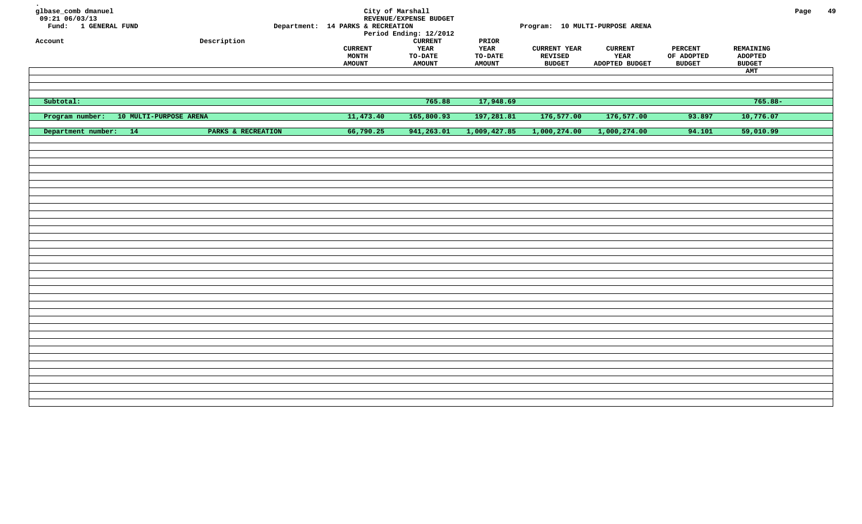| glbase_comb dmanuel<br>$09:21$ 06/03/13<br>Fund: 1 GENERAL FUND |                    | Department: 14 PARKS & RECREATION        | City of Marshall<br>REVENUE/EXPENSE BUDGET<br>Period Ending: 12/2012 |                                                          |                                                 | Program: 10 MULTI-PURPOSE ARENA          |                                               |                                                     | Page | 49 |
|-----------------------------------------------------------------|--------------------|------------------------------------------|----------------------------------------------------------------------|----------------------------------------------------------|-------------------------------------------------|------------------------------------------|-----------------------------------------------|-----------------------------------------------------|------|----|
| Account                                                         | Description        | <b>CURRENT</b><br>MONTH<br><b>AMOUNT</b> | <b>CURRENT</b><br>YEAR<br>$_{\tt TO-DATE}$<br><b>AMOUNT</b>          | $\tt PRIOR$<br>YEAR<br>$_{\tt TO-DATE}$<br><b>AMOUNT</b> | <b>CURRENT YEAR</b><br>REVISED<br><b>BUDGET</b> | <b>CURRENT</b><br>YEAR<br>ADOPTED BUDGET | <b>PERCENT</b><br>OF ADOPTED<br><b>BUDGET</b> | REMAINING<br><b>ADOPTED</b><br><b>BUDGET</b><br>AMT |      |    |
|                                                                 |                    |                                          |                                                                      |                                                          |                                                 |                                          |                                               |                                                     |      |    |
| Subtotal:                                                       |                    |                                          | 765.88                                                               | 17,948.69                                                |                                                 |                                          |                                               | $765.88 -$                                          |      |    |
| Program number: 10 MULTI-PURPOSE ARENA                          |                    | 11,473.40                                | 165,800.93                                                           | 197,281.81                                               | 176,577.00                                      | 176,577.00                               | 93.897                                        | 10,776.07                                           |      |    |
| Department number: 14                                           | PARKS & RECREATION | 66,790.25                                | 941,263.01                                                           | 1,009,427.85                                             | 1,000,274.00                                    | 1,000,274.00                             | 94.101                                        | 59,010.99                                           |      |    |
|                                                                 |                    |                                          |                                                                      |                                                          |                                                 |                                          |                                               |                                                     |      |    |
|                                                                 |                    |                                          |                                                                      |                                                          |                                                 |                                          |                                               |                                                     |      |    |
|                                                                 |                    |                                          |                                                                      |                                                          |                                                 |                                          |                                               |                                                     |      |    |
|                                                                 |                    |                                          |                                                                      |                                                          |                                                 |                                          |                                               |                                                     |      |    |
|                                                                 |                    |                                          |                                                                      |                                                          |                                                 |                                          |                                               |                                                     |      |    |
|                                                                 |                    |                                          |                                                                      |                                                          |                                                 |                                          |                                               |                                                     |      |    |
|                                                                 |                    |                                          |                                                                      |                                                          |                                                 |                                          |                                               |                                                     |      |    |
|                                                                 |                    |                                          |                                                                      |                                                          |                                                 |                                          |                                               |                                                     |      |    |
|                                                                 |                    |                                          |                                                                      |                                                          |                                                 |                                          |                                               |                                                     |      |    |
|                                                                 |                    |                                          |                                                                      |                                                          |                                                 |                                          |                                               |                                                     |      |    |
|                                                                 |                    |                                          |                                                                      |                                                          |                                                 |                                          |                                               |                                                     |      |    |
|                                                                 |                    |                                          |                                                                      |                                                          |                                                 |                                          |                                               |                                                     |      |    |
|                                                                 |                    |                                          |                                                                      |                                                          |                                                 |                                          |                                               |                                                     |      |    |
|                                                                 |                    |                                          |                                                                      |                                                          |                                                 |                                          |                                               |                                                     |      |    |
|                                                                 |                    |                                          |                                                                      |                                                          |                                                 |                                          |                                               |                                                     |      |    |
|                                                                 |                    |                                          |                                                                      |                                                          |                                                 |                                          |                                               |                                                     |      |    |
|                                                                 |                    |                                          |                                                                      |                                                          |                                                 |                                          |                                               |                                                     |      |    |
|                                                                 |                    |                                          |                                                                      |                                                          |                                                 |                                          |                                               |                                                     |      |    |
|                                                                 |                    |                                          |                                                                      |                                                          |                                                 |                                          |                                               |                                                     |      |    |
|                                                                 |                    |                                          |                                                                      |                                                          |                                                 |                                          |                                               |                                                     |      |    |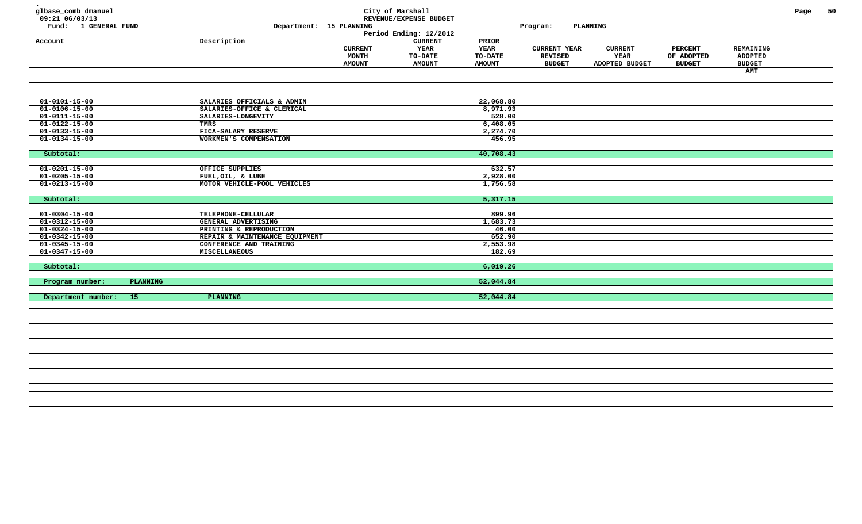| glbase_comb dmanuel<br>09:21 06/03/13<br>Fund: 1 GENERAL FUND |          | Department: 15 PLANNING        |                                                 | City of Marshall<br>REVENUE/EXPENSE BUDGET<br>Period Ending: 12/2012 |                                                  | Program:                                               | PLANNING                                 |                                               |                                              | Page | 50 |
|---------------------------------------------------------------|----------|--------------------------------|-------------------------------------------------|----------------------------------------------------------------------|--------------------------------------------------|--------------------------------------------------------|------------------------------------------|-----------------------------------------------|----------------------------------------------|------|----|
| Account                                                       |          | Description                    | <b>CURRENT</b><br><b>MONTH</b><br><b>AMOUNT</b> | ${\tt CURRENT}$<br>YEAR<br>TO-DATE<br><b>AMOUNT</b>                  | PRIOR<br><b>YEAR</b><br>TO-DATE<br><b>AMOUNT</b> | <b>CURRENT YEAR</b><br><b>REVISED</b><br><b>BUDGET</b> | <b>CURRENT</b><br>YEAR<br>ADOPTED BUDGET | <b>PERCENT</b><br>OF ADOPTED<br><b>BUDGET</b> | REMAINING<br><b>ADOPTED</b><br><b>BUDGET</b> |      |    |
|                                                               |          |                                |                                                 |                                                                      |                                                  |                                                        |                                          |                                               | <b>AMT</b>                                   |      |    |
|                                                               |          |                                |                                                 |                                                                      |                                                  |                                                        |                                          |                                               |                                              |      |    |
| $\overline{01-0101-15-00}$                                    |          | SALARIES OFFICIALS & ADMIN     |                                                 |                                                                      | 22,068.80                                        |                                                        |                                          |                                               |                                              |      |    |
| $01 - 0106 - 15 - 00$                                         |          | SALARIES-OFFICE & CLERICAL     |                                                 |                                                                      | 8,971.93                                         |                                                        |                                          |                                               |                                              |      |    |
| $01 - 0111 - 15 - 00$                                         |          | SALARIES-LONGEVITY             |                                                 |                                                                      | 528.00                                           |                                                        |                                          |                                               |                                              |      |    |
| $\overline{01-0122-15-00}$                                    |          | <b>TMRS</b>                    |                                                 |                                                                      | 6,408.05                                         |                                                        |                                          |                                               |                                              |      |    |
| $01 - 0133 - 15 - 00$                                         |          | FICA-SALARY RESERVE            |                                                 |                                                                      | 2,274.70                                         |                                                        |                                          |                                               |                                              |      |    |
| $01 - 0134 - 15 - 00$                                         |          | WORKMEN'S COMPENSATION         |                                                 |                                                                      | 456.95                                           |                                                        |                                          |                                               |                                              |      |    |
| Subtotal:                                                     |          |                                |                                                 |                                                                      | 40,708.43                                        |                                                        |                                          |                                               |                                              |      |    |
| $01 - 0201 - 15 - 00$                                         |          | OFFICE SUPPLIES                |                                                 |                                                                      | 632.57                                           |                                                        |                                          |                                               |                                              |      |    |
| $01 - 0205 - 15 - 00$                                         |          | FUEL, OIL, & LUBE              |                                                 |                                                                      | 2,928.00                                         |                                                        |                                          |                                               |                                              |      |    |
| $01 - 0213 - 15 - 00$                                         |          | MOTOR VEHICLE-POOL VEHICLES    |                                                 |                                                                      | 1,756.58                                         |                                                        |                                          |                                               |                                              |      |    |
| Subtotal:                                                     |          |                                |                                                 |                                                                      | 5,317.15                                         |                                                        |                                          |                                               |                                              |      |    |
| $01 - 0304 - 15 - 00$                                         |          | TELEPHONE-CELLULAR             |                                                 |                                                                      | 899.96                                           |                                                        |                                          |                                               |                                              |      |    |
| $01 - 0312 - 15 - 00$                                         |          | <b>GENERAL ADVERTISING</b>     |                                                 |                                                                      | 1,683.73                                         |                                                        |                                          |                                               |                                              |      |    |
| $01 - 0324 - 15 - 00$                                         |          | PRINTING & REPRODUCTION        |                                                 |                                                                      | 46.00                                            |                                                        |                                          |                                               |                                              |      |    |
| $01 - 0342 - 15 - 00$                                         |          | REPAIR & MAINTENANCE EQUIPMENT |                                                 |                                                                      | 652.90                                           |                                                        |                                          |                                               |                                              |      |    |
| $01 - 0345 - 15 - 00$                                         |          | CONFERENCE AND TRAINING        |                                                 |                                                                      | 2,553.98                                         |                                                        |                                          |                                               |                                              |      |    |
| $01 - 0347 - 15 - 00$                                         |          | <b>MISCELLANEOUS</b>           |                                                 |                                                                      | 182.69                                           |                                                        |                                          |                                               |                                              |      |    |
| Subtotal:                                                     |          |                                |                                                 |                                                                      | 6,019.26                                         |                                                        |                                          |                                               |                                              |      |    |
| Program number:                                               | PLANNING |                                |                                                 |                                                                      | 52,044.84                                        |                                                        |                                          |                                               |                                              |      |    |
| Department number:                                            | 15       | PLANNING                       |                                                 |                                                                      | 52,044.84                                        |                                                        |                                          |                                               |                                              |      |    |
|                                                               |          |                                |                                                 |                                                                      |                                                  |                                                        |                                          |                                               |                                              |      |    |
|                                                               |          |                                |                                                 |                                                                      |                                                  |                                                        |                                          |                                               |                                              |      |    |
|                                                               |          |                                |                                                 |                                                                      |                                                  |                                                        |                                          |                                               |                                              |      |    |
|                                                               |          |                                |                                                 |                                                                      |                                                  |                                                        |                                          |                                               |                                              |      |    |
|                                                               |          |                                |                                                 |                                                                      |                                                  |                                                        |                                          |                                               |                                              |      |    |
|                                                               |          |                                |                                                 |                                                                      |                                                  |                                                        |                                          |                                               |                                              |      |    |
|                                                               |          |                                |                                                 |                                                                      |                                                  |                                                        |                                          |                                               |                                              |      |    |
|                                                               |          |                                |                                                 |                                                                      |                                                  |                                                        |                                          |                                               |                                              |      |    |
|                                                               |          |                                |                                                 |                                                                      |                                                  |                                                        |                                          |                                               |                                              |      |    |
|                                                               |          |                                |                                                 |                                                                      |                                                  |                                                        |                                          |                                               |                                              |      |    |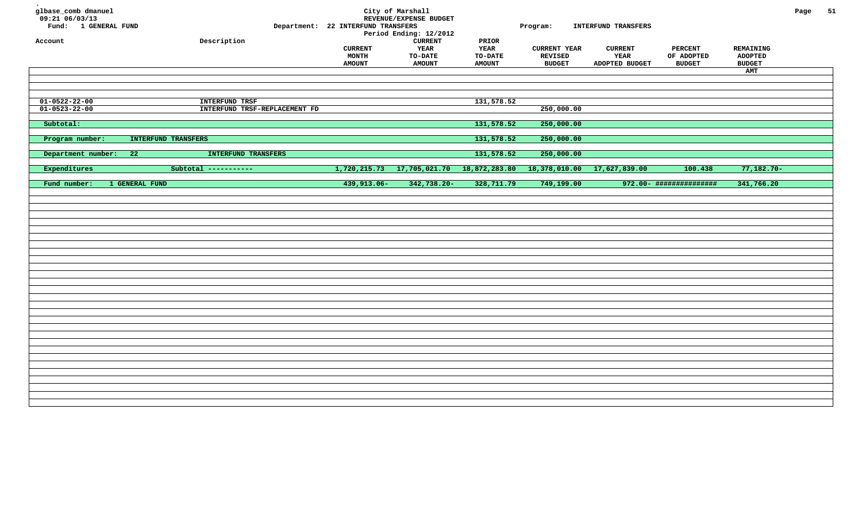| glbase_comb dmanuel<br>$09:21$ 06/03/13<br>Fund: 1 GENERAL FUND<br>Account | Description                                            | Department: 22 INTERFUND TRANSFERS<br><b>CURRENT</b><br>MONTH<br><b>AMOUNT</b> | City of Marshall<br>REVENUE/EXPENSE BUDGET<br>Period Ending: 12/2012<br><b>CURRENT</b><br>YEAR<br>TO-DATE<br><b>AMOUNT</b> | PRIOR<br>YEAR<br><b>TO-DATE</b><br><b>AMOUNT</b> | Program:<br><b>CURRENT YEAR</b><br><b>REVISED</b><br><b>BUDGET</b> | INTERFUND TRANSFERS<br><b>CURRENT</b><br>YEAR<br>ADOPTED BUDGET | <b>PERCENT</b><br>OF ADOPTED<br><b>BUDGET</b> | REMAINING<br><b>ADOPTED</b><br><b>BUDGET</b><br>AMT | Page | 51 |
|----------------------------------------------------------------------------|--------------------------------------------------------|--------------------------------------------------------------------------------|----------------------------------------------------------------------------------------------------------------------------|--------------------------------------------------|--------------------------------------------------------------------|-----------------------------------------------------------------|-----------------------------------------------|-----------------------------------------------------|------|----|
|                                                                            |                                                        |                                                                                |                                                                                                                            |                                                  |                                                                    |                                                                 |                                               |                                                     |      |    |
| $01 - 0522 - 22 - 00$<br>$01 - 0523 - 22 - 00$                             | <b>INTERFUND TRSF</b><br>INTERFUND TRSF-REPLACEMENT FD |                                                                                |                                                                                                                            | 131,578.52                                       | 250,000.00                                                         |                                                                 |                                               |                                                     |      |    |
| Subtotal:                                                                  |                                                        |                                                                                |                                                                                                                            | 131,578.52                                       | 250,000.00                                                         |                                                                 |                                               |                                                     |      |    |
| Program number:<br>INTERFUND TRANSFERS                                     |                                                        |                                                                                |                                                                                                                            | 131,578.52                                       | 250,000.00                                                         |                                                                 |                                               |                                                     |      |    |
| Department number:<br>22                                                   | INTERFUND TRANSFERS                                    |                                                                                |                                                                                                                            | 131,578.52                                       | 250,000.00                                                         |                                                                 |                                               |                                                     |      |    |
| Expenditures                                                               | Subtotal -----------                                   | 1,720,215.73                                                                   | 17,705,021.70                                                                                                              | 18,872,283.80                                    | 18,378,010.00                                                      | 17,627,839.00                                                   | 100.438                                       | $77,182.70-$                                        |      |    |
| 1 GENERAL FUND<br>Fund number:                                             |                                                        | 439,913.06-                                                                    | 342,738.20-                                                                                                                | 328,711.79                                       | 749,199.00                                                         |                                                                 | 972.00- ###############                       | 341,766.20                                          |      |    |
|                                                                            |                                                        |                                                                                |                                                                                                                            |                                                  |                                                                    |                                                                 |                                               |                                                     |      |    |
|                                                                            |                                                        |                                                                                |                                                                                                                            |                                                  |                                                                    |                                                                 |                                               |                                                     |      |    |
|                                                                            |                                                        |                                                                                |                                                                                                                            |                                                  |                                                                    |                                                                 |                                               |                                                     |      |    |
|                                                                            |                                                        |                                                                                |                                                                                                                            |                                                  |                                                                    |                                                                 |                                               |                                                     |      |    |
|                                                                            |                                                        |                                                                                |                                                                                                                            |                                                  |                                                                    |                                                                 |                                               |                                                     |      |    |
|                                                                            |                                                        |                                                                                |                                                                                                                            |                                                  |                                                                    |                                                                 |                                               |                                                     |      |    |
|                                                                            |                                                        |                                                                                |                                                                                                                            |                                                  |                                                                    |                                                                 |                                               |                                                     |      |    |
|                                                                            |                                                        |                                                                                |                                                                                                                            |                                                  |                                                                    |                                                                 |                                               |                                                     |      |    |
|                                                                            |                                                        |                                                                                |                                                                                                                            |                                                  |                                                                    |                                                                 |                                               |                                                     |      |    |
|                                                                            |                                                        |                                                                                |                                                                                                                            |                                                  |                                                                    |                                                                 |                                               |                                                     |      |    |
|                                                                            |                                                        |                                                                                |                                                                                                                            |                                                  |                                                                    |                                                                 |                                               |                                                     |      |    |
|                                                                            |                                                        |                                                                                |                                                                                                                            |                                                  |                                                                    |                                                                 |                                               |                                                     |      |    |
|                                                                            |                                                        |                                                                                |                                                                                                                            |                                                  |                                                                    |                                                                 |                                               |                                                     |      |    |
|                                                                            |                                                        |                                                                                |                                                                                                                            |                                                  |                                                                    |                                                                 |                                               |                                                     |      |    |
|                                                                            |                                                        |                                                                                |                                                                                                                            |                                                  |                                                                    |                                                                 |                                               |                                                     |      |    |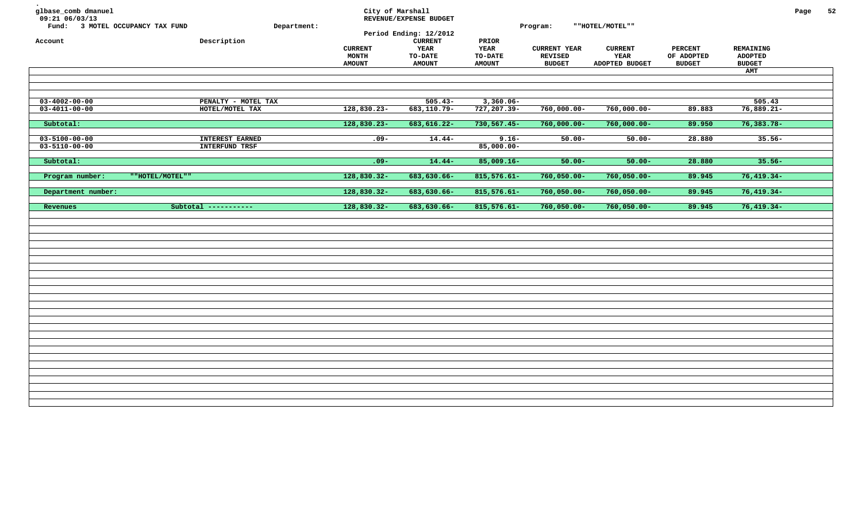| glbase_comb dmanuel<br>09:21 06/03/13<br>Fund: 3 MOTEL OCCUPANCY TAX FUND |                                                 | Department:                                     | City of Marshall<br>REVENUE/EXPENSE BUDGET<br>Period Ending: 12/2012 |                                                  | Program:                                               | ""HOTEL/MOTEL""                          |                                               |                                                     | Page | 52 |
|---------------------------------------------------------------------------|-------------------------------------------------|-------------------------------------------------|----------------------------------------------------------------------|--------------------------------------------------|--------------------------------------------------------|------------------------------------------|-----------------------------------------------|-----------------------------------------------------|------|----|
| Account                                                                   | Description                                     | <b>CURRENT</b><br><b>MONTH</b><br><b>AMOUNT</b> | <b>CURRENT</b><br>YEAR<br>TO-DATE<br><b>AMOUNT</b>                   | PRIOR<br><b>YEAR</b><br>TO-DATE<br><b>AMOUNT</b> | <b>CURRENT YEAR</b><br><b>REVISED</b><br><b>BUDGET</b> | <b>CURRENT</b><br>YEAR<br>ADOPTED BUDGET | <b>PERCENT</b><br>OF ADOPTED<br><b>BUDGET</b> | REMAINING<br><b>ADOPTED</b><br><b>BUDGET</b><br>AMT |      |    |
|                                                                           |                                                 |                                                 |                                                                      |                                                  |                                                        |                                          |                                               |                                                     |      |    |
| $03 - 4002 - 00 - 00$                                                     | PENALTY - MOTEL TAX                             |                                                 | $505.43-$                                                            | $3,360.06 -$                                     |                                                        |                                          |                                               | 505.43                                              |      |    |
| $03 - 4011 - 00 - 00$                                                     | HOTEL/MOTEL TAX                                 | $128,830.23-$                                   | $683, 110.79 -$                                                      | 727,207.39-                                      | $760,000.00 -$                                         | $760,000.00 -$                           | 89.883                                        | $76,889.21-$                                        |      |    |
| Subtotal:                                                                 |                                                 | 128,830.23-                                     | 683, 616.22-                                                         | 730,567.45-                                      | $760,000.00 -$                                         | $760,000.00 -$                           | 89.950                                        | $76,383.78-$                                        |      |    |
| $03 - 5100 - 00 - 00$<br>$03 - 5110 - 00 - 00$                            | <b>INTEREST EARNED</b><br><b>INTERFUND TRSF</b> | $.09 -$                                         | $14.44-$                                                             | $9.16 -$<br>$85,000.00-$                         | $50.00 -$                                              | $50.00 -$                                | 28.880                                        | $35.56 -$                                           |      |    |
| Subtotal:                                                                 |                                                 | $.09 -$                                         | $14.44-$                                                             | $85,009.16 -$                                    | $50.00 -$                                              | $50.00 -$                                | 28.880                                        | $35.56 -$                                           |      |    |
| Program number:                                                           | ""HOTEL/MOTEL""                                 | 128,830.32-                                     | 683,630.66-                                                          | $815,576.61-$                                    | $760,050.00 -$                                         | $760,050.00 -$                           | 89.945                                        | $76,419.34-$                                        |      |    |
| Department number:                                                        |                                                 | 128,830.32-                                     | 683,630.66-                                                          | $815,576.61-$                                    | $760,050.00 -$                                         | $760,050.00 -$                           | 89.945                                        | $76,419.34-$                                        |      |    |
| Revenues                                                                  | Subtotal -----------                            | 128,830.32-                                     | 683,630.66-                                                          | $815,576.61 -$                                   | $760,050.00 -$                                         | $760,050.00 -$                           | 89.945                                        | $76,419.34-$                                        |      |    |
|                                                                           |                                                 |                                                 |                                                                      |                                                  |                                                        |                                          |                                               |                                                     |      |    |
|                                                                           |                                                 |                                                 |                                                                      |                                                  |                                                        |                                          |                                               |                                                     |      |    |
|                                                                           |                                                 |                                                 |                                                                      |                                                  |                                                        |                                          |                                               |                                                     |      |    |
|                                                                           |                                                 |                                                 |                                                                      |                                                  |                                                        |                                          |                                               |                                                     |      |    |
|                                                                           |                                                 |                                                 |                                                                      |                                                  |                                                        |                                          |                                               |                                                     |      |    |
|                                                                           |                                                 |                                                 |                                                                      |                                                  |                                                        |                                          |                                               |                                                     |      |    |
|                                                                           |                                                 |                                                 |                                                                      |                                                  |                                                        |                                          |                                               |                                                     |      |    |
|                                                                           |                                                 |                                                 |                                                                      |                                                  |                                                        |                                          |                                               |                                                     |      |    |
|                                                                           |                                                 |                                                 |                                                                      |                                                  |                                                        |                                          |                                               |                                                     |      |    |
|                                                                           |                                                 |                                                 |                                                                      |                                                  |                                                        |                                          |                                               |                                                     |      |    |
|                                                                           |                                                 |                                                 |                                                                      |                                                  |                                                        |                                          |                                               |                                                     |      |    |
|                                                                           |                                                 |                                                 |                                                                      |                                                  |                                                        |                                          |                                               |                                                     |      |    |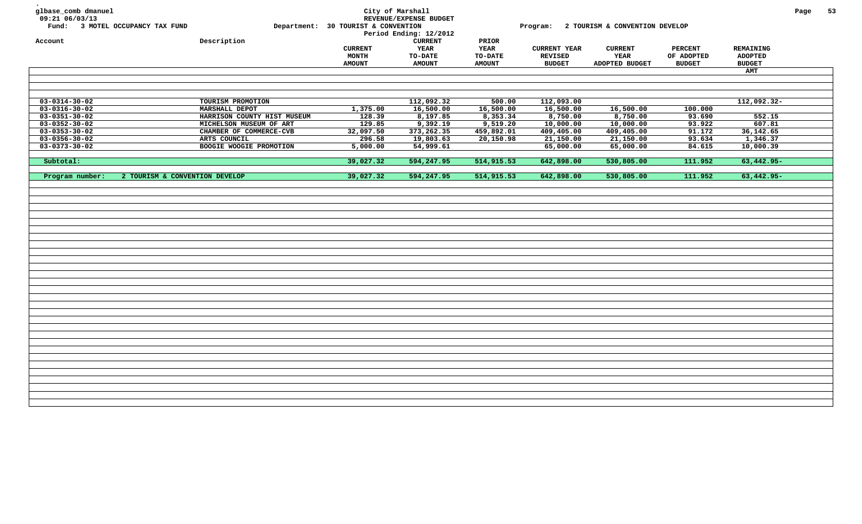| glbase_comb dmanuel<br>09:21 06/03/13<br>Account | Fund: 3 MOTEL OCCUPANCY TAX FUND<br>Description | Department: 30 TOURIST & CONVENTION             | City of Marshall<br>REVENUE/EXPENSE BUDGET<br>Period Ending: 12/2012<br><b>CURRENT</b> | PRIOR           |                                                 | Program: 2 TOURISM & CONVENTION DEVELOP  |                              |                                              | Page | 53 |
|--------------------------------------------------|-------------------------------------------------|-------------------------------------------------|----------------------------------------------------------------------------------------|-----------------|-------------------------------------------------|------------------------------------------|------------------------------|----------------------------------------------|------|----|
|                                                  |                                                 | <b>CURRENT</b><br><b>MONTH</b><br><b>AMOUNT</b> | YEAR<br><b>TO-DATE</b>                                                                 | YEAR<br>TO-DATE | <b>CURRENT YEAR</b><br>REVISED<br><b>BUDGET</b> | <b>CURRENT</b><br>YEAR<br>ADOPTED BUDGET | <b>PERCENT</b><br>OF ADOPTED | REMAINING<br><b>ADOPTED</b><br><b>BUDGET</b> |      |    |
|                                                  |                                                 |                                                 | <b>AMOUNT</b>                                                                          | <b>AMOUNT</b>   |                                                 |                                          | <b>BUDGET</b>                |                                              |      |    |
|                                                  |                                                 |                                                 |                                                                                        |                 |                                                 |                                          |                              | AMT                                          |      |    |
| $03 - 0314 - 30 - 02$                            | TOURISM PROMOTION                               |                                                 | 112,092.32                                                                             | 500.00          | 112,093.00                                      |                                          |                              | 112,092.32-                                  |      |    |
| $03 - 0316 - 30 - 02$                            | MARSHALL DEPOT                                  | 1,375.00                                        | 16,500.00                                                                              | 16,500.00       | 16,500.00                                       | 16,500.00                                | 100.000                      |                                              |      |    |
| $03 - 0351 - 30 - 02$                            | HARRISON COUNTY HIST MUSEUM                     | 128.39                                          | 8,197.85                                                                               | 8,353.34        | 8,750.00                                        | 8,750.00                                 | 93.690                       | 552.15                                       |      |    |
| $03 - 0352 - 30 - 02$                            | MICHELSON MUSEUM OF ART                         | 129.85                                          | 9,392.19                                                                               | 9,519.20        | 10,000.00                                       | 10,000.00                                | 93.922                       | 607.81                                       |      |    |
| $03 - 0353 - 30 - 02$                            | CHAMBER OF COMMERCE-CVB                         | 32,097.50                                       | 373, 262.35                                                                            | 459,892.01      | 409,405.00                                      | 409,405.00                               | 91.172                       | 36,142.65                                    |      |    |
| $03 - 0356 - 30 - 02$<br>$03 - 0373 - 30 - 02$   | ARTS COUNCIL<br><b>BOOGIE WOOGIE PROMOTION</b>  | 296.58<br>5,000.00                              | 19,803.63<br>54,999.61                                                                 | 20,150.98       | 21,150.00<br>65,000.00                          | 21,150.00<br>65,000.00                   | 93.634<br>84.615             | 1,346.37<br>10,000.39                        |      |    |
|                                                  |                                                 |                                                 |                                                                                        |                 |                                                 |                                          |                              |                                              |      |    |
| Subtotal:                                        |                                                 | 39,027.32                                       | 594,247.95                                                                             | 514,915.53      | 642,898.00                                      | 530,805.00                               | 111.952                      | 63,442.95-                                   |      |    |
| Program number:                                  | 2 TOURISM & CONVENTION DEVELOP                  | 39,027.32                                       | 594,247.95                                                                             | 514,915.53      | 642,898.00                                      | 530,805.00                               | 111.952                      | $63,442.95-$                                 |      |    |
|                                                  |                                                 |                                                 |                                                                                        |                 |                                                 |                                          |                              |                                              |      |    |
|                                                  |                                                 |                                                 |                                                                                        |                 |                                                 |                                          |                              |                                              |      |    |
|                                                  |                                                 |                                                 |                                                                                        |                 |                                                 |                                          |                              |                                              |      |    |
|                                                  |                                                 |                                                 |                                                                                        |                 |                                                 |                                          |                              |                                              |      |    |
|                                                  |                                                 |                                                 |                                                                                        |                 |                                                 |                                          |                              |                                              |      |    |
|                                                  |                                                 |                                                 |                                                                                        |                 |                                                 |                                          |                              |                                              |      |    |
|                                                  |                                                 |                                                 |                                                                                        |                 |                                                 |                                          |                              |                                              |      |    |
|                                                  |                                                 |                                                 |                                                                                        |                 |                                                 |                                          |                              |                                              |      |    |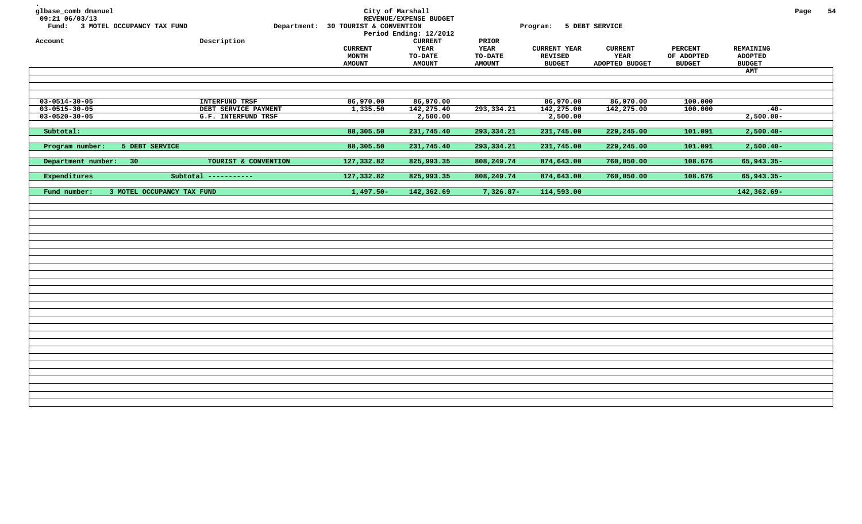| glbase_comb dmanuel<br>09:21 06/03/13<br>Fund: 3 MOTEL OCCUPANCY TAX FUND<br>Account | Description           | City of Marshall<br>Department: 30 TOURIST & CONVENTION<br><b>CURRENT</b><br><b>MONTH</b><br><b>AMOUNT</b> | REVENUE/EXPENSE BUDGET<br>Period Ending: 12/2012<br>${\tt CURRENT}$<br><b>YEAR</b><br><b>TO-DATE</b><br><b>AMOUNT</b> | PRIOR<br><b>YEAR</b><br><b>TO-DATE</b><br><b>AMOUNT</b> | Program: 5 DEBT SERVICE<br><b>CURRENT YEAR</b><br><b>REVISED</b><br><b>BUDGET</b> | <b>CURRENT</b><br><b>YEAR</b><br>ADOPTED BUDGET | <b>PERCENT</b><br>OF ADOPTED<br><b>BUDGET</b> | <b>REMAINING</b><br><b>ADOPTED</b><br><b>BUDGET</b> | Page | 54 |
|--------------------------------------------------------------------------------------|-----------------------|------------------------------------------------------------------------------------------------------------|-----------------------------------------------------------------------------------------------------------------------|---------------------------------------------------------|-----------------------------------------------------------------------------------|-------------------------------------------------|-----------------------------------------------|-----------------------------------------------------|------|----|
|                                                                                      |                       |                                                                                                            |                                                                                                                       |                                                         |                                                                                   |                                                 |                                               | AMT                                                 |      |    |
|                                                                                      |                       |                                                                                                            |                                                                                                                       |                                                         |                                                                                   |                                                 |                                               |                                                     |      |    |
| $03 - 0514 - 30 - 05$                                                                | <b>INTERFUND TRSF</b> | 86,970.00                                                                                                  | 86,970.00                                                                                                             |                                                         | 86,970.00                                                                         | 86,970.00                                       | 100.000                                       |                                                     |      |    |
| $03 - 0515 - 30 - 05$                                                                | DEBT SERVICE PAYMENT  | 1,335.50                                                                                                   | 142,275.40                                                                                                            | 293, 334. 21                                            | 142,275.00                                                                        | 142,275.00                                      | 100.000                                       | $.40 -$                                             |      |    |
| $03 - 0520 - 30 - 05$                                                                | G.F. INTERFUND TRSF   |                                                                                                            | 2,500.00                                                                                                              |                                                         | 2,500.00                                                                          |                                                 |                                               | $2,500.00 -$                                        |      |    |
| Subtotal:                                                                            |                       | 88,305.50                                                                                                  | 231,745.40                                                                                                            | 293, 334. 21                                            | 231,745.00                                                                        | 229,245.00                                      | 101.091                                       | $2,500.40-$                                         |      |    |
| Program number:<br>5 DEBT SERVICE                                                    |                       | 88,305.50                                                                                                  | 231,745.40                                                                                                            | 293, 334. 21                                            | 231,745.00                                                                        | 229,245.00                                      | 101.091                                       | $2,500.40-$                                         |      |    |
| Department number:<br>30 <sub>1</sub>                                                | TOURIST & CONVENTION  | 127,332.82                                                                                                 | 825,993.35                                                                                                            | 808,249.74                                              | 874,643.00                                                                        | 760,050.00                                      | 108.676                                       | $65,943.35 -$                                       |      |    |
|                                                                                      |                       |                                                                                                            |                                                                                                                       |                                                         |                                                                                   |                                                 |                                               |                                                     |      |    |
| Expenditures                                                                         | Subtotal -----------  | 127,332.82                                                                                                 | 825,993.35                                                                                                            | 808,249.74                                              | 874,643.00                                                                        | 760,050.00                                      | 108.676                                       | $65,943.35-$                                        |      |    |
| Fund number:<br>3 MOTEL OCCUPANCY TAX FUND                                           |                       | $1,497.50-$                                                                                                | 142,362.69                                                                                                            | $7,326.87-$                                             | 114,593.00                                                                        |                                                 |                                               | 142,362.69-                                         |      |    |
|                                                                                      |                       |                                                                                                            |                                                                                                                       |                                                         |                                                                                   |                                                 |                                               |                                                     |      |    |
|                                                                                      |                       |                                                                                                            |                                                                                                                       |                                                         |                                                                                   |                                                 |                                               |                                                     |      |    |
|                                                                                      |                       |                                                                                                            |                                                                                                                       |                                                         |                                                                                   |                                                 |                                               |                                                     |      |    |
|                                                                                      |                       |                                                                                                            |                                                                                                                       |                                                         |                                                                                   |                                                 |                                               |                                                     |      |    |
|                                                                                      |                       |                                                                                                            |                                                                                                                       |                                                         |                                                                                   |                                                 |                                               |                                                     |      |    |
|                                                                                      |                       |                                                                                                            |                                                                                                                       |                                                         |                                                                                   |                                                 |                                               |                                                     |      |    |
|                                                                                      |                       |                                                                                                            |                                                                                                                       |                                                         |                                                                                   |                                                 |                                               |                                                     |      |    |
|                                                                                      |                       |                                                                                                            |                                                                                                                       |                                                         |                                                                                   |                                                 |                                               |                                                     |      |    |
|                                                                                      |                       |                                                                                                            |                                                                                                                       |                                                         |                                                                                   |                                                 |                                               |                                                     |      |    |
|                                                                                      |                       |                                                                                                            |                                                                                                                       |                                                         |                                                                                   |                                                 |                                               |                                                     |      |    |
|                                                                                      |                       |                                                                                                            |                                                                                                                       |                                                         |                                                                                   |                                                 |                                               |                                                     |      |    |
|                                                                                      |                       |                                                                                                            |                                                                                                                       |                                                         |                                                                                   |                                                 |                                               |                                                     |      |    |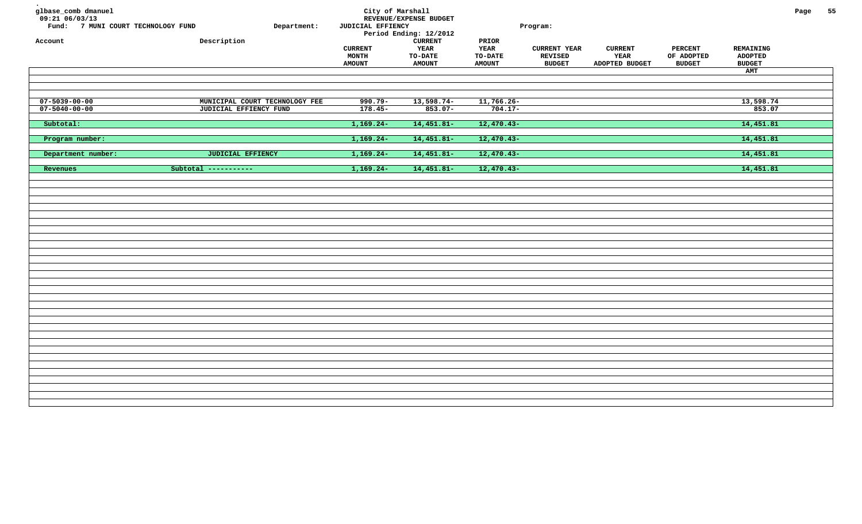| glbase_comb dmanuel<br>$09:21$ 06/03/13<br>Fund: 7 MUNI COURT TECHNOLOGY FUND<br>Account | Department:<br>Description     | City of Marshall<br>JUDICIAL EFFIENCY<br><b>CURRENT</b><br><b>MONTH</b><br><b>AMOUNT</b> | REVENUE/EXPENSE BUDGET<br>Period Ending: 12/2012<br>${\tt CURRENT}$<br><b>YEAR</b><br><b>TO-DATE</b><br><b>AMOUNT</b> | PRIOR<br>YEAR<br><b>TO-DATE</b><br><b>AMOUNT</b> | Program:<br><b>CURRENT YEAR</b><br><b>REVISED</b><br><b>BUDGET</b> | <b>CURRENT</b><br>YEAR<br>ADOPTED BUDGET | <b>PERCENT</b><br>OF ADOPTED<br><b>BUDGET</b> | REMAINING<br><b>ADOPTED</b><br><b>BUDGET</b> | Page | 55 |
|------------------------------------------------------------------------------------------|--------------------------------|------------------------------------------------------------------------------------------|-----------------------------------------------------------------------------------------------------------------------|--------------------------------------------------|--------------------------------------------------------------------|------------------------------------------|-----------------------------------------------|----------------------------------------------|------|----|
|                                                                                          |                                |                                                                                          |                                                                                                                       |                                                  |                                                                    |                                          |                                               | AMT                                          |      |    |
|                                                                                          |                                |                                                                                          |                                                                                                                       |                                                  |                                                                    |                                          |                                               |                                              |      |    |
|                                                                                          |                                |                                                                                          |                                                                                                                       |                                                  |                                                                    |                                          |                                               |                                              |      |    |
| $07 - 5039 - 00 - 00$                                                                    | MUNICIPAL COURT TECHNOLOGY FEE | $990.79 -$                                                                               | $13,598.74-$                                                                                                          | $11,766.26-$                                     |                                                                    |                                          |                                               | 13,598.74                                    |      |    |
| $07 - 5040 - 00 - 00$                                                                    | JUDICIAL EFFIENCY FUND         | $178.45-$                                                                                | $853.07 -$                                                                                                            | $704.17-$                                        |                                                                    |                                          |                                               | 853.07                                       |      |    |
|                                                                                          |                                |                                                                                          |                                                                                                                       |                                                  |                                                                    |                                          |                                               |                                              |      |    |
| Subtotal:                                                                                |                                | $1,169.24-$                                                                              | $14,451.81-$                                                                                                          | $12,470.43-$                                     |                                                                    |                                          |                                               | 14,451.81                                    |      |    |
|                                                                                          |                                |                                                                                          |                                                                                                                       |                                                  |                                                                    |                                          |                                               |                                              |      |    |
| Program number:                                                                          |                                | $1,169.24-$                                                                              | 14,451.81-                                                                                                            | $12,470.43-$                                     |                                                                    |                                          |                                               | 14,451.81                                    |      |    |
|                                                                                          |                                |                                                                                          |                                                                                                                       |                                                  |                                                                    |                                          |                                               | 14,451.81                                    |      |    |
| Department number:                                                                       | <b>JUDICIAL EFFIENCY</b>       | $1,169.24-$                                                                              | $14,451.81-$                                                                                                          | $12,470.43-$                                     |                                                                    |                                          |                                               |                                              |      |    |
| Revenues                                                                                 | Subtotal -----------           | $1,169.24-$                                                                              | $14,451.81-$                                                                                                          | $12,470.43-$                                     |                                                                    |                                          |                                               | 14,451.81                                    |      |    |
|                                                                                          |                                |                                                                                          |                                                                                                                       |                                                  |                                                                    |                                          |                                               |                                              |      |    |
|                                                                                          |                                |                                                                                          |                                                                                                                       |                                                  |                                                                    |                                          |                                               |                                              |      |    |
|                                                                                          |                                |                                                                                          |                                                                                                                       |                                                  |                                                                    |                                          |                                               |                                              |      |    |
|                                                                                          |                                |                                                                                          |                                                                                                                       |                                                  |                                                                    |                                          |                                               |                                              |      |    |
|                                                                                          |                                |                                                                                          |                                                                                                                       |                                                  |                                                                    |                                          |                                               |                                              |      |    |
|                                                                                          |                                |                                                                                          |                                                                                                                       |                                                  |                                                                    |                                          |                                               |                                              |      |    |
|                                                                                          |                                |                                                                                          |                                                                                                                       |                                                  |                                                                    |                                          |                                               |                                              |      |    |
|                                                                                          |                                |                                                                                          |                                                                                                                       |                                                  |                                                                    |                                          |                                               |                                              |      |    |
|                                                                                          |                                |                                                                                          |                                                                                                                       |                                                  |                                                                    |                                          |                                               |                                              |      |    |
|                                                                                          |                                |                                                                                          |                                                                                                                       |                                                  |                                                                    |                                          |                                               |                                              |      |    |
|                                                                                          |                                |                                                                                          |                                                                                                                       |                                                  |                                                                    |                                          |                                               |                                              |      |    |
|                                                                                          |                                |                                                                                          |                                                                                                                       |                                                  |                                                                    |                                          |                                               |                                              |      |    |
|                                                                                          |                                |                                                                                          |                                                                                                                       |                                                  |                                                                    |                                          |                                               |                                              |      |    |
|                                                                                          |                                |                                                                                          |                                                                                                                       |                                                  |                                                                    |                                          |                                               |                                              |      |    |
|                                                                                          |                                |                                                                                          |                                                                                                                       |                                                  |                                                                    |                                          |                                               |                                              |      |    |
|                                                                                          |                                |                                                                                          |                                                                                                                       |                                                  |                                                                    |                                          |                                               |                                              |      |    |
|                                                                                          |                                |                                                                                          |                                                                                                                       |                                                  |                                                                    |                                          |                                               |                                              |      |    |
|                                                                                          |                                |                                                                                          |                                                                                                                       |                                                  |                                                                    |                                          |                                               |                                              |      |    |
|                                                                                          |                                |                                                                                          |                                                                                                                       |                                                  |                                                                    |                                          |                                               |                                              |      |    |
|                                                                                          |                                |                                                                                          |                                                                                                                       |                                                  |                                                                    |                                          |                                               |                                              |      |    |
|                                                                                          |                                |                                                                                          |                                                                                                                       |                                                  |                                                                    |                                          |                                               |                                              |      |    |
|                                                                                          |                                |                                                                                          |                                                                                                                       |                                                  |                                                                    |                                          |                                               |                                              |      |    |
|                                                                                          |                                |                                                                                          |                                                                                                                       |                                                  |                                                                    |                                          |                                               |                                              |      |    |
|                                                                                          |                                |                                                                                          |                                                                                                                       |                                                  |                                                                    |                                          |                                               |                                              |      |    |
|                                                                                          |                                |                                                                                          |                                                                                                                       |                                                  |                                                                    |                                          |                                               |                                              |      |    |
|                                                                                          |                                |                                                                                          |                                                                                                                       |                                                  |                                                                    |                                          |                                               |                                              |      |    |
|                                                                                          |                                |                                                                                          |                                                                                                                       |                                                  |                                                                    |                                          |                                               |                                              |      |    |
|                                                                                          |                                |                                                                                          |                                                                                                                       |                                                  |                                                                    |                                          |                                               |                                              |      |    |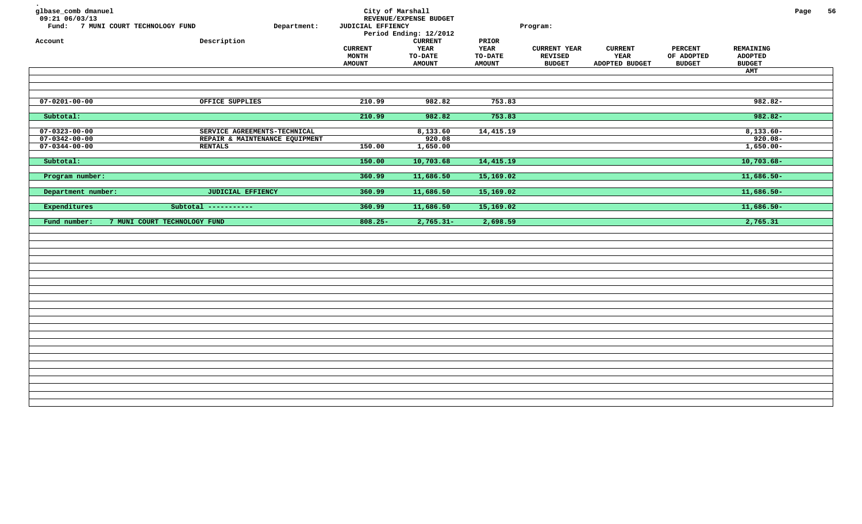| glbase_comb dmanuel<br>09:21 06/03/13<br>Fund: 7 MUNI COURT TECHNOLOGY FUND<br>Department:<br>Description<br>Account | City of Marshall<br>JUDICIAL EFFIENCY<br><b>CURRENT</b><br><b>MONTH</b><br><b>AMOUNT</b> | REVENUE/EXPENSE BUDGET<br>Period Ending: 12/2012<br><b>CURRENT</b><br><b>YEAR</b><br>TO-DATE<br><b>AMOUNT</b> | PRIOR<br>YEAR<br>TO-DATE<br><b>AMOUNT</b> | Program:<br><b>CURRENT YEAR</b><br><b>REVISED</b><br><b>BUDGET</b> | <b>CURRENT</b><br>YEAR<br>ADOPTED BUDGET | <b>PERCENT</b><br>OF ADOPTED<br><b>BUDGET</b> | REMAINING<br><b>ADOPTED</b><br><b>BUDGET</b><br>AMT | Page | 56 |
|----------------------------------------------------------------------------------------------------------------------|------------------------------------------------------------------------------------------|---------------------------------------------------------------------------------------------------------------|-------------------------------------------|--------------------------------------------------------------------|------------------------------------------|-----------------------------------------------|-----------------------------------------------------|------|----|
|                                                                                                                      |                                                                                          |                                                                                                               |                                           |                                                                    |                                          |                                               |                                                     |      |    |
|                                                                                                                      |                                                                                          |                                                                                                               |                                           |                                                                    |                                          |                                               |                                                     |      |    |
| $07 - 0201 - 00 - 00$<br>OFFICE SUPPLIES                                                                             | 210.99                                                                                   | 982.82                                                                                                        | 753.83                                    |                                                                    |                                          |                                               | $982.82 -$                                          |      |    |
| Subtotal:                                                                                                            | 210.99                                                                                   | 982.82                                                                                                        | 753.83                                    |                                                                    |                                          |                                               | $982.82 -$                                          |      |    |
| $07 - 0323 - 00 - 00$<br>SERVICE AGREEMENTS-TECHNICAL                                                                |                                                                                          | 8,133.60                                                                                                      | 14,415.19                                 |                                                                    |                                          |                                               | $8,133.60-$                                         |      |    |
| $07 - 0342 - 00 - 00$<br>REPAIR & MAINTENANCE EQUIPMENT                                                              |                                                                                          | 920.08                                                                                                        |                                           |                                                                    |                                          |                                               | $920.08 -$                                          |      |    |
| $07 - 0344 - 00 - 00$<br><b>RENTALS</b>                                                                              | 150.00                                                                                   | 1,650.00                                                                                                      |                                           |                                                                    |                                          |                                               | $1,650.00 -$                                        |      |    |
| Subtotal:                                                                                                            | 150.00                                                                                   | 10,703.68                                                                                                     | 14,415.19                                 |                                                                    |                                          |                                               | $10,703.68 -$                                       |      |    |
|                                                                                                                      |                                                                                          |                                                                                                               |                                           |                                                                    |                                          |                                               |                                                     |      |    |
| Program number:                                                                                                      | 360.99                                                                                   | 11,686.50                                                                                                     | 15,169.02                                 |                                                                    |                                          |                                               | $11,686.50-$                                        |      |    |
| <b>JUDICIAL EFFIENCY</b><br>Department number:                                                                       | 360.99                                                                                   | 11,686.50                                                                                                     | 15,169.02                                 |                                                                    |                                          |                                               | $11,686.50-$                                        |      |    |
|                                                                                                                      |                                                                                          |                                                                                                               |                                           |                                                                    |                                          |                                               |                                                     |      |    |
| Expenditures<br>Subtotal -----------                                                                                 | 360.99                                                                                   | 11,686.50                                                                                                     | 15,169.02                                 |                                                                    |                                          |                                               | $11,686.50-$                                        |      |    |
| 7 MUNI COURT TECHNOLOGY FUND<br>Fund number:                                                                         | $808.25 -$                                                                               | $2,765.31-$                                                                                                   | 2,698.59                                  |                                                                    |                                          |                                               | 2,765.31                                            |      |    |
|                                                                                                                      |                                                                                          |                                                                                                               |                                           |                                                                    |                                          |                                               |                                                     |      |    |
|                                                                                                                      |                                                                                          |                                                                                                               |                                           |                                                                    |                                          |                                               |                                                     |      |    |
|                                                                                                                      |                                                                                          |                                                                                                               |                                           |                                                                    |                                          |                                               |                                                     |      |    |
|                                                                                                                      |                                                                                          |                                                                                                               |                                           |                                                                    |                                          |                                               |                                                     |      |    |
|                                                                                                                      |                                                                                          |                                                                                                               |                                           |                                                                    |                                          |                                               |                                                     |      |    |
|                                                                                                                      |                                                                                          |                                                                                                               |                                           |                                                                    |                                          |                                               |                                                     |      |    |
|                                                                                                                      |                                                                                          |                                                                                                               |                                           |                                                                    |                                          |                                               |                                                     |      |    |
|                                                                                                                      |                                                                                          |                                                                                                               |                                           |                                                                    |                                          |                                               |                                                     |      |    |
|                                                                                                                      |                                                                                          |                                                                                                               |                                           |                                                                    |                                          |                                               |                                                     |      |    |
|                                                                                                                      |                                                                                          |                                                                                                               |                                           |                                                                    |                                          |                                               |                                                     |      |    |
|                                                                                                                      |                                                                                          |                                                                                                               |                                           |                                                                    |                                          |                                               |                                                     |      |    |
|                                                                                                                      |                                                                                          |                                                                                                               |                                           |                                                                    |                                          |                                               |                                                     |      |    |
|                                                                                                                      |                                                                                          |                                                                                                               |                                           |                                                                    |                                          |                                               |                                                     |      |    |
|                                                                                                                      |                                                                                          |                                                                                                               |                                           |                                                                    |                                          |                                               |                                                     |      |    |
|                                                                                                                      |                                                                                          |                                                                                                               |                                           |                                                                    |                                          |                                               |                                                     |      |    |
|                                                                                                                      |                                                                                          |                                                                                                               |                                           |                                                                    |                                          |                                               |                                                     |      |    |
|                                                                                                                      |                                                                                          |                                                                                                               |                                           |                                                                    |                                          |                                               |                                                     |      |    |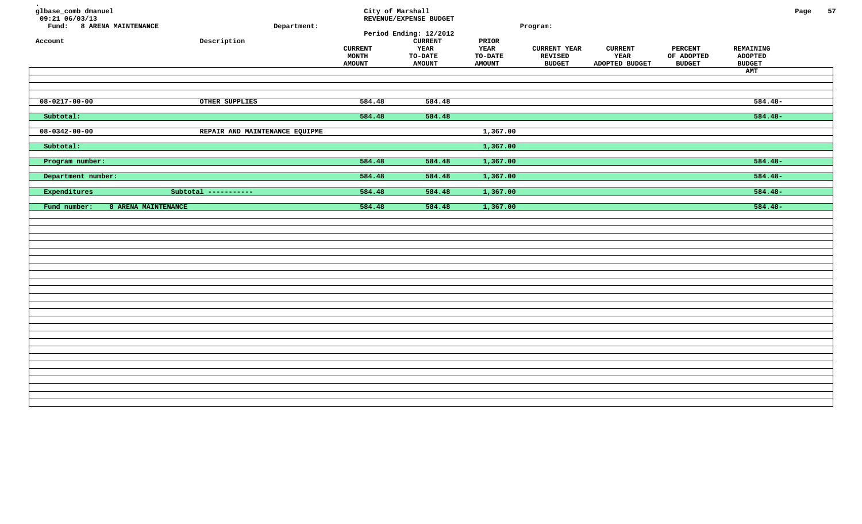| glbase_comb dmanuel<br>$09:21$ 06/03/13<br>Fund: 8 ARENA MAINTENANCE<br>Account | Description                    | Department: | <b>CURRENT</b><br>MONTH<br><b>AMOUNT</b> | City of Marshall<br>REVENUE/EXPENSE BUDGET<br>Period Ending: 12/2012<br><b>CURRENT</b><br>YEAR<br><b>TO-DATE</b><br><b>AMOUNT</b> | PRIOR<br><b>YEAR</b><br><b>TO-DATE</b><br><b>AMOUNT</b> | Program:<br><b>CURRENT YEAR</b><br>REVISED<br><b>BUDGET</b> | <b>CURRENT</b><br>YEAR<br>ADOPTED BUDGET | <b>PERCENT</b><br>OF ADOPTED<br><b>BUDGET</b> | REMAINING<br><b>ADOPTED</b><br><b>BUDGET</b><br>AMT | Page | 57 |
|---------------------------------------------------------------------------------|--------------------------------|-------------|------------------------------------------|-----------------------------------------------------------------------------------------------------------------------------------|---------------------------------------------------------|-------------------------------------------------------------|------------------------------------------|-----------------------------------------------|-----------------------------------------------------|------|----|
| $08 - 0217 - 00 - 00$                                                           | OTHER SUPPLIES                 |             | 584.48                                   | 584.48                                                                                                                            |                                                         |                                                             |                                          |                                               | $584.48-$                                           |      |    |
| Subtotal:                                                                       |                                |             | 584.48                                   | 584.48                                                                                                                            |                                                         |                                                             |                                          |                                               | $584.48-$                                           |      |    |
| $08 - 0342 - 00 - 00$                                                           | REPAIR AND MAINTENANCE EQUIPME |             |                                          |                                                                                                                                   | 1,367.00                                                |                                                             |                                          |                                               |                                                     |      |    |
| Subtotal:                                                                       |                                |             |                                          |                                                                                                                                   | 1,367.00                                                |                                                             |                                          |                                               |                                                     |      |    |
| Program number:                                                                 |                                |             | 584.48                                   | 584.48                                                                                                                            | 1,367.00                                                |                                                             |                                          |                                               | $584.48-$                                           |      |    |
| Department number:                                                              |                                |             | 584.48                                   | 584.48                                                                                                                            | 1,367.00                                                |                                                             |                                          |                                               | $584.48-$                                           |      |    |
| Expenditures                                                                    | Subtotal -----------           |             | 584.48                                   | 584.48                                                                                                                            | 1,367.00                                                |                                                             |                                          |                                               | $584.48-$                                           |      |    |
| Fund number:                                                                    | 8 ARENA MAINTENANCE            |             | 584.48                                   | 584.48                                                                                                                            | 1,367.00                                                |                                                             |                                          |                                               | $584.48-$                                           |      |    |
|                                                                                 |                                |             |                                          |                                                                                                                                   |                                                         |                                                             |                                          |                                               |                                                     |      |    |
|                                                                                 |                                |             |                                          |                                                                                                                                   |                                                         |                                                             |                                          |                                               |                                                     |      |    |
|                                                                                 |                                |             |                                          |                                                                                                                                   |                                                         |                                                             |                                          |                                               |                                                     |      |    |
|                                                                                 |                                |             |                                          |                                                                                                                                   |                                                         |                                                             |                                          |                                               |                                                     |      |    |
|                                                                                 |                                |             |                                          |                                                                                                                                   |                                                         |                                                             |                                          |                                               |                                                     |      |    |
|                                                                                 |                                |             |                                          |                                                                                                                                   |                                                         |                                                             |                                          |                                               |                                                     |      |    |
|                                                                                 |                                |             |                                          |                                                                                                                                   |                                                         |                                                             |                                          |                                               |                                                     |      |    |
|                                                                                 |                                |             |                                          |                                                                                                                                   |                                                         |                                                             |                                          |                                               |                                                     |      |    |
|                                                                                 |                                |             |                                          |                                                                                                                                   |                                                         |                                                             |                                          |                                               |                                                     |      |    |
|                                                                                 |                                |             |                                          |                                                                                                                                   |                                                         |                                                             |                                          |                                               |                                                     |      |    |
|                                                                                 |                                |             |                                          |                                                                                                                                   |                                                         |                                                             |                                          |                                               |                                                     |      |    |
|                                                                                 |                                |             |                                          |                                                                                                                                   |                                                         |                                                             |                                          |                                               |                                                     |      |    |
|                                                                                 |                                |             |                                          |                                                                                                                                   |                                                         |                                                             |                                          |                                               |                                                     |      |    |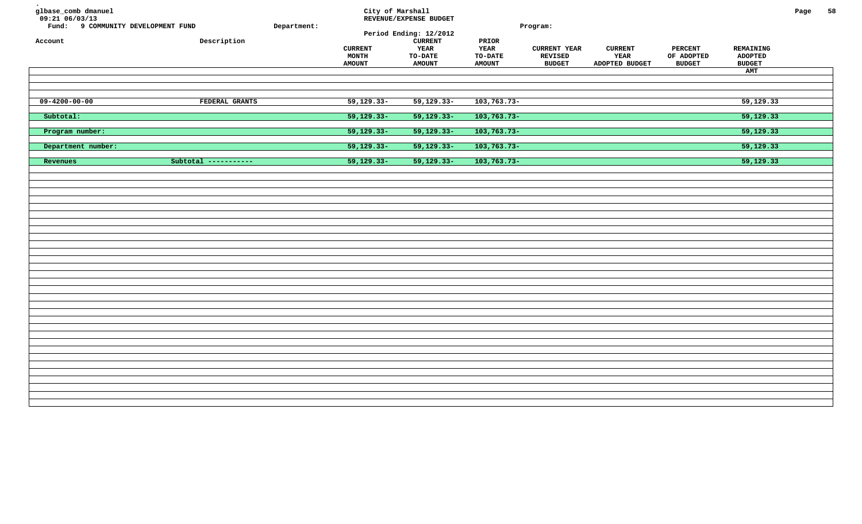| glbase_comb dmanuel<br>$09:21$ 06/03/13<br>Fund: 9 COMMUNITY DEVELOPMENT FUND<br>Account | Description          | Department: | City of Marshall<br><b>CURRENT</b><br>MONTH<br><b>AMOUNT</b> | REVENUE/EXPENSE BUDGET<br>Period Ending: 12/2012<br><b>CURRENT</b><br>YEAR<br><b>TO-DATE</b><br><b>AMOUNT</b> | PRIOR<br><b>YEAR</b><br>TO-DATE<br><b>AMOUNT</b> | Program:<br><b>CURRENT YEAR</b><br>REVISED<br><b>BUDGET</b> | <b>CURRENT</b><br>YEAR<br>ADOPTED BUDGET | PERCENT<br>OF ADOPTED<br><b>BUDGET</b> | REMAINING<br><b>ADOPTED</b><br><b>BUDGET</b><br>AMT | Page | 58 |
|------------------------------------------------------------------------------------------|----------------------|-------------|--------------------------------------------------------------|---------------------------------------------------------------------------------------------------------------|--------------------------------------------------|-------------------------------------------------------------|------------------------------------------|----------------------------------------|-----------------------------------------------------|------|----|
| $09 - 4200 - 00 - 00$                                                                    | FEDERAL GRANTS       |             | $59, 129.33 -$                                               | $59, 129.33 -$                                                                                                | $103, 763.73 -$                                  |                                                             |                                          |                                        | 59, 129.33                                          |      |    |
| Subtotal:                                                                                |                      |             | $59,129.33-$                                                 | 59,129.33-                                                                                                    | 103,763.73-                                      |                                                             |                                          |                                        | 59,129.33                                           |      |    |
| Program number:                                                                          |                      |             | $59,129.33-$                                                 | $59,129.33-$                                                                                                  | $103, 763.73 -$                                  |                                                             |                                          |                                        | 59,129.33                                           |      |    |
| Department number:                                                                       |                      |             | $59,129.33-$                                                 | $59,129.33-$                                                                                                  | $103, 763.73 -$                                  |                                                             |                                          |                                        | 59,129.33                                           |      |    |
| Revenues                                                                                 | Subtotal ----------- |             | $59,129.33-$                                                 | 59,129.33-                                                                                                    | $103, 763.73 -$                                  |                                                             |                                          |                                        | 59,129.33                                           |      |    |
|                                                                                          |                      |             |                                                              |                                                                                                               |                                                  |                                                             |                                          |                                        |                                                     |      |    |
|                                                                                          |                      |             |                                                              |                                                                                                               |                                                  |                                                             |                                          |                                        |                                                     |      |    |
|                                                                                          |                      |             |                                                              |                                                                                                               |                                                  |                                                             |                                          |                                        |                                                     |      |    |
|                                                                                          |                      |             |                                                              |                                                                                                               |                                                  |                                                             |                                          |                                        |                                                     |      |    |
|                                                                                          |                      |             |                                                              |                                                                                                               |                                                  |                                                             |                                          |                                        |                                                     |      |    |
|                                                                                          |                      |             |                                                              |                                                                                                               |                                                  |                                                             |                                          |                                        |                                                     |      |    |
|                                                                                          |                      |             |                                                              |                                                                                                               |                                                  |                                                             |                                          |                                        |                                                     |      |    |
|                                                                                          |                      |             |                                                              |                                                                                                               |                                                  |                                                             |                                          |                                        |                                                     |      |    |
|                                                                                          |                      |             |                                                              |                                                                                                               |                                                  |                                                             |                                          |                                        |                                                     |      |    |
|                                                                                          |                      |             |                                                              |                                                                                                               |                                                  |                                                             |                                          |                                        |                                                     |      |    |
|                                                                                          |                      |             |                                                              |                                                                                                               |                                                  |                                                             |                                          |                                        |                                                     |      |    |
|                                                                                          |                      |             |                                                              |                                                                                                               |                                                  |                                                             |                                          |                                        |                                                     |      |    |
|                                                                                          |                      |             |                                                              |                                                                                                               |                                                  |                                                             |                                          |                                        |                                                     |      |    |
|                                                                                          |                      |             |                                                              |                                                                                                               |                                                  |                                                             |                                          |                                        |                                                     |      |    |
|                                                                                          |                      |             |                                                              |                                                                                                               |                                                  |                                                             |                                          |                                        |                                                     |      |    |
|                                                                                          |                      |             |                                                              |                                                                                                               |                                                  |                                                             |                                          |                                        |                                                     |      |    |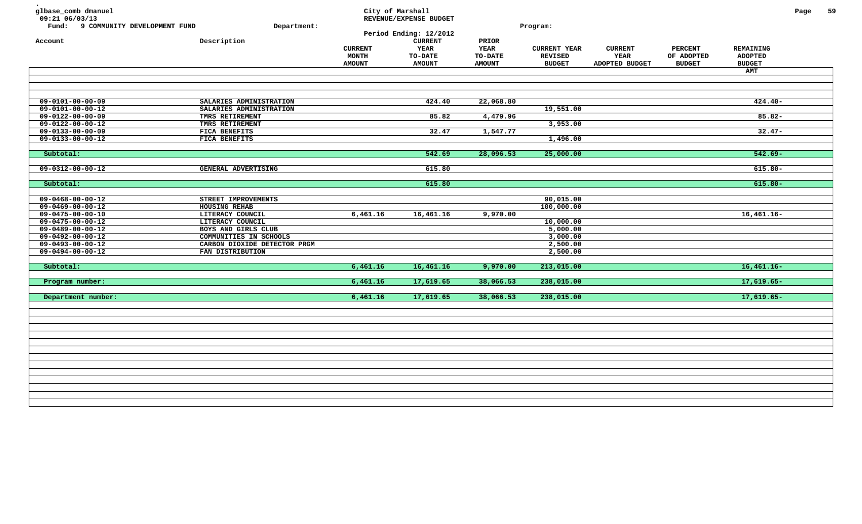| glbase_comb dmanuel<br>09:21 06/03/13<br>Fund: 9 COMMUNITY DEVELOPMENT FUND<br>Account | Department:<br>Description   | <b>CURRENT</b><br>MONTH<br><b>AMOUNT</b> | City of Marshall<br>REVENUE/EXPENSE BUDGET<br>Period Ending: 12/2012<br><b>CURRENT</b><br>YEAR<br><b>TO-DATE</b><br><b>AMOUNT</b> | PRIOR<br>YEAR<br><b>TO-DATE</b><br><b>AMOUNT</b> | Program:<br><b>CURRENT YEAR</b><br><b>REVISED</b><br><b>BUDGET</b> | <b>CURRENT</b><br>YEAR<br>ADOPTED BUDGET | <b>PERCENT</b><br>OF ADOPTED<br><b>BUDGET</b> | REMAINING<br><b>ADOPTED</b><br><b>BUDGET</b><br>AMT | Page | 59 |
|----------------------------------------------------------------------------------------|------------------------------|------------------------------------------|-----------------------------------------------------------------------------------------------------------------------------------|--------------------------------------------------|--------------------------------------------------------------------|------------------------------------------|-----------------------------------------------|-----------------------------------------------------|------|----|
|                                                                                        |                              |                                          |                                                                                                                                   |                                                  |                                                                    |                                          |                                               |                                                     |      |    |
| $09 - 0101 - 00 - 00 - 09$                                                             | SALARIES ADMINISTRATION      |                                          | 424.40                                                                                                                            | 22,068.80                                        |                                                                    |                                          |                                               | $424.40-$                                           |      |    |
| 09-0101-00-00-12                                                                       | SALARIES ADMINISTRATION      |                                          |                                                                                                                                   |                                                  | 19,551.00                                                          |                                          |                                               |                                                     |      |    |
| $09 - 0122 - 00 - 00 - 09$                                                             | TMRS RETIREMENT              |                                          | 85.82                                                                                                                             | 4,479.96                                         |                                                                    |                                          |                                               | $85.82 -$                                           |      |    |
| $09 - 0122 - 00 - 00 - 12$                                                             | TMRS RETIREMENT              |                                          |                                                                                                                                   |                                                  | 3,953.00                                                           |                                          |                                               |                                                     |      |    |
| $09 - 0133 - 00 - 00 - 09$                                                             | FICA BENEFITS                |                                          | 32.47                                                                                                                             | 1,547.77                                         |                                                                    |                                          |                                               | $32.47-$                                            |      |    |
| $09 - 0133 - 00 - 00 - 12$                                                             | FICA BENEFITS                |                                          |                                                                                                                                   |                                                  | 1,496.00                                                           |                                          |                                               |                                                     |      |    |
|                                                                                        |                              |                                          |                                                                                                                                   |                                                  |                                                                    |                                          |                                               |                                                     |      |    |
| Subtotal:                                                                              |                              |                                          | 542.69                                                                                                                            | 28,096.53                                        | 25,000.00                                                          |                                          |                                               | $542.69 -$                                          |      |    |
|                                                                                        |                              |                                          |                                                                                                                                   |                                                  |                                                                    |                                          |                                               |                                                     |      |    |
| $09 - 0312 - 00 - 00 - 12$                                                             | GENERAL ADVERTISING          |                                          | 615.80                                                                                                                            |                                                  |                                                                    |                                          |                                               | $615.80 -$                                          |      |    |
| Subtotal:                                                                              |                              |                                          | 615.80                                                                                                                            |                                                  |                                                                    |                                          |                                               | $615.80 -$                                          |      |    |
|                                                                                        |                              |                                          |                                                                                                                                   |                                                  |                                                                    |                                          |                                               |                                                     |      |    |
| $09 - 0468 - 00 - 00 - 12$                                                             | STREET IMPROVEMENTS          |                                          |                                                                                                                                   |                                                  | 90,015.00                                                          |                                          |                                               |                                                     |      |    |
| $09 - 0469 - 00 - 00 - 12$                                                             | HOUSING REHAB                |                                          |                                                                                                                                   |                                                  | 100,000.00                                                         |                                          |                                               |                                                     |      |    |
| $09 - 0475 - 00 - 00 - 10$                                                             | LITERACY COUNCIL             | 6,461.16                                 | 16,461.16                                                                                                                         | 9,970.00                                         |                                                                    |                                          |                                               | $16,461.16 -$                                       |      |    |
| 09-0475-00-00-12                                                                       | LITERACY COUNCIL             |                                          |                                                                                                                                   |                                                  | 10,000.00                                                          |                                          |                                               |                                                     |      |    |
| $09 - 0489 - 00 - 00 - 12$                                                             | BOYS AND GIRLS CLUB          |                                          |                                                                                                                                   |                                                  | 5,000.00                                                           |                                          |                                               |                                                     |      |    |
| $09 - 0492 - 00 - 00 - 12$                                                             | COMMUNITIES IN SCHOOLS       |                                          |                                                                                                                                   |                                                  | 3,000.00                                                           |                                          |                                               |                                                     |      |    |
| $09 - 0493 - 00 - 00 - 12$                                                             | CARBON DIOXIDE DETECTOR PRGM |                                          |                                                                                                                                   |                                                  | 2,500.00                                                           |                                          |                                               |                                                     |      |    |
| $09 - 0494 - 00 - 00 - 12$                                                             | FAN DISTRIBUTION             |                                          |                                                                                                                                   |                                                  | 2,500.00                                                           |                                          |                                               |                                                     |      |    |
| Subtotal:                                                                              |                              | 6,461.16                                 | 16,461.16                                                                                                                         | 9,970.00                                         | 213,015.00                                                         |                                          |                                               | $16,461.16-$                                        |      |    |
| Program number:                                                                        |                              | 6,461.16                                 | 17,619.65                                                                                                                         | 38,066.53                                        | 238,015.00                                                         |                                          |                                               | $17,619.65-$                                        |      |    |
|                                                                                        |                              |                                          |                                                                                                                                   |                                                  |                                                                    |                                          |                                               |                                                     |      |    |
| Department number:                                                                     |                              | 6,461.16                                 | 17,619.65                                                                                                                         | 38,066.53                                        | 238,015.00                                                         |                                          |                                               | $17,619.65-$                                        |      |    |
|                                                                                        |                              |                                          |                                                                                                                                   |                                                  |                                                                    |                                          |                                               |                                                     |      |    |
|                                                                                        |                              |                                          |                                                                                                                                   |                                                  |                                                                    |                                          |                                               |                                                     |      |    |
|                                                                                        |                              |                                          |                                                                                                                                   |                                                  |                                                                    |                                          |                                               |                                                     |      |    |
|                                                                                        |                              |                                          |                                                                                                                                   |                                                  |                                                                    |                                          |                                               |                                                     |      |    |
|                                                                                        |                              |                                          |                                                                                                                                   |                                                  |                                                                    |                                          |                                               |                                                     |      |    |
|                                                                                        |                              |                                          |                                                                                                                                   |                                                  |                                                                    |                                          |                                               |                                                     |      |    |
|                                                                                        |                              |                                          |                                                                                                                                   |                                                  |                                                                    |                                          |                                               |                                                     |      |    |
|                                                                                        |                              |                                          |                                                                                                                                   |                                                  |                                                                    |                                          |                                               |                                                     |      |    |
|                                                                                        |                              |                                          |                                                                                                                                   |                                                  |                                                                    |                                          |                                               |                                                     |      |    |
|                                                                                        |                              |                                          |                                                                                                                                   |                                                  |                                                                    |                                          |                                               |                                                     |      |    |
|                                                                                        |                              |                                          |                                                                                                                                   |                                                  |                                                                    |                                          |                                               |                                                     |      |    |
|                                                                                        |                              |                                          |                                                                                                                                   |                                                  |                                                                    |                                          |                                               |                                                     |      |    |
|                                                                                        |                              |                                          |                                                                                                                                   |                                                  |                                                                    |                                          |                                               |                                                     |      |    |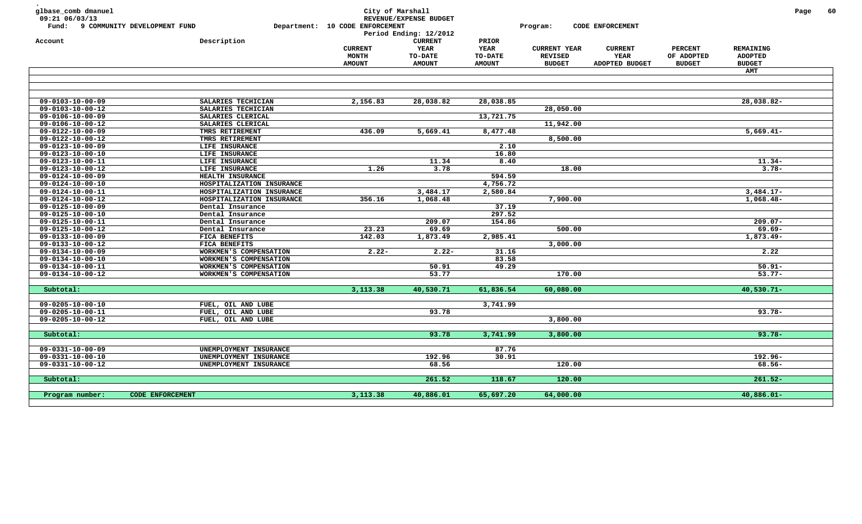| glbase_comb dmanuel<br>09:21 06/03/13<br>Fund: 9 COMMUNITY DEVELOPMENT FUND |                           | City of Marshall<br>Department: 10 CODE ENFORCEMENT | REVENUE/EXPENSE BUDGET<br>Period Ending: 12/2012          |                                                  | Program:                                               | CODE ENFORCEMENT                         |                                               |                                              | Page | 60 |
|-----------------------------------------------------------------------------|---------------------------|-----------------------------------------------------|-----------------------------------------------------------|--------------------------------------------------|--------------------------------------------------------|------------------------------------------|-----------------------------------------------|----------------------------------------------|------|----|
| Account                                                                     | Description               | <b>CURRENT</b><br><b>MONTH</b><br><b>AMOUNT</b>     | <b>CURRENT</b><br>YEAR<br><b>TO-DATE</b><br><b>AMOUNT</b> | PRIOR<br><b>YEAR</b><br>TO-DATE<br><b>AMOUNT</b> | <b>CURRENT YEAR</b><br><b>REVISED</b><br><b>BUDGET</b> | <b>CURRENT</b><br>YEAR<br>ADOPTED BUDGET | <b>PERCENT</b><br>OF ADOPTED<br><b>BUDGET</b> | REMAINING<br><b>ADOPTED</b><br><b>BUDGET</b> |      |    |
|                                                                             |                           |                                                     |                                                           |                                                  |                                                        |                                          |                                               | <b>AMT</b>                                   |      |    |
|                                                                             |                           |                                                     |                                                           |                                                  |                                                        |                                          |                                               |                                              |      |    |
|                                                                             |                           |                                                     |                                                           |                                                  |                                                        |                                          |                                               |                                              |      |    |
| $09 - 0103 - 10 - 00 - 09$                                                  | SALARIES TECHICIAN        | 2,156.83                                            | 28,038.82                                                 | 28,038.85                                        |                                                        |                                          |                                               | 28,038.82-                                   |      |    |
| $09 - 0103 - 10 - 00 - 12$                                                  | SALARIES TECHICIAN        |                                                     |                                                           |                                                  | 28,050.00                                              |                                          |                                               |                                              |      |    |
| $09 - 0106 - 10 - 00 - 09$                                                  | SALARIES CLERICAL         |                                                     |                                                           | 13,721.75                                        |                                                        |                                          |                                               |                                              |      |    |
| 09-0106-10-00-12                                                            | SALARIES CLERICAL         |                                                     |                                                           |                                                  | 11,942.00                                              |                                          |                                               |                                              |      |    |
| $09 - 0122 - 10 - 00 - 09$                                                  | TMRS RETIREMENT           | 436.09                                              | 5,669.41                                                  | 8,477.48                                         |                                                        |                                          |                                               | $5,669.41-$                                  |      |    |
| 09-0122-10-00-12                                                            | TMRS RETIREMENT           |                                                     |                                                           |                                                  | 8,500.00                                               |                                          |                                               |                                              |      |    |
| $09 - 0123 - 10 - 00 - 09$                                                  | LIFE INSURANCE            |                                                     |                                                           | 2.10                                             |                                                        |                                          |                                               |                                              |      |    |
| $09 - 0123 - 10 - 00 - 10$                                                  | LIFE INSURANCE            |                                                     |                                                           | 16.80                                            |                                                        |                                          |                                               |                                              |      |    |
| $09 - 0123 - 10 - 00 - 11$                                                  | LIFE INSURANCE            |                                                     | 11.34                                                     | 8.40                                             |                                                        |                                          |                                               | $11.34-$                                     |      |    |
| $09 - 0123 - 10 - 00 - 12$                                                  | LIFE INSURANCE            | 1.26                                                | 3.78                                                      |                                                  | 18.00                                                  |                                          |                                               | $3.78-$                                      |      |    |
| $09 - 0124 - 10 - 00 - 09$                                                  | HEALTH INSURANCE          |                                                     |                                                           | 594.59                                           |                                                        |                                          |                                               |                                              |      |    |
| $09 - 0124 - 10 - 00 - 10$                                                  | HOSPITALIZATION INSURANCE |                                                     |                                                           | 4,756.72                                         |                                                        |                                          |                                               |                                              |      |    |
| 09-0124-10-00-11                                                            | HOSPITALIZATION INSURANCE |                                                     | 3,484.17                                                  | 2,580.84                                         |                                                        |                                          |                                               | $3,484.17-$                                  |      |    |
| 09-0124-10-00-12                                                            | HOSPITALIZATION INSURANCE | 356.16                                              | 1,068.48                                                  |                                                  | 7,900.00                                               |                                          |                                               | $1,068.48-$                                  |      |    |
| 09-0125-10-00-09                                                            | Dental Insurance          |                                                     |                                                           | 37.19                                            |                                                        |                                          |                                               |                                              |      |    |
| $09 - 0125 - 10 - 00 - 10$                                                  | Dental Insurance          |                                                     |                                                           | 297.52                                           |                                                        |                                          |                                               |                                              |      |    |
| $09 - 0125 - 10 - 00 - 11$                                                  | Dental Insurance          |                                                     | 209.07                                                    | 154.86                                           |                                                        |                                          |                                               | $209.07 -$                                   |      |    |
| 09-0125-10-00-12                                                            | Dental Insurance          | 23.23                                               | 69.69                                                     |                                                  | 500.00                                                 |                                          |                                               | $69.69 -$                                    |      |    |
| $09 - 0133 - 10 - 00 - 09$                                                  | FICA BENEFITS             | 142.03                                              | 1,873.49                                                  | 2,985.41                                         |                                                        |                                          |                                               | 1,873.49-                                    |      |    |
| 09-0133-10-00-12                                                            | FICA BENEFITS             |                                                     |                                                           |                                                  | 3,000.00                                               |                                          |                                               |                                              |      |    |
| $09 - 0134 - 10 - 00 - 09$                                                  | WORKMEN'S COMPENSATION    | $2.22 -$                                            | $2.22 -$                                                  | 31.16                                            |                                                        |                                          |                                               | 2.22                                         |      |    |
| $09 - 0134 - 10 - 00 - 10$                                                  | WORKMEN'S COMPENSATION    |                                                     |                                                           | 83.58                                            |                                                        |                                          |                                               |                                              |      |    |
| $09 - 0134 - 10 - 00 - 11$                                                  | WORKMEN'S COMPENSATION    |                                                     | 50.91                                                     | 49.29                                            |                                                        |                                          |                                               | $50.91 -$                                    |      |    |
| $09 - 0134 - 10 - 00 - 12$                                                  | WORKMEN'S COMPENSATION    |                                                     | 53.77                                                     |                                                  | 170.00                                                 |                                          |                                               | $53.77 -$                                    |      |    |
| Subtotal:                                                                   |                           | 3,113.38                                            | 40,530.71                                                 | 61,836.54                                        | 60,080.00                                              |                                          |                                               | $40,530.71 -$                                |      |    |
|                                                                             |                           |                                                     |                                                           |                                                  |                                                        |                                          |                                               |                                              |      |    |
| $09 - 0205 - 10 - 00 - 10$                                                  | FUEL, OIL AND LUBE        |                                                     |                                                           | 3,741.99                                         |                                                        |                                          |                                               |                                              |      |    |
| 09-0205-10-00-11                                                            | FUEL, OIL AND LUBE        |                                                     | 93.78                                                     |                                                  |                                                        |                                          |                                               | $93.78 -$                                    |      |    |
| $09 - 0205 - 10 - 00 - 12$                                                  | FUEL, OIL AND LUBE        |                                                     |                                                           |                                                  | 3,800.00                                               |                                          |                                               |                                              |      |    |
| Subtotal:                                                                   |                           |                                                     | 93.78                                                     | 3,741.99                                         | 3,800.00                                               |                                          |                                               | $93.78 -$                                    |      |    |
|                                                                             |                           |                                                     |                                                           |                                                  |                                                        |                                          |                                               |                                              |      |    |
| $09 - 0331 - 10 - 00 - 09$                                                  | UNEMPLOYMENT INSURANCE    |                                                     |                                                           | 87.76                                            |                                                        |                                          |                                               |                                              |      |    |
| $09 - 0331 - 10 - 00 - 10$                                                  | UNEMPLOYMENT INSURANCE    |                                                     | 192.96                                                    | 30.91                                            |                                                        |                                          |                                               | $192.96 -$                                   |      |    |
| 09-0331-10-00-12                                                            | UNEMPLOYMENT INSURANCE    |                                                     | 68.56                                                     |                                                  | 120.00                                                 |                                          |                                               | 68.56-                                       |      |    |
|                                                                             |                           |                                                     |                                                           |                                                  |                                                        |                                          |                                               |                                              |      |    |
| Subtotal:                                                                   |                           |                                                     | 261.52                                                    | 118.67                                           | 120.00                                                 |                                          |                                               | $261.52 -$                                   |      |    |
| Program number:                                                             | CODE ENFORCEMENT          | 3,113.38                                            | 40,886.01                                                 | 65,697.20                                        | 64,000.00                                              |                                          |                                               | $40,886.01 -$                                |      |    |
|                                                                             |                           |                                                     |                                                           |                                                  |                                                        |                                          |                                               |                                              |      |    |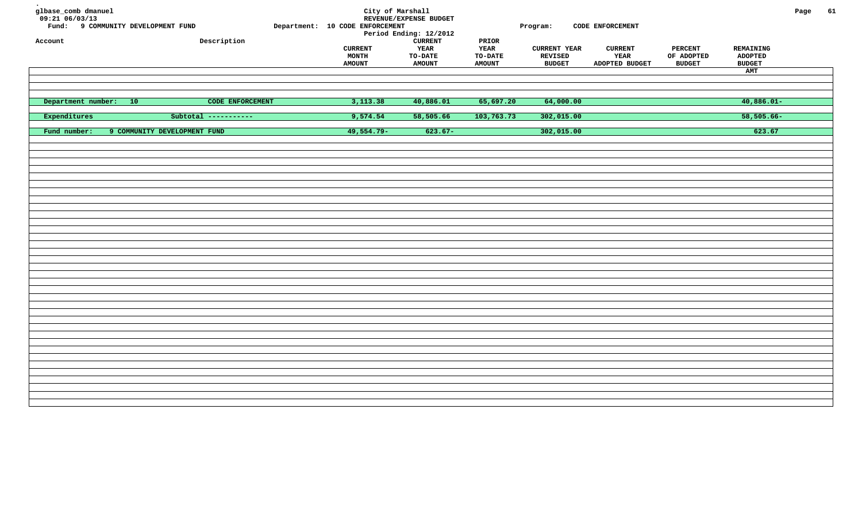| glbase_comb dmanuel<br>$09:21$ 06/03/13<br>Fund: 9 COMMUNITY DEVELOPMENT FUND<br>Account | Description                  | Department: 10 CODE ENFORCEMENT<br><b>CURRENT</b><br><b>MONTH</b><br><b>AMOUNT</b> | City of Marshall<br>REVENUE/EXPENSE BUDGET<br>Period Ending: 12/2012<br><b>CURRENT</b><br>YEAR<br>TO-DATE<br><b>AMOUNT</b> | PRIOR<br>YEAR<br>TO-DATE<br><b>AMOUNT</b> | Program:<br><b>CURRENT YEAR</b><br><b>REVISED</b><br><b>BUDGET</b> | CODE ENFORCEMENT<br><b>CURRENT</b><br>YEAR<br>ADOPTED BUDGET | <b>PERCENT</b><br>OF ADOPTED<br><b>BUDGET</b> | REMAINING<br><b>ADOPTED</b><br><b>BUDGET</b><br>AMT | Page | 61 |
|------------------------------------------------------------------------------------------|------------------------------|------------------------------------------------------------------------------------|----------------------------------------------------------------------------------------------------------------------------|-------------------------------------------|--------------------------------------------------------------------|--------------------------------------------------------------|-----------------------------------------------|-----------------------------------------------------|------|----|
|                                                                                          |                              |                                                                                    |                                                                                                                            |                                           |                                                                    |                                                              |                                               |                                                     |      |    |
| Department number: 10                                                                    | CODE ENFORCEMENT             | 3,113.38                                                                           | 40,886.01                                                                                                                  | 65,697.20                                 | 64,000.00                                                          |                                                              |                                               | $40,886.01-$                                        |      |    |
| Expenditures                                                                             | Subtotal -----------         | 9,574.54                                                                           | 58,505.66                                                                                                                  | 103,763.73                                | 302,015.00                                                         |                                                              |                                               | $58,505.66 -$                                       |      |    |
| Fund number:                                                                             | 9 COMMUNITY DEVELOPMENT FUND | $49,554.79-$                                                                       | $623.67-$                                                                                                                  |                                           | 302,015.00                                                         |                                                              |                                               | 623.67                                              |      |    |
|                                                                                          |                              |                                                                                    |                                                                                                                            |                                           |                                                                    |                                                              |                                               |                                                     |      |    |
|                                                                                          |                              |                                                                                    |                                                                                                                            |                                           |                                                                    |                                                              |                                               |                                                     |      |    |
|                                                                                          |                              |                                                                                    |                                                                                                                            |                                           |                                                                    |                                                              |                                               |                                                     |      |    |
|                                                                                          |                              |                                                                                    |                                                                                                                            |                                           |                                                                    |                                                              |                                               |                                                     |      |    |
|                                                                                          |                              |                                                                                    |                                                                                                                            |                                           |                                                                    |                                                              |                                               |                                                     |      |    |
|                                                                                          |                              |                                                                                    |                                                                                                                            |                                           |                                                                    |                                                              |                                               |                                                     |      |    |
|                                                                                          |                              |                                                                                    |                                                                                                                            |                                           |                                                                    |                                                              |                                               |                                                     |      |    |
|                                                                                          |                              |                                                                                    |                                                                                                                            |                                           |                                                                    |                                                              |                                               |                                                     |      |    |
|                                                                                          |                              |                                                                                    |                                                                                                                            |                                           |                                                                    |                                                              |                                               |                                                     |      |    |
|                                                                                          |                              |                                                                                    |                                                                                                                            |                                           |                                                                    |                                                              |                                               |                                                     |      |    |
|                                                                                          |                              |                                                                                    |                                                                                                                            |                                           |                                                                    |                                                              |                                               |                                                     |      |    |
|                                                                                          |                              |                                                                                    |                                                                                                                            |                                           |                                                                    |                                                              |                                               |                                                     |      |    |
|                                                                                          |                              |                                                                                    |                                                                                                                            |                                           |                                                                    |                                                              |                                               |                                                     |      |    |
|                                                                                          |                              |                                                                                    |                                                                                                                            |                                           |                                                                    |                                                              |                                               |                                                     |      |    |
|                                                                                          |                              |                                                                                    |                                                                                                                            |                                           |                                                                    |                                                              |                                               |                                                     |      |    |
|                                                                                          |                              |                                                                                    |                                                                                                                            |                                           |                                                                    |                                                              |                                               |                                                     |      |    |
|                                                                                          |                              |                                                                                    |                                                                                                                            |                                           |                                                                    |                                                              |                                               |                                                     |      |    |
|                                                                                          |                              |                                                                                    |                                                                                                                            |                                           |                                                                    |                                                              |                                               |                                                     |      |    |
|                                                                                          |                              |                                                                                    |                                                                                                                            |                                           |                                                                    |                                                              |                                               |                                                     |      |    |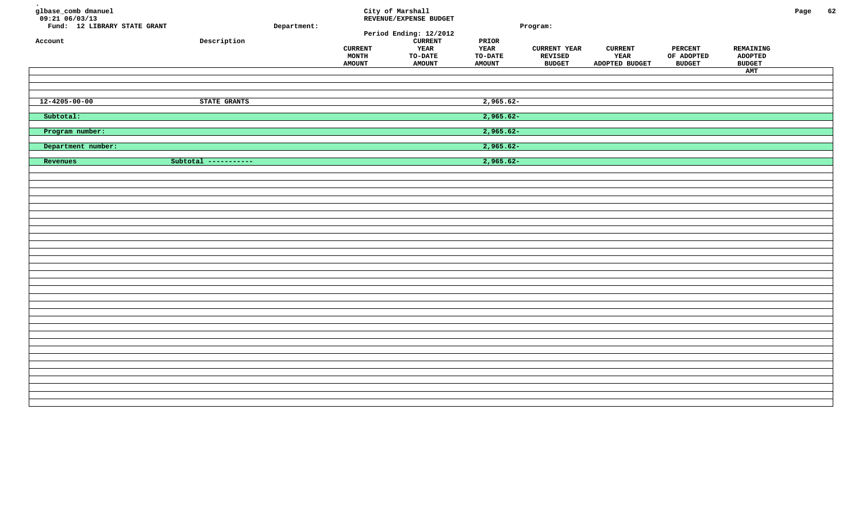| glbase_comb dmanuel<br>$09:21$ <sup>06/03/13</sup><br>Fund: 12 LIBRARY STATE GRANT<br>Account | Description          | Department: | <b>CURRENT</b><br><b>MONTH</b><br><b>AMOUNT</b> | City of Marshall<br>REVENUE/EXPENSE BUDGET<br>Period Ending: 12/2012<br><b>CURRENT</b><br>YEAR<br>TO-DATE<br><b>AMOUNT</b> | PRIOR<br>YEAR<br>TO-DATE<br><b>AMOUNT</b> | Program:<br><b>CURRENT YEAR</b><br>REVISED<br><b>BUDGET</b> | <b>CURRENT</b><br>YEAR<br>ADOPTED BUDGET | <b>PERCENT</b><br>OF ADOPTED<br><b>BUDGET</b> | REMAINING<br><b>ADOPTED</b><br><b>BUDGET</b><br>AMT | Page | 62 |
|-----------------------------------------------------------------------------------------------|----------------------|-------------|-------------------------------------------------|----------------------------------------------------------------------------------------------------------------------------|-------------------------------------------|-------------------------------------------------------------|------------------------------------------|-----------------------------------------------|-----------------------------------------------------|------|----|
| $12 - 4205 - 00 - 00$                                                                         | STATE GRANTS         |             |                                                 |                                                                                                                            | $2,965.62-$                               |                                                             |                                          |                                               |                                                     |      |    |
| Subtotal:                                                                                     |                      |             |                                                 |                                                                                                                            | $2,965.62-$                               |                                                             |                                          |                                               |                                                     |      |    |
| Program number:                                                                               |                      |             |                                                 |                                                                                                                            | $2,965.62-$                               |                                                             |                                          |                                               |                                                     |      |    |
| Department number:                                                                            |                      |             |                                                 |                                                                                                                            | $2,965.62-$                               |                                                             |                                          |                                               |                                                     |      |    |
| Revenues                                                                                      | Subtotal ----------- |             |                                                 |                                                                                                                            | 2,965.62-                                 |                                                             |                                          |                                               |                                                     |      |    |
|                                                                                               |                      |             |                                                 |                                                                                                                            |                                           |                                                             |                                          |                                               |                                                     |      |    |
|                                                                                               |                      |             |                                                 |                                                                                                                            |                                           |                                                             |                                          |                                               |                                                     |      |    |
|                                                                                               |                      |             |                                                 |                                                                                                                            |                                           |                                                             |                                          |                                               |                                                     |      |    |
|                                                                                               |                      |             |                                                 |                                                                                                                            |                                           |                                                             |                                          |                                               |                                                     |      |    |
|                                                                                               |                      |             |                                                 |                                                                                                                            |                                           |                                                             |                                          |                                               |                                                     |      |    |
|                                                                                               |                      |             |                                                 |                                                                                                                            |                                           |                                                             |                                          |                                               |                                                     |      |    |
|                                                                                               |                      |             |                                                 |                                                                                                                            |                                           |                                                             |                                          |                                               |                                                     |      |    |
|                                                                                               |                      |             |                                                 |                                                                                                                            |                                           |                                                             |                                          |                                               |                                                     |      |    |
|                                                                                               |                      |             |                                                 |                                                                                                                            |                                           |                                                             |                                          |                                               |                                                     |      |    |
|                                                                                               |                      |             |                                                 |                                                                                                                            |                                           |                                                             |                                          |                                               |                                                     |      |    |
|                                                                                               |                      |             |                                                 |                                                                                                                            |                                           |                                                             |                                          |                                               |                                                     |      |    |
|                                                                                               |                      |             |                                                 |                                                                                                                            |                                           |                                                             |                                          |                                               |                                                     |      |    |
|                                                                                               |                      |             |                                                 |                                                                                                                            |                                           |                                                             |                                          |                                               |                                                     |      |    |
|                                                                                               |                      |             |                                                 |                                                                                                                            |                                           |                                                             |                                          |                                               |                                                     |      |    |
|                                                                                               |                      |             |                                                 |                                                                                                                            |                                           |                                                             |                                          |                                               |                                                     |      |    |
|                                                                                               |                      |             |                                                 |                                                                                                                            |                                           |                                                             |                                          |                                               |                                                     |      |    |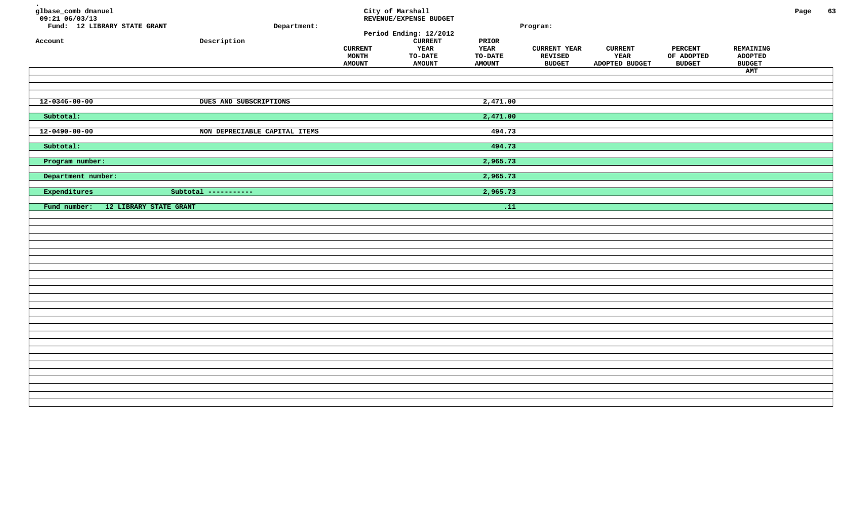| glbase_comb dmanuel<br>$09:21$ 06/03/13<br>Fund: 12 LIBRARY STATE GRANT<br>Account | Department:<br>${\tt Description}$ | <b>CURRENT</b><br>MONTH<br><b>AMOUNT</b> | City of Marshall<br>REVENUE/EXPENSE BUDGET<br>Period Ending: 12/2012<br><b>CURRENT</b><br>YEAR<br><b>TO-DATE</b><br><b>AMOUNT</b> | PRIOR<br>YEAR<br><b>TO-DATE</b><br><b>AMOUNT</b> | Program:<br><b>CURRENT YEAR</b><br><b>REVISED</b><br><b>BUDGET</b> | <b>CURRENT</b><br>YEAR<br>ADOPTED BUDGET | PERCENT<br>OF ADOPTED<br><b>BUDGET</b> | REMAINING<br><b>ADOPTED</b><br><b>BUDGET</b><br>AMT | Page | 63 |
|------------------------------------------------------------------------------------|------------------------------------|------------------------------------------|-----------------------------------------------------------------------------------------------------------------------------------|--------------------------------------------------|--------------------------------------------------------------------|------------------------------------------|----------------------------------------|-----------------------------------------------------|------|----|
| $12 - 0346 - 00 - 00$                                                              | DUES AND SUBSCRIPTIONS             |                                          |                                                                                                                                   | 2,471.00                                         |                                                                    |                                          |                                        |                                                     |      |    |
| Subtotal:                                                                          |                                    |                                          |                                                                                                                                   | 2,471.00                                         |                                                                    |                                          |                                        |                                                     |      |    |
| $12 - 0490 - 00 - 00$                                                              | NON DEPRECIABLE CAPITAL ITEMS      |                                          |                                                                                                                                   | 494.73                                           |                                                                    |                                          |                                        |                                                     |      |    |
| Subtotal:                                                                          |                                    |                                          |                                                                                                                                   | 494.73                                           |                                                                    |                                          |                                        |                                                     |      |    |
| Program number:                                                                    |                                    |                                          |                                                                                                                                   | 2,965.73                                         |                                                                    |                                          |                                        |                                                     |      |    |
| Department number:                                                                 |                                    |                                          |                                                                                                                                   | 2,965.73                                         |                                                                    |                                          |                                        |                                                     |      |    |
| Expenditures                                                                       | Subtotal -----------               |                                          |                                                                                                                                   | 2,965.73                                         |                                                                    |                                          |                                        |                                                     |      |    |
| Fund number:<br>12 LIBRARY STATE GRANT                                             |                                    |                                          |                                                                                                                                   | $\overline{.11}$                                 |                                                                    |                                          |                                        |                                                     |      |    |
|                                                                                    |                                    |                                          |                                                                                                                                   |                                                  |                                                                    |                                          |                                        |                                                     |      |    |
|                                                                                    |                                    |                                          |                                                                                                                                   |                                                  |                                                                    |                                          |                                        |                                                     |      |    |
|                                                                                    |                                    |                                          |                                                                                                                                   |                                                  |                                                                    |                                          |                                        |                                                     |      |    |
|                                                                                    |                                    |                                          |                                                                                                                                   |                                                  |                                                                    |                                          |                                        |                                                     |      |    |
|                                                                                    |                                    |                                          |                                                                                                                                   |                                                  |                                                                    |                                          |                                        |                                                     |      |    |
|                                                                                    |                                    |                                          |                                                                                                                                   |                                                  |                                                                    |                                          |                                        |                                                     |      |    |
|                                                                                    |                                    |                                          |                                                                                                                                   |                                                  |                                                                    |                                          |                                        |                                                     |      |    |
|                                                                                    |                                    |                                          |                                                                                                                                   |                                                  |                                                                    |                                          |                                        |                                                     |      |    |
|                                                                                    |                                    |                                          |                                                                                                                                   |                                                  |                                                                    |                                          |                                        |                                                     |      |    |
|                                                                                    |                                    |                                          |                                                                                                                                   |                                                  |                                                                    |                                          |                                        |                                                     |      |    |
|                                                                                    |                                    |                                          |                                                                                                                                   |                                                  |                                                                    |                                          |                                        |                                                     |      |    |
|                                                                                    |                                    |                                          |                                                                                                                                   |                                                  |                                                                    |                                          |                                        |                                                     |      |    |
|                                                                                    |                                    |                                          |                                                                                                                                   |                                                  |                                                                    |                                          |                                        |                                                     |      |    |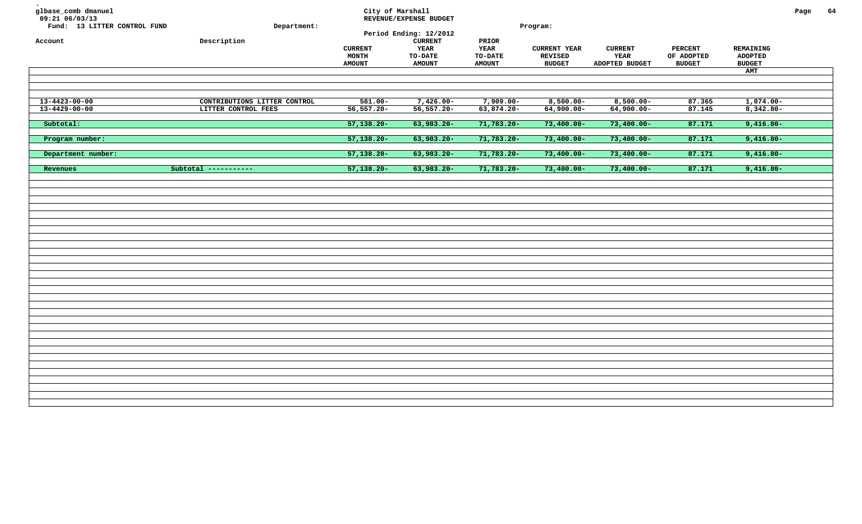| 64<br>Page<br>Program:                                                                                                                                                                              |
|-----------------------------------------------------------------------------------------------------------------------------------------------------------------------------------------------------|
| <b>CURRENT YEAR</b><br><b>CURRENT</b><br><b>PERCENT</b><br>REMAINING<br><b>REVISED</b><br>YEAR<br>OF ADOPTED<br><b>ADOPTED</b><br><b>BUDGET</b><br>ADOPTED BUDGET<br><b>BUDGET</b><br><b>BUDGET</b> |
| AMT                                                                                                                                                                                                 |
| $8,500.00 -$<br>$8,500.00 -$<br>87.365<br>$1,074.00-$                                                                                                                                               |
| 63,874.20-<br>$64,900.00 -$<br>$64,900.00 -$<br>87.145<br>$8,342.80 -$                                                                                                                              |
| $71,783.20 -$<br>$73,400.00 -$<br>$73,400.00 -$<br>87.171<br>$9,416.80 -$                                                                                                                           |
| 71,783.20-<br>87.171<br>$73,400.00 -$<br>$73,400.00 -$<br>$9,416.80 -$                                                                                                                              |
| 87.171<br>71,783.20-<br>$73,400.00 -$<br>$73,400.00 -$<br>$9,416.80 -$                                                                                                                              |
| 87.171<br>$9,416.80-$<br>$71,783.20 -$<br>$73,400.00 -$<br>$73,400.00 -$                                                                                                                            |
|                                                                                                                                                                                                     |
|                                                                                                                                                                                                     |
|                                                                                                                                                                                                     |
|                                                                                                                                                                                                     |
|                                                                                                                                                                                                     |
|                                                                                                                                                                                                     |
|                                                                                                                                                                                                     |
|                                                                                                                                                                                                     |
|                                                                                                                                                                                                     |
|                                                                                                                                                                                                     |
|                                                                                                                                                                                                     |
|                                                                                                                                                                                                     |
|                                                                                                                                                                                                     |
|                                                                                                                                                                                                     |
|                                                                                                                                                                                                     |
| $7,909.00 -$                                                                                                                                                                                        |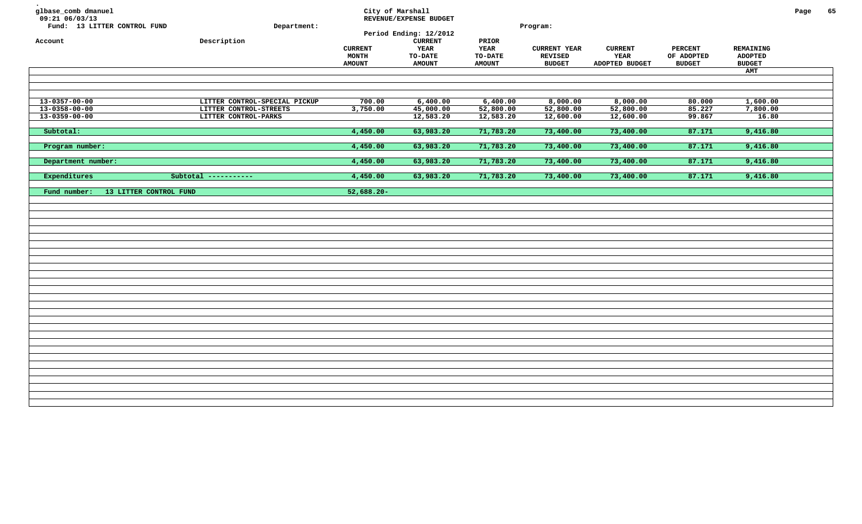| glbase_comb dmanuel<br>09:21 06/03/13<br>Fund: 13 LITTER CONTROL FUND | Department:                                    | City of Marshall                         | REVENUE/EXPENSE BUDGET<br>Period Ending: 12/2012           |                                                         | Program:                                               |                                          |                                               |                                              | Page | 65 |
|-----------------------------------------------------------------------|------------------------------------------------|------------------------------------------|------------------------------------------------------------|---------------------------------------------------------|--------------------------------------------------------|------------------------------------------|-----------------------------------------------|----------------------------------------------|------|----|
| Account                                                               | Description                                    | <b>CURRENT</b><br>MONTH<br><b>AMOUNT</b> | ${\tt CURRENT}$<br>YEAR<br><b>TO-DATE</b><br><b>AMOUNT</b> | PRIOR<br><b>YEAR</b><br><b>TO-DATE</b><br><b>AMOUNT</b> | <b>CURRENT YEAR</b><br><b>REVISED</b><br><b>BUDGET</b> | <b>CURRENT</b><br>YEAR<br>ADOPTED BUDGET | <b>PERCENT</b><br>OF ADOPTED<br><b>BUDGET</b> | REMAINING<br><b>ADOPTED</b><br><b>BUDGET</b> |      |    |
|                                                                       |                                                |                                          |                                                            |                                                         |                                                        |                                          |                                               | AMT                                          |      |    |
|                                                                       |                                                |                                          |                                                            |                                                         |                                                        |                                          |                                               |                                              |      |    |
|                                                                       |                                                |                                          |                                                            |                                                         |                                                        |                                          |                                               |                                              |      |    |
| $13 - 0357 - 00 - 00$<br>13-0358-00-00                                | LITTER CONTROL-SPECIAL PICKUP                  | 700.00                                   | 6,400.00                                                   | 6,400.00                                                | 8,000.00                                               | 8,000.00                                 | 80.000                                        | 1,600.00                                     |      |    |
| $13 - 0359 - 00 - 00$                                                 | LITTER CONTROL-STREETS<br>LITTER CONTROL-PARKS | 3,750.00                                 | 45,000.00<br>12,583.20                                     | 52,800.00<br>12,583.20                                  | 52,800.00<br>12,600.00                                 | 52,800.00<br>12,600.00                   | 85.227<br>99.867                              | 7,800.00<br>16.80                            |      |    |
|                                                                       |                                                |                                          |                                                            |                                                         |                                                        |                                          |                                               |                                              |      |    |
| Subtotal:                                                             |                                                | 4,450.00                                 | 63,983.20                                                  | 71,783.20                                               | 73,400.00                                              | 73,400.00                                | 87.171                                        | 9,416.80                                     |      |    |
| Program number:                                                       |                                                | 4,450.00                                 | 63,983.20                                                  | 71,783.20                                               | 73,400.00                                              | 73,400.00                                | 87.171                                        | 9,416.80                                     |      |    |
| Department number:                                                    |                                                | 4,450.00                                 | 63,983.20                                                  | 71,783.20                                               | 73,400.00                                              | 73,400.00                                | 87.171                                        | 9,416.80                                     |      |    |
| Expenditures                                                          | Subtotal $------$                              | 4,450.00                                 | 63,983.20                                                  | 71,783.20                                               | 73,400.00                                              | 73,400.00                                | 87.171                                        | 9,416.80                                     |      |    |
|                                                                       |                                                |                                          |                                                            |                                                         |                                                        |                                          |                                               |                                              |      |    |
| 13 LITTER CONTROL FUND<br>Fund number:                                |                                                | $52,688.20 -$                            |                                                            |                                                         |                                                        |                                          |                                               |                                              |      |    |
|                                                                       |                                                |                                          |                                                            |                                                         |                                                        |                                          |                                               |                                              |      |    |
|                                                                       |                                                |                                          |                                                            |                                                         |                                                        |                                          |                                               |                                              |      |    |
|                                                                       |                                                |                                          |                                                            |                                                         |                                                        |                                          |                                               |                                              |      |    |
|                                                                       |                                                |                                          |                                                            |                                                         |                                                        |                                          |                                               |                                              |      |    |
|                                                                       |                                                |                                          |                                                            |                                                         |                                                        |                                          |                                               |                                              |      |    |
|                                                                       |                                                |                                          |                                                            |                                                         |                                                        |                                          |                                               |                                              |      |    |
|                                                                       |                                                |                                          |                                                            |                                                         |                                                        |                                          |                                               |                                              |      |    |
|                                                                       |                                                |                                          |                                                            |                                                         |                                                        |                                          |                                               |                                              |      |    |
|                                                                       |                                                |                                          |                                                            |                                                         |                                                        |                                          |                                               |                                              |      |    |
|                                                                       |                                                |                                          |                                                            |                                                         |                                                        |                                          |                                               |                                              |      |    |
|                                                                       |                                                |                                          |                                                            |                                                         |                                                        |                                          |                                               |                                              |      |    |
|                                                                       |                                                |                                          |                                                            |                                                         |                                                        |                                          |                                               |                                              |      |    |
|                                                                       |                                                |                                          |                                                            |                                                         |                                                        |                                          |                                               |                                              |      |    |
|                                                                       |                                                |                                          |                                                            |                                                         |                                                        |                                          |                                               |                                              |      |    |
|                                                                       |                                                |                                          |                                                            |                                                         |                                                        |                                          |                                               |                                              |      |    |
|                                                                       |                                                |                                          |                                                            |                                                         |                                                        |                                          |                                               |                                              |      |    |
|                                                                       |                                                |                                          |                                                            |                                                         |                                                        |                                          |                                               |                                              |      |    |
|                                                                       |                                                |                                          |                                                            |                                                         |                                                        |                                          |                                               |                                              |      |    |
|                                                                       |                                                |                                          |                                                            |                                                         |                                                        |                                          |                                               |                                              |      |    |
|                                                                       |                                                |                                          |                                                            |                                                         |                                                        |                                          |                                               |                                              |      |    |
|                                                                       |                                                |                                          |                                                            |                                                         |                                                        |                                          |                                               |                                              |      |    |
|                                                                       |                                                |                                          |                                                            |                                                         |                                                        |                                          |                                               |                                              |      |    |
|                                                                       |                                                |                                          |                                                            |                                                         |                                                        |                                          |                                               |                                              |      |    |
|                                                                       |                                                |                                          |                                                            |                                                         |                                                        |                                          |                                               |                                              |      |    |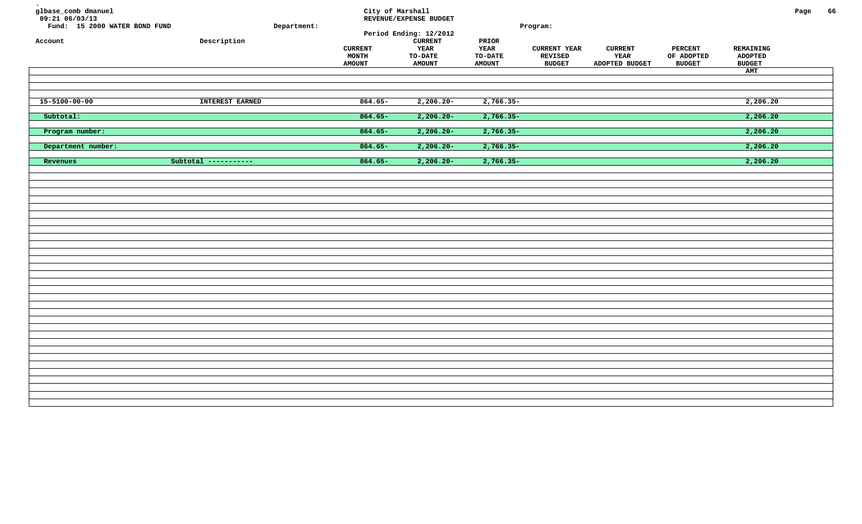| glbase_comb dmanuel<br>09:21 06/03/13<br>Fund: 15 2000 WATER BOND FUND<br>Account | ${\tt Description}$  | Department: | City of Marshall<br><b>CURRENT</b><br>MONTH<br><b>AMOUNT</b> | REVENUE/EXPENSE BUDGET<br>Period Ending: 12/2012<br><b>CURRENT</b><br>YEAR<br><b>TO-DATE</b><br><b>AMOUNT</b> | PRIOR<br>YEAR<br><b>TO-DATE</b><br><b>AMOUNT</b> | Program:<br><b>CURRENT YEAR</b><br><b>REVISED</b><br><b>BUDGET</b> | <b>CURRENT</b><br>YEAR<br>ADOPTED BUDGET | PERCENT<br>OF ADOPTED<br><b>BUDGET</b> | REMAINING<br><b>ADOPTED</b><br><b>BUDGET</b><br>AMT | Page | 66 |
|-----------------------------------------------------------------------------------|----------------------|-------------|--------------------------------------------------------------|---------------------------------------------------------------------------------------------------------------|--------------------------------------------------|--------------------------------------------------------------------|------------------------------------------|----------------------------------------|-----------------------------------------------------|------|----|
| $15 - 5100 - 00 - 00$                                                             | INTEREST EARNED      |             | $864.65-$                                                    | $2,206.20-$                                                                                                   | $2,766.35-$                                      |                                                                    |                                          |                                        | 2,206.20                                            |      |    |
| Subtotal:                                                                         |                      |             | $864.65 -$                                                   | $2,206.20 -$                                                                                                  | $2,766.35-$                                      |                                                                    |                                          |                                        | 2,206.20                                            |      |    |
| Program number:                                                                   |                      |             | $864.65 -$                                                   | $2,206.20 -$                                                                                                  | $2,766.35-$                                      |                                                                    |                                          |                                        | 2,206.20                                            |      |    |
| Department number:                                                                |                      |             | $864.65 -$                                                   | $2,206.20 -$                                                                                                  | $2,766.35-$                                      |                                                                    |                                          |                                        | 2,206.20                                            |      |    |
| Revenues                                                                          | Subtotal ----------- |             | $864.65 -$                                                   | $2,206.20 -$                                                                                                  | $2,766.35-$                                      |                                                                    |                                          |                                        | 2,206.20                                            |      |    |
|                                                                                   |                      |             |                                                              |                                                                                                               |                                                  |                                                                    |                                          |                                        |                                                     |      |    |
|                                                                                   |                      |             |                                                              |                                                                                                               |                                                  |                                                                    |                                          |                                        |                                                     |      |    |
|                                                                                   |                      |             |                                                              |                                                                                                               |                                                  |                                                                    |                                          |                                        |                                                     |      |    |
|                                                                                   |                      |             |                                                              |                                                                                                               |                                                  |                                                                    |                                          |                                        |                                                     |      |    |
|                                                                                   |                      |             |                                                              |                                                                                                               |                                                  |                                                                    |                                          |                                        |                                                     |      |    |
|                                                                                   |                      |             |                                                              |                                                                                                               |                                                  |                                                                    |                                          |                                        |                                                     |      |    |
|                                                                                   |                      |             |                                                              |                                                                                                               |                                                  |                                                                    |                                          |                                        |                                                     |      |    |
|                                                                                   |                      |             |                                                              |                                                                                                               |                                                  |                                                                    |                                          |                                        |                                                     |      |    |
|                                                                                   |                      |             |                                                              |                                                                                                               |                                                  |                                                                    |                                          |                                        |                                                     |      |    |
|                                                                                   |                      |             |                                                              |                                                                                                               |                                                  |                                                                    |                                          |                                        |                                                     |      |    |
|                                                                                   |                      |             |                                                              |                                                                                                               |                                                  |                                                                    |                                          |                                        |                                                     |      |    |
|                                                                                   |                      |             |                                                              |                                                                                                               |                                                  |                                                                    |                                          |                                        |                                                     |      |    |
|                                                                                   |                      |             |                                                              |                                                                                                               |                                                  |                                                                    |                                          |                                        |                                                     |      |    |
|                                                                                   |                      |             |                                                              |                                                                                                               |                                                  |                                                                    |                                          |                                        |                                                     |      |    |
|                                                                                   |                      |             |                                                              |                                                                                                               |                                                  |                                                                    |                                          |                                        |                                                     |      |    |
|                                                                                   |                      |             |                                                              |                                                                                                               |                                                  |                                                                    |                                          |                                        |                                                     |      |    |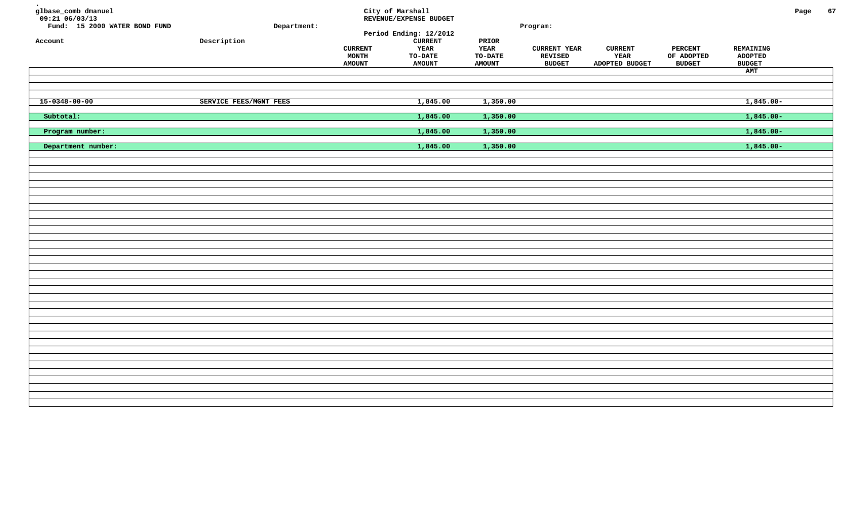| glbase_comb dmanuel<br>$09:21$ <sup>06/03/13</sup><br>Fund: 15 2000 WATER BOND FUND<br>Account | Description            | Department: | <b>CURRENT</b><br>MONTH<br><b>AMOUNT</b> | City of Marshall<br>REVENUE/EXPENSE BUDGET<br>Period Ending: 12/2012<br><b>CURRENT</b><br>YEAR<br>TO-DATE<br><b>AMOUNT</b> | PRIOR<br>YEAR<br>TO-DATE<br><b>AMOUNT</b> | Program:<br><b>CURRENT YEAR</b><br>REVISED<br><b>BUDGET</b> | <b>CURRENT</b><br>YEAR<br>ADOPTED BUDGET | <b>PERCENT</b><br>OF ADOPTED<br><b>BUDGET</b> | REMAINING<br><b>ADOPTED</b><br><b>BUDGET</b><br>AMT | Page | 67 |
|------------------------------------------------------------------------------------------------|------------------------|-------------|------------------------------------------|----------------------------------------------------------------------------------------------------------------------------|-------------------------------------------|-------------------------------------------------------------|------------------------------------------|-----------------------------------------------|-----------------------------------------------------|------|----|
| $15 - 0348 - 00 - 00$                                                                          | SERVICE FEES/MGNT FEES |             |                                          | 1,845.00                                                                                                                   | 1,350.00                                  |                                                             |                                          |                                               | $1,845.00-$                                         |      |    |
| Subtotal:                                                                                      |                        |             |                                          | 1,845.00                                                                                                                   | 1,350.00                                  |                                                             |                                          |                                               | $1,845.00 -$                                        |      |    |
| Program number:                                                                                |                        |             |                                          | 1,845.00                                                                                                                   | 1,350.00                                  |                                                             |                                          |                                               | $1,845.00-$                                         |      |    |
| Department number:                                                                             |                        |             |                                          | 1,845.00                                                                                                                   | 1,350.00                                  |                                                             |                                          |                                               | $1,845.00 -$                                        |      |    |
|                                                                                                |                        |             |                                          |                                                                                                                            |                                           |                                                             |                                          |                                               |                                                     |      |    |
|                                                                                                |                        |             |                                          |                                                                                                                            |                                           |                                                             |                                          |                                               |                                                     |      |    |
|                                                                                                |                        |             |                                          |                                                                                                                            |                                           |                                                             |                                          |                                               |                                                     |      |    |
|                                                                                                |                        |             |                                          |                                                                                                                            |                                           |                                                             |                                          |                                               |                                                     |      |    |
|                                                                                                |                        |             |                                          |                                                                                                                            |                                           |                                                             |                                          |                                               |                                                     |      |    |
|                                                                                                |                        |             |                                          |                                                                                                                            |                                           |                                                             |                                          |                                               |                                                     |      |    |
|                                                                                                |                        |             |                                          |                                                                                                                            |                                           |                                                             |                                          |                                               |                                                     |      |    |
|                                                                                                |                        |             |                                          |                                                                                                                            |                                           |                                                             |                                          |                                               |                                                     |      |    |
|                                                                                                |                        |             |                                          |                                                                                                                            |                                           |                                                             |                                          |                                               |                                                     |      |    |
|                                                                                                |                        |             |                                          |                                                                                                                            |                                           |                                                             |                                          |                                               |                                                     |      |    |
|                                                                                                |                        |             |                                          |                                                                                                                            |                                           |                                                             |                                          |                                               |                                                     |      |    |
|                                                                                                |                        |             |                                          |                                                                                                                            |                                           |                                                             |                                          |                                               |                                                     |      |    |
|                                                                                                |                        |             |                                          |                                                                                                                            |                                           |                                                             |                                          |                                               |                                                     |      |    |
|                                                                                                |                        |             |                                          |                                                                                                                            |                                           |                                                             |                                          |                                               |                                                     |      |    |
|                                                                                                |                        |             |                                          |                                                                                                                            |                                           |                                                             |                                          |                                               |                                                     |      |    |
|                                                                                                |                        |             |                                          |                                                                                                                            |                                           |                                                             |                                          |                                               |                                                     |      |    |
|                                                                                                |                        |             |                                          |                                                                                                                            |                                           |                                                             |                                          |                                               |                                                     |      |    |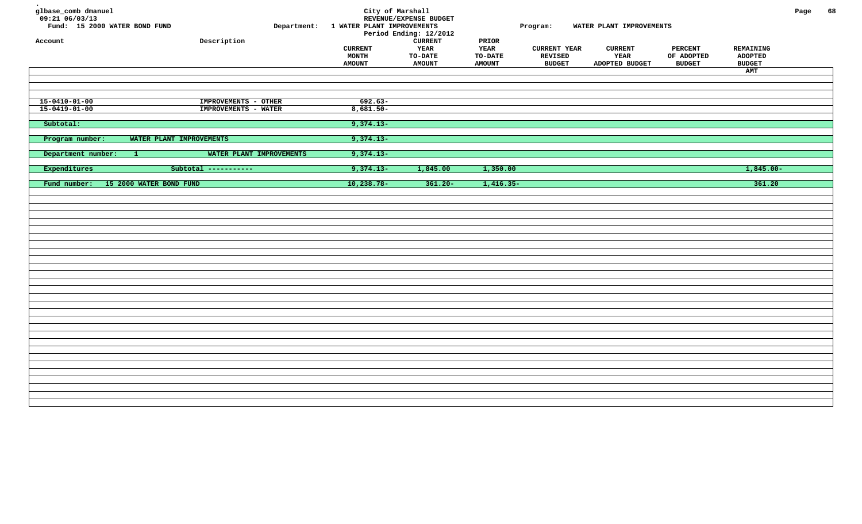| glbase_comb dmanuel<br>$09:21$ $06/03/13$<br>Fund: 15 2000 WATER BOND FUND<br>Account | Description                                  | Department: 1 WATER PLANT IMPROVEMENTS<br><b>CURRENT</b><br><b>MONTH</b><br><b>AMOUNT</b> | City of Marshall<br>REVENUE/EXPENSE BUDGET<br>Period Ending: 12/2012<br><b>CURRENT</b><br>YEAR<br>TO-DATE<br><b>AMOUNT</b> | PRIOR<br>YEAR<br><b>TO-DATE</b><br><b>AMOUNT</b> | Program:<br><b>CURRENT YEAR</b><br><b>REVISED</b><br><b>BUDGET</b> | WATER PLANT IMPROVEMENTS<br><b>CURRENT</b><br>YEAR<br>ADOPTED BUDGET | <b>PERCENT</b><br>OF ADOPTED<br><b>BUDGET</b> | REMAINING<br><b>ADOPTED</b><br><b>BUDGET</b><br>AMT | Page | 68 |
|---------------------------------------------------------------------------------------|----------------------------------------------|-------------------------------------------------------------------------------------------|----------------------------------------------------------------------------------------------------------------------------|--------------------------------------------------|--------------------------------------------------------------------|----------------------------------------------------------------------|-----------------------------------------------|-----------------------------------------------------|------|----|
| $15 - 0410 - 01 - 00$<br>$15 - 0419 - 01 - 00$                                        | IMPROVEMENTS - OTHER<br>IMPROVEMENTS - WATER | $692.63-$<br>$8,681.50 -$                                                                 |                                                                                                                            |                                                  |                                                                    |                                                                      |                                               |                                                     |      |    |
| Subtotal:                                                                             |                                              | $9,374.13-$                                                                               |                                                                                                                            |                                                  |                                                                    |                                                                      |                                               |                                                     |      |    |
| Program number:                                                                       | WATER PLANT IMPROVEMENTS                     | $9,374.13-$                                                                               |                                                                                                                            |                                                  |                                                                    |                                                                      |                                               |                                                     |      |    |
| Department number:<br>$\mathbf{1}$                                                    | WATER PLANT IMPROVEMENTS                     | $9,374.13-$                                                                               |                                                                                                                            |                                                  |                                                                    |                                                                      |                                               |                                                     |      |    |
| Expenditures                                                                          | Subtotal -----------                         | $9,374.13-$                                                                               | 1,845.00                                                                                                                   | 1,350.00                                         |                                                                    |                                                                      |                                               | $1,845.00-$                                         |      |    |
| 15 2000 WATER BOND FUND<br>Fund number:                                               |                                              | $10, 238.78 -$                                                                            | $361.20 -$                                                                                                                 | $1,416.35-$                                      |                                                                    |                                                                      |                                               | 361.20                                              |      |    |
|                                                                                       |                                              |                                                                                           |                                                                                                                            |                                                  |                                                                    |                                                                      |                                               |                                                     |      |    |
|                                                                                       |                                              |                                                                                           |                                                                                                                            |                                                  |                                                                    |                                                                      |                                               |                                                     |      |    |
|                                                                                       |                                              |                                                                                           |                                                                                                                            |                                                  |                                                                    |                                                                      |                                               |                                                     |      |    |
|                                                                                       |                                              |                                                                                           |                                                                                                                            |                                                  |                                                                    |                                                                      |                                               |                                                     |      |    |
|                                                                                       |                                              |                                                                                           |                                                                                                                            |                                                  |                                                                    |                                                                      |                                               |                                                     |      |    |
|                                                                                       |                                              |                                                                                           |                                                                                                                            |                                                  |                                                                    |                                                                      |                                               |                                                     |      |    |
|                                                                                       |                                              |                                                                                           |                                                                                                                            |                                                  |                                                                    |                                                                      |                                               |                                                     |      |    |
|                                                                                       |                                              |                                                                                           |                                                                                                                            |                                                  |                                                                    |                                                                      |                                               |                                                     |      |    |
|                                                                                       |                                              |                                                                                           |                                                                                                                            |                                                  |                                                                    |                                                                      |                                               |                                                     |      |    |
|                                                                                       |                                              |                                                                                           |                                                                                                                            |                                                  |                                                                    |                                                                      |                                               |                                                     |      |    |
|                                                                                       |                                              |                                                                                           |                                                                                                                            |                                                  |                                                                    |                                                                      |                                               |                                                     |      |    |
|                                                                                       |                                              |                                                                                           |                                                                                                                            |                                                  |                                                                    |                                                                      |                                               |                                                     |      |    |
|                                                                                       |                                              |                                                                                           |                                                                                                                            |                                                  |                                                                    |                                                                      |                                               |                                                     |      |    |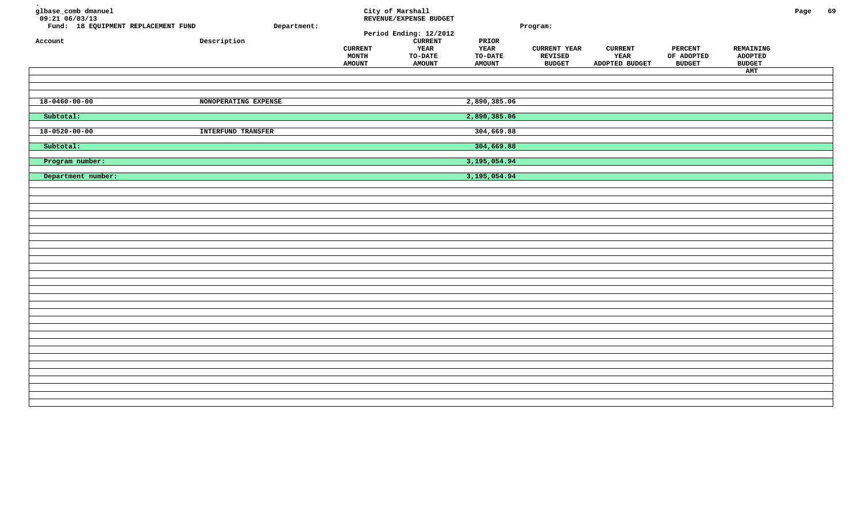| glbase_comb dmanuel<br>$09:21$ <sup>-06/03/13</sup><br>Fund: 18 EQUIPMENT REPLACEMENT FUND<br>Account | Description               | Department: | <b>CURRENT</b><br>MONTH<br><b>AMOUNT</b> | City of Marshall<br>REVENUE/EXPENSE BUDGET<br>Period Ending: 12/2012<br><b>CURRENT</b><br>YEAR<br>TO-DATE<br><b>AMOUNT</b> | PRIOR<br><b>YEAR</b><br>TO-DATE<br><b>AMOUNT</b> | Program:<br><b>CURRENT YEAR</b><br>REVISED<br><b>BUDGET</b> | <b>CURRENT</b><br>YEAR<br>ADOPTED BUDGET | <b>PERCENT</b><br>OF ADOPTED<br><b>BUDGET</b> | REMAINING<br><b>ADOPTED</b><br><b>BUDGET</b><br>AMT | Page | 69 |
|-------------------------------------------------------------------------------------------------------|---------------------------|-------------|------------------------------------------|----------------------------------------------------------------------------------------------------------------------------|--------------------------------------------------|-------------------------------------------------------------|------------------------------------------|-----------------------------------------------|-----------------------------------------------------|------|----|
| $18 - 0460 - 00 - 00$                                                                                 | NONOPERATING EXPENSE      |             |                                          |                                                                                                                            | 2,890,385.06                                     |                                                             |                                          |                                               |                                                     |      |    |
| Subtotal:                                                                                             |                           |             |                                          |                                                                                                                            | 2,890,385.06                                     |                                                             |                                          |                                               |                                                     |      |    |
| $18 - 0520 - 00 - 00$                                                                                 | <b>INTERFUND TRANSFER</b> |             |                                          |                                                                                                                            | 304,669.88                                       |                                                             |                                          |                                               |                                                     |      |    |
| Subtotal:                                                                                             |                           |             |                                          |                                                                                                                            | 304,669.88                                       |                                                             |                                          |                                               |                                                     |      |    |
| Program number:                                                                                       |                           |             |                                          |                                                                                                                            | 3,195,054.94                                     |                                                             |                                          |                                               |                                                     |      |    |
| Department number:                                                                                    |                           |             |                                          |                                                                                                                            | 3, 195, 054.94                                   |                                                             |                                          |                                               |                                                     |      |    |
|                                                                                                       |                           |             |                                          |                                                                                                                            |                                                  |                                                             |                                          |                                               |                                                     |      |    |
|                                                                                                       |                           |             |                                          |                                                                                                                            |                                                  |                                                             |                                          |                                               |                                                     |      |    |
|                                                                                                       |                           |             |                                          |                                                                                                                            |                                                  |                                                             |                                          |                                               |                                                     |      |    |
|                                                                                                       |                           |             |                                          |                                                                                                                            |                                                  |                                                             |                                          |                                               |                                                     |      |    |
|                                                                                                       |                           |             |                                          |                                                                                                                            |                                                  |                                                             |                                          |                                               |                                                     |      |    |
|                                                                                                       |                           |             |                                          |                                                                                                                            |                                                  |                                                             |                                          |                                               |                                                     |      |    |
|                                                                                                       |                           |             |                                          |                                                                                                                            |                                                  |                                                             |                                          |                                               |                                                     |      |    |
|                                                                                                       |                           |             |                                          |                                                                                                                            |                                                  |                                                             |                                          |                                               |                                                     |      |    |
|                                                                                                       |                           |             |                                          |                                                                                                                            |                                                  |                                                             |                                          |                                               |                                                     |      |    |
|                                                                                                       |                           |             |                                          |                                                                                                                            |                                                  |                                                             |                                          |                                               |                                                     |      |    |
|                                                                                                       |                           |             |                                          |                                                                                                                            |                                                  |                                                             |                                          |                                               |                                                     |      |    |
|                                                                                                       |                           |             |                                          |                                                                                                                            |                                                  |                                                             |                                          |                                               |                                                     |      |    |
|                                                                                                       |                           |             |                                          |                                                                                                                            |                                                  |                                                             |                                          |                                               |                                                     |      |    |
|                                                                                                       |                           |             |                                          |                                                                                                                            |                                                  |                                                             |                                          |                                               |                                                     |      |    |
|                                                                                                       |                           |             |                                          |                                                                                                                            |                                                  |                                                             |                                          |                                               |                                                     |      |    |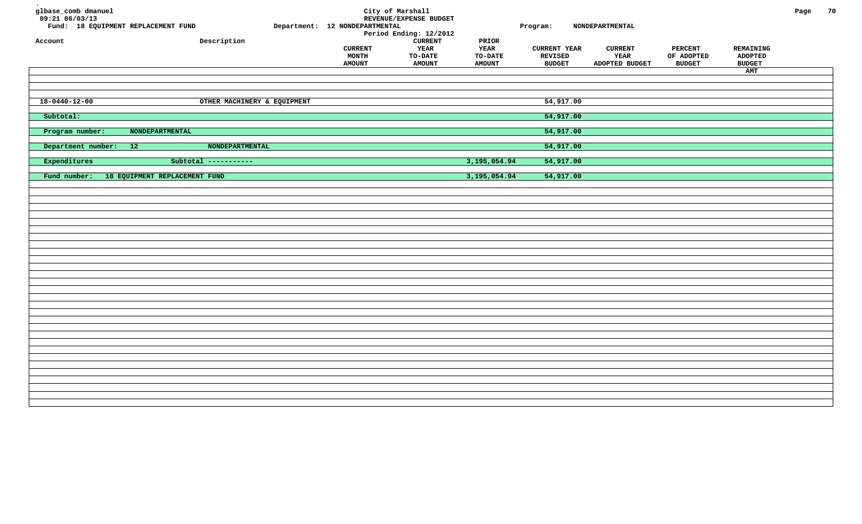| glbase_comb dmanuel<br>$09:21$ 06/03/13<br>Fund: 18 EQUIPMENT REPLACEMENT FUND<br>${\tt Description}$<br>Account | Department: 12 NONDEPARTMENTAL<br><b>CURRENT</b> | City of Marshall<br>REVENUE/EXPENSE BUDGET<br>Period Ending: 12/2012<br><b>CURRENT</b><br>YEAR | PRIOR<br><b>YEAR</b>     | Program:<br><b>CURRENT YEAR</b> | NONDEPARTMENTAL<br><b>CURRENT</b> | <b>PERCENT</b>              | REMAINING                       | Page | 70 |
|------------------------------------------------------------------------------------------------------------------|--------------------------------------------------|------------------------------------------------------------------------------------------------|--------------------------|---------------------------------|-----------------------------------|-----------------------------|---------------------------------|------|----|
|                                                                                                                  | MONTH<br><b>AMOUNT</b>                           | TO-DATE<br><b>AMOUNT</b>                                                                       | TO-DATE<br><b>AMOUNT</b> | <b>REVISED</b><br><b>BUDGET</b> | YEAR<br>ADOPTED BUDGET            | OF ADOPTED<br><b>BUDGET</b> | <b>ADOPTED</b><br><b>BUDGET</b> |      |    |
|                                                                                                                  |                                                  |                                                                                                |                          |                                 |                                   |                             | AMT                             |      |    |
|                                                                                                                  |                                                  |                                                                                                |                          |                                 |                                   |                             |                                 |      |    |
| $18 - 0440 - 12 - 00$<br>OTHER MACHINERY & EQUIPMENT                                                             |                                                  |                                                                                                |                          | 54,917.00                       |                                   |                             |                                 |      |    |
|                                                                                                                  |                                                  |                                                                                                |                          |                                 |                                   |                             |                                 |      |    |
| Subtotal:                                                                                                        |                                                  |                                                                                                |                          | 54,917.00                       |                                   |                             |                                 |      |    |
| Program number:<br><b>NONDEPARTMENTAL</b>                                                                        |                                                  |                                                                                                |                          | 54,917.00                       |                                   |                             |                                 |      |    |
| Department number: 12<br>NONDEPARTMENTAL                                                                         |                                                  |                                                                                                |                          | 54,917.00                       |                                   |                             |                                 |      |    |
| Expenditures<br>Subtotal -----------                                                                             |                                                  |                                                                                                | 3,195,054.94             | 54,917.00                       |                                   |                             |                                 |      |    |
| Fund number:<br>18 EQUIPMENT REPLACEMENT FUND                                                                    |                                                  |                                                                                                | 3,195,054.94             | 54,917.00                       |                                   |                             |                                 |      |    |
|                                                                                                                  |                                                  |                                                                                                |                          |                                 |                                   |                             |                                 |      |    |
|                                                                                                                  |                                                  |                                                                                                |                          |                                 |                                   |                             |                                 |      |    |
|                                                                                                                  |                                                  |                                                                                                |                          |                                 |                                   |                             |                                 |      |    |
|                                                                                                                  |                                                  |                                                                                                |                          |                                 |                                   |                             |                                 |      |    |
|                                                                                                                  |                                                  |                                                                                                |                          |                                 |                                   |                             |                                 |      |    |
|                                                                                                                  |                                                  |                                                                                                |                          |                                 |                                   |                             |                                 |      |    |
|                                                                                                                  |                                                  |                                                                                                |                          |                                 |                                   |                             |                                 |      |    |
|                                                                                                                  |                                                  |                                                                                                |                          |                                 |                                   |                             |                                 |      |    |
|                                                                                                                  |                                                  |                                                                                                |                          |                                 |                                   |                             |                                 |      |    |
|                                                                                                                  |                                                  |                                                                                                |                          |                                 |                                   |                             |                                 |      |    |
|                                                                                                                  |                                                  |                                                                                                |                          |                                 |                                   |                             |                                 |      |    |
|                                                                                                                  |                                                  |                                                                                                |                          |                                 |                                   |                             |                                 |      |    |
|                                                                                                                  |                                                  |                                                                                                |                          |                                 |                                   |                             |                                 |      |    |
|                                                                                                                  |                                                  |                                                                                                |                          |                                 |                                   |                             |                                 |      |    |
|                                                                                                                  |                                                  |                                                                                                |                          |                                 |                                   |                             |                                 |      |    |
|                                                                                                                  |                                                  |                                                                                                |                          |                                 |                                   |                             |                                 |      |    |
|                                                                                                                  |                                                  |                                                                                                |                          |                                 |                                   |                             |                                 |      |    |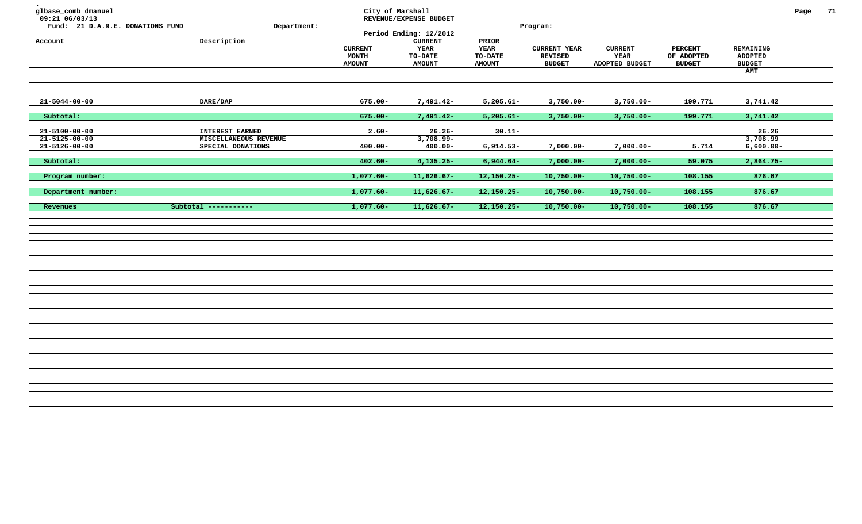| glbase_comb dmanuel<br>09:21 06/03/13<br>Fund: 21 D.A.R.E. DONATIONS FUND<br>Account | Department:<br>Description                                           | City of Marshall<br><b>CURRENT</b><br>MONTH<br><b>AMOUNT</b> | REVENUE/EXPENSE BUDGET<br>Period Ending: 12/2012<br><b>CURRENT</b><br><b>YEAR</b><br>TO-DATE<br><b>AMOUNT</b> | PRIOR<br><b>YEAR</b><br>TO-DATE<br><b>AMOUNT</b> | Program:<br><b>CURRENT YEAR</b><br><b>REVISED</b><br><b>BUDGET</b> | <b>CURRENT</b><br>YEAR<br>ADOPTED BUDGET | <b>PERCENT</b><br>OF ADOPTED<br><b>BUDGET</b> | <b>REMAINING</b><br><b>ADOPTED</b><br><b>BUDGET</b><br>AMT | Page | 71 |
|--------------------------------------------------------------------------------------|----------------------------------------------------------------------|--------------------------------------------------------------|---------------------------------------------------------------------------------------------------------------|--------------------------------------------------|--------------------------------------------------------------------|------------------------------------------|-----------------------------------------------|------------------------------------------------------------|------|----|
| 21-5044-00-00                                                                        | DARE/DAP                                                             | $675.00 -$                                                   | $7,491.42-$                                                                                                   | $5,205.61-$                                      | $3,750.00 -$                                                       | $3,750.00 -$                             | 199.771                                       | 3,741.42                                                   |      |    |
| Subtotal:                                                                            |                                                                      | $675.00 -$                                                   | $7,491.42-$                                                                                                   | $5,205.61 -$                                     | $3,750.00 -$                                                       | $3,750.00 -$                             | 199.771                                       | 3,741.42                                                   |      |    |
| $21 - 5100 - 00 - 00$<br>$21 - 5125 - 00 - 00$<br>$21 - 5126 - 00 - 00$              | <b>INTEREST EARNED</b><br>MISCELLANEOUS REVENUE<br>SPECIAL DONATIONS | $2.60 -$<br>$400.00 -$                                       | $26.26 -$<br>$3,708.99 -$<br>$400.00 -$                                                                       | $30.11 -$<br>$6,914.53-$                         | $7,000.00 -$                                                       | $7,000.00 -$                             | 5.714                                         | 26.26<br>3,708.99<br>$6,600.00 -$                          |      |    |
| Subtotal:                                                                            |                                                                      | $402.60 -$                                                   | $4,135.25-$                                                                                                   | $6,944.64-$                                      | $7,000.00-$                                                        | $7,000.00-$                              | 59.075                                        | $2,864.75-$                                                |      |    |
| Program number:                                                                      |                                                                      | $1,077.60 -$                                                 | $11,626.67-$                                                                                                  | $12,150.25-$                                     | $10,750.00 -$                                                      | $10,750.00 -$                            | 108.155                                       | 876.67                                                     |      |    |
| Department number:                                                                   |                                                                      | $1,077.60 -$                                                 | $11,626.67-$                                                                                                  | $12,150.25-$                                     | $10,750.00 -$                                                      | $10,750.00 -$                            | 108.155                                       | 876.67                                                     |      |    |
| Revenues                                                                             | Subtotal -----------                                                 | $1,077.60-$                                                  | $11,626.67-$                                                                                                  | $12,150.25-$                                     | $10,750.00 -$                                                      | $10,750.00 -$                            | 108.155                                       | 876.67                                                     |      |    |
|                                                                                      |                                                                      |                                                              |                                                                                                               |                                                  |                                                                    |                                          |                                               |                                                            |      |    |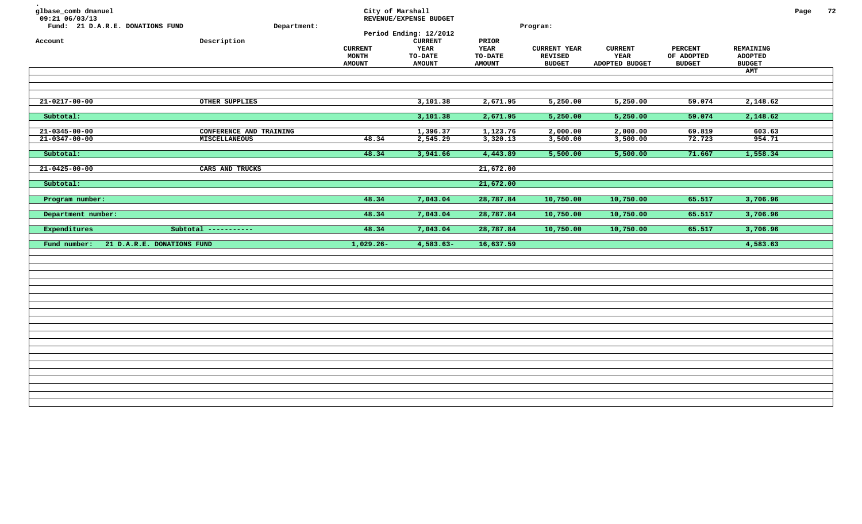| glbase_comb dmanuel<br>09:21 06/03/13<br>Fund: 21 D.A.R.E. DONATIONS FUND<br>Account | Description                                     | Department: | <b>CURRENT</b><br><b>MONTH</b><br><b>AMOUNT</b> | City of Marshall<br>REVENUE/EXPENSE BUDGET<br>Period Ending: 12/2012<br>${\tt CURRENT}$<br>YEAR<br>TO-DATE<br><b>AMOUNT</b> | PRIOR<br>YEAR<br>TO-DATE<br><b>AMOUNT</b> | Program:<br><b>CURRENT YEAR</b><br><b>REVISED</b><br><b>BUDGET</b> | <b>CURRENT</b><br>YEAR<br>ADOPTED BUDGET | <b>PERCENT</b><br>OF ADOPTED<br><b>BUDGET</b> | REMAINING<br><b>ADOPTED</b><br><b>BUDGET</b><br>AMT | Page | 72 |
|--------------------------------------------------------------------------------------|-------------------------------------------------|-------------|-------------------------------------------------|-----------------------------------------------------------------------------------------------------------------------------|-------------------------------------------|--------------------------------------------------------------------|------------------------------------------|-----------------------------------------------|-----------------------------------------------------|------|----|
| $21 - 0217 - 00 - 00$                                                                | OTHER SUPPLIES                                  |             |                                                 | 3,101.38                                                                                                                    | 2,671.95                                  | 5,250.00                                                           | 5,250.00                                 | 59.074                                        | 2,148.62                                            |      |    |
| Subtotal:                                                                            |                                                 |             |                                                 | 3,101.38                                                                                                                    | 2,671.95                                  | 5,250.00                                                           | 5,250.00                                 | 59.074                                        | 2,148.62                                            |      |    |
| $21 - 0345 - 00 - 00$<br>$21 - 0347 - 00 - 00$                                       | CONFERENCE AND TRAINING<br><b>MISCELLANEOUS</b> |             | 48.34                                           | 1,396.37<br>2,545.29                                                                                                        | 1,123.76<br>3,320.13                      | 2,000.00<br>3,500.00                                               | 2,000.00<br>3,500.00                     | 69.819<br>72.723                              | 603.63<br>954.71                                    |      |    |
| Subtotal:                                                                            |                                                 |             | 48.34                                           | 3,941.66                                                                                                                    | 4,443.89                                  | 5,500.00                                                           | 5,500.00                                 | 71.667                                        | 1,558.34                                            |      |    |
| $21 - 0425 - 00 - 00$                                                                | CARS AND TRUCKS                                 |             |                                                 |                                                                                                                             | 21,672.00                                 |                                                                    |                                          |                                               |                                                     |      |    |
| Subtotal:                                                                            |                                                 |             |                                                 |                                                                                                                             | 21,672.00                                 |                                                                    |                                          |                                               |                                                     |      |    |
| Program number:                                                                      |                                                 |             | 48.34                                           | 7,043.04                                                                                                                    | 28,787.84                                 | 10,750.00                                                          | 10,750.00                                | 65.517                                        | 3,706.96                                            |      |    |
| Department number:                                                                   |                                                 |             | 48.34                                           | 7,043.04                                                                                                                    | 28,787.84                                 | 10,750.00                                                          | 10,750.00                                | 65.517                                        | 3,706.96                                            |      |    |
| Expenditures                                                                         | $Subtotal$ -----------                          |             | 48.34                                           | 7,043.04                                                                                                                    | 28,787.84                                 | 10,750.00                                                          | 10,750.00                                | 65.517                                        | 3,706.96                                            |      |    |
| 21 D.A.R.E. DONATIONS FUND<br>Fund number:                                           |                                                 |             | $1,029.26 -$                                    | 4,583.63-                                                                                                                   | 16,637.59                                 |                                                                    |                                          |                                               | 4,583.63                                            |      |    |
|                                                                                      |                                                 |             |                                                 |                                                                                                                             |                                           |                                                                    |                                          |                                               |                                                     |      |    |
|                                                                                      |                                                 |             |                                                 |                                                                                                                             |                                           |                                                                    |                                          |                                               |                                                     |      |    |
|                                                                                      |                                                 |             |                                                 |                                                                                                                             |                                           |                                                                    |                                          |                                               |                                                     |      |    |
|                                                                                      |                                                 |             |                                                 |                                                                                                                             |                                           |                                                                    |                                          |                                               |                                                     |      |    |
|                                                                                      |                                                 |             |                                                 |                                                                                                                             |                                           |                                                                    |                                          |                                               |                                                     |      |    |
|                                                                                      |                                                 |             |                                                 |                                                                                                                             |                                           |                                                                    |                                          |                                               |                                                     |      |    |
|                                                                                      |                                                 |             |                                                 |                                                                                                                             |                                           |                                                                    |                                          |                                               |                                                     |      |    |
|                                                                                      |                                                 |             |                                                 |                                                                                                                             |                                           |                                                                    |                                          |                                               |                                                     |      |    |
|                                                                                      |                                                 |             |                                                 |                                                                                                                             |                                           |                                                                    |                                          |                                               |                                                     |      |    |
|                                                                                      |                                                 |             |                                                 |                                                                                                                             |                                           |                                                                    |                                          |                                               |                                                     |      |    |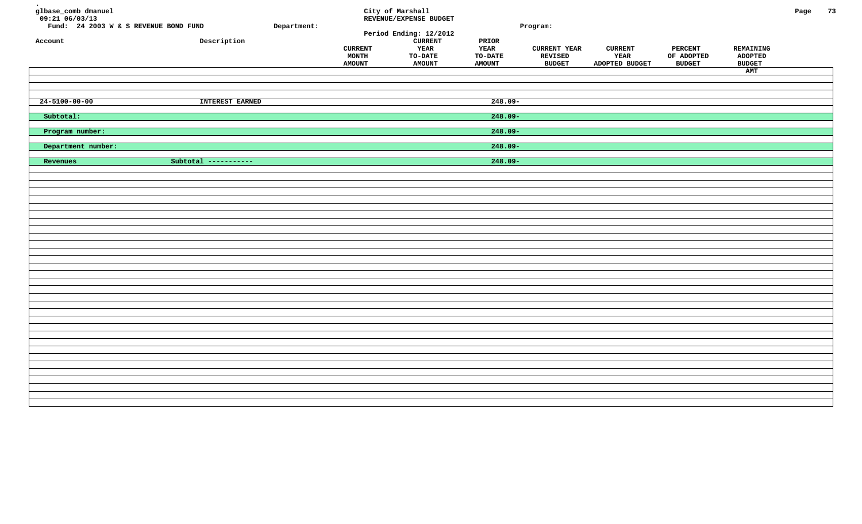| glbase_comb dmanuel<br>$09:21$ <sup>-06/03/13</sup><br>Fund: 24 2003 W & S REVENUE BOND FUND<br>Account | Description          | Department: | <b>CURRENT</b><br>MONTH<br><b>AMOUNT</b> | City of Marshall<br>REVENUE/EXPENSE BUDGET<br>Period Ending: 12/2012<br><b>CURRENT</b><br>YEAR<br>TO-DATE<br><b>AMOUNT</b> | PRIOR<br><b>YEAR</b><br>TO-DATE<br><b>AMOUNT</b> | Program:<br><b>CURRENT YEAR</b><br>REVISED<br><b>BUDGET</b> | <b>CURRENT</b><br>YEAR<br>ADOPTED BUDGET | <b>PERCENT</b><br>OF ADOPTED<br><b>BUDGET</b> | REMAINING<br><b>ADOPTED</b><br><b>BUDGET</b><br>AMT | Page | 73 |
|---------------------------------------------------------------------------------------------------------|----------------------|-------------|------------------------------------------|----------------------------------------------------------------------------------------------------------------------------|--------------------------------------------------|-------------------------------------------------------------|------------------------------------------|-----------------------------------------------|-----------------------------------------------------|------|----|
| $24 - 5100 - 00 - 00$                                                                                   | INTEREST EARNED      |             |                                          |                                                                                                                            | $248.09 -$                                       |                                                             |                                          |                                               |                                                     |      |    |
| Subtotal:                                                                                               |                      |             |                                          |                                                                                                                            | $248.09 -$                                       |                                                             |                                          |                                               |                                                     |      |    |
| Program number:                                                                                         |                      |             |                                          |                                                                                                                            | $248.09 -$                                       |                                                             |                                          |                                               |                                                     |      |    |
| Department number:                                                                                      |                      |             |                                          |                                                                                                                            | $248.09 -$                                       |                                                             |                                          |                                               |                                                     |      |    |
| Revenues                                                                                                | Subtotal ----------- |             |                                          |                                                                                                                            | $248.09 -$                                       |                                                             |                                          |                                               |                                                     |      |    |
|                                                                                                         |                      |             |                                          |                                                                                                                            |                                                  |                                                             |                                          |                                               |                                                     |      |    |
|                                                                                                         |                      |             |                                          |                                                                                                                            |                                                  |                                                             |                                          |                                               |                                                     |      |    |
|                                                                                                         |                      |             |                                          |                                                                                                                            |                                                  |                                                             |                                          |                                               |                                                     |      |    |
|                                                                                                         |                      |             |                                          |                                                                                                                            |                                                  |                                                             |                                          |                                               |                                                     |      |    |
|                                                                                                         |                      |             |                                          |                                                                                                                            |                                                  |                                                             |                                          |                                               |                                                     |      |    |
|                                                                                                         |                      |             |                                          |                                                                                                                            |                                                  |                                                             |                                          |                                               |                                                     |      |    |
|                                                                                                         |                      |             |                                          |                                                                                                                            |                                                  |                                                             |                                          |                                               |                                                     |      |    |
|                                                                                                         |                      |             |                                          |                                                                                                                            |                                                  |                                                             |                                          |                                               |                                                     |      |    |
|                                                                                                         |                      |             |                                          |                                                                                                                            |                                                  |                                                             |                                          |                                               |                                                     |      |    |
|                                                                                                         |                      |             |                                          |                                                                                                                            |                                                  |                                                             |                                          |                                               |                                                     |      |    |
|                                                                                                         |                      |             |                                          |                                                                                                                            |                                                  |                                                             |                                          |                                               |                                                     |      |    |
|                                                                                                         |                      |             |                                          |                                                                                                                            |                                                  |                                                             |                                          |                                               |                                                     |      |    |
|                                                                                                         |                      |             |                                          |                                                                                                                            |                                                  |                                                             |                                          |                                               |                                                     |      |    |
|                                                                                                         |                      |             |                                          |                                                                                                                            |                                                  |                                                             |                                          |                                               |                                                     |      |    |
|                                                                                                         |                      |             |                                          |                                                                                                                            |                                                  |                                                             |                                          |                                               |                                                     |      |    |
|                                                                                                         |                      |             |                                          |                                                                                                                            |                                                  |                                                             |                                          |                                               |                                                     |      |    |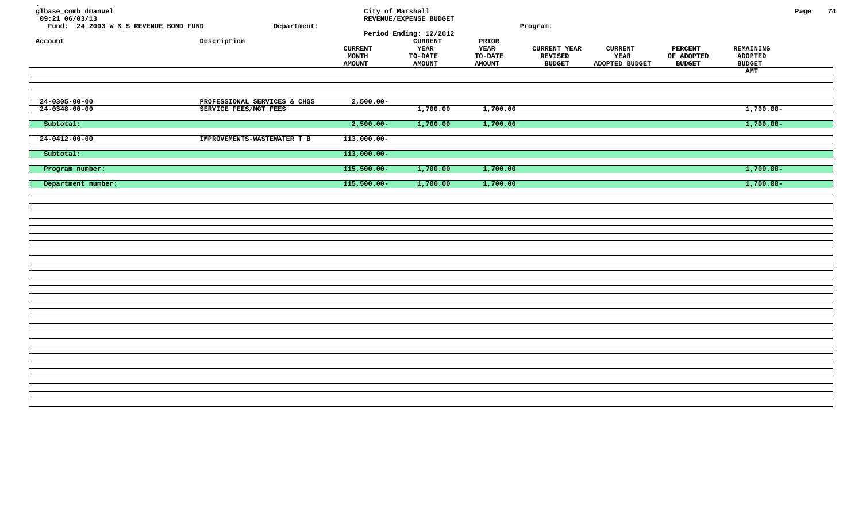| glbase_comb dmanuel<br>$09:21$ 06/03/13<br>Fund: 24 2003 W & S REVENUE BOND FUND<br>Account | Department:<br>${\tt Description}$                    | <b>CURRENT</b><br>MONTH<br><b>AMOUNT</b>        | City of Marshall<br>REVENUE/EXPENSE BUDGET<br>Period Ending: 12/2012<br><b>CURRENT</b><br>YEAR<br><b>TO-DATE</b><br><b>AMOUNT</b> | PRIOR<br>YEAR<br><b>TO-DATE</b><br><b>AMOUNT</b> | Program:<br><b>CURRENT YEAR</b><br><b>REVISED</b><br><b>BUDGET</b> | <b>CURRENT</b><br>YEAR<br>ADOPTED BUDGET | PERCENT<br>OF ADOPTED<br><b>BUDGET</b> | REMAINING<br><b>ADOPTED</b><br><b>BUDGET</b><br>AMT | Page | 74 |
|---------------------------------------------------------------------------------------------|-------------------------------------------------------|-------------------------------------------------|-----------------------------------------------------------------------------------------------------------------------------------|--------------------------------------------------|--------------------------------------------------------------------|------------------------------------------|----------------------------------------|-----------------------------------------------------|------|----|
| $24 - 0305 - 00 - 00$<br>$24 - 0348 - 00 - 00$                                              | PROFESSIONAL SERVICES & CHGS<br>SERVICE FEES/MGT FEES | $2,500.00-$                                     | 1,700.00                                                                                                                          | 1,700.00                                         |                                                                    |                                          |                                        | $1,700.00-$                                         |      |    |
| Subtotal:<br>$24 - 0412 - 00 - 00$<br>Subtotal:                                             | IMPROVEMENTS-WASTEWATER T B                           | $2,500.00 -$<br>$113,000.00 -$<br>$113,000.00-$ | 1,700.00                                                                                                                          | 1,700.00                                         |                                                                    |                                          |                                        | $1,700.00 -$                                        |      |    |
| Program number:<br>Department number:                                                       |                                                       | $115,500.00 -$<br>$115,500.00 -$                | 1,700.00<br>1,700.00                                                                                                              | 1,700.00<br>1,700.00                             |                                                                    |                                          |                                        | $1,700.00 -$<br>$1,700.00-$                         |      |    |
|                                                                                             |                                                       |                                                 |                                                                                                                                   |                                                  |                                                                    |                                          |                                        |                                                     |      |    |
|                                                                                             |                                                       |                                                 |                                                                                                                                   |                                                  |                                                                    |                                          |                                        |                                                     |      |    |
|                                                                                             |                                                       |                                                 |                                                                                                                                   |                                                  |                                                                    |                                          |                                        |                                                     |      |    |
|                                                                                             |                                                       |                                                 |                                                                                                                                   |                                                  |                                                                    |                                          |                                        |                                                     |      |    |
|                                                                                             |                                                       |                                                 |                                                                                                                                   |                                                  |                                                                    |                                          |                                        |                                                     |      |    |
|                                                                                             |                                                       |                                                 |                                                                                                                                   |                                                  |                                                                    |                                          |                                        |                                                     |      |    |
|                                                                                             |                                                       |                                                 |                                                                                                                                   |                                                  |                                                                    |                                          |                                        |                                                     |      |    |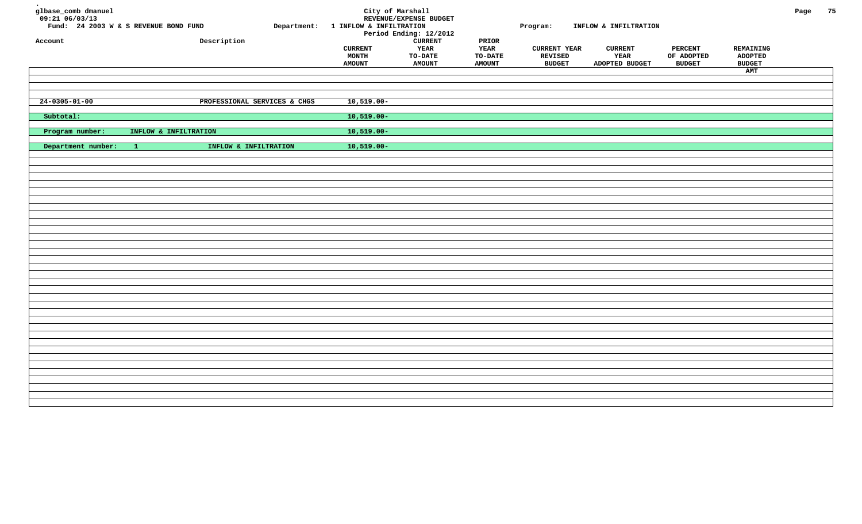| glbase_comb dmanuel<br>$09:21$ <sup>06/03/13</sup><br>Account | Fund: 24 2003 W & S REVENUE BOND FUND<br>Description | Department: 1 INFLOW & INFILTRATION<br><b>CURRENT</b><br>MONTH | City of Marshall<br>REVENUE/EXPENSE BUDGET<br>Period Ending: 12/2012<br><b>CURRENT</b><br>YEAR<br>TO-DATE | PRIOR<br><b>YEAR</b><br>TO-DATE | Program:<br><b>CURRENT YEAR</b><br>REVISED | INFLOW & INFILTRATION<br><b>CURRENT</b><br>YEAR | <b>PERCENT</b><br>OF ADOPTED | REMAINING<br><b>ADOPTED</b> | Page | 75 |
|---------------------------------------------------------------|------------------------------------------------------|----------------------------------------------------------------|-----------------------------------------------------------------------------------------------------------|---------------------------------|--------------------------------------------|-------------------------------------------------|------------------------------|-----------------------------|------|----|
|                                                               |                                                      | <b>AMOUNT</b>                                                  | <b>AMOUNT</b>                                                                                             | <b>AMOUNT</b>                   | <b>BUDGET</b>                              | ADOPTED BUDGET                                  | <b>BUDGET</b>                | <b>BUDGET</b><br>AMT        |      |    |
|                                                               |                                                      |                                                                |                                                                                                           |                                 |                                            |                                                 |                              |                             |      |    |
|                                                               |                                                      |                                                                |                                                                                                           |                                 |                                            |                                                 |                              |                             |      |    |
| $24 - 0305 - 01 - 00$                                         | PROFESSIONAL SERVICES & CHGS                         | $10,519.00 -$                                                  |                                                                                                           |                                 |                                            |                                                 |                              |                             |      |    |
| Subtotal:                                                     |                                                      | $10,519.00 -$                                                  |                                                                                                           |                                 |                                            |                                                 |                              |                             |      |    |
|                                                               |                                                      |                                                                |                                                                                                           |                                 |                                            |                                                 |                              |                             |      |    |
| Program number:                                               | INFLOW & INFILTRATION                                | $10,519.00 -$                                                  |                                                                                                           |                                 |                                            |                                                 |                              |                             |      |    |
| Department number:                                            | INFLOW & INFILTRATION<br>$-1$                        | $10,519.00 -$                                                  |                                                                                                           |                                 |                                            |                                                 |                              |                             |      |    |
|                                                               |                                                      |                                                                |                                                                                                           |                                 |                                            |                                                 |                              |                             |      |    |
|                                                               |                                                      |                                                                |                                                                                                           |                                 |                                            |                                                 |                              |                             |      |    |
|                                                               |                                                      |                                                                |                                                                                                           |                                 |                                            |                                                 |                              |                             |      |    |
|                                                               |                                                      |                                                                |                                                                                                           |                                 |                                            |                                                 |                              |                             |      |    |
|                                                               |                                                      |                                                                |                                                                                                           |                                 |                                            |                                                 |                              |                             |      |    |
|                                                               |                                                      |                                                                |                                                                                                           |                                 |                                            |                                                 |                              |                             |      |    |
|                                                               |                                                      |                                                                |                                                                                                           |                                 |                                            |                                                 |                              |                             |      |    |
|                                                               |                                                      |                                                                |                                                                                                           |                                 |                                            |                                                 |                              |                             |      |    |
|                                                               |                                                      |                                                                |                                                                                                           |                                 |                                            |                                                 |                              |                             |      |    |
|                                                               |                                                      |                                                                |                                                                                                           |                                 |                                            |                                                 |                              |                             |      |    |
|                                                               |                                                      |                                                                |                                                                                                           |                                 |                                            |                                                 |                              |                             |      |    |
|                                                               |                                                      |                                                                |                                                                                                           |                                 |                                            |                                                 |                              |                             |      |    |
|                                                               |                                                      |                                                                |                                                                                                           |                                 |                                            |                                                 |                              |                             |      |    |
|                                                               |                                                      |                                                                |                                                                                                           |                                 |                                            |                                                 |                              |                             |      |    |
|                                                               |                                                      |                                                                |                                                                                                           |                                 |                                            |                                                 |                              |                             |      |    |
|                                                               |                                                      |                                                                |                                                                                                           |                                 |                                            |                                                 |                              |                             |      |    |
|                                                               |                                                      |                                                                |                                                                                                           |                                 |                                            |                                                 |                              |                             |      |    |
|                                                               |                                                      |                                                                |                                                                                                           |                                 |                                            |                                                 |                              |                             |      |    |
|                                                               |                                                      |                                                                |                                                                                                           |                                 |                                            |                                                 |                              |                             |      |    |
|                                                               |                                                      |                                                                |                                                                                                           |                                 |                                            |                                                 |                              |                             |      |    |
|                                                               |                                                      |                                                                |                                                                                                           |                                 |                                            |                                                 |                              |                             |      |    |
|                                                               |                                                      |                                                                |                                                                                                           |                                 |                                            |                                                 |                              |                             |      |    |
|                                                               |                                                      |                                                                |                                                                                                           |                                 |                                            |                                                 |                              |                             |      |    |
|                                                               |                                                      |                                                                |                                                                                                           |                                 |                                            |                                                 |                              |                             |      |    |
|                                                               |                                                      |                                                                |                                                                                                           |                                 |                                            |                                                 |                              |                             |      |    |
|                                                               |                                                      |                                                                |                                                                                                           |                                 |                                            |                                                 |                              |                             |      |    |
|                                                               |                                                      |                                                                |                                                                                                           |                                 |                                            |                                                 |                              |                             |      |    |
|                                                               |                                                      |                                                                |                                                                                                           |                                 |                                            |                                                 |                              |                             |      |    |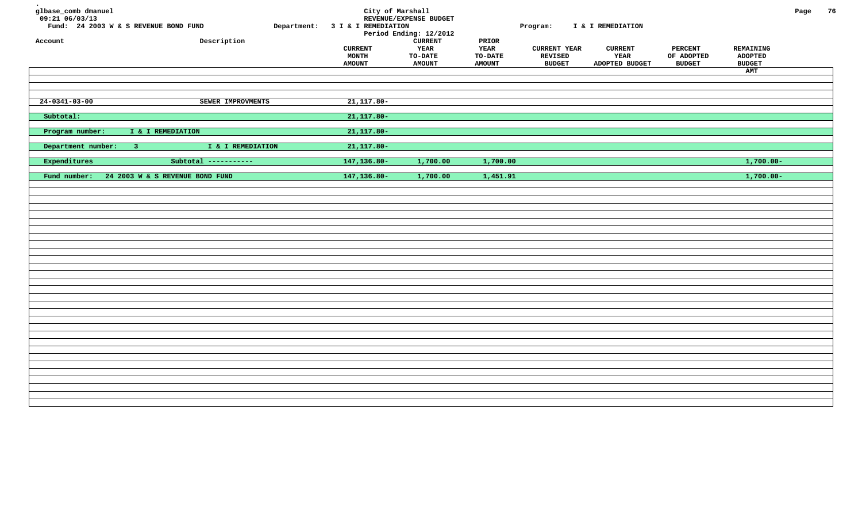| glbase_comb dmanuel<br>$09:21$ $06/03/13$<br>Account | Fund: 24 2003 W & S REVENUE BOND FUND<br>Description | Department: 3 I & I REMEDIATION<br><b>CURRENT</b><br><b>MONTH</b><br><b>AMOUNT</b> | City of Marshall<br>REVENUE/EXPENSE BUDGET<br>Period Ending: 12/2012<br><b>CURRENT</b><br><b>YEAR</b><br><b>TO-DATE</b><br><b>AMOUNT</b> | PRIOR<br>YEAR<br><b>TO-DATE</b><br><b>AMOUNT</b> | Program:<br><b>CURRENT YEAR</b><br>REVISED<br><b>BUDGET</b> | I & I REMEDIATION<br><b>CURRENT</b><br>YEAR<br>ADOPTED BUDGET | <b>PERCENT</b><br>OF ADOPTED<br><b>BUDGET</b> | REMAINING<br><b>ADOPTED</b><br><b>BUDGET</b><br>AMT | Page | 76 |
|------------------------------------------------------|------------------------------------------------------|------------------------------------------------------------------------------------|------------------------------------------------------------------------------------------------------------------------------------------|--------------------------------------------------|-------------------------------------------------------------|---------------------------------------------------------------|-----------------------------------------------|-----------------------------------------------------|------|----|
| $24 - 0341 - 03 - 00$                                | SEWER IMPROVMENTS                                    | $21,117.80-$                                                                       |                                                                                                                                          |                                                  |                                                             |                                                               |                                               |                                                     |      |    |
| Subtotal:                                            |                                                      | $21,117.80-$                                                                       |                                                                                                                                          |                                                  |                                                             |                                                               |                                               |                                                     |      |    |
| Program number:                                      | I & I REMEDIATION                                    | $21,117.80-$                                                                       |                                                                                                                                          |                                                  |                                                             |                                                               |                                               |                                                     |      |    |
| Department number:                                   | I & I REMEDIATION<br>$-3$                            | $21,117.80-$                                                                       |                                                                                                                                          |                                                  |                                                             |                                                               |                                               |                                                     |      |    |
| Expenditures                                         | Subtotal -----------                                 | 147,136.80-                                                                        | 1,700.00                                                                                                                                 | 1,700.00                                         |                                                             |                                                               |                                               | $1,700.00 -$                                        |      |    |
| Fund number:                                         | 24 2003 W & S REVENUE BOND FUND                      | 147,136.80-                                                                        | 1,700.00                                                                                                                                 | 1,451.91                                         |                                                             |                                                               |                                               | $1,700.00 -$                                        |      |    |
|                                                      |                                                      |                                                                                    |                                                                                                                                          |                                                  |                                                             |                                                               |                                               |                                                     |      |    |
|                                                      |                                                      |                                                                                    |                                                                                                                                          |                                                  |                                                             |                                                               |                                               |                                                     |      |    |
|                                                      |                                                      |                                                                                    |                                                                                                                                          |                                                  |                                                             |                                                               |                                               |                                                     |      |    |
|                                                      |                                                      |                                                                                    |                                                                                                                                          |                                                  |                                                             |                                                               |                                               |                                                     |      |    |
|                                                      |                                                      |                                                                                    |                                                                                                                                          |                                                  |                                                             |                                                               |                                               |                                                     |      |    |
|                                                      |                                                      |                                                                                    |                                                                                                                                          |                                                  |                                                             |                                                               |                                               |                                                     |      |    |
|                                                      |                                                      |                                                                                    |                                                                                                                                          |                                                  |                                                             |                                                               |                                               |                                                     |      |    |
|                                                      |                                                      |                                                                                    |                                                                                                                                          |                                                  |                                                             |                                                               |                                               |                                                     |      |    |
|                                                      |                                                      |                                                                                    |                                                                                                                                          |                                                  |                                                             |                                                               |                                               |                                                     |      |    |
|                                                      |                                                      |                                                                                    |                                                                                                                                          |                                                  |                                                             |                                                               |                                               |                                                     |      |    |
|                                                      |                                                      |                                                                                    |                                                                                                                                          |                                                  |                                                             |                                                               |                                               |                                                     |      |    |
|                                                      |                                                      |                                                                                    |                                                                                                                                          |                                                  |                                                             |                                                               |                                               |                                                     |      |    |
|                                                      |                                                      |                                                                                    |                                                                                                                                          |                                                  |                                                             |                                                               |                                               |                                                     |      |    |
|                                                      |                                                      |                                                                                    |                                                                                                                                          |                                                  |                                                             |                                                               |                                               |                                                     |      |    |
|                                                      |                                                      |                                                                                    |                                                                                                                                          |                                                  |                                                             |                                                               |                                               |                                                     |      |    |
|                                                      |                                                      |                                                                                    |                                                                                                                                          |                                                  |                                                             |                                                               |                                               |                                                     |      |    |
|                                                      |                                                      |                                                                                    |                                                                                                                                          |                                                  |                                                             |                                                               |                                               |                                                     |      |    |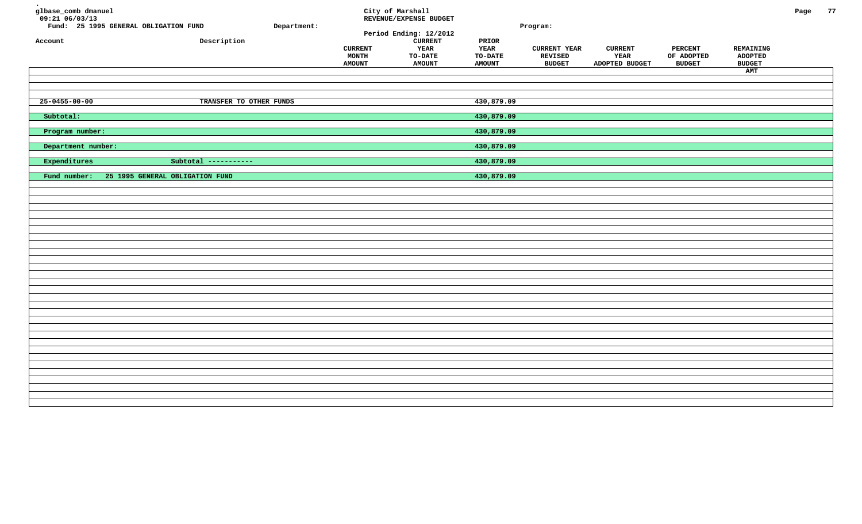| glbase_comb dmanuel<br>$09:21$ $06/03/13$<br>Fund: 25 1995 GENERAL OBLIGATION FUND<br>Account | Description                     | Department: | <b>CURRENT</b><br>MONTH<br><b>AMOUNT</b> | City of Marshall<br>REVENUE/EXPENSE BUDGET<br>Period Ending: 12/2012<br><b>CURRENT</b><br>YEAR<br><b>TO-DATE</b><br><b>AMOUNT</b> | PRIOR<br>YEAR<br>TO-DATE<br><b>AMOUNT</b> | Program:<br><b>CURRENT YEAR</b><br>REVISED<br><b>BUDGET</b> | <b>CURRENT</b><br>YEAR<br>ADOPTED BUDGET | <b>PERCENT</b><br>OF ADOPTED<br><b>BUDGET</b> | REMAINING<br><b>ADOPTED</b><br><b>BUDGET</b><br>AMT | Page | 77 |
|-----------------------------------------------------------------------------------------------|---------------------------------|-------------|------------------------------------------|-----------------------------------------------------------------------------------------------------------------------------------|-------------------------------------------|-------------------------------------------------------------|------------------------------------------|-----------------------------------------------|-----------------------------------------------------|------|----|
| $25 - 0455 - 00 - 00$                                                                         | TRANSFER TO OTHER FUNDS         |             |                                          |                                                                                                                                   | 430,879.09                                |                                                             |                                          |                                               |                                                     |      |    |
| Subtotal:                                                                                     |                                 |             |                                          |                                                                                                                                   | 430,879.09                                |                                                             |                                          |                                               |                                                     |      |    |
| Program number:                                                                               |                                 |             |                                          |                                                                                                                                   | 430,879.09                                |                                                             |                                          |                                               |                                                     |      |    |
| Department number:                                                                            |                                 |             |                                          |                                                                                                                                   | 430,879.09                                |                                                             |                                          |                                               |                                                     |      |    |
| Expenditures                                                                                  | Subtotal -----------            |             |                                          |                                                                                                                                   | 430,879.09                                |                                                             |                                          |                                               |                                                     |      |    |
| Fund number:                                                                                  | 25 1995 GENERAL OBLIGATION FUND |             |                                          |                                                                                                                                   | 430,879.09                                |                                                             |                                          |                                               |                                                     |      |    |
|                                                                                               |                                 |             |                                          |                                                                                                                                   |                                           |                                                             |                                          |                                               |                                                     |      |    |
|                                                                                               |                                 |             |                                          |                                                                                                                                   |                                           |                                                             |                                          |                                               |                                                     |      |    |
|                                                                                               |                                 |             |                                          |                                                                                                                                   |                                           |                                                             |                                          |                                               |                                                     |      |    |
|                                                                                               |                                 |             |                                          |                                                                                                                                   |                                           |                                                             |                                          |                                               |                                                     |      |    |
|                                                                                               |                                 |             |                                          |                                                                                                                                   |                                           |                                                             |                                          |                                               |                                                     |      |    |
|                                                                                               |                                 |             |                                          |                                                                                                                                   |                                           |                                                             |                                          |                                               |                                                     |      |    |
|                                                                                               |                                 |             |                                          |                                                                                                                                   |                                           |                                                             |                                          |                                               |                                                     |      |    |
|                                                                                               |                                 |             |                                          |                                                                                                                                   |                                           |                                                             |                                          |                                               |                                                     |      |    |
|                                                                                               |                                 |             |                                          |                                                                                                                                   |                                           |                                                             |                                          |                                               |                                                     |      |    |
|                                                                                               |                                 |             |                                          |                                                                                                                                   |                                           |                                                             |                                          |                                               |                                                     |      |    |
|                                                                                               |                                 |             |                                          |                                                                                                                                   |                                           |                                                             |                                          |                                               |                                                     |      |    |
|                                                                                               |                                 |             |                                          |                                                                                                                                   |                                           |                                                             |                                          |                                               |                                                     |      |    |
|                                                                                               |                                 |             |                                          |                                                                                                                                   |                                           |                                                             |                                          |                                               |                                                     |      |    |
|                                                                                               |                                 |             |                                          |                                                                                                                                   |                                           |                                                             |                                          |                                               |                                                     |      |    |
|                                                                                               |                                 |             |                                          |                                                                                                                                   |                                           |                                                             |                                          |                                               |                                                     |      |    |
|                                                                                               |                                 |             |                                          |                                                                                                                                   |                                           |                                                             |                                          |                                               |                                                     |      |    |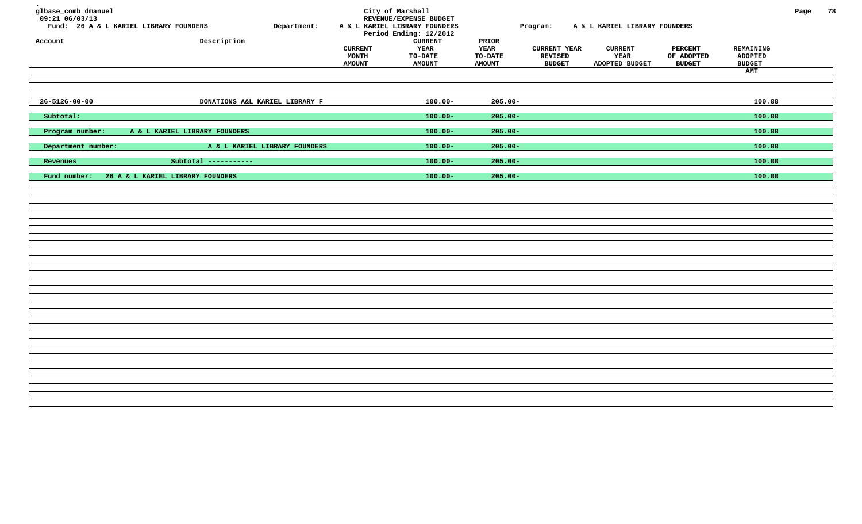| glbase_comb dmanuel<br>09:21 06/03/13<br>Account | Fund: 26 A & L KARIEL LIBRARY FOUNDERS<br>Description | Department: | <b>CURRENT</b><br><b>MONTH</b><br><b>AMOUNT</b> | City of Marshall<br>REVENUE/EXPENSE BUDGET<br>A & L KARIEL LIBRARY FOUNDERS<br>Period Ending: 12/2012<br>${\tt CURRENT}$<br>YEAR<br><b>TO-DATE</b><br><b>AMOUNT</b> | PRIOR<br>YEAR<br><b>TO-DATE</b><br><b>AMOUNT</b> | Program:<br><b>CURRENT YEAR</b><br>REVISED<br><b>BUDGET</b> | A & L KARIEL LIBRARY FOUNDERS<br><b>CURRENT</b><br>YEAR<br>ADOPTED BUDGET | <b>PERCENT</b><br>OF ADOPTED<br><b>BUDGET</b> | REMAINING<br><b>ADOPTED</b><br><b>BUDGET</b> | Page | 78 |
|--------------------------------------------------|-------------------------------------------------------|-------------|-------------------------------------------------|---------------------------------------------------------------------------------------------------------------------------------------------------------------------|--------------------------------------------------|-------------------------------------------------------------|---------------------------------------------------------------------------|-----------------------------------------------|----------------------------------------------|------|----|
|                                                  |                                                       |             |                                                 |                                                                                                                                                                     |                                                  |                                                             |                                                                           |                                               | AMT                                          |      |    |
|                                                  |                                                       |             |                                                 |                                                                                                                                                                     |                                                  |                                                             |                                                                           |                                               |                                              |      |    |
| $26 - 5126 - 00 - 00$                            | DONATIONS A&L KARIEL LIBRARY F                        |             |                                                 | $100.00 -$                                                                                                                                                          | $205.00 -$                                       |                                                             |                                                                           |                                               | 100.00                                       |      |    |
| Subtotal:                                        |                                                       |             |                                                 | $100.00 -$                                                                                                                                                          | $205.00 -$                                       |                                                             |                                                                           |                                               | 100.00                                       |      |    |
| Program number:                                  | A & L KARIEL LIBRARY FOUNDERS                         |             |                                                 | $100.00 -$                                                                                                                                                          | $205.00 -$                                       |                                                             |                                                                           |                                               | 100.00                                       |      |    |
| Department number:                               | A & L KARIEL LIBRARY FOUNDERS                         |             |                                                 | $100.00 -$                                                                                                                                                          | $205.00 -$                                       |                                                             |                                                                           |                                               | 100.00                                       |      |    |
| Revenues                                         | Subtotal -----------                                  |             |                                                 | $100.00 -$                                                                                                                                                          | $205.00 -$                                       |                                                             |                                                                           |                                               | 100.00                                       |      |    |
| Fund number:                                     | 26 A & L KARIEL LIBRARY FOUNDERS                      |             |                                                 | $100.00 -$                                                                                                                                                          | $205.00 -$                                       |                                                             |                                                                           |                                               | 100.00                                       |      |    |
|                                                  |                                                       |             |                                                 |                                                                                                                                                                     |                                                  |                                                             |                                                                           |                                               |                                              |      |    |
|                                                  |                                                       |             |                                                 |                                                                                                                                                                     |                                                  |                                                             |                                                                           |                                               |                                              |      |    |
|                                                  |                                                       |             |                                                 |                                                                                                                                                                     |                                                  |                                                             |                                                                           |                                               |                                              |      |    |
|                                                  |                                                       |             |                                                 |                                                                                                                                                                     |                                                  |                                                             |                                                                           |                                               |                                              |      |    |
|                                                  |                                                       |             |                                                 |                                                                                                                                                                     |                                                  |                                                             |                                                                           |                                               |                                              |      |    |
|                                                  |                                                       |             |                                                 |                                                                                                                                                                     |                                                  |                                                             |                                                                           |                                               |                                              |      |    |
|                                                  |                                                       |             |                                                 |                                                                                                                                                                     |                                                  |                                                             |                                                                           |                                               |                                              |      |    |
|                                                  |                                                       |             |                                                 |                                                                                                                                                                     |                                                  |                                                             |                                                                           |                                               |                                              |      |    |
|                                                  |                                                       |             |                                                 |                                                                                                                                                                     |                                                  |                                                             |                                                                           |                                               |                                              |      |    |
|                                                  |                                                       |             |                                                 |                                                                                                                                                                     |                                                  |                                                             |                                                                           |                                               |                                              |      |    |
|                                                  |                                                       |             |                                                 |                                                                                                                                                                     |                                                  |                                                             |                                                                           |                                               |                                              |      |    |
|                                                  |                                                       |             |                                                 |                                                                                                                                                                     |                                                  |                                                             |                                                                           |                                               |                                              |      |    |
|                                                  |                                                       |             |                                                 |                                                                                                                                                                     |                                                  |                                                             |                                                                           |                                               |                                              |      |    |
|                                                  |                                                       |             |                                                 |                                                                                                                                                                     |                                                  |                                                             |                                                                           |                                               |                                              |      |    |
|                                                  |                                                       |             |                                                 |                                                                                                                                                                     |                                                  |                                                             |                                                                           |                                               |                                              |      |    |
|                                                  |                                                       |             |                                                 |                                                                                                                                                                     |                                                  |                                                             |                                                                           |                                               |                                              |      |    |
|                                                  |                                                       |             |                                                 |                                                                                                                                                                     |                                                  |                                                             |                                                                           |                                               |                                              |      |    |
|                                                  |                                                       |             |                                                 |                                                                                                                                                                     |                                                  |                                                             |                                                                           |                                               |                                              |      |    |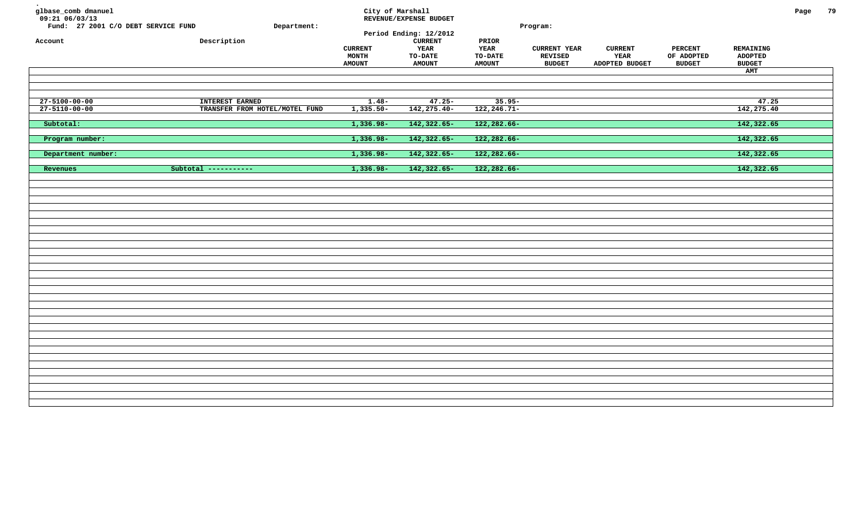| glbase_comb dmanuel<br>09:21 06/03/13<br>Fund: 27 2001 C/O DEBT SERVICE FUND<br>Account | Department:<br>Description     | <b>CURRENT</b><br>MONTH<br><b>AMOUNT</b> | City of Marshall<br>REVENUE/EXPENSE BUDGET<br>Period Ending: 12/2012<br><b>CURRENT</b><br><b>YEAR</b><br><b>TO-DATE</b><br><b>AMOUNT</b> | PRIOR<br><b>YEAR</b><br><b>TO-DATE</b><br><b>AMOUNT</b> | Program:<br><b>CURRENT YEAR</b><br><b>REVISED</b><br><b>BUDGET</b> | <b>CURRENT</b><br>YEAR<br>ADOPTED BUDGET | <b>PERCENT</b><br>OF ADOPTED<br><b>BUDGET</b> | REMAINING<br><b>ADOPTED</b><br><b>BUDGET</b><br>AMT | Page | 79 |
|-----------------------------------------------------------------------------------------|--------------------------------|------------------------------------------|------------------------------------------------------------------------------------------------------------------------------------------|---------------------------------------------------------|--------------------------------------------------------------------|------------------------------------------|-----------------------------------------------|-----------------------------------------------------|------|----|
| $27 - 5100 - 00 - 00$                                                                   | <b>INTEREST EARNED</b>         | $1.48 -$                                 | $47.25 -$                                                                                                                                | $35.95 -$                                               |                                                                    |                                          |                                               | 47.25                                               |      |    |
| $27 - 5110 - 00 - 00$                                                                   | TRANSFER FROM HOTEL/MOTEL FUND | $1,335.50 -$                             | 142,275.40-                                                                                                                              | 122, 246. 71-                                           |                                                                    |                                          |                                               | 142,275.40                                          |      |    |
| Subtotal:                                                                               |                                | $1,336.98-$                              | 142,322.65-                                                                                                                              | 122,282.66-                                             |                                                                    |                                          |                                               | 142,322.65                                          |      |    |
| Program number:                                                                         |                                | 1,336.98-                                | 142,322.65-                                                                                                                              | 122,282.66-                                             |                                                                    |                                          |                                               | 142,322.65                                          |      |    |
| Department number:                                                                      |                                | $1,336.98-$                              | 142, 322.65-                                                                                                                             | 122,282.66-                                             |                                                                    |                                          |                                               | 142,322.65                                          |      |    |
| Revenues                                                                                | Subtotal -----------           | $1,336.98-$                              | 142,322.65-                                                                                                                              | 122,282.66-                                             |                                                                    |                                          |                                               | 142,322.65                                          |      |    |
|                                                                                         |                                |                                          |                                                                                                                                          |                                                         |                                                                    |                                          |                                               |                                                     |      |    |
|                                                                                         |                                |                                          |                                                                                                                                          |                                                         |                                                                    |                                          |                                               |                                                     |      |    |
|                                                                                         |                                |                                          |                                                                                                                                          |                                                         |                                                                    |                                          |                                               |                                                     |      |    |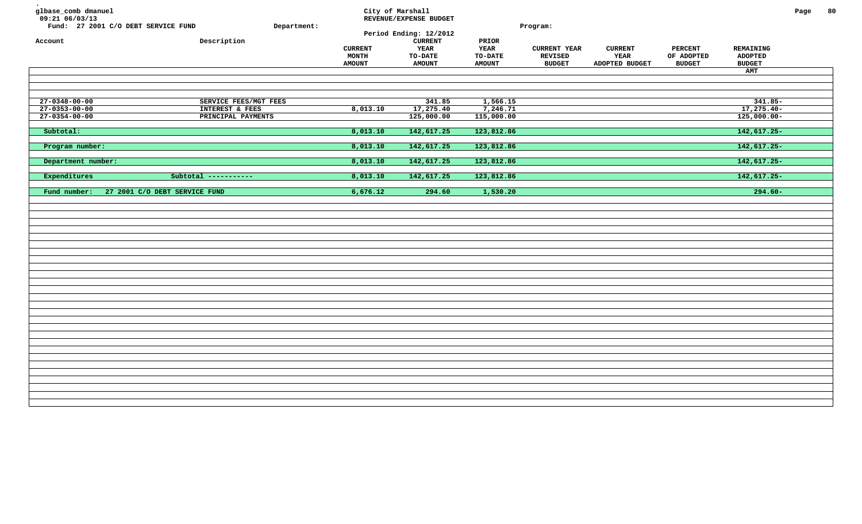| glbase_comb dmanuel<br>09:21 06/03/13<br>Fund: 27 2001 C/O DEBT SERVICE FUND<br>Account | Department:<br>Description | <b>CURRENT</b><br>MONTH<br><b>AMOUNT</b> | City of Marshall<br>REVENUE/EXPENSE BUDGET<br>Period Ending: 12/2012<br>${\tt CURRENT}$<br>YEAR<br><b>TO-DATE</b><br><b>AMOUNT</b> | PRIOR<br>YEAR<br><b>TO-DATE</b><br><b>AMOUNT</b> | Program:<br><b>CURRENT YEAR</b><br><b>REVISED</b><br><b>BUDGET</b> | <b>CURRENT</b><br>YEAR<br>ADOPTED BUDGET | <b>PERCENT</b><br>OF ADOPTED<br><b>BUDGET</b> | REMAINING<br><b>ADOPTED</b><br><b>BUDGET</b><br>AMT | Page | 80 |
|-----------------------------------------------------------------------------------------|----------------------------|------------------------------------------|------------------------------------------------------------------------------------------------------------------------------------|--------------------------------------------------|--------------------------------------------------------------------|------------------------------------------|-----------------------------------------------|-----------------------------------------------------|------|----|
| $27 - 0348 - 00 - 00$                                                                   | SERVICE FEES/MGT FEES      |                                          | 341.85                                                                                                                             | 1,566.15                                         |                                                                    |                                          |                                               | $341.85 -$                                          |      |    |
| $27 - 0353 - 00 - 00$                                                                   | INTEREST & FEES            | 8,013.10                                 | 17,275.40                                                                                                                          | 7,246.71                                         |                                                                    |                                          |                                               | 17,275.40-                                          |      |    |
|                                                                                         |                            |                                          |                                                                                                                                    |                                                  |                                                                    |                                          |                                               |                                                     |      |    |
| $27 - 0354 - 00 - 00$                                                                   | PRINCIPAL PAYMENTS         |                                          | 125,000.00                                                                                                                         | 115,000.00                                       |                                                                    |                                          |                                               | $125,000.00-$                                       |      |    |
| Subtotal:                                                                               |                            | 8,013.10                                 | 142,617.25                                                                                                                         | 123,812.86                                       |                                                                    |                                          |                                               | $142,617.25-$                                       |      |    |
| Program number:                                                                         |                            | 8,013.10                                 | 142,617.25                                                                                                                         | 123,812.86                                       |                                                                    |                                          |                                               | $142,617.25-$                                       |      |    |
| Department number:                                                                      |                            | 8,013.10                                 | 142,617.25                                                                                                                         | 123,812.86                                       |                                                                    |                                          |                                               | $142,617.25-$                                       |      |    |
| Expenditures                                                                            | Subtotal -----------       | 8,013.10                                 | 142,617.25                                                                                                                         | 123,812.86                                       |                                                                    |                                          |                                               | $142,617.25-$                                       |      |    |
| Fund number:<br>27 2001 C/O DEBT SERVICE FUND                                           |                            | 6,676.12                                 | 294.60                                                                                                                             | 1,530.20                                         |                                                                    |                                          |                                               | $294.60 -$                                          |      |    |
|                                                                                         |                            |                                          |                                                                                                                                    |                                                  |                                                                    |                                          |                                               |                                                     |      |    |
|                                                                                         |                            |                                          |                                                                                                                                    |                                                  |                                                                    |                                          |                                               |                                                     |      |    |
|                                                                                         |                            |                                          |                                                                                                                                    |                                                  |                                                                    |                                          |                                               |                                                     |      |    |
|                                                                                         |                            |                                          |                                                                                                                                    |                                                  |                                                                    |                                          |                                               |                                                     |      |    |
|                                                                                         |                            |                                          |                                                                                                                                    |                                                  |                                                                    |                                          |                                               |                                                     |      |    |
|                                                                                         |                            |                                          |                                                                                                                                    |                                                  |                                                                    |                                          |                                               |                                                     |      |    |
|                                                                                         |                            |                                          |                                                                                                                                    |                                                  |                                                                    |                                          |                                               |                                                     |      |    |
|                                                                                         |                            |                                          |                                                                                                                                    |                                                  |                                                                    |                                          |                                               |                                                     |      |    |
|                                                                                         |                            |                                          |                                                                                                                                    |                                                  |                                                                    |                                          |                                               |                                                     |      |    |
|                                                                                         |                            |                                          |                                                                                                                                    |                                                  |                                                                    |                                          |                                               |                                                     |      |    |
|                                                                                         |                            |                                          |                                                                                                                                    |                                                  |                                                                    |                                          |                                               |                                                     |      |    |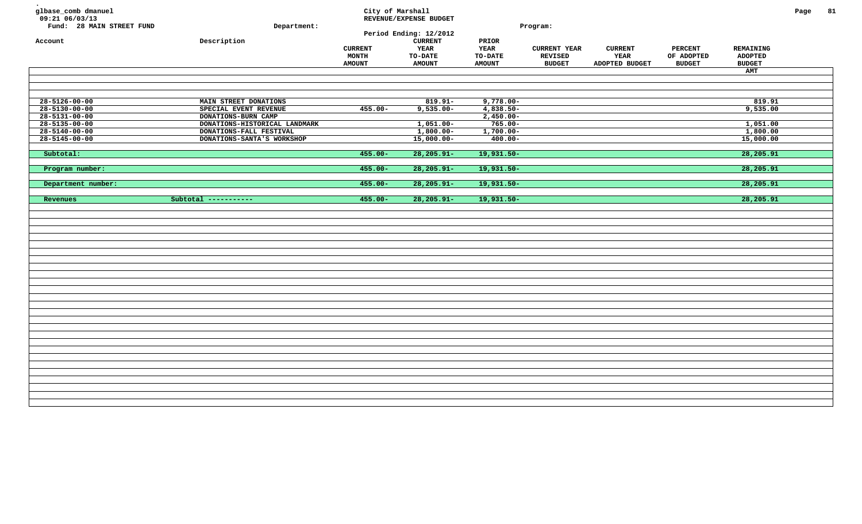| glbase_comb dmanuel<br>09:21 06/03/13<br>Fund: 28 MAIN STREET FUND<br>Account | Department:<br>Description    | City of Marshall<br><b>CURRENT</b><br>MONTH<br><b>AMOUNT</b> | REVENUE/EXPENSE BUDGET<br>Period Ending: 12/2012<br><b>CURRENT</b><br><b>YEAR</b><br>TO-DATE<br><b>AMOUNT</b> | PRIOR<br>YEAR<br>TO-DATE<br><b>AMOUNT</b> | Program:<br><b>CURRENT YEAR</b><br>REVISED<br><b>BUDGET</b> | <b>CURRENT</b><br>YEAR<br>ADOPTED BUDGET | <b>PERCENT</b><br>OF ADOPTED<br><b>BUDGET</b> | <b>REMAINING</b><br><b>ADOPTED</b><br>${\tt BUDGET}$ | Page | 81 |
|-------------------------------------------------------------------------------|-------------------------------|--------------------------------------------------------------|---------------------------------------------------------------------------------------------------------------|-------------------------------------------|-------------------------------------------------------------|------------------------------------------|-----------------------------------------------|------------------------------------------------------|------|----|
|                                                                               |                               |                                                              |                                                                                                               |                                           |                                                             |                                          |                                               | AMT                                                  |      |    |
|                                                                               |                               |                                                              |                                                                                                               |                                           |                                                             |                                          |                                               |                                                      |      |    |
| $28 - 5126 - 00 - 00$                                                         | MAIN STREET DONATIONS         |                                                              | $819.91 -$                                                                                                    | $9,778.00 -$                              |                                                             |                                          |                                               | 819.91                                               |      |    |
| $28 - 5130 - 00 - 00$                                                         | SPECIAL EVENT REVENUE         | $455.00 -$                                                   | $9,535.00 -$                                                                                                  | $4,838.50-$                               |                                                             |                                          |                                               | 9,535.00                                             |      |    |
| $28 - 5131 - 00 - 00$                                                         | DONATIONS-BURN CAMP           |                                                              |                                                                                                               | $2,450.00 -$                              |                                                             |                                          |                                               |                                                      |      |    |
| $28 - 5135 - 00 - 00$                                                         | DONATIONS-HISTORICAL LANDMARK |                                                              | $1,051.00 -$                                                                                                  | $765.00 -$                                |                                                             |                                          |                                               | 1,051.00                                             |      |    |
| $28 - 5140 - 00 - 00$                                                         | DONATIONS-FALL FESTIVAL       |                                                              | $1,800.00-$                                                                                                   | $1,700.00-$                               |                                                             |                                          |                                               | 1,800.00                                             |      |    |
| $28 - 5145 - 00 - 00$                                                         | DONATIONS-SANTA'S WORKSHOP    |                                                              | $15,000.00-$                                                                                                  | $400.00 -$                                |                                                             |                                          |                                               | 15,000.00                                            |      |    |
|                                                                               |                               |                                                              |                                                                                                               |                                           |                                                             |                                          |                                               |                                                      |      |    |
| Subtotal:                                                                     |                               | $455.00 -$                                                   | $28, 205.91 -$                                                                                                | $19,931.50-$                              |                                                             |                                          |                                               | 28,205.91                                            |      |    |
| Program number:                                                               |                               | $455.00 -$                                                   | $28, 205.91 -$                                                                                                | 19,931.50-                                |                                                             |                                          |                                               | 28,205.91                                            |      |    |
| Department number:                                                            |                               | $455.00 -$                                                   | $28, 205.91 -$                                                                                                | $19,931.50-$                              |                                                             |                                          |                                               | 28,205.91                                            |      |    |
| Revenues                                                                      | Subtotal -----------          | $455.00 -$                                                   | $28, 205.91 -$                                                                                                | 19,931.50-                                |                                                             |                                          |                                               | 28,205.91                                            |      |    |
|                                                                               |                               |                                                              |                                                                                                               |                                           |                                                             |                                          |                                               |                                                      |      |    |
|                                                                               |                               |                                                              |                                                                                                               |                                           |                                                             |                                          |                                               |                                                      |      |    |
|                                                                               |                               |                                                              |                                                                                                               |                                           |                                                             |                                          |                                               |                                                      |      |    |
|                                                                               |                               |                                                              |                                                                                                               |                                           |                                                             |                                          |                                               |                                                      |      |    |
|                                                                               |                               |                                                              |                                                                                                               |                                           |                                                             |                                          |                                               |                                                      |      |    |
|                                                                               |                               |                                                              |                                                                                                               |                                           |                                                             |                                          |                                               |                                                      |      |    |
|                                                                               |                               |                                                              |                                                                                                               |                                           |                                                             |                                          |                                               |                                                      |      |    |
|                                                                               |                               |                                                              |                                                                                                               |                                           |                                                             |                                          |                                               |                                                      |      |    |
|                                                                               |                               |                                                              |                                                                                                               |                                           |                                                             |                                          |                                               |                                                      |      |    |
|                                                                               |                               |                                                              |                                                                                                               |                                           |                                                             |                                          |                                               |                                                      |      |    |
|                                                                               |                               |                                                              |                                                                                                               |                                           |                                                             |                                          |                                               |                                                      |      |    |
|                                                                               |                               |                                                              |                                                                                                               |                                           |                                                             |                                          |                                               |                                                      |      |    |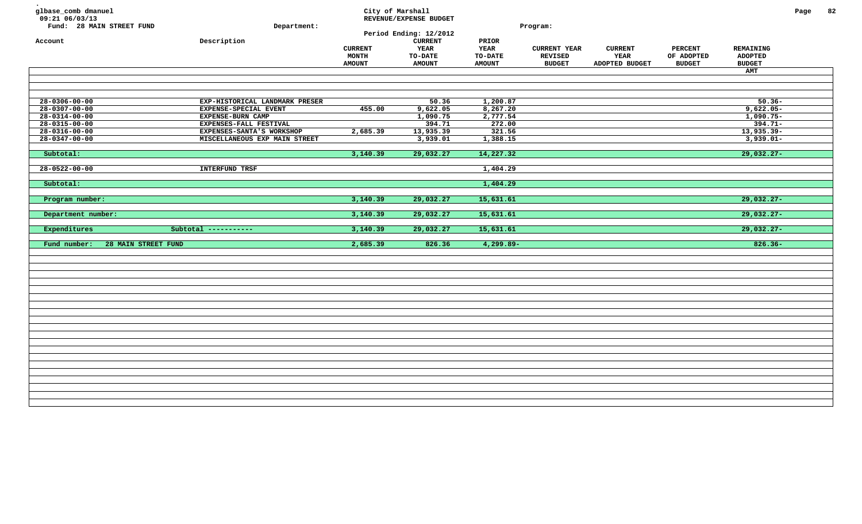| glbase_comb dmanuel<br>09:21 06/03/13<br>Fund: 28 MAIN STREET FUND<br>Account | Department:<br>Description                                               | <b>CURRENT</b><br>MONTH<br><b>AMOUNT</b> | City of Marshall<br>REVENUE/EXPENSE BUDGET<br>Period Ending: 12/2012<br>${\tt CURRENT}$<br><b>YEAR</b><br>TO-DATE<br><b>AMOUNT</b> | PRIOR<br><b>YEAR</b><br>TO-DATE<br><b>AMOUNT</b> | Program:<br><b>CURRENT YEAR</b><br>REVISED<br><b>BUDGET</b> | <b>CURRENT</b><br>YEAR<br>ADOPTED BUDGET | <b>PERCENT</b><br>OF ADOPTED<br><b>BUDGET</b> | REMAINING<br><b>ADOPTED</b><br><b>BUDGET</b><br><b>AMT</b> | Page | 82 |
|-------------------------------------------------------------------------------|--------------------------------------------------------------------------|------------------------------------------|------------------------------------------------------------------------------------------------------------------------------------|--------------------------------------------------|-------------------------------------------------------------|------------------------------------------|-----------------------------------------------|------------------------------------------------------------|------|----|
| $28 - 0306 - 00 - 00$<br>$28 - 0307 - 00 - 00$                                | EXP-HISTORICAL LANDMARK PRESER<br>EXPENSE-SPECIAL EVENT                  | 455.00                                   | 50.36<br>9,622.05                                                                                                                  | 1,200.87<br>8,267.20                             |                                                             |                                          |                                               | $50.36 -$<br>$9,622.05 -$                                  |      |    |
| $28 - 0314 - 00 - 00$<br>$28 - 0315 - 00 - 00$<br>$28 - 0316 - 00 - 00$       | EXPENSE-BURN CAMP<br>EXPENSES-FALL FESTIVAL<br>EXPENSES-SANTA'S WORKSHOP | 2,685.39                                 | 1,090.75<br>394.71<br>13,935.39                                                                                                    | 2,777.54<br>272.00<br>321.56                     |                                                             |                                          |                                               | $1,090.75-$<br>$394.71 -$<br>$13,935.39-$                  |      |    |
| $28 - 0347 - 00 - 00$<br>Subtotal:                                            | MISCELLANEOUS EXP MAIN STREET                                            | 3,140.39                                 | 3,939.01<br>29,032.27                                                                                                              | 1,388.15<br>14,227.32                            |                                                             |                                          |                                               | $3,939.01-$<br>$29,032.27-$                                |      |    |
| $28 - 0522 - 00 - 00$                                                         | <b>INTERFUND TRSF</b>                                                    |                                          |                                                                                                                                    | 1,404.29                                         |                                                             |                                          |                                               |                                                            |      |    |
| Subtotal:<br>Program number:                                                  |                                                                          | 3,140.39                                 | 29,032.27                                                                                                                          | 1,404.29<br>15,631.61                            |                                                             |                                          |                                               | $29,032.27-$                                               |      |    |
| Department number:                                                            |                                                                          | 3,140.39                                 | 29,032.27                                                                                                                          | 15,631.61                                        |                                                             |                                          |                                               | $29,032.27-$                                               |      |    |
| Expenditures<br>Fund number:<br>28 MAIN STREET FUND                           | Subtotal -----------                                                     | 3,140.39<br>2,685.39                     | 29,032.27<br>826.36                                                                                                                | 15,631.61<br>$4,299.89-$                         |                                                             |                                          |                                               | $29,032.27-$<br>$826.36-$                                  |      |    |
|                                                                               |                                                                          |                                          |                                                                                                                                    |                                                  |                                                             |                                          |                                               |                                                            |      |    |
|                                                                               |                                                                          |                                          |                                                                                                                                    |                                                  |                                                             |                                          |                                               |                                                            |      |    |
|                                                                               |                                                                          |                                          |                                                                                                                                    |                                                  |                                                             |                                          |                                               |                                                            |      |    |
|                                                                               |                                                                          |                                          |                                                                                                                                    |                                                  |                                                             |                                          |                                               |                                                            |      |    |
|                                                                               |                                                                          |                                          |                                                                                                                                    |                                                  |                                                             |                                          |                                               |                                                            |      |    |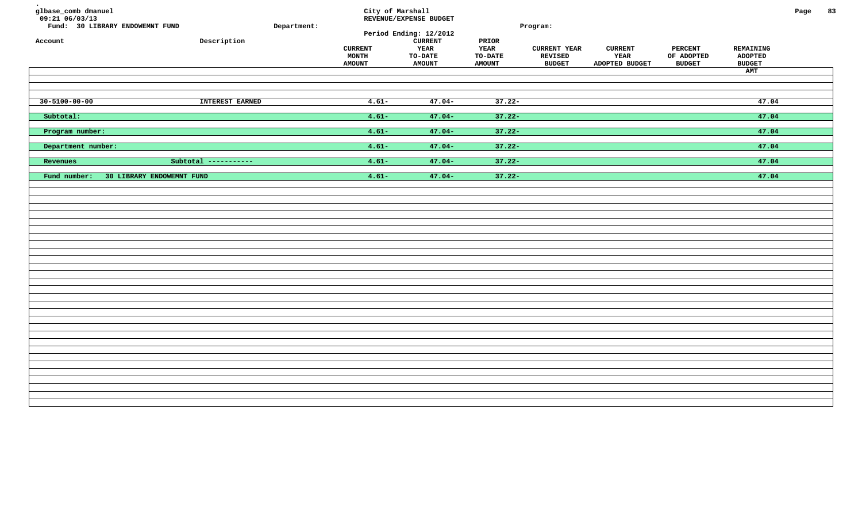| glbase_comb dmanuel<br>$09:21$ 06/03/13<br>Fund: 30 LIBRARY ENDOWEMNT FUND<br>Account | ${\tt Description}$  | Department: | City of Marshall<br><b>CURRENT</b><br>MONTH<br><b>AMOUNT</b> | REVENUE/EXPENSE BUDGET<br>Period Ending: 12/2012<br><b>CURRENT</b><br>YEAR<br><b>TO-DATE</b><br><b>AMOUNT</b> | PRIOR<br><b>YEAR</b><br><b>TO-DATE</b><br><b>AMOUNT</b> | Program:<br><b>CURRENT YEAR</b><br><b>REVISED</b><br><b>BUDGET</b> | <b>CURRENT</b><br>YEAR<br>ADOPTED BUDGET | <b>PERCENT</b><br>OF ADOPTED<br><b>BUDGET</b> | REMAINING<br><b>ADOPTED</b><br><b>BUDGET</b><br>AMT | Page | 83 |
|---------------------------------------------------------------------------------------|----------------------|-------------|--------------------------------------------------------------|---------------------------------------------------------------------------------------------------------------|---------------------------------------------------------|--------------------------------------------------------------------|------------------------------------------|-----------------------------------------------|-----------------------------------------------------|------|----|
| $30 - 5100 - 00 - 00$                                                                 | INTEREST EARNED      |             | $4.61 -$                                                     | $47.04-$                                                                                                      | $37.22 -$                                               |                                                                    |                                          |                                               | 47.04                                               |      |    |
| Subtotal:                                                                             |                      |             | $4.61 -$                                                     | $47.04-$                                                                                                      | $37.22 -$                                               |                                                                    |                                          |                                               | 47.04                                               |      |    |
| Program number:                                                                       |                      |             | $4.61 -$                                                     | $47.04-$                                                                                                      | $37.22 -$                                               |                                                                    |                                          |                                               | 47.04                                               |      |    |
| Department number:                                                                    |                      |             | $4.61 -$                                                     | $47.04-$                                                                                                      | $37.22 -$                                               |                                                                    |                                          |                                               | 47.04                                               |      |    |
| Revenues                                                                              | Subtotal ----------- |             | $4.61 -$                                                     | $47.04-$                                                                                                      | $37.22 -$                                               |                                                                    |                                          |                                               | 47.04                                               |      |    |
| Fund number:<br>30 LIBRARY ENDOWEMNT FUND                                             |                      |             | $4.61 -$                                                     | $47.04-$                                                                                                      | $37.22 -$                                               |                                                                    |                                          |                                               | 47.04                                               |      |    |
|                                                                                       |                      |             |                                                              |                                                                                                               |                                                         |                                                                    |                                          |                                               |                                                     |      |    |
|                                                                                       |                      |             |                                                              |                                                                                                               |                                                         |                                                                    |                                          |                                               |                                                     |      |    |
|                                                                                       |                      |             |                                                              |                                                                                                               |                                                         |                                                                    |                                          |                                               |                                                     |      |    |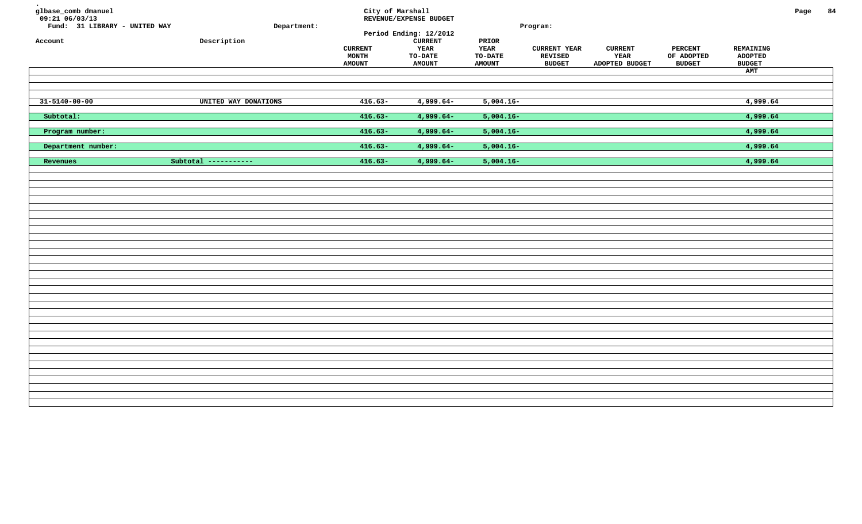| glbase_comb dmanuel<br>$09:21$ $06/03/13$<br>Fund: 31 LIBRARY - UNITED WAY<br>Account | Department:<br>${\tt Description}$ | <b>CURRENT</b><br>MONTH<br><b>AMOUNT</b> | City of Marshall<br>REVENUE/EXPENSE BUDGET<br>Period Ending: 12/2012<br><b>CURRENT</b><br>YEAR<br><b>TO-DATE</b><br><b>AMOUNT</b> | PRIOR<br><b>YEAR</b><br><b>TO-DATE</b><br><b>AMOUNT</b> | Program:<br><b>CURRENT YEAR</b><br><b>REVISED</b><br><b>BUDGET</b> | <b>CURRENT</b><br>YEAR<br>ADOPTED BUDGET | <b>PERCENT</b><br>OF ADOPTED<br><b>BUDGET</b> | REMAINING<br><b>ADOPTED</b><br><b>BUDGET</b><br>AMT | Page | 84 |
|---------------------------------------------------------------------------------------|------------------------------------|------------------------------------------|-----------------------------------------------------------------------------------------------------------------------------------|---------------------------------------------------------|--------------------------------------------------------------------|------------------------------------------|-----------------------------------------------|-----------------------------------------------------|------|----|
| $31 - 5140 - 00 - 00$                                                                 | UNITED WAY DONATIONS               | $416.63-$                                | $4,999.64-$                                                                                                                       | $5,004.16-$                                             |                                                                    |                                          |                                               | 4,999.64                                            |      |    |
| Subtotal:                                                                             |                                    | $416.63-$                                | $4,999.64-$                                                                                                                       | $5,004.16-$                                             |                                                                    |                                          |                                               | 4,999.64                                            |      |    |
| Program number:                                                                       |                                    | $416.63-$                                | $4,999.64-$                                                                                                                       | $5,004.16-$                                             |                                                                    |                                          |                                               | 4,999.64                                            |      |    |
| Department number:                                                                    |                                    | $416.63-$                                | $4,999.64-$                                                                                                                       | $5,004.16-$                                             |                                                                    |                                          |                                               | 4,999.64                                            |      |    |
| Revenues                                                                              | Subtotal -----------               | $416.63-$                                | $4,999.64-$                                                                                                                       | $5,004.16-$                                             |                                                                    |                                          |                                               | 4,999.64                                            |      |    |
|                                                                                       |                                    |                                          |                                                                                                                                   |                                                         |                                                                    |                                          |                                               |                                                     |      |    |
|                                                                                       |                                    |                                          |                                                                                                                                   |                                                         |                                                                    |                                          |                                               |                                                     |      |    |
|                                                                                       |                                    |                                          |                                                                                                                                   |                                                         |                                                                    |                                          |                                               |                                                     |      |    |
|                                                                                       |                                    |                                          |                                                                                                                                   |                                                         |                                                                    |                                          |                                               |                                                     |      |    |
|                                                                                       |                                    |                                          |                                                                                                                                   |                                                         |                                                                    |                                          |                                               |                                                     |      |    |
|                                                                                       |                                    |                                          |                                                                                                                                   |                                                         |                                                                    |                                          |                                               |                                                     |      |    |
|                                                                                       |                                    |                                          |                                                                                                                                   |                                                         |                                                                    |                                          |                                               |                                                     |      |    |
|                                                                                       |                                    |                                          |                                                                                                                                   |                                                         |                                                                    |                                          |                                               |                                                     |      |    |
|                                                                                       |                                    |                                          |                                                                                                                                   |                                                         |                                                                    |                                          |                                               |                                                     |      |    |
|                                                                                       |                                    |                                          |                                                                                                                                   |                                                         |                                                                    |                                          |                                               |                                                     |      |    |
|                                                                                       |                                    |                                          |                                                                                                                                   |                                                         |                                                                    |                                          |                                               |                                                     |      |    |
|                                                                                       |                                    |                                          |                                                                                                                                   |                                                         |                                                                    |                                          |                                               |                                                     |      |    |
|                                                                                       |                                    |                                          |                                                                                                                                   |                                                         |                                                                    |                                          |                                               |                                                     |      |    |
|                                                                                       |                                    |                                          |                                                                                                                                   |                                                         |                                                                    |                                          |                                               |                                                     |      |    |
|                                                                                       |                                    |                                          |                                                                                                                                   |                                                         |                                                                    |                                          |                                               |                                                     |      |    |
|                                                                                       |                                    |                                          |                                                                                                                                   |                                                         |                                                                    |                                          |                                               |                                                     |      |    |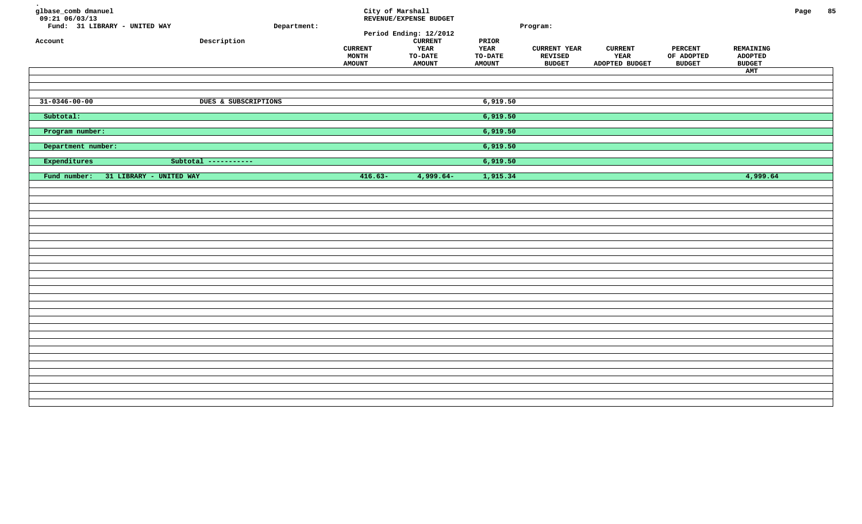| glbase_comb dmanuel<br>09:21 06/03/13<br>Fund: 31 LIBRARY - UNITED WAY<br>Account | Description                     | Department: | City of Marshall<br><b>CURRENT</b><br>MONTH<br><b>AMOUNT</b> | REVENUE/EXPENSE BUDGET<br>Period Ending: 12/2012<br><b>CURRENT</b><br>YEAR<br><b>TO-DATE</b><br><b>AMOUNT</b> | PRIOR<br>YEAR<br>TO-DATE<br><b>AMOUNT</b> | Program:<br><b>CURRENT YEAR</b><br>REVISED<br><b>BUDGET</b> | <b>CURRENT</b><br>YEAR<br>ADOPTED BUDGET | <b>PERCENT</b><br>OF ADOPTED<br><b>BUDGET</b> | REMAINING<br><b>ADOPTED</b><br><b>BUDGET</b><br>AMT | Page | 85 |
|-----------------------------------------------------------------------------------|---------------------------------|-------------|--------------------------------------------------------------|---------------------------------------------------------------------------------------------------------------|-------------------------------------------|-------------------------------------------------------------|------------------------------------------|-----------------------------------------------|-----------------------------------------------------|------|----|
| $31 - 0346 - 00 - 00$                                                             | <b>DUES &amp; SUBSCRIPTIONS</b> |             |                                                              |                                                                                                               | 6,919.50                                  |                                                             |                                          |                                               |                                                     |      |    |
| Subtotal:                                                                         |                                 |             |                                                              |                                                                                                               | 6,919.50                                  |                                                             |                                          |                                               |                                                     |      |    |
| Program number:                                                                   |                                 |             |                                                              |                                                                                                               | 6,919.50                                  |                                                             |                                          |                                               |                                                     |      |    |
| Department number:                                                                |                                 |             |                                                              |                                                                                                               | 6,919.50                                  |                                                             |                                          |                                               |                                                     |      |    |
| Expenditures                                                                      | Subtotal -----------            |             |                                                              |                                                                                                               | 6,919.50                                  |                                                             |                                          |                                               |                                                     |      |    |
| 31 LIBRARY - UNITED WAY<br>Fund number:                                           |                                 |             | $416.63-$                                                    | 4,999.64-                                                                                                     | 1,915.34                                  |                                                             |                                          |                                               | 4,999.64                                            |      |    |
|                                                                                   |                                 |             |                                                              |                                                                                                               |                                           |                                                             |                                          |                                               |                                                     |      |    |
|                                                                                   |                                 |             |                                                              |                                                                                                               |                                           |                                                             |                                          |                                               |                                                     |      |    |
|                                                                                   |                                 |             |                                                              |                                                                                                               |                                           |                                                             |                                          |                                               |                                                     |      |    |
|                                                                                   |                                 |             |                                                              |                                                                                                               |                                           |                                                             |                                          |                                               |                                                     |      |    |
|                                                                                   |                                 |             |                                                              |                                                                                                               |                                           |                                                             |                                          |                                               |                                                     |      |    |
|                                                                                   |                                 |             |                                                              |                                                                                                               |                                           |                                                             |                                          |                                               |                                                     |      |    |
|                                                                                   |                                 |             |                                                              |                                                                                                               |                                           |                                                             |                                          |                                               |                                                     |      |    |
|                                                                                   |                                 |             |                                                              |                                                                                                               |                                           |                                                             |                                          |                                               |                                                     |      |    |
|                                                                                   |                                 |             |                                                              |                                                                                                               |                                           |                                                             |                                          |                                               |                                                     |      |    |
|                                                                                   |                                 |             |                                                              |                                                                                                               |                                           |                                                             |                                          |                                               |                                                     |      |    |
|                                                                                   |                                 |             |                                                              |                                                                                                               |                                           |                                                             |                                          |                                               |                                                     |      |    |
|                                                                                   |                                 |             |                                                              |                                                                                                               |                                           |                                                             |                                          |                                               |                                                     |      |    |
|                                                                                   |                                 |             |                                                              |                                                                                                               |                                           |                                                             |                                          |                                               |                                                     |      |    |
|                                                                                   |                                 |             |                                                              |                                                                                                               |                                           |                                                             |                                          |                                               |                                                     |      |    |
|                                                                                   |                                 |             |                                                              |                                                                                                               |                                           |                                                             |                                          |                                               |                                                     |      |    |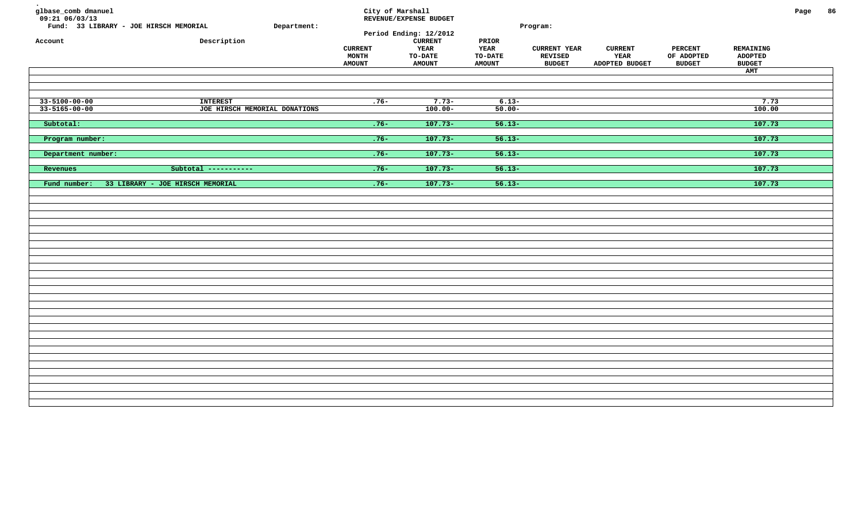| glbase_comb dmanuel<br>09:21 06/03/13<br>Fund: 33 LIBRARY - JOE HIRSCH MEMORIAL<br>Account | Department:<br>Description                       | <b>CURRENT</b><br><b>MONTH</b><br><b>AMOUNT</b> | City of Marshall<br>REVENUE/EXPENSE BUDGET<br>Period Ending: 12/2012<br><b>CURRENT</b><br>YEAR<br><b>TO-DATE</b><br><b>AMOUNT</b> | PRIOR<br>YEAR<br>TO-DATE<br><b>AMOUNT</b> | Program:<br><b>CURRENT YEAR</b><br>REVISED<br><b>BUDGET</b> | <b>CURRENT</b><br>YEAR<br>ADOPTED BUDGET | <b>PERCENT</b><br>OF ADOPTED<br><b>BUDGET</b> | REMAINING<br><b>ADOPTED</b><br><b>BUDGET</b><br><b>AMT</b> | Page | 86 |
|--------------------------------------------------------------------------------------------|--------------------------------------------------|-------------------------------------------------|-----------------------------------------------------------------------------------------------------------------------------------|-------------------------------------------|-------------------------------------------------------------|------------------------------------------|-----------------------------------------------|------------------------------------------------------------|------|----|
| 33-5100-00-00<br>$33 - 5165 - 00 - 00$                                                     | <b>INTEREST</b><br>JOE HIRSCH MEMORIAL DONATIONS | $.76-$                                          | $7.73-$<br>$100.00 -$                                                                                                             | $6.13 -$<br>$50.00 -$                     |                                                             |                                          |                                               | 7.73<br>100.00                                             |      |    |
| Subtotal:                                                                                  |                                                  | $.76 -$                                         | $107.73-$                                                                                                                         | $56.13-$                                  |                                                             |                                          |                                               | 107.73                                                     |      |    |
| Program number:                                                                            |                                                  | $.76 -$                                         | $107.73-$                                                                                                                         | $56.13-$                                  |                                                             |                                          |                                               | 107.73                                                     |      |    |
| Department number:                                                                         |                                                  | $.76 -$                                         | $107.73-$                                                                                                                         | $56.13-$                                  |                                                             |                                          |                                               | 107.73                                                     |      |    |
| Revenues                                                                                   | Subtotal -----------                             | $.76 -$                                         | $107.73-$                                                                                                                         | $56.13-$                                  |                                                             |                                          |                                               | 107.73                                                     |      |    |
| Fund number:                                                                               | 33 LIBRARY - JOE HIRSCH MEMORIAL                 | $.76 -$                                         | $107.73-$                                                                                                                         | $56.13-$                                  |                                                             |                                          |                                               | 107.73                                                     |      |    |
|                                                                                            |                                                  |                                                 |                                                                                                                                   |                                           |                                                             |                                          |                                               |                                                            |      |    |
|                                                                                            |                                                  |                                                 |                                                                                                                                   |                                           |                                                             |                                          |                                               |                                                            |      |    |
|                                                                                            |                                                  |                                                 |                                                                                                                                   |                                           |                                                             |                                          |                                               |                                                            |      |    |
|                                                                                            |                                                  |                                                 |                                                                                                                                   |                                           |                                                             |                                          |                                               |                                                            |      |    |
|                                                                                            |                                                  |                                                 |                                                                                                                                   |                                           |                                                             |                                          |                                               |                                                            |      |    |
|                                                                                            |                                                  |                                                 |                                                                                                                                   |                                           |                                                             |                                          |                                               |                                                            |      |    |
|                                                                                            |                                                  |                                                 |                                                                                                                                   |                                           |                                                             |                                          |                                               |                                                            |      |    |
|                                                                                            |                                                  |                                                 |                                                                                                                                   |                                           |                                                             |                                          |                                               |                                                            |      |    |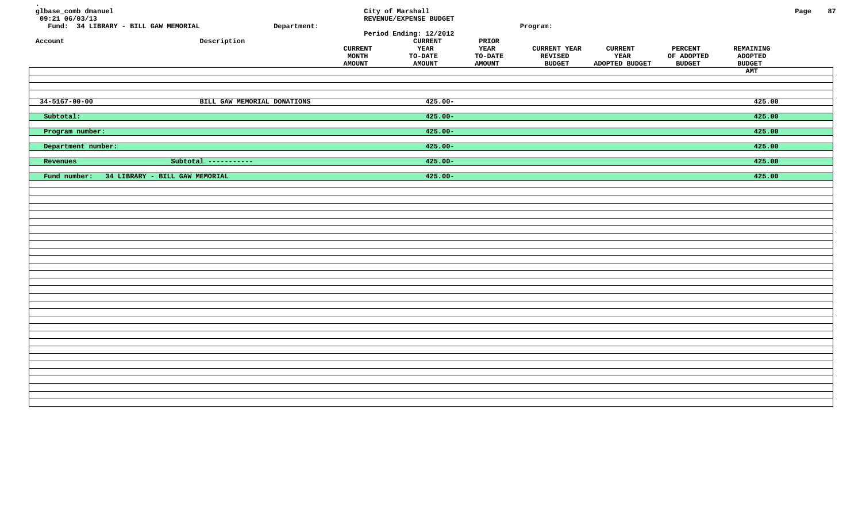| glbase_comb dmanuel<br>$09:21$ 06/03/13<br>Account | Fund: 34 LIBRARY - BILL GAW MEMORIAL<br>Description | Department: | <b>CURRENT</b><br>MONTH<br><b>AMOUNT</b> | City of Marshall<br>REVENUE/EXPENSE BUDGET<br>Period Ending: 12/2012<br><b>CURRENT</b><br>YEAR<br><b>TO-DATE</b><br><b>AMOUNT</b> | PRIOR<br><b>YEAR</b><br><b>TO-DATE</b><br><b>AMOUNT</b> | Program:<br><b>CURRENT YEAR</b><br>REVISED<br><b>BUDGET</b> | <b>CURRENT</b><br>YEAR<br>ADOPTED BUDGET | PERCENT<br>OF ADOPTED<br><b>BUDGET</b> | REMAINING<br><b>ADOPTED</b><br><b>BUDGET</b><br>AMT | Page | 87 |
|----------------------------------------------------|-----------------------------------------------------|-------------|------------------------------------------|-----------------------------------------------------------------------------------------------------------------------------------|---------------------------------------------------------|-------------------------------------------------------------|------------------------------------------|----------------------------------------|-----------------------------------------------------|------|----|
| $34 - 5167 - 00 - 00$                              | BILL GAW MEMORIAL DONATIONS                         |             |                                          | $425.00 -$                                                                                                                        |                                                         |                                                             |                                          |                                        | 425.00                                              |      |    |
| Subtotal:                                          |                                                     |             |                                          | $425.00 -$                                                                                                                        |                                                         |                                                             |                                          |                                        | 425.00                                              |      |    |
| Program number:                                    |                                                     |             |                                          | $425.00 -$                                                                                                                        |                                                         |                                                             |                                          |                                        | 425.00                                              |      |    |
| Department number:                                 |                                                     |             |                                          | $425.00 -$                                                                                                                        |                                                         |                                                             |                                          |                                        | 425.00                                              |      |    |
| Revenues                                           | Subtotal -----------                                |             |                                          | $425.00 -$                                                                                                                        |                                                         |                                                             |                                          |                                        | 425.00                                              |      |    |
| Fund number:                                       | 34 LIBRARY - BILL GAW MEMORIAL                      |             |                                          | $425.00 -$                                                                                                                        |                                                         |                                                             |                                          |                                        | 425.00                                              |      |    |
|                                                    |                                                     |             |                                          |                                                                                                                                   |                                                         |                                                             |                                          |                                        |                                                     |      |    |
|                                                    |                                                     |             |                                          |                                                                                                                                   |                                                         |                                                             |                                          |                                        |                                                     |      |    |
|                                                    |                                                     |             |                                          |                                                                                                                                   |                                                         |                                                             |                                          |                                        |                                                     |      |    |
|                                                    |                                                     |             |                                          |                                                                                                                                   |                                                         |                                                             |                                          |                                        |                                                     |      |    |
|                                                    |                                                     |             |                                          |                                                                                                                                   |                                                         |                                                             |                                          |                                        |                                                     |      |    |
|                                                    |                                                     |             |                                          |                                                                                                                                   |                                                         |                                                             |                                          |                                        |                                                     |      |    |
|                                                    |                                                     |             |                                          |                                                                                                                                   |                                                         |                                                             |                                          |                                        |                                                     |      |    |
|                                                    |                                                     |             |                                          |                                                                                                                                   |                                                         |                                                             |                                          |                                        |                                                     |      |    |
|                                                    |                                                     |             |                                          |                                                                                                                                   |                                                         |                                                             |                                          |                                        |                                                     |      |    |
|                                                    |                                                     |             |                                          |                                                                                                                                   |                                                         |                                                             |                                          |                                        |                                                     |      |    |
|                                                    |                                                     |             |                                          |                                                                                                                                   |                                                         |                                                             |                                          |                                        |                                                     |      |    |
|                                                    |                                                     |             |                                          |                                                                                                                                   |                                                         |                                                             |                                          |                                        |                                                     |      |    |
|                                                    |                                                     |             |                                          |                                                                                                                                   |                                                         |                                                             |                                          |                                        |                                                     |      |    |
|                                                    |                                                     |             |                                          |                                                                                                                                   |                                                         |                                                             |                                          |                                        |                                                     |      |    |
|                                                    |                                                     |             |                                          |                                                                                                                                   |                                                         |                                                             |                                          |                                        |                                                     |      |    |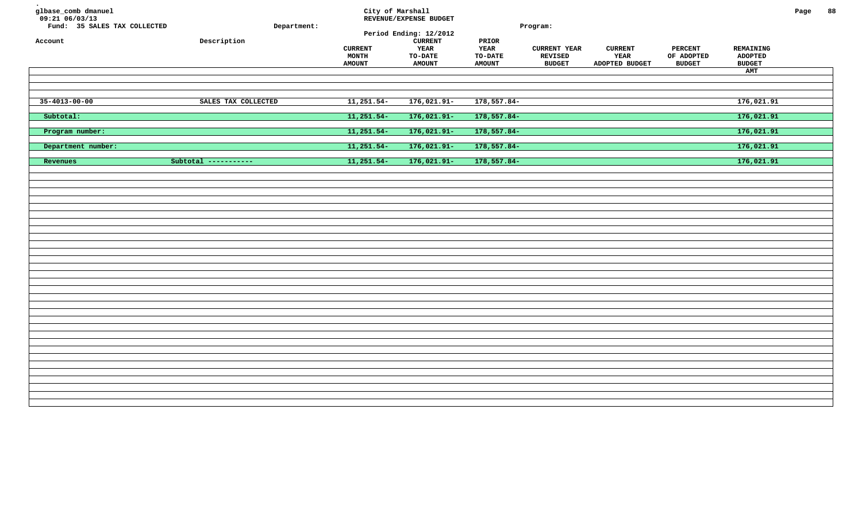| glbase_comb dmanuel<br>09:21 06/03/13<br>Fund: 35 SALES TAX COLLECTED<br>Account | Department:<br>Description | City of Marshall<br><b>CURRENT</b><br>MONTH | REVENUE/EXPENSE BUDGET<br>Period Ending: 12/2012<br><b>CURRENT</b><br>YEAR<br><b>TO-DATE</b> | PRIOR<br>YEAR<br><b>TO-DATE</b> | Program:<br><b>CURRENT YEAR</b><br>REVISED | <b>CURRENT</b><br>YEAR | <b>PERCENT</b><br>OF ADOPTED | REMAINING<br><b>ADOPTED</b> | Page | 88 |
|----------------------------------------------------------------------------------|----------------------------|---------------------------------------------|----------------------------------------------------------------------------------------------|---------------------------------|--------------------------------------------|------------------------|------------------------------|-----------------------------|------|----|
|                                                                                  |                            | <b>AMOUNT</b>                               | <b>AMOUNT</b>                                                                                | <b>AMOUNT</b>                   | <b>BUDGET</b>                              | ADOPTED BUDGET         | <b>BUDGET</b>                | <b>BUDGET</b>               |      |    |
|                                                                                  |                            |                                             |                                                                                              |                                 |                                            |                        |                              | AMT                         |      |    |
|                                                                                  |                            |                                             |                                                                                              |                                 |                                            |                        |                              |                             |      |    |
| $35 - 4013 - 00 - 00$                                                            | SALES TAX COLLECTED        | $11,251.54-$                                | $176,021.91-$                                                                                | $178,557.84-$                   |                                            |                        |                              | 176,021.91                  |      |    |
| Subtotal:                                                                        |                            | $11,251.54-$                                | $176,021.91-$                                                                                | $178,557.84-$                   |                                            |                        |                              | 176,021.91                  |      |    |
| Program number:                                                                  |                            | $11,251.54-$                                | $176,021.91-$                                                                                | 178,557.84-                     |                                            |                        |                              | 176,021.91                  |      |    |
| Department number:                                                               |                            | $11,251.54-$                                | $176,021.91-$                                                                                | 178,557.84-                     |                                            |                        |                              | 176,021.91                  |      |    |
| Revenues                                                                         | Subtotal -----------       | $11,251.54-$                                | $176,021.91-$                                                                                | 178,557.84-                     |                                            |                        |                              | 176,021.91                  |      |    |
|                                                                                  |                            |                                             |                                                                                              |                                 |                                            |                        |                              |                             |      |    |
|                                                                                  |                            |                                             |                                                                                              |                                 |                                            |                        |                              |                             |      |    |
|                                                                                  |                            |                                             |                                                                                              |                                 |                                            |                        |                              |                             |      |    |
|                                                                                  |                            |                                             |                                                                                              |                                 |                                            |                        |                              |                             |      |    |
|                                                                                  |                            |                                             |                                                                                              |                                 |                                            |                        |                              |                             |      |    |
|                                                                                  |                            |                                             |                                                                                              |                                 |                                            |                        |                              |                             |      |    |
|                                                                                  |                            |                                             |                                                                                              |                                 |                                            |                        |                              |                             |      |    |
|                                                                                  |                            |                                             |                                                                                              |                                 |                                            |                        |                              |                             |      |    |
|                                                                                  |                            |                                             |                                                                                              |                                 |                                            |                        |                              |                             |      |    |
|                                                                                  |                            |                                             |                                                                                              |                                 |                                            |                        |                              |                             |      |    |
|                                                                                  |                            |                                             |                                                                                              |                                 |                                            |                        |                              |                             |      |    |
|                                                                                  |                            |                                             |                                                                                              |                                 |                                            |                        |                              |                             |      |    |
|                                                                                  |                            |                                             |                                                                                              |                                 |                                            |                        |                              |                             |      |    |
|                                                                                  |                            |                                             |                                                                                              |                                 |                                            |                        |                              |                             |      |    |
|                                                                                  |                            |                                             |                                                                                              |                                 |                                            |                        |                              |                             |      |    |
|                                                                                  |                            |                                             |                                                                                              |                                 |                                            |                        |                              |                             |      |    |
|                                                                                  |                            |                                             |                                                                                              |                                 |                                            |                        |                              |                             |      |    |
|                                                                                  |                            |                                             |                                                                                              |                                 |                                            |                        |                              |                             |      |    |
|                                                                                  |                            |                                             |                                                                                              |                                 |                                            |                        |                              |                             |      |    |
|                                                                                  |                            |                                             |                                                                                              |                                 |                                            |                        |                              |                             |      |    |
|                                                                                  |                            |                                             |                                                                                              |                                 |                                            |                        |                              |                             |      |    |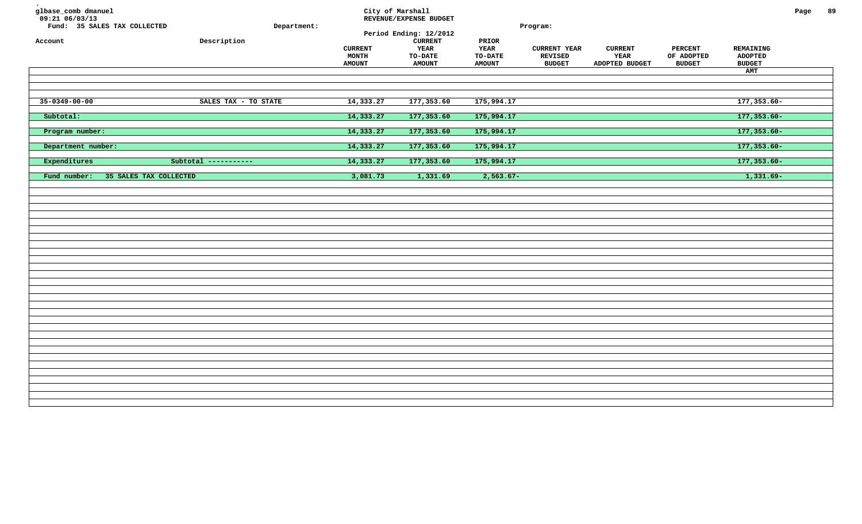| glbase_comb dmanuel<br>09:21 06/03/13<br>Fund: 35 SALES TAX COLLECTED<br>Account | Department:<br>Description | <b>CURRENT</b><br>MONTH<br><b>AMOUNT</b> | City of Marshall<br>REVENUE/EXPENSE BUDGET<br>Period Ending: 12/2012<br><b>CURRENT</b><br>YEAR<br><b>TO-DATE</b><br><b>AMOUNT</b> | PRIOR<br>YEAR<br>TO-DATE<br><b>AMOUNT</b> | Program:<br><b>CURRENT YEAR</b><br><b>REVISED</b><br><b>BUDGET</b> | <b>CURRENT</b><br>YEAR<br>ADOPTED BUDGET | <b>PERCENT</b><br>OF ADOPTED<br><b>BUDGET</b> | REMAINING<br><b>ADOPTED</b><br><b>BUDGET</b> | Page | 89 |
|----------------------------------------------------------------------------------|----------------------------|------------------------------------------|-----------------------------------------------------------------------------------------------------------------------------------|-------------------------------------------|--------------------------------------------------------------------|------------------------------------------|-----------------------------------------------|----------------------------------------------|------|----|
|                                                                                  |                            |                                          |                                                                                                                                   |                                           |                                                                    |                                          |                                               | AMT                                          |      |    |
|                                                                                  |                            |                                          |                                                                                                                                   |                                           |                                                                    |                                          |                                               |                                              |      |    |
| $35 - 0349 - 00 - 00$                                                            | SALES TAX - TO STATE       | 14,333.27                                | 177,353.60                                                                                                                        | 175,994.17                                |                                                                    |                                          |                                               | $177, 353.60 -$                              |      |    |
| Subtotal:                                                                        |                            | 14,333.27                                | 177,353.60                                                                                                                        | 175,994.17                                |                                                                    |                                          |                                               | $177,353.60-$                                |      |    |
| Program number:                                                                  |                            | 14,333.27                                | 177,353.60                                                                                                                        | 175,994.17                                |                                                                    |                                          |                                               | $177, 353.60 -$                              |      |    |
| Department number:                                                               |                            | 14,333.27                                | 177,353.60                                                                                                                        | 175,994.17                                |                                                                    |                                          |                                               | $177,353.60-$                                |      |    |
| Expenditures                                                                     | Subtotal -----------       | 14,333.27                                | 177,353.60                                                                                                                        | 175,994.17                                |                                                                    |                                          |                                               | $177,353.60-$                                |      |    |
| Fund number:<br>35 SALES TAX COLLECTED                                           |                            | 3,081.73                                 | 1,331.69                                                                                                                          | $2,563.67-$                               |                                                                    |                                          |                                               | $1,331.69-$                                  |      |    |
|                                                                                  |                            |                                          |                                                                                                                                   |                                           |                                                                    |                                          |                                               |                                              |      |    |
|                                                                                  |                            |                                          |                                                                                                                                   |                                           |                                                                    |                                          |                                               |                                              |      |    |
|                                                                                  |                            |                                          |                                                                                                                                   |                                           |                                                                    |                                          |                                               |                                              |      |    |
|                                                                                  |                            |                                          |                                                                                                                                   |                                           |                                                                    |                                          |                                               |                                              |      |    |
|                                                                                  |                            |                                          |                                                                                                                                   |                                           |                                                                    |                                          |                                               |                                              |      |    |
|                                                                                  |                            |                                          |                                                                                                                                   |                                           |                                                                    |                                          |                                               |                                              |      |    |
|                                                                                  |                            |                                          |                                                                                                                                   |                                           |                                                                    |                                          |                                               |                                              |      |    |
|                                                                                  |                            |                                          |                                                                                                                                   |                                           |                                                                    |                                          |                                               |                                              |      |    |
|                                                                                  |                            |                                          |                                                                                                                                   |                                           |                                                                    |                                          |                                               |                                              |      |    |
|                                                                                  |                            |                                          |                                                                                                                                   |                                           |                                                                    |                                          |                                               |                                              |      |    |
|                                                                                  |                            |                                          |                                                                                                                                   |                                           |                                                                    |                                          |                                               |                                              |      |    |
|                                                                                  |                            |                                          |                                                                                                                                   |                                           |                                                                    |                                          |                                               |                                              |      |    |
|                                                                                  |                            |                                          |                                                                                                                                   |                                           |                                                                    |                                          |                                               |                                              |      |    |
|                                                                                  |                            |                                          |                                                                                                                                   |                                           |                                                                    |                                          |                                               |                                              |      |    |
|                                                                                  |                            |                                          |                                                                                                                                   |                                           |                                                                    |                                          |                                               |                                              |      |    |
|                                                                                  |                            |                                          |                                                                                                                                   |                                           |                                                                    |                                          |                                               |                                              |      |    |
|                                                                                  |                            |                                          |                                                                                                                                   |                                           |                                                                    |                                          |                                               |                                              |      |    |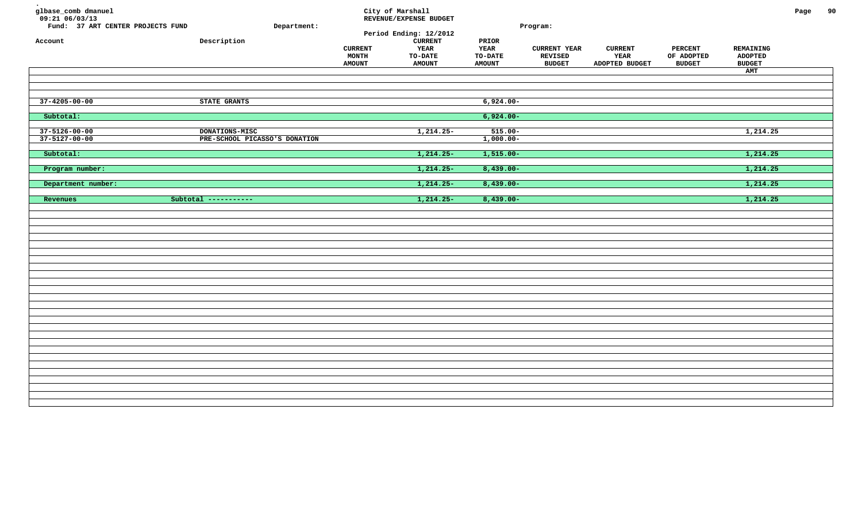| glbase_comb dmanuel<br>$09:21$ 06/03/13<br>Fund: 37 ART CENTER PROJECTS FUND<br>Account | Description                                     | Department: | <b>CURRENT</b><br>MONTH<br><b>AMOUNT</b> | City of Marshall<br>REVENUE/EXPENSE BUDGET<br>Period Ending: 12/2012<br><b>CURRENT</b><br><b>YEAR</b><br><b>TO-DATE</b><br><b>AMOUNT</b> | PRIOR<br><b>YEAR</b><br>TO-DATE<br><b>AMOUNT</b> | Program:<br><b>CURRENT YEAR</b><br>REVISED<br><b>BUDGET</b> | <b>CURRENT</b><br>YEAR<br>ADOPTED BUDGET | <b>PERCENT</b><br>OF ADOPTED<br><b>BUDGET</b> | REMAINING<br><b>ADOPTED</b><br><b>BUDGET</b><br>AMT | Page | 90 |
|-----------------------------------------------------------------------------------------|-------------------------------------------------|-------------|------------------------------------------|------------------------------------------------------------------------------------------------------------------------------------------|--------------------------------------------------|-------------------------------------------------------------|------------------------------------------|-----------------------------------------------|-----------------------------------------------------|------|----|
| $37 - 4205 - 00 - 00$                                                                   | STATE GRANTS                                    |             |                                          |                                                                                                                                          | $6,924.00 -$                                     |                                                             |                                          |                                               |                                                     |      |    |
| Subtotal:                                                                               |                                                 |             |                                          |                                                                                                                                          | $6,924.00 -$                                     |                                                             |                                          |                                               |                                                     |      |    |
| $37 - 5126 - 00 - 00$<br>$37 - 5127 - 00 - 00$                                          | DONATIONS-MISC<br>PRE-SCHOOL PICASSO'S DONATION |             |                                          | $1,214.25-$                                                                                                                              | $515.00 -$<br>$1,000.00-$                        |                                                             |                                          |                                               | 1,214.25                                            |      |    |
| Subtotal:                                                                               |                                                 |             |                                          | $1,214.25-$                                                                                                                              | $1,515.00 -$                                     |                                                             |                                          |                                               | 1,214.25                                            |      |    |
| Program number:                                                                         |                                                 |             |                                          | $1, 214.25 -$                                                                                                                            | $8,439.00 -$                                     |                                                             |                                          |                                               | 1, 214.25                                           |      |    |
| Department number:                                                                      |                                                 |             |                                          | $1,214.25-$                                                                                                                              | $8,439.00 -$                                     |                                                             |                                          |                                               | 1,214.25                                            |      |    |
| Revenues                                                                                | Subtotal -----------                            |             |                                          | $1,214.25-$                                                                                                                              | $8,439.00 -$                                     |                                                             |                                          |                                               | 1,214.25                                            |      |    |
|                                                                                         |                                                 |             |                                          |                                                                                                                                          |                                                  |                                                             |                                          |                                               |                                                     |      |    |
|                                                                                         |                                                 |             |                                          |                                                                                                                                          |                                                  |                                                             |                                          |                                               |                                                     |      |    |
|                                                                                         |                                                 |             |                                          |                                                                                                                                          |                                                  |                                                             |                                          |                                               |                                                     |      |    |
|                                                                                         |                                                 |             |                                          |                                                                                                                                          |                                                  |                                                             |                                          |                                               |                                                     |      |    |
|                                                                                         |                                                 |             |                                          |                                                                                                                                          |                                                  |                                                             |                                          |                                               |                                                     |      |    |
|                                                                                         |                                                 |             |                                          |                                                                                                                                          |                                                  |                                                             |                                          |                                               |                                                     |      |    |
|                                                                                         |                                                 |             |                                          |                                                                                                                                          |                                                  |                                                             |                                          |                                               |                                                     |      |    |
|                                                                                         |                                                 |             |                                          |                                                                                                                                          |                                                  |                                                             |                                          |                                               |                                                     |      |    |
|                                                                                         |                                                 |             |                                          |                                                                                                                                          |                                                  |                                                             |                                          |                                               |                                                     |      |    |
|                                                                                         |                                                 |             |                                          |                                                                                                                                          |                                                  |                                                             |                                          |                                               |                                                     |      |    |
|                                                                                         |                                                 |             |                                          |                                                                                                                                          |                                                  |                                                             |                                          |                                               |                                                     |      |    |
|                                                                                         |                                                 |             |                                          |                                                                                                                                          |                                                  |                                                             |                                          |                                               |                                                     |      |    |
|                                                                                         |                                                 |             |                                          |                                                                                                                                          |                                                  |                                                             |                                          |                                               |                                                     |      |    |
|                                                                                         |                                                 |             |                                          |                                                                                                                                          |                                                  |                                                             |                                          |                                               |                                                     |      |    |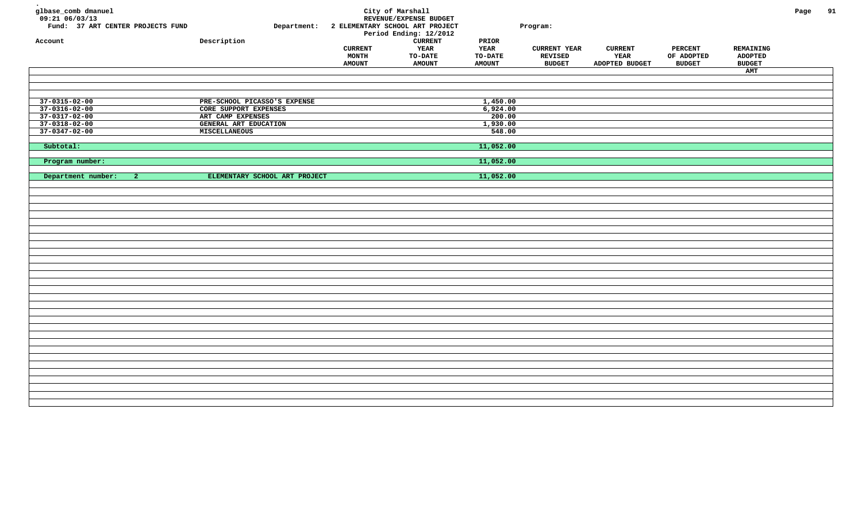| glbase_comb dmanuel<br>$09:21$ $06/03/13$<br>Fund: 37 ART CENTER PROJECTS FUND<br>Account | Department:<br>Description    |                                                 | City of Marshall<br>REVENUE/EXPENSE BUDGET<br>2 ELEMENTARY SCHOOL ART PROJECT<br>Period Ending: 12/2012<br>${\tt CURRENT}$ | $\tt PRIOR$                      | Program:                                               |                                          |                                               |                                              | Page | 91 |
|-------------------------------------------------------------------------------------------|-------------------------------|-------------------------------------------------|----------------------------------------------------------------------------------------------------------------------------|----------------------------------|--------------------------------------------------------|------------------------------------------|-----------------------------------------------|----------------------------------------------|------|----|
|                                                                                           |                               | <b>CURRENT</b><br><b>MONTH</b><br><b>AMOUNT</b> | YEAR<br>TO-DATE<br><b>AMOUNT</b>                                                                                           | YEAR<br>TO-DATE<br><b>AMOUNT</b> | <b>CURRENT YEAR</b><br><b>REVISED</b><br><b>BUDGET</b> | <b>CURRENT</b><br>YEAR<br>ADOPTED BUDGET | <b>PERCENT</b><br>OF ADOPTED<br><b>BUDGET</b> | REMAINING<br><b>ADOPTED</b><br><b>BUDGET</b> |      |    |
|                                                                                           |                               |                                                 |                                                                                                                            |                                  |                                                        |                                          |                                               | AMT                                          |      |    |
|                                                                                           |                               |                                                 |                                                                                                                            |                                  |                                                        |                                          |                                               |                                              |      |    |
|                                                                                           |                               |                                                 |                                                                                                                            |                                  |                                                        |                                          |                                               |                                              |      |    |
|                                                                                           |                               |                                                 |                                                                                                                            |                                  |                                                        |                                          |                                               |                                              |      |    |
| $37 - 0315 - 02 - 00$                                                                     | PRE-SCHOOL PICASSO'S EXPENSE  |                                                 |                                                                                                                            | 1,450.00                         |                                                        |                                          |                                               |                                              |      |    |
| $37 - 0316 - 02 - 00$                                                                     | CORE SUPPORT EXPENSES         |                                                 |                                                                                                                            | 6,924.00                         |                                                        |                                          |                                               |                                              |      |    |
| $37 - 0317 - 02 - 00$                                                                     | ART CAMP EXPENSES             |                                                 |                                                                                                                            | 200.00                           |                                                        |                                          |                                               |                                              |      |    |
| $37 - 0318 - 02 - 00$                                                                     | <b>GENERAL ART EDUCATION</b>  |                                                 |                                                                                                                            | 1,930.00                         |                                                        |                                          |                                               |                                              |      |    |
| $37 - 0347 - 02 - 00$                                                                     | MISCELLANEOUS                 |                                                 |                                                                                                                            | 548.00                           |                                                        |                                          |                                               |                                              |      |    |
|                                                                                           |                               |                                                 |                                                                                                                            |                                  |                                                        |                                          |                                               |                                              |      |    |
| Subtotal:                                                                                 |                               |                                                 |                                                                                                                            | 11,052.00                        |                                                        |                                          |                                               |                                              |      |    |
|                                                                                           |                               |                                                 |                                                                                                                            |                                  |                                                        |                                          |                                               |                                              |      |    |
| Program number:                                                                           |                               |                                                 |                                                                                                                            | 11,052.00                        |                                                        |                                          |                                               |                                              |      |    |
|                                                                                           |                               |                                                 |                                                                                                                            |                                  |                                                        |                                          |                                               |                                              |      |    |
| Department number:<br>$\mathbf{2}$                                                        | ELEMENTARY SCHOOL ART PROJECT |                                                 |                                                                                                                            | 11,052.00                        |                                                        |                                          |                                               |                                              |      |    |
|                                                                                           |                               |                                                 |                                                                                                                            |                                  |                                                        |                                          |                                               |                                              |      |    |
|                                                                                           |                               |                                                 |                                                                                                                            |                                  |                                                        |                                          |                                               |                                              |      |    |
|                                                                                           |                               |                                                 |                                                                                                                            |                                  |                                                        |                                          |                                               |                                              |      |    |
|                                                                                           |                               |                                                 |                                                                                                                            |                                  |                                                        |                                          |                                               |                                              |      |    |
|                                                                                           |                               |                                                 |                                                                                                                            |                                  |                                                        |                                          |                                               |                                              |      |    |
|                                                                                           |                               |                                                 |                                                                                                                            |                                  |                                                        |                                          |                                               |                                              |      |    |
|                                                                                           |                               |                                                 |                                                                                                                            |                                  |                                                        |                                          |                                               |                                              |      |    |
|                                                                                           |                               |                                                 |                                                                                                                            |                                  |                                                        |                                          |                                               |                                              |      |    |
|                                                                                           |                               |                                                 |                                                                                                                            |                                  |                                                        |                                          |                                               |                                              |      |    |
|                                                                                           |                               |                                                 |                                                                                                                            |                                  |                                                        |                                          |                                               |                                              |      |    |
|                                                                                           |                               |                                                 |                                                                                                                            |                                  |                                                        |                                          |                                               |                                              |      |    |
|                                                                                           |                               |                                                 |                                                                                                                            |                                  |                                                        |                                          |                                               |                                              |      |    |
|                                                                                           |                               |                                                 |                                                                                                                            |                                  |                                                        |                                          |                                               |                                              |      |    |
|                                                                                           |                               |                                                 |                                                                                                                            |                                  |                                                        |                                          |                                               |                                              |      |    |
|                                                                                           |                               |                                                 |                                                                                                                            |                                  |                                                        |                                          |                                               |                                              |      |    |
|                                                                                           |                               |                                                 |                                                                                                                            |                                  |                                                        |                                          |                                               |                                              |      |    |
|                                                                                           |                               |                                                 |                                                                                                                            |                                  |                                                        |                                          |                                               |                                              |      |    |
|                                                                                           |                               |                                                 |                                                                                                                            |                                  |                                                        |                                          |                                               |                                              |      |    |
|                                                                                           |                               |                                                 |                                                                                                                            |                                  |                                                        |                                          |                                               |                                              |      |    |
|                                                                                           |                               |                                                 |                                                                                                                            |                                  |                                                        |                                          |                                               |                                              |      |    |
|                                                                                           |                               |                                                 |                                                                                                                            |                                  |                                                        |                                          |                                               |                                              |      |    |
|                                                                                           |                               |                                                 |                                                                                                                            |                                  |                                                        |                                          |                                               |                                              |      |    |
|                                                                                           |                               |                                                 |                                                                                                                            |                                  |                                                        |                                          |                                               |                                              |      |    |
|                                                                                           |                               |                                                 |                                                                                                                            |                                  |                                                        |                                          |                                               |                                              |      |    |
|                                                                                           |                               |                                                 |                                                                                                                            |                                  |                                                        |                                          |                                               |                                              |      |    |
|                                                                                           |                               |                                                 |                                                                                                                            |                                  |                                                        |                                          |                                               |                                              |      |    |
|                                                                                           |                               |                                                 |                                                                                                                            |                                  |                                                        |                                          |                                               |                                              |      |    |
|                                                                                           |                               |                                                 |                                                                                                                            |                                  |                                                        |                                          |                                               |                                              |      |    |
|                                                                                           |                               |                                                 |                                                                                                                            |                                  |                                                        |                                          |                                               |                                              |      |    |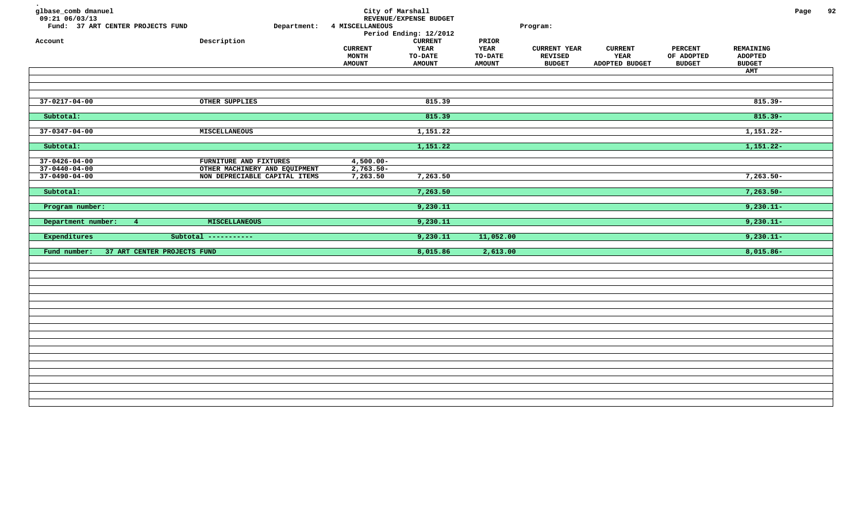| glbase_comb dmanuel<br>09:21 06/03/13<br>Fund: 37 ART CENTER PROJECTS FUND<br>Account | Department:<br>Description                              | 4 MISCELLANEOUS<br><b>CURRENT</b><br>MONTH<br><b>AMOUNT</b> | City of Marshall<br>REVENUE/EXPENSE BUDGET<br>Period Ending: 12/2012<br>${\tt CURRENT}$<br>YEAR<br><b>TO-DATE</b><br><b>AMOUNT</b> | PRIOR<br>YEAR<br><b>TO-DATE</b><br><b>AMOUNT</b> | Program:<br><b>CURRENT YEAR</b><br><b>REVISED</b><br><b>BUDGET</b> | <b>CURRENT</b><br>YEAR<br>ADOPTED BUDGET | <b>PERCENT</b><br>OF ADOPTED<br><b>BUDGET</b> | REMAINING<br><b>ADOPTED</b><br><b>BUDGET</b><br>AMT | Page | 92 |
|---------------------------------------------------------------------------------------|---------------------------------------------------------|-------------------------------------------------------------|------------------------------------------------------------------------------------------------------------------------------------|--------------------------------------------------|--------------------------------------------------------------------|------------------------------------------|-----------------------------------------------|-----------------------------------------------------|------|----|
|                                                                                       |                                                         |                                                             |                                                                                                                                    |                                                  |                                                                    |                                          |                                               |                                                     |      |    |
|                                                                                       |                                                         |                                                             |                                                                                                                                    |                                                  |                                                                    |                                          |                                               |                                                     |      |    |
| $37 - 0217 - 04 - 00$                                                                 | OTHER SUPPLIES                                          |                                                             | 815.39                                                                                                                             |                                                  |                                                                    |                                          |                                               | $815.39 -$                                          |      |    |
| Subtotal:                                                                             |                                                         |                                                             | 815.39                                                                                                                             |                                                  |                                                                    |                                          |                                               | $815.39 -$                                          |      |    |
| $37 - 0347 - 04 - 00$                                                                 | MISCELLANEOUS                                           |                                                             | 1,151.22                                                                                                                           |                                                  |                                                                    |                                          |                                               | $1,151.22-$                                         |      |    |
| Subtotal:                                                                             |                                                         |                                                             | 1,151.22                                                                                                                           |                                                  |                                                                    |                                          |                                               | $1,151.22-$                                         |      |    |
|                                                                                       |                                                         |                                                             |                                                                                                                                    |                                                  |                                                                    |                                          |                                               |                                                     |      |    |
| $37 - 0426 - 04 - 00$<br>$37 - 0440 - 04 - 00$                                        | FURNITURE AND FIXTURES<br>OTHER MACHINERY AND EQUIPMENT | $4,500.00 -$<br>$2,763.50-$                                 |                                                                                                                                    |                                                  |                                                                    |                                          |                                               |                                                     |      |    |
| $37 - 0490 - 04 - 00$                                                                 | NON DEPRECIABLE CAPITAL ITEMS                           | 7,263.50                                                    | 7,263.50                                                                                                                           |                                                  |                                                                    |                                          |                                               | $7,263.50-$                                         |      |    |
| Subtotal:                                                                             |                                                         |                                                             | 7,263.50                                                                                                                           |                                                  |                                                                    |                                          |                                               | $7,263.50-$                                         |      |    |
|                                                                                       |                                                         |                                                             |                                                                                                                                    |                                                  |                                                                    |                                          |                                               |                                                     |      |    |
| Program number:                                                                       |                                                         |                                                             | 9,230.11                                                                                                                           |                                                  |                                                                    |                                          |                                               | $9,230.11-$                                         |      |    |
| Department number:<br>$-4$                                                            | MISCELLANEOUS                                           |                                                             | 9,230.11                                                                                                                           |                                                  |                                                                    |                                          |                                               | $9,230.11-$                                         |      |    |
| Expenditures                                                                          | Subtotal -----------                                    |                                                             | 9,230.11                                                                                                                           | 11,052.00                                        |                                                                    |                                          |                                               | $9,230.11-$                                         |      |    |
| 37 ART CENTER PROJECTS FUND<br>Fund number:                                           |                                                         |                                                             | 8,015.86                                                                                                                           | 2,613.00                                         |                                                                    |                                          |                                               | $8,015.86 -$                                        |      |    |
|                                                                                       |                                                         |                                                             |                                                                                                                                    |                                                  |                                                                    |                                          |                                               |                                                     |      |    |
|                                                                                       |                                                         |                                                             |                                                                                                                                    |                                                  |                                                                    |                                          |                                               |                                                     |      |    |
|                                                                                       |                                                         |                                                             |                                                                                                                                    |                                                  |                                                                    |                                          |                                               |                                                     |      |    |
|                                                                                       |                                                         |                                                             |                                                                                                                                    |                                                  |                                                                    |                                          |                                               |                                                     |      |    |
|                                                                                       |                                                         |                                                             |                                                                                                                                    |                                                  |                                                                    |                                          |                                               |                                                     |      |    |
|                                                                                       |                                                         |                                                             |                                                                                                                                    |                                                  |                                                                    |                                          |                                               |                                                     |      |    |
|                                                                                       |                                                         |                                                             |                                                                                                                                    |                                                  |                                                                    |                                          |                                               |                                                     |      |    |
|                                                                                       |                                                         |                                                             |                                                                                                                                    |                                                  |                                                                    |                                          |                                               |                                                     |      |    |
|                                                                                       |                                                         |                                                             |                                                                                                                                    |                                                  |                                                                    |                                          |                                               |                                                     |      |    |
|                                                                                       |                                                         |                                                             |                                                                                                                                    |                                                  |                                                                    |                                          |                                               |                                                     |      |    |
|                                                                                       |                                                         |                                                             |                                                                                                                                    |                                                  |                                                                    |                                          |                                               |                                                     |      |    |
|                                                                                       |                                                         |                                                             |                                                                                                                                    |                                                  |                                                                    |                                          |                                               |                                                     |      |    |
|                                                                                       |                                                         |                                                             |                                                                                                                                    |                                                  |                                                                    |                                          |                                               |                                                     |      |    |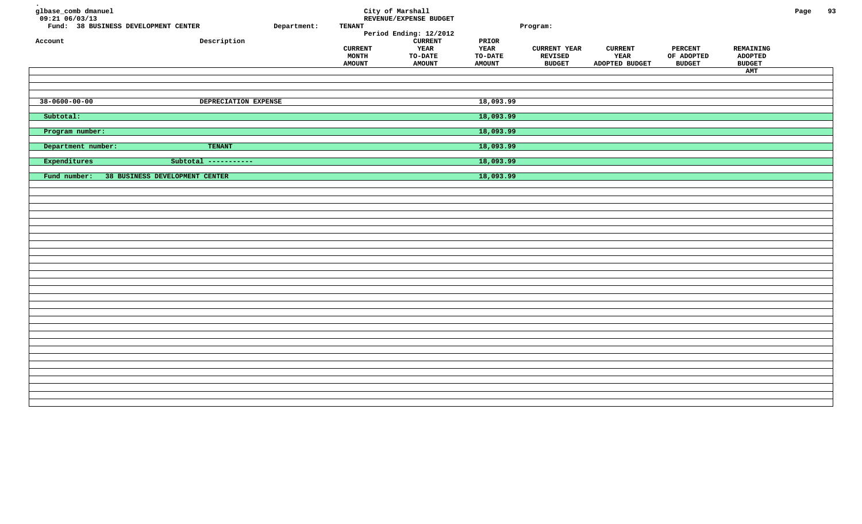| glbase_comb dmanuel<br>$09:21$ 06/03/13<br>Fund: 38 BUSINESS DEVELOPMENT CENTER | Department:                    | <b>TENANT</b>                            | City of Marshall<br>REVENUE/EXPENSE BUDGET                       |                                                         | Program:                                               |                                          |                                               |                                              | Page | 93 |
|---------------------------------------------------------------------------------|--------------------------------|------------------------------------------|------------------------------------------------------------------|---------------------------------------------------------|--------------------------------------------------------|------------------------------------------|-----------------------------------------------|----------------------------------------------|------|----|
|                                                                                 |                                |                                          | Period Ending: 12/2012                                           |                                                         |                                                        |                                          |                                               |                                              |      |    |
| Account                                                                         | Description                    | <b>CURRENT</b><br>MONTH<br><b>AMOUNT</b> | <b>CURRENT</b><br><b>YEAR</b><br><b>TO-DATE</b><br><b>AMOUNT</b> | PRIOR<br><b>YEAR</b><br><b>TO-DATE</b><br><b>AMOUNT</b> | <b>CURRENT YEAR</b><br><b>REVISED</b><br><b>BUDGET</b> | <b>CURRENT</b><br>YEAR<br>ADOPTED BUDGET | <b>PERCENT</b><br>OF ADOPTED<br><b>BUDGET</b> | REMAINING<br><b>ADOPTED</b><br><b>BUDGET</b> |      |    |
|                                                                                 |                                |                                          |                                                                  |                                                         |                                                        |                                          |                                               | AMT                                          |      |    |
|                                                                                 |                                |                                          |                                                                  |                                                         |                                                        |                                          |                                               |                                              |      |    |
| $38 - 0600 - 00 - 00$                                                           | DEPRECIATION EXPENSE           |                                          |                                                                  | 18,093.99                                               |                                                        |                                          |                                               |                                              |      |    |
| Subtotal:                                                                       |                                |                                          |                                                                  | 18,093.99                                               |                                                        |                                          |                                               |                                              |      |    |
| Program number:                                                                 |                                |                                          |                                                                  | 18,093.99                                               |                                                        |                                          |                                               |                                              |      |    |
|                                                                                 |                                |                                          |                                                                  |                                                         |                                                        |                                          |                                               |                                              |      |    |
| Department number:                                                              | <b>TENANT</b>                  |                                          |                                                                  | 18,093.99                                               |                                                        |                                          |                                               |                                              |      |    |
| Expenditures                                                                    | Subtotal -----------           |                                          |                                                                  | 18,093.99                                               |                                                        |                                          |                                               |                                              |      |    |
| Fund number:                                                                    | 38 BUSINESS DEVELOPMENT CENTER |                                          |                                                                  | 18,093.99                                               |                                                        |                                          |                                               |                                              |      |    |
|                                                                                 |                                |                                          |                                                                  |                                                         |                                                        |                                          |                                               |                                              |      |    |
|                                                                                 |                                |                                          |                                                                  |                                                         |                                                        |                                          |                                               |                                              |      |    |
|                                                                                 |                                |                                          |                                                                  |                                                         |                                                        |                                          |                                               |                                              |      |    |
|                                                                                 |                                |                                          |                                                                  |                                                         |                                                        |                                          |                                               |                                              |      |    |
|                                                                                 |                                |                                          |                                                                  |                                                         |                                                        |                                          |                                               |                                              |      |    |
|                                                                                 |                                |                                          |                                                                  |                                                         |                                                        |                                          |                                               |                                              |      |    |
|                                                                                 |                                |                                          |                                                                  |                                                         |                                                        |                                          |                                               |                                              |      |    |
|                                                                                 |                                |                                          |                                                                  |                                                         |                                                        |                                          |                                               |                                              |      |    |
|                                                                                 |                                |                                          |                                                                  |                                                         |                                                        |                                          |                                               |                                              |      |    |
|                                                                                 |                                |                                          |                                                                  |                                                         |                                                        |                                          |                                               |                                              |      |    |
|                                                                                 |                                |                                          |                                                                  |                                                         |                                                        |                                          |                                               |                                              |      |    |
|                                                                                 |                                |                                          |                                                                  |                                                         |                                                        |                                          |                                               |                                              |      |    |
|                                                                                 |                                |                                          |                                                                  |                                                         |                                                        |                                          |                                               |                                              |      |    |
|                                                                                 |                                |                                          |                                                                  |                                                         |                                                        |                                          |                                               |                                              |      |    |
|                                                                                 |                                |                                          |                                                                  |                                                         |                                                        |                                          |                                               |                                              |      |    |
|                                                                                 |                                |                                          |                                                                  |                                                         |                                                        |                                          |                                               |                                              |      |    |
|                                                                                 |                                |                                          |                                                                  |                                                         |                                                        |                                          |                                               |                                              |      |    |
|                                                                                 |                                |                                          |                                                                  |                                                         |                                                        |                                          |                                               |                                              |      |    |
|                                                                                 |                                |                                          |                                                                  |                                                         |                                                        |                                          |                                               |                                              |      |    |
|                                                                                 |                                |                                          |                                                                  |                                                         |                                                        |                                          |                                               |                                              |      |    |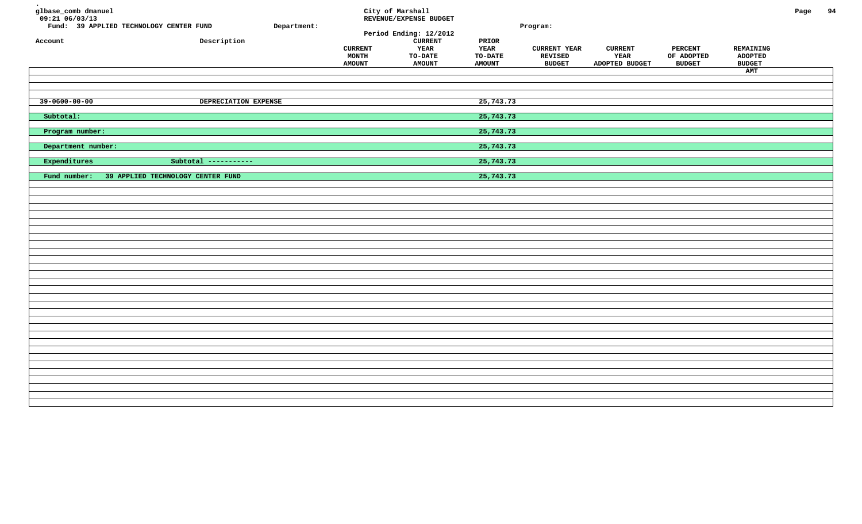| glbase_comb dmanuel<br>$09:21$ $06/03/13$<br>Fund: 39 APPLIED TECHNOLOGY CENTER FUND<br>Account | Department:<br>Description        | <b>CURRENT</b><br>MONTH<br><b>AMOUNT</b> | City of Marshall<br>REVENUE/EXPENSE BUDGET<br>Period Ending: 12/2012<br><b>CURRENT</b><br>YEAR<br><b>TO-DATE</b><br><b>AMOUNT</b> | PRIOR<br>YEAR<br>TO-DATE<br><b>AMOUNT</b> | Program:<br><b>CURRENT YEAR</b><br>REVISED<br><b>BUDGET</b> | <b>CURRENT</b><br>YEAR<br>ADOPTED BUDGET | <b>PERCENT</b><br>OF ADOPTED<br><b>BUDGET</b> | REMAINING<br><b>ADOPTED</b><br><b>BUDGET</b><br>AMT | Page | 94 |
|-------------------------------------------------------------------------------------------------|-----------------------------------|------------------------------------------|-----------------------------------------------------------------------------------------------------------------------------------|-------------------------------------------|-------------------------------------------------------------|------------------------------------------|-----------------------------------------------|-----------------------------------------------------|------|----|
| $39 - 0600 - 00 - 00$                                                                           | DEPRECIATION EXPENSE              |                                          |                                                                                                                                   | 25,743.73                                 |                                                             |                                          |                                               |                                                     |      |    |
| Subtotal:                                                                                       |                                   |                                          |                                                                                                                                   | 25,743.73                                 |                                                             |                                          |                                               |                                                     |      |    |
| Program number:                                                                                 |                                   |                                          |                                                                                                                                   | 25,743.73                                 |                                                             |                                          |                                               |                                                     |      |    |
| Department number:                                                                              |                                   |                                          |                                                                                                                                   | 25,743.73                                 |                                                             |                                          |                                               |                                                     |      |    |
| Expenditures                                                                                    | Subtotal -----------              |                                          |                                                                                                                                   | 25,743.73                                 |                                                             |                                          |                                               |                                                     |      |    |
| Fund number:                                                                                    | 39 APPLIED TECHNOLOGY CENTER FUND |                                          |                                                                                                                                   | 25,743.73                                 |                                                             |                                          |                                               |                                                     |      |    |
|                                                                                                 |                                   |                                          |                                                                                                                                   |                                           |                                                             |                                          |                                               |                                                     |      |    |
|                                                                                                 |                                   |                                          |                                                                                                                                   |                                           |                                                             |                                          |                                               |                                                     |      |    |
|                                                                                                 |                                   |                                          |                                                                                                                                   |                                           |                                                             |                                          |                                               |                                                     |      |    |
|                                                                                                 |                                   |                                          |                                                                                                                                   |                                           |                                                             |                                          |                                               |                                                     |      |    |
|                                                                                                 |                                   |                                          |                                                                                                                                   |                                           |                                                             |                                          |                                               |                                                     |      |    |
|                                                                                                 |                                   |                                          |                                                                                                                                   |                                           |                                                             |                                          |                                               |                                                     |      |    |
|                                                                                                 |                                   |                                          |                                                                                                                                   |                                           |                                                             |                                          |                                               |                                                     |      |    |
|                                                                                                 |                                   |                                          |                                                                                                                                   |                                           |                                                             |                                          |                                               |                                                     |      |    |
|                                                                                                 |                                   |                                          |                                                                                                                                   |                                           |                                                             |                                          |                                               |                                                     |      |    |
|                                                                                                 |                                   |                                          |                                                                                                                                   |                                           |                                                             |                                          |                                               |                                                     |      |    |
|                                                                                                 |                                   |                                          |                                                                                                                                   |                                           |                                                             |                                          |                                               |                                                     |      |    |
|                                                                                                 |                                   |                                          |                                                                                                                                   |                                           |                                                             |                                          |                                               |                                                     |      |    |
|                                                                                                 |                                   |                                          |                                                                                                                                   |                                           |                                                             |                                          |                                               |                                                     |      |    |
|                                                                                                 |                                   |                                          |                                                                                                                                   |                                           |                                                             |                                          |                                               |                                                     |      |    |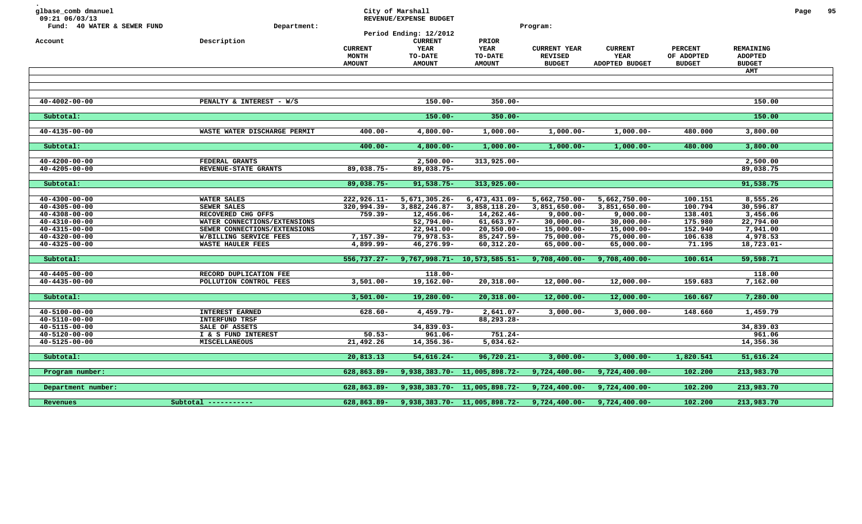| glbase_comb dmanuel<br>09:21 06/03/13<br>Fund: 40 WATER & SEWER FUND<br>Account | Department:<br>Description   | <b>CURRENT</b><br>MONTH<br><b>AMOUNT</b> | City of Marshall<br>REVENUE/EXPENSE BUDGET<br>Period Ending: 12/2012<br><b>CURRENT</b><br>YEAR<br><b>TO-DATE</b><br><b>AMOUNT</b> | PRIOR<br>YEAR<br><b>TO-DATE</b><br><b>AMOUNT</b>                            | Program:<br><b>CURRENT YEAR</b><br><b>REVISED</b><br><b>BUDGET</b> | <b>CURRENT</b><br><b>YEAR</b><br>ADOPTED BUDGET | <b>PERCENT</b><br>OF ADOPTED<br><b>BUDGET</b> | REMAINING<br><b>ADOPTED</b><br><b>BUDGET</b><br>AMT | Page | 95 |
|---------------------------------------------------------------------------------|------------------------------|------------------------------------------|-----------------------------------------------------------------------------------------------------------------------------------|-----------------------------------------------------------------------------|--------------------------------------------------------------------|-------------------------------------------------|-----------------------------------------------|-----------------------------------------------------|------|----|
|                                                                                 |                              |                                          |                                                                                                                                   |                                                                             |                                                                    |                                                 |                                               |                                                     |      |    |
|                                                                                 |                              |                                          |                                                                                                                                   |                                                                             |                                                                    |                                                 |                                               |                                                     |      |    |
| $40 - 4002 - 00 - 00$                                                           | PENALTY & INTEREST - W/S     |                                          | $150.00 -$                                                                                                                        | $350.00 -$                                                                  |                                                                    |                                                 |                                               | 150.00                                              |      |    |
|                                                                                 |                              |                                          |                                                                                                                                   |                                                                             |                                                                    |                                                 |                                               |                                                     |      |    |
| Subtotal:                                                                       |                              |                                          | $150.00 -$                                                                                                                        | $350.00 -$                                                                  |                                                                    |                                                 |                                               | 150.00                                              |      |    |
| $40 - 4135 - 00 - 00$                                                           | WASTE WATER DISCHARGE PERMIT | $400.00 -$                               | $4,800.00-$                                                                                                                       | $1,000.00-$                                                                 | $1,000.00-$                                                        | $1,000.00-$                                     | 480.000                                       | 3,800.00                                            |      |    |
|                                                                                 |                              |                                          |                                                                                                                                   |                                                                             |                                                                    |                                                 |                                               |                                                     |      |    |
| Subtotal:                                                                       |                              | $400.00 -$                               | $4,800.00 -$                                                                                                                      | $1,000.00-$                                                                 | $1,000.00 -$                                                       | $1,000.00-$                                     | 480.000                                       | 3,800.00                                            |      |    |
| $40 - 4200 - 00 - 00$                                                           | FEDERAL GRANTS               |                                          | $2,500.00 -$                                                                                                                      | 313,925.00-                                                                 |                                                                    |                                                 |                                               | 2,500.00                                            |      |    |
| $40 - 4205 - 00 - 00$                                                           | REVENUE-STATE GRANTS         | 89,038.75-                               | 89,038.75-                                                                                                                        |                                                                             |                                                                    |                                                 |                                               | 89,038.75                                           |      |    |
|                                                                                 |                              |                                          |                                                                                                                                   |                                                                             |                                                                    |                                                 |                                               |                                                     |      |    |
| Subtotal:                                                                       |                              | 89,038.75-                               | $91,538.75-$                                                                                                                      | 313,925.00-                                                                 |                                                                    |                                                 |                                               | 91,538.75                                           |      |    |
| $40 - 4300 - 00 - 00$                                                           | WATER SALES                  | $222,926.11 -$                           | 5,671,305.26-                                                                                                                     | $6,473,431.09 -$                                                            | 5,662,750.00-                                                      | 5,662,750.00-                                   | 100.151                                       | 8,555.26                                            |      |    |
| $40 - 4305 - 00 - 00$                                                           | SEWER SALES                  | 320,994.39-                              | 3,882,246.87-                                                                                                                     | 3,858,118.20-                                                               | 3,851,650.00-                                                      | 3,851,650.00-                                   | 100.794                                       | 30,596.87                                           |      |    |
| $40 - 4308 - 00 - 00$                                                           | RECOVERED CHG OFFS           | $759.39 -$                               | 12,456.06-                                                                                                                        | 14,262.46-                                                                  | $9,000.00 -$                                                       | $9,000.00 -$                                    | 138.401                                       | 3,456.06                                            |      |    |
| $40 - 4310 - 00 - 00$                                                           | WATER CONNECTIONS/EXTENSIONS |                                          | 52,794.00-                                                                                                                        | $61,663.97 -$                                                               | $30,000.00 -$                                                      | $30,000.00 -$                                   | 175.980                                       | 22,794.00                                           |      |    |
| $40 - 4315 - 00 - 00$                                                           | SEWER CONNECTIONS/EXTENSIONS |                                          | 22,941.00-                                                                                                                        | $20,550.00 -$                                                               | $15,000.00 -$                                                      | $15,000.00-$                                    | 152.940                                       | 7,941.00                                            |      |    |
| $40 - 4320 - 00 - 00$                                                           | W/BILLING SERVICE FEES       | $7,157.39 -$                             | 79,978.53-                                                                                                                        | 85,247.59-                                                                  | $75,000.00 -$                                                      | $75,000.00 -$                                   | 106.638                                       | 4,978.53                                            |      |    |
| $40 - 4325 - 00 - 00$                                                           | <b>WASTE HAULER FEES</b>     | 4,899.99-                                | 46,276.99-                                                                                                                        | $60, 312.20 -$                                                              | 65,000.00-                                                         | 65,000.00-                                      | 71.195                                        | 18,723.01-                                          |      |    |
| Subtotal:                                                                       |                              | $556,737.27 -$                           |                                                                                                                                   | $9,767,998.71 - 10,573,585.51 -$                                            | $9,708,400.00 -$                                                   | $9,708,400.00 -$                                | 100.614                                       | 59,598.71                                           |      |    |
|                                                                                 |                              |                                          |                                                                                                                                   |                                                                             |                                                                    |                                                 |                                               |                                                     |      |    |
| $40 - 4405 - 00 - 00$                                                           | RECORD DUPLICATION FEE       |                                          | $118.00 -$                                                                                                                        |                                                                             |                                                                    |                                                 |                                               | 118.00                                              |      |    |
| $40 - 4435 - 00 - 00$                                                           | POLLUTION CONTROL FEES       | $3,501.00 -$                             | 19,162.00-                                                                                                                        | $20,318.00 -$                                                               | $12,000.00 -$                                                      | $12,000.00 -$                                   | 159.683                                       | 7,162.00                                            |      |    |
| Subtotal:                                                                       |                              | $3,501.00 -$                             | $19,280.00 -$                                                                                                                     | $20,318.00 -$                                                               | $12,000.00 -$                                                      | $12,000.00 -$                                   | 160.667                                       | 7,280.00                                            |      |    |
|                                                                                 |                              |                                          |                                                                                                                                   |                                                                             |                                                                    |                                                 |                                               |                                                     |      |    |
| $40 - 5100 - 00 - 00$                                                           | <b>INTEREST EARNED</b>       | $628.60 -$                               | $4,459.79-$                                                                                                                       | $2,641.07-$                                                                 | $3,000.00 -$                                                       | $3,000.00 -$                                    | 148.660                                       | 1,459.79                                            |      |    |
| 40-5110-00-00                                                                   | INTERFUND TRSF               |                                          |                                                                                                                                   | 88,293.28-                                                                  |                                                                    |                                                 |                                               |                                                     |      |    |
| 40-5115-00-00                                                                   | SALE OF ASSETS               |                                          | 34,839.03-                                                                                                                        |                                                                             |                                                                    |                                                 |                                               | 34,839.03                                           |      |    |
| 40-5120-00-00                                                                   | I & S FUND INTEREST          | $50.53 -$                                | 961.06-                                                                                                                           | 751.24-                                                                     |                                                                    |                                                 |                                               | 961.06                                              |      |    |
| $40 - 5125 - 00 - 00$                                                           | <b>MISCELLANEOUS</b>         | 21,492.26                                | 14,356.36-                                                                                                                        | $5,034.62-$                                                                 |                                                                    |                                                 |                                               | 14,356.36                                           |      |    |
| Subtotal:                                                                       |                              | 20,813.13                                | $54,616.24-$                                                                                                                      | $96,720.21 -$                                                               | $3,000.00 -$                                                       | $3,000.00 -$                                    | 1,820.541                                     | 51,616.24                                           |      |    |
|                                                                                 |                              |                                          |                                                                                                                                   |                                                                             |                                                                    |                                                 |                                               |                                                     |      |    |
| Program number:                                                                 |                              | 628,863.89-                              |                                                                                                                                   | 9,938,383.70- 11,005,898.72-                                                | $9,724,400.00 -$                                                   | $9,724,400.00 -$                                | 102.200                                       | 213,983.70                                          |      |    |
|                                                                                 |                              |                                          |                                                                                                                                   |                                                                             |                                                                    |                                                 |                                               |                                                     |      |    |
| Department number:                                                              |                              | 628,863.89-                              |                                                                                                                                   | 9,938,383.70- 11,005,898.72-                                                | $9,724,400.00 -$                                                   | $9,724,400.00 -$                                | 102.200                                       | 213,983.70                                          |      |    |
| Revenues                                                                        | $Subtotal$ -----------       |                                          |                                                                                                                                   | $628,863.89 - 9,938,383.70 - 11,005,898.72 - 9,724,400.00 - 9,724,400.00 -$ |                                                                    |                                                 | 102.200                                       | 213,983.70                                          |      |    |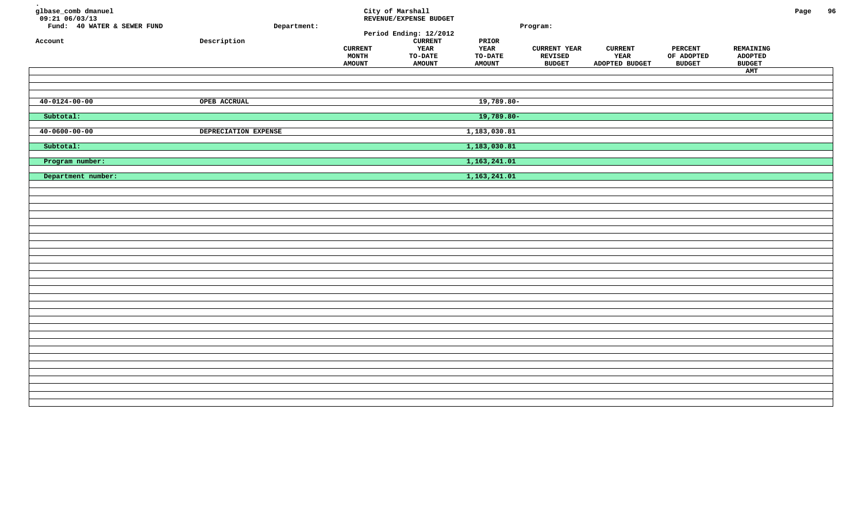| glbase_comb dmanuel<br>$09:21$ <sup>-06/03/13</sup><br>Fund: 40 WATER & SEWER FUND<br>Account | Department:<br>${\tt Description}$ | <b>CURRENT</b><br><b>MONTH</b><br><b>AMOUNT</b> | City of Marshall<br>REVENUE/EXPENSE BUDGET<br>Period Ending: 12/2012<br><b>CURRENT</b><br>YEAR<br>TO-DATE<br><b>AMOUNT</b> | $\tt PRIOR$<br>YEAR<br>TO-DATE<br><b>AMOUNT</b> | Program:<br><b>CURRENT YEAR</b><br>REVISED<br><b>BUDGET</b> | <b>CURRENT</b><br>YEAR<br>ADOPTED BUDGET | <b>PERCENT</b><br>OF ADOPTED<br><b>BUDGET</b> | REMAINING<br><b>ADOPTED</b><br><b>BUDGET</b><br>AMT | Page | 96 |
|-----------------------------------------------------------------------------------------------|------------------------------------|-------------------------------------------------|----------------------------------------------------------------------------------------------------------------------------|-------------------------------------------------|-------------------------------------------------------------|------------------------------------------|-----------------------------------------------|-----------------------------------------------------|------|----|
| $40 - 0124 - 00 - 00$                                                                         | OPEB ACCRUAL                       |                                                 |                                                                                                                            | 19,789.80-                                      |                                                             |                                          |                                               |                                                     |      |    |
| Subtotal:                                                                                     |                                    |                                                 |                                                                                                                            | 19,789.80-                                      |                                                             |                                          |                                               |                                                     |      |    |
| $40 - 0600 - 00 - 00$                                                                         | DEPRECIATION EXPENSE               |                                                 |                                                                                                                            | 1,183,030.81                                    |                                                             |                                          |                                               |                                                     |      |    |
| Subtotal:                                                                                     |                                    |                                                 |                                                                                                                            | 1,183,030.81                                    |                                                             |                                          |                                               |                                                     |      |    |
| Program number:                                                                               |                                    |                                                 |                                                                                                                            | 1,163,241.01                                    |                                                             |                                          |                                               |                                                     |      |    |
| Department number:                                                                            |                                    |                                                 |                                                                                                                            | 1,163,241.01                                    |                                                             |                                          |                                               |                                                     |      |    |
|                                                                                               |                                    |                                                 |                                                                                                                            |                                                 |                                                             |                                          |                                               |                                                     |      |    |
|                                                                                               |                                    |                                                 |                                                                                                                            |                                                 |                                                             |                                          |                                               |                                                     |      |    |
|                                                                                               |                                    |                                                 |                                                                                                                            |                                                 |                                                             |                                          |                                               |                                                     |      |    |
|                                                                                               |                                    |                                                 |                                                                                                                            |                                                 |                                                             |                                          |                                               |                                                     |      |    |
|                                                                                               |                                    |                                                 |                                                                                                                            |                                                 |                                                             |                                          |                                               |                                                     |      |    |
|                                                                                               |                                    |                                                 |                                                                                                                            |                                                 |                                                             |                                          |                                               |                                                     |      |    |
|                                                                                               |                                    |                                                 |                                                                                                                            |                                                 |                                                             |                                          |                                               |                                                     |      |    |
|                                                                                               |                                    |                                                 |                                                                                                                            |                                                 |                                                             |                                          |                                               |                                                     |      |    |
|                                                                                               |                                    |                                                 |                                                                                                                            |                                                 |                                                             |                                          |                                               |                                                     |      |    |
|                                                                                               |                                    |                                                 |                                                                                                                            |                                                 |                                                             |                                          |                                               |                                                     |      |    |
|                                                                                               |                                    |                                                 |                                                                                                                            |                                                 |                                                             |                                          |                                               |                                                     |      |    |
|                                                                                               |                                    |                                                 |                                                                                                                            |                                                 |                                                             |                                          |                                               |                                                     |      |    |
|                                                                                               |                                    |                                                 |                                                                                                                            |                                                 |                                                             |                                          |                                               |                                                     |      |    |
|                                                                                               |                                    |                                                 |                                                                                                                            |                                                 |                                                             |                                          |                                               |                                                     |      |    |
|                                                                                               |                                    |                                                 |                                                                                                                            |                                                 |                                                             |                                          |                                               |                                                     |      |    |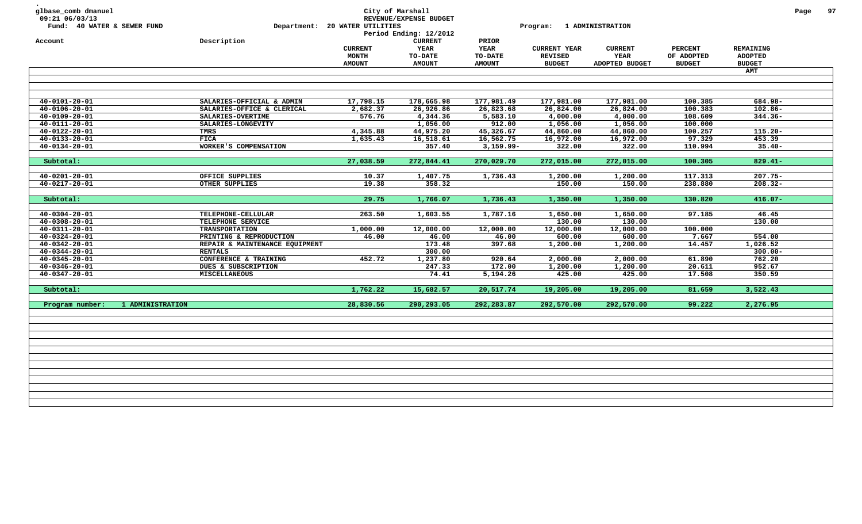| Description<br>SALARIES-OFFICIAL & ADMIN<br>SALARIES-OFFICE & CLERICAL | <b>CURRENT</b><br><b>MONTH</b><br><b>AMOUNT</b><br>17,798.15 | <b>CURRENT</b><br>YEAR<br><b>TO-DATE</b><br><b>AMOUNT</b>    | PRIOR<br><b>YEAR</b><br>TO-DATE<br><b>AMOUNT</b>    | <b>CURRENT YEAR</b><br><b>REVISED</b><br><b>BUDGET</b> | <b>CURRENT</b><br>YEAR<br>ADOPTED BUDGET                        | <b>PERCENT</b><br>OF ADOPTED<br><b>BUDGET</b>                   | REMAINING<br><b>ADOPTED</b><br><b>BUDGET</b><br><b>AMT</b> |                                                          |
|------------------------------------------------------------------------|--------------------------------------------------------------|--------------------------------------------------------------|-----------------------------------------------------|--------------------------------------------------------|-----------------------------------------------------------------|-----------------------------------------------------------------|------------------------------------------------------------|----------------------------------------------------------|
|                                                                        |                                                              |                                                              |                                                     |                                                        |                                                                 |                                                                 |                                                            |                                                          |
|                                                                        |                                                              |                                                              |                                                     |                                                        |                                                                 |                                                                 |                                                            |                                                          |
|                                                                        |                                                              |                                                              |                                                     |                                                        |                                                                 |                                                                 |                                                            |                                                          |
|                                                                        |                                                              | 178,665.98                                                   | 177,981.49                                          | 177,981.00                                             | 177,981.00                                                      | 100.385                                                         | 684.98-                                                    |                                                          |
|                                                                        | 2,682.37                                                     | 26,926.86                                                    | 26,823.68                                           | 26,824.00                                              | 26,824.00                                                       | 100.383                                                         | $102.86 -$                                                 |                                                          |
| SALARIES-OVERTIME                                                      | 576.76                                                       | 4,344.36                                                     | 5,583.10                                            | 4,000.00                                               | 4,000.00                                                        | 108.609                                                         | $344.36 -$                                                 |                                                          |
| SALARIES-LONGEVITY                                                     |                                                              | 1,056.00                                                     | 912.00                                              | 1,056.00                                               | 1,056.00                                                        | 100.000                                                         |                                                            |                                                          |
| TMRS                                                                   | 4,345.88                                                     | 44,975.20                                                    | 45,326.67                                           | 44,860.00                                              | 44,860.00                                                       | 100.257                                                         | $115.20 -$                                                 |                                                          |
| <b>FICA</b>                                                            | 1,635.43                                                     | 16,518.61                                                    | 16,562.75                                           | 16,972.00                                              | 16,972.00                                                       | 97.329                                                          | 453.39                                                     |                                                          |
| WORKER'S COMPENSATION                                                  |                                                              | 357.40                                                       | $3,159.99 -$                                        | 322.00                                                 | 322.00                                                          | 110.994                                                         | $35.40 -$                                                  |                                                          |
|                                                                        | 27,038.59                                                    | 272,844.41                                                   | 270,029.70                                          | 272,015.00                                             | 272,015.00                                                      | 100.305                                                         | $829.41 -$                                                 |                                                          |
|                                                                        |                                                              |                                                              |                                                     |                                                        |                                                                 |                                                                 |                                                            |                                                          |
|                                                                        |                                                              |                                                              |                                                     |                                                        |                                                                 |                                                                 |                                                            |                                                          |
|                                                                        |                                                              |                                                              |                                                     |                                                        |                                                                 |                                                                 |                                                            |                                                          |
|                                                                        | 29.75                                                        | 1,766.07                                                     | 1,736.43                                            | 1,350.00                                               | 1,350.00                                                        | 130.820                                                         | $416.07 -$                                                 |                                                          |
| TELEPHONE-CELLULAR                                                     | 263.50                                                       | 1,603.55                                                     | 1,787.16                                            | 1,650.00                                               | 1,650.00                                                        | 97.185                                                          | 46.45                                                      |                                                          |
|                                                                        |                                                              |                                                              |                                                     |                                                        |                                                                 |                                                                 |                                                            |                                                          |
| <b>TRANSPORTATION</b>                                                  |                                                              |                                                              |                                                     |                                                        |                                                                 |                                                                 |                                                            |                                                          |
| PRINTING & REPRODUCTION                                                | 46.00                                                        | 46.00                                                        | 46.00                                               |                                                        |                                                                 |                                                                 |                                                            |                                                          |
|                                                                        |                                                              |                                                              | 397.68                                              | 1,200.00                                               |                                                                 | 14.457                                                          |                                                            |                                                          |
| <b>RENTALS</b>                                                         |                                                              |                                                              |                                                     |                                                        |                                                                 |                                                                 | $300.00 -$                                                 |                                                          |
| CONFERENCE & TRAINING                                                  | 452.72                                                       | 1,237.80                                                     | 920.64                                              | 2,000.00                                               | 2,000.00                                                        | 61.890                                                          | 762.20                                                     |                                                          |
| DUES & SUBSCRIPTION                                                    |                                                              | 247.33                                                       | 172.00                                              |                                                        | 1,200.00                                                        | 20.611                                                          | 952.67                                                     |                                                          |
| MISCELLANEOUS                                                          |                                                              | 74.41                                                        | 5,194.26                                            | 425.00                                                 | 425.00                                                          | 17.508                                                          | 350.59                                                     |                                                          |
|                                                                        | 1,762.22                                                     | 15,682.57                                                    | 20,517.74                                           | 19,205.00                                              | 19,205.00                                                       | 81.659                                                          | 3,522.43                                                   |                                                          |
| 1 ADMINISTRATION                                                       | 28,830.56                                                    | 290,293.05                                                   | 292,283.87                                          | 292,570.00                                             | 292,570.00                                                      | 99.222                                                          | 2,276.95                                                   |                                                          |
|                                                                        | OFFICE SUPPLIES<br>OTHER SUPPLIES<br>TELEPHONE SERVICE       | 10.37<br>19.38<br>1,000.00<br>REPAIR & MAINTENANCE EQUIPMENT | 1,407.75<br>358.32<br>12,000.00<br>173.48<br>300.00 | 1,736.43<br>12,000.00                                  | 1,200.00<br>150.00<br>130.00<br>12,000.00<br>600.00<br>1,200.00 | 1,200.00<br>150.00<br>130.00<br>12,000.00<br>600.00<br>1,200.00 | 117.313<br>238.880<br>100.000<br>7.667                     | $207.75 -$<br>$208.32 -$<br>130.00<br>554.00<br>1,026.52 |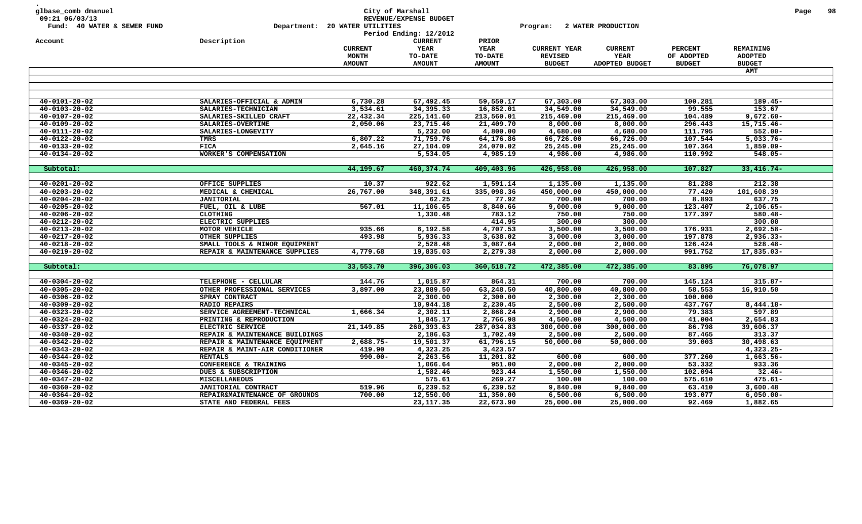| glbase_comb dmanuel<br>09:21 06/03/13<br>Fund: 40 WATER & SEWER FUND |                                                 | Department: 20 WATER UTILITIES | City of Marshall<br>REVENUE/EXPENSE BUDGET<br>Period Ending: 12/2012 |                      | Program:             | 2 WATER PRODUCTION   |                    |                         | Page | 98 |
|----------------------------------------------------------------------|-------------------------------------------------|--------------------------------|----------------------------------------------------------------------|----------------------|----------------------|----------------------|--------------------|-------------------------|------|----|
| Account                                                              | Description                                     | <b>CURRENT</b>                 | <b>CURRENT</b><br>YEAR                                               | PRIOR<br><b>YEAR</b> | <b>CURRENT YEAR</b>  | <b>CURRENT</b>       | <b>PERCENT</b>     | REMAINING               |      |    |
|                                                                      |                                                 | <b>MONTH</b>                   | TO-DATE                                                              | TO-DATE              | <b>REVISED</b>       | YEAR                 | OF ADOPTED         | <b>ADOPTED</b>          |      |    |
|                                                                      |                                                 | <b>AMOUNT</b>                  | <b>AMOUNT</b>                                                        | <b>AMOUNT</b>        | <b>BUDGET</b>        | ADOPTED BUDGET       | <b>BUDGET</b>      | <b>BUDGET</b>           |      |    |
|                                                                      |                                                 |                                |                                                                      |                      |                      |                      |                    | AMT                     |      |    |
|                                                                      |                                                 |                                |                                                                      |                      |                      |                      |                    |                         |      |    |
|                                                                      |                                                 |                                |                                                                      |                      |                      |                      |                    |                         |      |    |
| $40 - 0101 - 20 - 02$                                                | SALARIES-OFFICIAL & ADMIN                       | 6,730.28                       | 67,492.45                                                            | 59,550.17            | 67,303.00            | 67,303.00            | 100.281            | 189.45-                 |      |    |
| $40 - 0103 - 20 - 02$                                                | SALARIES-TECHNICIAN                             | 3,534.61                       | 34,395.33                                                            | 16,852.01            | 34,549.00            | 34,549.00            | 99.555             | 153.67                  |      |    |
| $40 - 0107 - 20 - 02$                                                | SALARIES-SKILLED CRAFT                          | 22,432.34                      | 225,141.60                                                           | 213,560.01           | 215,469.00           | 215,469.00           | 104.489            | $9,672.60 -$            |      |    |
| $40 - 0109 - 20 - 02$                                                | SALARIES-OVERTIME                               | 2,050.06                       | 23,715.46                                                            | 21,409.70            | 8,000.00             | 8,000.00             | 296.443            | $15,715.46 -$           |      |    |
| $40 - 0111 - 20 - 02$                                                | SALARIES-LONGEVITY                              |                                | 5,232.00                                                             | 4,800.00             | 4,680.00             | 4,680.00             | 111.795            | $552.00 -$              |      |    |
| $40 - 0122 - 20 - 02$                                                | TMRS                                            | 6,807.22                       | 71,759.76                                                            | 64,176.86            | 66,726.00            | 66,726.00            | 107.544            | $5,033.76 -$            |      |    |
| $40 - 0133 - 20 - 02$                                                | <b>FICA</b>                                     | 2,645.16                       | 27,104.09                                                            | 24,070.02            | 25,245.00            | 25,245.00            | 107.364            | 1,859.09-               |      |    |
| $40 - 0134 - 20 - 02$                                                | WORKER'S COMPENSATION                           |                                | 5,534.05                                                             | 4,985.19             | 4,986.00             | 4,986.00             | 110.992            | $548.05 -$              |      |    |
|                                                                      |                                                 |                                |                                                                      |                      |                      |                      |                    |                         |      |    |
| Subtotal:                                                            |                                                 | 44,199.67                      | 460, 374.74                                                          | 409,403.96           | 426,958.00           | 426,958.00           | 107.827            | $33,416.74-$            |      |    |
|                                                                      |                                                 |                                |                                                                      |                      |                      |                      |                    |                         |      |    |
| $40 - 0201 - 20 - 02$                                                | OFFICE SUPPLIES                                 | 10.37                          | 922.62                                                               | 1,591.14             | 1,135.00             | 1,135.00             | 81.288             | 212.38                  |      |    |
| $40 - 0203 - 20 - 02$                                                | MEDICAL & CHEMICAL                              | 26,767.00                      | 348,391.61                                                           | 335,098.36           | 450,000.00           | 450,000.00           | 77.420             | 101,608.39              |      |    |
| $40 - 0204 - 20 - 02$                                                | <b>JANITORIAL</b>                               |                                | 62.25                                                                | 77.92                | 700.00               | 700.00               | 8.893              | 637.75                  |      |    |
| $40 - 0205 - 20 - 02$                                                | FUEL, OIL & LUBE                                | 567.01                         | 11,106.65                                                            | 8,840.66             | 9,000.00             | 9,000.00             | 123.407            | 2,106.65-               |      |    |
| $40 - 0206 - 20 - 02$                                                | <b>CLOTHING</b>                                 |                                | 1,330.48                                                             | 783.12               | 750.00               | 750.00               | 177.397            | $580.48 -$              |      |    |
| $40 - 0212 - 20 - 02$                                                | ELECTRIC SUPPLIES                               |                                |                                                                      | 414.95               | 300.00               | 300.00               |                    | 300.00                  |      |    |
| $40 - 0213 - 20 - 02$                                                | MOTOR VEHICLE                                   | 935.66                         | 6,192.58                                                             | 4,707.53             | 3,500.00             | 3,500.00             | 176.931            | 2,692.58-               |      |    |
| $40 - 0217 - 20 - 02$<br>$40 - 0218 - 20 - 02$                       | OTHER SUPPLIES<br>SMALL TOOLS & MINOR EQUIPMENT | 493.98                         | 5,936.33<br>2,528.48                                                 | 3,638.02<br>3,087.64 | 3,000.00<br>2,000.00 | 3,000.00<br>2,000.00 | 197.878<br>126.424 | 2,936.33-<br>$528.48 -$ |      |    |
| $40 - 0219 - 20 - 02$                                                | REPAIR & MAINTENANCE SUPPLIES                   | 4,779.68                       | 19,835.03                                                            | 2,279.38             | 2,000.00             | 2,000.00             | 991.752            | 17,835.03-              |      |    |
|                                                                      |                                                 |                                |                                                                      |                      |                      |                      |                    |                         |      |    |
| Subtotal:                                                            |                                                 | 33,553.70                      | 396,306.03                                                           | 360,518.72           | 472,385.00           | 472,385.00           | 83.895             | 76,078.97               |      |    |
| $40 - 0304 - 20 - 02$                                                | TELEPHONE - CELLULAR                            | 144.76                         | 1,015.87                                                             | 864.31               | 700.00               | 700.00               | 145.124            | $315.87 -$              |      |    |
| $40 - 0305 - 20 - 02$                                                | OTHER PROFESSIONAL SERVICES                     | 3,897.00                       | 23,889.50                                                            | 63,248.50            | 40,800.00            | 40,800.00            | 58.553             | 16,910.50               |      |    |
| $40 - 0306 - 20 - 02$                                                | SPRAY CONTRACT                                  |                                | 2,300.00                                                             | 2,300.00             | 2,300.00             | 2,300.00             | 100.000            |                         |      |    |
| $40 - 0309 - 20 - 02$                                                | <b>RADIO REPAIRS</b>                            |                                | 10,944.18                                                            | 2,230.45             | 2,500.00             | 2,500.00             | 437.767            | $8,444.18-$             |      |    |
| $40 - 0323 - 20 - 02$                                                | SERVICE AGREEMENT-TECHNICAL                     | 1,666.34                       | 2,302.11                                                             | 2,868.24             | 2,900.00             | 2,900.00             | 79.383             | 597.89                  |      |    |
| $40 - 0324 - 20 - 02$                                                | PRINTING & REPRODUCTION                         |                                | 1,845.17                                                             | 2,766.98             | 4,500.00             | 4,500.00             | 41.004             | 2,654.83                |      |    |
| $40 - 0337 - 20 - 02$                                                | ELECTRIC SERVICE                                | 21, 149.85                     | 260,393.63                                                           | 287,034.83           | 300,000.00           | 300,000.00           | 86.798             | 39,606.37               |      |    |
| $40 - 0340 - 20 - 02$                                                | REPAIR & MAINTENANCE BUILDINGS                  |                                | 2,186.63                                                             | 1,702.49             | 2,500.00             | 2,500.00             | 87.465             | 313.37                  |      |    |
| $40 - 0342 - 20 - 02$                                                | REPAIR & MAINTENANCE EQUIPMENT                  | 2,688.75-                      | 19,501.37                                                            | 61,796.15            | 50,000.00            | 50,000.00            | 39.003             | 30,498.63               |      |    |
| $40 - 0343 - 20 - 02$                                                | REPAIR & MAINT-AIR CONDITIONER                  | 419.90                         | 4,323.25                                                             | 3,423.57             |                      |                      |                    | 4,323.25-               |      |    |
| $40 - 0344 - 20 - 02$                                                | <b>RENTALS</b>                                  | $990.00 -$                     | 2,263.56                                                             | 11,201.82            | 600.00               | 600.00               | 377.260            | $1,663.56 -$            |      |    |
| $40 - 0345 - 20 - 02$                                                | CONFERENCE & TRAINING                           |                                | 1,066.64                                                             | 951.00               | 2,000.00             | 2,000.00             | 53.332             | 933.36                  |      |    |
| $40 - 0346 - 20 - 02$                                                | DUES & SUBSCRIPTION                             |                                | 1,582.46                                                             | 923.44               | 1,550.00             | 1,550.00             | 102.094            | $32.46 -$               |      |    |
| $40 - 0347 - 20 - 02$                                                | <b>MISCELLANEOUS</b>                            |                                | 575.61                                                               | 269.27               | 100.00               | 100.00               | 575.610            | $475.61 -$              |      |    |
| $40 - 0360 - 20 - 02$                                                | JANITORIAL CONTRACT                             | 519.96                         | 6,239.52                                                             | 6,239.52             | 9,840.00             | 9,840.00             | 63.410             | 3,600.48                |      |    |
| $40 - 0364 - 20 - 02$                                                | REPAIR&MAINTENANCE OF GROUNDS                   | 700.00                         | 12,550.00                                                            | 11,350.00            | 6,500.00             | 6,500.00             | 193.077            | $6,050.00 -$            |      |    |
| $40 - 0369 - 20 - 02$                                                | STATE AND FEDERAL FEES                          |                                | 23, 117.35                                                           | 22,673.90            | 25,000.00            | 25,000.00            | 92.469             | 1,882.65                |      |    |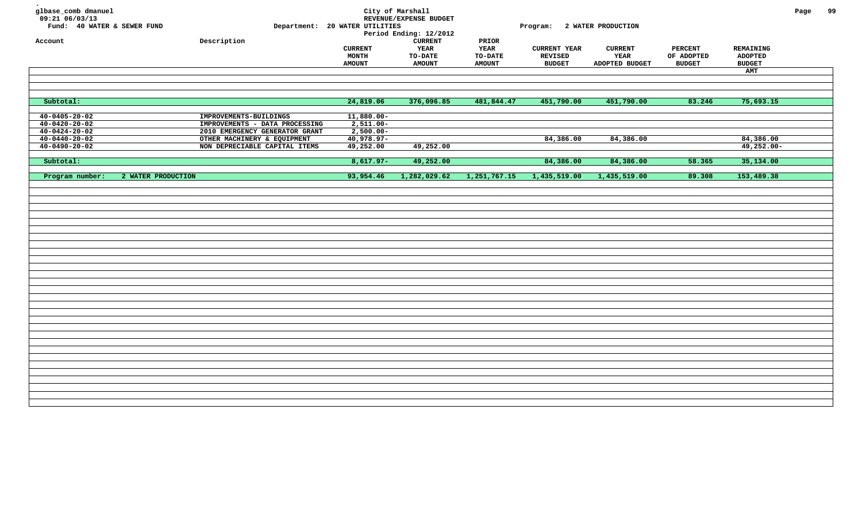| glbase_comb dmanuel<br>09:21 06/03/13 |                    |                                |                                | City of Marshall<br>REVENUE/EXPENSE BUDGET |               |                             |                |                |                  | Page | 99 |
|---------------------------------------|--------------------|--------------------------------|--------------------------------|--------------------------------------------|---------------|-----------------------------|----------------|----------------|------------------|------|----|
| Fund: 40 WATER & SEWER FUND           |                    |                                | Department: 20 WATER UTILITIES | Period Ending: 12/2012                     |               | Program: 2 WATER PRODUCTION |                |                |                  |      |    |
| Account                               |                    | Description                    |                                | <b>CURRENT</b>                             | PRIOR         |                             |                |                |                  |      |    |
|                                       |                    |                                | <b>CURRENT</b>                 | YEAR                                       | <b>YEAR</b>   | <b>CURRENT YEAR</b>         | <b>CURRENT</b> | <b>PERCENT</b> | <b>REMAINING</b> |      |    |
|                                       |                    |                                | <b>MONTH</b>                   | <b>TO-DATE</b>                             | TO-DATE       | <b>REVISED</b>              | YEAR           | OF ADOPTED     | ADOPTED          |      |    |
|                                       |                    |                                | <b>AMOUNT</b>                  | <b>AMOUNT</b>                              | <b>AMOUNT</b> | <b>BUDGET</b>               | ADOPTED BUDGET | <b>BUDGET</b>  | <b>BUDGET</b>    |      |    |
|                                       |                    |                                |                                |                                            |               |                             |                |                | <b>AMT</b>       |      |    |
|                                       |                    |                                |                                |                                            |               |                             |                |                |                  |      |    |
|                                       |                    |                                |                                |                                            |               |                             |                |                |                  |      |    |
| Subtotal:                             |                    |                                | 24,819.06                      | 376,096.85                                 | 481,844.47    | 451,790.00                  | 451,790.00     | 83.246         | 75,693.15        |      |    |
| $40 - 0405 - 20 - 02$                 |                    | IMPROVEMENTS-BUILDINGS         | $11,880.00 -$                  |                                            |               |                             |                |                |                  |      |    |
| $40 - 0420 - 20 - 02$                 |                    | IMPROVEMENTS - DATA PROCESSING | $2,511.00 -$                   |                                            |               |                             |                |                |                  |      |    |
| $40 - 0424 - 20 - 02$                 |                    | 2010 EMERGENCY GENERATOR GRANT | $2,500.00 -$                   |                                            |               |                             |                |                |                  |      |    |
| $40 - 0440 - 20 - 02$                 |                    | OTHER MACHINERY & EQUIPMENT    | $40,978.97 -$                  |                                            |               | 84,386.00                   | 84,386.00      |                | 84,386.00        |      |    |
| $40 - 0490 - 20 - 02$                 |                    | NON DEPRECIABLE CAPITAL ITEMS  | 49,252.00                      | 49,252.00                                  |               |                             |                |                | $49,252.00 -$    |      |    |
|                                       |                    |                                |                                |                                            |               |                             |                |                |                  |      |    |
| Subtotal:                             |                    |                                | $8,617.97-$                    | 49,252.00                                  |               | 84,386.00                   | 84,386.00      | 58.365         | 35,134.00        |      |    |
| Program number:                       | 2 WATER PRODUCTION |                                | 93,954.46                      | 1,282,029.62                               | 1,251,767.15  | 1,435,519.00                | 1,435,519.00   | 89.308         | 153,489.38       |      |    |
|                                       |                    |                                |                                |                                            |               |                             |                |                |                  |      |    |
|                                       |                    |                                |                                |                                            |               |                             |                |                |                  |      |    |
|                                       |                    |                                |                                |                                            |               |                             |                |                |                  |      |    |
|                                       |                    |                                |                                |                                            |               |                             |                |                |                  |      |    |
|                                       |                    |                                |                                |                                            |               |                             |                |                |                  |      |    |
|                                       |                    |                                |                                |                                            |               |                             |                |                |                  |      |    |
|                                       |                    |                                |                                |                                            |               |                             |                |                |                  |      |    |
|                                       |                    |                                |                                |                                            |               |                             |                |                |                  |      |    |
|                                       |                    |                                |                                |                                            |               |                             |                |                |                  |      |    |
|                                       |                    |                                |                                |                                            |               |                             |                |                |                  |      |    |
|                                       |                    |                                |                                |                                            |               |                             |                |                |                  |      |    |
|                                       |                    |                                |                                |                                            |               |                             |                |                |                  |      |    |
|                                       |                    |                                |                                |                                            |               |                             |                |                |                  |      |    |
|                                       |                    |                                |                                |                                            |               |                             |                |                |                  |      |    |
|                                       |                    |                                |                                |                                            |               |                             |                |                |                  |      |    |
|                                       |                    |                                |                                |                                            |               |                             |                |                |                  |      |    |
|                                       |                    |                                |                                |                                            |               |                             |                |                |                  |      |    |
|                                       |                    |                                |                                |                                            |               |                             |                |                |                  |      |    |
|                                       |                    |                                |                                |                                            |               |                             |                |                |                  |      |    |
|                                       |                    |                                |                                |                                            |               |                             |                |                |                  |      |    |
|                                       |                    |                                |                                |                                            |               |                             |                |                |                  |      |    |
|                                       |                    |                                |                                |                                            |               |                             |                |                |                  |      |    |
|                                       |                    |                                |                                |                                            |               |                             |                |                |                  |      |    |
|                                       |                    |                                |                                |                                            |               |                             |                |                |                  |      |    |
|                                       |                    |                                |                                |                                            |               |                             |                |                |                  |      |    |
|                                       |                    |                                |                                |                                            |               |                             |                |                |                  |      |    |
|                                       |                    |                                |                                |                                            |               |                             |                |                |                  |      |    |
|                                       |                    |                                |                                |                                            |               |                             |                |                |                  |      |    |
|                                       |                    |                                |                                |                                            |               |                             |                |                |                  |      |    |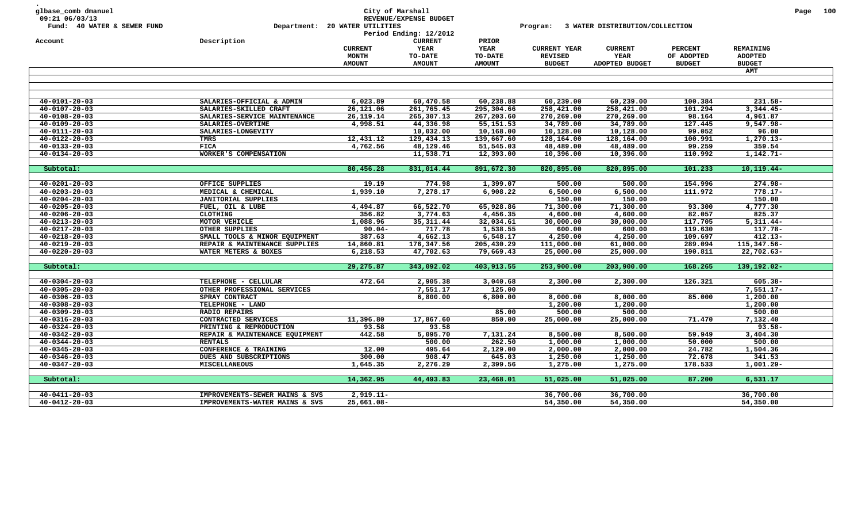| glbase_comb dmanuel<br>09:21 06/03/13<br>Fund: 40 WATER & SEWER FUND |                                                           | City of Marshall<br>Department: 20 WATER UTILITIES | REVENUE/EXPENSE BUDGET<br>Period Ending: 12/2012 |                                 | Program:                              | 3 WATER DISTRIBUTION/COLLECTION |                              |                             | Page | 100 |
|----------------------------------------------------------------------|-----------------------------------------------------------|----------------------------------------------------|--------------------------------------------------|---------------------------------|---------------------------------------|---------------------------------|------------------------------|-----------------------------|------|-----|
| Account                                                              | Description                                               | <b>CURRENT</b><br><b>MONTH</b>                     | <b>CURRENT</b><br>YEAR<br>TO-DATE                | PRIOR<br><b>YEAR</b><br>TO-DATE | <b>CURRENT YEAR</b><br><b>REVISED</b> | <b>CURRENT</b><br>YEAR          | <b>PERCENT</b><br>OF ADOPTED | REMAINING<br><b>ADOPTED</b> |      |     |
|                                                                      |                                                           | <b>AMOUNT</b>                                      | <b>AMOUNT</b>                                    | <b>AMOUNT</b>                   | <b>BUDGET</b>                         | ADOPTED BUDGET                  | <b>BUDGET</b>                | <b>BUDGET</b>               |      |     |
|                                                                      |                                                           |                                                    |                                                  |                                 |                                       |                                 |                              | AMT                         |      |     |
|                                                                      |                                                           |                                                    |                                                  |                                 |                                       |                                 |                              |                             |      |     |
|                                                                      |                                                           |                                                    |                                                  |                                 |                                       |                                 |                              |                             |      |     |
| $40 - 0101 - 20 - 03$                                                | SALARIES-OFFICIAL & ADMIN                                 | 6,023.89                                           | 60,470.58                                        | 60,238.88                       | 60,239.00                             | 60,239.00                       | 100.384                      | $231.58 -$                  |      |     |
| $40 - 0107 - 20 - 03$                                                | SALARIES-SKILLED CRAFT                                    | 26,121.06                                          | 261,765.45                                       | 295,304.66                      | 258,421.00                            | 258,421.00                      | 101.294                      | $3,344.45-$                 |      |     |
| $40 - 0108 - 20 - 03$                                                | SALARIES-SERVICE MAINTENANCE                              | 26, 119. 14                                        | 265,307.13                                       | 267,203.60                      | 270,269.00                            | 270,269.00                      | 98.164                       | 4,961.87                    |      |     |
| $40 - 0109 - 20 - 03$                                                | SALARIES-OVERTIME                                         | 4,998.51                                           | 44,336.98                                        | 55,151.53                       | 34,789.00                             | 34,789.00                       | 127.445                      | $9,547.98 -$                |      |     |
| $40 - 0111 - 20 - 03$                                                | SALARIES-LONGEVITY                                        |                                                    | 10,032.00                                        | 10,168.00                       | 10,128.00                             | 10,128.00                       | 99.052                       | 96.00                       |      |     |
| $40 - 0122 - 20 - 03$                                                | TMRS                                                      | 12,431.12                                          | 129,434.13                                       | 139,667.60                      | 128,164.00                            | 128,164.00                      | 100.991                      | $1,270.13-$                 |      |     |
| $40 - 0133 - 20 - 03$                                                | <b>FICA</b>                                               | 4,762.56                                           | 48,129.46                                        | 51,545.03                       | 48,489.00                             | 48,489.00                       | 99.259                       | 359.54                      |      |     |
| $40 - 0134 - 20 - 03$                                                | <b>WORKER'S COMPENSATION</b>                              |                                                    | 11,538.71                                        | 12,393.00                       | 10,396.00                             | 10,396.00                       | 110.992                      | $1,142.71-$                 |      |     |
|                                                                      |                                                           |                                                    |                                                  |                                 |                                       |                                 |                              |                             |      |     |
| Subtotal:                                                            |                                                           | 80,456.28                                          | 831,014.44                                       | 891,672.30                      | 820,895.00                            | 820,895.00                      | 101.233                      | $10, 119.44 -$              |      |     |
|                                                                      |                                                           |                                                    |                                                  |                                 |                                       |                                 |                              |                             |      |     |
| $40 - 0201 - 20 - 03$                                                | OFFICE SUPPLIES                                           | 19.19                                              | 774.98                                           | 1,399.07                        | 500.00                                | 500.00                          | 154.996                      | 274.98-                     |      |     |
| $40 - 0203 - 20 - 03$                                                | MEDICAL & CHEMICAL                                        | 1,939.10                                           | 7,278.17                                         | 6,908.22                        | 6,500.00                              | 6,500.00                        | 111.972                      | $778.17 -$                  |      |     |
| $40 - 0204 - 20 - 03$                                                | <b>JANITORIAL SUPPLIES</b>                                |                                                    |                                                  |                                 | 150.00                                | 150.00                          |                              | 150.00                      |      |     |
| $40 - 0205 - 20 - 03$                                                | FUEL, OIL & LUBE                                          | 4,494.87                                           | 66,522.70                                        | 65,928.86                       | 71,300.00                             | 71,300.00                       | 93.300                       | 4,777.30                    |      |     |
| $40 - 0206 - 20 - 03$                                                | CLOTHING                                                  | 356.82                                             | 3,774.63                                         | 4,456.35                        | 4,600.00                              | 4,600.00                        | 82.057                       | 825.37                      |      |     |
| $40 - 0213 - 20 - 03$                                                | MOTOR VEHICLE                                             | 1,088.96                                           | 35, 311.44                                       | 32,034.61                       | 30,000.00                             | 30,000.00                       | 117.705                      | $\overline{5,311.44}$ -     |      |     |
| $40 - 0217 - 20 - 03$                                                | OTHER SUPPLIES                                            | $90.04 -$                                          | 717.78                                           | 1,538.55                        | 600.00                                | 600.00                          | 119.630                      | 117.78-                     |      |     |
| $40 - 0218 - 20 - 03$                                                | SMALL TOOLS & MINOR EQUIPMENT                             | 387.63                                             | 4,662.13                                         | 6,548.17                        | 4,250.00                              | 4,250.00                        | 109.697                      | $412.13-$                   |      |     |
| $40 - 0219 - 20 - 03$                                                | REPAIR & MAINTENANCE SUPPLIES                             | 14,860.81                                          | 176,347.56                                       | 205,430.29                      | 111,000.00                            | 61,000.00                       | 289.094                      | 115,347.56-                 |      |     |
| $40 - 0220 - 20 - 03$                                                | WATER METERS & BOXES                                      | 6,218.53                                           | 47,702.63                                        | 79,669.43                       | 25,000.00                             | 25,000.00                       | 190.811                      | 22,702.63-                  |      |     |
|                                                                      |                                                           |                                                    |                                                  |                                 |                                       |                                 |                              |                             |      |     |
| Subtotal:                                                            |                                                           | 29,275.87                                          | 343,092.02                                       | 403,913.55                      | 253,900.00                            | 203,900.00                      | 168.265                      | 139,192.02-                 |      |     |
| $40 - 0304 - 20 - 03$                                                | TELEPHONE - CELLULAR                                      | 472.64                                             | 2,905.38                                         | 3,040.68                        | 2,300.00                              | 2,300.00                        | 126.321                      | 605.38-                     |      |     |
| $40 - 0305 - 20 - 03$                                                | OTHER PROFESSIONAL SERVICES                               |                                                    | 7,551.17                                         | 125.00                          |                                       |                                 |                              | $7,551.17-$                 |      |     |
| $40 - 0306 - 20 - 03$                                                | SPRAY CONTRACT                                            |                                                    | 6,800.00                                         | 6,800.00                        | 8,000.00                              | 8,000.00                        | 85.000                       | 1,200.00                    |      |     |
| $40 - 0308 - 20 - 03$                                                | TELEPHONE - LAND                                          |                                                    |                                                  |                                 | 1,200.00                              | 1,200.00                        |                              | 1,200.00                    |      |     |
| $40 - 0309 - 20 - 03$                                                | <b>RADIO REPAIRS</b>                                      |                                                    |                                                  | 85.00                           | 500.00                                | 500.00                          |                              | 500.00                      |      |     |
| $40 - 0316 - 20 - 03$                                                | CONTRACTED SERVICES                                       | 11,396.80                                          | 17,867.60                                        | 850.00                          | 25,000.00                             | 25,000.00                       | 71.470                       | 7,132.40                    |      |     |
| $40 - 0324 - 20 - 03$                                                |                                                           | 93.58                                              | 93.58                                            |                                 |                                       |                                 |                              | $93.58 -$                   |      |     |
| $40 - 0342 - 20 - 03$                                                | PRINTING & REPRODUCTION<br>REPAIR & MAINTENANCE EQUIPMENT | 442.58                                             | 5,095.70                                         | 7,131.24                        | 8,500.00                              | 8,500.00                        | 59.949                       | 3,404.30                    |      |     |
| $40 - 0344 - 20 - 03$                                                | <b>RENTALS</b>                                            |                                                    | 500.00                                           |                                 |                                       | 1,000.00                        | 50.000                       | 500.00                      |      |     |
|                                                                      |                                                           | 12.00                                              |                                                  | 262.50                          | 1,000.00                              |                                 |                              |                             |      |     |
| $40 - 0345 - 20 - 03$                                                | CONFERENCE & TRAINING                                     |                                                    | 495.64                                           | 2,129.00                        | 2,000.00                              | 2,000.00                        | 24.782                       | 1,504.36                    |      |     |
| $40 - 0346 - 20 - 03$                                                | DUES AND SUBSCRIPTIONS                                    | 300.00                                             | 908.47                                           | 645.03                          | $\overline{1,250.00}$                 | 1,250.00                        | 72.678                       | 341.53                      |      |     |
| $40 - 0347 - 20 - 03$                                                | MISCELLANEOUS                                             | 1,645.35                                           | 2,276.29                                         | 2,399.56                        | 1,275.00                              | 1,275.00                        | 178.533                      | $1,001.29 -$                |      |     |
| Subtotal:                                                            |                                                           | 14,362.95                                          | 44,493.83                                        | 23,468.01                       | 51,025.00                             | 51,025.00                       | 87.200                       | 6,531.17                    |      |     |
|                                                                      |                                                           |                                                    |                                                  |                                 |                                       |                                 |                              |                             |      |     |
| $40 - 0411 - 20 - 03$                                                | IMPROVEMENTS-SEWER MAINS & SVS                            | $2,919.11-$                                        |                                                  |                                 | 36,700.00                             | 36,700.00                       |                              | 36,700.00                   |      |     |
| $40 - 0412 - 20 - 03$                                                | IMPROVEMENTS-WATER MAINS & SVS                            | 25,661.08-                                         |                                                  |                                 | 54,350.00                             | 54,350.00                       |                              | 54,350.00                   |      |     |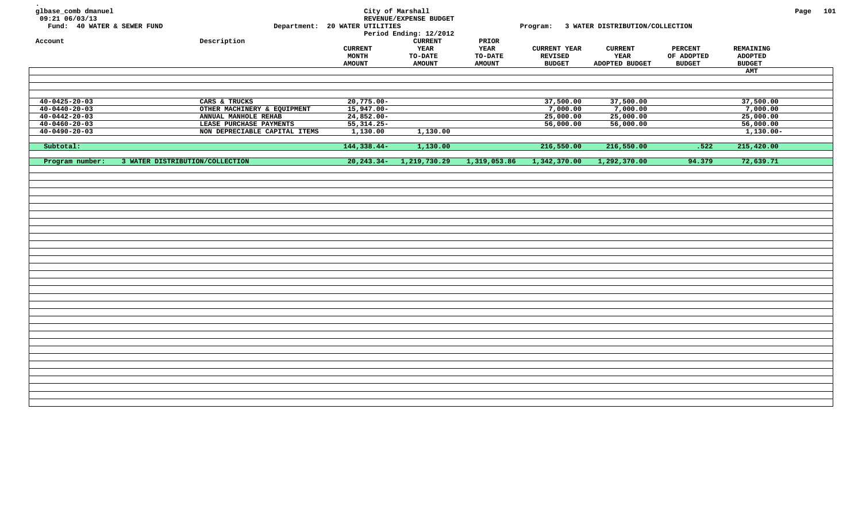| glbase_comb dmanuel<br>09:21 06/03/13<br>Fund: 40 WATER & SEWER FUND |                                 | Department: 20 WATER UTILITIES           | City of Marshall<br>REVENUE/EXPENSE BUDGET<br>Period Ending: 12/2012 |                                           |                                                 | Program: 3 WATER DISTRIBUTION/COLLECTION |                                               |                                              | Page 101 |  |
|----------------------------------------------------------------------|---------------------------------|------------------------------------------|----------------------------------------------------------------------|-------------------------------------------|-------------------------------------------------|------------------------------------------|-----------------------------------------------|----------------------------------------------|----------|--|
| Account                                                              | Description                     | <b>CURRENT</b><br>MONTH<br><b>AMOUNT</b> | <b>CURRENT</b><br><b>YEAR</b><br>TO-DATE<br><b>AMOUNT</b>            | PRIOR<br>YEAR<br>TO-DATE<br><b>AMOUNT</b> | <b>CURRENT YEAR</b><br>REVISED<br><b>BUDGET</b> | <b>CURRENT</b><br>YEAR<br>ADOPTED BUDGET | <b>PERCENT</b><br>OF ADOPTED<br><b>BUDGET</b> | REMAINING<br><b>ADOPTED</b><br><b>BUDGET</b> |          |  |
|                                                                      |                                 |                                          |                                                                      |                                           |                                                 |                                          |                                               | AMT                                          |          |  |
|                                                                      |                                 |                                          |                                                                      |                                           |                                                 |                                          |                                               |                                              |          |  |
| $40 - 0425 - 20 - 03$                                                | CARS & TRUCKS                   | $20,775.00 -$                            |                                                                      |                                           | 37,500.00                                       | 37,500.00                                |                                               | 37,500.00                                    |          |  |
| $40 - 0440 - 20 - 03$                                                | OTHER MACHINERY & EQUIPMENT     | $15,947.00 -$                            |                                                                      |                                           | 7,000.00                                        | 7,000.00                                 |                                               | 7,000.00                                     |          |  |
| $40 - 0442 - 20 - 03$                                                | ANNUAL MANHOLE REHAB            | $24,852.00 -$                            |                                                                      |                                           | 25,000.00                                       | 25,000.00                                |                                               | 25,000.00                                    |          |  |
| $40 - 0460 - 20 - 03$                                                | LEASE PURCHASE PAYMENTS         | $55,314.25-$                             |                                                                      |                                           | 56,000.00                                       | 56,000.00                                |                                               | 56,000.00                                    |          |  |
| $40 - 0490 - 20 - 03$                                                | NON DEPRECIABLE CAPITAL ITEMS   | 1,130.00                                 | 1,130.00                                                             |                                           |                                                 |                                          |                                               | $1,130.00-$                                  |          |  |
| Subtotal:                                                            |                                 | 144,338.44-                              | 1,130.00                                                             |                                           | 216,550.00                                      | 216,550.00                               | .522                                          | 215,420.00                                   |          |  |
| Program number:                                                      | 3 WATER DISTRIBUTION/COLLECTION |                                          | 20, 243. 34 - 1, 219, 730. 29                                        | 1,319,053.86                              | 1,342,370.00                                    | 1,292,370.00                             | 94.379                                        | 72,639.71                                    |          |  |
|                                                                      |                                 |                                          |                                                                      |                                           |                                                 |                                          |                                               |                                              |          |  |
|                                                                      |                                 |                                          |                                                                      |                                           |                                                 |                                          |                                               |                                              |          |  |
|                                                                      |                                 |                                          |                                                                      |                                           |                                                 |                                          |                                               |                                              |          |  |
|                                                                      |                                 |                                          |                                                                      |                                           |                                                 |                                          |                                               |                                              |          |  |
|                                                                      |                                 |                                          |                                                                      |                                           |                                                 |                                          |                                               |                                              |          |  |
|                                                                      |                                 |                                          |                                                                      |                                           |                                                 |                                          |                                               |                                              |          |  |
|                                                                      |                                 |                                          |                                                                      |                                           |                                                 |                                          |                                               |                                              |          |  |
|                                                                      |                                 |                                          |                                                                      |                                           |                                                 |                                          |                                               |                                              |          |  |
|                                                                      |                                 |                                          |                                                                      |                                           |                                                 |                                          |                                               |                                              |          |  |
|                                                                      |                                 |                                          |                                                                      |                                           |                                                 |                                          |                                               |                                              |          |  |
|                                                                      |                                 |                                          |                                                                      |                                           |                                                 |                                          |                                               |                                              |          |  |
|                                                                      |                                 |                                          |                                                                      |                                           |                                                 |                                          |                                               |                                              |          |  |
|                                                                      |                                 |                                          |                                                                      |                                           |                                                 |                                          |                                               |                                              |          |  |
|                                                                      |                                 |                                          |                                                                      |                                           |                                                 |                                          |                                               |                                              |          |  |
|                                                                      |                                 |                                          |                                                                      |                                           |                                                 |                                          |                                               |                                              |          |  |
|                                                                      |                                 |                                          |                                                                      |                                           |                                                 |                                          |                                               |                                              |          |  |
|                                                                      |                                 |                                          |                                                                      |                                           |                                                 |                                          |                                               |                                              |          |  |
|                                                                      |                                 |                                          |                                                                      |                                           |                                                 |                                          |                                               |                                              |          |  |
|                                                                      |                                 |                                          |                                                                      |                                           |                                                 |                                          |                                               |                                              |          |  |
|                                                                      |                                 |                                          |                                                                      |                                           |                                                 |                                          |                                               |                                              |          |  |
|                                                                      |                                 |                                          |                                                                      |                                           |                                                 |                                          |                                               |                                              |          |  |
|                                                                      |                                 |                                          |                                                                      |                                           |                                                 |                                          |                                               |                                              |          |  |
|                                                                      |                                 |                                          |                                                                      |                                           |                                                 |                                          |                                               |                                              |          |  |
|                                                                      |                                 |                                          |                                                                      |                                           |                                                 |                                          |                                               |                                              |          |  |
|                                                                      |                                 |                                          |                                                                      |                                           |                                                 |                                          |                                               |                                              |          |  |
|                                                                      |                                 |                                          |                                                                      |                                           |                                                 |                                          |                                               |                                              |          |  |
|                                                                      |                                 |                                          |                                                                      |                                           |                                                 |                                          |                                               |                                              |          |  |
|                                                                      |                                 |                                          |                                                                      |                                           |                                                 |                                          |                                               |                                              |          |  |
|                                                                      |                                 |                                          |                                                                      |                                           |                                                 |                                          |                                               |                                              |          |  |
|                                                                      |                                 |                                          |                                                                      |                                           |                                                 |                                          |                                               |                                              |          |  |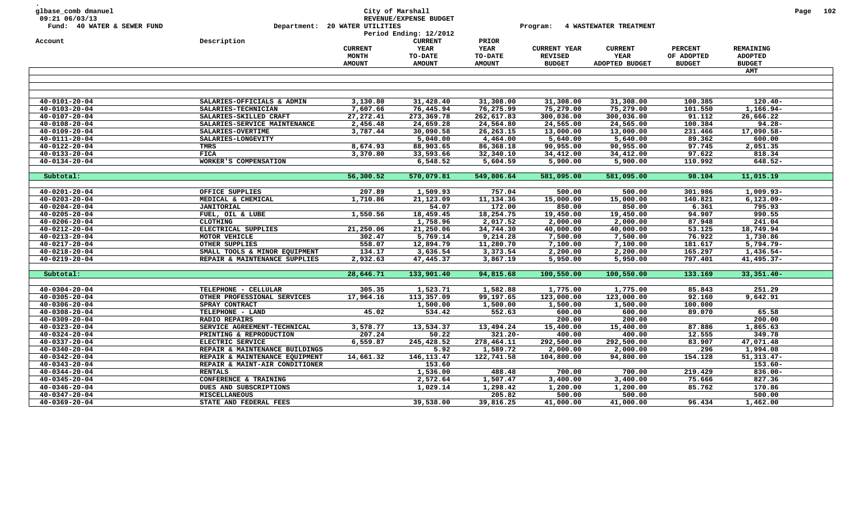| glbase_comb dmanuel<br>09:21 06/03/13<br>Fund: 40 WATER & SEWER FUND<br>Account | Description                    | Department: 20 WATER UTILITIES | City of Marshall<br>REVENUE/EXPENSE BUDGET<br>Period Ending: 12/2012<br><b>CURRENT</b> | PRIOR         | Program:            | 4 WASTEWATER TREATMENT |                |                | Page | 102 |
|---------------------------------------------------------------------------------|--------------------------------|--------------------------------|----------------------------------------------------------------------------------------|---------------|---------------------|------------------------|----------------|----------------|------|-----|
|                                                                                 |                                | <b>CURRENT</b>                 | YEAR                                                                                   | YEAR          | <b>CURRENT YEAR</b> | <b>CURRENT</b>         | <b>PERCENT</b> | REMAINING      |      |     |
|                                                                                 |                                | MONTH                          | TO-DATE                                                                                | TO-DATE       | <b>REVISED</b>      | YEAR                   | OF ADOPTED     | <b>ADOPTED</b> |      |     |
|                                                                                 |                                | <b>AMOUNT</b>                  | <b>AMOUNT</b>                                                                          | <b>AMOUNT</b> | <b>BUDGET</b>       | ADOPTED BUDGET         | <b>BUDGET</b>  | <b>BUDGET</b>  |      |     |
|                                                                                 |                                |                                |                                                                                        |               |                     |                        |                | <b>AMT</b>     |      |     |
|                                                                                 |                                |                                |                                                                                        |               |                     |                        |                |                |      |     |
|                                                                                 |                                |                                |                                                                                        |               |                     |                        |                |                |      |     |
| $40 - 0101 - 20 - 04$                                                           | SALARIES-OFFICIALS & ADMIN     | 3,130.80                       | 31,428.40                                                                              | 31,308.00     | 31,308.00           | 31,308.00              | 100.385        | $120.40 -$     |      |     |
| $40 - 0103 - 20 - 04$                                                           | SALARIES-TECHNICIAN            | 7,607.66                       | 76,445.94                                                                              | 76,275.99     | 75,279.00           | 75,279.00              | 101.550        | 1,166.94-      |      |     |
| $40 - 0107 - 20 - 04$                                                           | SALARIES-SKILLED CRAFT         | 27, 272.41                     | 273,369.78                                                                             | 262,617.83    | 300,036.00          | 300,036.00             | 91.112         | 26,666.22      |      |     |
| $40 - 0108 - 20 - 04$                                                           | SALARIES-SERVICE MAINTENANCE   | 2,456.48                       | 24,659.28                                                                              | 24,564.80     | 24,565.00           | 24,565.00              | 100.384        | $94.28 -$      |      |     |
| $40 - 0109 - 20 - 04$                                                           | SALARIES-OVERTIME              | 3,787.44                       | 30,090.58                                                                              | 26, 263. 15   | 13,000.00           | 13,000.00              | 231.466        | 17,090.58-     |      |     |
| $40 - 0111 - 20 - 04$                                                           | SALARIES-LONGEVITY             |                                | 5,040.00                                                                               | 4,464.00      | 5,640.00            | 5,640.00               | 89.362         | 600.00         |      |     |
| $40 - 0122 - 20 - 04$                                                           | TMRS                           | 8,674.93                       | 88,903.65                                                                              | 86,368.18     | 90,955.00           | 90,955.00              | 97.745         | 2,051.35       |      |     |
| $40 - 0133 - 20 - 04$                                                           | <b>FICA</b>                    | 3,370.80                       | 33,593.66                                                                              | 32,340.10     | 34,412.00           | 34,412.00              | 97.622         | 818.34         |      |     |
| $40 - 0134 - 20 - 04$                                                           | WORKER'S COMPENSATION          |                                | 6,548.52                                                                               | 5,604.59      | 5,900.00            | 5,900.00               | 110.992        | 648.52-        |      |     |
|                                                                                 |                                |                                |                                                                                        |               |                     |                        |                |                |      |     |
| Subtotal:                                                                       |                                | 56,300.52                      | 570,079.81                                                                             | 549,806.64    | 581,095.00          | 581,095.00             | 98.104         | 11,015.19      |      |     |
| $40 - 0201 - 20 - 04$                                                           | OFFICE SUPPLIES                | 207.89                         | 1,509.93                                                                               | 757.04        | 500.00              | 500.00                 | 301.986        | $1,009.93 -$   |      |     |
| $40 - 0203 - 20 - 04$                                                           | MEDICAL & CHEMICAL             | 1,710.86                       | 21,123.09                                                                              | 11,134.36     | 15,000.00           | 15,000.00              | 140.821        | $6,123.09 -$   |      |     |
| $40 - 0204 - 20 - 04$                                                           | <b>JANITORIAL</b>              |                                | 54.07                                                                                  | 172.00        | 850.00              | 850.00                 | 6.361          | 795.93         |      |     |
| $40 - 0205 - 20 - 04$                                                           | FUEL, OIL & LUBE               | 1,550.56                       | 18,459.45                                                                              | 18,254.75     | 19,450.00           | 19,450.00              | 94.907         | 990.55         |      |     |
| $40 - 0206 - 20 - 04$                                                           | <b>CLOTHING</b>                |                                | 1,758.96                                                                               | 2,017.52      | 2,000.00            | 2,000.00               | 87.948         | 241.04         |      |     |
| $40 - 0212 - 20 - 04$                                                           | ELECTRICAL SUPPLIES            | 21,250.06                      | 21,250.06                                                                              | 34,744.30     | 40,000.00           | 40,000.00              | 53.125         | 18,749.94      |      |     |
| $40 - 0213 - 20 - 04$                                                           | MOTOR VEHICLE                  | 302.47                         | 5,769.14                                                                               | 9,214.28      | 7,500.00            | 7,500.00               | 76.922         | 1,730.86       |      |     |
| $40 - 0217 - 20 - 04$                                                           | OTHER SUPPLIES                 | 558.07                         | 12,894.79                                                                              | 11,280.70     | 7,100.00            | 7,100.00               | 181.617        | 5,794.79-      |      |     |
| $40 - 0218 - 20 - 04$                                                           | SMALL TOOLS & MINOR EQUIPMENT  | 134.17                         | 3,636.54                                                                               | 3,373.54      | 2,200.00            | 2,200.00               | 165.297        | $1,436.54-$    |      |     |
| $40 - 0219 - 20 - 04$                                                           | REPAIR & MAINTENANCE SUPPLIES  | 2,932.63                       | 47,445.37                                                                              | 3,867.19      | 5,950.00            | 5,950.00               | 797.401        | $41,495.37-$   |      |     |
|                                                                                 |                                |                                |                                                                                        |               |                     |                        |                |                |      |     |
| Subtotal:                                                                       |                                | 28,646.71                      | 133,901.40                                                                             | 94,815.68     | 100,550.00          | 100,550.00             | 133.169        | $33,351.40 -$  |      |     |
| $40 - 0304 - 20 - 04$                                                           | TELEPHONE - CELLULAR           | 305.35                         | 1,523.71                                                                               | 1,582.88      | 1,775.00            | 1,775.00               | 85.843         | 251.29         |      |     |
| $40 - 0305 - 20 - 04$                                                           | OTHER PROFESSIONAL SERVICES    | 17,964.16                      | 113,357.09                                                                             | 99,197.65     | 123,000.00          | 123,000.00             | 92.160         | 9,642.91       |      |     |
| $40 - 0306 - 20 - 04$                                                           | SPRAY CONTRACT                 |                                | 1,500.00                                                                               | 1,500.00      | 1,500.00            | 1,500.00               | 100.000        |                |      |     |
| $40 - 0308 - 20 - 04$                                                           | TELEPHONE - LAND               | 45.02                          | 534.42                                                                                 | 552.63        | 600.00              | 600.00                 | 89.070         | 65.58          |      |     |
| $40 - 0309 - 20 - 04$                                                           | <b>RADIO REPAIRS</b>           |                                |                                                                                        |               | 200.00              | 200.00                 |                | 200.00         |      |     |
| $40 - 0323 - 20 - 04$                                                           | SERVICE AGREEMENT-TECHNICAL    | 3,578.77                       | 13,534.37                                                                              | 13,494.24     | 15,400.00           | 15,400.00              | 87.886         | 1,865.63       |      |     |
| $40 - 0324 - 20 - 04$                                                           | PRINTING & REPRODUCTION        | 207.24                         | 50.22                                                                                  | $321.20 -$    | 400.00              | 400.00                 | 12.555         | 349.78         |      |     |
| $40 - 0337 - 20 - 04$                                                           | ELECTRIC SERVICE               | 6,559.87                       | 245,428.52                                                                             | 278,464.11    | 292,500.00          | 292,500.00             | 83.907         | 47,071.48      |      |     |
| $40 - 0340 - 20 - 04$                                                           | REPAIR & MAINTENANCE BUILDINGS |                                | 5.92                                                                                   | 1,589.72      | 2,000.00            | 2,000.00               | .296           | 1,994.08       |      |     |
| $40 - 0342 - 20 - 04$                                                           | REPAIR & MAINTENANCE EQUIPMENT | 14,661.32                      | 146, 113. 47                                                                           | 122,741.58    | 104,800.00          | 94,800.00              | 154.128        | $51,313.47-$   |      |     |
| $40 - 0343 - 20 - 04$                                                           | REPAIR & MAINT-AIR CONDITIONER |                                | 153.60                                                                                 |               |                     |                        |                | $153.60 -$     |      |     |
| $40 - 0344 - 20 - 04$                                                           | <b>RENTALS</b>                 |                                | 1,536.00                                                                               | 488.48        | 700.00              | 700.00                 | 219.429        | $836.00 -$     |      |     |
| $40 - 0345 - 20 - 04$                                                           | CONFERENCE & TRAINING          |                                | 2,572.64                                                                               | 1,507.47      | 3,400.00            | 3,400.00               | 75.666         | 827.36         |      |     |
| $40 - 0346 - 20 - 04$                                                           | DUES AND SUBSCRIPTIONS         |                                | 1,029.14                                                                               | 1,298.42      | 1,200.00            | 1,200.00               | 85.762         | 170.86         |      |     |
| $40 - 0347 - 20 - 04$                                                           | <b>MISCELLANEOUS</b>           |                                |                                                                                        | 205.82        | 500.00              | 500.00                 |                | 500.00         |      |     |
| $40 - 0369 - 20 - 04$                                                           | STATE AND FEDERAL FEES         |                                | 39,538.00                                                                              | 39,816.25     | 41,000.00           | 41,000.00              | 96.434         | 1,462.00       |      |     |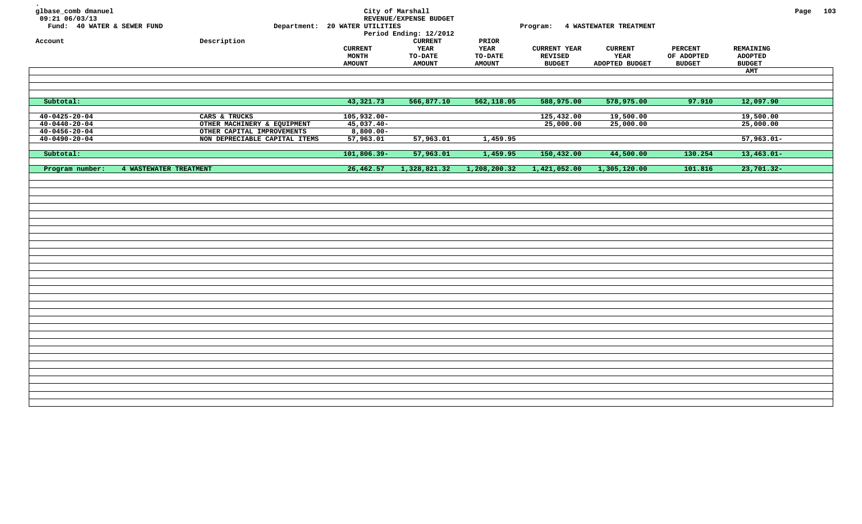| glbase_comb dmanuel<br>09:21 06/03/13 |                               |                                | City of Marshall<br>REVENUE/EXPENSE BUDGET |               |                     |                                 |                |               | Page 103 |  |
|---------------------------------------|-------------------------------|--------------------------------|--------------------------------------------|---------------|---------------------|---------------------------------|----------------|---------------|----------|--|
| Fund: 40 WATER & SEWER FUND           |                               | Department: 20 WATER UTILITIES | Period Ending: 12/2012                     |               |                     | Program: 4 WASTEWATER TREATMENT |                |               |          |  |
| Account                               | Description                   |                                | <b>CURRENT</b>                             | PRIOR         |                     |                                 |                |               |          |  |
|                                       |                               | <b>CURRENT</b>                 | YEAR                                       | <b>YEAR</b>   | <b>CURRENT YEAR</b> | <b>CURRENT</b>                  | <b>PERCENT</b> | REMAINING     |          |  |
|                                       |                               | <b>MONTH</b>                   | <b>TO-DATE</b>                             | TO-DATE       | <b>REVISED</b>      | YEAR                            | OF ADOPTED     | ADOPTED       |          |  |
|                                       |                               | <b>AMOUNT</b>                  | <b>AMOUNT</b>                              | <b>AMOUNT</b> | <b>BUDGET</b>       | ADOPTED BUDGET                  | <b>BUDGET</b>  | <b>BUDGET</b> |          |  |
|                                       |                               |                                |                                            |               |                     |                                 |                | AMT           |          |  |
|                                       |                               |                                |                                            |               |                     |                                 |                |               |          |  |
|                                       |                               |                                |                                            |               |                     |                                 |                |               |          |  |
| Subtotal:                             |                               | 43,321.73                      | 566,877.10                                 | 562,118.05    | 588,975.00          | 578,975.00                      | 97.910         | 12,097.90     |          |  |
|                                       |                               |                                |                                            |               |                     |                                 |                |               |          |  |
| $40 - 0425 - 20 - 04$                 | CARS & TRUCKS                 | 105,932.00-                    |                                            |               | 125,432.00          | 19,500.00                       |                | 19,500.00     |          |  |
| $40 - 0440 - 20 - 04$                 | OTHER MACHINERY & EQUIPMENT   | $45,037.40-$                   |                                            |               | 25,000.00           | 25,000.00                       |                | 25,000.00     |          |  |
| $40 - 0456 - 20 - 04$                 | OTHER CAPITAL IMPROVEMENTS    | $8,800.00-$                    |                                            |               |                     |                                 |                |               |          |  |
| $40 - 0490 - 20 - 04$                 | NON DEPRECIABLE CAPITAL ITEMS | 57,963.01                      | 57,963.01                                  | 1,459.95      |                     |                                 |                | $57,963.01-$  |          |  |
|                                       |                               |                                |                                            |               |                     |                                 |                |               |          |  |
| Subtotal:                             |                               | $101,806.39-$                  | 57,963.01                                  | 1,459.95      | 150,432.00          | 44,500.00                       | 130.254        | $13,463.01-$  |          |  |
| Program number:                       | 4 WASTEWATER TREATMENT        | 26,462.57                      | 1,328,821.32                               | 1,208,200.32  | 1,421,052.00        | 1,305,120.00                    | 101.816        | $23,701.32-$  |          |  |
|                                       |                               |                                |                                            |               |                     |                                 |                |               |          |  |
|                                       |                               |                                |                                            |               |                     |                                 |                |               |          |  |
|                                       |                               |                                |                                            |               |                     |                                 |                |               |          |  |
|                                       |                               |                                |                                            |               |                     |                                 |                |               |          |  |
|                                       |                               |                                |                                            |               |                     |                                 |                |               |          |  |
|                                       |                               |                                |                                            |               |                     |                                 |                |               |          |  |
|                                       |                               |                                |                                            |               |                     |                                 |                |               |          |  |
|                                       |                               |                                |                                            |               |                     |                                 |                |               |          |  |
|                                       |                               |                                |                                            |               |                     |                                 |                |               |          |  |
|                                       |                               |                                |                                            |               |                     |                                 |                |               |          |  |
|                                       |                               |                                |                                            |               |                     |                                 |                |               |          |  |
|                                       |                               |                                |                                            |               |                     |                                 |                |               |          |  |
|                                       |                               |                                |                                            |               |                     |                                 |                |               |          |  |
|                                       |                               |                                |                                            |               |                     |                                 |                |               |          |  |
|                                       |                               |                                |                                            |               |                     |                                 |                |               |          |  |
|                                       |                               |                                |                                            |               |                     |                                 |                |               |          |  |
|                                       |                               |                                |                                            |               |                     |                                 |                |               |          |  |
|                                       |                               |                                |                                            |               |                     |                                 |                |               |          |  |
|                                       |                               |                                |                                            |               |                     |                                 |                |               |          |  |
|                                       |                               |                                |                                            |               |                     |                                 |                |               |          |  |
|                                       |                               |                                |                                            |               |                     |                                 |                |               |          |  |
|                                       |                               |                                |                                            |               |                     |                                 |                |               |          |  |
|                                       |                               |                                |                                            |               |                     |                                 |                |               |          |  |
|                                       |                               |                                |                                            |               |                     |                                 |                |               |          |  |
|                                       |                               |                                |                                            |               |                     |                                 |                |               |          |  |
|                                       |                               |                                |                                            |               |                     |                                 |                |               |          |  |
|                                       |                               |                                |                                            |               |                     |                                 |                |               |          |  |
|                                       |                               |                                |                                            |               |                     |                                 |                |               |          |  |
|                                       |                               |                                |                                            |               |                     |                                 |                |               |          |  |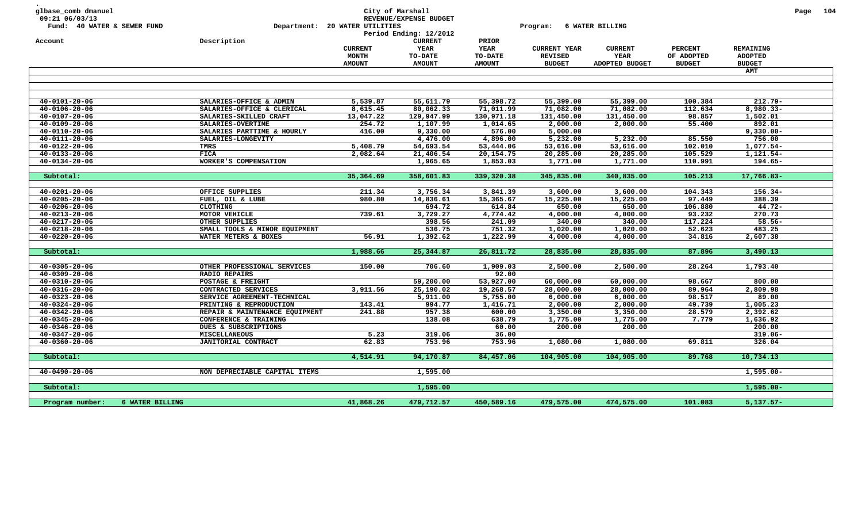| glbase_comb dmanuel<br>09:21 06/03/13<br>Fund: 40 WATER & SEWER FUND |                 |                                                     | Department: 20 WATER UTILITIES | City of Marshall<br>REVENUE/EXPENSE BUDGET<br>Period Ending: 12/2012 |                                        | Program:                              | 6 WATER BILLING        |                              |                             | Page 104 |  |
|----------------------------------------------------------------------|-----------------|-----------------------------------------------------|--------------------------------|----------------------------------------------------------------------|----------------------------------------|---------------------------------------|------------------------|------------------------------|-----------------------------|----------|--|
| Account                                                              |                 | Description                                         | <b>CURRENT</b><br>MONTH        | <b>CURRENT</b><br>YEAR<br><b>TO-DATE</b>                             | PRIOR<br><b>YEAR</b><br><b>TO-DATE</b> | <b>CURRENT YEAR</b><br><b>REVISED</b> | <b>CURRENT</b><br>YEAR | <b>PERCENT</b><br>OF ADOPTED | REMAINING<br><b>ADOPTED</b> |          |  |
|                                                                      |                 |                                                     | <b>AMOUNT</b>                  | <b>AMOUNT</b>                                                        | <b>AMOUNT</b>                          | <b>BUDGET</b>                         | ADOPTED BUDGET         | <b>BUDGET</b>                | <b>BUDGET</b>               |          |  |
|                                                                      |                 |                                                     |                                |                                                                      |                                        |                                       |                        |                              | AMT                         |          |  |
|                                                                      |                 |                                                     |                                |                                                                      |                                        |                                       |                        |                              |                             |          |  |
| $40 - 0101 - 20 - 06$                                                |                 | SALARIES-OFFICE & ADMIN                             | 5,539.87                       | 55,611.79                                                            | 55,398.72                              | 55,399.00                             | 55,399.00              | 100.384                      | $212.79 -$                  |          |  |
| $40 - 0106 - 20 - 06$                                                |                 | SALARIES-OFFICE & CLERICAL                          | 8,615.45                       | 80,062.33                                                            | 71,011.99                              | 71,082.00                             | 71,082.00              | 112.634                      | 8,980.33-                   |          |  |
| $40 - 0107 - 20 - 06$                                                |                 | SALARIES-SKILLED CRAFT                              | 13,047.22                      | 129,947.99                                                           | 130,971.18                             | 131,450.00                            | 131,450.00             | 98.857                       | 1,502.01                    |          |  |
| $40 - 0109 - 20 - 06$                                                |                 | SALARIES-OVERTIME                                   | 254.72                         | 1,107.99                                                             | 1,014.65                               | 2,000.00                              | 2,000.00               | 55.400                       | 892.01                      |          |  |
| $40 - 0110 - 20 - 06$                                                |                 | SALARIES PARTTIME & HOURLY                          | 416.00                         | 9,330.00                                                             | 576.00                                 | 5,000.00                              |                        |                              | $9,330.00 -$                |          |  |
| $40 - 0111 - 20 - 06$                                                |                 | SALARIES-LONGEVITY                                  |                                | 4,476.00                                                             | 4,896.00                               | 5,232.00                              | 5,232.00               | 85.550                       | 756.00                      |          |  |
| $40 - 0122 - 20 - 06$                                                |                 | TMRS                                                | 5,408.79                       | 54,693.54                                                            | 53,444.06                              | 53,616.00                             | 53,616.00              | 102.010                      | 1,077.54-                   |          |  |
| $40 - 0133 - 20 - 06$                                                |                 | <b>FICA</b>                                         | 2,082.64                       | 21,406.54                                                            | 20,154.75                              | 20,285.00                             | 20,285.00              | 105.529                      | 1,121.54-                   |          |  |
| $40 - 0134 - 20 - 06$                                                |                 | WORKER'S COMPENSATION                               |                                | 1,965.65                                                             | 1,853.03                               | 1,771.00                              | 1,771.00               | 110.991                      | 194.65-                     |          |  |
| Subtotal:                                                            |                 |                                                     | 35,364.69                      | 358,601.83                                                           | 339,320.38                             | 345,835.00                            | 340,835.00             | 105.213                      | 17,766.83-                  |          |  |
| $40 - 0201 - 20 - 06$                                                |                 | OFFICE SUPPLIES                                     | 211.34                         | 3,756.34                                                             | 3,841.39                               | 3,600.00                              | 3,600.00               | 104.343                      | $156.34-$                   |          |  |
| $40 - 0205 - 20 - 06$                                                |                 | FUEL, OIL & LUBE                                    | 980.80                         | 14,836.61                                                            | 15,365.67                              | 15,225.00                             | 15,225.00              | 97.449                       | 388.39                      |          |  |
| $40 - 0206 - 20 - 06$                                                |                 | <b>CLOTHING</b>                                     |                                | 694.72                                                               | 614.84                                 | 650.00                                | 650.00                 | 106.880                      | $44.72 -$                   |          |  |
| $40 - 0213 - 20 - 06$                                                |                 | MOTOR VEHICLE                                       | 739.61                         | 3,729.27                                                             | 4,774.42                               | 4,000.00                              | 4,000.00               | 93.232                       | 270.73                      |          |  |
| $40 - 0217 - 20 - 06$                                                |                 | OTHER SUPPLIES                                      |                                | 398.56                                                               | 241.09                                 | 340.00                                | 340.00                 | 117.224                      | $58.56 -$                   |          |  |
| $40 - 0218 - 20 - 06$                                                |                 | SMALL TOOLS & MINOR EQUIPMENT                       |                                | 536.75                                                               | 751.32                                 | 1,020.00                              | 1,020.00               | 52.623                       | 483.25                      |          |  |
| $40 - 0220 - 20 - 06$                                                |                 | WATER METERS & BOXES                                | 56.91                          | 1,392.62                                                             | 1,222.99                               | 4,000.00                              | 4,000.00               | 34.816                       | 2,607.38                    |          |  |
| Subtotal:                                                            |                 |                                                     | 1,988.66                       | 25,344.87                                                            | 26,811.72                              | 28,835.00                             | 28,835.00              | 87.896                       | 3,490.13                    |          |  |
|                                                                      |                 |                                                     |                                |                                                                      |                                        |                                       |                        |                              |                             |          |  |
| $40 - 0305 - 20 - 06$<br>$40 - 0309 - 20 - 06$                       |                 | OTHER PROFESSIONAL SERVICES<br><b>RADIO REPAIRS</b> | 150.00                         | 706.60                                                               | 1,909.03<br>92.00                      | 2,500.00                              | 2,500.00               | 28.264                       | 1,793.40                    |          |  |
| $40 - 0310 - 20 - 06$                                                |                 | POSTAGE & FREIGHT                                   |                                | 59,200.00                                                            | 53,927.00                              | 60,000.00                             | 60,000.00              | 98.667                       | 800.00                      |          |  |
| $40 - 0316 - 20 - 06$                                                |                 | CONTRACTED SERVICES                                 | 3,911.56                       | 25,190.02                                                            | 19,268.57                              | 28,000.00                             | 28,000.00              | 89.964                       | 2,809.98                    |          |  |
| $40 - 0323 - 20 - 06$                                                |                 | SERVICE AGREEMENT-TECHNICAL                         |                                | 5,911.00                                                             | 5,755.00                               | 6,000.00                              | 6,000.00               | 98.517                       | 89.00                       |          |  |
| $40 - 0324 - 20 - 06$                                                |                 | PRINTING & REPRODUCTION                             | 143.41                         | 994.77                                                               | 1,416.71                               | 2,000.00                              | 2,000.00               | 49.739                       | 1,005.23                    |          |  |
| $40 - 0342 - 20 - 06$                                                |                 | REPAIR & MAINTENANCE EQUIPMENT                      | 241.88                         | 957.38                                                               | 600.00                                 | 3,350.00                              | 3,350.00               | 28.579                       | 2,392.62                    |          |  |
| $40 - 0345 - 20 - 06$                                                |                 | CONFERENCE & TRAINING                               |                                | 138.08                                                               | 638.79                                 | 1,775.00                              | 1,775.00               | 7.779                        | 1,636.92                    |          |  |
| $40 - 0346 - 20 - 06$                                                |                 | DUES & SUBSCRIPTIONS                                |                                |                                                                      | 60.00                                  | 200.00                                | 200.00                 |                              | 200.00                      |          |  |
| $40 - 0347 - 20 - 06$                                                |                 | <b>MISCELLANEOUS</b>                                | 5.23                           | 319.06                                                               | 36.00                                  |                                       |                        |                              | $319.06 -$                  |          |  |
| $40 - 0360 - 20 - 06$                                                |                 | JANITORIAL CONTRACT                                 | 62.83                          | 753.96                                                               | 753.96                                 | 1,080.00                              | 1,080.00               | 69.811                       | 326.04                      |          |  |
| Subtotal:                                                            |                 |                                                     | 4,514.91                       | 94,170.87                                                            | 84,457.06                              | 104,905.00                            | 104,905.00             | 89.768                       | 10,734.13                   |          |  |
| $40 - 0490 - 20 - 06$                                                |                 | NON DEPRECIABLE CAPITAL ITEMS                       |                                | 1,595.00                                                             |                                        |                                       |                        |                              | $1,595.00 -$                |          |  |
|                                                                      |                 |                                                     |                                |                                                                      |                                        |                                       |                        |                              |                             |          |  |
| Subtotal:                                                            |                 |                                                     |                                | 1,595.00                                                             |                                        |                                       |                        |                              | $1,595.00 -$                |          |  |
| Program number:                                                      | 6 WATER BILLING |                                                     | 41,868.26                      | 479,712.57                                                           | 450,589.16                             | 479,575.00                            | 474,575.00             | 101.083                      | $5,137.57-$                 |          |  |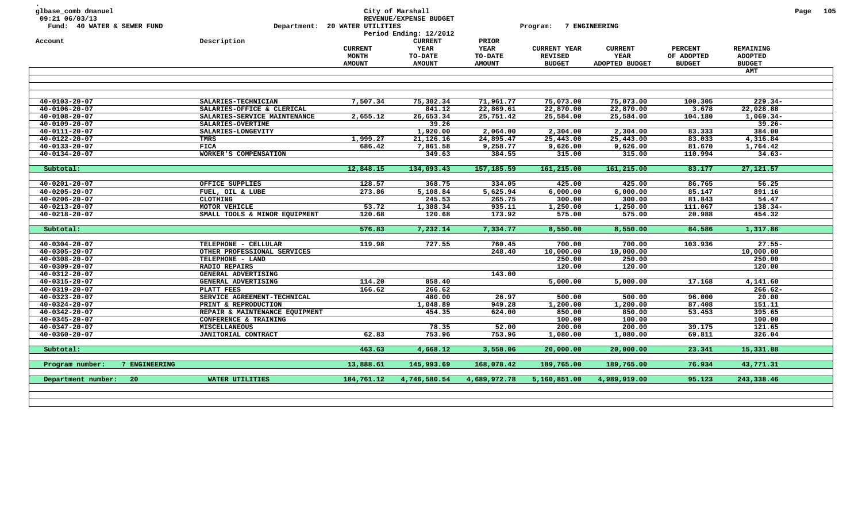| Account<br>$40 - 0103 - 20 - 07$               | Description                         | <b>CURRENT</b><br><b>MONTH</b><br><b>AMOUNT</b> | <b>CURRENT</b><br>YEAR<br><b>TO-DATE</b><br><b>AMOUNT</b> | PRIOR<br><b>YEAR</b>     | <b>CURRENT YEAR</b>             |                                          |                                               |                                                     |  |
|------------------------------------------------|-------------------------------------|-------------------------------------------------|-----------------------------------------------------------|--------------------------|---------------------------------|------------------------------------------|-----------------------------------------------|-----------------------------------------------------|--|
|                                                |                                     |                                                 |                                                           | TO-DATE<br><b>AMOUNT</b> | <b>REVISED</b><br><b>BUDGET</b> | <b>CURRENT</b><br>YEAR<br>ADOPTED BUDGET | <b>PERCENT</b><br>OF ADOPTED<br><b>BUDGET</b> | <b>REMAINING</b><br><b>ADOPTED</b><br><b>BUDGET</b> |  |
|                                                |                                     |                                                 |                                                           |                          |                                 |                                          |                                               | <b>AMT</b>                                          |  |
|                                                |                                     |                                                 |                                                           |                          |                                 |                                          |                                               |                                                     |  |
|                                                |                                     |                                                 |                                                           |                          |                                 |                                          |                                               |                                                     |  |
|                                                | SALARIES-TECHNICIAN                 | 7,507.34                                        | 75,302.34                                                 | 71,961.77                | 75,073.00                       | 75,073.00                                | 100.305                                       | $229.34-$                                           |  |
| $40 - 0106 - 20 - 07$                          | SALARIES-OFFICE & CLERICAL          |                                                 | 841.12                                                    | 22,869.61                | 22,870.00                       | 22,870.00                                | 3.678                                         | 22,028.88                                           |  |
| $40 - 0108 - 20 - 07$                          | SALARIES-SERVICE MAINTENANCE        | 2,655.12                                        | 26,653.34                                                 | 25,751.42                | 25,584.00                       | 25,584.00                                | 104.180                                       | $1,069.34-$                                         |  |
| $40 - 0109 - 20 - 07$                          | SALARIES-OVERTIME                   |                                                 | 39.26                                                     |                          |                                 |                                          | 83.333                                        | $39.26 -$<br>384.00                                 |  |
| $40 - 0111 - 20 - 07$                          | SALARIES-LONGEVITY                  |                                                 | 1,920.00                                                  | 2,064.00                 | 2,304.00                        | 2,304.00                                 |                                               |                                                     |  |
| $40 - 0122 - 20 - 07$                          | TMRS                                | 1,999.27                                        | 21,126.16                                                 | 24,895.47                | 25,443.00                       | 25,443.00                                | 83.033                                        | 4,316.84                                            |  |
| $40 - 0133 - 20 - 07$                          | <b>FICA</b>                         | 686.42                                          | 7,861.58                                                  | 9,258.77                 | 9,626.00                        | 9,626.00                                 | 81.670                                        | 1,764.42                                            |  |
| $40 - 0134 - 20 - 07$                          | WORKER'S COMPENSATION               |                                                 | 349.63                                                    | 384.55                   | 315.00                          | 315.00                                   | 110.994                                       | $34.63 -$                                           |  |
|                                                |                                     |                                                 |                                                           |                          |                                 |                                          |                                               |                                                     |  |
| Subtotal:                                      |                                     | 12,848.15                                       | 134,093.43                                                | 157, 185.59              | 161,215.00                      | 161,215.00                               | 83.177                                        | 27, 121.57                                          |  |
|                                                |                                     | 128.57                                          | 368.75                                                    |                          |                                 |                                          | 86.765                                        | 56.25                                               |  |
| $40 - 0201 - 20 - 07$                          | OFFICE SUPPLIES                     |                                                 |                                                           | 334.05                   | 425.00                          | 425.00                                   |                                               |                                                     |  |
| $40 - 0205 - 20 - 07$                          | FUEL, OIL & LUBE<br><b>CLOTHING</b> | 273.86                                          | 5,108.84                                                  | 5,625.94                 | 6,000.00                        | 6,000.00                                 | 85.147                                        | 891.16<br>54.47                                     |  |
| $40 - 0206 - 20 - 07$                          | MOTOR VEHICLE                       | 53.72                                           | 245.53                                                    | 265.75                   | 300.00                          | 300.00                                   | 81.843<br>111.067                             | $138.34-$                                           |  |
| $40 - 0213 - 20 - 07$<br>$40 - 0218 - 20 - 07$ | SMALL TOOLS & MINOR EQUIPMENT       | 120.68                                          | 1,388.34<br>120.68                                        | 935.11<br>173.92         | 1,250.00<br>575.00              | 1,250.00<br>575.00                       | 20.988                                        | 454.32                                              |  |
|                                                |                                     |                                                 |                                                           |                          |                                 |                                          |                                               |                                                     |  |
| Subtotal:                                      |                                     | 576.83                                          | 7,232.14                                                  | 7,334.77                 | 8,550.00                        | 8,550.00                                 | 84.586                                        | 1,317.86                                            |  |
|                                                |                                     |                                                 |                                                           |                          |                                 |                                          |                                               |                                                     |  |
| $40 - 0304 - 20 - 07$                          | TELEPHONE - CELLULAR                | 119.98                                          | 727.55                                                    | 760.45                   | 700.00                          | 700.00                                   | 103.936                                       | $27.55 -$                                           |  |
| $40 - 0305 - 20 - 07$                          | OTHER PROFESSIONAL SERVICES         |                                                 |                                                           | 248.40                   | 10,000.00                       | 10,000.00                                |                                               | 10,000.00                                           |  |
| $40 - 0308 - 20 - 07$                          | TELEPHONE - LAND                    |                                                 |                                                           |                          | 250.00                          | 250.00                                   |                                               | 250.00                                              |  |
| $40 - 0309 - 20 - 07$                          | <b>RADIO REPAIRS</b>                |                                                 |                                                           |                          | 120.00                          | 120.00                                   |                                               | 120.00                                              |  |
| $40 - 0312 - 20 - 07$                          | GENERAL ADVERTISING                 |                                                 |                                                           | 143.00                   |                                 |                                          |                                               |                                                     |  |
| $40 - 0315 - 20 - 07$                          | GENERAL ADVERTISING                 | 114.20                                          | 858.40                                                    |                          | 5,000.00                        | 5,000.00                                 | 17.168                                        | 4,141.60                                            |  |
| $40 - 0319 - 20 - 07$                          | PLATT FEES                          | 166.62                                          | 266.62                                                    |                          |                                 |                                          |                                               | $266.62 -$                                          |  |
| $40 - 0323 - 20 - 07$                          | SERVICE AGREEMENT-TECHNICAL         |                                                 | 480.00                                                    | 26.97                    | 500.00                          | 500.00                                   | 96.000                                        | 20.00                                               |  |
| $40 - 0324 - 20 - 07$                          | PRINT & REPRODUCTION                |                                                 | 1,048.89                                                  | 949.28                   | 1,200.00                        | 1,200.00                                 | 87.408                                        | 151.11                                              |  |
| $40 - 0342 - 20 - 07$                          | REPAIR & MAINTENANCE EQUIPMENT      |                                                 | 454.35                                                    | 624.00                   | 850.00                          | 850.00                                   | 53.453                                        | 395.65                                              |  |
| $40 - 0345 - 20 - 07$                          | CONFERENCE & TRAINING               |                                                 |                                                           |                          | 100.00                          | 100.00                                   |                                               | 100.00                                              |  |
| $40 - 0347 - 20 - 07$                          | <b>MISCELLANEOUS</b>                |                                                 | 78.35                                                     | 52.00                    | 200.00                          | 200.00                                   | 39.175                                        | 121.65                                              |  |
| $40 - 0360 - 20 - 07$                          | JANITORIAL CONTRACT                 | 62.83                                           | 753.96                                                    | 753.96                   | 1,080.00                        | 1,080.00                                 | 69.811                                        | 326.04                                              |  |
| Subtotal:                                      |                                     | 463.63                                          | 4,668.12                                                  | 3,558.06                 | 20,000.00                       | 20,000.00                                | 23.341                                        | 15,331.88                                           |  |
| 7 ENGINEERING<br>Program number:               |                                     | 13,888.61                                       | 145,993.69                                                | 168,078.42               | 189,765.00                      | 189,765.00                               | 76.934                                        | 43,771.31                                           |  |
| Department number:<br>20                       | WATER UTILITIES                     | 184,761.12                                      | 4,746,580.54                                              | 4,689,972.78             | 5,160,851.00                    | 4,989,919.00                             | 95.123                                        | 243,338.46                                          |  |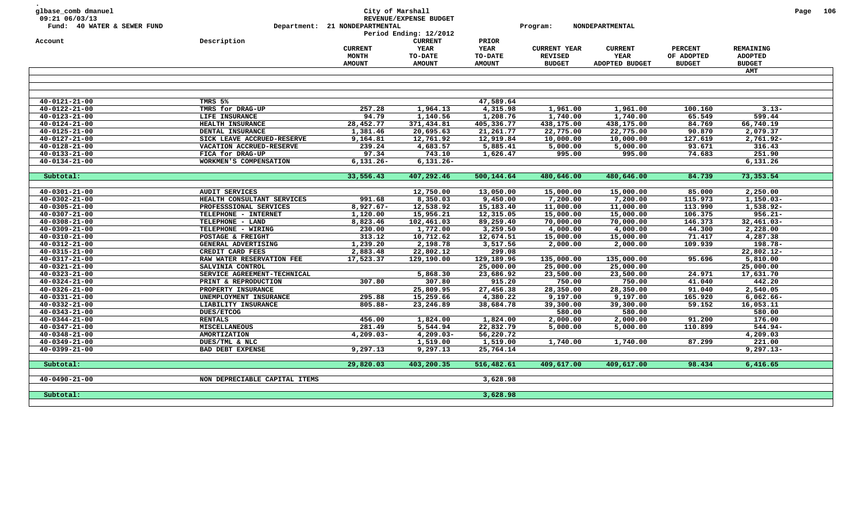| glbase_comb dmanuel<br>09:21 06/03/13<br>Fund: 40 WATER & SEWER FUND |                               | Department: 21 NONDEPARTMENTAL                  | City of Marshall<br>REVENUE/EXPENSE BUDGET<br>Period Ending: 12/2012 |                                                  | Program:                                               | NONDEPARTMENTAL                          |                                               |                                              | Page 106 |
|----------------------------------------------------------------------|-------------------------------|-------------------------------------------------|----------------------------------------------------------------------|--------------------------------------------------|--------------------------------------------------------|------------------------------------------|-----------------------------------------------|----------------------------------------------|----------|
| Account                                                              | Description                   | <b>CURRENT</b><br><b>MONTH</b><br><b>AMOUNT</b> | <b>CURRENT</b><br>YEAR<br><b>TO-DATE</b><br><b>AMOUNT</b>            | PRIOR<br><b>YEAR</b><br>TO-DATE<br><b>AMOUNT</b> | <b>CURRENT YEAR</b><br><b>REVISED</b><br><b>BUDGET</b> | <b>CURRENT</b><br>YEAR<br>ADOPTED BUDGET | <b>PERCENT</b><br>OF ADOPTED<br><b>BUDGET</b> | REMAINING<br><b>ADOPTED</b><br><b>BUDGET</b> |          |
|                                                                      |                               |                                                 |                                                                      |                                                  |                                                        |                                          |                                               | <b>AMT</b>                                   |          |
|                                                                      |                               |                                                 |                                                                      |                                                  |                                                        |                                          |                                               |                                              |          |
| $40 - 0121 - 21 - 00$                                                | TMRS 5%                       |                                                 |                                                                      | 47,589.64                                        |                                                        |                                          |                                               |                                              |          |
| $40 - 0122 - 21 - 00$                                                | TMRS for DRAG-UP              | 257.28                                          | 1,964.13                                                             | 4,315.98                                         | 1,961.00                                               | 1,961.00                                 | 100.160                                       | $3.13 -$                                     |          |
| $40 - 0123 - 21 - 00$                                                | LIFE INSURANCE                | 94.79                                           | 1,140.56                                                             | 1,208.76                                         | 1,740.00                                               | 1,740.00                                 | 65.549                                        | 599.44                                       |          |
| $40 - 0124 - 21 - 00$                                                | HEALTH INSURANCE              | 28,452.77                                       | 371,434.81                                                           | 405,336.77                                       | 438,175.00                                             | 438,175.00                               | 84.769                                        | 66,740.19                                    |          |
| $40 - 0125 - 21 - 00$                                                | DENTAL INSURANCE              | 1,381.46                                        | 20,695.63                                                            | 21,261.77                                        | 22,775.00                                              | 22,775.00                                | 90.870                                        | 2,079.37                                     |          |
| $40 - 0127 - 21 - 00$                                                | SICK LEAVE ACCRUED-RESERVE    | 9,164.81                                        | 12,761.92                                                            | 12,919.84                                        | 10,000.00                                              | 10,000.00                                | 127.619                                       | 2,761.92-                                    |          |
| $40 - 0128 - 21 - 00$                                                | VACATION ACCRUED-RESERVE      | 239.24                                          | 4,683.57                                                             | 5,885.41                                         | 5,000.00                                               | 5,000.00                                 | 93.671                                        | 316.43                                       |          |
| $40 - 0133 - 21 - 00$                                                | FICA for DRAG-UP              | 97.34                                           | 743.10                                                               | 1,626.47                                         | 995.00                                                 | 995.00                                   | 74.683                                        | 251.90                                       |          |
| $40 - 0134 - 21 - 00$                                                | WORKMEN'S COMPENSATION        | $6,131.26 -$                                    | $6,131.26 -$                                                         |                                                  |                                                        |                                          |                                               | 6,131.26                                     |          |
|                                                                      |                               |                                                 |                                                                      |                                                  |                                                        |                                          |                                               |                                              |          |
| Subtotal:                                                            |                               | 33,556.43                                       | 407,292.46                                                           | 500,144.64                                       | 480,646.00                                             | 480,646.00                               | 84.739                                        | 73,353.54                                    |          |
|                                                                      |                               |                                                 |                                                                      |                                                  |                                                        |                                          |                                               |                                              |          |
| $40 - 0301 - 21 - 00$                                                | <b>AUDIT SERVICES</b>         |                                                 | 12,750.00                                                            | 13,050.00                                        | 15,000.00                                              | 15,000.00                                | 85.000                                        | 2,250.00                                     |          |
| $40 - 0302 - 21 - 00$                                                | HEALTH CONSULTANT SERVICES    | 991.68                                          | 8,350.03                                                             | 9,450.00                                         | 7,200.00                                               | 7,200.00                                 | 115.973                                       | $1,150.03-$                                  |          |
| $40 - 0305 - 21 - 00$                                                | PROFESSSIONAL SERVICES        | $8,927.67 -$                                    | 12,538.92                                                            | 15,183.40                                        | 11,000.00                                              | 11,000.00                                | 113.990                                       | 1,538.92-                                    |          |
| $40 - 0307 - 21 - 00$                                                | TELEPHONE - INTERNET          | 1,120.00                                        | 15,956.21                                                            | 12,315.05                                        | 15,000.00                                              | 15,000.00                                | 106.375                                       | $956.21 -$                                   |          |
| $40 - 0308 - 21 - 00$                                                | TELEPHONE - LAND              | 8,823.46                                        | 102,461.03                                                           | 89,259.40                                        | 70,000.00                                              | 70,000.00                                | 146.373                                       | $32,461.03 -$                                |          |
| $40 - 0309 - 21 - 00$                                                | TELEPHONE - WIRING            | 230.00                                          | 1,772.00                                                             | 3,259.50                                         | 4,000.00                                               | 4,000.00                                 | 44.300                                        | 2,228.00                                     |          |
| $40 - 0310 - 21 - 00$                                                | POSTAGE & FREIGHT             | 313.12                                          | 10,712.62                                                            | 12,674.51                                        | 15,000.00                                              | 15,000.00                                | 71.417                                        | 4,287.38                                     |          |
| $40 - 0312 - 21 - 00$                                                | GENERAL ADVERTISING           | 1,239.20                                        | 2,198.78                                                             | 3,517.56                                         | 2,000.00                                               | 2,000.00                                 | 109.939                                       | 198.78-                                      |          |
| $40 - 0315 - 21 - 00$                                                | CREDIT CARD FEES              | 2,883.48                                        | 22,802.12                                                            | 299.08                                           |                                                        |                                          |                                               | 22,802.12-                                   |          |
| $40 - 0317 - 21 - 00$                                                | RAW WATER RESERVATION FEE     | 17,523.37                                       | 129,190.00                                                           | 129,189.96                                       | 135,000.00                                             | 135,000.00                               | 95.696                                        | 5,810.00                                     |          |
| $40 - 0321 - 21 - 00$                                                | SALVINIA CONTROL              |                                                 |                                                                      | 25,000.00                                        | 25,000.00                                              | 25,000.00                                |                                               | 25,000.00                                    |          |
| $40 - 0323 - 21 - 00$                                                | SERVICE AGREEMENT-TECHNICAL   |                                                 | 5,868.30                                                             | 23,686.92                                        | 23,500.00                                              | 23,500.00                                | 24.971                                        | 17,631.70                                    |          |
| $40 - 0324 - 21 - 00$                                                | PRINT & REPRODUCTION          | 307.80                                          | 307.80                                                               | 915.20                                           | 750.00                                                 | 750.00                                   | 41.040                                        | 442.20                                       |          |
| $40 - 0326 - 21 - 00$                                                | PROPERTY INSURANCE            |                                                 | 25,809.95                                                            | 27,456.38                                        | 28,350.00                                              | 28,350.00                                | 91.040                                        | 2,540.05                                     |          |
| $40 - 0331 - 21 - 00$                                                | UNEMPLOYMENT INSURANCE        | 295.88                                          | 15,259.66                                                            | 4,380.22                                         | 9,197.00                                               | 9,197.00                                 | 165.920                                       | $6,062.66 -$                                 |          |
| $40 - 0332 - 21 - 00$                                                | LIABILITY INSURANCE           | $805.88 -$                                      | 23,246.89                                                            | 38,684.78                                        | 39,300.00                                              | 39,300.00                                | 59.152                                        | 16,053.11                                    |          |
| $40 - 0343 - 21 - 00$                                                | <b>DUES/ETCOG</b>             |                                                 |                                                                      |                                                  | 580.00                                                 | 580.00                                   |                                               | 580.00                                       |          |
| $40 - 0344 - 21 - 00$                                                | <b>RENTALS</b>                | 456.00                                          | 1,824.00                                                             | 1,824.00                                         | 2,000.00                                               | 2,000.00                                 | 91.200                                        | 176.00                                       |          |
| $40 - 0347 - 21 - 00$                                                | <b>MISCELLANEOUS</b>          | 281.49                                          | 5,544.94                                                             | 22,832.79                                        | 5,000.00                                               | 5,000.00                                 | 110.899                                       | $544.94-$                                    |          |
| $40 - 0348 - 21 - 00$                                                | AMORTIZATION                  | $4,209.03-$                                     | $4,209.03-$                                                          | 56,220.72                                        |                                                        |                                          |                                               | 4,209.03                                     |          |
| $40 - 0349 - 21 - 00$                                                | DUES/TML & NLC                |                                                 | 1,519.00                                                             | 1,519.00                                         | 1,740.00                                               | 1,740.00                                 | 87.299                                        | 221.00                                       |          |
| $40 - 0399 - 21 - 00$                                                | <b>BAD DEBT EXPENSE</b>       | 9,297.13                                        | 9,297.13                                                             | 25,764.14                                        |                                                        |                                          |                                               | $9,297.13-$                                  |          |
|                                                                      |                               |                                                 |                                                                      |                                                  |                                                        |                                          |                                               |                                              |          |
| Subtotal:                                                            |                               | 29,820.03                                       | 403,200.35                                                           | 516,482.61                                       | 409,617.00                                             | 409,617.00                               | 98.434                                        | 6,416.65                                     |          |
| $40 - 0490 - 21 - 00$                                                | NON DEPRECIABLE CAPITAL ITEMS |                                                 |                                                                      | 3,628.98                                         |                                                        |                                          |                                               |                                              |          |
| Subtotal:                                                            |                               |                                                 |                                                                      | 3,628.98                                         |                                                        |                                          |                                               |                                              |          |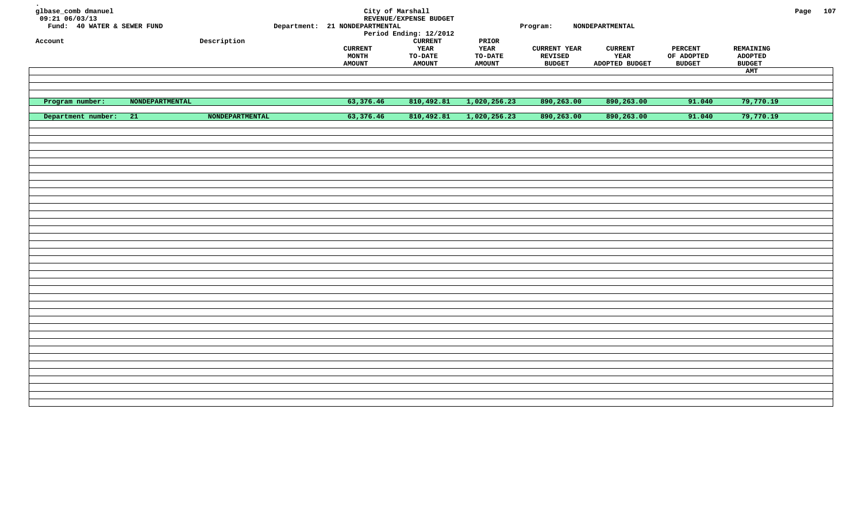| glbase_comb dmanuel<br>$09:21$ 06/03/13<br>Fund: 40 WATER & SEWER FUND<br>Account |                 | Description            | Department: 21 NONDEPARTMENTAL<br><b>CURRENT</b><br><b>MONTH</b><br><b>AMOUNT</b> | City of Marshall<br>REVENUE/EXPENSE BUDGET<br>Period Ending: 12/2012<br><b>CURRENT</b><br>YEAR<br>TO-DATE<br><b>AMOUNT</b> | $\tt PRIOR$<br>YEAR<br>TO-DATE<br><b>AMOUNT</b> | Program:<br><b>CURRENT YEAR</b><br>REVISED<br><b>BUDGET</b> | NONDEPARTMENTAL<br><b>CURRENT</b><br>YEAR<br>ADOPTED BUDGET | <b>PERCENT</b><br>OF ADOPTED<br><b>BUDGET</b> | REMAINING<br><b>ADOPTED</b><br><b>BUDGET</b><br>AMT | Page 107 |  |
|-----------------------------------------------------------------------------------|-----------------|------------------------|-----------------------------------------------------------------------------------|----------------------------------------------------------------------------------------------------------------------------|-------------------------------------------------|-------------------------------------------------------------|-------------------------------------------------------------|-----------------------------------------------|-----------------------------------------------------|----------|--|
|                                                                                   |                 |                        |                                                                                   |                                                                                                                            |                                                 |                                                             |                                                             |                                               |                                                     |          |  |
|                                                                                   |                 |                        |                                                                                   |                                                                                                                            |                                                 |                                                             |                                                             |                                               |                                                     |          |  |
| Program number:                                                                   | NONDEPARTMENTAL |                        | 63,376.46                                                                         | 810,492.81                                                                                                                 | 1,020,256.23                                    | 890,263.00                                                  | 890,263.00                                                  | 91.040                                        | 79,770.19                                           |          |  |
| Department number:                                                                | 21              | <b>NONDEPARTMENTAL</b> | 63,376.46                                                                         | 810,492.81                                                                                                                 | 1,020,256.23                                    | 890,263.00                                                  | 890,263.00                                                  | 91.040                                        | 79,770.19                                           |          |  |
|                                                                                   |                 |                        |                                                                                   |                                                                                                                            |                                                 |                                                             |                                                             |                                               |                                                     |          |  |
|                                                                                   |                 |                        |                                                                                   |                                                                                                                            |                                                 |                                                             |                                                             |                                               |                                                     |          |  |
|                                                                                   |                 |                        |                                                                                   |                                                                                                                            |                                                 |                                                             |                                                             |                                               |                                                     |          |  |
|                                                                                   |                 |                        |                                                                                   |                                                                                                                            |                                                 |                                                             |                                                             |                                               |                                                     |          |  |
|                                                                                   |                 |                        |                                                                                   |                                                                                                                            |                                                 |                                                             |                                                             |                                               |                                                     |          |  |
|                                                                                   |                 |                        |                                                                                   |                                                                                                                            |                                                 |                                                             |                                                             |                                               |                                                     |          |  |
|                                                                                   |                 |                        |                                                                                   |                                                                                                                            |                                                 |                                                             |                                                             |                                               |                                                     |          |  |
|                                                                                   |                 |                        |                                                                                   |                                                                                                                            |                                                 |                                                             |                                                             |                                               |                                                     |          |  |
|                                                                                   |                 |                        |                                                                                   |                                                                                                                            |                                                 |                                                             |                                                             |                                               |                                                     |          |  |
|                                                                                   |                 |                        |                                                                                   |                                                                                                                            |                                                 |                                                             |                                                             |                                               |                                                     |          |  |
|                                                                                   |                 |                        |                                                                                   |                                                                                                                            |                                                 |                                                             |                                                             |                                               |                                                     |          |  |
|                                                                                   |                 |                        |                                                                                   |                                                                                                                            |                                                 |                                                             |                                                             |                                               |                                                     |          |  |
|                                                                                   |                 |                        |                                                                                   |                                                                                                                            |                                                 |                                                             |                                                             |                                               |                                                     |          |  |
|                                                                                   |                 |                        |                                                                                   |                                                                                                                            |                                                 |                                                             |                                                             |                                               |                                                     |          |  |
|                                                                                   |                 |                        |                                                                                   |                                                                                                                            |                                                 |                                                             |                                                             |                                               |                                                     |          |  |
|                                                                                   |                 |                        |                                                                                   |                                                                                                                            |                                                 |                                                             |                                                             |                                               |                                                     |          |  |
|                                                                                   |                 |                        |                                                                                   |                                                                                                                            |                                                 |                                                             |                                                             |                                               |                                                     |          |  |
|                                                                                   |                 |                        |                                                                                   |                                                                                                                            |                                                 |                                                             |                                                             |                                               |                                                     |          |  |
|                                                                                   |                 |                        |                                                                                   |                                                                                                                            |                                                 |                                                             |                                                             |                                               |                                                     |          |  |
|                                                                                   |                 |                        |                                                                                   |                                                                                                                            |                                                 |                                                             |                                                             |                                               |                                                     |          |  |
|                                                                                   |                 |                        |                                                                                   |                                                                                                                            |                                                 |                                                             |                                                             |                                               |                                                     |          |  |
|                                                                                   |                 |                        |                                                                                   |                                                                                                                            |                                                 |                                                             |                                                             |                                               |                                                     |          |  |
|                                                                                   |                 |                        |                                                                                   |                                                                                                                            |                                                 |                                                             |                                                             |                                               |                                                     |          |  |
|                                                                                   |                 |                        |                                                                                   |                                                                                                                            |                                                 |                                                             |                                                             |                                               |                                                     |          |  |
|                                                                                   |                 |                        |                                                                                   |                                                                                                                            |                                                 |                                                             |                                                             |                                               |                                                     |          |  |
|                                                                                   |                 |                        |                                                                                   |                                                                                                                            |                                                 |                                                             |                                                             |                                               |                                                     |          |  |
|                                                                                   |                 |                        |                                                                                   |                                                                                                                            |                                                 |                                                             |                                                             |                                               |                                                     |          |  |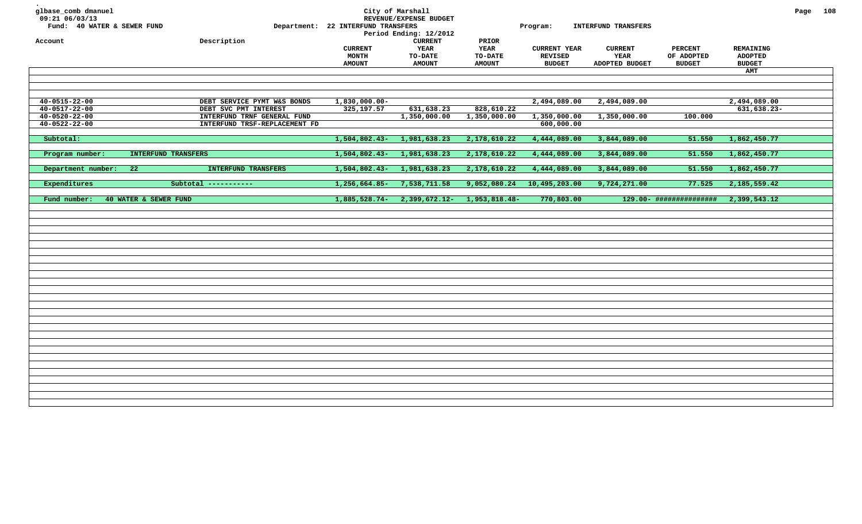| glbase_comb dmanuel<br>09:21 06/03/13<br>Fund: 40 WATER & SEWER FUND<br>Account | Description                                                                           | Department: 22 INTERFUND TRANSFERS<br><b>CURRENT</b><br><b>MONTH</b><br><b>AMOUNT</b> | City of Marshall<br>REVENUE/EXPENSE BUDGET<br>Period Ending: 12/2012<br>${\tt CURRENT}$<br>YEAR<br><b>TO-DATE</b><br><b>AMOUNT</b> | PRIOR<br><b>YEAR</b><br>TO-DATE<br><b>AMOUNT</b> | Program:<br><b>CURRENT YEAR</b><br><b>REVISED</b><br><b>BUDGET</b> | <b>INTERFUND TRANSFERS</b><br><b>CURRENT</b><br>YEAR<br>ADOPTED BUDGET | <b>PERCENT</b><br>OF ADOPTED<br><b>BUDGET</b> | <b>REMAINING</b><br><b>ADOPTED</b><br><b>BUDGET</b><br>AMT | Page 108 |  |
|---------------------------------------------------------------------------------|---------------------------------------------------------------------------------------|---------------------------------------------------------------------------------------|------------------------------------------------------------------------------------------------------------------------------------|--------------------------------------------------|--------------------------------------------------------------------|------------------------------------------------------------------------|-----------------------------------------------|------------------------------------------------------------|----------|--|
| $40 - 0515 - 22 - 00$                                                           | DEBT SERVICE PYMT W&S BONDS                                                           | 1,830,000.00-                                                                         |                                                                                                                                    |                                                  | 2,494,089.00                                                       | 2,494,089.00                                                           |                                               | 2,494,089.00                                               |          |  |
| $40 - 0517 - 22 - 00$<br>$40 - 0520 - 22 - 00$<br>$40 - 0522 - 22 - 00$         | DEBT SVC PMT INTEREST<br>INTERFUND TRNF GENERAL FUND<br>INTERFUND TRSF-REPLACEMENT FD | 325,197.57                                                                            | 631,638.23<br>1,350,000.00                                                                                                         | 828,610.22<br>1,350,000.00                       | 1,350,000.00<br>600,000.00                                         | 1,350,000.00                                                           | 100.000                                       | 631,638.23-                                                |          |  |
| Subtotal:                                                                       |                                                                                       | $1,504,802.43-$                                                                       | 1,981,638.23                                                                                                                       | 2,178,610.22                                     | 4,444,089.00                                                       | 3,844,089.00                                                           | 51.550                                        | 1,862,450.77                                               |          |  |
| Program number:<br>INTERFUND TRANSFERS<br>Department number:<br>22              | INTERFUND TRANSFERS                                                                   | 1,504,802.43-<br>1,504,802.43-                                                        | 1,981,638.23<br>1,981,638.23                                                                                                       | 2,178,610.22<br>2,178,610.22                     | 4,444,089.00<br>4,444,089.00                                       | 3,844,089.00<br>3,844,089.00                                           | 51.550<br>51.550                              | 1,862,450.77<br>1,862,450.77                               |          |  |
| Expenditures                                                                    | Subtotal -----------                                                                  | 1,256,664.85-                                                                         | 7,538,711.58                                                                                                                       | 9,052,080.24                                     | 10,495,203.00                                                      | 9,724,271.00                                                           | 77.525                                        | 2,185,559.42                                               |          |  |
| Fund number:<br>40 WATER & SEWER FUND                                           |                                                                                       | 1,885,528.74-                                                                         | 2,399,672.12-                                                                                                                      | 1,953,818.48-                                    | 770,803.00                                                         |                                                                        | 129.00- ###############                       | 2,399,543.12                                               |          |  |
|                                                                                 |                                                                                       |                                                                                       |                                                                                                                                    |                                                  |                                                                    |                                                                        |                                               |                                                            |          |  |
|                                                                                 |                                                                                       |                                                                                       |                                                                                                                                    |                                                  |                                                                    |                                                                        |                                               |                                                            |          |  |
|                                                                                 |                                                                                       |                                                                                       |                                                                                                                                    |                                                  |                                                                    |                                                                        |                                               |                                                            |          |  |
|                                                                                 |                                                                                       |                                                                                       |                                                                                                                                    |                                                  |                                                                    |                                                                        |                                               |                                                            |          |  |
|                                                                                 |                                                                                       |                                                                                       |                                                                                                                                    |                                                  |                                                                    |                                                                        |                                               |                                                            |          |  |
|                                                                                 |                                                                                       |                                                                                       |                                                                                                                                    |                                                  |                                                                    |                                                                        |                                               |                                                            |          |  |
|                                                                                 |                                                                                       |                                                                                       |                                                                                                                                    |                                                  |                                                                    |                                                                        |                                               |                                                            |          |  |
|                                                                                 |                                                                                       |                                                                                       |                                                                                                                                    |                                                  |                                                                    |                                                                        |                                               |                                                            |          |  |
|                                                                                 |                                                                                       |                                                                                       |                                                                                                                                    |                                                  |                                                                    |                                                                        |                                               |                                                            |          |  |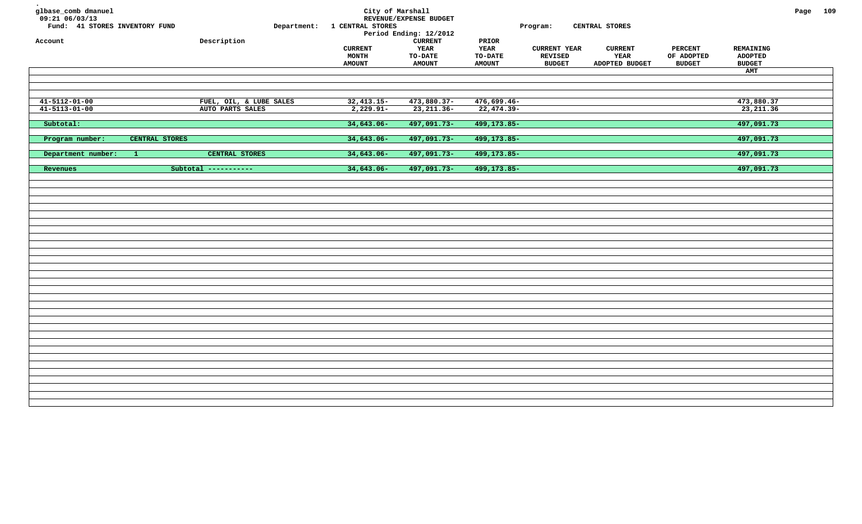| glbase_comb dmanuel<br>09:21 06/03/13<br>Fund: 41 STORES INVENTORY FUND<br>Account |                | ${\tt Description}$     | Department: | City of Marshall<br>1 CENTRAL STORES            | REVENUE/EXPENSE BUDGET<br>Period Ending: 12/2012<br>${\tt CURRENT}$ | PRIOR                                   | Program:                                               | CENTRAL STORES                           |                                               |                                              | Page 109 |  |
|------------------------------------------------------------------------------------|----------------|-------------------------|-------------|-------------------------------------------------|---------------------------------------------------------------------|-----------------------------------------|--------------------------------------------------------|------------------------------------------|-----------------------------------------------|----------------------------------------------|----------|--|
|                                                                                    |                |                         |             | <b>CURRENT</b><br><b>MONTH</b><br><b>AMOUNT</b> | YEAR<br><b>TO-DATE</b><br><b>AMOUNT</b>                             | YEAR<br><b>TO-DATE</b><br><b>AMOUNT</b> | <b>CURRENT YEAR</b><br><b>REVISED</b><br><b>BUDGET</b> | <b>CURRENT</b><br>YEAR<br>ADOPTED BUDGET | <b>PERCENT</b><br>OF ADOPTED<br><b>BUDGET</b> | REMAINING<br><b>ADOPTED</b><br><b>BUDGET</b> |          |  |
|                                                                                    |                |                         |             |                                                 |                                                                     |                                         |                                                        |                                          |                                               | AMT                                          |          |  |
|                                                                                    |                |                         |             |                                                 |                                                                     |                                         |                                                        |                                          |                                               |                                              |          |  |
|                                                                                    |                |                         |             |                                                 |                                                                     |                                         |                                                        |                                          |                                               |                                              |          |  |
|                                                                                    |                |                         |             |                                                 |                                                                     |                                         |                                                        |                                          |                                               |                                              |          |  |
| $41 - 5112 - 01 - 00$                                                              |                | FUEL, OIL, & LUBE SALES |             | $32,413.15-$                                    | 473,880.37-                                                         | $476,699.46-$                           |                                                        |                                          |                                               | 473,880.37                                   |          |  |
| $41 - 5113 - 01 - 00$                                                              |                | AUTO PARTS SALES        |             | $2,229.91 -$                                    | 23, 211.36-                                                         | 22,474.39-                              |                                                        |                                          |                                               | 23, 211.36                                   |          |  |
|                                                                                    |                |                         |             |                                                 |                                                                     |                                         |                                                        |                                          |                                               |                                              |          |  |
| Subtotal:                                                                          |                |                         |             | $34,643.06 -$                                   | 497,091.73-                                                         | 499,173.85-                             |                                                        |                                          |                                               | 497,091.73                                   |          |  |
|                                                                                    |                |                         |             |                                                 |                                                                     |                                         |                                                        |                                          |                                               |                                              |          |  |
| Program number:                                                                    | CENTRAL STORES |                         |             | $34,643.06 -$                                   | 497,091.73-                                                         | 499,173.85-                             |                                                        |                                          |                                               | 497,091.73                                   |          |  |
| Department number:                                                                 | $\mathbf{1}$   | CENTRAL STORES          |             | $34,643.06-$                                    | 497,091.73-                                                         | 499,173.85-                             |                                                        |                                          |                                               | 497,091.73                                   |          |  |
|                                                                                    |                |                         |             |                                                 |                                                                     |                                         |                                                        |                                          |                                               |                                              |          |  |
| Revenues                                                                           |                | Subtotal -----------    |             | $34,643.06-$                                    | 497,091.73-                                                         | 499,173.85-                             |                                                        |                                          |                                               | 497,091.73                                   |          |  |
|                                                                                    |                |                         |             |                                                 |                                                                     |                                         |                                                        |                                          |                                               |                                              |          |  |
|                                                                                    |                |                         |             |                                                 |                                                                     |                                         |                                                        |                                          |                                               |                                              |          |  |
|                                                                                    |                |                         |             |                                                 |                                                                     |                                         |                                                        |                                          |                                               |                                              |          |  |
|                                                                                    |                |                         |             |                                                 |                                                                     |                                         |                                                        |                                          |                                               |                                              |          |  |
|                                                                                    |                |                         |             |                                                 |                                                                     |                                         |                                                        |                                          |                                               |                                              |          |  |
|                                                                                    |                |                         |             |                                                 |                                                                     |                                         |                                                        |                                          |                                               |                                              |          |  |
|                                                                                    |                |                         |             |                                                 |                                                                     |                                         |                                                        |                                          |                                               |                                              |          |  |
|                                                                                    |                |                         |             |                                                 |                                                                     |                                         |                                                        |                                          |                                               |                                              |          |  |
|                                                                                    |                |                         |             |                                                 |                                                                     |                                         |                                                        |                                          |                                               |                                              |          |  |
|                                                                                    |                |                         |             |                                                 |                                                                     |                                         |                                                        |                                          |                                               |                                              |          |  |
|                                                                                    |                |                         |             |                                                 |                                                                     |                                         |                                                        |                                          |                                               |                                              |          |  |
|                                                                                    |                |                         |             |                                                 |                                                                     |                                         |                                                        |                                          |                                               |                                              |          |  |
|                                                                                    |                |                         |             |                                                 |                                                                     |                                         |                                                        |                                          |                                               |                                              |          |  |
|                                                                                    |                |                         |             |                                                 |                                                                     |                                         |                                                        |                                          |                                               |                                              |          |  |
|                                                                                    |                |                         |             |                                                 |                                                                     |                                         |                                                        |                                          |                                               |                                              |          |  |
|                                                                                    |                |                         |             |                                                 |                                                                     |                                         |                                                        |                                          |                                               |                                              |          |  |
|                                                                                    |                |                         |             |                                                 |                                                                     |                                         |                                                        |                                          |                                               |                                              |          |  |
|                                                                                    |                |                         |             |                                                 |                                                                     |                                         |                                                        |                                          |                                               |                                              |          |  |
|                                                                                    |                |                         |             |                                                 |                                                                     |                                         |                                                        |                                          |                                               |                                              |          |  |
|                                                                                    |                |                         |             |                                                 |                                                                     |                                         |                                                        |                                          |                                               |                                              |          |  |
|                                                                                    |                |                         |             |                                                 |                                                                     |                                         |                                                        |                                          |                                               |                                              |          |  |
|                                                                                    |                |                         |             |                                                 |                                                                     |                                         |                                                        |                                          |                                               |                                              |          |  |
|                                                                                    |                |                         |             |                                                 |                                                                     |                                         |                                                        |                                          |                                               |                                              |          |  |
|                                                                                    |                |                         |             |                                                 |                                                                     |                                         |                                                        |                                          |                                               |                                              |          |  |
|                                                                                    |                |                         |             |                                                 |                                                                     |                                         |                                                        |                                          |                                               |                                              |          |  |
|                                                                                    |                |                         |             |                                                 |                                                                     |                                         |                                                        |                                          |                                               |                                              |          |  |
|                                                                                    |                |                         |             |                                                 |                                                                     |                                         |                                                        |                                          |                                               |                                              |          |  |
|                                                                                    |                |                         |             |                                                 |                                                                     |                                         |                                                        |                                          |                                               |                                              |          |  |
|                                                                                    |                |                         |             |                                                 |                                                                     |                                         |                                                        |                                          |                                               |                                              |          |  |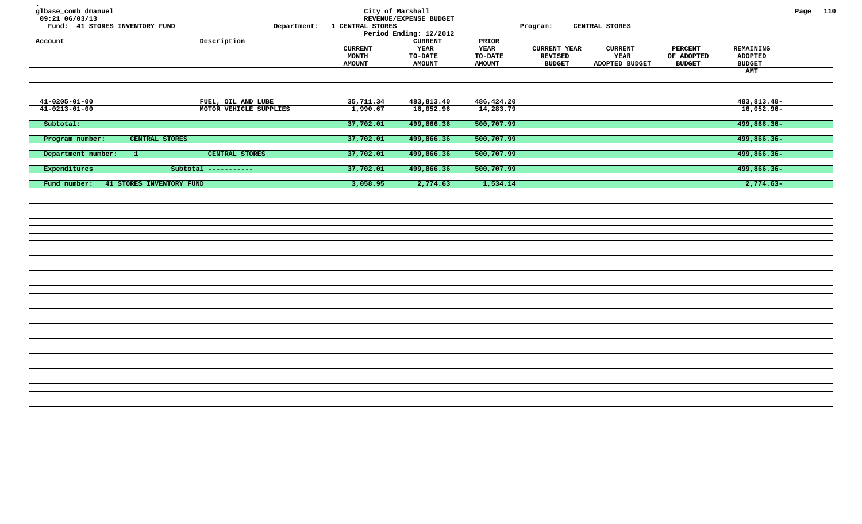| glbase_comb dmanuel<br>09:21 06/03/13<br>Fund: 41 STORES INVENTORY FUND | Department:            | 1 CENTRAL STORES | City of Marshall<br>REVENUE/EXPENSE BUDGET<br>Period Ending: 12/2012 |                | Program:            | CENTRAL STORES |                |                      | Page 110 |  |
|-------------------------------------------------------------------------|------------------------|------------------|----------------------------------------------------------------------|----------------|---------------------|----------------|----------------|----------------------|----------|--|
| Account                                                                 | Description            | <b>CURRENT</b>   | ${\tt CURRENT}$<br>YEAR                                              | PRIOR<br>YEAR  | <b>CURRENT YEAR</b> | <b>CURRENT</b> | <b>PERCENT</b> | REMAINING            |          |  |
|                                                                         |                        | <b>MONTH</b>     | <b>TO-DATE</b>                                                       | <b>TO-DATE</b> | <b>REVISED</b>      | YEAR           | OF ADOPTED     | <b>ADOPTED</b>       |          |  |
|                                                                         |                        | <b>AMOUNT</b>    | <b>AMOUNT</b>                                                        | <b>AMOUNT</b>  | <b>BUDGET</b>       | ADOPTED BUDGET | <b>BUDGET</b>  | <b>BUDGET</b><br>AMT |          |  |
|                                                                         |                        |                  |                                                                      |                |                     |                |                |                      |          |  |
|                                                                         |                        |                  |                                                                      |                |                     |                |                |                      |          |  |
|                                                                         |                        |                  |                                                                      |                |                     |                |                |                      |          |  |
| $41 - 0205 - 01 - 00$                                                   | FUEL, OIL AND LUBE     | 35,711.34        | 483,813.40                                                           | 486, 424.20    |                     |                |                | 483,813.40-          |          |  |
| $41 - 0213 - 01 - 00$                                                   | MOTOR VEHICLE SUPPLIES | 1,990.67         | 16,052.96                                                            | 14,283.79      |                     |                |                | $16,052.96 -$        |          |  |
|                                                                         |                        |                  |                                                                      |                |                     |                |                |                      |          |  |
| Subtotal:                                                               |                        | 37,702.01        | 499,866.36                                                           | 500,707.99     |                     |                |                | 499,866.36-          |          |  |
|                                                                         |                        |                  |                                                                      |                |                     |                |                |                      |          |  |
| Program number:<br>CENTRAL STORES                                       |                        | 37,702.01        | 499,866.36                                                           | 500,707.99     |                     |                |                | 499,866.36-          |          |  |
|                                                                         |                        |                  |                                                                      |                |                     |                |                |                      |          |  |
| Department number:<br>-1.                                               | CENTRAL STORES         | 37,702.01        | 499,866.36                                                           | 500,707.99     |                     |                |                | 499,866.36-          |          |  |
|                                                                         |                        |                  |                                                                      |                |                     |                |                |                      |          |  |
| Expenditures                                                            | Subtotal -----------   | 37,702.01        | 499,866.36                                                           | 500,707.99     |                     |                |                | 499,866.36-          |          |  |
| 41 STORES INVENTORY FUND<br>Fund number:                                |                        | 3,058.95         | 2,774.63                                                             | 1,534.14       |                     |                |                | $2,774.63-$          |          |  |
|                                                                         |                        |                  |                                                                      |                |                     |                |                |                      |          |  |
|                                                                         |                        |                  |                                                                      |                |                     |                |                |                      |          |  |
|                                                                         |                        |                  |                                                                      |                |                     |                |                |                      |          |  |
|                                                                         |                        |                  |                                                                      |                |                     |                |                |                      |          |  |
|                                                                         |                        |                  |                                                                      |                |                     |                |                |                      |          |  |
|                                                                         |                        |                  |                                                                      |                |                     |                |                |                      |          |  |
|                                                                         |                        |                  |                                                                      |                |                     |                |                |                      |          |  |
|                                                                         |                        |                  |                                                                      |                |                     |                |                |                      |          |  |
|                                                                         |                        |                  |                                                                      |                |                     |                |                |                      |          |  |
|                                                                         |                        |                  |                                                                      |                |                     |                |                |                      |          |  |
|                                                                         |                        |                  |                                                                      |                |                     |                |                |                      |          |  |
|                                                                         |                        |                  |                                                                      |                |                     |                |                |                      |          |  |
|                                                                         |                        |                  |                                                                      |                |                     |                |                |                      |          |  |
|                                                                         |                        |                  |                                                                      |                |                     |                |                |                      |          |  |
|                                                                         |                        |                  |                                                                      |                |                     |                |                |                      |          |  |
|                                                                         |                        |                  |                                                                      |                |                     |                |                |                      |          |  |
|                                                                         |                        |                  |                                                                      |                |                     |                |                |                      |          |  |
|                                                                         |                        |                  |                                                                      |                |                     |                |                |                      |          |  |
|                                                                         |                        |                  |                                                                      |                |                     |                |                |                      |          |  |
|                                                                         |                        |                  |                                                                      |                |                     |                |                |                      |          |  |
|                                                                         |                        |                  |                                                                      |                |                     |                |                |                      |          |  |
|                                                                         |                        |                  |                                                                      |                |                     |                |                |                      |          |  |
|                                                                         |                        |                  |                                                                      |                |                     |                |                |                      |          |  |
|                                                                         |                        |                  |                                                                      |                |                     |                |                |                      |          |  |
|                                                                         |                        |                  |                                                                      |                |                     |                |                |                      |          |  |
|                                                                         |                        |                  |                                                                      |                |                     |                |                |                      |          |  |
|                                                                         |                        |                  |                                                                      |                |                     |                |                |                      |          |  |
|                                                                         |                        |                  |                                                                      |                |                     |                |                |                      |          |  |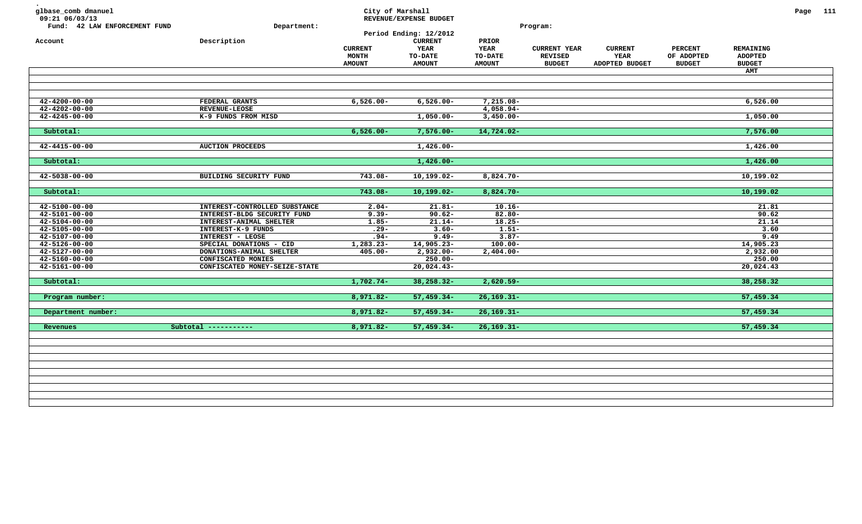| glbase_comb dmanuel<br>09:21 06/03/13<br>Fund: 42 LAW ENFORCEMENT FUND<br>Account | Department:<br>Description                          | City of Marshall<br><b>CURRENT</b><br><b>MONTH</b><br><b>AMOUNT</b> | REVENUE/EXPENSE BUDGET<br>Period Ending: 12/2012<br><b>CURRENT</b><br><b>YEAR</b><br>TO-DATE<br><b>AMOUNT</b> | PRIOR<br><b>YEAR</b><br>TO-DATE<br><b>AMOUNT</b> | Program:<br><b>CURRENT YEAR</b><br><b>REVISED</b><br><b>BUDGET</b> | <b>CURRENT</b><br><b>YEAR</b><br><b>ADOPTED BUDGET</b> | <b>PERCENT</b><br>OF ADOPTED<br><b>BUDGET</b> | REMAINING<br><b>ADOPTED</b><br><b>BUDGET</b><br><b>AMT</b> | Page 111 |  |
|-----------------------------------------------------------------------------------|-----------------------------------------------------|---------------------------------------------------------------------|---------------------------------------------------------------------------------------------------------------|--------------------------------------------------|--------------------------------------------------------------------|--------------------------------------------------------|-----------------------------------------------|------------------------------------------------------------|----------|--|
|                                                                                   |                                                     |                                                                     |                                                                                                               |                                                  |                                                                    |                                                        |                                               |                                                            |          |  |
|                                                                                   |                                                     |                                                                     |                                                                                                               |                                                  |                                                                    |                                                        |                                               |                                                            |          |  |
| $42 - 4200 - 00 - 00$                                                             | FEDERAL GRANTS                                      | $6,526.00 -$                                                        | $6,526.00 -$                                                                                                  | 7,215.08-                                        |                                                                    |                                                        |                                               | 6,526.00                                                   |          |  |
| $42 - 4202 - 00 - 00$                                                             | <b>REVENUE-LEOSE</b>                                |                                                                     |                                                                                                               | $4,058.94-$                                      |                                                                    |                                                        |                                               |                                                            |          |  |
| $42 - 4245 - 00 - 00$                                                             | K-9 FUNDS FROM MISD                                 |                                                                     | $1,050.00-$                                                                                                   | $3,450.00 -$                                     |                                                                    |                                                        |                                               | 1,050.00                                                   |          |  |
| Subtotal:                                                                         |                                                     | $6,526.00 -$                                                        | $7,576.00 -$                                                                                                  | 14,724.02-                                       |                                                                    |                                                        |                                               | 7,576.00                                                   |          |  |
|                                                                                   |                                                     |                                                                     |                                                                                                               |                                                  |                                                                    |                                                        |                                               |                                                            |          |  |
| $42 - 4415 - 00 - 00$                                                             | <b>AUCTION PROCEEDS</b>                             |                                                                     | $1,426.00-$                                                                                                   |                                                  |                                                                    |                                                        |                                               | 1,426.00                                                   |          |  |
|                                                                                   |                                                     |                                                                     |                                                                                                               |                                                  |                                                                    |                                                        |                                               |                                                            |          |  |
| Subtotal:                                                                         |                                                     |                                                                     | $1,426.00-$                                                                                                   |                                                  |                                                                    |                                                        |                                               | 1,426.00                                                   |          |  |
|                                                                                   |                                                     |                                                                     |                                                                                                               |                                                  |                                                                    |                                                        |                                               |                                                            |          |  |
| $42 - 5038 - 00 - 00$                                                             | BUILDING SECURITY FUND                              | $743.08 -$                                                          | $10, 199.02 -$                                                                                                | $8,824.70-$                                      |                                                                    |                                                        |                                               | 10,199.02                                                  |          |  |
|                                                                                   |                                                     |                                                                     |                                                                                                               |                                                  |                                                                    |                                                        |                                               |                                                            |          |  |
| Subtotal:                                                                         |                                                     | $743.08 -$                                                          | $10, 199.02 -$                                                                                                | $8,824.70-$                                      |                                                                    |                                                        |                                               | 10,199.02                                                  |          |  |
|                                                                                   |                                                     |                                                                     |                                                                                                               |                                                  |                                                                    |                                                        |                                               |                                                            |          |  |
| $42 - 5100 - 00 - 00$                                                             | INTEREST-CONTROLLED SUBSTANCE                       | $2.04-$                                                             | $21.81 -$                                                                                                     | $10.16 -$                                        |                                                                    |                                                        |                                               | 21.81                                                      |          |  |
| 42-5101-00-00                                                                     | INTEREST-BLDG SECURITY FUND                         | $9.39 -$                                                            | $90.62 -$                                                                                                     | $82.80 -$                                        |                                                                    |                                                        |                                               | 90.62                                                      |          |  |
| $42 - 5104 - 00 - 00$                                                             | INTEREST-ANIMAL SHELTER                             | $1.85 -$                                                            | $21.14-$                                                                                                      | $18.25 -$                                        |                                                                    |                                                        |                                               | 21.14                                                      |          |  |
| $42 - 5105 - 00 - 00$                                                             | INTEREST-K-9 FUNDS<br><b>INTEREST - LEOSE</b>       | $.29 -$<br>$.94 -$                                                  | $3.60 -$<br>$9.49 -$                                                                                          | $1.51 -$<br>$3.87-$                              |                                                                    |                                                        |                                               | 3.60<br>9.49                                               |          |  |
| $42 - 5107 - 00 - 00$<br>$42 - 5126 - 00 - 00$                                    |                                                     | $1,283.23-$                                                         | 14,905.23-                                                                                                    | $100.00 -$                                       |                                                                    |                                                        |                                               | 14,905.23                                                  |          |  |
| 42-5127-00-00                                                                     | SPECIAL DONATIONS - CID<br>DONATIONS-ANIMAL SHELTER | $405.00 -$                                                          | $2,932.00-$                                                                                                   | $2,404.00-$                                      |                                                                    |                                                        |                                               | 2,932.00                                                   |          |  |
| $42 - 5160 - 00 - 00$                                                             | CONFISCATED MONIES                                  |                                                                     | $250.00 -$                                                                                                    |                                                  |                                                                    |                                                        |                                               | 250.00                                                     |          |  |
| $42 - 5161 - 00 - 00$                                                             | CONFISCATED MONEY-SEIZE-STATE                       |                                                                     | $20,024.43-$                                                                                                  |                                                  |                                                                    |                                                        |                                               | 20,024.43                                                  |          |  |
|                                                                                   |                                                     |                                                                     |                                                                                                               |                                                  |                                                                    |                                                        |                                               |                                                            |          |  |
| Subtotal:                                                                         |                                                     | $1,702.74-$                                                         | $38, 258.32 -$                                                                                                | $2,620.59-$                                      |                                                                    |                                                        |                                               | 38,258.32                                                  |          |  |
|                                                                                   |                                                     |                                                                     |                                                                                                               |                                                  |                                                                    |                                                        |                                               |                                                            |          |  |
| Program number:                                                                   |                                                     | $8,971.82 -$                                                        | $57,459.34-$                                                                                                  | $26, 169.31 -$                                   |                                                                    |                                                        |                                               | 57,459.34                                                  |          |  |
|                                                                                   |                                                     |                                                                     |                                                                                                               |                                                  |                                                                    |                                                        |                                               |                                                            |          |  |
| Department number:                                                                |                                                     | $8,971.82 -$                                                        | $57,459.34-$                                                                                                  | $26, 169.31 -$                                   |                                                                    |                                                        |                                               | 57,459.34                                                  |          |  |
|                                                                                   |                                                     |                                                                     |                                                                                                               |                                                  |                                                                    |                                                        |                                               |                                                            |          |  |
| Revenues                                                                          | Subtotal -----------                                | $8,971.82 -$                                                        | $57,459.34-$                                                                                                  | $26, 169.31 -$                                   |                                                                    |                                                        |                                               | 57,459.34                                                  |          |  |
|                                                                                   |                                                     |                                                                     |                                                                                                               |                                                  |                                                                    |                                                        |                                               |                                                            |          |  |
|                                                                                   |                                                     |                                                                     |                                                                                                               |                                                  |                                                                    |                                                        |                                               |                                                            |          |  |
|                                                                                   |                                                     |                                                                     |                                                                                                               |                                                  |                                                                    |                                                        |                                               |                                                            |          |  |
|                                                                                   |                                                     |                                                                     |                                                                                                               |                                                  |                                                                    |                                                        |                                               |                                                            |          |  |
|                                                                                   |                                                     |                                                                     |                                                                                                               |                                                  |                                                                    |                                                        |                                               |                                                            |          |  |
|                                                                                   |                                                     |                                                                     |                                                                                                               |                                                  |                                                                    |                                                        |                                               |                                                            |          |  |
|                                                                                   |                                                     |                                                                     |                                                                                                               |                                                  |                                                                    |                                                        |                                               |                                                            |          |  |
|                                                                                   |                                                     |                                                                     |                                                                                                               |                                                  |                                                                    |                                                        |                                               |                                                            |          |  |
|                                                                                   |                                                     |                                                                     |                                                                                                               |                                                  |                                                                    |                                                        |                                               |                                                            |          |  |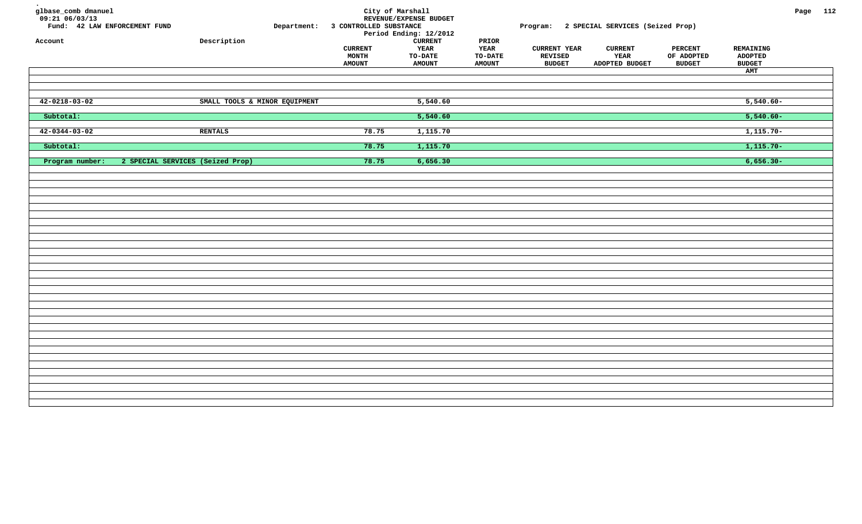| glbase_comb dmanuel<br>$09:21$ $06/03/13$<br>Fund: 42 LAW ENFORCEMENT FUND<br>Account |                                  | Description                   | Department: 3 CONTROLLED SUBSTANCE<br><b>CURRENT</b><br><b>MONTH</b><br><b>AMOUNT</b> | City of Marshall<br>REVENUE/EXPENSE BUDGET<br>Period Ending: 12/2012<br><b>CURRENT</b><br>YEAR<br>TO-DATE<br><b>AMOUNT</b> | $\tt PRIOR$<br>YEAR<br>TO-DATE<br><b>AMOUNT</b> | <b>CURRENT YEAR</b><br>REVISED<br><b>BUDGET</b> | Program: 2 SPECIAL SERVICES (Seized Prop)<br><b>CURRENT</b><br>YEAR<br>ADOPTED BUDGET | <b>PERCENT</b><br>OF ADOPTED<br><b>BUDGET</b> | REMAINING<br><b>ADOPTED</b><br><b>BUDGET</b> | Page 112 |  |
|---------------------------------------------------------------------------------------|----------------------------------|-------------------------------|---------------------------------------------------------------------------------------|----------------------------------------------------------------------------------------------------------------------------|-------------------------------------------------|-------------------------------------------------|---------------------------------------------------------------------------------------|-----------------------------------------------|----------------------------------------------|----------|--|
|                                                                                       |                                  |                               |                                                                                       |                                                                                                                            |                                                 |                                                 |                                                                                       |                                               | AMT                                          |          |  |
|                                                                                       |                                  |                               |                                                                                       |                                                                                                                            |                                                 |                                                 |                                                                                       |                                               |                                              |          |  |
|                                                                                       |                                  |                               |                                                                                       |                                                                                                                            |                                                 |                                                 |                                                                                       |                                               |                                              |          |  |
| $42 - 0218 - 03 - 02$                                                                 |                                  | SMALL TOOLS & MINOR EQUIPMENT |                                                                                       | 5,540.60                                                                                                                   |                                                 |                                                 |                                                                                       |                                               | $5,540.60 -$                                 |          |  |
| Subtotal:                                                                             |                                  |                               |                                                                                       | 5,540.60                                                                                                                   |                                                 |                                                 |                                                                                       |                                               | $5,540.60 -$                                 |          |  |
| $42 - 0344 - 03 - 02$                                                                 |                                  | <b>RENTALS</b>                | 78.75                                                                                 | 1,115.70                                                                                                                   |                                                 |                                                 |                                                                                       |                                               | $1,115.70-$                                  |          |  |
| Subtotal:                                                                             |                                  |                               | 78.75                                                                                 | 1,115.70                                                                                                                   |                                                 |                                                 |                                                                                       |                                               | $1,115.70-$                                  |          |  |
| Program number:                                                                       | 2 SPECIAL SERVICES (Seized Prop) |                               | 78.75                                                                                 | 6,656.30                                                                                                                   |                                                 |                                                 |                                                                                       |                                               | $6,656.30-$                                  |          |  |
|                                                                                       |                                  |                               |                                                                                       |                                                                                                                            |                                                 |                                                 |                                                                                       |                                               |                                              |          |  |
|                                                                                       |                                  |                               |                                                                                       |                                                                                                                            |                                                 |                                                 |                                                                                       |                                               |                                              |          |  |
|                                                                                       |                                  |                               |                                                                                       |                                                                                                                            |                                                 |                                                 |                                                                                       |                                               |                                              |          |  |
|                                                                                       |                                  |                               |                                                                                       |                                                                                                                            |                                                 |                                                 |                                                                                       |                                               |                                              |          |  |
|                                                                                       |                                  |                               |                                                                                       |                                                                                                                            |                                                 |                                                 |                                                                                       |                                               |                                              |          |  |
|                                                                                       |                                  |                               |                                                                                       |                                                                                                                            |                                                 |                                                 |                                                                                       |                                               |                                              |          |  |
|                                                                                       |                                  |                               |                                                                                       |                                                                                                                            |                                                 |                                                 |                                                                                       |                                               |                                              |          |  |
|                                                                                       |                                  |                               |                                                                                       |                                                                                                                            |                                                 |                                                 |                                                                                       |                                               |                                              |          |  |
|                                                                                       |                                  |                               |                                                                                       |                                                                                                                            |                                                 |                                                 |                                                                                       |                                               |                                              |          |  |
|                                                                                       |                                  |                               |                                                                                       |                                                                                                                            |                                                 |                                                 |                                                                                       |                                               |                                              |          |  |
|                                                                                       |                                  |                               |                                                                                       |                                                                                                                            |                                                 |                                                 |                                                                                       |                                               |                                              |          |  |
|                                                                                       |                                  |                               |                                                                                       |                                                                                                                            |                                                 |                                                 |                                                                                       |                                               |                                              |          |  |
|                                                                                       |                                  |                               |                                                                                       |                                                                                                                            |                                                 |                                                 |                                                                                       |                                               |                                              |          |  |
|                                                                                       |                                  |                               |                                                                                       |                                                                                                                            |                                                 |                                                 |                                                                                       |                                               |                                              |          |  |
|                                                                                       |                                  |                               |                                                                                       |                                                                                                                            |                                                 |                                                 |                                                                                       |                                               |                                              |          |  |
|                                                                                       |                                  |                               |                                                                                       |                                                                                                                            |                                                 |                                                 |                                                                                       |                                               |                                              |          |  |
|                                                                                       |                                  |                               |                                                                                       |                                                                                                                            |                                                 |                                                 |                                                                                       |                                               |                                              |          |  |
|                                                                                       |                                  |                               |                                                                                       |                                                                                                                            |                                                 |                                                 |                                                                                       |                                               |                                              |          |  |
|                                                                                       |                                  |                               |                                                                                       |                                                                                                                            |                                                 |                                                 |                                                                                       |                                               |                                              |          |  |
|                                                                                       |                                  |                               |                                                                                       |                                                                                                                            |                                                 |                                                 |                                                                                       |                                               |                                              |          |  |
|                                                                                       |                                  |                               |                                                                                       |                                                                                                                            |                                                 |                                                 |                                                                                       |                                               |                                              |          |  |
|                                                                                       |                                  |                               |                                                                                       |                                                                                                                            |                                                 |                                                 |                                                                                       |                                               |                                              |          |  |
|                                                                                       |                                  |                               |                                                                                       |                                                                                                                            |                                                 |                                                 |                                                                                       |                                               |                                              |          |  |
|                                                                                       |                                  |                               |                                                                                       |                                                                                                                            |                                                 |                                                 |                                                                                       |                                               |                                              |          |  |
|                                                                                       |                                  |                               |                                                                                       |                                                                                                                            |                                                 |                                                 |                                                                                       |                                               |                                              |          |  |
|                                                                                       |                                  |                               |                                                                                       |                                                                                                                            |                                                 |                                                 |                                                                                       |                                               |                                              |          |  |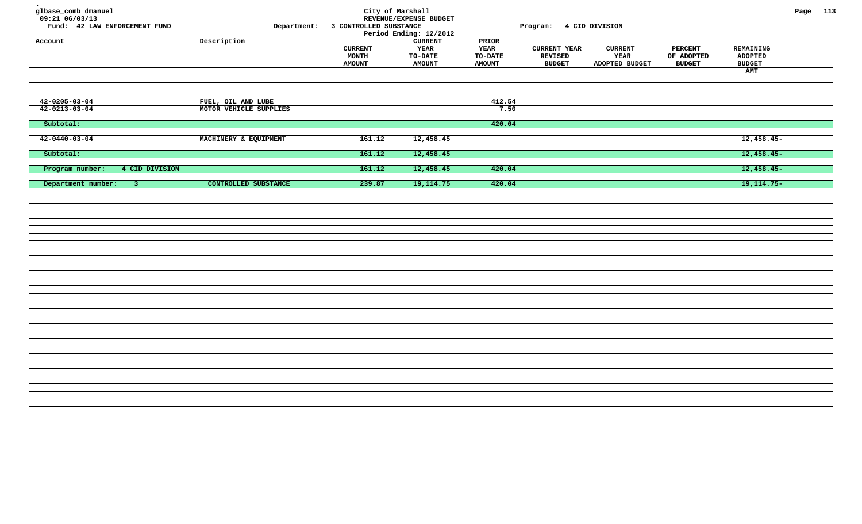| glbase_comb dmanuel<br>$09:21$ 06/03/13<br>Fund: 42 LAW ENFORCEMENT FUND<br>Account | Department:<br>Description                   | 3 CONTROLLED SUBSTANCE<br><b>CURRENT</b><br><b>MONTH</b><br><b>AMOUNT</b> | City of Marshall<br>REVENUE/EXPENSE BUDGET<br>Period Ending: 12/2012<br><b>CURRENT</b><br>YEAR<br>TO-DATE<br><b>AMOUNT</b> | PRIOR<br>YEAR<br>TO-DATE<br><b>AMOUNT</b> | Program: 4 CID DIVISION<br><b>CURRENT YEAR</b><br><b>REVISED</b><br><b>BUDGET</b> | <b>CURRENT</b><br>YEAR<br>ADOPTED BUDGET | <b>PERCENT</b><br>OF ADOPTED<br><b>BUDGET</b> | REMAINING<br><b>ADOPTED</b><br><b>BUDGET</b><br>AMT | Page 113 |  |
|-------------------------------------------------------------------------------------|----------------------------------------------|---------------------------------------------------------------------------|----------------------------------------------------------------------------------------------------------------------------|-------------------------------------------|-----------------------------------------------------------------------------------|------------------------------------------|-----------------------------------------------|-----------------------------------------------------|----------|--|
|                                                                                     |                                              |                                                                           |                                                                                                                            |                                           |                                                                                   |                                          |                                               |                                                     |          |  |
|                                                                                     |                                              |                                                                           |                                                                                                                            |                                           |                                                                                   |                                          |                                               |                                                     |          |  |
| $42 - 0205 - 03 - 04$<br>$42 - 0213 - 03 - 04$                                      | FUEL, OIL AND LUBE<br>MOTOR VEHICLE SUPPLIES |                                                                           |                                                                                                                            | 412.54<br>7.50                            |                                                                                   |                                          |                                               |                                                     |          |  |
| Subtotal:                                                                           |                                              |                                                                           |                                                                                                                            | 420.04                                    |                                                                                   |                                          |                                               |                                                     |          |  |
|                                                                                     |                                              |                                                                           |                                                                                                                            |                                           |                                                                                   |                                          |                                               |                                                     |          |  |
| $42 - 0440 - 03 - 04$                                                               | MACHINERY & EQUIPMENT                        | 161.12                                                                    | 12,458.45                                                                                                                  |                                           |                                                                                   |                                          |                                               | $12,458.45-$                                        |          |  |
| Subtotal:                                                                           |                                              | 161.12                                                                    | 12,458.45                                                                                                                  |                                           |                                                                                   |                                          |                                               | $12,458.45-$                                        |          |  |
| Program number:<br>4 CID DIVISION                                                   |                                              | 161.12                                                                    | 12,458.45                                                                                                                  | 420.04                                    |                                                                                   |                                          |                                               | $12,458.45-$                                        |          |  |
|                                                                                     |                                              |                                                                           |                                                                                                                            |                                           |                                                                                   |                                          |                                               |                                                     |          |  |
| Department number:<br>$\overline{3}$                                                | CONTROLLED SUBSTANCE                         | 239.87                                                                    | 19, 114.75                                                                                                                 | 420.04                                    |                                                                                   |                                          |                                               | $19,114.75-$                                        |          |  |
|                                                                                     |                                              |                                                                           |                                                                                                                            |                                           |                                                                                   |                                          |                                               |                                                     |          |  |
|                                                                                     |                                              |                                                                           |                                                                                                                            |                                           |                                                                                   |                                          |                                               |                                                     |          |  |
|                                                                                     |                                              |                                                                           |                                                                                                                            |                                           |                                                                                   |                                          |                                               |                                                     |          |  |
|                                                                                     |                                              |                                                                           |                                                                                                                            |                                           |                                                                                   |                                          |                                               |                                                     |          |  |
|                                                                                     |                                              |                                                                           |                                                                                                                            |                                           |                                                                                   |                                          |                                               |                                                     |          |  |
|                                                                                     |                                              |                                                                           |                                                                                                                            |                                           |                                                                                   |                                          |                                               |                                                     |          |  |
|                                                                                     |                                              |                                                                           |                                                                                                                            |                                           |                                                                                   |                                          |                                               |                                                     |          |  |
|                                                                                     |                                              |                                                                           |                                                                                                                            |                                           |                                                                                   |                                          |                                               |                                                     |          |  |
|                                                                                     |                                              |                                                                           |                                                                                                                            |                                           |                                                                                   |                                          |                                               |                                                     |          |  |
|                                                                                     |                                              |                                                                           |                                                                                                                            |                                           |                                                                                   |                                          |                                               |                                                     |          |  |
|                                                                                     |                                              |                                                                           |                                                                                                                            |                                           |                                                                                   |                                          |                                               |                                                     |          |  |
|                                                                                     |                                              |                                                                           |                                                                                                                            |                                           |                                                                                   |                                          |                                               |                                                     |          |  |
|                                                                                     |                                              |                                                                           |                                                                                                                            |                                           |                                                                                   |                                          |                                               |                                                     |          |  |
|                                                                                     |                                              |                                                                           |                                                                                                                            |                                           |                                                                                   |                                          |                                               |                                                     |          |  |
|                                                                                     |                                              |                                                                           |                                                                                                                            |                                           |                                                                                   |                                          |                                               |                                                     |          |  |
|                                                                                     |                                              |                                                                           |                                                                                                                            |                                           |                                                                                   |                                          |                                               |                                                     |          |  |
|                                                                                     |                                              |                                                                           |                                                                                                                            |                                           |                                                                                   |                                          |                                               |                                                     |          |  |
|                                                                                     |                                              |                                                                           |                                                                                                                            |                                           |                                                                                   |                                          |                                               |                                                     |          |  |
|                                                                                     |                                              |                                                                           |                                                                                                                            |                                           |                                                                                   |                                          |                                               |                                                     |          |  |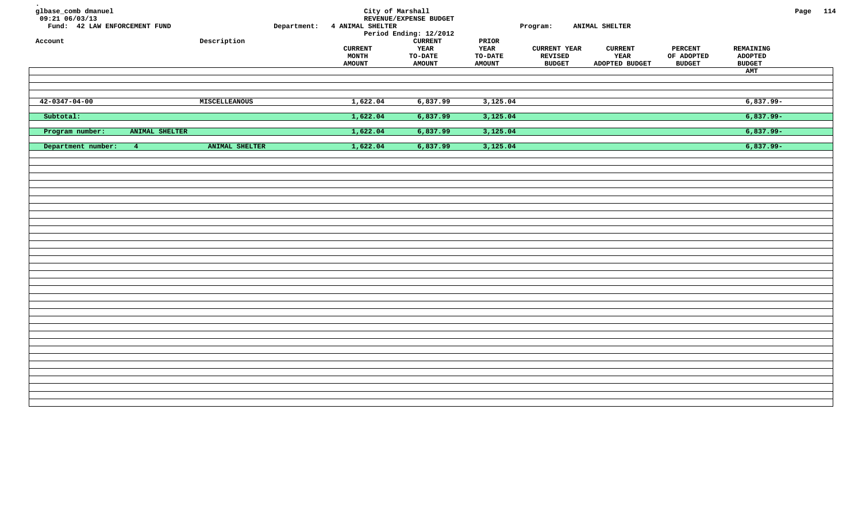| ${\tt Description}$                                    |               |                         | <b>CURRENT</b>                           | PRIOR                                                                                                                         |                                          |                           |                                                           |                             |                               | Page 114 |
|--------------------------------------------------------|---------------|-------------------------|------------------------------------------|-------------------------------------------------------------------------------------------------------------------------------|------------------------------------------|---------------------------|-----------------------------------------------------------|-----------------------------|-------------------------------|----------|
|                                                        |               | <b>CURRENT</b><br>MONTH | <b>TO-DATE</b>                           | <b>TO-DATE</b>                                                                                                                | <b>CURRENT YEAR</b><br><b>REVISED</b>    | YEAR                      | <b>PERCENT</b><br>OF ADOPTED                              | REMAINING<br><b>ADOPTED</b> |                               |          |
|                                                        |               |                         |                                          |                                                                                                                               |                                          |                           |                                                           | AMT                         |                               |          |
|                                                        |               |                         |                                          |                                                                                                                               |                                          |                           |                                                           |                             |                               |          |
|                                                        |               |                         |                                          |                                                                                                                               |                                          |                           |                                                           |                             |                               |          |
|                                                        |               |                         |                                          |                                                                                                                               |                                          |                           |                                                           |                             |                               |          |
|                                                        |               | 1,622.04                | 6,837.99                                 | 3,125.04                                                                                                                      |                                          |                           |                                                           | $6,837.99 -$                |                               |          |
|                                                        |               | 1,622.04                | 6,837.99                                 | 3,125.04                                                                                                                      |                                          |                           |                                                           | $6,837.99 -$                |                               |          |
| ANIMAL SHELTER                                         |               | 1,622.04                | 6,837.99                                 | 3,125.04                                                                                                                      |                                          |                           |                                                           | $6,837.99 -$                |                               |          |
|                                                        |               |                         |                                          |                                                                                                                               |                                          |                           |                                                           |                             |                               |          |
|                                                        |               |                         |                                          |                                                                                                                               |                                          |                           |                                                           |                             |                               |          |
|                                                        |               |                         |                                          |                                                                                                                               |                                          |                           |                                                           |                             |                               |          |
|                                                        |               |                         |                                          |                                                                                                                               |                                          |                           |                                                           |                             |                               |          |
|                                                        |               |                         |                                          |                                                                                                                               |                                          |                           |                                                           |                             |                               |          |
|                                                        |               |                         |                                          |                                                                                                                               |                                          |                           |                                                           |                             |                               |          |
|                                                        |               |                         |                                          |                                                                                                                               |                                          |                           |                                                           |                             |                               |          |
|                                                        |               |                         |                                          |                                                                                                                               |                                          |                           |                                                           |                             |                               |          |
|                                                        |               |                         |                                          |                                                                                                                               |                                          |                           |                                                           |                             |                               |          |
|                                                        |               |                         |                                          |                                                                                                                               |                                          |                           |                                                           |                             |                               |          |
|                                                        |               |                         |                                          |                                                                                                                               |                                          |                           |                                                           |                             |                               |          |
|                                                        |               |                         |                                          |                                                                                                                               |                                          |                           |                                                           |                             |                               |          |
|                                                        |               |                         |                                          |                                                                                                                               |                                          |                           |                                                           |                             |                               |          |
|                                                        |               |                         |                                          |                                                                                                                               |                                          |                           |                                                           |                             |                               |          |
|                                                        |               |                         |                                          |                                                                                                                               |                                          |                           |                                                           |                             |                               |          |
|                                                        |               |                         |                                          |                                                                                                                               |                                          |                           |                                                           |                             |                               |          |
|                                                        |               |                         |                                          |                                                                                                                               |                                          |                           |                                                           |                             |                               |          |
|                                                        |               |                         |                                          |                                                                                                                               |                                          |                           |                                                           |                             |                               |          |
|                                                        |               |                         |                                          |                                                                                                                               |                                          |                           |                                                           |                             |                               |          |
|                                                        |               |                         |                                          |                                                                                                                               |                                          |                           |                                                           |                             |                               |          |
|                                                        |               |                         |                                          |                                                                                                                               |                                          |                           |                                                           |                             |                               |          |
|                                                        |               |                         |                                          |                                                                                                                               |                                          |                           |                                                           |                             |                               |          |
|                                                        |               |                         |                                          |                                                                                                                               |                                          |                           |                                                           |                             |                               |          |
| Fund: 42 LAW ENFORCEMENT FUND<br><b>ANIMAL SHELTER</b> | MISCELLEANOUS |                         | Department:<br><b>AMOUNT</b><br>1,622.04 | City of Marshall<br>REVENUE/EXPENSE BUDGET<br>4 ANIMAL SHELTER<br>Period Ending: 12/2012<br>YEAR<br><b>AMOUNT</b><br>6,837.99 | <b>YEAR</b><br><b>AMOUNT</b><br>3,125.04 | Program:<br><b>BUDGET</b> | <b>ANIMAL SHELTER</b><br><b>CURRENT</b><br>ADOPTED BUDGET | <b>BUDGET</b>               | <b>BUDGET</b><br>$6,837.99 -$ |          |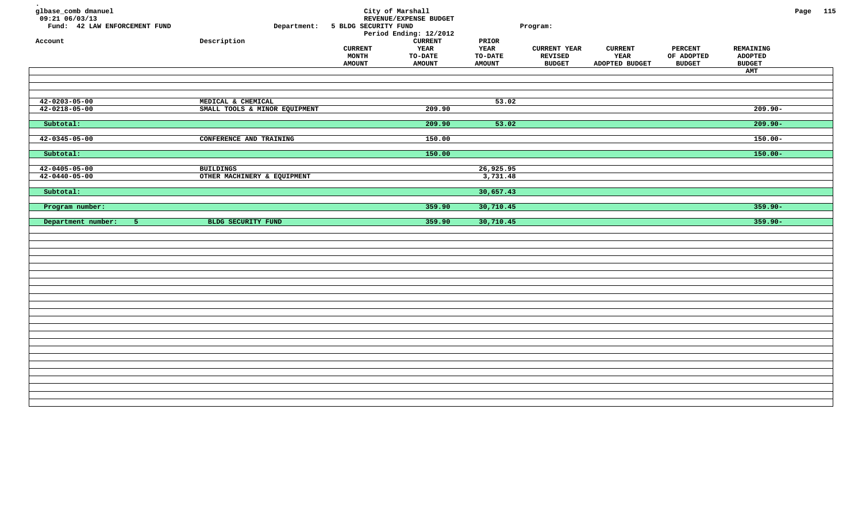| glbase_comb dmanuel<br>09:21 06/03/13<br>Fund: 42 LAW ENFORCEMENT FUND<br>Account | Department:<br>Description                      | 5 BLDG SECURITY FUND<br><b>CURRENT</b><br><b>MONTH</b><br><b>AMOUNT</b> | City of Marshall<br>REVENUE/EXPENSE BUDGET<br>Period Ending: 12/2012<br><b>CURRENT</b><br>YEAR<br><b>TO-DATE</b><br><b>AMOUNT</b> | PRIOR<br>YEAR<br><b>TO-DATE</b><br><b>AMOUNT</b> | Program:<br><b>CURRENT YEAR</b><br>REVISED<br><b>BUDGET</b> | <b>CURRENT</b><br>YEAR<br>ADOPTED BUDGET | <b>PERCENT</b><br>OF ADOPTED<br><b>BUDGET</b> | REMAINING<br><b>ADOPTED</b><br><b>BUDGET</b><br>AMT | Page 115 |  |
|-----------------------------------------------------------------------------------|-------------------------------------------------|-------------------------------------------------------------------------|-----------------------------------------------------------------------------------------------------------------------------------|--------------------------------------------------|-------------------------------------------------------------|------------------------------------------|-----------------------------------------------|-----------------------------------------------------|----------|--|
|                                                                                   |                                                 |                                                                         |                                                                                                                                   |                                                  |                                                             |                                          |                                               |                                                     |          |  |
| $42 - 0203 - 05 - 00$                                                             | MEDICAL & CHEMICAL                              |                                                                         |                                                                                                                                   | 53.02                                            |                                                             |                                          |                                               |                                                     |          |  |
| $42 - 0218 - 05 - 00$                                                             | SMALL TOOLS & MINOR EQUIPMENT                   |                                                                         | 209.90                                                                                                                            |                                                  |                                                             |                                          |                                               | $209.90 -$                                          |          |  |
| Subtotal:                                                                         |                                                 |                                                                         | 209.90                                                                                                                            | 53.02                                            |                                                             |                                          |                                               | $209.90 -$                                          |          |  |
| $42 - 0345 - 05 - 00$                                                             | CONFERENCE AND TRAINING                         |                                                                         | 150.00                                                                                                                            |                                                  |                                                             |                                          |                                               | $150.00 -$                                          |          |  |
| Subtotal:                                                                         |                                                 |                                                                         | 150.00                                                                                                                            |                                                  |                                                             |                                          |                                               | $150.00 -$                                          |          |  |
|                                                                                   |                                                 |                                                                         |                                                                                                                                   |                                                  |                                                             |                                          |                                               |                                                     |          |  |
| $42 - 0405 - 05 - 00$<br>$42 - 0440 - 05 - 00$                                    | <b>BUILDINGS</b><br>OTHER MACHINERY & EQUIPMENT |                                                                         |                                                                                                                                   | 26,925.95<br>3,731.48                            |                                                             |                                          |                                               |                                                     |          |  |
| Subtotal:                                                                         |                                                 |                                                                         |                                                                                                                                   | 30,657.43                                        |                                                             |                                          |                                               |                                                     |          |  |
|                                                                                   |                                                 |                                                                         |                                                                                                                                   |                                                  |                                                             |                                          |                                               |                                                     |          |  |
| Program number:                                                                   |                                                 |                                                                         | 359.90                                                                                                                            | 30,710.45                                        |                                                             |                                          |                                               | $359.90 -$                                          |          |  |
| Department number:<br>$-5$                                                        | BLDG SECURITY FUND                              |                                                                         | 359.90                                                                                                                            | 30,710.45                                        |                                                             |                                          |                                               | $359.90 -$                                          |          |  |
|                                                                                   |                                                 |                                                                         |                                                                                                                                   |                                                  |                                                             |                                          |                                               |                                                     |          |  |
|                                                                                   |                                                 |                                                                         |                                                                                                                                   |                                                  |                                                             |                                          |                                               |                                                     |          |  |
|                                                                                   |                                                 |                                                                         |                                                                                                                                   |                                                  |                                                             |                                          |                                               |                                                     |          |  |
|                                                                                   |                                                 |                                                                         |                                                                                                                                   |                                                  |                                                             |                                          |                                               |                                                     |          |  |
|                                                                                   |                                                 |                                                                         |                                                                                                                                   |                                                  |                                                             |                                          |                                               |                                                     |          |  |
|                                                                                   |                                                 |                                                                         |                                                                                                                                   |                                                  |                                                             |                                          |                                               |                                                     |          |  |
|                                                                                   |                                                 |                                                                         |                                                                                                                                   |                                                  |                                                             |                                          |                                               |                                                     |          |  |
|                                                                                   |                                                 |                                                                         |                                                                                                                                   |                                                  |                                                             |                                          |                                               |                                                     |          |  |
|                                                                                   |                                                 |                                                                         |                                                                                                                                   |                                                  |                                                             |                                          |                                               |                                                     |          |  |
|                                                                                   |                                                 |                                                                         |                                                                                                                                   |                                                  |                                                             |                                          |                                               |                                                     |          |  |
|                                                                                   |                                                 |                                                                         |                                                                                                                                   |                                                  |                                                             |                                          |                                               |                                                     |          |  |
|                                                                                   |                                                 |                                                                         |                                                                                                                                   |                                                  |                                                             |                                          |                                               |                                                     |          |  |
|                                                                                   |                                                 |                                                                         |                                                                                                                                   |                                                  |                                                             |                                          |                                               |                                                     |          |  |
|                                                                                   |                                                 |                                                                         |                                                                                                                                   |                                                  |                                                             |                                          |                                               |                                                     |          |  |
|                                                                                   |                                                 |                                                                         |                                                                                                                                   |                                                  |                                                             |                                          |                                               |                                                     |          |  |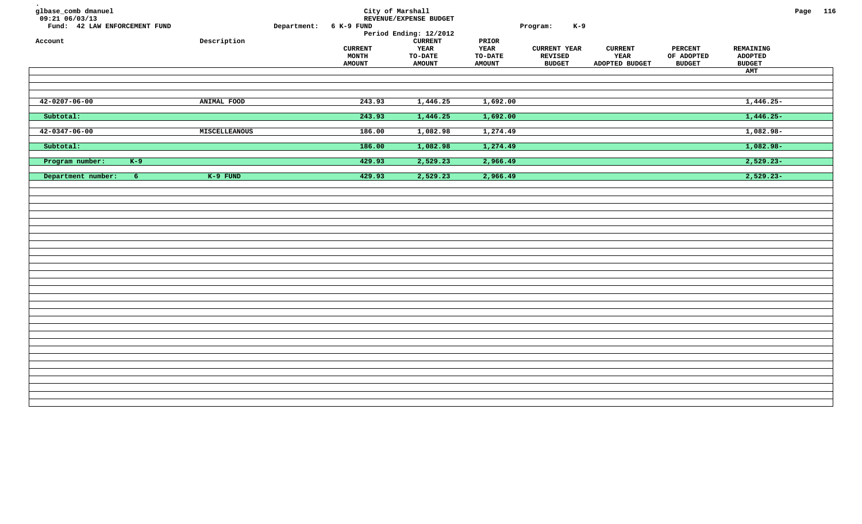| glbase_comb dmanuel<br>$09:21$ 06/03/13<br>Fund: 42 LAW ENFORCEMENT FUND<br>Account | ${\tt Description}$ | Department: | 6 K-9 FUND<br><b>CURRENT</b><br>MONTH<br><b>AMOUNT</b> | City of Marshall<br>REVENUE/EXPENSE BUDGET<br>Period Ending: 12/2012<br><b>CURRENT</b><br><b>YEAR</b><br><b>TO-DATE</b><br><b>AMOUNT</b> | PRIOR<br><b>YEAR</b><br><b>TO-DATE</b><br><b>AMOUNT</b> | $K-9$<br>Program:<br><b>CURRENT YEAR</b><br>REVISED<br><b>BUDGET</b> | <b>CURRENT</b><br>YEAR<br>ADOPTED BUDGET | <b>PERCENT</b><br>OF ADOPTED<br><b>BUDGET</b> | REMAINING<br><b>ADOPTED</b><br><b>BUDGET</b><br>AMT | Page 116 |  |
|-------------------------------------------------------------------------------------|---------------------|-------------|--------------------------------------------------------|------------------------------------------------------------------------------------------------------------------------------------------|---------------------------------------------------------|----------------------------------------------------------------------|------------------------------------------|-----------------------------------------------|-----------------------------------------------------|----------|--|
| $42 - 0207 - 06 - 00$                                                               | ANIMAL FOOD         |             | 243.93                                                 | 1,446.25                                                                                                                                 | 1,692.00                                                |                                                                      |                                          |                                               | $1,446.25-$                                         |          |  |
| Subtotal:                                                                           |                     |             | 243.93                                                 | 1,446.25                                                                                                                                 | 1,692.00                                                |                                                                      |                                          |                                               | $1,446.25-$                                         |          |  |
| $42 - 0347 - 06 - 00$                                                               | MISCELLEANOUS       |             | 186.00                                                 | 1,082.98                                                                                                                                 | 1,274.49                                                |                                                                      |                                          |                                               | $1,082.98-$                                         |          |  |
| Subtotal:                                                                           |                     |             | 186.00                                                 | 1,082.98                                                                                                                                 | 1,274.49                                                |                                                                      |                                          |                                               | $1,082.98 -$                                        |          |  |
| $K-9$<br>Program number:                                                            |                     |             | 429.93                                                 | 2,529.23                                                                                                                                 | 2,966.49                                                |                                                                      |                                          |                                               | $2,529.23-$                                         |          |  |
| Department number:<br>6 <sup>1</sup>                                                | $K-9$ FUND          |             | 429.93                                                 | 2,529.23                                                                                                                                 | 2,966.49                                                |                                                                      |                                          |                                               | $2,529.23-$                                         |          |  |
|                                                                                     |                     |             |                                                        |                                                                                                                                          |                                                         |                                                                      |                                          |                                               |                                                     |          |  |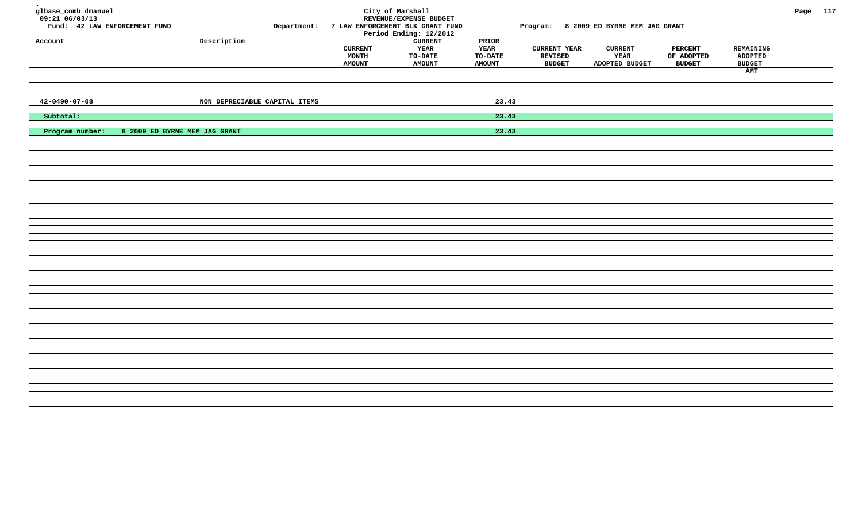| glbase_comb dmanuel<br>$09:21$ <sup>-06/03/13</sup><br>Fund: 42 LAW ENFORCEMENT FUND<br>Account | Description                   | Department: | <b>CURRENT</b><br><b>MONTH</b><br><b>AMOUNT</b> | City of Marshall<br>REVENUE/EXPENSE BUDGET<br>7 LAW ENFORCEMENT BLK GRANT FUND<br>Period Ending: 12/2012<br><b>CURRENT</b><br><b>YEAR</b><br>TO-DATE<br><b>AMOUNT</b> | $\tt PRIOR$<br>YEAR<br>TO-DATE<br><b>AMOUNT</b> | Program: 8 2009 ED BYRNE MEM JAG GRANT<br><b>CURRENT YEAR</b><br>REVISED<br><b>BUDGET</b> | <b>CURRENT</b><br>YEAR<br>ADOPTED BUDGET | <b>PERCENT</b><br>OF ADOPTED<br><b>BUDGET</b> | REMAINING<br><b>ADOPTED</b><br><b>BUDGET</b><br>AMT | Page 117 |  |
|-------------------------------------------------------------------------------------------------|-------------------------------|-------------|-------------------------------------------------|-----------------------------------------------------------------------------------------------------------------------------------------------------------------------|-------------------------------------------------|-------------------------------------------------------------------------------------------|------------------------------------------|-----------------------------------------------|-----------------------------------------------------|----------|--|
| $42 - 0490 - 07 - 08$                                                                           | NON DEPRECIABLE CAPITAL ITEMS |             |                                                 |                                                                                                                                                                       | 23.43                                           |                                                                                           |                                          |                                               |                                                     |          |  |
| Subtotal:                                                                                       |                               |             |                                                 |                                                                                                                                                                       | 23.43                                           |                                                                                           |                                          |                                               |                                                     |          |  |
| Program number:<br>8 2009 ED BYRNE MEM JAG GRANT                                                |                               |             |                                                 |                                                                                                                                                                       | 23.43                                           |                                                                                           |                                          |                                               |                                                     |          |  |
|                                                                                                 |                               |             |                                                 |                                                                                                                                                                       |                                                 |                                                                                           |                                          |                                               |                                                     |          |  |
|                                                                                                 |                               |             |                                                 |                                                                                                                                                                       |                                                 |                                                                                           |                                          |                                               |                                                     |          |  |
|                                                                                                 |                               |             |                                                 |                                                                                                                                                                       |                                                 |                                                                                           |                                          |                                               |                                                     |          |  |
|                                                                                                 |                               |             |                                                 |                                                                                                                                                                       |                                                 |                                                                                           |                                          |                                               |                                                     |          |  |
|                                                                                                 |                               |             |                                                 |                                                                                                                                                                       |                                                 |                                                                                           |                                          |                                               |                                                     |          |  |
|                                                                                                 |                               |             |                                                 |                                                                                                                                                                       |                                                 |                                                                                           |                                          |                                               |                                                     |          |  |
|                                                                                                 |                               |             |                                                 |                                                                                                                                                                       |                                                 |                                                                                           |                                          |                                               |                                                     |          |  |
|                                                                                                 |                               |             |                                                 |                                                                                                                                                                       |                                                 |                                                                                           |                                          |                                               |                                                     |          |  |
|                                                                                                 |                               |             |                                                 |                                                                                                                                                                       |                                                 |                                                                                           |                                          |                                               |                                                     |          |  |
|                                                                                                 |                               |             |                                                 |                                                                                                                                                                       |                                                 |                                                                                           |                                          |                                               |                                                     |          |  |
|                                                                                                 |                               |             |                                                 |                                                                                                                                                                       |                                                 |                                                                                           |                                          |                                               |                                                     |          |  |
|                                                                                                 |                               |             |                                                 |                                                                                                                                                                       |                                                 |                                                                                           |                                          |                                               |                                                     |          |  |
|                                                                                                 |                               |             |                                                 |                                                                                                                                                                       |                                                 |                                                                                           |                                          |                                               |                                                     |          |  |
|                                                                                                 |                               |             |                                                 |                                                                                                                                                                       |                                                 |                                                                                           |                                          |                                               |                                                     |          |  |
|                                                                                                 |                               |             |                                                 |                                                                                                                                                                       |                                                 |                                                                                           |                                          |                                               |                                                     |          |  |
|                                                                                                 |                               |             |                                                 |                                                                                                                                                                       |                                                 |                                                                                           |                                          |                                               |                                                     |          |  |
|                                                                                                 |                               |             |                                                 |                                                                                                                                                                       |                                                 |                                                                                           |                                          |                                               |                                                     |          |  |
|                                                                                                 |                               |             |                                                 |                                                                                                                                                                       |                                                 |                                                                                           |                                          |                                               |                                                     |          |  |
|                                                                                                 |                               |             |                                                 |                                                                                                                                                                       |                                                 |                                                                                           |                                          |                                               |                                                     |          |  |
|                                                                                                 |                               |             |                                                 |                                                                                                                                                                       |                                                 |                                                                                           |                                          |                                               |                                                     |          |  |
|                                                                                                 |                               |             |                                                 |                                                                                                                                                                       |                                                 |                                                                                           |                                          |                                               |                                                     |          |  |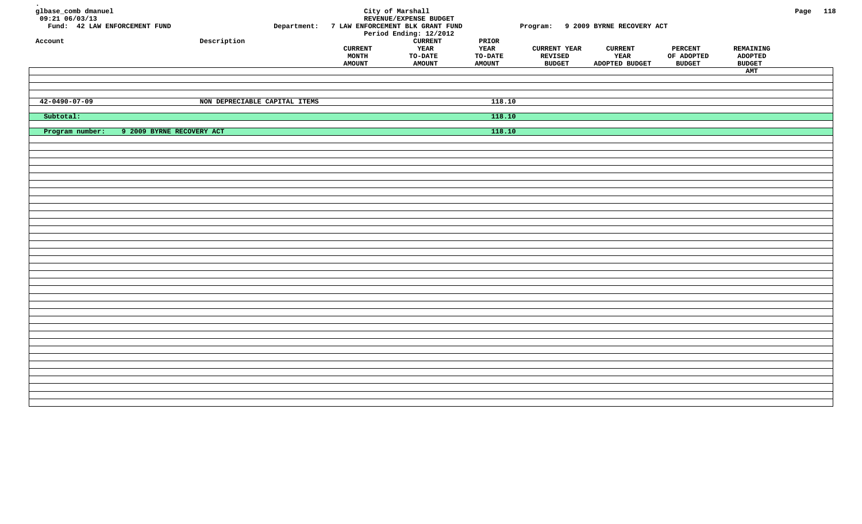| glbase_comb dmanuel<br>$09:21$ <sup>-06/03/13</sup><br>Fund: 42 LAW ENFORCEMENT FUND<br>Account |                           | ${\tt Description}$           | Department: | <b>CURRENT</b><br>MONTH<br><b>AMOUNT</b> | City of Marshall<br>REVENUE/EXPENSE BUDGET<br>7 LAW ENFORCEMENT BLK GRANT FUND<br>Period Ending: 12/2012<br><b>CURRENT</b><br><b>YEAR</b><br>TO-DATE<br><b>AMOUNT</b> | $\tt PRIOR$<br>YEAR<br>TO-DATE<br><b>AMOUNT</b> | Program: 9 2009 BYRNE RECOVERY ACT<br><b>CURRENT YEAR</b><br>REVISED<br><b>BUDGET</b> | <b>CURRENT</b><br>YEAR<br>ADOPTED BUDGET | <b>PERCENT</b><br>OF ADOPTED<br><b>BUDGET</b> | REMAINING<br>ADOPTED<br><b>BUDGET</b><br>AMT | Page 118 |  |
|-------------------------------------------------------------------------------------------------|---------------------------|-------------------------------|-------------|------------------------------------------|-----------------------------------------------------------------------------------------------------------------------------------------------------------------------|-------------------------------------------------|---------------------------------------------------------------------------------------|------------------------------------------|-----------------------------------------------|----------------------------------------------|----------|--|
| $42 - 0490 - 07 - 09$                                                                           |                           | NON DEPRECIABLE CAPITAL ITEMS |             |                                          |                                                                                                                                                                       | 118.10                                          |                                                                                       |                                          |                                               |                                              |          |  |
| Subtotal:                                                                                       |                           |                               |             |                                          |                                                                                                                                                                       | 118.10                                          |                                                                                       |                                          |                                               |                                              |          |  |
| Program number:                                                                                 | 9 2009 BYRNE RECOVERY ACT |                               |             |                                          |                                                                                                                                                                       | 118.10                                          |                                                                                       |                                          |                                               |                                              |          |  |
|                                                                                                 |                           |                               |             |                                          |                                                                                                                                                                       |                                                 |                                                                                       |                                          |                                               |                                              |          |  |
|                                                                                                 |                           |                               |             |                                          |                                                                                                                                                                       |                                                 |                                                                                       |                                          |                                               |                                              |          |  |
|                                                                                                 |                           |                               |             |                                          |                                                                                                                                                                       |                                                 |                                                                                       |                                          |                                               |                                              |          |  |
|                                                                                                 |                           |                               |             |                                          |                                                                                                                                                                       |                                                 |                                                                                       |                                          |                                               |                                              |          |  |
|                                                                                                 |                           |                               |             |                                          |                                                                                                                                                                       |                                                 |                                                                                       |                                          |                                               |                                              |          |  |
|                                                                                                 |                           |                               |             |                                          |                                                                                                                                                                       |                                                 |                                                                                       |                                          |                                               |                                              |          |  |
|                                                                                                 |                           |                               |             |                                          |                                                                                                                                                                       |                                                 |                                                                                       |                                          |                                               |                                              |          |  |
|                                                                                                 |                           |                               |             |                                          |                                                                                                                                                                       |                                                 |                                                                                       |                                          |                                               |                                              |          |  |
|                                                                                                 |                           |                               |             |                                          |                                                                                                                                                                       |                                                 |                                                                                       |                                          |                                               |                                              |          |  |
|                                                                                                 |                           |                               |             |                                          |                                                                                                                                                                       |                                                 |                                                                                       |                                          |                                               |                                              |          |  |
|                                                                                                 |                           |                               |             |                                          |                                                                                                                                                                       |                                                 |                                                                                       |                                          |                                               |                                              |          |  |
|                                                                                                 |                           |                               |             |                                          |                                                                                                                                                                       |                                                 |                                                                                       |                                          |                                               |                                              |          |  |
|                                                                                                 |                           |                               |             |                                          |                                                                                                                                                                       |                                                 |                                                                                       |                                          |                                               |                                              |          |  |
|                                                                                                 |                           |                               |             |                                          |                                                                                                                                                                       |                                                 |                                                                                       |                                          |                                               |                                              |          |  |
|                                                                                                 |                           |                               |             |                                          |                                                                                                                                                                       |                                                 |                                                                                       |                                          |                                               |                                              |          |  |
|                                                                                                 |                           |                               |             |                                          |                                                                                                                                                                       |                                                 |                                                                                       |                                          |                                               |                                              |          |  |
|                                                                                                 |                           |                               |             |                                          |                                                                                                                                                                       |                                                 |                                                                                       |                                          |                                               |                                              |          |  |
|                                                                                                 |                           |                               |             |                                          |                                                                                                                                                                       |                                                 |                                                                                       |                                          |                                               |                                              |          |  |
|                                                                                                 |                           |                               |             |                                          |                                                                                                                                                                       |                                                 |                                                                                       |                                          |                                               |                                              |          |  |
|                                                                                                 |                           |                               |             |                                          |                                                                                                                                                                       |                                                 |                                                                                       |                                          |                                               |                                              |          |  |
|                                                                                                 |                           |                               |             |                                          |                                                                                                                                                                       |                                                 |                                                                                       |                                          |                                               |                                              |          |  |
|                                                                                                 |                           |                               |             |                                          |                                                                                                                                                                       |                                                 |                                                                                       |                                          |                                               |                                              |          |  |
|                                                                                                 |                           |                               |             |                                          |                                                                                                                                                                       |                                                 |                                                                                       |                                          |                                               |                                              |          |  |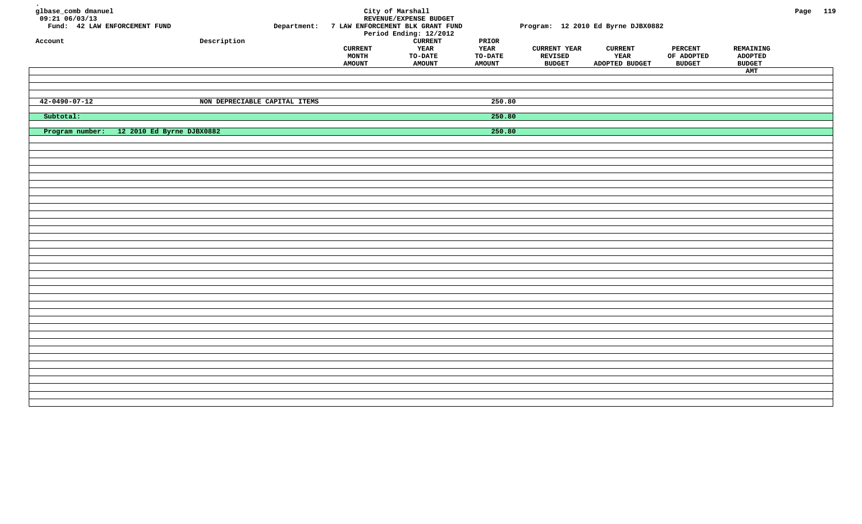| glbase_comb dmanuel<br>$09:21$ <sup>-06/03/13</sup><br>Fund: 42 LAW ENFORCEMENT FUND<br>Account |                                           | ${\tt Description}$           | Department: | <b>CURRENT</b><br>MONTH<br><b>AMOUNT</b> | City of Marshall<br>REVENUE/EXPENSE BUDGET<br>7 LAW ENFORCEMENT BLK GRANT FUND<br>Period Ending: 12/2012<br><b>CURRENT</b><br><b>YEAR</b><br>TO-DATE<br><b>AMOUNT</b> | $\tt PRIOR$<br>YEAR<br>TO-DATE<br><b>AMOUNT</b> | <b>CURRENT YEAR</b><br>REVISED<br><b>BUDGET</b> | Program: 12 2010 Ed Byrne DJBX0882<br><b>CURRENT</b><br>YEAR<br>ADOPTED BUDGET | <b>PERCENT</b><br>OF ADOPTED<br><b>BUDGET</b> | REMAINING<br>ADOPTED<br><b>BUDGET</b> | Page 119 |  |
|-------------------------------------------------------------------------------------------------|-------------------------------------------|-------------------------------|-------------|------------------------------------------|-----------------------------------------------------------------------------------------------------------------------------------------------------------------------|-------------------------------------------------|-------------------------------------------------|--------------------------------------------------------------------------------|-----------------------------------------------|---------------------------------------|----------|--|
|                                                                                                 |                                           |                               |             |                                          |                                                                                                                                                                       |                                                 |                                                 |                                                                                |                                               | AMT                                   |          |  |
|                                                                                                 |                                           |                               |             |                                          |                                                                                                                                                                       |                                                 |                                                 |                                                                                |                                               |                                       |          |  |
|                                                                                                 |                                           |                               |             |                                          |                                                                                                                                                                       |                                                 |                                                 |                                                                                |                                               |                                       |          |  |
| $42 - 0490 - 07 - 12$                                                                           |                                           | NON DEPRECIABLE CAPITAL ITEMS |             |                                          |                                                                                                                                                                       | 250.80                                          |                                                 |                                                                                |                                               |                                       |          |  |
| Subtotal:                                                                                       |                                           |                               |             |                                          |                                                                                                                                                                       | 250.80                                          |                                                 |                                                                                |                                               |                                       |          |  |
|                                                                                                 | Program number: 12 2010 Ed Byrne DJBX0882 |                               |             |                                          |                                                                                                                                                                       | 250.80                                          |                                                 |                                                                                |                                               |                                       |          |  |
|                                                                                                 |                                           |                               |             |                                          |                                                                                                                                                                       |                                                 |                                                 |                                                                                |                                               |                                       |          |  |
|                                                                                                 |                                           |                               |             |                                          |                                                                                                                                                                       |                                                 |                                                 |                                                                                |                                               |                                       |          |  |
|                                                                                                 |                                           |                               |             |                                          |                                                                                                                                                                       |                                                 |                                                 |                                                                                |                                               |                                       |          |  |
|                                                                                                 |                                           |                               |             |                                          |                                                                                                                                                                       |                                                 |                                                 |                                                                                |                                               |                                       |          |  |
|                                                                                                 |                                           |                               |             |                                          |                                                                                                                                                                       |                                                 |                                                 |                                                                                |                                               |                                       |          |  |
|                                                                                                 |                                           |                               |             |                                          |                                                                                                                                                                       |                                                 |                                                 |                                                                                |                                               |                                       |          |  |
|                                                                                                 |                                           |                               |             |                                          |                                                                                                                                                                       |                                                 |                                                 |                                                                                |                                               |                                       |          |  |
|                                                                                                 |                                           |                               |             |                                          |                                                                                                                                                                       |                                                 |                                                 |                                                                                |                                               |                                       |          |  |
|                                                                                                 |                                           |                               |             |                                          |                                                                                                                                                                       |                                                 |                                                 |                                                                                |                                               |                                       |          |  |
|                                                                                                 |                                           |                               |             |                                          |                                                                                                                                                                       |                                                 |                                                 |                                                                                |                                               |                                       |          |  |
|                                                                                                 |                                           |                               |             |                                          |                                                                                                                                                                       |                                                 |                                                 |                                                                                |                                               |                                       |          |  |
|                                                                                                 |                                           |                               |             |                                          |                                                                                                                                                                       |                                                 |                                                 |                                                                                |                                               |                                       |          |  |
|                                                                                                 |                                           |                               |             |                                          |                                                                                                                                                                       |                                                 |                                                 |                                                                                |                                               |                                       |          |  |
|                                                                                                 |                                           |                               |             |                                          |                                                                                                                                                                       |                                                 |                                                 |                                                                                |                                               |                                       |          |  |
|                                                                                                 |                                           |                               |             |                                          |                                                                                                                                                                       |                                                 |                                                 |                                                                                |                                               |                                       |          |  |
|                                                                                                 |                                           |                               |             |                                          |                                                                                                                                                                       |                                                 |                                                 |                                                                                |                                               |                                       |          |  |
|                                                                                                 |                                           |                               |             |                                          |                                                                                                                                                                       |                                                 |                                                 |                                                                                |                                               |                                       |          |  |
|                                                                                                 |                                           |                               |             |                                          |                                                                                                                                                                       |                                                 |                                                 |                                                                                |                                               |                                       |          |  |
|                                                                                                 |                                           |                               |             |                                          |                                                                                                                                                                       |                                                 |                                                 |                                                                                |                                               |                                       |          |  |
|                                                                                                 |                                           |                               |             |                                          |                                                                                                                                                                       |                                                 |                                                 |                                                                                |                                               |                                       |          |  |
|                                                                                                 |                                           |                               |             |                                          |                                                                                                                                                                       |                                                 |                                                 |                                                                                |                                               |                                       |          |  |
|                                                                                                 |                                           |                               |             |                                          |                                                                                                                                                                       |                                                 |                                                 |                                                                                |                                               |                                       |          |  |
|                                                                                                 |                                           |                               |             |                                          |                                                                                                                                                                       |                                                 |                                                 |                                                                                |                                               |                                       |          |  |
|                                                                                                 |                                           |                               |             |                                          |                                                                                                                                                                       |                                                 |                                                 |                                                                                |                                               |                                       |          |  |
|                                                                                                 |                                           |                               |             |                                          |                                                                                                                                                                       |                                                 |                                                 |                                                                                |                                               |                                       |          |  |
|                                                                                                 |                                           |                               |             |                                          |                                                                                                                                                                       |                                                 |                                                 |                                                                                |                                               |                                       |          |  |
|                                                                                                 |                                           |                               |             |                                          |                                                                                                                                                                       |                                                 |                                                 |                                                                                |                                               |                                       |          |  |
|                                                                                                 |                                           |                               |             |                                          |                                                                                                                                                                       |                                                 |                                                 |                                                                                |                                               |                                       |          |  |
|                                                                                                 |                                           |                               |             |                                          |                                                                                                                                                                       |                                                 |                                                 |                                                                                |                                               |                                       |          |  |
|                                                                                                 |                                           |                               |             |                                          |                                                                                                                                                                       |                                                 |                                                 |                                                                                |                                               |                                       |          |  |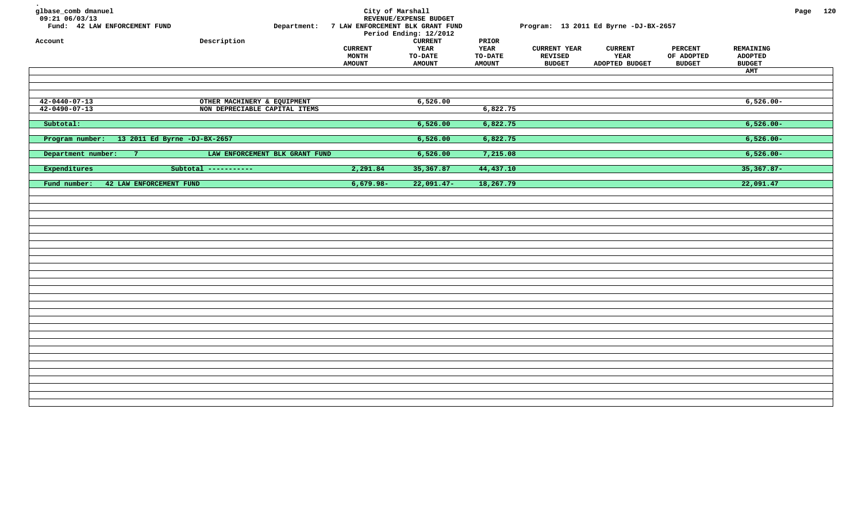| glbase_comb dmanuel<br>09:21 06/03/13<br>Fund: 42 LAW ENFORCEMENT FUND<br>Account | Department:<br>Description     | <b>CURRENT</b><br><b>MONTH</b><br><b>AMOUNT</b> | City of Marshall<br>REVENUE/EXPENSE BUDGET<br>7 LAW ENFORCEMENT BLK GRANT FUND<br>Period Ending: 12/2012<br><b>CURRENT</b><br>YEAR<br><b>TO-DATE</b><br><b>AMOUNT</b> | PRIOR<br>YEAR<br><b>TO-DATE</b><br><b>AMOUNT</b> | <b>CURRENT YEAR</b><br><b>REVISED</b><br><b>BUDGET</b> | Program: 13 2011 Ed Byrne -DJ-BX-2657<br><b>CURRENT</b><br>YEAR<br>ADOPTED BUDGET | <b>PERCENT</b><br>OF ADOPTED<br><b>BUDGET</b> | REMAINING<br><b>ADOPTED</b><br><b>BUDGET</b><br>AMT | Page 120 |  |
|-----------------------------------------------------------------------------------|--------------------------------|-------------------------------------------------|-----------------------------------------------------------------------------------------------------------------------------------------------------------------------|--------------------------------------------------|--------------------------------------------------------|-----------------------------------------------------------------------------------|-----------------------------------------------|-----------------------------------------------------|----------|--|
|                                                                                   |                                |                                                 |                                                                                                                                                                       |                                                  |                                                        |                                                                                   |                                               |                                                     |          |  |
| $42 - 0440 - 07 - 13$                                                             | OTHER MACHINERY & EQUIPMENT    |                                                 | 6,526.00                                                                                                                                                              |                                                  |                                                        |                                                                                   |                                               | $6,526.00-$                                         |          |  |
| $42 - 0490 - 07 - 13$                                                             | NON DEPRECIABLE CAPITAL ITEMS  |                                                 |                                                                                                                                                                       | 6,822.75                                         |                                                        |                                                                                   |                                               |                                                     |          |  |
| Subtotal:                                                                         |                                |                                                 | 6,526.00                                                                                                                                                              | 6,822.75                                         |                                                        |                                                                                   |                                               | $6,526.00 -$                                        |          |  |
| Program number: 13 2011 Ed Byrne -DJ-BX-2657                                      |                                |                                                 | 6,526.00                                                                                                                                                              | 6,822.75                                         |                                                        |                                                                                   |                                               | $6,526.00 -$                                        |          |  |
|                                                                                   |                                |                                                 |                                                                                                                                                                       |                                                  |                                                        |                                                                                   |                                               |                                                     |          |  |
| Department number:<br>$\overline{7}$                                              | LAW ENFORCEMENT BLK GRANT FUND |                                                 | 6,526.00                                                                                                                                                              | 7,215.08                                         |                                                        |                                                                                   |                                               | $6,526.00-$                                         |          |  |
| Expenditures                                                                      | Subtotal -----------           | 2,291.84                                        | 35, 367.87                                                                                                                                                            | 44,437.10                                        |                                                        |                                                                                   |                                               | $35,367.87 -$                                       |          |  |
| 42 LAW ENFORCEMENT FUND<br>Fund number:                                           |                                | $6,679.98 -$                                    | $22,091.47-$                                                                                                                                                          | 18,267.79                                        |                                                        |                                                                                   |                                               | 22,091.47                                           |          |  |
|                                                                                   |                                |                                                 |                                                                                                                                                                       |                                                  |                                                        |                                                                                   |                                               |                                                     |          |  |
|                                                                                   |                                |                                                 |                                                                                                                                                                       |                                                  |                                                        |                                                                                   |                                               |                                                     |          |  |
|                                                                                   |                                |                                                 |                                                                                                                                                                       |                                                  |                                                        |                                                                                   |                                               |                                                     |          |  |
|                                                                                   |                                |                                                 |                                                                                                                                                                       |                                                  |                                                        |                                                                                   |                                               |                                                     |          |  |
|                                                                                   |                                |                                                 |                                                                                                                                                                       |                                                  |                                                        |                                                                                   |                                               |                                                     |          |  |
|                                                                                   |                                |                                                 |                                                                                                                                                                       |                                                  |                                                        |                                                                                   |                                               |                                                     |          |  |
|                                                                                   |                                |                                                 |                                                                                                                                                                       |                                                  |                                                        |                                                                                   |                                               |                                                     |          |  |
|                                                                                   |                                |                                                 |                                                                                                                                                                       |                                                  |                                                        |                                                                                   |                                               |                                                     |          |  |
|                                                                                   |                                |                                                 |                                                                                                                                                                       |                                                  |                                                        |                                                                                   |                                               |                                                     |          |  |
|                                                                                   |                                |                                                 |                                                                                                                                                                       |                                                  |                                                        |                                                                                   |                                               |                                                     |          |  |
|                                                                                   |                                |                                                 |                                                                                                                                                                       |                                                  |                                                        |                                                                                   |                                               |                                                     |          |  |
|                                                                                   |                                |                                                 |                                                                                                                                                                       |                                                  |                                                        |                                                                                   |                                               |                                                     |          |  |
|                                                                                   |                                |                                                 |                                                                                                                                                                       |                                                  |                                                        |                                                                                   |                                               |                                                     |          |  |
|                                                                                   |                                |                                                 |                                                                                                                                                                       |                                                  |                                                        |                                                                                   |                                               |                                                     |          |  |
|                                                                                   |                                |                                                 |                                                                                                                                                                       |                                                  |                                                        |                                                                                   |                                               |                                                     |          |  |
|                                                                                   |                                |                                                 |                                                                                                                                                                       |                                                  |                                                        |                                                                                   |                                               |                                                     |          |  |
|                                                                                   |                                |                                                 |                                                                                                                                                                       |                                                  |                                                        |                                                                                   |                                               |                                                     |          |  |
|                                                                                   |                                |                                                 |                                                                                                                                                                       |                                                  |                                                        |                                                                                   |                                               |                                                     |          |  |
|                                                                                   |                                |                                                 |                                                                                                                                                                       |                                                  |                                                        |                                                                                   |                                               |                                                     |          |  |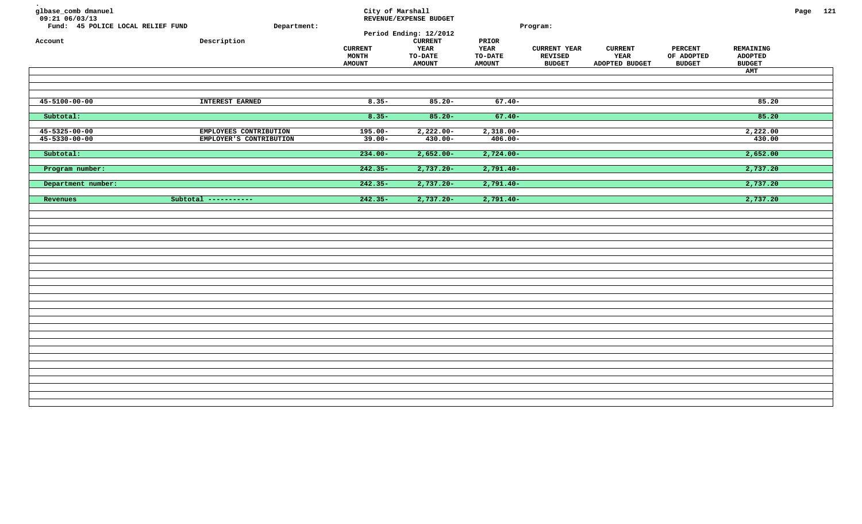| glbase_comb dmanuel<br>$09:21$ 06/03/13<br>Fund: 45 POLICE LOCAL RELIEF FUND<br>Account | Department:<br>Description                        | City of Marshall<br><b>CURRENT</b><br>MONTH<br><b>AMOUNT</b> | REVENUE/EXPENSE BUDGET<br>Period Ending: 12/2012<br>${\tt CURRENT}$<br><b>YEAR</b><br><b>TO-DATE</b><br><b>AMOUNT</b> | PRIOR<br><b>YEAR</b><br><b>TO-DATE</b><br><b>AMOUNT</b> | Program:<br><b>CURRENT YEAR</b><br><b>REVISED</b><br><b>BUDGET</b> | <b>CURRENT</b><br><b>YEAR</b><br>ADOPTED BUDGET | <b>PERCENT</b><br>OF ADOPTED<br><b>BUDGET</b> | REMAINING<br><b>ADOPTED</b><br><b>BUDGET</b><br>AMT | Page 121 |  |
|-----------------------------------------------------------------------------------------|---------------------------------------------------|--------------------------------------------------------------|-----------------------------------------------------------------------------------------------------------------------|---------------------------------------------------------|--------------------------------------------------------------------|-------------------------------------------------|-----------------------------------------------|-----------------------------------------------------|----------|--|
| $45 - 5100 - 00 - 00$                                                                   | INTEREST EARNED                                   | $8.35 -$                                                     | $85.20 -$                                                                                                             | $67.40 -$                                               |                                                                    |                                                 |                                               | 85.20                                               |          |  |
| Subtotal:                                                                               |                                                   | $8.35 -$                                                     | $85.20 -$                                                                                                             | $67.40 -$                                               |                                                                    |                                                 |                                               | 85.20                                               |          |  |
| $45 - 5325 - 00 - 00$<br>$45 - 5330 - 00 - 00$<br>Subtotal:                             | EMPLOYEES CONTRIBUTION<br>EMPLOYER'S CONTRIBUTION | $195.00 -$<br>$39.00 -$<br>$234.00 -$                        | $2,222.00-$<br>$430.00 -$<br>$2,652.00 -$                                                                             | $2,318.00-$<br>$406.00 -$<br>$2,724.00 -$               |                                                                    |                                                 |                                               | 2,222.00<br>430.00<br>2,652.00                      |          |  |
| Program number:                                                                         |                                                   | $242.35-$                                                    | $2,737.20 -$                                                                                                          | $2,791.40-$                                             |                                                                    |                                                 |                                               | 2,737.20                                            |          |  |
| Department number:                                                                      |                                                   | $242.35-$                                                    | $2,737.20 -$                                                                                                          | $2,791.40-$                                             |                                                                    |                                                 |                                               | 2,737.20                                            |          |  |
| Revenues                                                                                | Subtotal -----------                              | $242.35 -$                                                   | $2,737.20 -$                                                                                                          | $2,791.40-$                                             |                                                                    |                                                 |                                               | 2,737.20                                            |          |  |
|                                                                                         |                                                   |                                                              |                                                                                                                       |                                                         |                                                                    |                                                 |                                               |                                                     |          |  |
|                                                                                         |                                                   |                                                              |                                                                                                                       |                                                         |                                                                    |                                                 |                                               |                                                     |          |  |
|                                                                                         |                                                   |                                                              |                                                                                                                       |                                                         |                                                                    |                                                 |                                               |                                                     |          |  |
|                                                                                         |                                                   |                                                              |                                                                                                                       |                                                         |                                                                    |                                                 |                                               |                                                     |          |  |
|                                                                                         |                                                   |                                                              |                                                                                                                       |                                                         |                                                                    |                                                 |                                               |                                                     |          |  |
|                                                                                         |                                                   |                                                              |                                                                                                                       |                                                         |                                                                    |                                                 |                                               |                                                     |          |  |
|                                                                                         |                                                   |                                                              |                                                                                                                       |                                                         |                                                                    |                                                 |                                               |                                                     |          |  |
|                                                                                         |                                                   |                                                              |                                                                                                                       |                                                         |                                                                    |                                                 |                                               |                                                     |          |  |
|                                                                                         |                                                   |                                                              |                                                                                                                       |                                                         |                                                                    |                                                 |                                               |                                                     |          |  |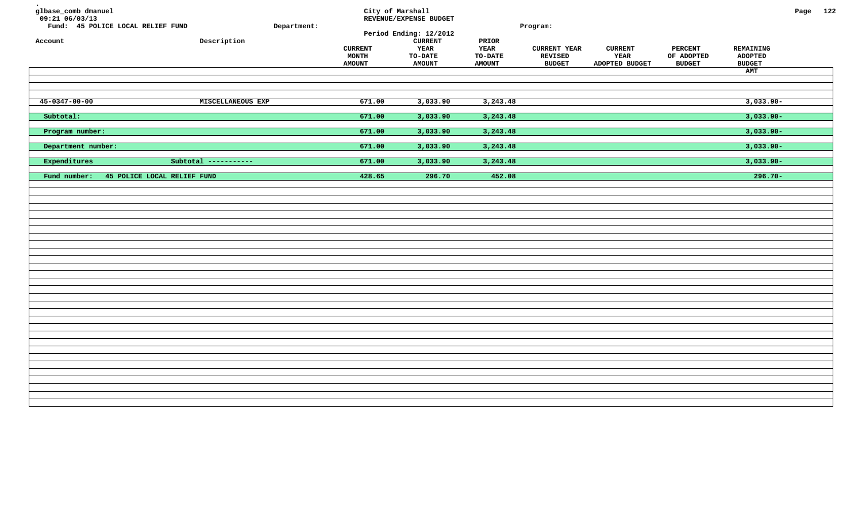| glbase_comb dmanuel<br>$09:21$ 06/03/13<br>Fund: 45 POLICE LOCAL RELIEF FUND<br>Account | Department:<br>${\tt Description}$ | <b>CURRENT</b><br>MONTH<br><b>AMOUNT</b> | City of Marshall<br>REVENUE/EXPENSE BUDGET<br>Period Ending: 12/2012<br><b>CURRENT</b><br>YEAR<br><b>TO-DATE</b><br><b>AMOUNT</b> | PRIOR<br><b>YEAR</b><br><b>TO-DATE</b><br><b>AMOUNT</b> | Program:<br><b>CURRENT YEAR</b><br><b>REVISED</b><br><b>BUDGET</b> | <b>CURRENT</b><br>YEAR<br>ADOPTED BUDGET | <b>PERCENT</b><br>OF ADOPTED<br><b>BUDGET</b> | REMAINING<br><b>ADOPTED</b><br><b>BUDGET</b><br>AMT | Page 122 |  |
|-----------------------------------------------------------------------------------------|------------------------------------|------------------------------------------|-----------------------------------------------------------------------------------------------------------------------------------|---------------------------------------------------------|--------------------------------------------------------------------|------------------------------------------|-----------------------------------------------|-----------------------------------------------------|----------|--|
| $45 - 0347 - 00 - 00$                                                                   | MISCELLANEOUS EXP                  | 671.00                                   | 3,033.90                                                                                                                          | 3, 243.48                                               |                                                                    |                                          |                                               | $3,033.90 -$                                        |          |  |
| Subtotal:                                                                               |                                    | 671.00                                   | 3,033.90                                                                                                                          | 3,243.48                                                |                                                                    |                                          |                                               | $3,033.90 -$                                        |          |  |
| Program number:                                                                         |                                    | 671.00                                   | 3,033.90                                                                                                                          | 3,243.48                                                |                                                                    |                                          |                                               | $3,033.90 -$                                        |          |  |
| Department number:                                                                      |                                    | 671.00                                   | 3,033.90                                                                                                                          | 3,243.48                                                |                                                                    |                                          |                                               | $3,033.90 -$                                        |          |  |
| Expenditures                                                                            | Subtotal -----------               | 671.00                                   | 3,033.90                                                                                                                          | 3,243.48                                                |                                                                    |                                          |                                               | $3,033.90 -$                                        |          |  |
| Fund number:<br>45 POLICE LOCAL RELIEF FUND                                             |                                    | 428.65                                   | 296.70                                                                                                                            | 452.08                                                  |                                                                    |                                          |                                               | $296.70 -$                                          |          |  |
|                                                                                         |                                    |                                          |                                                                                                                                   |                                                         |                                                                    |                                          |                                               |                                                     |          |  |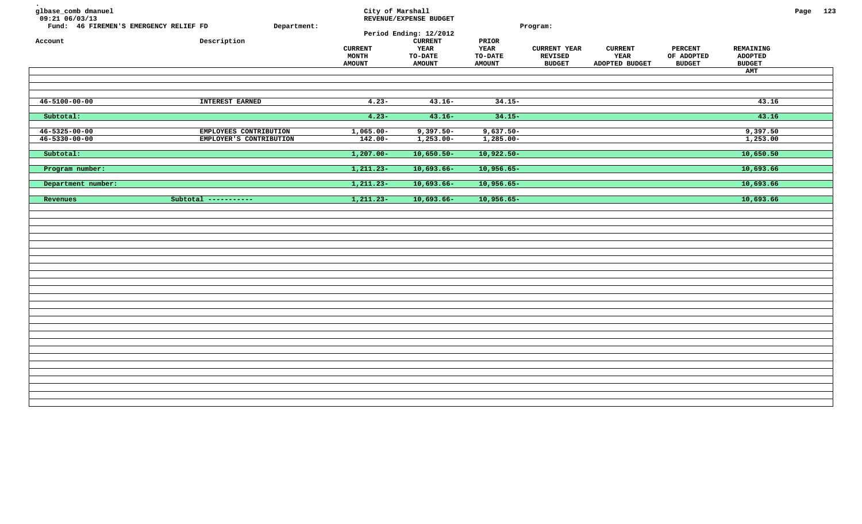| glbase_comb dmanuel<br>09:21 06/03/13<br>Fund: 46 FIREMEN'S EMERGENCY RELIEF FD<br>Account | Department:<br>Description                        | City of Marshall<br><b>CURRENT</b><br>$\texttt{MONTH}$<br><b>AMOUNT</b> | REVENUE/EXPENSE BUDGET<br>Period Ending: 12/2012<br><b>CURRENT</b><br>YEAR<br><b>TO-DATE</b><br><b>AMOUNT</b> | PRIOR<br>YEAR<br><b>TO-DATE</b><br><b>AMOUNT</b> | Program:<br><b>CURRENT YEAR</b><br><b>REVISED</b><br>$\ensuremath{\mathbf{B}\text{U}\text{D}\text{G}\text{E}\text{T}}$ | <b>CURRENT</b><br>YEAR<br>ADOPTED BUDGET | <b>PERCENT</b><br>OF ADOPTED<br><b>BUDGET</b> | REMAINING<br><b>ADOPTED</b><br><b>BUDGET</b><br>AMT | Page 123 |  |
|--------------------------------------------------------------------------------------------|---------------------------------------------------|-------------------------------------------------------------------------|---------------------------------------------------------------------------------------------------------------|--------------------------------------------------|------------------------------------------------------------------------------------------------------------------------|------------------------------------------|-----------------------------------------------|-----------------------------------------------------|----------|--|
| $46 - 5100 - 00 - 00$                                                                      | <b>INTEREST EARNED</b>                            | $4.23 -$                                                                | $43.16-$                                                                                                      | $34.15 -$                                        |                                                                                                                        |                                          |                                               | 43.16                                               |          |  |
| Subtotal:                                                                                  |                                                   | $4.23 -$                                                                | $43.16 -$                                                                                                     | $34.15 -$                                        |                                                                                                                        |                                          |                                               | 43.16                                               |          |  |
| $46 - 5325 - 00 - 00$<br>$46 - 5330 - 00 - 00$                                             | EMPLOYEES CONTRIBUTION<br>EMPLOYER'S CONTRIBUTION | $1,065.00-$<br>$142.00 -$                                               | $9,397.50 -$<br>$1,253.00 -$                                                                                  | $9,637.50-$<br>$1,285.00 -$                      |                                                                                                                        |                                          |                                               | 9,397.50<br>1,253.00                                |          |  |
| Subtotal:                                                                                  |                                                   | $1,207.00 -$                                                            | $10,650.50-$                                                                                                  | $10,922.50-$                                     |                                                                                                                        |                                          |                                               | 10,650.50                                           |          |  |
| Program number:                                                                            |                                                   | $1, 211.23 -$                                                           | $10,693.66 -$                                                                                                 | $10,956.65-$                                     |                                                                                                                        |                                          |                                               | 10,693.66                                           |          |  |
| Department number:<br>Revenues                                                             | Subtotal -----------                              | $1, 211.23 -$<br>$1, 211.23 -$                                          | $10,693.66 -$<br>$10,693.66-$                                                                                 | $10,956.65 -$<br>$10,956.65 -$                   |                                                                                                                        |                                          |                                               | 10,693.66<br>10,693.66                              |          |  |
|                                                                                            |                                                   |                                                                         |                                                                                                               |                                                  |                                                                                                                        |                                          |                                               |                                                     |          |  |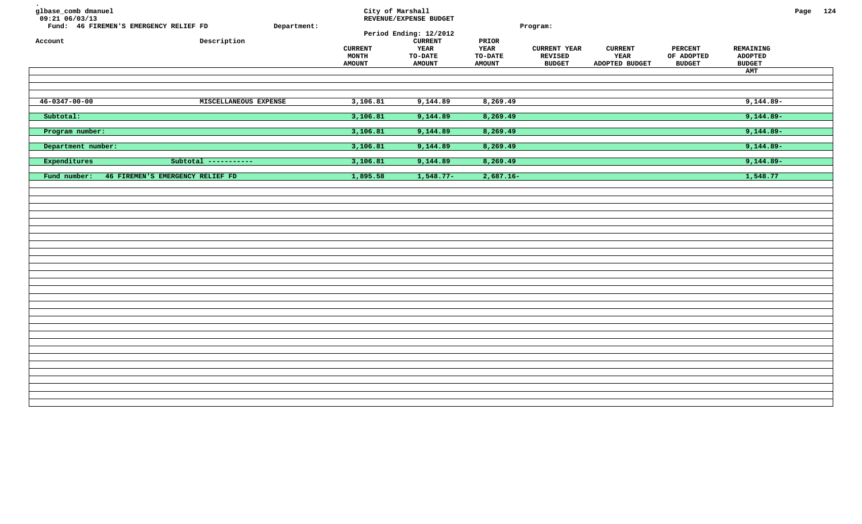| glbase_comb dmanuel<br>$09:21$ 06/03/13<br>Fund: 46 FIREMEN'S EMERGENCY RELIEF FD<br>Account | Department:<br>Description       | <b>CURRENT</b><br>MONTH<br><b>AMOUNT</b> | City of Marshall<br>REVENUE/EXPENSE BUDGET<br>Period Ending: 12/2012<br><b>CURRENT</b><br>YEAR<br><b>TO-DATE</b><br><b>AMOUNT</b> | PRIOR<br><b>YEAR</b><br><b>TO-DATE</b><br><b>AMOUNT</b> | Program:<br><b>CURRENT YEAR</b><br><b>REVISED</b><br><b>BUDGET</b> | <b>CURRENT</b><br>YEAR<br>ADOPTED BUDGET | <b>PERCENT</b><br>OF ADOPTED<br><b>BUDGET</b> | REMAINING<br><b>ADOPTED</b><br><b>BUDGET</b><br>AMT | Page 124 |  |
|----------------------------------------------------------------------------------------------|----------------------------------|------------------------------------------|-----------------------------------------------------------------------------------------------------------------------------------|---------------------------------------------------------|--------------------------------------------------------------------|------------------------------------------|-----------------------------------------------|-----------------------------------------------------|----------|--|
| $46 - 0347 - 00 - 00$                                                                        | MISCELLANEOUS EXPENSE            | 3,106.81                                 | 9,144.89                                                                                                                          | 8,269.49                                                |                                                                    |                                          |                                               | $9,144.89-$                                         |          |  |
| Subtotal:                                                                                    |                                  | 3,106.81                                 | 9,144.89                                                                                                                          | 8,269.49                                                |                                                                    |                                          |                                               | $9,144.89-$                                         |          |  |
| Program number:                                                                              |                                  | 3,106.81                                 | 9,144.89                                                                                                                          | 8,269.49                                                |                                                                    |                                          |                                               | $9,144.89-$                                         |          |  |
| Department number:                                                                           |                                  | 3,106.81                                 | 9,144.89                                                                                                                          | 8,269.49                                                |                                                                    |                                          |                                               | $9,144.89 -$                                        |          |  |
| Expenditures                                                                                 | Subtotal -----------             | 3,106.81                                 | 9,144.89                                                                                                                          | 8,269.49                                                |                                                                    |                                          |                                               | $9,144.89-$                                         |          |  |
| Fund number:                                                                                 | 46 FIREMEN'S EMERGENCY RELIEF FD | 1,895.58                                 | $1,548.77-$                                                                                                                       | $2,687.16 -$                                            |                                                                    |                                          |                                               | 1,548.77                                            |          |  |
|                                                                                              |                                  |                                          |                                                                                                                                   |                                                         |                                                                    |                                          |                                               |                                                     |          |  |
|                                                                                              |                                  |                                          |                                                                                                                                   |                                                         |                                                                    |                                          |                                               |                                                     |          |  |
|                                                                                              |                                  |                                          |                                                                                                                                   |                                                         |                                                                    |                                          |                                               |                                                     |          |  |
|                                                                                              |                                  |                                          |                                                                                                                                   |                                                         |                                                                    |                                          |                                               |                                                     |          |  |
|                                                                                              |                                  |                                          |                                                                                                                                   |                                                         |                                                                    |                                          |                                               |                                                     |          |  |
|                                                                                              |                                  |                                          |                                                                                                                                   |                                                         |                                                                    |                                          |                                               |                                                     |          |  |
|                                                                                              |                                  |                                          |                                                                                                                                   |                                                         |                                                                    |                                          |                                               |                                                     |          |  |
|                                                                                              |                                  |                                          |                                                                                                                                   |                                                         |                                                                    |                                          |                                               |                                                     |          |  |
|                                                                                              |                                  |                                          |                                                                                                                                   |                                                         |                                                                    |                                          |                                               |                                                     |          |  |
|                                                                                              |                                  |                                          |                                                                                                                                   |                                                         |                                                                    |                                          |                                               |                                                     |          |  |
|                                                                                              |                                  |                                          |                                                                                                                                   |                                                         |                                                                    |                                          |                                               |                                                     |          |  |
|                                                                                              |                                  |                                          |                                                                                                                                   |                                                         |                                                                    |                                          |                                               |                                                     |          |  |
|                                                                                              |                                  |                                          |                                                                                                                                   |                                                         |                                                                    |                                          |                                               |                                                     |          |  |
|                                                                                              |                                  |                                          |                                                                                                                                   |                                                         |                                                                    |                                          |                                               |                                                     |          |  |
|                                                                                              |                                  |                                          |                                                                                                                                   |                                                         |                                                                    |                                          |                                               |                                                     |          |  |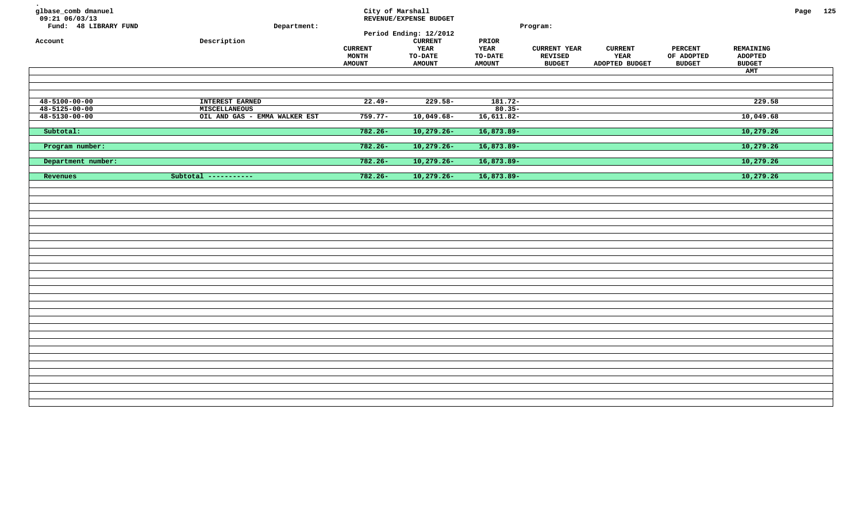| glbase_comb dmanuel<br>$09:21$ 06/03/13<br>Fund: 48 LIBRARY FUND<br>Account | Department:<br>${\tt Description}$             | City of Marshall<br><b>CURRENT</b><br><b>MONTH</b><br><b>AMOUNT</b> | REVENUE/EXPENSE BUDGET<br>Period Ending: 12/2012<br><b>CURRENT</b><br>YEAR<br><b>TO-DATE</b><br><b>AMOUNT</b> | PRIOR<br>YEAR<br><b>TO-DATE</b><br><b>AMOUNT</b> | Program:<br><b>CURRENT YEAR</b><br><b>REVISED</b><br><b>BUDGET</b> | <b>CURRENT</b><br>YEAR<br>ADOPTED BUDGET | <b>PERCENT</b><br>OF ADOPTED<br><b>BUDGET</b> | REMAINING<br><b>ADOPTED</b><br><b>BUDGET</b><br>AMT | Page 125 |  |
|-----------------------------------------------------------------------------|------------------------------------------------|---------------------------------------------------------------------|---------------------------------------------------------------------------------------------------------------|--------------------------------------------------|--------------------------------------------------------------------|------------------------------------------|-----------------------------------------------|-----------------------------------------------------|----------|--|
| $48 - 5100 - 00 - 00$                                                       | INTEREST EARNED                                | $22.49-$                                                            | $229.58-$                                                                                                     | $181.72-$                                        |                                                                    |                                          |                                               | 229.58                                              |          |  |
| $48 - 5125 - 00 - 00$<br>$48 - 5130 - 00 - 00$                              | MISCELLANEOUS<br>OIL AND GAS - EMMA WALKER EST | $759.77-$                                                           | $10,049.68-$                                                                                                  | $80.35 -$<br>$16,611.82-$                        |                                                                    |                                          |                                               | 10,049.68                                           |          |  |
| Subtotal:                                                                   |                                                | $782.26 -$                                                          | $10,279.26-$                                                                                                  | $16,873.89-$                                     |                                                                    |                                          |                                               | 10,279.26                                           |          |  |
| Program number:                                                             |                                                | $782.26 -$                                                          | $10,279.26 -$                                                                                                 | $16,873.89-$                                     |                                                                    |                                          |                                               | 10,279.26                                           |          |  |
|                                                                             |                                                |                                                                     |                                                                                                               |                                                  |                                                                    |                                          |                                               |                                                     |          |  |
| Department number:                                                          |                                                | $782.26 -$                                                          | $10,279.26 -$                                                                                                 | $16,873.89-$                                     |                                                                    |                                          |                                               | 10,279.26                                           |          |  |
| Revenues                                                                    | Subtotal -----------                           | $782.26 -$                                                          | $10,279.26 -$                                                                                                 | 16,873.89-                                       |                                                                    |                                          |                                               | 10,279.26                                           |          |  |
|                                                                             |                                                |                                                                     |                                                                                                               |                                                  |                                                                    |                                          |                                               |                                                     |          |  |
|                                                                             |                                                |                                                                     |                                                                                                               |                                                  |                                                                    |                                          |                                               |                                                     |          |  |
|                                                                             |                                                |                                                                     |                                                                                                               |                                                  |                                                                    |                                          |                                               |                                                     |          |  |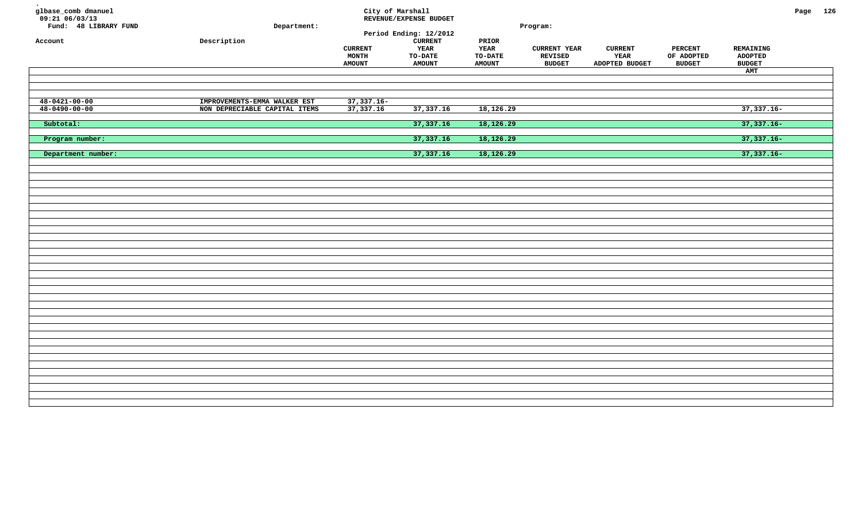| glbase_comb dmanuel<br>09:21 06/03/13<br>Fund: 48 LIBRARY FUND<br>Account | Department:<br>${\tt Description}$ | <b>CURRENT</b><br>MONTH<br><b>AMOUNT</b> | City of Marshall<br>REVENUE/EXPENSE BUDGET<br>Period Ending: 12/2012<br><b>CURRENT</b><br>YEAR<br><b>TO-DATE</b><br><b>AMOUNT</b> | $\tt PRIOR$<br><b>YEAR</b><br><b>TO-DATE</b><br><b>AMOUNT</b> | Program:<br><b>CURRENT YEAR</b><br><b>REVISED</b><br><b>BUDGET</b> | <b>CURRENT</b><br>YEAR<br>ADOPTED BUDGET | <b>PERCENT</b><br>OF ADOPTED<br><b>BUDGET</b> | REMAINING<br><b>ADOPTED</b><br><b>BUDGET</b><br>AMT | Page 126 |  |
|---------------------------------------------------------------------------|------------------------------------|------------------------------------------|-----------------------------------------------------------------------------------------------------------------------------------|---------------------------------------------------------------|--------------------------------------------------------------------|------------------------------------------|-----------------------------------------------|-----------------------------------------------------|----------|--|
| $48 - 0421 - 00 - 00$                                                     | IMPROVEMENTS-EMMA WALKER EST       | $37,337.16 -$                            |                                                                                                                                   |                                                               |                                                                    |                                          |                                               |                                                     |          |  |
| $48 - 0490 - 00 - 00$                                                     | NON DEPRECIABLE CAPITAL ITEMS      | 37,337.16                                | 37, 337. 16                                                                                                                       | 18,126.29                                                     |                                                                    |                                          |                                               | $37,337.16-$                                        |          |  |
| Subtotal:                                                                 |                                    |                                          | 37,337.16                                                                                                                         | 18,126.29                                                     |                                                                    |                                          |                                               | $37,337.16 -$                                       |          |  |
| Program number:                                                           |                                    |                                          | 37,337.16                                                                                                                         | 18,126.29                                                     |                                                                    |                                          |                                               | $37,337.16-$                                        |          |  |
| Department number:                                                        |                                    |                                          | 37,337.16                                                                                                                         | 18,126.29                                                     |                                                                    |                                          |                                               | $37,337.16-$                                        |          |  |
|                                                                           |                                    |                                          |                                                                                                                                   |                                                               |                                                                    |                                          |                                               |                                                     |          |  |
|                                                                           |                                    |                                          |                                                                                                                                   |                                                               |                                                                    |                                          |                                               |                                                     |          |  |
|                                                                           |                                    |                                          |                                                                                                                                   |                                                               |                                                                    |                                          |                                               |                                                     |          |  |
|                                                                           |                                    |                                          |                                                                                                                                   |                                                               |                                                                    |                                          |                                               |                                                     |          |  |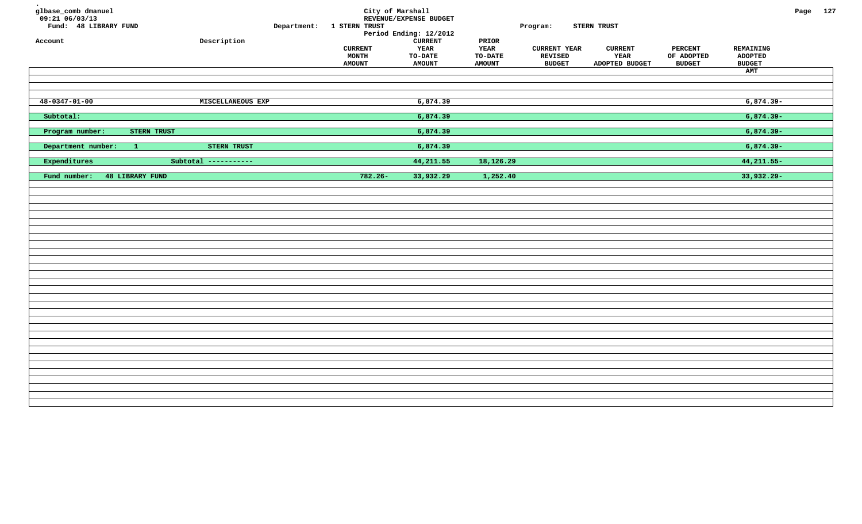| glbase_comb dmanuel<br>$09:21$ 06/03/13<br>Fund: 48 LIBRARY FUND<br>Account |                        | ${\tt Description}$      | Department: 1 STERN TRUST<br><b>CURRENT</b><br><b>MONTH</b><br><b>AMOUNT</b> | City of Marshall<br>REVENUE/EXPENSE BUDGET<br>Period Ending: 12/2012<br><b>CURRENT</b><br>YEAR<br>TO-DATE<br><b>AMOUNT</b> | PRIOR<br>YEAR<br>TO-DATE<br><b>AMOUNT</b> | Program:<br><b>CURRENT YEAR</b><br>REVISED<br><b>BUDGET</b> | STERN TRUST<br><b>CURRENT</b><br>YEAR<br>ADOPTED BUDGET | <b>PERCENT</b><br>OF ADOPTED<br><b>BUDGET</b> | REMAINING<br><b>ADOPTED</b><br><b>BUDGET</b><br>AMT | Page 127 |  |
|-----------------------------------------------------------------------------|------------------------|--------------------------|------------------------------------------------------------------------------|----------------------------------------------------------------------------------------------------------------------------|-------------------------------------------|-------------------------------------------------------------|---------------------------------------------------------|-----------------------------------------------|-----------------------------------------------------|----------|--|
|                                                                             |                        |                          |                                                                              |                                                                                                                            |                                           |                                                             |                                                         |                                               |                                                     |          |  |
| $48 - 0347 - 01 - 00$                                                       |                        | <b>MISCELLANEOUS EXP</b> |                                                                              | 6,874.39                                                                                                                   |                                           |                                                             |                                                         |                                               | $6,874.39-$                                         |          |  |
| Subtotal:                                                                   |                        |                          |                                                                              | 6,874.39                                                                                                                   |                                           |                                                             |                                                         |                                               | $6,874.39-$                                         |          |  |
| Program number:                                                             | STERN TRUST            |                          |                                                                              | 6,874.39                                                                                                                   |                                           |                                                             |                                                         |                                               | $6,874.39-$                                         |          |  |
| Department number:                                                          | $\vert 1 \vert$        | <b>STERN TRUST</b>       |                                                                              | 6,874.39                                                                                                                   |                                           |                                                             |                                                         |                                               | $6,874.39-$                                         |          |  |
| Expenditures                                                                |                        | Subtotal -----------     |                                                                              | 44,211.55                                                                                                                  | 18,126.29                                 |                                                             |                                                         |                                               | $44,211.55-$                                        |          |  |
| Fund number:                                                                | <b>48 LIBRARY FUND</b> |                          | $782.26 -$                                                                   | 33,932.29                                                                                                                  | 1,252.40                                  |                                                             |                                                         |                                               | 33,932.29-                                          |          |  |
|                                                                             |                        |                          |                                                                              |                                                                                                                            |                                           |                                                             |                                                         |                                               |                                                     |          |  |
|                                                                             |                        |                          |                                                                              |                                                                                                                            |                                           |                                                             |                                                         |                                               |                                                     |          |  |
|                                                                             |                        |                          |                                                                              |                                                                                                                            |                                           |                                                             |                                                         |                                               |                                                     |          |  |
|                                                                             |                        |                          |                                                                              |                                                                                                                            |                                           |                                                             |                                                         |                                               |                                                     |          |  |
|                                                                             |                        |                          |                                                                              |                                                                                                                            |                                           |                                                             |                                                         |                                               |                                                     |          |  |
|                                                                             |                        |                          |                                                                              |                                                                                                                            |                                           |                                                             |                                                         |                                               |                                                     |          |  |
|                                                                             |                        |                          |                                                                              |                                                                                                                            |                                           |                                                             |                                                         |                                               |                                                     |          |  |
|                                                                             |                        |                          |                                                                              |                                                                                                                            |                                           |                                                             |                                                         |                                               |                                                     |          |  |
|                                                                             |                        |                          |                                                                              |                                                                                                                            |                                           |                                                             |                                                         |                                               |                                                     |          |  |
|                                                                             |                        |                          |                                                                              |                                                                                                                            |                                           |                                                             |                                                         |                                               |                                                     |          |  |
|                                                                             |                        |                          |                                                                              |                                                                                                                            |                                           |                                                             |                                                         |                                               |                                                     |          |  |
|                                                                             |                        |                          |                                                                              |                                                                                                                            |                                           |                                                             |                                                         |                                               |                                                     |          |  |
|                                                                             |                        |                          |                                                                              |                                                                                                                            |                                           |                                                             |                                                         |                                               |                                                     |          |  |
|                                                                             |                        |                          |                                                                              |                                                                                                                            |                                           |                                                             |                                                         |                                               |                                                     |          |  |
|                                                                             |                        |                          |                                                                              |                                                                                                                            |                                           |                                                             |                                                         |                                               |                                                     |          |  |
|                                                                             |                        |                          |                                                                              |                                                                                                                            |                                           |                                                             |                                                         |                                               |                                                     |          |  |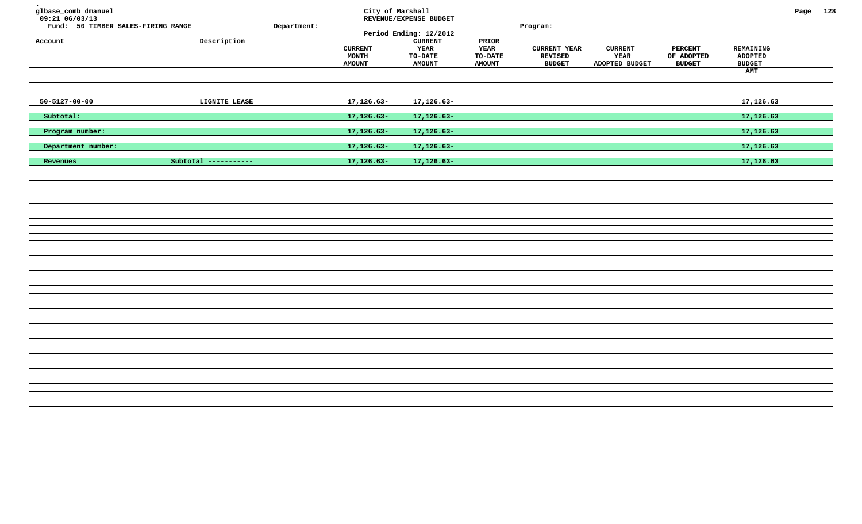| glbase_comb dmanuel<br>$09:21$ 06/03/13<br>Fund: 50 TIMBER SALES-FIRING RANGE<br>Account | Description          | Department: | City of Marshall<br><b>CURRENT</b><br>MONTH<br><b>AMOUNT</b> | REVENUE/EXPENSE BUDGET<br>Period Ending: 12/2012<br><b>CURRENT</b><br>YEAR<br><b>TO-DATE</b><br><b>AMOUNT</b> | PRIOR<br>YEAR<br>TO-DATE<br><b>AMOUNT</b> | Program:<br><b>CURRENT YEAR</b><br><b>REVISED</b><br><b>BUDGET</b> | <b>CURRENT</b><br>YEAR<br>ADOPTED BUDGET | PERCENT<br>OF ADOPTED<br><b>BUDGET</b> | REMAINING<br><b>ADOPTED</b><br><b>BUDGET</b><br>AMT | Page 128 |  |
|------------------------------------------------------------------------------------------|----------------------|-------------|--------------------------------------------------------------|---------------------------------------------------------------------------------------------------------------|-------------------------------------------|--------------------------------------------------------------------|------------------------------------------|----------------------------------------|-----------------------------------------------------|----------|--|
| $50 - 5127 - 00 - 00$                                                                    | LIGNITE LEASE        |             | $17, 126.63 -$                                               | $17, 126.63 -$                                                                                                |                                           |                                                                    |                                          |                                        | 17, 126.63                                          |          |  |
| Subtotal:                                                                                |                      |             | $17, 126.63 -$                                               | $17, 126.63 -$                                                                                                |                                           |                                                                    |                                          |                                        | 17,126.63                                           |          |  |
| Program number:                                                                          |                      |             | $17,126.63-$                                                 | $17,126.63-$                                                                                                  |                                           |                                                                    |                                          |                                        | 17,126.63                                           |          |  |
| Department number:                                                                       |                      |             | $17,126.63-$                                                 | 17,126.63-                                                                                                    |                                           |                                                                    |                                          |                                        | 17,126.63                                           |          |  |
| Revenues                                                                                 | Subtotal ----------- |             | $17,126.63-$                                                 | $17,126.63-$                                                                                                  |                                           |                                                                    |                                          |                                        | 17,126.63                                           |          |  |
|                                                                                          |                      |             |                                                              |                                                                                                               |                                           |                                                                    |                                          |                                        |                                                     |          |  |
|                                                                                          |                      |             |                                                              |                                                                                                               |                                           |                                                                    |                                          |                                        |                                                     |          |  |
|                                                                                          |                      |             |                                                              |                                                                                                               |                                           |                                                                    |                                          |                                        |                                                     |          |  |
|                                                                                          |                      |             |                                                              |                                                                                                               |                                           |                                                                    |                                          |                                        |                                                     |          |  |
|                                                                                          |                      |             |                                                              |                                                                                                               |                                           |                                                                    |                                          |                                        |                                                     |          |  |
|                                                                                          |                      |             |                                                              |                                                                                                               |                                           |                                                                    |                                          |                                        |                                                     |          |  |
|                                                                                          |                      |             |                                                              |                                                                                                               |                                           |                                                                    |                                          |                                        |                                                     |          |  |
|                                                                                          |                      |             |                                                              |                                                                                                               |                                           |                                                                    |                                          |                                        |                                                     |          |  |
|                                                                                          |                      |             |                                                              |                                                                                                               |                                           |                                                                    |                                          |                                        |                                                     |          |  |
|                                                                                          |                      |             |                                                              |                                                                                                               |                                           |                                                                    |                                          |                                        |                                                     |          |  |
|                                                                                          |                      |             |                                                              |                                                                                                               |                                           |                                                                    |                                          |                                        |                                                     |          |  |
|                                                                                          |                      |             |                                                              |                                                                                                               |                                           |                                                                    |                                          |                                        |                                                     |          |  |
|                                                                                          |                      |             |                                                              |                                                                                                               |                                           |                                                                    |                                          |                                        |                                                     |          |  |
|                                                                                          |                      |             |                                                              |                                                                                                               |                                           |                                                                    |                                          |                                        |                                                     |          |  |
|                                                                                          |                      |             |                                                              |                                                                                                               |                                           |                                                                    |                                          |                                        |                                                     |          |  |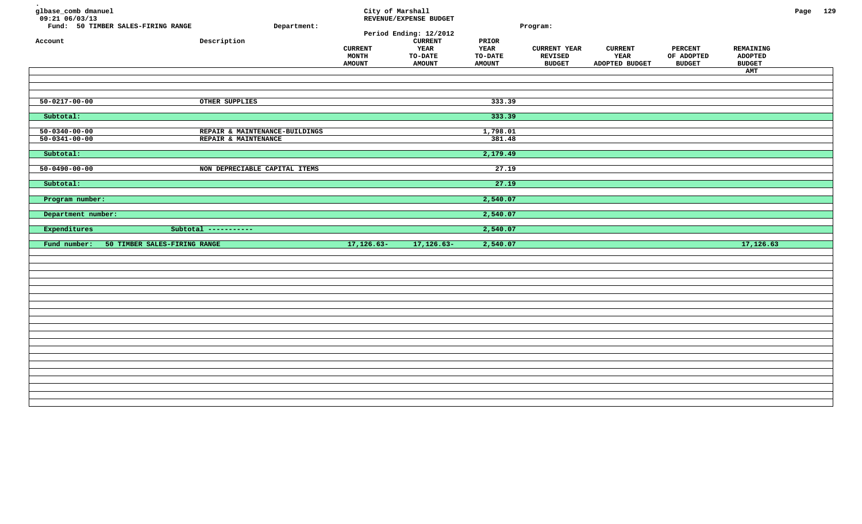| glbase_comb dmanuel<br>$09:21$ $06/03/13$<br>Fund: 50 TIMBER SALES-FIRING RANGE<br>Account | Department:<br>Description                             | City of Marshall<br><b>CURRENT</b><br>MONTH<br><b>AMOUNT</b> | REVENUE/EXPENSE BUDGET<br>Period Ending: 12/2012<br><b>CURRENT</b><br>YEAR<br><b>TO-DATE</b><br><b>AMOUNT</b> | PRIOR<br>YEAR<br><b>TO-DATE</b><br><b>AMOUNT</b> | Program:<br><b>CURRENT YEAR</b><br><b>REVISED</b><br><b>BUDGET</b> | <b>CURRENT</b><br>YEAR<br>ADOPTED BUDGET | <b>PERCENT</b><br>OF ADOPTED<br><b>BUDGET</b> | REMAINING<br><b>ADOPTED</b><br><b>BUDGET</b><br>AMT | Page 129 |  |
|--------------------------------------------------------------------------------------------|--------------------------------------------------------|--------------------------------------------------------------|---------------------------------------------------------------------------------------------------------------|--------------------------------------------------|--------------------------------------------------------------------|------------------------------------------|-----------------------------------------------|-----------------------------------------------------|----------|--|
| $50 - 0217 - 00 - 00$                                                                      | OTHER SUPPLIES                                         |                                                              |                                                                                                               | 333.39                                           |                                                                    |                                          |                                               |                                                     |          |  |
| Subtotal:                                                                                  |                                                        |                                                              |                                                                                                               | 333.39                                           |                                                                    |                                          |                                               |                                                     |          |  |
| $50 - 0340 - 00 - 00$<br>$50 - 0341 - 00 - 00$                                             | REPAIR & MAINTENANCE-BUILDINGS<br>REPAIR & MAINTENANCE |                                                              |                                                                                                               | 1,798.01<br>381.48                               |                                                                    |                                          |                                               |                                                     |          |  |
| Subtotal:                                                                                  |                                                        |                                                              |                                                                                                               | 2,179.49                                         |                                                                    |                                          |                                               |                                                     |          |  |
| $50 - 0490 - 00 - 00$                                                                      | NON DEPRECIABLE CAPITAL ITEMS                          |                                                              |                                                                                                               | 27.19                                            |                                                                    |                                          |                                               |                                                     |          |  |
| Subtotal:                                                                                  |                                                        |                                                              |                                                                                                               | 27.19                                            |                                                                    |                                          |                                               |                                                     |          |  |
| Program number:                                                                            |                                                        |                                                              |                                                                                                               | 2,540.07                                         |                                                                    |                                          |                                               |                                                     |          |  |
| Department number:                                                                         |                                                        |                                                              |                                                                                                               | 2,540.07                                         |                                                                    |                                          |                                               |                                                     |          |  |
| Expenditures                                                                               | Subtotal -----------                                   |                                                              |                                                                                                               | 2,540.07                                         |                                                                    |                                          |                                               |                                                     |          |  |
| 50 TIMBER SALES-FIRING RANGE<br>Fund number:                                               |                                                        | $17, 126.63 -$                                               | $17, 126.63 -$                                                                                                | 2,540.07                                         |                                                                    |                                          |                                               | 17,126.63                                           |          |  |
|                                                                                            |                                                        |                                                              |                                                                                                               |                                                  |                                                                    |                                          |                                               |                                                     |          |  |
|                                                                                            |                                                        |                                                              |                                                                                                               |                                                  |                                                                    |                                          |                                               |                                                     |          |  |
|                                                                                            |                                                        |                                                              |                                                                                                               |                                                  |                                                                    |                                          |                                               |                                                     |          |  |
|                                                                                            |                                                        |                                                              |                                                                                                               |                                                  |                                                                    |                                          |                                               |                                                     |          |  |
|                                                                                            |                                                        |                                                              |                                                                                                               |                                                  |                                                                    |                                          |                                               |                                                     |          |  |
|                                                                                            |                                                        |                                                              |                                                                                                               |                                                  |                                                                    |                                          |                                               |                                                     |          |  |
|                                                                                            |                                                        |                                                              |                                                                                                               |                                                  |                                                                    |                                          |                                               |                                                     |          |  |
|                                                                                            |                                                        |                                                              |                                                                                                               |                                                  |                                                                    |                                          |                                               |                                                     |          |  |
|                                                                                            |                                                        |                                                              |                                                                                                               |                                                  |                                                                    |                                          |                                               |                                                     |          |  |
|                                                                                            |                                                        |                                                              |                                                                                                               |                                                  |                                                                    |                                          |                                               |                                                     |          |  |
|                                                                                            |                                                        |                                                              |                                                                                                               |                                                  |                                                                    |                                          |                                               |                                                     |          |  |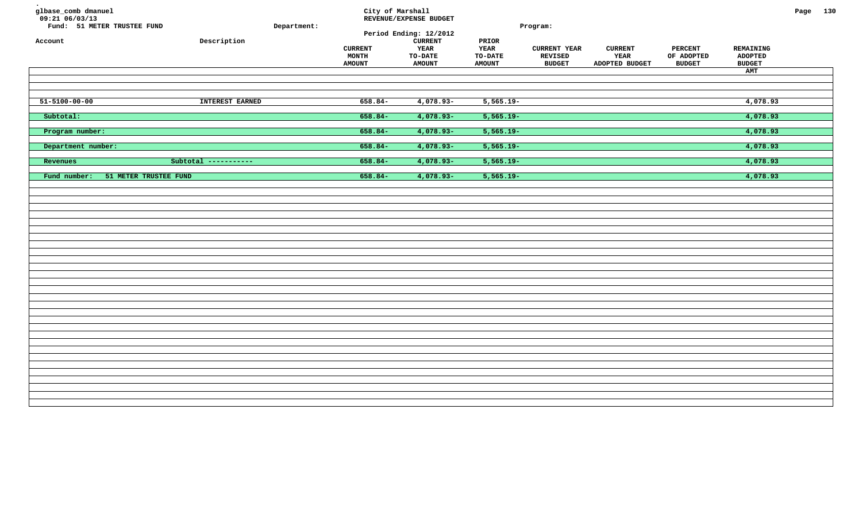| glbase_comb dmanuel<br>$09:21$ 06/03/13<br>Fund: 51 METER TRUSTEE FUND<br>Account | ${\tt Description}$  | Department: | City of Marshall<br><b>CURRENT</b><br>MONTH<br><b>AMOUNT</b> | REVENUE/EXPENSE BUDGET<br>Period Ending: 12/2012<br><b>CURRENT</b><br>YEAR<br><b>TO-DATE</b><br><b>AMOUNT</b> | PRIOR<br><b>YEAR</b><br><b>TO-DATE</b><br><b>AMOUNT</b> | Program:<br><b>CURRENT YEAR</b><br><b>REVISED</b><br><b>BUDGET</b> | <b>CURRENT</b><br>YEAR<br>ADOPTED BUDGET | <b>PERCENT</b><br>OF ADOPTED<br><b>BUDGET</b> | REMAINING<br><b>ADOPTED</b><br><b>BUDGET</b><br>AMT | Page 130 |  |
|-----------------------------------------------------------------------------------|----------------------|-------------|--------------------------------------------------------------|---------------------------------------------------------------------------------------------------------------|---------------------------------------------------------|--------------------------------------------------------------------|------------------------------------------|-----------------------------------------------|-----------------------------------------------------|----------|--|
| $51 - 5100 - 00 - 00$                                                             | INTEREST EARNED      |             | $658.84-$                                                    | $4,078.93-$                                                                                                   | $5,565.19-$                                             |                                                                    |                                          |                                               | 4,078.93                                            |          |  |
| Subtotal:                                                                         |                      |             | $658.84-$                                                    | $4,078.93 -$                                                                                                  | $5,565.19-$                                             |                                                                    |                                          |                                               | 4,078.93                                            |          |  |
| Program number:                                                                   |                      |             | $658.84-$                                                    | 4,078.93-                                                                                                     | $5,565.19-$                                             |                                                                    |                                          |                                               | 4,078.93                                            |          |  |
| Department number:                                                                |                      |             | $658.84-$                                                    | 4,078.93-                                                                                                     | $5,565.19-$                                             |                                                                    |                                          |                                               | 4,078.93                                            |          |  |
| Revenues                                                                          | Subtotal ----------- |             | $658.84-$                                                    | $4,078.93 -$                                                                                                  | $5,565.19-$                                             |                                                                    |                                          |                                               | 4,078.93                                            |          |  |
| Fund number:<br>51 METER TRUSTEE FUND                                             |                      |             | 658.84-                                                      | 4,078.93-                                                                                                     | $5,565.19-$                                             |                                                                    |                                          |                                               | 4,078.93                                            |          |  |
|                                                                                   |                      |             |                                                              |                                                                                                               |                                                         |                                                                    |                                          |                                               |                                                     |          |  |
|                                                                                   |                      |             |                                                              |                                                                                                               |                                                         |                                                                    |                                          |                                               |                                                     |          |  |
|                                                                                   |                      |             |                                                              |                                                                                                               |                                                         |                                                                    |                                          |                                               |                                                     |          |  |
|                                                                                   |                      |             |                                                              |                                                                                                               |                                                         |                                                                    |                                          |                                               |                                                     |          |  |
|                                                                                   |                      |             |                                                              |                                                                                                               |                                                         |                                                                    |                                          |                                               |                                                     |          |  |
|                                                                                   |                      |             |                                                              |                                                                                                               |                                                         |                                                                    |                                          |                                               |                                                     |          |  |
|                                                                                   |                      |             |                                                              |                                                                                                               |                                                         |                                                                    |                                          |                                               |                                                     |          |  |
|                                                                                   |                      |             |                                                              |                                                                                                               |                                                         |                                                                    |                                          |                                               |                                                     |          |  |
|                                                                                   |                      |             |                                                              |                                                                                                               |                                                         |                                                                    |                                          |                                               |                                                     |          |  |
|                                                                                   |                      |             |                                                              |                                                                                                               |                                                         |                                                                    |                                          |                                               |                                                     |          |  |
|                                                                                   |                      |             |                                                              |                                                                                                               |                                                         |                                                                    |                                          |                                               |                                                     |          |  |
|                                                                                   |                      |             |                                                              |                                                                                                               |                                                         |                                                                    |                                          |                                               |                                                     |          |  |
|                                                                                   |                      |             |                                                              |                                                                                                               |                                                         |                                                                    |                                          |                                               |                                                     |          |  |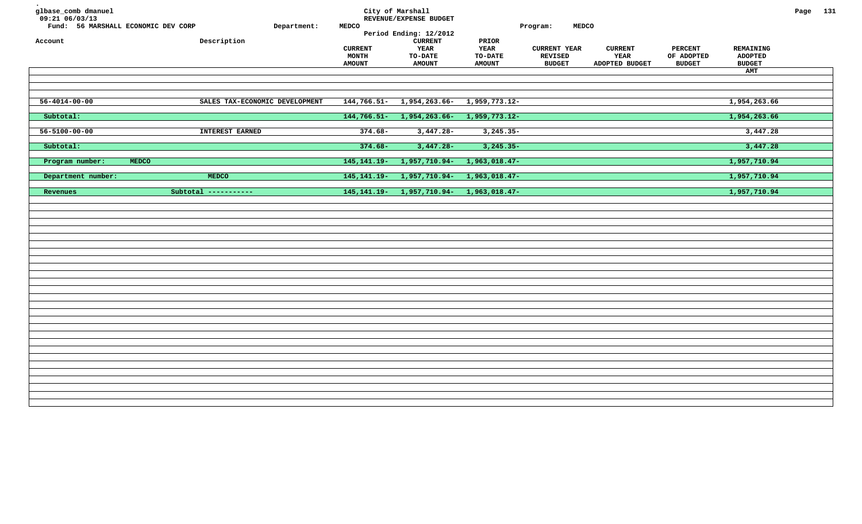| glbase_comb dmanuel<br>09:21 06/03/13<br>Fund: 56 MARSHALL ECONOMIC DEV CORP<br>Account | Department:<br>Description     | <b>MEDCO</b>                             | City of Marshall<br>REVENUE/EXPENSE BUDGET<br>Period Ending: 12/2012<br>${\tt CURRENT}$ | PRIOR                                          | <b>MEDCO</b><br>Program:                               |                                          |                                               |                                              | Page 131 |  |
|-----------------------------------------------------------------------------------------|--------------------------------|------------------------------------------|-----------------------------------------------------------------------------------------|------------------------------------------------|--------------------------------------------------------|------------------------------------------|-----------------------------------------------|----------------------------------------------|----------|--|
|                                                                                         |                                | <b>CURRENT</b><br>MONTH<br><b>AMOUNT</b> | <b>YEAR</b><br><b>TO-DATE</b><br><b>AMOUNT</b>                                          | <b>YEAR</b><br><b>TO-DATE</b><br><b>AMOUNT</b> | <b>CURRENT YEAR</b><br><b>REVISED</b><br><b>BUDGET</b> | <b>CURRENT</b><br>YEAR<br>ADOPTED BUDGET | <b>PERCENT</b><br>OF ADOPTED<br><b>BUDGET</b> | REMAINING<br><b>ADOPTED</b><br><b>BUDGET</b> |          |  |
|                                                                                         |                                |                                          |                                                                                         |                                                |                                                        |                                          |                                               | AMT                                          |          |  |
|                                                                                         |                                |                                          |                                                                                         |                                                |                                                        |                                          |                                               |                                              |          |  |
| $56 - 4014 - 00 - 00$                                                                   | SALES TAX-ECONOMIC DEVELOPMENT | $144,766.51-$                            | 1,954,263.66-                                                                           | 1,959,773.12-                                  |                                                        |                                          |                                               | 1,954,263.66                                 |          |  |
| Subtotal:                                                                               |                                | $144,766.51-$                            | 1,954,263.66-                                                                           | $1,959,773.12-$                                |                                                        |                                          |                                               | 1,954,263.66                                 |          |  |
| $56 - 5100 - 00 - 00$                                                                   | <b>INTEREST EARNED</b>         | $374.68-$                                | $3,447.28-$                                                                             | $3,245.35-$                                    |                                                        |                                          |                                               | 3,447.28                                     |          |  |
| Subtotal:                                                                               |                                | $374.68 -$                               | $3,447.28-$                                                                             | $3,245.35-$                                    |                                                        |                                          |                                               | 3,447.28                                     |          |  |
| Program number:<br>MEDCO                                                                |                                | $145, 141.19 -$                          | $1,957,710.94-$                                                                         | $1,963,018.47-$                                |                                                        |                                          |                                               | 1,957,710.94                                 |          |  |
| Department number:                                                                      | <b>MEDCO</b>                   | $145, 141.19 -$                          | 1,957,710.94-                                                                           | 1,963,018.47-                                  |                                                        |                                          |                                               | 1,957,710.94                                 |          |  |
| Revenues                                                                                | Subtotal -----------           | $145, 141.19 -$                          | $1,957,710.94-$                                                                         | $1,963,018.47-$                                |                                                        |                                          |                                               | 1,957,710.94                                 |          |  |
|                                                                                         |                                |                                          |                                                                                         |                                                |                                                        |                                          |                                               |                                              |          |  |
|                                                                                         |                                |                                          |                                                                                         |                                                |                                                        |                                          |                                               |                                              |          |  |
|                                                                                         |                                |                                          |                                                                                         |                                                |                                                        |                                          |                                               |                                              |          |  |
|                                                                                         |                                |                                          |                                                                                         |                                                |                                                        |                                          |                                               |                                              |          |  |
|                                                                                         |                                |                                          |                                                                                         |                                                |                                                        |                                          |                                               |                                              |          |  |
|                                                                                         |                                |                                          |                                                                                         |                                                |                                                        |                                          |                                               |                                              |          |  |
|                                                                                         |                                |                                          |                                                                                         |                                                |                                                        |                                          |                                               |                                              |          |  |
|                                                                                         |                                |                                          |                                                                                         |                                                |                                                        |                                          |                                               |                                              |          |  |
|                                                                                         |                                |                                          |                                                                                         |                                                |                                                        |                                          |                                               |                                              |          |  |
|                                                                                         |                                |                                          |                                                                                         |                                                |                                                        |                                          |                                               |                                              |          |  |
|                                                                                         |                                |                                          |                                                                                         |                                                |                                                        |                                          |                                               |                                              |          |  |
|                                                                                         |                                |                                          |                                                                                         |                                                |                                                        |                                          |                                               |                                              |          |  |
|                                                                                         |                                |                                          |                                                                                         |                                                |                                                        |                                          |                                               |                                              |          |  |
|                                                                                         |                                |                                          |                                                                                         |                                                |                                                        |                                          |                                               |                                              |          |  |
|                                                                                         |                                |                                          |                                                                                         |                                                |                                                        |                                          |                                               |                                              |          |  |
|                                                                                         |                                |                                          |                                                                                         |                                                |                                                        |                                          |                                               |                                              |          |  |
|                                                                                         |                                |                                          |                                                                                         |                                                |                                                        |                                          |                                               |                                              |          |  |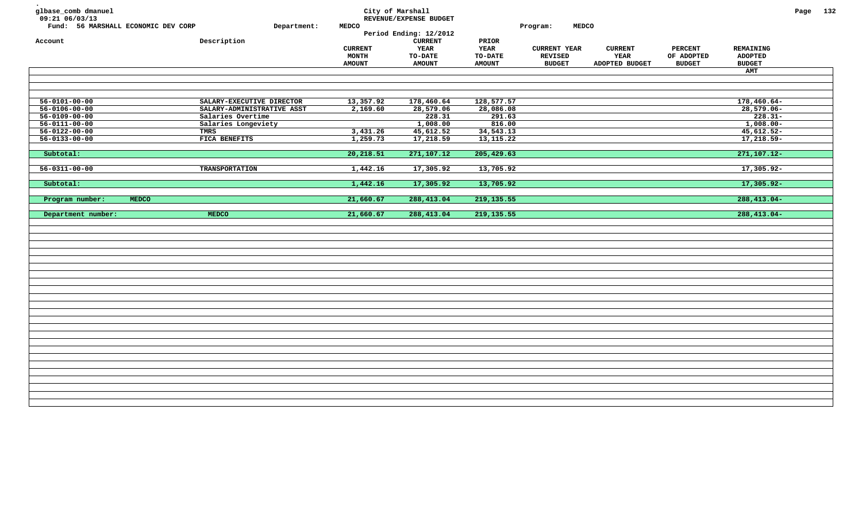| glbase_comb dmanuel<br>09:21 06/03/13 |                            |                | City of Marshall<br>REVENUE/EXPENSE BUDGET |               |                          |                |                |                  | Page 132 |  |
|---------------------------------------|----------------------------|----------------|--------------------------------------------|---------------|--------------------------|----------------|----------------|------------------|----------|--|
| Fund: 56 MARSHALL ECONOMIC DEV CORP   | Department:                | <b>MEDCO</b>   |                                            |               | <b>MEDCO</b><br>Program: |                |                |                  |          |  |
|                                       |                            |                | Period Ending: 12/2012                     |               |                          |                |                |                  |          |  |
| Account                               | Description                |                | <b>CURRENT</b>                             | PRIOR         |                          |                |                |                  |          |  |
|                                       |                            | <b>CURRENT</b> | <b>YEAR</b>                                | <b>YEAR</b>   | <b>CURRENT YEAR</b>      | <b>CURRENT</b> | <b>PERCENT</b> | <b>REMAINING</b> |          |  |
|                                       |                            | MONTH          | TO-DATE                                    | TO-DATE       | <b>REVISED</b>           | YEAR           | OF ADOPTED     | <b>ADOPTED</b>   |          |  |
|                                       |                            | <b>AMOUNT</b>  | <b>AMOUNT</b>                              | <b>AMOUNT</b> | <b>BUDGET</b>            | ADOPTED BUDGET | <b>BUDGET</b>  | <b>BUDGET</b>    |          |  |
|                                       |                            |                |                                            |               |                          |                |                | AMT              |          |  |
|                                       |                            |                |                                            |               |                          |                |                |                  |          |  |
|                                       |                            |                |                                            |               |                          |                |                |                  |          |  |
| $56 - 0101 - 00 - 00$                 | SALARY-EXECUTIVE DIRECTOR  | 13,357.92      | 178,460.64                                 | 128,577.57    |                          |                |                | $178,460.64-$    |          |  |
| $56 - 0106 - 00 - 00$                 | SALARY-ADMINISTRATIVE ASST | 2,169.60       | 28,579.06                                  | 28,086.08     |                          |                |                | $28,579.06 -$    |          |  |
| $56 - 0109 - 00 - 00$                 | Salaries Overtime          |                | 228.31                                     | 291.63        |                          |                |                | $228.31-$        |          |  |
| $56 - 0111 - 00 - 00$                 | Salaries Longeviety        |                | 1,008.00                                   | 816.00        |                          |                |                | $1,008.00 -$     |          |  |
| $56 - 0122 - 00 - 00$                 | TMRS                       | 3,431.26       | 45,612.52                                  | 34,543.13     |                          |                |                | $45,612.52-$     |          |  |
| $56 - 0133 - 00 - 00$                 | FICA BENEFITS              | 1,259.73       | 17,218.59                                  | 13, 115. 22   |                          |                |                | $17,218.59-$     |          |  |
|                                       |                            |                |                                            |               |                          |                |                |                  |          |  |
| Subtotal:                             |                            | 20, 218.51     | 271,107.12                                 | 205,429.63    |                          |                |                | $271, 107.12 -$  |          |  |
|                                       |                            |                |                                            |               |                          |                |                |                  |          |  |
| $56 - 0311 - 00 - 00$                 | <b>TRANSPORTATION</b>      | 1,442.16       | 17,305.92                                  | 13,705.92     |                          |                |                | 17,305.92-       |          |  |
|                                       |                            |                |                                            |               |                          |                |                |                  |          |  |
| Subtotal:                             |                            | 1,442.16       | 17,305.92                                  | 13,705.92     |                          |                |                | 17,305.92-       |          |  |
|                                       |                            |                |                                            |               |                          |                |                |                  |          |  |
| Program number:<br><b>MEDCO</b>       |                            | 21,660.67      | 288,413.04                                 | 219, 135.55   |                          |                |                | $288, 413.04 -$  |          |  |
|                                       |                            |                |                                            |               |                          |                |                |                  |          |  |
| Department number:                    | MEDCO                      | 21,660.67      | 288, 413.04                                | 219,135.55    |                          |                |                | $288,413.04-$    |          |  |
|                                       |                            |                |                                            |               |                          |                |                |                  |          |  |
|                                       |                            |                |                                            |               |                          |                |                |                  |          |  |
|                                       |                            |                |                                            |               |                          |                |                |                  |          |  |
|                                       |                            |                |                                            |               |                          |                |                |                  |          |  |
|                                       |                            |                |                                            |               |                          |                |                |                  |          |  |
|                                       |                            |                |                                            |               |                          |                |                |                  |          |  |
|                                       |                            |                |                                            |               |                          |                |                |                  |          |  |
|                                       |                            |                |                                            |               |                          |                |                |                  |          |  |
|                                       |                            |                |                                            |               |                          |                |                |                  |          |  |
|                                       |                            |                |                                            |               |                          |                |                |                  |          |  |
|                                       |                            |                |                                            |               |                          |                |                |                  |          |  |
|                                       |                            |                |                                            |               |                          |                |                |                  |          |  |
|                                       |                            |                |                                            |               |                          |                |                |                  |          |  |
|                                       |                            |                |                                            |               |                          |                |                |                  |          |  |
|                                       |                            |                |                                            |               |                          |                |                |                  |          |  |
|                                       |                            |                |                                            |               |                          |                |                |                  |          |  |
|                                       |                            |                |                                            |               |                          |                |                |                  |          |  |
|                                       |                            |                |                                            |               |                          |                |                |                  |          |  |
|                                       |                            |                |                                            |               |                          |                |                |                  |          |  |
|                                       |                            |                |                                            |               |                          |                |                |                  |          |  |
|                                       |                            |                |                                            |               |                          |                |                |                  |          |  |
|                                       |                            |                |                                            |               |                          |                |                |                  |          |  |
|                                       |                            |                |                                            |               |                          |                |                |                  |          |  |
|                                       |                            |                |                                            |               |                          |                |                |                  |          |  |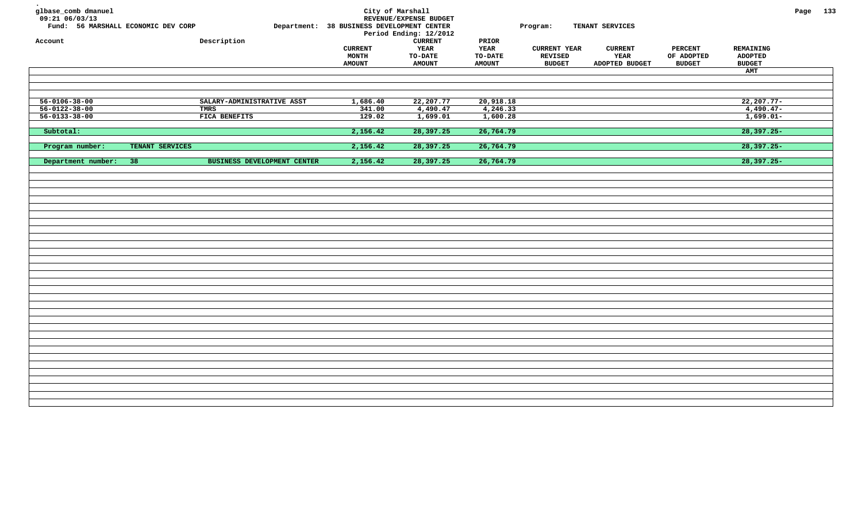| glbase_comb dmanuel<br>$09:21$ 06/03/13<br>Fund: 56 MARSHALL ECONOMIC DEV CORP<br>Account |                 | Description                 | Department: 38 BUSINESS DEVELOPMENT CENTER<br><b>CURRENT</b><br>MONTH<br><b>AMOUNT</b> | City of Marshall<br>REVENUE/EXPENSE BUDGET<br>Period Ending: 12/2012<br><b>CURRENT</b><br><b>YEAR</b><br><b>TO-DATE</b><br><b>AMOUNT</b> | PRIOR<br><b>YEAR</b><br><b>TO-DATE</b><br><b>AMOUNT</b> | Program:<br><b>CURRENT YEAR</b><br><b>REVISED</b><br><b>BUDGET</b> | TENANT SERVICES<br><b>CURRENT</b><br>YEAR<br>ADOPTED BUDGET | <b>PERCENT</b><br>OF ADOPTED<br><b>BUDGET</b> | REMAINING<br><b>ADOPTED</b><br><b>BUDGET</b><br>AMT | Page 133 |  |
|-------------------------------------------------------------------------------------------|-----------------|-----------------------------|----------------------------------------------------------------------------------------|------------------------------------------------------------------------------------------------------------------------------------------|---------------------------------------------------------|--------------------------------------------------------------------|-------------------------------------------------------------|-----------------------------------------------|-----------------------------------------------------|----------|--|
| $56 - 0106 - 38 - 00$                                                                     |                 | SALARY-ADMINISTRATIVE ASST  | 1,686.40                                                                               | 22, 207.77                                                                                                                               | 20,918.18                                               |                                                                    |                                                             |                                               | $22, 207.77 -$                                      |          |  |
| $56 - 0122 - 38 - 00$                                                                     |                 | TMRS                        | 341.00                                                                                 | 4,490.47                                                                                                                                 | 4,246.33                                                |                                                                    |                                                             |                                               | $4,490.47-$                                         |          |  |
| $56 - 0133 - 38 - 00$                                                                     |                 | FICA BENEFITS               | 129.02                                                                                 | 1,699.01                                                                                                                                 | 1,600.28                                                |                                                                    |                                                             |                                               | $1,699.01-$                                         |          |  |
| Subtotal:                                                                                 |                 |                             | 2,156.42                                                                               | 28,397.25                                                                                                                                | 26,764.79                                               |                                                                    |                                                             |                                               | 28,397.25-                                          |          |  |
| Program number:                                                                           | TENANT SERVICES |                             | 2,156.42                                                                               | 28,397.25                                                                                                                                | 26,764.79                                               |                                                                    |                                                             |                                               | $28,397.25 -$                                       |          |  |
| Department number:                                                                        | 38              | BUSINESS DEVELOPMENT CENTER | 2,156.42                                                                               | 28,397.25                                                                                                                                | 26,764.79                                               |                                                                    |                                                             |                                               | $28,397.25-$                                        |          |  |
|                                                                                           |                 |                             |                                                                                        |                                                                                                                                          |                                                         |                                                                    |                                                             |                                               |                                                     |          |  |
|                                                                                           |                 |                             |                                                                                        |                                                                                                                                          |                                                         |                                                                    |                                                             |                                               |                                                     |          |  |
|                                                                                           |                 |                             |                                                                                        |                                                                                                                                          |                                                         |                                                                    |                                                             |                                               |                                                     |          |  |
|                                                                                           |                 |                             |                                                                                        |                                                                                                                                          |                                                         |                                                                    |                                                             |                                               |                                                     |          |  |
|                                                                                           |                 |                             |                                                                                        |                                                                                                                                          |                                                         |                                                                    |                                                             |                                               |                                                     |          |  |
|                                                                                           |                 |                             |                                                                                        |                                                                                                                                          |                                                         |                                                                    |                                                             |                                               |                                                     |          |  |
|                                                                                           |                 |                             |                                                                                        |                                                                                                                                          |                                                         |                                                                    |                                                             |                                               |                                                     |          |  |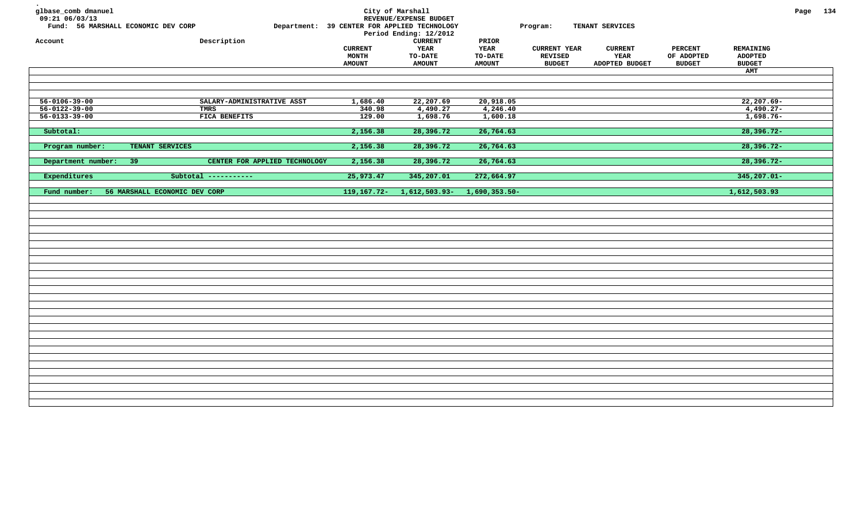| glbase_comb dmanuel<br>09:21 06/03/13<br>Fund: 56 MARSHALL ECONOMIC DEV CORP<br>Account |                               | Description                   | Department: 39 CENTER FOR APPLIED TECHNOLOGY | City of Marshall<br>REVENUE/EXPENSE BUDGET<br>Period Ending: 12/2012<br>${\tt CURRENT}$ | PRIOR                         | Program:                              | TENANT SERVICES        |                              |                                    | Page 134 |  |
|-----------------------------------------------------------------------------------------|-------------------------------|-------------------------------|----------------------------------------------|-----------------------------------------------------------------------------------------|-------------------------------|---------------------------------------|------------------------|------------------------------|------------------------------------|----------|--|
|                                                                                         |                               |                               | <b>CURRENT</b><br>MONTH                      | <b>YEAR</b><br><b>TO-DATE</b>                                                           | <b>YEAR</b><br><b>TO-DATE</b> | <b>CURRENT YEAR</b><br><b>REVISED</b> | <b>CURRENT</b><br>YEAR | <b>PERCENT</b><br>OF ADOPTED | <b>REMAINING</b><br><b>ADOPTED</b> |          |  |
|                                                                                         |                               |                               | <b>AMOUNT</b>                                | <b>AMOUNT</b>                                                                           | <b>AMOUNT</b>                 | <b>BUDGET</b>                         | ADOPTED BUDGET         | <b>BUDGET</b>                | <b>BUDGET</b>                      |          |  |
|                                                                                         |                               |                               |                                              |                                                                                         |                               |                                       |                        |                              | AMT                                |          |  |
|                                                                                         |                               |                               |                                              |                                                                                         |                               |                                       |                        |                              |                                    |          |  |
| $56 - 0106 - 39 - 00$                                                                   |                               | SALARY-ADMINISTRATIVE ASST    | 1,686.40                                     | 22,207.69                                                                               | 20,918.05                     |                                       |                        |                              | $22, 207.69 -$                     |          |  |
| $56 - 0122 - 39 - 00$                                                                   |                               | <b>TMRS</b>                   | 340.98                                       | 4,490.27                                                                                | 4,246.40                      |                                       |                        |                              | $4,490.27-$                        |          |  |
| $56 - 0133 - 39 - 00$                                                                   |                               | FICA BENEFITS                 | 129.00                                       | 1,698.76                                                                                | 1,600.18                      |                                       |                        |                              | $1,698.76-$                        |          |  |
| Subtotal:                                                                               |                               |                               | 2,156.38                                     | 28,396.72                                                                               | 26,764.63                     |                                       |                        |                              | $28,396.72-$                       |          |  |
| Program number:                                                                         | TENANT SERVICES               |                               | 2,156.38                                     | 28,396.72                                                                               | 26,764.63                     |                                       |                        |                              | $28,396.72-$                       |          |  |
| Department number:                                                                      | -39                           | CENTER FOR APPLIED TECHNOLOGY | 2,156.38                                     | 28,396.72                                                                               | 26,764.63                     |                                       |                        |                              | $28,396.72-$                       |          |  |
| Expenditures                                                                            |                               | Subtotal -----------          | 25,973.47                                    | 345,207.01                                                                              | 272,664.97                    |                                       |                        |                              | 345,207.01-                        |          |  |
| Fund number:                                                                            | 56 MARSHALL ECONOMIC DEV CORP |                               | $119, 167.72 -$                              | $1,612,503.93-$                                                                         | $1,690,353.50-$               |                                       |                        |                              | 1,612,503.93                       |          |  |
|                                                                                         |                               |                               |                                              |                                                                                         |                               |                                       |                        |                              |                                    |          |  |
|                                                                                         |                               |                               |                                              |                                                                                         |                               |                                       |                        |                              |                                    |          |  |
|                                                                                         |                               |                               |                                              |                                                                                         |                               |                                       |                        |                              |                                    |          |  |
|                                                                                         |                               |                               |                                              |                                                                                         |                               |                                       |                        |                              |                                    |          |  |
|                                                                                         |                               |                               |                                              |                                                                                         |                               |                                       |                        |                              |                                    |          |  |
|                                                                                         |                               |                               |                                              |                                                                                         |                               |                                       |                        |                              |                                    |          |  |
|                                                                                         |                               |                               |                                              |                                                                                         |                               |                                       |                        |                              |                                    |          |  |
|                                                                                         |                               |                               |                                              |                                                                                         |                               |                                       |                        |                              |                                    |          |  |
|                                                                                         |                               |                               |                                              |                                                                                         |                               |                                       |                        |                              |                                    |          |  |
|                                                                                         |                               |                               |                                              |                                                                                         |                               |                                       |                        |                              |                                    |          |  |
|                                                                                         |                               |                               |                                              |                                                                                         |                               |                                       |                        |                              |                                    |          |  |
|                                                                                         |                               |                               |                                              |                                                                                         |                               |                                       |                        |                              |                                    |          |  |
|                                                                                         |                               |                               |                                              |                                                                                         |                               |                                       |                        |                              |                                    |          |  |
|                                                                                         |                               |                               |                                              |                                                                                         |                               |                                       |                        |                              |                                    |          |  |
|                                                                                         |                               |                               |                                              |                                                                                         |                               |                                       |                        |                              |                                    |          |  |
|                                                                                         |                               |                               |                                              |                                                                                         |                               |                                       |                        |                              |                                    |          |  |
|                                                                                         |                               |                               |                                              |                                                                                         |                               |                                       |                        |                              |                                    |          |  |
|                                                                                         |                               |                               |                                              |                                                                                         |                               |                                       |                        |                              |                                    |          |  |
|                                                                                         |                               |                               |                                              |                                                                                         |                               |                                       |                        |                              |                                    |          |  |
|                                                                                         |                               |                               |                                              |                                                                                         |                               |                                       |                        |                              |                                    |          |  |
|                                                                                         |                               |                               |                                              |                                                                                         |                               |                                       |                        |                              |                                    |          |  |
|                                                                                         |                               |                               |                                              |                                                                                         |                               |                                       |                        |                              |                                    |          |  |
|                                                                                         |                               |                               |                                              |                                                                                         |                               |                                       |                        |                              |                                    |          |  |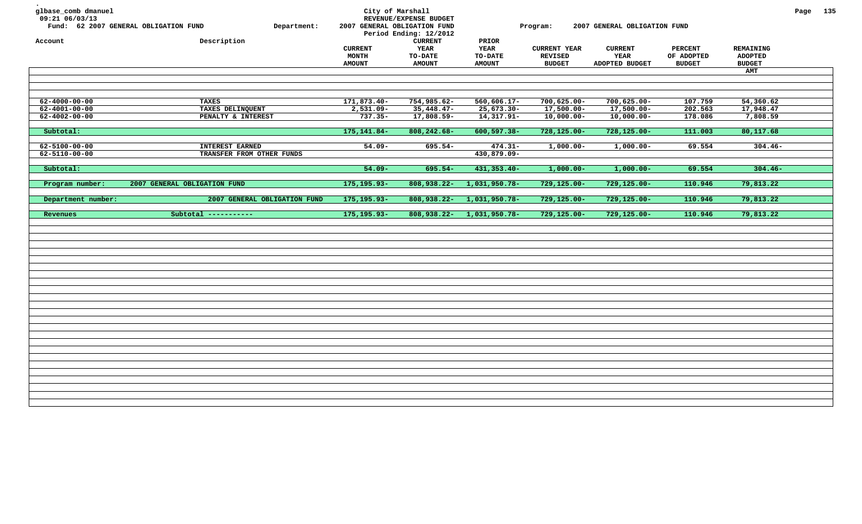| glbase_comb dmanuel<br>09:21 06/03/13<br>Account | Fund: 62 2007 GENERAL OBLIGATION FUND<br>Department:<br>Description | City of Marshall<br>2007 GENERAL OBLIGATION FUND | REVENUE/EXPENSE BUDGET<br>Period Ending: 12/2012<br><b>CURRENT</b> | PRIOR                                          | Program:                                               | 2007 GENERAL OBLIGATION FUND                    |                                               |                                                     | Page 135 |  |
|--------------------------------------------------|---------------------------------------------------------------------|--------------------------------------------------|--------------------------------------------------------------------|------------------------------------------------|--------------------------------------------------------|-------------------------------------------------|-----------------------------------------------|-----------------------------------------------------|----------|--|
|                                                  |                                                                     | <b>CURRENT</b><br><b>MONTH</b><br><b>AMOUNT</b>  | <b>YEAR</b><br><b>TO-DATE</b><br><b>AMOUNT</b>                     | <b>YEAR</b><br><b>TO-DATE</b><br><b>AMOUNT</b> | <b>CURRENT YEAR</b><br><b>REVISED</b><br><b>BUDGET</b> | <b>CURRENT</b><br><b>YEAR</b><br>ADOPTED BUDGET | <b>PERCENT</b><br>OF ADOPTED<br><b>BUDGET</b> | <b>REMAINING</b><br><b>ADOPTED</b><br><b>BUDGET</b> |          |  |
|                                                  |                                                                     |                                                  |                                                                    |                                                |                                                        |                                                 |                                               | AMT                                                 |          |  |
|                                                  |                                                                     |                                                  |                                                                    |                                                |                                                        |                                                 |                                               |                                                     |          |  |
|                                                  |                                                                     |                                                  |                                                                    |                                                |                                                        |                                                 |                                               |                                                     |          |  |
| $62 - 4000 - 00 - 00$                            | <b>TAXES</b>                                                        | 171,873.40-                                      | 754,985.62-                                                        | $560,606.17 -$                                 | $700,625.00 -$                                         | $700,625.00 -$                                  | 107.759                                       | 54,360.62                                           |          |  |
| $62 - 4001 - 00 - 00$                            | TAXES DELINQUENT                                                    | $2,531.09 -$                                     | $35,448.47-$                                                       | $25,673.30 -$                                  | $17,500.00 -$                                          | $17,500.00 -$                                   | 202.563                                       | 17,948.47                                           |          |  |
| $62 - 4002 - 00 - 00$                            | PENALTY & INTEREST                                                  | $737.35 -$                                       | $17,808.59-$                                                       | $14,317.91-$                                   | $10,000.00-$                                           | $10,000.00-$                                    | 178.086                                       | 7,808.59                                            |          |  |
| Subtotal:                                        |                                                                     | 175, 141.84-                                     | 808, 242.68-                                                       | $600, 597.38 -$                                | 728,125.00-                                            | 728,125.00-                                     | 111.003                                       | 80,117.68                                           |          |  |
| $62 - 5100 - 00 - 00$                            | <b>INTEREST EARNED</b>                                              | $54.09 -$                                        | 695.54-                                                            | $474.31 -$                                     | $1,000.00-$                                            | $1,000.00-$                                     | 69.554                                        | $304.46 -$                                          |          |  |
| $62 - 5110 - 00 - 00$                            | TRANSFER FROM OTHER FUNDS                                           |                                                  |                                                                    | 430,879.09-                                    |                                                        |                                                 |                                               |                                                     |          |  |
|                                                  |                                                                     |                                                  |                                                                    |                                                |                                                        |                                                 |                                               |                                                     |          |  |
| Subtotal:                                        |                                                                     | $54.09 -$                                        | 695.54-                                                            | 431, 353. 40-                                  | $1,000.00-$                                            | $1,000.00-$                                     | 69.554                                        | $304.46 -$                                          |          |  |
| Program number:                                  | 2007 GENERAL OBLIGATION FUND                                        | 175, 195. 93-                                    | 808,938.22-                                                        | 1,031,950.78-                                  | 729,125.00-                                            | 729,125.00-                                     | 110.946                                       | 79,813.22                                           |          |  |
|                                                  |                                                                     |                                                  |                                                                    |                                                |                                                        |                                                 |                                               |                                                     |          |  |
| Department number:                               | 2007 GENERAL OBLIGATION FUND                                        | 175, 195. 93-                                    | 808,938.22-                                                        | 1,031,950.78-                                  | 729,125.00-                                            | 729,125.00-                                     | 110.946                                       | 79,813.22                                           |          |  |
| Revenues                                         | Subtotal -----------                                                | 175, 195. 93-                                    | 808,938.22-                                                        | 1,031,950.78-                                  | 729,125.00-                                            | 729,125.00-                                     | 110.946                                       | 79,813.22                                           |          |  |
|                                                  |                                                                     |                                                  |                                                                    |                                                |                                                        |                                                 |                                               |                                                     |          |  |
|                                                  |                                                                     |                                                  |                                                                    |                                                |                                                        |                                                 |                                               |                                                     |          |  |
|                                                  |                                                                     |                                                  |                                                                    |                                                |                                                        |                                                 |                                               |                                                     |          |  |
|                                                  |                                                                     |                                                  |                                                                    |                                                |                                                        |                                                 |                                               |                                                     |          |  |
|                                                  |                                                                     |                                                  |                                                                    |                                                |                                                        |                                                 |                                               |                                                     |          |  |
|                                                  |                                                                     |                                                  |                                                                    |                                                |                                                        |                                                 |                                               |                                                     |          |  |
|                                                  |                                                                     |                                                  |                                                                    |                                                |                                                        |                                                 |                                               |                                                     |          |  |
|                                                  |                                                                     |                                                  |                                                                    |                                                |                                                        |                                                 |                                               |                                                     |          |  |
|                                                  |                                                                     |                                                  |                                                                    |                                                |                                                        |                                                 |                                               |                                                     |          |  |
|                                                  |                                                                     |                                                  |                                                                    |                                                |                                                        |                                                 |                                               |                                                     |          |  |
|                                                  |                                                                     |                                                  |                                                                    |                                                |                                                        |                                                 |                                               |                                                     |          |  |
|                                                  |                                                                     |                                                  |                                                                    |                                                |                                                        |                                                 |                                               |                                                     |          |  |
|                                                  |                                                                     |                                                  |                                                                    |                                                |                                                        |                                                 |                                               |                                                     |          |  |
|                                                  |                                                                     |                                                  |                                                                    |                                                |                                                        |                                                 |                                               |                                                     |          |  |
|                                                  |                                                                     |                                                  |                                                                    |                                                |                                                        |                                                 |                                               |                                                     |          |  |
|                                                  |                                                                     |                                                  |                                                                    |                                                |                                                        |                                                 |                                               |                                                     |          |  |
|                                                  |                                                                     |                                                  |                                                                    |                                                |                                                        |                                                 |                                               |                                                     |          |  |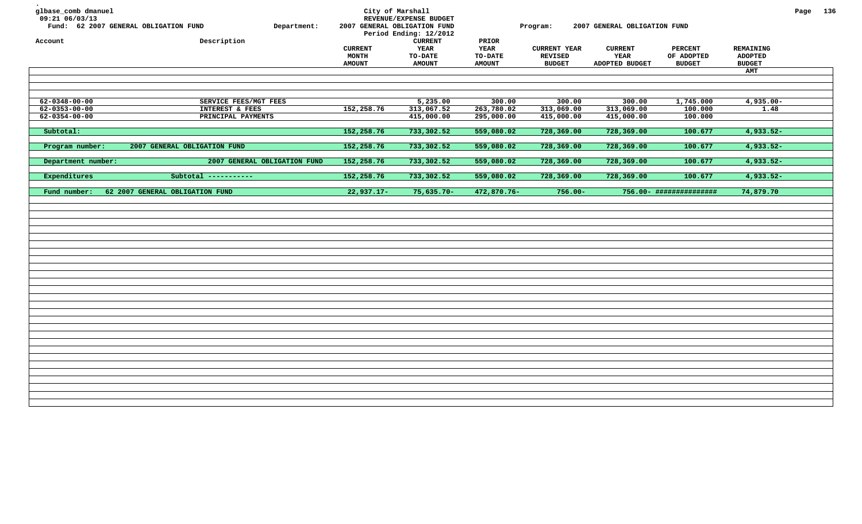| glbase_comb dmanuel<br>09:21 06/03/13                                   | Fund: 62 2007 GENERAL OBLIGATION FUND<br>Department:           |                                          | City of Marshall<br>REVENUE/EXPENSE BUDGET<br>2007 GENERAL OBLIGATION FUND<br>Period Ending: 12/2012 |                                           | Program:                                               | 2007 GENERAL OBLIGATION FUND             |                                               |                                                     | Page 136 |  |
|-------------------------------------------------------------------------|----------------------------------------------------------------|------------------------------------------|------------------------------------------------------------------------------------------------------|-------------------------------------------|--------------------------------------------------------|------------------------------------------|-----------------------------------------------|-----------------------------------------------------|----------|--|
| Account                                                                 | Description                                                    | <b>CURRENT</b><br>MONTH<br><b>AMOUNT</b> | <b>CURRENT</b><br><b>YEAR</b><br>TO-DATE<br><b>AMOUNT</b>                                            | PRIOR<br>YEAR<br>TO-DATE<br><b>AMOUNT</b> | <b>CURRENT YEAR</b><br><b>REVISED</b><br><b>BUDGET</b> | <b>CURRENT</b><br>YEAR<br>ADOPTED BUDGET | <b>PERCENT</b><br>OF ADOPTED<br><b>BUDGET</b> | REMAINING<br><b>ADOPTED</b><br><b>BUDGET</b><br>AMT |          |  |
| $62 - 0348 - 00 - 00$<br>$62 - 0353 - 00 - 00$<br>$62 - 0354 - 00 - 00$ | SERVICE FEES/MGT FEES<br>INTEREST & FEES<br>PRINCIPAL PAYMENTS | 152,258.76                               | 5,235.00<br>313,067.52<br>415,000.00                                                                 | 300.00<br>263,780.02<br>295,000.00        | 300.00<br>313,069.00<br>415,000.00                     | 300.00<br>313,069.00<br>415,000.00       | 1,745.000<br>100.000<br>100.000               | $4,935.00 -$<br>1.48                                |          |  |
| Subtotal:                                                               |                                                                | 152,258.76                               | 733,302.52                                                                                           | 559,080.02                                | 728,369.00                                             | 728,369.00                               | 100.677                                       | $4,933.52-$                                         |          |  |
| Program number:                                                         | 2007 GENERAL OBLIGATION FUND                                   | 152,258.76                               | 733,302.52                                                                                           | 559,080.02                                | 728,369.00                                             | 728,369.00                               | 100.677                                       | $4,933.52-$                                         |          |  |
| Department number:                                                      | 2007 GENERAL OBLIGATION FUND                                   | 152,258.76                               | 733,302.52                                                                                           | 559,080.02                                | 728,369.00                                             | 728,369.00                               | 100.677                                       | 4,933.52-                                           |          |  |
| Expenditures                                                            | Subtotal -----------                                           | 152,258.76                               | 733,302.52                                                                                           | 559,080.02                                | 728,369.00                                             | 728,369.00                               | 100.677                                       | $4,933.52-$                                         |          |  |
| Fund number:                                                            | 62 2007 GENERAL OBLIGATION FUND                                | $22,937.17-$                             | $75,635.70-$                                                                                         | 472,870.76-                               | $756.00 -$                                             |                                          | 756.00- ###############                       | 74,879.70                                           |          |  |
|                                                                         |                                                                |                                          |                                                                                                      |                                           |                                                        |                                          |                                               |                                                     |          |  |
|                                                                         |                                                                |                                          |                                                                                                      |                                           |                                                        |                                          |                                               |                                                     |          |  |
|                                                                         |                                                                |                                          |                                                                                                      |                                           |                                                        |                                          |                                               |                                                     |          |  |
|                                                                         |                                                                |                                          |                                                                                                      |                                           |                                                        |                                          |                                               |                                                     |          |  |
|                                                                         |                                                                |                                          |                                                                                                      |                                           |                                                        |                                          |                                               |                                                     |          |  |
|                                                                         |                                                                |                                          |                                                                                                      |                                           |                                                        |                                          |                                               |                                                     |          |  |
|                                                                         |                                                                |                                          |                                                                                                      |                                           |                                                        |                                          |                                               |                                                     |          |  |
|                                                                         |                                                                |                                          |                                                                                                      |                                           |                                                        |                                          |                                               |                                                     |          |  |
|                                                                         |                                                                |                                          |                                                                                                      |                                           |                                                        |                                          |                                               |                                                     |          |  |
|                                                                         |                                                                |                                          |                                                                                                      |                                           |                                                        |                                          |                                               |                                                     |          |  |
|                                                                         |                                                                |                                          |                                                                                                      |                                           |                                                        |                                          |                                               |                                                     |          |  |
|                                                                         |                                                                |                                          |                                                                                                      |                                           |                                                        |                                          |                                               |                                                     |          |  |
|                                                                         |                                                                |                                          |                                                                                                      |                                           |                                                        |                                          |                                               |                                                     |          |  |
|                                                                         |                                                                |                                          |                                                                                                      |                                           |                                                        |                                          |                                               |                                                     |          |  |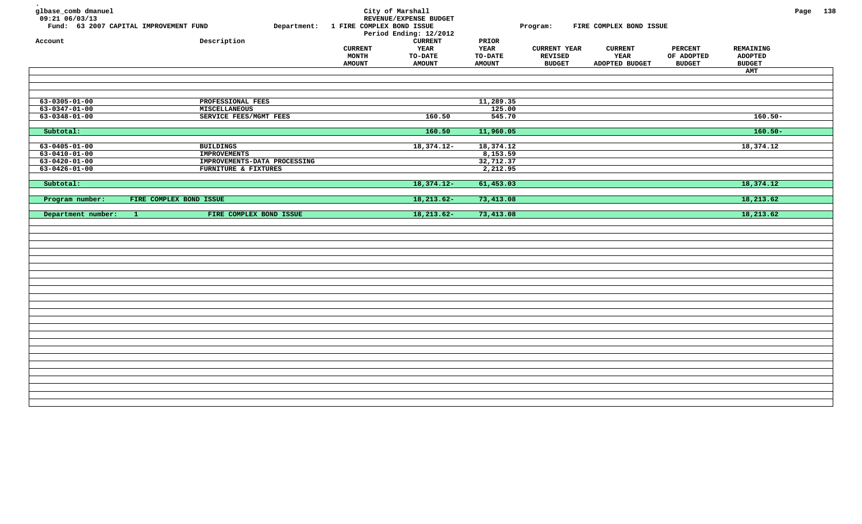| glbase_comb dmanuel<br>09:21 06/03/13<br>Account | Fund: 63 2007 CAPITAL IMPROVEMENT FUND<br>Description | Department: | City of Marshall<br>1 FIRE COMPLEX BOND ISSUE | REVENUE/EXPENSE BUDGET<br>Period Ending: 12/2012<br><b>CURRENT</b> | PRIOR                  | Program:                              | FIRE COMPLEX BOND ISSUE |                              |                                    | Page 138 |  |
|--------------------------------------------------|-------------------------------------------------------|-------------|-----------------------------------------------|--------------------------------------------------------------------|------------------------|---------------------------------------|-------------------------|------------------------------|------------------------------------|----------|--|
|                                                  |                                                       |             | <b>CURRENT</b><br><b>MONTH</b>                | YEAR<br><b>TO-DATE</b>                                             | <b>YEAR</b><br>TO-DATE | <b>CURRENT YEAR</b><br><b>REVISED</b> | <b>CURRENT</b><br>YEAR  | <b>PERCENT</b><br>OF ADOPTED | <b>REMAINING</b><br><b>ADOPTED</b> |          |  |
|                                                  |                                                       |             | <b>AMOUNT</b>                                 | <b>AMOUNT</b>                                                      | <b>AMOUNT</b>          | <b>BUDGET</b>                         | ADOPTED BUDGET          | <b>BUDGET</b>                | <b>BUDGET</b>                      |          |  |
|                                                  |                                                       |             |                                               |                                                                    |                        |                                       |                         |                              | AMT                                |          |  |
|                                                  |                                                       |             |                                               |                                                                    |                        |                                       |                         |                              |                                    |          |  |
|                                                  |                                                       |             |                                               |                                                                    |                        |                                       |                         |                              |                                    |          |  |
| $63 - 0305 - 01 - 00$                            | PROFESSIONAL FEES                                     |             |                                               |                                                                    | 11,289.35              |                                       |                         |                              |                                    |          |  |
| $63 - 0347 - 01 - 00$                            | <b>MISCELLANEOUS</b>                                  |             |                                               |                                                                    | 125.00                 |                                       |                         |                              |                                    |          |  |
| $63 - 0348 - 01 - 00$                            | SERVICE FEES/MGMT FEES                                |             |                                               | 160.50                                                             | 545.70                 |                                       |                         |                              | $160.50 -$                         |          |  |
| Subtotal:                                        |                                                       |             |                                               | 160.50                                                             | 11,960.05              |                                       |                         |                              | $160.50 -$                         |          |  |
| $63 - 0405 - 01 - 00$                            | <b>BUILDINGS</b>                                      |             |                                               | $18,374.12-$                                                       | 18,374.12              |                                       |                         |                              | 18,374.12                          |          |  |
| $63 - 0410 - 01 - 00$                            | <b>IMPROVEMENTS</b>                                   |             |                                               |                                                                    | 8,153.59               |                                       |                         |                              |                                    |          |  |
| $63 - 0420 - 01 - 00$                            | IMPROVEMENTS-DATA PROCESSING                          |             |                                               |                                                                    | 32,712.37              |                                       |                         |                              |                                    |          |  |
| $63 - 0426 - 01 - 00$                            | FURNITURE & FIXTURES                                  |             |                                               |                                                                    | 2,212.95               |                                       |                         |                              |                                    |          |  |
| Subtotal:                                        |                                                       |             |                                               | $18,374.12-$                                                       | 61,453.03              |                                       |                         |                              | 18,374.12                          |          |  |
|                                                  |                                                       |             |                                               |                                                                    |                        |                                       |                         |                              |                                    |          |  |
|                                                  |                                                       |             |                                               |                                                                    |                        |                                       |                         |                              | 18,213.62                          |          |  |
| Program number:                                  | FIRE COMPLEX BOND ISSUE                               |             |                                               | $18, 213.62 -$                                                     | 73,413.08              |                                       |                         |                              |                                    |          |  |
| Department number:                               | FIRE COMPLEX BOND ISSUE<br>$\mathbf{1}$               |             |                                               | $18, 213.62 -$                                                     | 73,413.08              |                                       |                         |                              | 18,213.62                          |          |  |
|                                                  |                                                       |             |                                               |                                                                    |                        |                                       |                         |                              |                                    |          |  |
|                                                  |                                                       |             |                                               |                                                                    |                        |                                       |                         |                              |                                    |          |  |
|                                                  |                                                       |             |                                               |                                                                    |                        |                                       |                         |                              |                                    |          |  |
|                                                  |                                                       |             |                                               |                                                                    |                        |                                       |                         |                              |                                    |          |  |
|                                                  |                                                       |             |                                               |                                                                    |                        |                                       |                         |                              |                                    |          |  |
|                                                  |                                                       |             |                                               |                                                                    |                        |                                       |                         |                              |                                    |          |  |
|                                                  |                                                       |             |                                               |                                                                    |                        |                                       |                         |                              |                                    |          |  |
|                                                  |                                                       |             |                                               |                                                                    |                        |                                       |                         |                              |                                    |          |  |
|                                                  |                                                       |             |                                               |                                                                    |                        |                                       |                         |                              |                                    |          |  |
|                                                  |                                                       |             |                                               |                                                                    |                        |                                       |                         |                              |                                    |          |  |
|                                                  |                                                       |             |                                               |                                                                    |                        |                                       |                         |                              |                                    |          |  |
|                                                  |                                                       |             |                                               |                                                                    |                        |                                       |                         |                              |                                    |          |  |
|                                                  |                                                       |             |                                               |                                                                    |                        |                                       |                         |                              |                                    |          |  |
|                                                  |                                                       |             |                                               |                                                                    |                        |                                       |                         |                              |                                    |          |  |
|                                                  |                                                       |             |                                               |                                                                    |                        |                                       |                         |                              |                                    |          |  |
|                                                  |                                                       |             |                                               |                                                                    |                        |                                       |                         |                              |                                    |          |  |
|                                                  |                                                       |             |                                               |                                                                    |                        |                                       |                         |                              |                                    |          |  |
|                                                  |                                                       |             |                                               |                                                                    |                        |                                       |                         |                              |                                    |          |  |
|                                                  |                                                       |             |                                               |                                                                    |                        |                                       |                         |                              |                                    |          |  |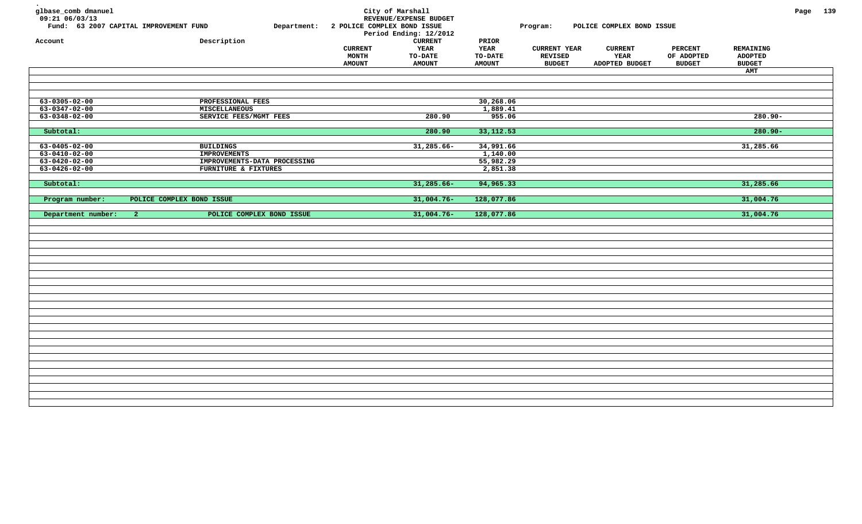| glbase_comb dmanuel<br>09:21 06/03/13<br>Account | Fund: 63 2007 CAPITAL IMPROVEMENT FUND<br>Department:<br>Description | 2 POLICE COMPLEX BOND ISSUE<br><b>CURRENT</b><br>MONTH | City of Marshall<br>REVENUE/EXPENSE BUDGET<br>Period Ending: 12/2012<br>${\tt CURRENT}$<br><b>YEAR</b><br><b>TO-DATE</b> | PRIOR<br><b>YEAR</b><br><b>TO-DATE</b> | Program:<br><b>CURRENT YEAR</b><br><b>REVISED</b> | POLICE COMPLEX BOND ISSUE<br><b>CURRENT</b><br>YEAR | <b>PERCENT</b><br>OF ADOPTED | <b>REMAINING</b><br><b>ADOPTED</b> | Page 139 |  |
|--------------------------------------------------|----------------------------------------------------------------------|--------------------------------------------------------|--------------------------------------------------------------------------------------------------------------------------|----------------------------------------|---------------------------------------------------|-----------------------------------------------------|------------------------------|------------------------------------|----------|--|
|                                                  |                                                                      | <b>AMOUNT</b>                                          | <b>AMOUNT</b>                                                                                                            | <b>AMOUNT</b>                          | <b>BUDGET</b>                                     | ADOPTED BUDGET                                      | <b>BUDGET</b>                | <b>BUDGET</b>                      |          |  |
|                                                  |                                                                      |                                                        |                                                                                                                          |                                        |                                                   |                                                     |                              | <b>AMT</b>                         |          |  |
|                                                  |                                                                      |                                                        |                                                                                                                          |                                        |                                                   |                                                     |                              |                                    |          |  |
|                                                  |                                                                      |                                                        |                                                                                                                          |                                        |                                                   |                                                     |                              |                                    |          |  |
|                                                  |                                                                      |                                                        |                                                                                                                          |                                        |                                                   |                                                     |                              |                                    |          |  |
| $63 - 0305 - 02 - 00$                            | PROFESSIONAL FEES                                                    |                                                        |                                                                                                                          | 30, 268.06                             |                                                   |                                                     |                              |                                    |          |  |
| $63 - 0347 - 02 - 00$                            | MISCELLANEOUS                                                        |                                                        |                                                                                                                          | 1,889.41                               |                                                   |                                                     |                              |                                    |          |  |
| $63 - 0348 - 02 - 00$                            | SERVICE FEES/MGMT FEES                                               |                                                        | 280.90                                                                                                                   | 955.06                                 |                                                   |                                                     |                              | 280.90-                            |          |  |
| Subtotal:                                        |                                                                      |                                                        | 280.90                                                                                                                   | 33,112.53                              |                                                   |                                                     |                              | $280.90 -$                         |          |  |
|                                                  |                                                                      |                                                        |                                                                                                                          |                                        |                                                   |                                                     |                              |                                    |          |  |
| $63 - 0405 - 02 - 00$                            | <b>BUILDINGS</b>                                                     |                                                        | 31,285.66-                                                                                                               | 34,991.66                              |                                                   |                                                     |                              | 31,285.66                          |          |  |
| $63 - 0410 - 02 - 00$                            | <b>IMPROVEMENTS</b>                                                  |                                                        |                                                                                                                          | 1,140.00                               |                                                   |                                                     |                              |                                    |          |  |
| $63 - 0420 - 02 - 00$                            | IMPROVEMENTS-DATA PROCESSING                                         |                                                        |                                                                                                                          | 55,982.29                              |                                                   |                                                     |                              |                                    |          |  |
| $63 - 0426 - 02 - 00$                            | FURNITURE & FIXTURES                                                 |                                                        |                                                                                                                          | 2,851.38                               |                                                   |                                                     |                              |                                    |          |  |
| Subtotal:                                        |                                                                      |                                                        | $31,285.66-$                                                                                                             | 94,965.33                              |                                                   |                                                     |                              | 31,285.66                          |          |  |
|                                                  |                                                                      |                                                        |                                                                                                                          |                                        |                                                   |                                                     |                              |                                    |          |  |
| Program number:                                  | POLICE COMPLEX BOND ISSUE                                            |                                                        | $31,004.76-$                                                                                                             | 128,077.86                             |                                                   |                                                     |                              | 31,004.76                          |          |  |
|                                                  |                                                                      |                                                        |                                                                                                                          |                                        |                                                   |                                                     |                              |                                    |          |  |
|                                                  |                                                                      |                                                        |                                                                                                                          |                                        |                                                   |                                                     |                              |                                    |          |  |
| Department number:                               | POLICE COMPLEX BOND ISSUE<br>$\mathbf{2}$                            |                                                        | $31,004.76-$                                                                                                             | 128,077.86                             |                                                   |                                                     |                              | 31,004.76                          |          |  |
|                                                  |                                                                      |                                                        |                                                                                                                          |                                        |                                                   |                                                     |                              |                                    |          |  |
|                                                  |                                                                      |                                                        |                                                                                                                          |                                        |                                                   |                                                     |                              |                                    |          |  |
|                                                  |                                                                      |                                                        |                                                                                                                          |                                        |                                                   |                                                     |                              |                                    |          |  |
|                                                  |                                                                      |                                                        |                                                                                                                          |                                        |                                                   |                                                     |                              |                                    |          |  |
|                                                  |                                                                      |                                                        |                                                                                                                          |                                        |                                                   |                                                     |                              |                                    |          |  |
|                                                  |                                                                      |                                                        |                                                                                                                          |                                        |                                                   |                                                     |                              |                                    |          |  |
|                                                  |                                                                      |                                                        |                                                                                                                          |                                        |                                                   |                                                     |                              |                                    |          |  |
|                                                  |                                                                      |                                                        |                                                                                                                          |                                        |                                                   |                                                     |                              |                                    |          |  |
|                                                  |                                                                      |                                                        |                                                                                                                          |                                        |                                                   |                                                     |                              |                                    |          |  |
|                                                  |                                                                      |                                                        |                                                                                                                          |                                        |                                                   |                                                     |                              |                                    |          |  |
|                                                  |                                                                      |                                                        |                                                                                                                          |                                        |                                                   |                                                     |                              |                                    |          |  |
|                                                  |                                                                      |                                                        |                                                                                                                          |                                        |                                                   |                                                     |                              |                                    |          |  |
|                                                  |                                                                      |                                                        |                                                                                                                          |                                        |                                                   |                                                     |                              |                                    |          |  |
|                                                  |                                                                      |                                                        |                                                                                                                          |                                        |                                                   |                                                     |                              |                                    |          |  |
|                                                  |                                                                      |                                                        |                                                                                                                          |                                        |                                                   |                                                     |                              |                                    |          |  |
|                                                  |                                                                      |                                                        |                                                                                                                          |                                        |                                                   |                                                     |                              |                                    |          |  |
|                                                  |                                                                      |                                                        |                                                                                                                          |                                        |                                                   |                                                     |                              |                                    |          |  |
|                                                  |                                                                      |                                                        |                                                                                                                          |                                        |                                                   |                                                     |                              |                                    |          |  |
|                                                  |                                                                      |                                                        |                                                                                                                          |                                        |                                                   |                                                     |                              |                                    |          |  |
|                                                  |                                                                      |                                                        |                                                                                                                          |                                        |                                                   |                                                     |                              |                                    |          |  |
|                                                  |                                                                      |                                                        |                                                                                                                          |                                        |                                                   |                                                     |                              |                                    |          |  |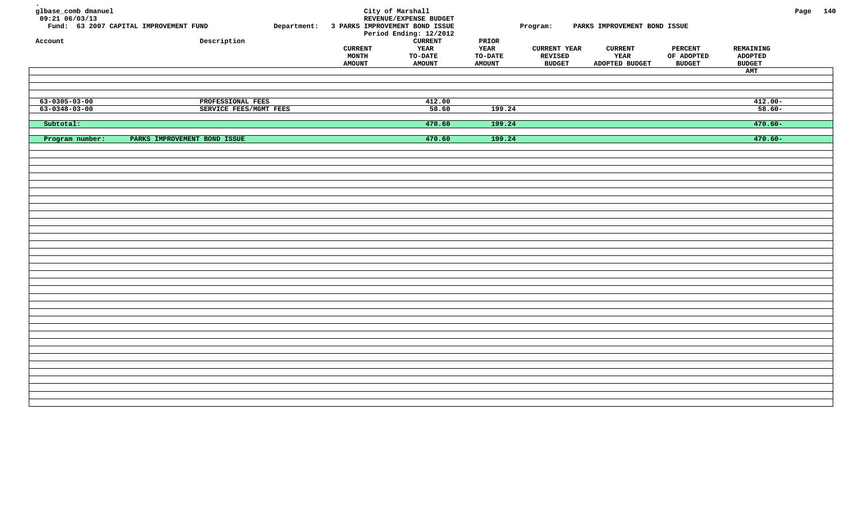| glbase_comb dmanuel<br>$09:21$ 06/03/13<br>Fund: 63 2007 CAPITAL IMPROVEMENT FUND<br>Account | Department:<br>Description   | 3 PARKS IMPROVEMENT BOND ISSUE<br><b>CURRENT</b><br>MONTH<br><b>AMOUNT</b> | City of Marshall<br>REVENUE/EXPENSE BUDGET<br>Period Ending: 12/2012<br><b>CURRENT</b><br>YEAR<br><b>TO-DATE</b><br><b>AMOUNT</b> | PRIOR<br>YEAR<br><b>TO-DATE</b><br><b>AMOUNT</b> | Program:<br><b>CURRENT YEAR</b><br><b>REVISED</b><br><b>BUDGET</b> | PARKS IMPROVEMENT BOND ISSUE<br><b>CURRENT</b><br>YEAR<br>ADOPTED BUDGET | <b>PERCENT</b><br>OF ADOPTED<br><b>BUDGET</b> | REMAINING<br><b>ADOPTED</b><br><b>BUDGET</b><br>AMT | Page 140 |
|----------------------------------------------------------------------------------------------|------------------------------|----------------------------------------------------------------------------|-----------------------------------------------------------------------------------------------------------------------------------|--------------------------------------------------|--------------------------------------------------------------------|--------------------------------------------------------------------------|-----------------------------------------------|-----------------------------------------------------|----------|
| $63 - 0305 - 03 - 00$                                                                        | PROFESSIONAL FEES            |                                                                            | 412.00                                                                                                                            |                                                  |                                                                    |                                                                          |                                               | $412.00 -$                                          |          |
| $63 - 0348 - 03 - 00$                                                                        | SERVICE FEES/MGMT FEES       |                                                                            | 58.60                                                                                                                             | 199.24                                           |                                                                    |                                                                          |                                               | $58.60 -$                                           |          |
| Subtotal:                                                                                    |                              |                                                                            | 470.60                                                                                                                            | 199.24                                           |                                                                    |                                                                          |                                               | $470.60 -$                                          |          |
|                                                                                              |                              |                                                                            |                                                                                                                                   |                                                  |                                                                    |                                                                          |                                               |                                                     |          |
| Program number:                                                                              | PARKS IMPROVEMENT BOND ISSUE |                                                                            | 470.60                                                                                                                            | 199.24                                           |                                                                    |                                                                          |                                               | $470.60 -$                                          |          |
|                                                                                              |                              |                                                                            |                                                                                                                                   |                                                  |                                                                    |                                                                          |                                               |                                                     |          |
|                                                                                              |                              |                                                                            |                                                                                                                                   |                                                  |                                                                    |                                                                          |                                               |                                                     |          |
|                                                                                              |                              |                                                                            |                                                                                                                                   |                                                  |                                                                    |                                                                          |                                               |                                                     |          |
|                                                                                              |                              |                                                                            |                                                                                                                                   |                                                  |                                                                    |                                                                          |                                               |                                                     |          |
|                                                                                              |                              |                                                                            |                                                                                                                                   |                                                  |                                                                    |                                                                          |                                               |                                                     |          |
|                                                                                              |                              |                                                                            |                                                                                                                                   |                                                  |                                                                    |                                                                          |                                               |                                                     |          |
|                                                                                              |                              |                                                                            |                                                                                                                                   |                                                  |                                                                    |                                                                          |                                               |                                                     |          |
|                                                                                              |                              |                                                                            |                                                                                                                                   |                                                  |                                                                    |                                                                          |                                               |                                                     |          |
|                                                                                              |                              |                                                                            |                                                                                                                                   |                                                  |                                                                    |                                                                          |                                               |                                                     |          |
|                                                                                              |                              |                                                                            |                                                                                                                                   |                                                  |                                                                    |                                                                          |                                               |                                                     |          |
|                                                                                              |                              |                                                                            |                                                                                                                                   |                                                  |                                                                    |                                                                          |                                               |                                                     |          |
|                                                                                              |                              |                                                                            |                                                                                                                                   |                                                  |                                                                    |                                                                          |                                               |                                                     |          |
|                                                                                              |                              |                                                                            |                                                                                                                                   |                                                  |                                                                    |                                                                          |                                               |                                                     |          |
|                                                                                              |                              |                                                                            |                                                                                                                                   |                                                  |                                                                    |                                                                          |                                               |                                                     |          |
|                                                                                              |                              |                                                                            |                                                                                                                                   |                                                  |                                                                    |                                                                          |                                               |                                                     |          |
|                                                                                              |                              |                                                                            |                                                                                                                                   |                                                  |                                                                    |                                                                          |                                               |                                                     |          |
|                                                                                              |                              |                                                                            |                                                                                                                                   |                                                  |                                                                    |                                                                          |                                               |                                                     |          |
|                                                                                              |                              |                                                                            |                                                                                                                                   |                                                  |                                                                    |                                                                          |                                               |                                                     |          |
|                                                                                              |                              |                                                                            |                                                                                                                                   |                                                  |                                                                    |                                                                          |                                               |                                                     |          |
|                                                                                              |                              |                                                                            |                                                                                                                                   |                                                  |                                                                    |                                                                          |                                               |                                                     |          |
|                                                                                              |                              |                                                                            |                                                                                                                                   |                                                  |                                                                    |                                                                          |                                               |                                                     |          |
|                                                                                              |                              |                                                                            |                                                                                                                                   |                                                  |                                                                    |                                                                          |                                               |                                                     |          |
|                                                                                              |                              |                                                                            |                                                                                                                                   |                                                  |                                                                    |                                                                          |                                               |                                                     |          |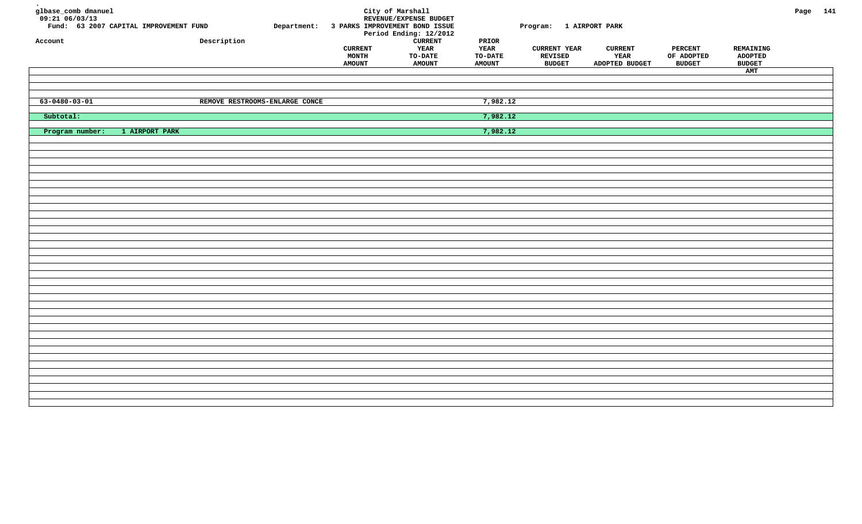| glbase_comb dmanuel<br>$09:21$ <sup>-06/03/13</sup><br>Account | Fund: 63 2007 CAPITAL IMPROVEMENT FUND | Description                    | <b>CURRENT</b> | City of Marshall<br>REVENUE/EXPENSE BUDGET<br>Department: 3 PARKS IMPROVEMENT BOND ISSUE<br>Period Ending: 12/2012<br><b>CURRENT</b><br>YEAR | $\tt PRIOR$<br>YEAR | Program: 1 AIRPORT PARK<br><b>CURRENT YEAR</b> | <b>CURRENT</b> | <b>PERCENT</b> | REMAINING            | Page 141 |  |
|----------------------------------------------------------------|----------------------------------------|--------------------------------|----------------|----------------------------------------------------------------------------------------------------------------------------------------------|---------------------|------------------------------------------------|----------------|----------------|----------------------|----------|--|
|                                                                |                                        |                                | <b>MONTH</b>   | TO-DATE                                                                                                                                      | TO-DATE             | REVISED                                        | YEAR           | OF ADOPTED     | <b>ADOPTED</b>       |          |  |
|                                                                |                                        |                                | <b>AMOUNT</b>  | <b>AMOUNT</b>                                                                                                                                | <b>AMOUNT</b>       | <b>BUDGET</b>                                  | ADOPTED BUDGET | <b>BUDGET</b>  | <b>BUDGET</b><br>AMT |          |  |
|                                                                |                                        |                                |                |                                                                                                                                              |                     |                                                |                |                |                      |          |  |
|                                                                |                                        |                                |                |                                                                                                                                              |                     |                                                |                |                |                      |          |  |
| $63 - 0480 - 03 - 01$                                          |                                        | REMOVE RESTROOMS-ENLARGE CONCE |                |                                                                                                                                              | 7,982.12            |                                                |                |                |                      |          |  |
| Subtotal:                                                      |                                        |                                |                |                                                                                                                                              | 7,982.12            |                                                |                |                |                      |          |  |
| Program number:                                                | 1 AIRPORT PARK                         |                                |                |                                                                                                                                              | 7,982.12            |                                                |                |                |                      |          |  |
|                                                                |                                        |                                |                |                                                                                                                                              |                     |                                                |                |                |                      |          |  |
|                                                                |                                        |                                |                |                                                                                                                                              |                     |                                                |                |                |                      |          |  |
|                                                                |                                        |                                |                |                                                                                                                                              |                     |                                                |                |                |                      |          |  |
|                                                                |                                        |                                |                |                                                                                                                                              |                     |                                                |                |                |                      |          |  |
|                                                                |                                        |                                |                |                                                                                                                                              |                     |                                                |                |                |                      |          |  |
|                                                                |                                        |                                |                |                                                                                                                                              |                     |                                                |                |                |                      |          |  |
|                                                                |                                        |                                |                |                                                                                                                                              |                     |                                                |                |                |                      |          |  |
|                                                                |                                        |                                |                |                                                                                                                                              |                     |                                                |                |                |                      |          |  |
|                                                                |                                        |                                |                |                                                                                                                                              |                     |                                                |                |                |                      |          |  |
|                                                                |                                        |                                |                |                                                                                                                                              |                     |                                                |                |                |                      |          |  |
|                                                                |                                        |                                |                |                                                                                                                                              |                     |                                                |                |                |                      |          |  |
|                                                                |                                        |                                |                |                                                                                                                                              |                     |                                                |                |                |                      |          |  |
|                                                                |                                        |                                |                |                                                                                                                                              |                     |                                                |                |                |                      |          |  |
|                                                                |                                        |                                |                |                                                                                                                                              |                     |                                                |                |                |                      |          |  |
|                                                                |                                        |                                |                |                                                                                                                                              |                     |                                                |                |                |                      |          |  |
|                                                                |                                        |                                |                |                                                                                                                                              |                     |                                                |                |                |                      |          |  |
|                                                                |                                        |                                |                |                                                                                                                                              |                     |                                                |                |                |                      |          |  |
|                                                                |                                        |                                |                |                                                                                                                                              |                     |                                                |                |                |                      |          |  |
|                                                                |                                        |                                |                |                                                                                                                                              |                     |                                                |                |                |                      |          |  |
|                                                                |                                        |                                |                |                                                                                                                                              |                     |                                                |                |                |                      |          |  |
|                                                                |                                        |                                |                |                                                                                                                                              |                     |                                                |                |                |                      |          |  |
|                                                                |                                        |                                |                |                                                                                                                                              |                     |                                                |                |                |                      |          |  |
|                                                                |                                        |                                |                |                                                                                                                                              |                     |                                                |                |                |                      |          |  |
|                                                                |                                        |                                |                |                                                                                                                                              |                     |                                                |                |                |                      |          |  |
|                                                                |                                        |                                |                |                                                                                                                                              |                     |                                                |                |                |                      |          |  |
|                                                                |                                        |                                |                |                                                                                                                                              |                     |                                                |                |                |                      |          |  |
|                                                                |                                        |                                |                |                                                                                                                                              |                     |                                                |                |                |                      |          |  |
|                                                                |                                        |                                |                |                                                                                                                                              |                     |                                                |                |                |                      |          |  |
|                                                                |                                        |                                |                |                                                                                                                                              |                     |                                                |                |                |                      |          |  |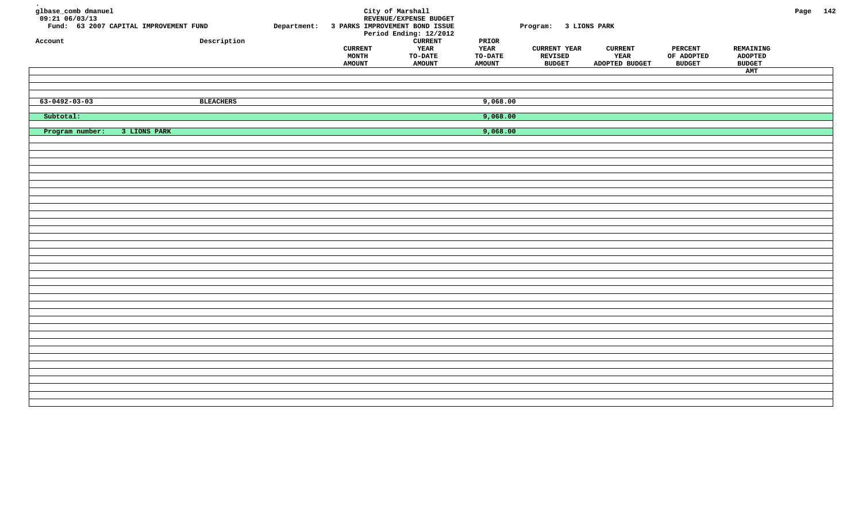| glbase_comb dmanuel<br>$09:21$ <sup>-06/03/13</sup><br>Account | Fund: 63 2007 CAPITAL IMPROVEMENT FUND | Description      |                                          | City of Marshall<br>REVENUE/EXPENSE BUDGET<br>Department: 3 PARKS IMPROVEMENT BOND ISSUE<br>Period Ending: 12/2012<br><b>CURRENT</b> | PRIOR                            | Program: 3 LIONS PARK                           |                                          |                                               |                                       | Page 142 |  |
|----------------------------------------------------------------|----------------------------------------|------------------|------------------------------------------|--------------------------------------------------------------------------------------------------------------------------------------|----------------------------------|-------------------------------------------------|------------------------------------------|-----------------------------------------------|---------------------------------------|----------|--|
|                                                                |                                        |                  | <b>CURRENT</b><br>MONTH<br><b>AMOUNT</b> | YEAR<br>TO-DATE<br><b>AMOUNT</b>                                                                                                     | YEAR<br>TO-DATE<br><b>AMOUNT</b> | <b>CURRENT YEAR</b><br>REVISED<br><b>BUDGET</b> | <b>CURRENT</b><br>YEAR<br>ADOPTED BUDGET | <b>PERCENT</b><br>OF ADOPTED<br><b>BUDGET</b> | REMAINING<br>ADOPTED<br><b>BUDGET</b> |          |  |
|                                                                |                                        |                  |                                          |                                                                                                                                      |                                  |                                                 |                                          |                                               | AMT                                   |          |  |
|                                                                |                                        |                  |                                          |                                                                                                                                      |                                  |                                                 |                                          |                                               |                                       |          |  |
| $63 - 0492 - 03 - 03$                                          |                                        | <b>BLEACHERS</b> |                                          |                                                                                                                                      | 9,068.00                         |                                                 |                                          |                                               |                                       |          |  |
| Subtotal:                                                      |                                        |                  |                                          |                                                                                                                                      | 9,068.00                         |                                                 |                                          |                                               |                                       |          |  |
| Program number:                                                | 3 LIONS PARK                           |                  |                                          |                                                                                                                                      | 9,068.00                         |                                                 |                                          |                                               |                                       |          |  |
|                                                                |                                        |                  |                                          |                                                                                                                                      |                                  |                                                 |                                          |                                               |                                       |          |  |
|                                                                |                                        |                  |                                          |                                                                                                                                      |                                  |                                                 |                                          |                                               |                                       |          |  |
|                                                                |                                        |                  |                                          |                                                                                                                                      |                                  |                                                 |                                          |                                               |                                       |          |  |
|                                                                |                                        |                  |                                          |                                                                                                                                      |                                  |                                                 |                                          |                                               |                                       |          |  |
|                                                                |                                        |                  |                                          |                                                                                                                                      |                                  |                                                 |                                          |                                               |                                       |          |  |
|                                                                |                                        |                  |                                          |                                                                                                                                      |                                  |                                                 |                                          |                                               |                                       |          |  |
|                                                                |                                        |                  |                                          |                                                                                                                                      |                                  |                                                 |                                          |                                               |                                       |          |  |
|                                                                |                                        |                  |                                          |                                                                                                                                      |                                  |                                                 |                                          |                                               |                                       |          |  |
|                                                                |                                        |                  |                                          |                                                                                                                                      |                                  |                                                 |                                          |                                               |                                       |          |  |
|                                                                |                                        |                  |                                          |                                                                                                                                      |                                  |                                                 |                                          |                                               |                                       |          |  |
|                                                                |                                        |                  |                                          |                                                                                                                                      |                                  |                                                 |                                          |                                               |                                       |          |  |
|                                                                |                                        |                  |                                          |                                                                                                                                      |                                  |                                                 |                                          |                                               |                                       |          |  |
|                                                                |                                        |                  |                                          |                                                                                                                                      |                                  |                                                 |                                          |                                               |                                       |          |  |
|                                                                |                                        |                  |                                          |                                                                                                                                      |                                  |                                                 |                                          |                                               |                                       |          |  |
|                                                                |                                        |                  |                                          |                                                                                                                                      |                                  |                                                 |                                          |                                               |                                       |          |  |
|                                                                |                                        |                  |                                          |                                                                                                                                      |                                  |                                                 |                                          |                                               |                                       |          |  |
|                                                                |                                        |                  |                                          |                                                                                                                                      |                                  |                                                 |                                          |                                               |                                       |          |  |
|                                                                |                                        |                  |                                          |                                                                                                                                      |                                  |                                                 |                                          |                                               |                                       |          |  |
|                                                                |                                        |                  |                                          |                                                                                                                                      |                                  |                                                 |                                          |                                               |                                       |          |  |
|                                                                |                                        |                  |                                          |                                                                                                                                      |                                  |                                                 |                                          |                                               |                                       |          |  |
|                                                                |                                        |                  |                                          |                                                                                                                                      |                                  |                                                 |                                          |                                               |                                       |          |  |
|                                                                |                                        |                  |                                          |                                                                                                                                      |                                  |                                                 |                                          |                                               |                                       |          |  |
|                                                                |                                        |                  |                                          |                                                                                                                                      |                                  |                                                 |                                          |                                               |                                       |          |  |
|                                                                |                                        |                  |                                          |                                                                                                                                      |                                  |                                                 |                                          |                                               |                                       |          |  |
|                                                                |                                        |                  |                                          |                                                                                                                                      |                                  |                                                 |                                          |                                               |                                       |          |  |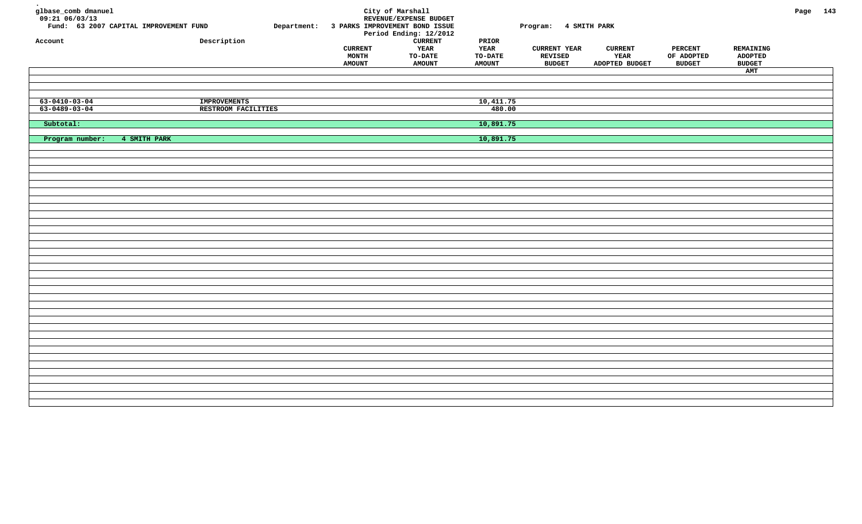| glbase_comb dmanuel<br>$09:21$ <sup>-06/03/13</sup><br>Fund: 63 2007 CAPITAL IMPROVEMENT FUND<br>Description<br>Account | Department: 3 PARKS IMPROVEMENT BOND ISSUE<br><b>CURRENT</b><br><b>MONTH</b><br><b>AMOUNT</b> | City of Marshall<br>REVENUE/EXPENSE BUDGET<br>Period Ending: 12/2012<br><b>CURRENT</b><br>YEAR<br>TO-DATE<br><b>AMOUNT</b> | PRIOR<br>YEAR<br>TO-DATE<br><b>AMOUNT</b> | Program: 4 SMITH PARK<br><b>CURRENT YEAR</b><br>REVISED<br><b>BUDGET</b> | <b>CURRENT</b><br>YEAR<br>ADOPTED BUDGET | <b>PERCENT</b><br>OF ADOPTED<br><b>BUDGET</b> | REMAINING<br><b>ADOPTED</b><br><b>BUDGET</b> | Page 143 |  |
|-------------------------------------------------------------------------------------------------------------------------|-----------------------------------------------------------------------------------------------|----------------------------------------------------------------------------------------------------------------------------|-------------------------------------------|--------------------------------------------------------------------------|------------------------------------------|-----------------------------------------------|----------------------------------------------|----------|--|
|                                                                                                                         |                                                                                               |                                                                                                                            |                                           |                                                                          |                                          |                                               | AMT                                          |          |  |
|                                                                                                                         |                                                                                               |                                                                                                                            |                                           |                                                                          |                                          |                                               |                                              |          |  |
|                                                                                                                         |                                                                                               |                                                                                                                            |                                           |                                                                          |                                          |                                               |                                              |          |  |
|                                                                                                                         |                                                                                               |                                                                                                                            |                                           |                                                                          |                                          |                                               |                                              |          |  |
| $63 - 0410 - 03 - 04$<br><b>IMPROVEMENTS</b><br>$63 - 0489 - 03 - 04$<br>RESTROOM FACILITIES                            |                                                                                               |                                                                                                                            | 10,411.75<br>480.00                       |                                                                          |                                          |                                               |                                              |          |  |
|                                                                                                                         |                                                                                               |                                                                                                                            |                                           |                                                                          |                                          |                                               |                                              |          |  |
| Subtotal:                                                                                                               |                                                                                               |                                                                                                                            | 10,891.75                                 |                                                                          |                                          |                                               |                                              |          |  |
|                                                                                                                         |                                                                                               |                                                                                                                            |                                           |                                                                          |                                          |                                               |                                              |          |  |
| Program number:<br>4 SMITH PARK                                                                                         |                                                                                               |                                                                                                                            | 10,891.75                                 |                                                                          |                                          |                                               |                                              |          |  |
|                                                                                                                         |                                                                                               |                                                                                                                            |                                           |                                                                          |                                          |                                               |                                              |          |  |
|                                                                                                                         |                                                                                               |                                                                                                                            |                                           |                                                                          |                                          |                                               |                                              |          |  |
|                                                                                                                         |                                                                                               |                                                                                                                            |                                           |                                                                          |                                          |                                               |                                              |          |  |
|                                                                                                                         |                                                                                               |                                                                                                                            |                                           |                                                                          |                                          |                                               |                                              |          |  |
|                                                                                                                         |                                                                                               |                                                                                                                            |                                           |                                                                          |                                          |                                               |                                              |          |  |
|                                                                                                                         |                                                                                               |                                                                                                                            |                                           |                                                                          |                                          |                                               |                                              |          |  |
|                                                                                                                         |                                                                                               |                                                                                                                            |                                           |                                                                          |                                          |                                               |                                              |          |  |
|                                                                                                                         |                                                                                               |                                                                                                                            |                                           |                                                                          |                                          |                                               |                                              |          |  |
|                                                                                                                         |                                                                                               |                                                                                                                            |                                           |                                                                          |                                          |                                               |                                              |          |  |
|                                                                                                                         |                                                                                               |                                                                                                                            |                                           |                                                                          |                                          |                                               |                                              |          |  |
|                                                                                                                         |                                                                                               |                                                                                                                            |                                           |                                                                          |                                          |                                               |                                              |          |  |
|                                                                                                                         |                                                                                               |                                                                                                                            |                                           |                                                                          |                                          |                                               |                                              |          |  |
|                                                                                                                         |                                                                                               |                                                                                                                            |                                           |                                                                          |                                          |                                               |                                              |          |  |
|                                                                                                                         |                                                                                               |                                                                                                                            |                                           |                                                                          |                                          |                                               |                                              |          |  |
|                                                                                                                         |                                                                                               |                                                                                                                            |                                           |                                                                          |                                          |                                               |                                              |          |  |
|                                                                                                                         |                                                                                               |                                                                                                                            |                                           |                                                                          |                                          |                                               |                                              |          |  |
|                                                                                                                         |                                                                                               |                                                                                                                            |                                           |                                                                          |                                          |                                               |                                              |          |  |
|                                                                                                                         |                                                                                               |                                                                                                                            |                                           |                                                                          |                                          |                                               |                                              |          |  |
|                                                                                                                         |                                                                                               |                                                                                                                            |                                           |                                                                          |                                          |                                               |                                              |          |  |
|                                                                                                                         |                                                                                               |                                                                                                                            |                                           |                                                                          |                                          |                                               |                                              |          |  |
|                                                                                                                         |                                                                                               |                                                                                                                            |                                           |                                                                          |                                          |                                               |                                              |          |  |
|                                                                                                                         |                                                                                               |                                                                                                                            |                                           |                                                                          |                                          |                                               |                                              |          |  |
|                                                                                                                         |                                                                                               |                                                                                                                            |                                           |                                                                          |                                          |                                               |                                              |          |  |
|                                                                                                                         |                                                                                               |                                                                                                                            |                                           |                                                                          |                                          |                                               |                                              |          |  |
|                                                                                                                         |                                                                                               |                                                                                                                            |                                           |                                                                          |                                          |                                               |                                              |          |  |
|                                                                                                                         |                                                                                               |                                                                                                                            |                                           |                                                                          |                                          |                                               |                                              |          |  |
|                                                                                                                         |                                                                                               |                                                                                                                            |                                           |                                                                          |                                          |                                               |                                              |          |  |
|                                                                                                                         |                                                                                               |                                                                                                                            |                                           |                                                                          |                                          |                                               |                                              |          |  |
|                                                                                                                         |                                                                                               |                                                                                                                            |                                           |                                                                          |                                          |                                               |                                              |          |  |
|                                                                                                                         |                                                                                               |                                                                                                                            |                                           |                                                                          |                                          |                                               |                                              |          |  |
|                                                                                                                         |                                                                                               |                                                                                                                            |                                           |                                                                          |                                          |                                               |                                              |          |  |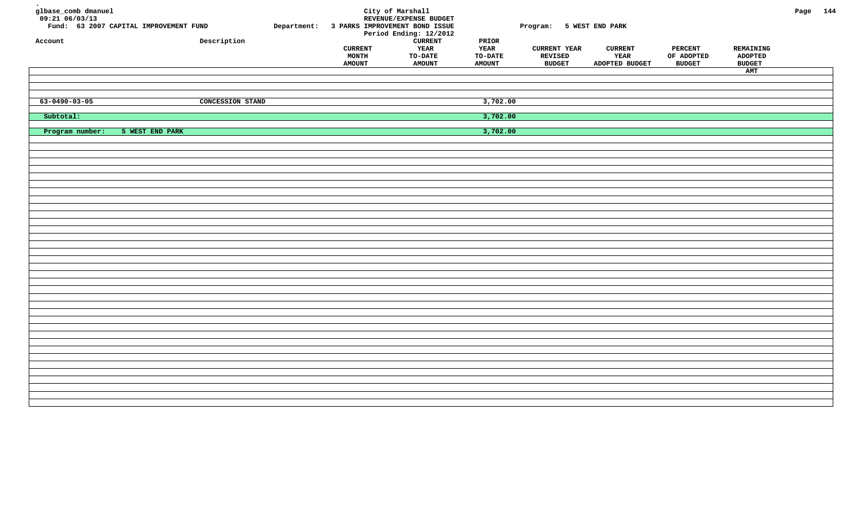| $09:21$ <sup>-06/03/13</sup><br>REVENUE/EXPENSE BUDGET<br>Fund: 63 2007 CAPITAL IMPROVEMENT FUND<br>Department: 3 PARKS IMPROVEMENT BOND ISSUE<br>Program: 5 WEST END PARK<br>Period Ending: 12/2012                                                                                     |                                               |                                              | Page 144 |
|------------------------------------------------------------------------------------------------------------------------------------------------------------------------------------------------------------------------------------------------------------------------------------------|-----------------------------------------------|----------------------------------------------|----------|
| Description<br><b>CURRENT</b><br>$\tt PRIOR$<br>Account<br>YEAR<br>YEAR<br><b>CURRENT YEAR</b><br><b>CURRENT</b><br><b>CURRENT</b><br>TO-DATE<br>YEAR<br><b>MONTH</b><br><b>TO-DATE</b><br>REVISED<br><b>AMOUNT</b><br><b>AMOUNT</b><br><b>BUDGET</b><br>ADOPTED BUDGET<br><b>AMOUNT</b> | <b>PERCENT</b><br>OF ADOPTED<br><b>BUDGET</b> | REMAINING<br><b>ADOPTED</b><br><b>BUDGET</b> |          |
|                                                                                                                                                                                                                                                                                          |                                               | AMT                                          |          |
| $63 - 0490 - 03 - 05$<br><b>CONCESSION STAND</b><br>3,702.00                                                                                                                                                                                                                             |                                               |                                              |          |
| Subtotal:<br>3,702.00                                                                                                                                                                                                                                                                    |                                               |                                              |          |
| Program number:<br>3,702.00<br>5 WEST END PARK                                                                                                                                                                                                                                           |                                               |                                              |          |
|                                                                                                                                                                                                                                                                                          |                                               |                                              |          |
|                                                                                                                                                                                                                                                                                          |                                               |                                              |          |
|                                                                                                                                                                                                                                                                                          |                                               |                                              |          |
|                                                                                                                                                                                                                                                                                          |                                               |                                              |          |
|                                                                                                                                                                                                                                                                                          |                                               |                                              |          |
|                                                                                                                                                                                                                                                                                          |                                               |                                              |          |
|                                                                                                                                                                                                                                                                                          |                                               |                                              |          |
|                                                                                                                                                                                                                                                                                          |                                               |                                              |          |
|                                                                                                                                                                                                                                                                                          |                                               |                                              |          |
|                                                                                                                                                                                                                                                                                          |                                               |                                              |          |
|                                                                                                                                                                                                                                                                                          |                                               |                                              |          |
|                                                                                                                                                                                                                                                                                          |                                               |                                              |          |
|                                                                                                                                                                                                                                                                                          |                                               |                                              |          |
|                                                                                                                                                                                                                                                                                          |                                               |                                              |          |
|                                                                                                                                                                                                                                                                                          |                                               |                                              |          |
|                                                                                                                                                                                                                                                                                          |                                               |                                              |          |
|                                                                                                                                                                                                                                                                                          |                                               |                                              |          |
|                                                                                                                                                                                                                                                                                          |                                               |                                              |          |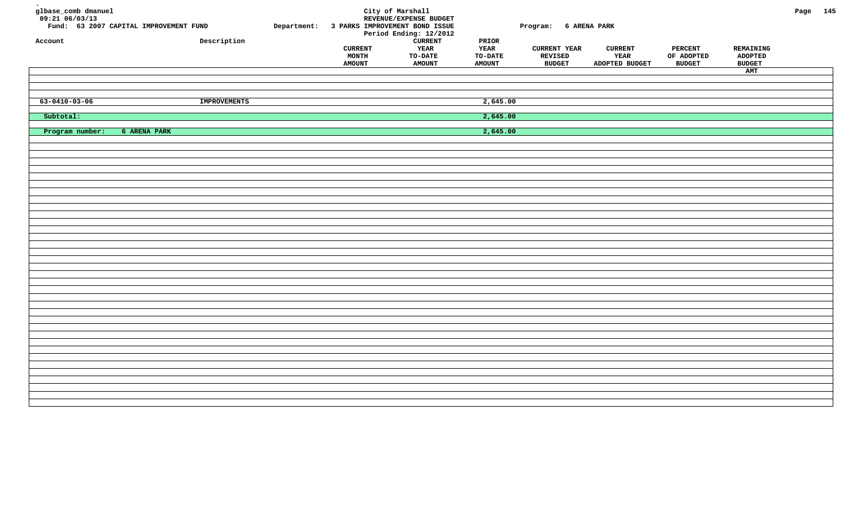| glbase_comb dmanuel<br>$09:21$ <sup>-06/03/13</sup> | Fund: 63 2007 CAPITAL IMPROVEMENT FUND |                     | Department: 3 PARKS IMPROVEMENT BOND ISSUE      | City of Marshall<br>REVENUE/EXPENSE BUDGET<br>Period Ending: 12/2012 |                                                               | Program: 6 ARENA PARK                           |                                          |                                               |                                              | Page 145 |  |
|-----------------------------------------------------|----------------------------------------|---------------------|-------------------------------------------------|----------------------------------------------------------------------|---------------------------------------------------------------|-------------------------------------------------|------------------------------------------|-----------------------------------------------|----------------------------------------------|----------|--|
| Account                                             |                                        | Description         | <b>CURRENT</b><br><b>MONTH</b><br><b>AMOUNT</b> | <b>CURRENT</b><br>YEAR<br>TO-DATE<br><b>AMOUNT</b>                   | $\tt PRIOR$<br><b>YEAR</b><br><b>TO-DATE</b><br><b>AMOUNT</b> | <b>CURRENT YEAR</b><br>REVISED<br><b>BUDGET</b> | <b>CURRENT</b><br>YEAR<br>ADOPTED BUDGET | <b>PERCENT</b><br>OF ADOPTED<br><b>BUDGET</b> | REMAINING<br><b>ADOPTED</b><br><b>BUDGET</b> |          |  |
|                                                     |                                        |                     |                                                 |                                                                      |                                                               |                                                 |                                          |                                               | AMT                                          |          |  |
|                                                     |                                        |                     |                                                 |                                                                      |                                                               |                                                 |                                          |                                               |                                              |          |  |
| $63 - 0410 - 03 - 06$                               |                                        | <b>IMPROVEMENTS</b> |                                                 |                                                                      | 2,645.00                                                      |                                                 |                                          |                                               |                                              |          |  |
| Subtotal:                                           |                                        |                     |                                                 |                                                                      | 2,645.00                                                      |                                                 |                                          |                                               |                                              |          |  |
| Program number:                                     | 6 ARENA PARK                           |                     |                                                 |                                                                      | 2,645.00                                                      |                                                 |                                          |                                               |                                              |          |  |
|                                                     |                                        |                     |                                                 |                                                                      |                                                               |                                                 |                                          |                                               |                                              |          |  |
|                                                     |                                        |                     |                                                 |                                                                      |                                                               |                                                 |                                          |                                               |                                              |          |  |
|                                                     |                                        |                     |                                                 |                                                                      |                                                               |                                                 |                                          |                                               |                                              |          |  |
|                                                     |                                        |                     |                                                 |                                                                      |                                                               |                                                 |                                          |                                               |                                              |          |  |
|                                                     |                                        |                     |                                                 |                                                                      |                                                               |                                                 |                                          |                                               |                                              |          |  |
|                                                     |                                        |                     |                                                 |                                                                      |                                                               |                                                 |                                          |                                               |                                              |          |  |
|                                                     |                                        |                     |                                                 |                                                                      |                                                               |                                                 |                                          |                                               |                                              |          |  |
|                                                     |                                        |                     |                                                 |                                                                      |                                                               |                                                 |                                          |                                               |                                              |          |  |
|                                                     |                                        |                     |                                                 |                                                                      |                                                               |                                                 |                                          |                                               |                                              |          |  |
|                                                     |                                        |                     |                                                 |                                                                      |                                                               |                                                 |                                          |                                               |                                              |          |  |
|                                                     |                                        |                     |                                                 |                                                                      |                                                               |                                                 |                                          |                                               |                                              |          |  |
|                                                     |                                        |                     |                                                 |                                                                      |                                                               |                                                 |                                          |                                               |                                              |          |  |
|                                                     |                                        |                     |                                                 |                                                                      |                                                               |                                                 |                                          |                                               |                                              |          |  |
|                                                     |                                        |                     |                                                 |                                                                      |                                                               |                                                 |                                          |                                               |                                              |          |  |
|                                                     |                                        |                     |                                                 |                                                                      |                                                               |                                                 |                                          |                                               |                                              |          |  |
|                                                     |                                        |                     |                                                 |                                                                      |                                                               |                                                 |                                          |                                               |                                              |          |  |
|                                                     |                                        |                     |                                                 |                                                                      |                                                               |                                                 |                                          |                                               |                                              |          |  |
|                                                     |                                        |                     |                                                 |                                                                      |                                                               |                                                 |                                          |                                               |                                              |          |  |
|                                                     |                                        |                     |                                                 |                                                                      |                                                               |                                                 |                                          |                                               |                                              |          |  |
|                                                     |                                        |                     |                                                 |                                                                      |                                                               |                                                 |                                          |                                               |                                              |          |  |
|                                                     |                                        |                     |                                                 |                                                                      |                                                               |                                                 |                                          |                                               |                                              |          |  |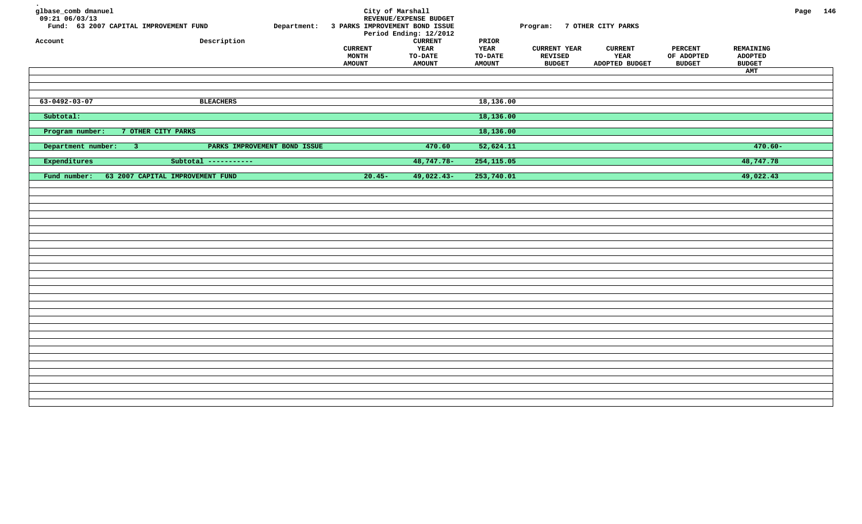| glbase_comb dmanuel<br>$09:21$ 06/03/13<br>Fund: 63 2007 CAPITAL IMPROVEMENT FUND<br>Account | Department:<br>Description   | 3 PARKS IMPROVEMENT BOND ISSUE | City of Marshall<br>REVENUE/EXPENSE BUDGET<br>Period Ending: 12/2012<br><b>CURRENT</b> | $\tt PRIOR$     | Program: 7 OTHER CITY PARKS           |                        |                              |                             | Page 146 |  |
|----------------------------------------------------------------------------------------------|------------------------------|--------------------------------|----------------------------------------------------------------------------------------|-----------------|---------------------------------------|------------------------|------------------------------|-----------------------------|----------|--|
|                                                                                              |                              | <b>CURRENT</b><br><b>MONTH</b> | YEAR<br>TO-DATE                                                                        | YEAR<br>TO-DATE | <b>CURRENT YEAR</b><br><b>REVISED</b> | <b>CURRENT</b><br>YEAR | <b>PERCENT</b><br>OF ADOPTED | REMAINING<br><b>ADOPTED</b> |          |  |
|                                                                                              |                              | <b>AMOUNT</b>                  | <b>AMOUNT</b>                                                                          | <b>AMOUNT</b>   | <b>BUDGET</b>                         | ADOPTED BUDGET         | <b>BUDGET</b>                | <b>BUDGET</b>               |          |  |
|                                                                                              |                              |                                |                                                                                        |                 |                                       |                        |                              | AMT                         |          |  |
|                                                                                              |                              |                                |                                                                                        |                 |                                       |                        |                              |                             |          |  |
| $63 - 0492 - 03 - 07$                                                                        | <b>BLEACHERS</b>             |                                |                                                                                        | 18,136.00       |                                       |                        |                              |                             |          |  |
| Subtotal:                                                                                    |                              |                                |                                                                                        | 18,136.00       |                                       |                        |                              |                             |          |  |
| Program number:<br>7 OTHER CITY PARKS                                                        |                              |                                |                                                                                        | 18,136.00       |                                       |                        |                              |                             |          |  |
| Department number:<br>$-3$                                                                   | PARKS IMPROVEMENT BOND ISSUE |                                | 470.60                                                                                 | 52,624.11       |                                       |                        |                              | $470.60 -$                  |          |  |
| Expenditures                                                                                 | Subtotal -----------         |                                | 48,747.78-                                                                             | 254,115.05      |                                       |                        |                              | 48,747.78                   |          |  |
| Fund number:<br>63 2007 CAPITAL IMPROVEMENT FUND                                             |                              | $20.45-$                       | 49,022.43-                                                                             | 253,740.01      |                                       |                        |                              | 49,022.43                   |          |  |
|                                                                                              |                              |                                |                                                                                        |                 |                                       |                        |                              |                             |          |  |
|                                                                                              |                              |                                |                                                                                        |                 |                                       |                        |                              |                             |          |  |
|                                                                                              |                              |                                |                                                                                        |                 |                                       |                        |                              |                             |          |  |
|                                                                                              |                              |                                |                                                                                        |                 |                                       |                        |                              |                             |          |  |
|                                                                                              |                              |                                |                                                                                        |                 |                                       |                        |                              |                             |          |  |
|                                                                                              |                              |                                |                                                                                        |                 |                                       |                        |                              |                             |          |  |
|                                                                                              |                              |                                |                                                                                        |                 |                                       |                        |                              |                             |          |  |
|                                                                                              |                              |                                |                                                                                        |                 |                                       |                        |                              |                             |          |  |
|                                                                                              |                              |                                |                                                                                        |                 |                                       |                        |                              |                             |          |  |
|                                                                                              |                              |                                |                                                                                        |                 |                                       |                        |                              |                             |          |  |
|                                                                                              |                              |                                |                                                                                        |                 |                                       |                        |                              |                             |          |  |
|                                                                                              |                              |                                |                                                                                        |                 |                                       |                        |                              |                             |          |  |
|                                                                                              |                              |                                |                                                                                        |                 |                                       |                        |                              |                             |          |  |
|                                                                                              |                              |                                |                                                                                        |                 |                                       |                        |                              |                             |          |  |
|                                                                                              |                              |                                |                                                                                        |                 |                                       |                        |                              |                             |          |  |
|                                                                                              |                              |                                |                                                                                        |                 |                                       |                        |                              |                             |          |  |
|                                                                                              |                              |                                |                                                                                        |                 |                                       |                        |                              |                             |          |  |
|                                                                                              |                              |                                |                                                                                        |                 |                                       |                        |                              |                             |          |  |
|                                                                                              |                              |                                |                                                                                        |                 |                                       |                        |                              |                             |          |  |
|                                                                                              |                              |                                |                                                                                        |                 |                                       |                        |                              |                             |          |  |
|                                                                                              |                              |                                |                                                                                        |                 |                                       |                        |                              |                             |          |  |
|                                                                                              |                              |                                |                                                                                        |                 |                                       |                        |                              |                             |          |  |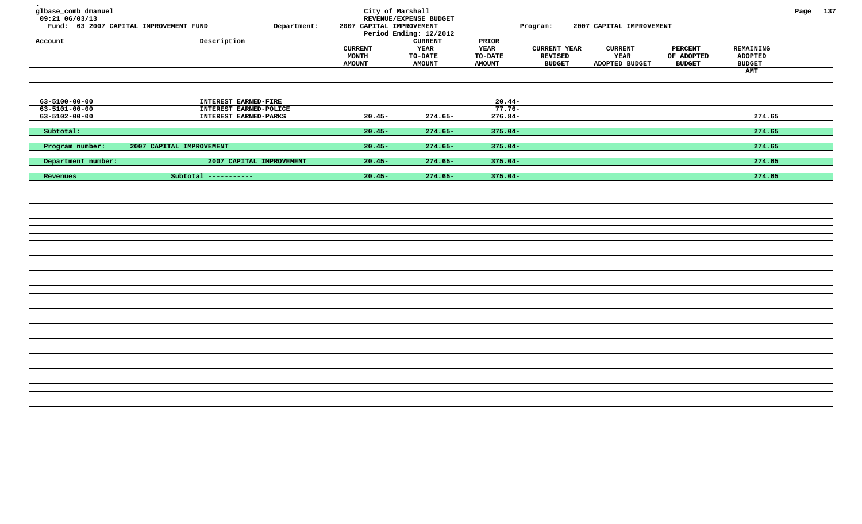| glbase_comb dmanuel<br>09:21 06/03/13<br>Account | Fund: 63 2007 CAPITAL IMPROVEMENT FUND<br>Department:<br>Description | City of Marshall<br>2007 CAPITAL IMPROVEMENT<br><b>CURRENT</b><br>MONTH<br><b>AMOUNT</b> | REVENUE/EXPENSE BUDGET<br>Period Ending: 12/2012<br><b>CURRENT</b><br><b>YEAR</b><br><b>TO-DATE</b><br><b>AMOUNT</b> | PRIOR<br>YEAR<br><b>TO-DATE</b><br><b>AMOUNT</b> | Program:<br><b>CURRENT YEAR</b><br><b>REVISED</b><br><b>BUDGET</b> | 2007 CAPITAL IMPROVEMENT<br><b>CURRENT</b><br>YEAR<br>ADOPTED BUDGET | <b>PERCENT</b><br>OF ADOPTED<br><b>BUDGET</b> | REMAINING<br><b>ADOPTED</b><br><b>BUDGET</b><br>AMT | Page 137 |  |
|--------------------------------------------------|----------------------------------------------------------------------|------------------------------------------------------------------------------------------|----------------------------------------------------------------------------------------------------------------------|--------------------------------------------------|--------------------------------------------------------------------|----------------------------------------------------------------------|-----------------------------------------------|-----------------------------------------------------|----------|--|
| 63-5100-00-00                                    | INTEREST EARNED-FIRE                                                 |                                                                                          |                                                                                                                      | $20.44-$                                         |                                                                    |                                                                      |                                               |                                                     |          |  |
| $63 - 5101 - 00 - 00$                            | INTEREST EARNED-POLICE                                               |                                                                                          |                                                                                                                      | $77.76-$                                         |                                                                    |                                                                      |                                               |                                                     |          |  |
| $63 - 5102 - 00 - 00$                            | INTEREST EARNED-PARKS                                                | $20.45 -$                                                                                | $274.65-$                                                                                                            | $276.84-$                                        |                                                                    |                                                                      |                                               | 274.65                                              |          |  |
| Subtotal:                                        |                                                                      | $20.45-$                                                                                 | $274.65-$                                                                                                            | $375.04-$                                        |                                                                    |                                                                      |                                               | 274.65                                              |          |  |
| Program number:                                  | 2007 CAPITAL IMPROVEMENT                                             | $20.45-$                                                                                 | $274.65-$                                                                                                            | $375.04-$                                        |                                                                    |                                                                      |                                               | 274.65                                              |          |  |
| Department number:                               | 2007 CAPITAL IMPROVEMENT                                             | $20.45-$                                                                                 | $274.65 -$                                                                                                           | $375.04-$                                        |                                                                    |                                                                      |                                               | 274.65                                              |          |  |
| Revenues                                         | Subtotal -----------                                                 | $20.45-$                                                                                 | $274.65-$                                                                                                            | $375.04-$                                        |                                                                    |                                                                      |                                               | 274.65                                              |          |  |
|                                                  |                                                                      |                                                                                          |                                                                                                                      |                                                  |                                                                    |                                                                      |                                               |                                                     |          |  |
|                                                  |                                                                      |                                                                                          |                                                                                                                      |                                                  |                                                                    |                                                                      |                                               |                                                     |          |  |
|                                                  |                                                                      |                                                                                          |                                                                                                                      |                                                  |                                                                    |                                                                      |                                               |                                                     |          |  |
|                                                  |                                                                      |                                                                                          |                                                                                                                      |                                                  |                                                                    |                                                                      |                                               |                                                     |          |  |
|                                                  |                                                                      |                                                                                          |                                                                                                                      |                                                  |                                                                    |                                                                      |                                               |                                                     |          |  |
|                                                  |                                                                      |                                                                                          |                                                                                                                      |                                                  |                                                                    |                                                                      |                                               |                                                     |          |  |
|                                                  |                                                                      |                                                                                          |                                                                                                                      |                                                  |                                                                    |                                                                      |                                               |                                                     |          |  |
|                                                  |                                                                      |                                                                                          |                                                                                                                      |                                                  |                                                                    |                                                                      |                                               |                                                     |          |  |
|                                                  |                                                                      |                                                                                          |                                                                                                                      |                                                  |                                                                    |                                                                      |                                               |                                                     |          |  |
|                                                  |                                                                      |                                                                                          |                                                                                                                      |                                                  |                                                                    |                                                                      |                                               |                                                     |          |  |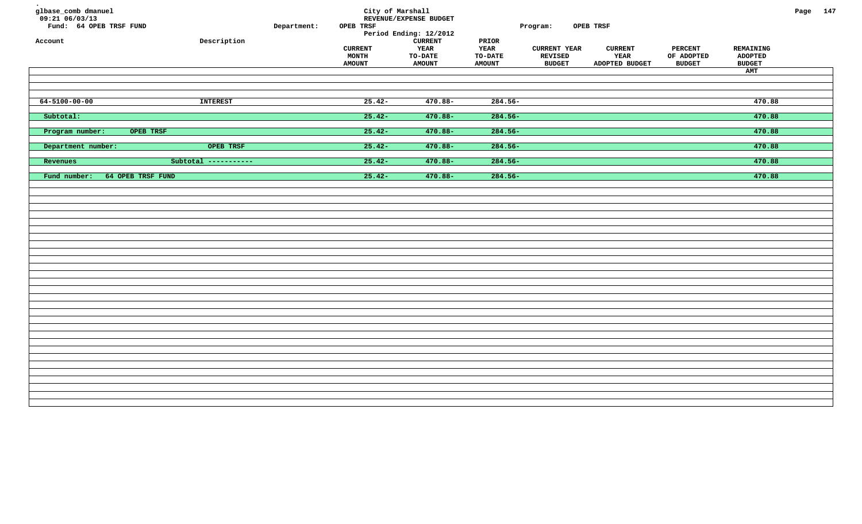| glbase_comb dmanuel<br>$09:21$ 06/03/13<br>Fund: 64 OPEB TRSF FUND<br>Account | ${\tt Description}$  | Department: | City of Marshall<br>OPEB TRSF<br><b>CURRENT</b><br>MONTH<br><b>AMOUNT</b> | REVENUE/EXPENSE BUDGET<br>Period Ending: 12/2012<br><b>CURRENT</b><br>YEAR<br><b>TO-DATE</b><br><b>AMOUNT</b> | PRIOR<br><b>YEAR</b><br><b>TO-DATE</b><br><b>AMOUNT</b> | Program:<br><b>CURRENT YEAR</b><br><b>REVISED</b><br><b>BUDGET</b> | OPEB TRSF<br><b>CURRENT</b><br>YEAR<br>ADOPTED BUDGET | <b>PERCENT</b><br>OF ADOPTED<br><b>BUDGET</b> | REMAINING<br><b>ADOPTED</b><br><b>BUDGET</b><br>AMT | Page 147 |  |
|-------------------------------------------------------------------------------|----------------------|-------------|---------------------------------------------------------------------------|---------------------------------------------------------------------------------------------------------------|---------------------------------------------------------|--------------------------------------------------------------------|-------------------------------------------------------|-----------------------------------------------|-----------------------------------------------------|----------|--|
| $64 - 5100 - 00 - 00$                                                         | <b>INTEREST</b>      |             | $25.42-$                                                                  | $470.88 -$                                                                                                    | $284.56-$                                               |                                                                    |                                                       |                                               | 470.88                                              |          |  |
| Subtotal:                                                                     |                      |             | $25.42-$                                                                  | $470.88 -$                                                                                                    | $284.56-$                                               |                                                                    |                                                       |                                               | 470.88                                              |          |  |
| Program number:<br>OPEB TRSF                                                  |                      |             | $25.42-$                                                                  | $470.88 -$                                                                                                    | $284.56-$                                               |                                                                    |                                                       |                                               | 470.88                                              |          |  |
| Department number:                                                            | OPEB TRSF            |             | $25.42-$                                                                  | $470.88 -$                                                                                                    | $284.56-$                                               |                                                                    |                                                       |                                               | 470.88                                              |          |  |
| Revenues                                                                      | Subtotal ----------- |             | $25.42-$                                                                  | $470.88 -$                                                                                                    | $284.56-$                                               |                                                                    |                                                       |                                               | 470.88                                              |          |  |
| Fund number:<br>64 OPEB TRSF FUND                                             |                      |             | $25.42-$                                                                  | $470.88 -$                                                                                                    | $284.56-$                                               |                                                                    |                                                       |                                               | 470.88                                              |          |  |
|                                                                               |                      |             |                                                                           |                                                                                                               |                                                         |                                                                    |                                                       |                                               |                                                     |          |  |
|                                                                               |                      |             |                                                                           |                                                                                                               |                                                         |                                                                    |                                                       |                                               |                                                     |          |  |
|                                                                               |                      |             |                                                                           |                                                                                                               |                                                         |                                                                    |                                                       |                                               |                                                     |          |  |
|                                                                               |                      |             |                                                                           |                                                                                                               |                                                         |                                                                    |                                                       |                                               |                                                     |          |  |
|                                                                               |                      |             |                                                                           |                                                                                                               |                                                         |                                                                    |                                                       |                                               |                                                     |          |  |
|                                                                               |                      |             |                                                                           |                                                                                                               |                                                         |                                                                    |                                                       |                                               |                                                     |          |  |
|                                                                               |                      |             |                                                                           |                                                                                                               |                                                         |                                                                    |                                                       |                                               |                                                     |          |  |
|                                                                               |                      |             |                                                                           |                                                                                                               |                                                         |                                                                    |                                                       |                                               |                                                     |          |  |
|                                                                               |                      |             |                                                                           |                                                                                                               |                                                         |                                                                    |                                                       |                                               |                                                     |          |  |
|                                                                               |                      |             |                                                                           |                                                                                                               |                                                         |                                                                    |                                                       |                                               |                                                     |          |  |
|                                                                               |                      |             |                                                                           |                                                                                                               |                                                         |                                                                    |                                                       |                                               |                                                     |          |  |
|                                                                               |                      |             |                                                                           |                                                                                                               |                                                         |                                                                    |                                                       |                                               |                                                     |          |  |
|                                                                               |                      |             |                                                                           |                                                                                                               |                                                         |                                                                    |                                                       |                                               |                                                     |          |  |
|                                                                               |                      |             |                                                                           |                                                                                                               |                                                         |                                                                    |                                                       |                                               |                                                     |          |  |
|                                                                               |                      |             |                                                                           |                                                                                                               |                                                         |                                                                    |                                                       |                                               |                                                     |          |  |
|                                                                               |                      |             |                                                                           |                                                                                                               |                                                         |                                                                    |                                                       |                                               |                                                     |          |  |
|                                                                               |                      |             |                                                                           |                                                                                                               |                                                         |                                                                    |                                                       |                                               |                                                     |          |  |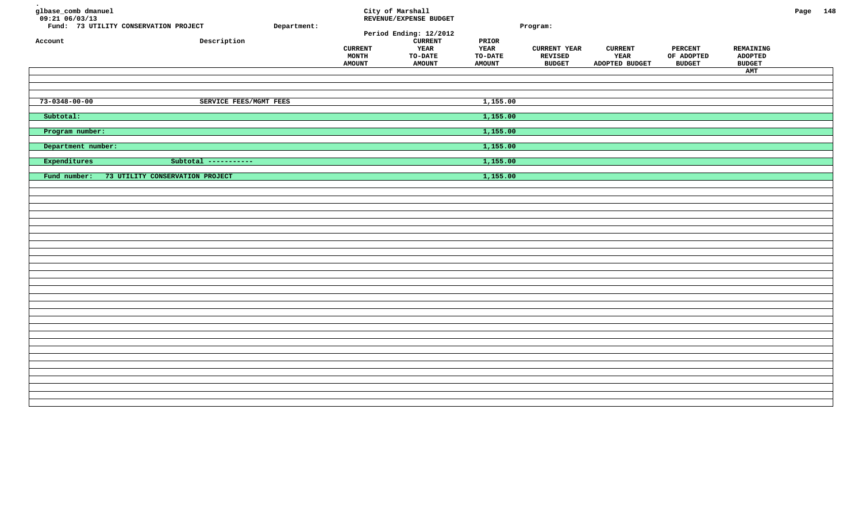| glbase_comb dmanuel<br>$09:21$ $06/03/13$<br>Account | Fund: 73 UTILITY CONSERVATION PROJECT<br>Description | Department: | <b>CURRENT</b><br>MONTH<br><b>AMOUNT</b> | City of Marshall<br>REVENUE/EXPENSE BUDGET<br>Period Ending: 12/2012<br><b>CURRENT</b><br>YEAR<br><b>TO-DATE</b><br><b>AMOUNT</b> | PRIOR<br><b>YEAR</b><br>TO-DATE<br><b>AMOUNT</b> | Program:<br><b>CURRENT YEAR</b><br>REVISED<br><b>BUDGET</b> | <b>CURRENT</b><br>YEAR<br>ADOPTED BUDGET | PERCENT<br>OF ADOPTED<br><b>BUDGET</b> | REMAINING<br><b>ADOPTED</b><br><b>BUDGET</b><br>AMT | Page 148 |  |
|------------------------------------------------------|------------------------------------------------------|-------------|------------------------------------------|-----------------------------------------------------------------------------------------------------------------------------------|--------------------------------------------------|-------------------------------------------------------------|------------------------------------------|----------------------------------------|-----------------------------------------------------|----------|--|
| $73 - 0348 - 00 - 00$                                | SERVICE FEES/MGMT FEES                               |             |                                          |                                                                                                                                   | 1,155.00                                         |                                                             |                                          |                                        |                                                     |          |  |
| Subtotal:                                            |                                                      |             |                                          |                                                                                                                                   | 1,155.00                                         |                                                             |                                          |                                        |                                                     |          |  |
| Program number:                                      |                                                      |             |                                          |                                                                                                                                   | 1,155.00                                         |                                                             |                                          |                                        |                                                     |          |  |
| Department number:                                   |                                                      |             |                                          |                                                                                                                                   | 1,155.00                                         |                                                             |                                          |                                        |                                                     |          |  |
| Expenditures                                         | Subtotal -----------                                 |             |                                          |                                                                                                                                   | 1,155.00                                         |                                                             |                                          |                                        |                                                     |          |  |
| Fund number:                                         | 73 UTILITY CONSERVATION PROJECT                      |             |                                          |                                                                                                                                   | 1,155.00                                         |                                                             |                                          |                                        |                                                     |          |  |
|                                                      |                                                      |             |                                          |                                                                                                                                   |                                                  |                                                             |                                          |                                        |                                                     |          |  |
|                                                      |                                                      |             |                                          |                                                                                                                                   |                                                  |                                                             |                                          |                                        |                                                     |          |  |
|                                                      |                                                      |             |                                          |                                                                                                                                   |                                                  |                                                             |                                          |                                        |                                                     |          |  |
|                                                      |                                                      |             |                                          |                                                                                                                                   |                                                  |                                                             |                                          |                                        |                                                     |          |  |
|                                                      |                                                      |             |                                          |                                                                                                                                   |                                                  |                                                             |                                          |                                        |                                                     |          |  |
|                                                      |                                                      |             |                                          |                                                                                                                                   |                                                  |                                                             |                                          |                                        |                                                     |          |  |
|                                                      |                                                      |             |                                          |                                                                                                                                   |                                                  |                                                             |                                          |                                        |                                                     |          |  |
|                                                      |                                                      |             |                                          |                                                                                                                                   |                                                  |                                                             |                                          |                                        |                                                     |          |  |
|                                                      |                                                      |             |                                          |                                                                                                                                   |                                                  |                                                             |                                          |                                        |                                                     |          |  |
|                                                      |                                                      |             |                                          |                                                                                                                                   |                                                  |                                                             |                                          |                                        |                                                     |          |  |
|                                                      |                                                      |             |                                          |                                                                                                                                   |                                                  |                                                             |                                          |                                        |                                                     |          |  |
|                                                      |                                                      |             |                                          |                                                                                                                                   |                                                  |                                                             |                                          |                                        |                                                     |          |  |
|                                                      |                                                      |             |                                          |                                                                                                                                   |                                                  |                                                             |                                          |                                        |                                                     |          |  |
|                                                      |                                                      |             |                                          |                                                                                                                                   |                                                  |                                                             |                                          |                                        |                                                     |          |  |
|                                                      |                                                      |             |                                          |                                                                                                                                   |                                                  |                                                             |                                          |                                        |                                                     |          |  |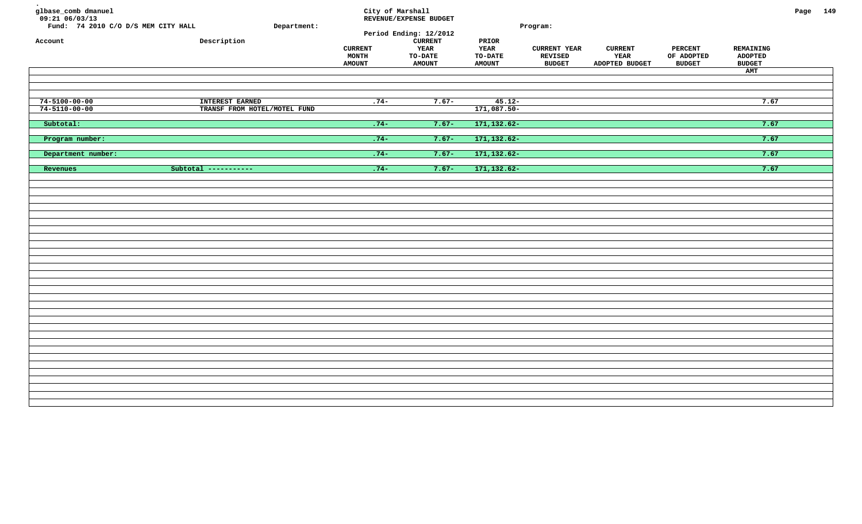| glbase_comb dmanuel<br>$09:21$ $06/03/13$<br>Fund: 74 2010 C/O D/S MEM CITY HALL<br>Account | ${\tt Description}$          | Department: | <b>CURRENT</b><br>MONTH<br><b>AMOUNT</b> | City of Marshall<br>REVENUE/EXPENSE BUDGET<br>Period Ending: 12/2012<br><b>CURRENT</b><br>YEAR<br><b>TO-DATE</b><br><b>AMOUNT</b> | PRIOR<br><b>YEAR</b><br><b>TO-DATE</b><br><b>AMOUNT</b> | Program:<br><b>CURRENT YEAR</b><br><b>REVISED</b><br><b>BUDGET</b> | <b>CURRENT</b><br>YEAR<br>ADOPTED BUDGET | <b>PERCENT</b><br>OF ADOPTED<br><b>BUDGET</b> | REMAINING<br><b>ADOPTED</b><br><b>BUDGET</b><br>AMT | Page 149 |  |
|---------------------------------------------------------------------------------------------|------------------------------|-------------|------------------------------------------|-----------------------------------------------------------------------------------------------------------------------------------|---------------------------------------------------------|--------------------------------------------------------------------|------------------------------------------|-----------------------------------------------|-----------------------------------------------------|----------|--|
| $74 - 5100 - 00 - 00$                                                                       | INTEREST EARNED              |             | $.74-$                                   | $7.67-$                                                                                                                           | $45.12 -$                                               |                                                                    |                                          |                                               | 7.67                                                |          |  |
| $74 - 5110 - 00 - 00$                                                                       | TRANSF FROM HOTEL/MOTEL FUND |             |                                          |                                                                                                                                   | $171,087.50-$                                           |                                                                    |                                          |                                               |                                                     |          |  |
| Subtotal:                                                                                   |                              |             | $.74-$                                   | $7.67 -$                                                                                                                          | 171, 132.62-                                            |                                                                    |                                          |                                               | 7.67                                                |          |  |
| Program number:                                                                             |                              |             | $.74-$                                   | $7.67 -$                                                                                                                          | 171, 132.62-                                            |                                                                    |                                          |                                               | 7.67                                                |          |  |
| Department number:                                                                          |                              |             | $.74-$                                   | $7.67-$                                                                                                                           | 171, 132.62-                                            |                                                                    |                                          |                                               | 7.67                                                |          |  |
| Revenues                                                                                    | Subtotal -----------         |             | $.74-$                                   | $7.67 -$                                                                                                                          | 171, 132.62-                                            |                                                                    |                                          |                                               | 7.67                                                |          |  |
|                                                                                             |                              |             |                                          |                                                                                                                                   |                                                         |                                                                    |                                          |                                               |                                                     |          |  |
|                                                                                             |                              |             |                                          |                                                                                                                                   |                                                         |                                                                    |                                          |                                               |                                                     |          |  |
|                                                                                             |                              |             |                                          |                                                                                                                                   |                                                         |                                                                    |                                          |                                               |                                                     |          |  |
|                                                                                             |                              |             |                                          |                                                                                                                                   |                                                         |                                                                    |                                          |                                               |                                                     |          |  |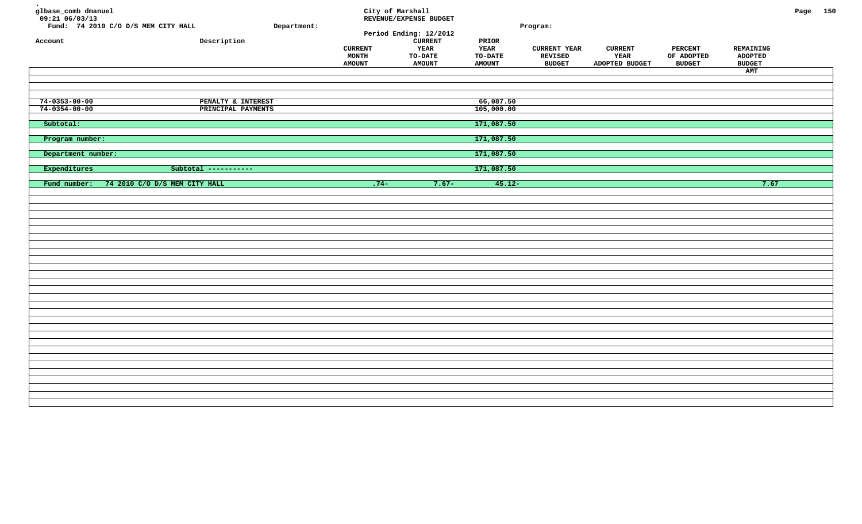| glbase_comb dmanuel<br>$09:21$ $06/03/13$<br>Account | Fund: 74 2010 C/O D/S MEM CITY HALL<br>Description | Department: | City of Marshall<br><b>CURRENT</b><br>MONTH<br><b>AMOUNT</b> | REVENUE/EXPENSE BUDGET<br>Period Ending: 12/2012<br><b>CURRENT</b><br><b>YEAR</b><br><b>TO-DATE</b><br><b>AMOUNT</b> | PRIOR<br>YEAR<br><b>TO-DATE</b><br><b>AMOUNT</b> | Program:<br><b>CURRENT YEAR</b><br>REVISED<br><b>BUDGET</b> | <b>CURRENT</b><br>YEAR<br>ADOPTED BUDGET | <b>PERCENT</b><br>OF ADOPTED<br><b>BUDGET</b> | REMAINING<br><b>ADOPTED</b><br><b>BUDGET</b><br>AMT | Page 150 |  |
|------------------------------------------------------|----------------------------------------------------|-------------|--------------------------------------------------------------|----------------------------------------------------------------------------------------------------------------------|--------------------------------------------------|-------------------------------------------------------------|------------------------------------------|-----------------------------------------------|-----------------------------------------------------|----------|--|
| $74 - 0353 - 00 - 00$                                | PENALTY & INTEREST                                 |             |                                                              |                                                                                                                      | 66,087.50                                        |                                                             |                                          |                                               |                                                     |          |  |
| $74 - 0354 - 00 - 00$                                | PRINCIPAL PAYMENTS                                 |             |                                                              |                                                                                                                      | 105,000.00                                       |                                                             |                                          |                                               |                                                     |          |  |
| Subtotal:                                            |                                                    |             |                                                              |                                                                                                                      | 171,087.50                                       |                                                             |                                          |                                               |                                                     |          |  |
| Program number:                                      |                                                    |             |                                                              |                                                                                                                      | 171,087.50                                       |                                                             |                                          |                                               |                                                     |          |  |
| Department number:                                   |                                                    |             |                                                              |                                                                                                                      | 171,087.50                                       |                                                             |                                          |                                               |                                                     |          |  |
| Expenditures                                         | Subtotal -----------                               |             |                                                              |                                                                                                                      | 171,087.50                                       |                                                             |                                          |                                               |                                                     |          |  |
| Fund number:                                         | 74 2010 C/O D/S MEM CITY HALL                      |             | $.74-$                                                       | $7.67 -$                                                                                                             | $45.12 -$                                        |                                                             |                                          |                                               | 7.67                                                |          |  |
|                                                      |                                                    |             |                                                              |                                                                                                                      |                                                  |                                                             |                                          |                                               |                                                     |          |  |
|                                                      |                                                    |             |                                                              |                                                                                                                      |                                                  |                                                             |                                          |                                               |                                                     |          |  |
|                                                      |                                                    |             |                                                              |                                                                                                                      |                                                  |                                                             |                                          |                                               |                                                     |          |  |
|                                                      |                                                    |             |                                                              |                                                                                                                      |                                                  |                                                             |                                          |                                               |                                                     |          |  |
|                                                      |                                                    |             |                                                              |                                                                                                                      |                                                  |                                                             |                                          |                                               |                                                     |          |  |
|                                                      |                                                    |             |                                                              |                                                                                                                      |                                                  |                                                             |                                          |                                               |                                                     |          |  |
|                                                      |                                                    |             |                                                              |                                                                                                                      |                                                  |                                                             |                                          |                                               |                                                     |          |  |
|                                                      |                                                    |             |                                                              |                                                                                                                      |                                                  |                                                             |                                          |                                               |                                                     |          |  |
|                                                      |                                                    |             |                                                              |                                                                                                                      |                                                  |                                                             |                                          |                                               |                                                     |          |  |
|                                                      |                                                    |             |                                                              |                                                                                                                      |                                                  |                                                             |                                          |                                               |                                                     |          |  |
|                                                      |                                                    |             |                                                              |                                                                                                                      |                                                  |                                                             |                                          |                                               |                                                     |          |  |
|                                                      |                                                    |             |                                                              |                                                                                                                      |                                                  |                                                             |                                          |                                               |                                                     |          |  |
|                                                      |                                                    |             |                                                              |                                                                                                                      |                                                  |                                                             |                                          |                                               |                                                     |          |  |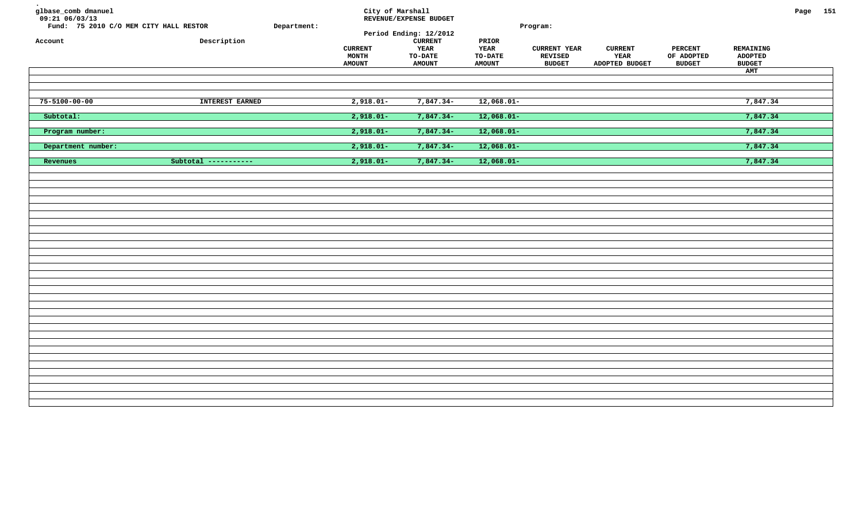| glbase_comb dmanuel<br>$09:21$ $06/03/13$<br>Fund: 75 2010 C/O MEM CITY HALL RESTOR<br>Account | Description          | Department: | City of Marshall<br><b>CURRENT</b><br>MONTH<br><b>AMOUNT</b> | REVENUE/EXPENSE BUDGET<br>Period Ending: 12/2012<br><b>CURRENT</b><br>YEAR<br><b>TO-DATE</b><br><b>AMOUNT</b> | $\tt PRIOR$<br><b>YEAR</b><br><b>TO-DATE</b><br><b>AMOUNT</b> | Program:<br><b>CURRENT YEAR</b><br>REVISED<br><b>BUDGET</b> | <b>CURRENT</b><br>YEAR<br>ADOPTED BUDGET | <b>PERCENT</b><br>OF ADOPTED<br><b>BUDGET</b> | REMAINING<br><b>ADOPTED</b><br><b>BUDGET</b><br>AMT | Page 151 |  |
|------------------------------------------------------------------------------------------------|----------------------|-------------|--------------------------------------------------------------|---------------------------------------------------------------------------------------------------------------|---------------------------------------------------------------|-------------------------------------------------------------|------------------------------------------|-----------------------------------------------|-----------------------------------------------------|----------|--|
| $75 - 5100 - 00 - 00$                                                                          | INTEREST EARNED      |             | $2,918.01-$                                                  | $7,847.34-$                                                                                                   | $12,068.01-$                                                  |                                                             |                                          |                                               | 7,847.34                                            |          |  |
| Subtotal:                                                                                      |                      |             | $2,918.01-$                                                  | $7,847.34-$                                                                                                   | $12,068.01-$                                                  |                                                             |                                          |                                               | 7,847.34                                            |          |  |
| Program number:                                                                                |                      |             | $2,918.01-$                                                  | $7,847.34-$                                                                                                   | $12,068.01-$                                                  |                                                             |                                          |                                               | 7,847.34                                            |          |  |
| Department number:                                                                             |                      |             | $2,918.01-$                                                  | 7,847.34-                                                                                                     | $12,068.01-$                                                  |                                                             |                                          |                                               | 7,847.34                                            |          |  |
| Revenues                                                                                       | Subtotal ----------- |             | $2,918.01 -$                                                 | $7,847.34-$                                                                                                   | $12,068.01-$                                                  |                                                             |                                          |                                               | 7,847.34                                            |          |  |
|                                                                                                |                      |             |                                                              |                                                                                                               |                                                               |                                                             |                                          |                                               |                                                     |          |  |
|                                                                                                |                      |             |                                                              |                                                                                                               |                                                               |                                                             |                                          |                                               |                                                     |          |  |
|                                                                                                |                      |             |                                                              |                                                                                                               |                                                               |                                                             |                                          |                                               |                                                     |          |  |
|                                                                                                |                      |             |                                                              |                                                                                                               |                                                               |                                                             |                                          |                                               |                                                     |          |  |
|                                                                                                |                      |             |                                                              |                                                                                                               |                                                               |                                                             |                                          |                                               |                                                     |          |  |
|                                                                                                |                      |             |                                                              |                                                                                                               |                                                               |                                                             |                                          |                                               |                                                     |          |  |
|                                                                                                |                      |             |                                                              |                                                                                                               |                                                               |                                                             |                                          |                                               |                                                     |          |  |
|                                                                                                |                      |             |                                                              |                                                                                                               |                                                               |                                                             |                                          |                                               |                                                     |          |  |
|                                                                                                |                      |             |                                                              |                                                                                                               |                                                               |                                                             |                                          |                                               |                                                     |          |  |
|                                                                                                |                      |             |                                                              |                                                                                                               |                                                               |                                                             |                                          |                                               |                                                     |          |  |
|                                                                                                |                      |             |                                                              |                                                                                                               |                                                               |                                                             |                                          |                                               |                                                     |          |  |
|                                                                                                |                      |             |                                                              |                                                                                                               |                                                               |                                                             |                                          |                                               |                                                     |          |  |
|                                                                                                |                      |             |                                                              |                                                                                                               |                                                               |                                                             |                                          |                                               |                                                     |          |  |
|                                                                                                |                      |             |                                                              |                                                                                                               |                                                               |                                                             |                                          |                                               |                                                     |          |  |
|                                                                                                |                      |             |                                                              |                                                                                                               |                                                               |                                                             |                                          |                                               |                                                     |          |  |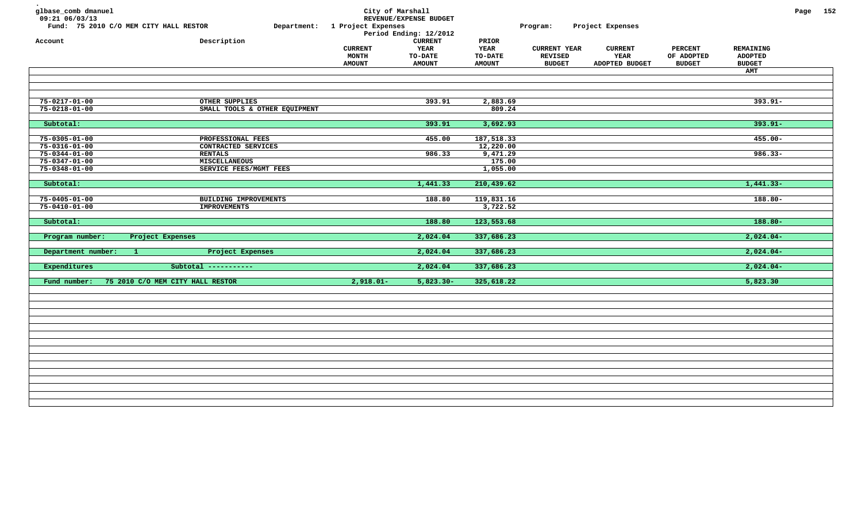| glbase_comb dmanuel<br>09:21 06/03/13          | Fund: 75 2010 C/O MEM CITY HALL RESTOR       | Department: 1 Project Expenses           | City of Marshall<br>REVENUE/EXPENSE BUDGET<br>Period Ending: 12/2012 |                                                         | Program:                                               | Project Expenses                                |                                               |                                                     | Page 152 |  |
|------------------------------------------------|----------------------------------------------|------------------------------------------|----------------------------------------------------------------------|---------------------------------------------------------|--------------------------------------------------------|-------------------------------------------------|-----------------------------------------------|-----------------------------------------------------|----------|--|
| Account                                        | Description                                  | <b>CURRENT</b><br>MONTH<br><b>AMOUNT</b> | <b>CURRENT</b><br><b>YEAR</b><br><b>TO-DATE</b><br><b>AMOUNT</b>     | PRIOR<br><b>YEAR</b><br><b>TO-DATE</b><br><b>AMOUNT</b> | <b>CURRENT YEAR</b><br><b>REVISED</b><br><b>BUDGET</b> | <b>CURRENT</b><br><b>YEAR</b><br>ADOPTED BUDGET | <b>PERCENT</b><br>OF ADOPTED<br><b>BUDGET</b> | <b>REMAINING</b><br><b>ADOPTED</b><br><b>BUDGET</b> |          |  |
|                                                |                                              |                                          |                                                                      |                                                         |                                                        |                                                 |                                               | AMT                                                 |          |  |
| $75 - 0217 - 01 - 00$                          | OTHER SUPPLIES                               |                                          | 393.91                                                               | 2,883.69                                                |                                                        |                                                 |                                               | $393.91 -$                                          |          |  |
| $75 - 0218 - 01 - 00$                          | SMALL TOOLS & OTHER EQUIPMENT                |                                          |                                                                      | 809.24                                                  |                                                        |                                                 |                                               |                                                     |          |  |
| Subtotal:                                      |                                              |                                          | 393.91                                                               | 3,692.93                                                |                                                        |                                                 |                                               | $393.91 -$                                          |          |  |
| $75 - 0305 - 01 - 00$                          | PROFESSIONAL FEES                            |                                          | 455.00                                                               | 187,518.33                                              |                                                        |                                                 |                                               | $455.00 -$                                          |          |  |
| 75-0316-01-00<br>75-0344-01-00                 | CONTRACTED SERVICES<br><b>RENTALS</b>        |                                          | 986.33                                                               | 12,220.00<br>9,471.29                                   |                                                        |                                                 |                                               | $986.33 -$                                          |          |  |
| 75-0347-01-00<br>$75 - 0348 - 01 - 00$         | MISCELLANEOUS<br>SERVICE FEES/MGMT FEES      |                                          |                                                                      | 175.00<br>1,055.00                                      |                                                        |                                                 |                                               |                                                     |          |  |
|                                                |                                              |                                          |                                                                      |                                                         |                                                        |                                                 |                                               |                                                     |          |  |
| Subtotal:                                      |                                              |                                          | 1,441.33                                                             | 210,439.62                                              |                                                        |                                                 |                                               | $1,441.33-$                                         |          |  |
| $75 - 0405 - 01 - 00$<br>$75 - 0410 - 01 - 00$ | BUILDING IMPROVEMENTS<br><b>IMPROVEMENTS</b> |                                          | 188.80                                                               | 119,831.16<br>3,722.52                                  |                                                        |                                                 |                                               | $188.80 -$                                          |          |  |
|                                                |                                              |                                          |                                                                      |                                                         |                                                        |                                                 |                                               |                                                     |          |  |
| Subtotal:                                      |                                              |                                          | 188.80                                                               | 123,553.68                                              |                                                        |                                                 |                                               | $188.80 -$                                          |          |  |
| Program number:                                | Project Expenses                             |                                          | 2,024.04                                                             | 337,686.23                                              |                                                        |                                                 |                                               | $2,024.04-$                                         |          |  |
| Department number:                             | Project Expenses<br>-1.                      |                                          | 2,024.04                                                             | 337,686.23                                              |                                                        |                                                 |                                               | $2,024.04-$                                         |          |  |
| Expenditures                                   | Subtotal -----------                         |                                          | 2,024.04                                                             | 337,686.23                                              |                                                        |                                                 |                                               | $2,024.04-$                                         |          |  |
| Fund number:                                   | 75 2010 C/O MEM CITY HALL RESTOR             | $2,918.01-$                              | $5,823.30-$                                                          | 325,618.22                                              |                                                        |                                                 |                                               | 5,823.30                                            |          |  |
|                                                |                                              |                                          |                                                                      |                                                         |                                                        |                                                 |                                               |                                                     |          |  |
|                                                |                                              |                                          |                                                                      |                                                         |                                                        |                                                 |                                               |                                                     |          |  |
|                                                |                                              |                                          |                                                                      |                                                         |                                                        |                                                 |                                               |                                                     |          |  |
|                                                |                                              |                                          |                                                                      |                                                         |                                                        |                                                 |                                               |                                                     |          |  |
|                                                |                                              |                                          |                                                                      |                                                         |                                                        |                                                 |                                               |                                                     |          |  |
|                                                |                                              |                                          |                                                                      |                                                         |                                                        |                                                 |                                               |                                                     |          |  |
|                                                |                                              |                                          |                                                                      |                                                         |                                                        |                                                 |                                               |                                                     |          |  |
|                                                |                                              |                                          |                                                                      |                                                         |                                                        |                                                 |                                               |                                                     |          |  |
|                                                |                                              |                                          |                                                                      |                                                         |                                                        |                                                 |                                               |                                                     |          |  |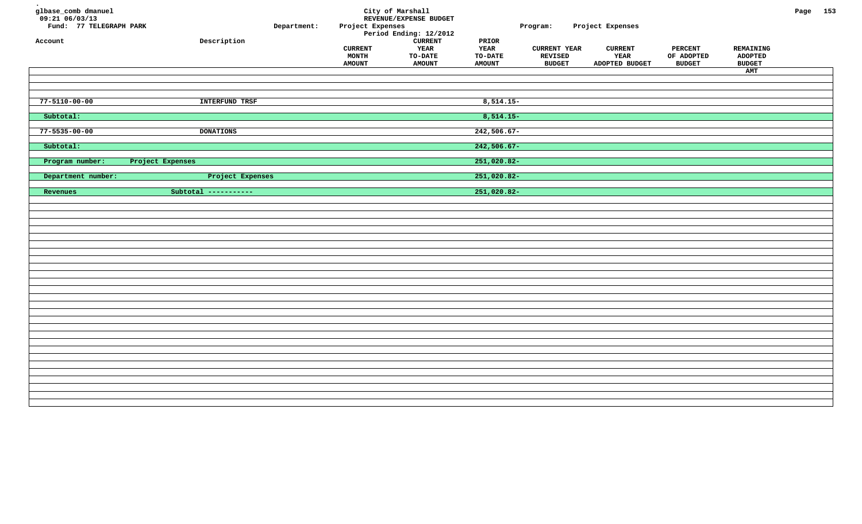| glbase_comb dmanuel<br>$09:21$ 06/03/13<br>Fund: 77 TELEGRAPH PARK<br>Account | ${\tt Description}$  | Department: | Project Expenses<br><b>CURRENT</b><br>MONTH<br><b>AMOUNT</b> | City of Marshall<br>REVENUE/EXPENSE BUDGET<br>Period Ending: 12/2012<br><b>CURRENT</b><br>YEAR<br>TO-DATE<br><b>AMOUNT</b> | PRIOR<br>YEAR<br>TO-DATE<br><b>AMOUNT</b> | Program:<br><b>CURRENT YEAR</b><br><b>REVISED</b><br><b>BUDGET</b> | Project Expenses<br><b>CURRENT</b><br>YEAR<br>ADOPTED BUDGET | <b>PERCENT</b><br>OF ADOPTED<br><b>BUDGET</b> | REMAINING<br><b>ADOPTED</b><br><b>BUDGET</b><br>AMT | Page 153 |  |
|-------------------------------------------------------------------------------|----------------------|-------------|--------------------------------------------------------------|----------------------------------------------------------------------------------------------------------------------------|-------------------------------------------|--------------------------------------------------------------------|--------------------------------------------------------------|-----------------------------------------------|-----------------------------------------------------|----------|--|
| $77 - 5110 - 00 - 00$                                                         | INTERFUND TRSF       |             |                                                              |                                                                                                                            | $8,514.15-$                               |                                                                    |                                                              |                                               |                                                     |          |  |
| Subtotal:                                                                     |                      |             |                                                              |                                                                                                                            | $8,514.15-$                               |                                                                    |                                                              |                                               |                                                     |          |  |
| $77 - 5535 - 00 - 00$                                                         | <b>DONATIONS</b>     |             |                                                              |                                                                                                                            | $242,506.67-$                             |                                                                    |                                                              |                                               |                                                     |          |  |
| Subtotal:                                                                     |                      |             |                                                              |                                                                                                                            | $242,506.67-$                             |                                                                    |                                                              |                                               |                                                     |          |  |
| Program number:                                                               | Project Expenses     |             |                                                              |                                                                                                                            | 251,020.82-                               |                                                                    |                                                              |                                               |                                                     |          |  |
| Department number:                                                            | Project Expenses     |             |                                                              |                                                                                                                            | 251,020.82-                               |                                                                    |                                                              |                                               |                                                     |          |  |
| Revenues                                                                      | Subtotal ----------- |             |                                                              |                                                                                                                            | 251,020.82-                               |                                                                    |                                                              |                                               |                                                     |          |  |
|                                                                               |                      |             |                                                              |                                                                                                                            |                                           |                                                                    |                                                              |                                               |                                                     |          |  |
|                                                                               |                      |             |                                                              |                                                                                                                            |                                           |                                                                    |                                                              |                                               |                                                     |          |  |
|                                                                               |                      |             |                                                              |                                                                                                                            |                                           |                                                                    |                                                              |                                               |                                                     |          |  |
|                                                                               |                      |             |                                                              |                                                                                                                            |                                           |                                                                    |                                                              |                                               |                                                     |          |  |
|                                                                               |                      |             |                                                              |                                                                                                                            |                                           |                                                                    |                                                              |                                               |                                                     |          |  |
|                                                                               |                      |             |                                                              |                                                                                                                            |                                           |                                                                    |                                                              |                                               |                                                     |          |  |
|                                                                               |                      |             |                                                              |                                                                                                                            |                                           |                                                                    |                                                              |                                               |                                                     |          |  |
|                                                                               |                      |             |                                                              |                                                                                                                            |                                           |                                                                    |                                                              |                                               |                                                     |          |  |
|                                                                               |                      |             |                                                              |                                                                                                                            |                                           |                                                                    |                                                              |                                               |                                                     |          |  |
|                                                                               |                      |             |                                                              |                                                                                                                            |                                           |                                                                    |                                                              |                                               |                                                     |          |  |
|                                                                               |                      |             |                                                              |                                                                                                                            |                                           |                                                                    |                                                              |                                               |                                                     |          |  |
|                                                                               |                      |             |                                                              |                                                                                                                            |                                           |                                                                    |                                                              |                                               |                                                     |          |  |
|                                                                               |                      |             |                                                              |                                                                                                                            |                                           |                                                                    |                                                              |                                               |                                                     |          |  |
|                                                                               |                      |             |                                                              |                                                                                                                            |                                           |                                                                    |                                                              |                                               |                                                     |          |  |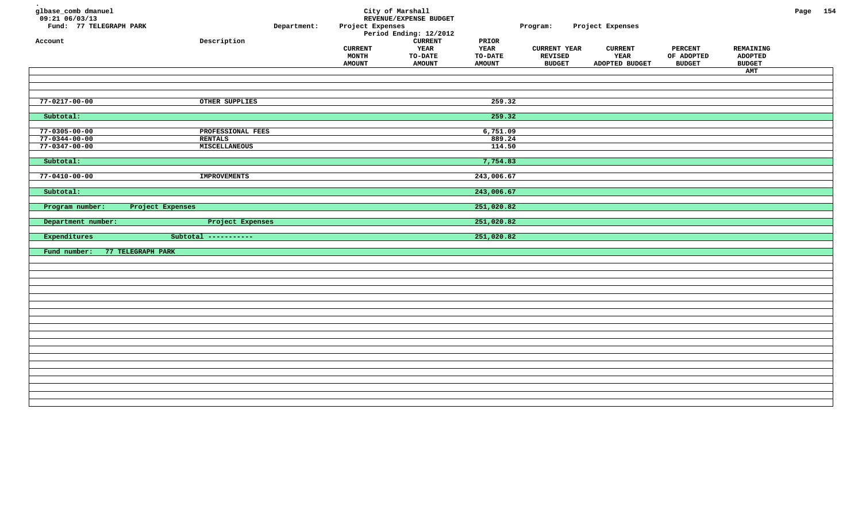| glbase_comb dmanuel<br>09:21 06/03/13<br>Fund: 77 TELEGRAPH PARK<br>Account | Department:<br>${\tt Description}$ | Project Expenses<br><b>CURRENT</b><br>MONTH<br><b>AMOUNT</b> | City of Marshall<br>REVENUE/EXPENSE BUDGET<br>Period Ending: 12/2012<br>${\tt CURRENT}$<br>YEAR<br><b>TO-DATE</b><br><b>AMOUNT</b> | PRIOR<br>YEAR<br><b>TO-DATE</b><br><b>AMOUNT</b> | Program:<br><b>CURRENT YEAR</b><br><b>REVISED</b><br><b>BUDGET</b> | Project Expenses<br><b>CURRENT</b><br>YEAR<br>ADOPTED BUDGET | <b>PERCENT</b><br>OF ADOPTED<br><b>BUDGET</b> | REMAINING<br><b>ADOPTED</b><br><b>BUDGET</b><br>AMT | Page 154 |  |
|-----------------------------------------------------------------------------|------------------------------------|--------------------------------------------------------------|------------------------------------------------------------------------------------------------------------------------------------|--------------------------------------------------|--------------------------------------------------------------------|--------------------------------------------------------------|-----------------------------------------------|-----------------------------------------------------|----------|--|
|                                                                             |                                    |                                                              |                                                                                                                                    |                                                  |                                                                    |                                                              |                                               |                                                     |          |  |
|                                                                             |                                    |                                                              |                                                                                                                                    |                                                  |                                                                    |                                                              |                                               |                                                     |          |  |
| 77-0217-00-00                                                               | OTHER SUPPLIES                     |                                                              |                                                                                                                                    | 259.32                                           |                                                                    |                                                              |                                               |                                                     |          |  |
| Subtotal:                                                                   |                                    |                                                              |                                                                                                                                    | 259.32                                           |                                                                    |                                                              |                                               |                                                     |          |  |
| $77 - 0305 - 00 - 00$                                                       | PROFESSIONAL FEES                  |                                                              |                                                                                                                                    | 6,751.09                                         |                                                                    |                                                              |                                               |                                                     |          |  |
| $77 - 0344 - 00 - 00$                                                       | <b>RENTALS</b>                     |                                                              |                                                                                                                                    | 889.24                                           |                                                                    |                                                              |                                               |                                                     |          |  |
| $77 - 0347 - 00 - 00$                                                       | MISCELLANEOUS                      |                                                              |                                                                                                                                    | 114.50                                           |                                                                    |                                                              |                                               |                                                     |          |  |
| Subtotal:                                                                   |                                    |                                                              |                                                                                                                                    | 7,754.83                                         |                                                                    |                                                              |                                               |                                                     |          |  |
| $77 - 0410 - 00 - 00$                                                       | <b>IMPROVEMENTS</b>                |                                                              |                                                                                                                                    | 243,006.67                                       |                                                                    |                                                              |                                               |                                                     |          |  |
|                                                                             |                                    |                                                              |                                                                                                                                    |                                                  |                                                                    |                                                              |                                               |                                                     |          |  |
| Subtotal:                                                                   |                                    |                                                              |                                                                                                                                    | 243,006.67                                       |                                                                    |                                                              |                                               |                                                     |          |  |
| Program number:<br>Project Expenses                                         |                                    |                                                              |                                                                                                                                    | 251,020.82                                       |                                                                    |                                                              |                                               |                                                     |          |  |
| Department number:                                                          | Project Expenses                   |                                                              |                                                                                                                                    | 251,020.82                                       |                                                                    |                                                              |                                               |                                                     |          |  |
| Expenditures                                                                | Subtotal -----------               |                                                              |                                                                                                                                    | 251,020.82                                       |                                                                    |                                                              |                                               |                                                     |          |  |
| 77 TELEGRAPH PARK                                                           |                                    |                                                              |                                                                                                                                    |                                                  |                                                                    |                                                              |                                               |                                                     |          |  |
| Fund number:                                                                |                                    |                                                              |                                                                                                                                    |                                                  |                                                                    |                                                              |                                               |                                                     |          |  |
|                                                                             |                                    |                                                              |                                                                                                                                    |                                                  |                                                                    |                                                              |                                               |                                                     |          |  |
|                                                                             |                                    |                                                              |                                                                                                                                    |                                                  |                                                                    |                                                              |                                               |                                                     |          |  |
|                                                                             |                                    |                                                              |                                                                                                                                    |                                                  |                                                                    |                                                              |                                               |                                                     |          |  |
|                                                                             |                                    |                                                              |                                                                                                                                    |                                                  |                                                                    |                                                              |                                               |                                                     |          |  |
|                                                                             |                                    |                                                              |                                                                                                                                    |                                                  |                                                                    |                                                              |                                               |                                                     |          |  |
|                                                                             |                                    |                                                              |                                                                                                                                    |                                                  |                                                                    |                                                              |                                               |                                                     |          |  |
|                                                                             |                                    |                                                              |                                                                                                                                    |                                                  |                                                                    |                                                              |                                               |                                                     |          |  |
|                                                                             |                                    |                                                              |                                                                                                                                    |                                                  |                                                                    |                                                              |                                               |                                                     |          |  |
|                                                                             |                                    |                                                              |                                                                                                                                    |                                                  |                                                                    |                                                              |                                               |                                                     |          |  |
|                                                                             |                                    |                                                              |                                                                                                                                    |                                                  |                                                                    |                                                              |                                               |                                                     |          |  |
|                                                                             |                                    |                                                              |                                                                                                                                    |                                                  |                                                                    |                                                              |                                               |                                                     |          |  |
|                                                                             |                                    |                                                              |                                                                                                                                    |                                                  |                                                                    |                                                              |                                               |                                                     |          |  |
|                                                                             |                                    |                                                              |                                                                                                                                    |                                                  |                                                                    |                                                              |                                               |                                                     |          |  |
|                                                                             |                                    |                                                              |                                                                                                                                    |                                                  |                                                                    |                                                              |                                               |                                                     |          |  |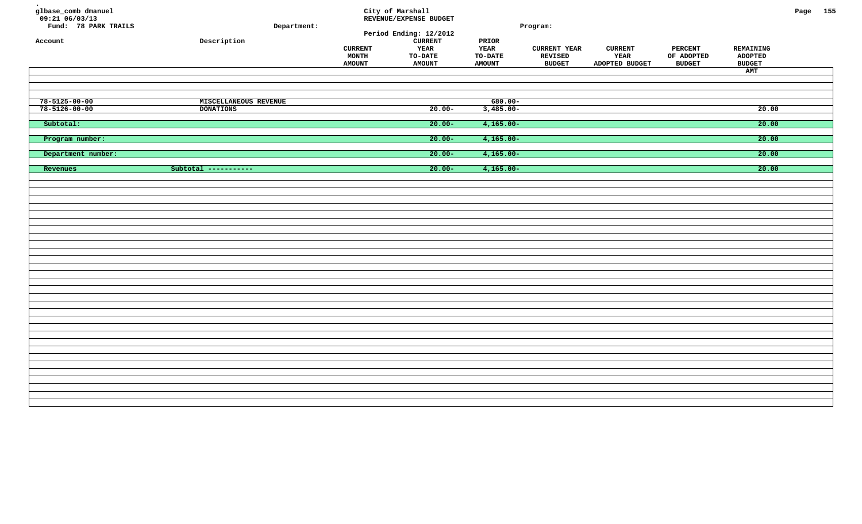| glbase_comb dmanuel<br>$09:21$ 06/03/13<br>Fund: 78 PARK TRAILS<br>Account | Department:<br>${\tt Description}$ | <b>CURRENT</b><br>MONTH<br><b>AMOUNT</b> | City of Marshall<br>REVENUE/EXPENSE BUDGET<br>Period Ending: 12/2012<br>${\tt CURRENT}$<br>YEAR<br><b>TO-DATE</b><br><b>AMOUNT</b> | PRIOR<br>YEAR<br>TO-DATE<br><b>AMOUNT</b> | Program:<br><b>CURRENT YEAR</b><br>REVISED<br><b>BUDGET</b> | <b>CURRENT</b><br>YEAR<br>ADOPTED BUDGET | <b>PERCENT</b><br>OF ADOPTED<br><b>BUDGET</b> | REMAINING<br><b>ADOPTED</b><br><b>BUDGET</b><br>AMT | Page 155 |  |
|----------------------------------------------------------------------------|------------------------------------|------------------------------------------|------------------------------------------------------------------------------------------------------------------------------------|-------------------------------------------|-------------------------------------------------------------|------------------------------------------|-----------------------------------------------|-----------------------------------------------------|----------|--|
| $78 - 5125 - 00 - 00$                                                      | MISCELLANEOUS REVENUE              |                                          |                                                                                                                                    | $680.00 -$                                |                                                             |                                          |                                               |                                                     |          |  |
| $78 - 5126 - 00 - 00$                                                      | <b>DONATIONS</b>                   |                                          | $20.00 -$                                                                                                                          | $3,485.00 -$                              |                                                             |                                          |                                               | 20.00                                               |          |  |
| Subtotal:                                                                  |                                    |                                          | $20.00 -$                                                                                                                          | $4,165.00 -$                              |                                                             |                                          |                                               | 20.00                                               |          |  |
| Program number:                                                            |                                    |                                          | $20.00 -$                                                                                                                          | $4,165.00 -$                              |                                                             |                                          |                                               | 20.00                                               |          |  |
| Department number:                                                         |                                    |                                          | $20.00 -$                                                                                                                          | $4,165.00 -$                              |                                                             |                                          |                                               | 20.00                                               |          |  |
| Revenues                                                                   | Subtotal -----------               |                                          | $20.00 -$                                                                                                                          | $4,165.00 -$                              |                                                             |                                          |                                               | 20.00                                               |          |  |
|                                                                            |                                    |                                          |                                                                                                                                    |                                           |                                                             |                                          |                                               |                                                     |          |  |
|                                                                            |                                    |                                          |                                                                                                                                    |                                           |                                                             |                                          |                                               |                                                     |          |  |
|                                                                            |                                    |                                          |                                                                                                                                    |                                           |                                                             |                                          |                                               |                                                     |          |  |
|                                                                            |                                    |                                          |                                                                                                                                    |                                           |                                                             |                                          |                                               |                                                     |          |  |
|                                                                            |                                    |                                          |                                                                                                                                    |                                           |                                                             |                                          |                                               |                                                     |          |  |
|                                                                            |                                    |                                          |                                                                                                                                    |                                           |                                                             |                                          |                                               |                                                     |          |  |
|                                                                            |                                    |                                          |                                                                                                                                    |                                           |                                                             |                                          |                                               |                                                     |          |  |
|                                                                            |                                    |                                          |                                                                                                                                    |                                           |                                                             |                                          |                                               |                                                     |          |  |
|                                                                            |                                    |                                          |                                                                                                                                    |                                           |                                                             |                                          |                                               |                                                     |          |  |
|                                                                            |                                    |                                          |                                                                                                                                    |                                           |                                                             |                                          |                                               |                                                     |          |  |
|                                                                            |                                    |                                          |                                                                                                                                    |                                           |                                                             |                                          |                                               |                                                     |          |  |
|                                                                            |                                    |                                          |                                                                                                                                    |                                           |                                                             |                                          |                                               |                                                     |          |  |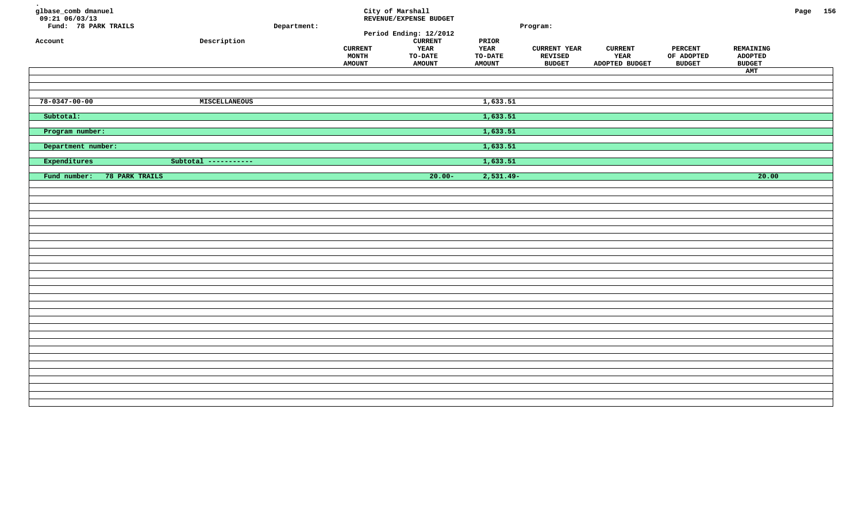| glbase_comb dmanuel<br>$09:21$ <sup>-06/03/13</sup><br>Fund: 78 PARK TRAILS<br>Account | ${\tt Description}$  | Department: | <b>CURRENT</b><br>MONTH<br><b>AMOUNT</b> | City of Marshall<br>REVENUE/EXPENSE BUDGET<br>Period Ending: 12/2012<br><b>CURRENT</b><br><b>YEAR</b><br>TO-DATE<br><b>AMOUNT</b> | PRIOR<br>YEAR<br>TO-DATE<br><b>AMOUNT</b> | Program:<br><b>CURRENT YEAR</b><br>REVISED<br><b>BUDGET</b> | <b>CURRENT</b><br>YEAR<br>ADOPTED BUDGET | <b>PERCENT</b><br>OF ADOPTED<br><b>BUDGET</b> | REMAINING<br><b>ADOPTED</b><br><b>BUDGET</b><br>AMT | Page 156 |  |
|----------------------------------------------------------------------------------------|----------------------|-------------|------------------------------------------|-----------------------------------------------------------------------------------------------------------------------------------|-------------------------------------------|-------------------------------------------------------------|------------------------------------------|-----------------------------------------------|-----------------------------------------------------|----------|--|
| $78 - 0347 - 00 - 00$                                                                  | MISCELLANEOUS        |             |                                          |                                                                                                                                   | 1,633.51                                  |                                                             |                                          |                                               |                                                     |          |  |
| Subtotal:                                                                              |                      |             |                                          |                                                                                                                                   | 1,633.51                                  |                                                             |                                          |                                               |                                                     |          |  |
| Program number:                                                                        |                      |             |                                          |                                                                                                                                   | 1,633.51                                  |                                                             |                                          |                                               |                                                     |          |  |
| Department number:                                                                     |                      |             |                                          |                                                                                                                                   | 1,633.51                                  |                                                             |                                          |                                               |                                                     |          |  |
| Expenditures                                                                           | Subtotal ----------- |             |                                          |                                                                                                                                   | 1,633.51                                  |                                                             |                                          |                                               |                                                     |          |  |
| Fund number:<br>78 PARK TRAILS                                                         |                      |             |                                          | $20.00 -$                                                                                                                         | $2,531.49-$                               |                                                             |                                          |                                               | 20.00                                               |          |  |
|                                                                                        |                      |             |                                          |                                                                                                                                   |                                           |                                                             |                                          |                                               |                                                     |          |  |
|                                                                                        |                      |             |                                          |                                                                                                                                   |                                           |                                                             |                                          |                                               |                                                     |          |  |
|                                                                                        |                      |             |                                          |                                                                                                                                   |                                           |                                                             |                                          |                                               |                                                     |          |  |
|                                                                                        |                      |             |                                          |                                                                                                                                   |                                           |                                                             |                                          |                                               |                                                     |          |  |
|                                                                                        |                      |             |                                          |                                                                                                                                   |                                           |                                                             |                                          |                                               |                                                     |          |  |
|                                                                                        |                      |             |                                          |                                                                                                                                   |                                           |                                                             |                                          |                                               |                                                     |          |  |
|                                                                                        |                      |             |                                          |                                                                                                                                   |                                           |                                                             |                                          |                                               |                                                     |          |  |
|                                                                                        |                      |             |                                          |                                                                                                                                   |                                           |                                                             |                                          |                                               |                                                     |          |  |
|                                                                                        |                      |             |                                          |                                                                                                                                   |                                           |                                                             |                                          |                                               |                                                     |          |  |
|                                                                                        |                      |             |                                          |                                                                                                                                   |                                           |                                                             |                                          |                                               |                                                     |          |  |
|                                                                                        |                      |             |                                          |                                                                                                                                   |                                           |                                                             |                                          |                                               |                                                     |          |  |
|                                                                                        |                      |             |                                          |                                                                                                                                   |                                           |                                                             |                                          |                                               |                                                     |          |  |
|                                                                                        |                      |             |                                          |                                                                                                                                   |                                           |                                                             |                                          |                                               |                                                     |          |  |
|                                                                                        |                      |             |                                          |                                                                                                                                   |                                           |                                                             |                                          |                                               |                                                     |          |  |
|                                                                                        |                      |             |                                          |                                                                                                                                   |                                           |                                                             |                                          |                                               |                                                     |          |  |
|                                                                                        |                      |             |                                          |                                                                                                                                   |                                           |                                                             |                                          |                                               |                                                     |          |  |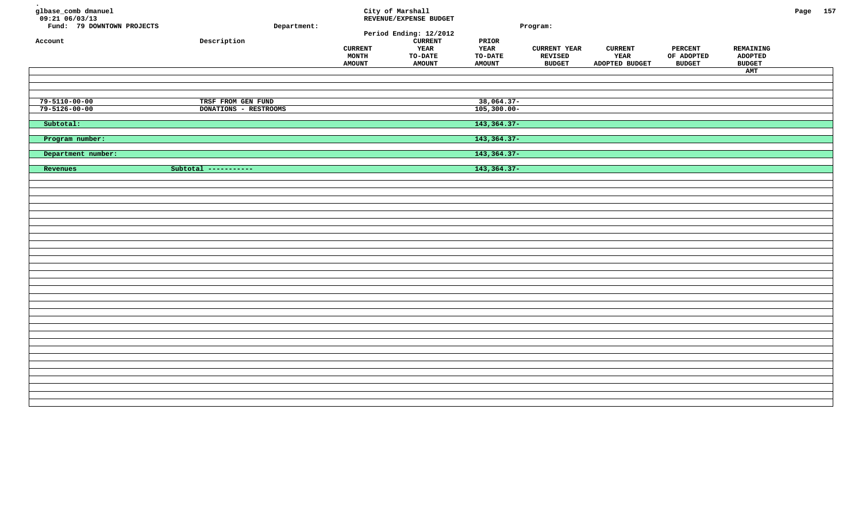| glbase_comb dmanuel<br>$09:21$ <sup>-06/03/13</sup><br>Fund: 79 DOWNTOWN PROJECTS<br>Account | Department:<br>Description                  | <b>CURRENT</b><br>MONTH<br><b>AMOUNT</b> | City of Marshall<br>REVENUE/EXPENSE BUDGET<br>Period Ending: 12/2012<br>${\tt CURRENT}$<br>YEAR<br><b>TO-DATE</b><br><b>AMOUNT</b> | PRIOR<br>YEAR<br>TO-DATE<br><b>AMOUNT</b> | Program:<br><b>CURRENT YEAR</b><br>REVISED<br><b>BUDGET</b> | <b>CURRENT</b><br>YEAR<br>ADOPTED BUDGET | <b>PERCENT</b><br>OF ADOPTED<br><b>BUDGET</b> | REMAINING<br><b>ADOPTED</b><br><b>BUDGET</b><br>AMT | Page 157 |  |
|----------------------------------------------------------------------------------------------|---------------------------------------------|------------------------------------------|------------------------------------------------------------------------------------------------------------------------------------|-------------------------------------------|-------------------------------------------------------------|------------------------------------------|-----------------------------------------------|-----------------------------------------------------|----------|--|
| $79 - 5110 - 00 - 00$<br>$79 - 5126 - 00 - 00$                                               | TRSF FROM GEN FUND<br>DONATIONS - RESTROOMS |                                          |                                                                                                                                    | $38,064.37-$<br>$105,300.00 -$            |                                                             |                                          |                                               |                                                     |          |  |
| Subtotal:                                                                                    |                                             |                                          |                                                                                                                                    | 143, 364. 37-                             |                                                             |                                          |                                               |                                                     |          |  |
| Program number:                                                                              |                                             |                                          |                                                                                                                                    | 143, 364. 37-                             |                                                             |                                          |                                               |                                                     |          |  |
| Department number:                                                                           |                                             |                                          |                                                                                                                                    | 143, 364. 37-                             |                                                             |                                          |                                               |                                                     |          |  |
| Revenues                                                                                     | Subtotal -----------                        |                                          |                                                                                                                                    | 143, 364. 37-                             |                                                             |                                          |                                               |                                                     |          |  |
|                                                                                              |                                             |                                          |                                                                                                                                    |                                           |                                                             |                                          |                                               |                                                     |          |  |
|                                                                                              |                                             |                                          |                                                                                                                                    |                                           |                                                             |                                          |                                               |                                                     |          |  |
|                                                                                              |                                             |                                          |                                                                                                                                    |                                           |                                                             |                                          |                                               |                                                     |          |  |
|                                                                                              |                                             |                                          |                                                                                                                                    |                                           |                                                             |                                          |                                               |                                                     |          |  |
|                                                                                              |                                             |                                          |                                                                                                                                    |                                           |                                                             |                                          |                                               |                                                     |          |  |
|                                                                                              |                                             |                                          |                                                                                                                                    |                                           |                                                             |                                          |                                               |                                                     |          |  |
|                                                                                              |                                             |                                          |                                                                                                                                    |                                           |                                                             |                                          |                                               |                                                     |          |  |
|                                                                                              |                                             |                                          |                                                                                                                                    |                                           |                                                             |                                          |                                               |                                                     |          |  |
|                                                                                              |                                             |                                          |                                                                                                                                    |                                           |                                                             |                                          |                                               |                                                     |          |  |
|                                                                                              |                                             |                                          |                                                                                                                                    |                                           |                                                             |                                          |                                               |                                                     |          |  |
|                                                                                              |                                             |                                          |                                                                                                                                    |                                           |                                                             |                                          |                                               |                                                     |          |  |
|                                                                                              |                                             |                                          |                                                                                                                                    |                                           |                                                             |                                          |                                               |                                                     |          |  |
|                                                                                              |                                             |                                          |                                                                                                                                    |                                           |                                                             |                                          |                                               |                                                     |          |  |
|                                                                                              |                                             |                                          |                                                                                                                                    |                                           |                                                             |                                          |                                               |                                                     |          |  |